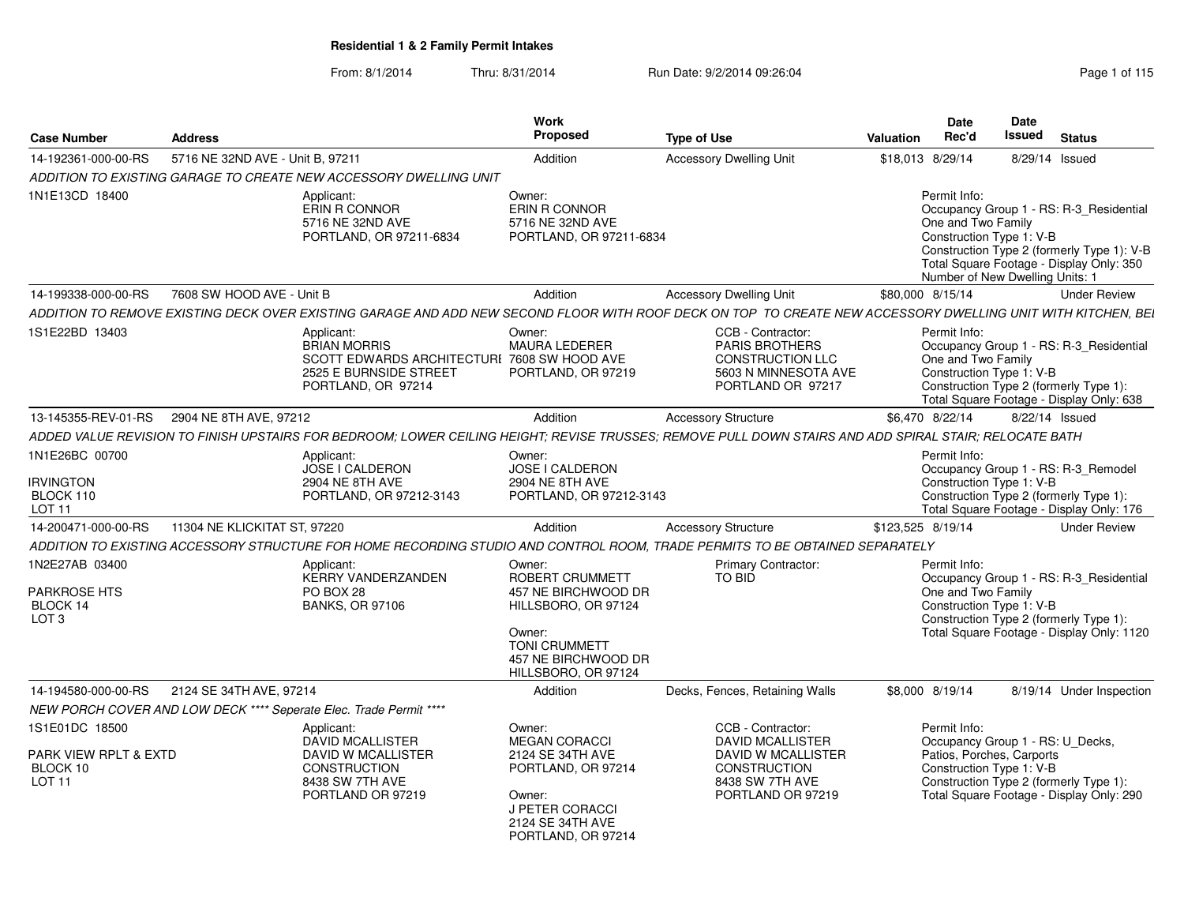| <b>Case Number</b>                                                   | <b>Address</b>                             |                                                                                                                                                              | Work<br><b>Proposed</b>                                                                                                                                 | <b>Type of Use</b>                                                                                                                       | Valuation         | <b>Date</b><br>Rec'd                                                                                                                                                                            | Date<br><b>Issued</b> | <b>Status</b>  |                                                                                                                                   |
|----------------------------------------------------------------------|--------------------------------------------|--------------------------------------------------------------------------------------------------------------------------------------------------------------|---------------------------------------------------------------------------------------------------------------------------------------------------------|------------------------------------------------------------------------------------------------------------------------------------------|-------------------|-------------------------------------------------------------------------------------------------------------------------------------------------------------------------------------------------|-----------------------|----------------|-----------------------------------------------------------------------------------------------------------------------------------|
| 14-192361-000-00-RS                                                  | 5716 NE 32ND AVE - Unit B, 97211           |                                                                                                                                                              | Addition                                                                                                                                                | <b>Accessory Dwelling Unit</b>                                                                                                           | \$18,013 8/29/14  |                                                                                                                                                                                                 |                       | 8/29/14 Issued |                                                                                                                                   |
|                                                                      |                                            | ADDITION TO EXISTING GARAGE TO CREATE NEW ACCESSORY DWELLING UNIT                                                                                            |                                                                                                                                                         |                                                                                                                                          |                   |                                                                                                                                                                                                 |                       |                |                                                                                                                                   |
| 1N1E13CD 18400                                                       |                                            | Applicant:<br>ERIN R CONNOR<br>5716 NE 32ND AVE<br>PORTLAND, OR 97211-6834                                                                                   | Owner:<br>ERIN R CONNOR<br>5716 NE 32ND AVE<br>PORTLAND, OR 97211-6834                                                                                  |                                                                                                                                          |                   | Permit Info:<br>One and Two Family<br>Construction Type 1: V-B<br>Number of New Dwelling Units: 1                                                                                               |                       |                | Occupancy Group 1 - RS: R-3_Residential<br>Construction Type 2 (formerly Type 1): V-B<br>Total Square Footage - Display Only: 350 |
| 14-199338-000-00-RS                                                  | 7608 SW HOOD AVE - Unit B                  |                                                                                                                                                              | Addition                                                                                                                                                | <b>Accessory Dwelling Unit</b>                                                                                                           | \$80,000 8/15/14  |                                                                                                                                                                                                 |                       |                | <b>Under Review</b>                                                                                                               |
|                                                                      |                                            | ADDITION TO REMOVE EXISTING DECK OVER EXISTING GARAGE AND ADD NEW SECOND FLOOR WITH ROOF DECK ON TOP TO CREATE NEW ACCESSORY DWELLING UNIT WITH KITCHEN, BEI |                                                                                                                                                         |                                                                                                                                          |                   |                                                                                                                                                                                                 |                       |                |                                                                                                                                   |
| 1S1E22BD 13403                                                       |                                            | Applicant:<br><b>BRIAN MORRIS</b><br>SCOTT EDWARDS ARCHITECTURI 7608 SW HOOD AVE<br>2525 E BURNSIDE STREET<br>PORTLAND, OR 97214                             | Owner:<br><b>MAURA LEDERER</b><br>PORTLAND, OR 97219                                                                                                    | CCB - Contractor:<br>PARIS BROTHERS<br><b>CONSTRUCTION LLC</b><br>5603 N MINNESOTA AVE<br>PORTLAND OR 97217                              |                   | Permit Info:<br>One and Two Family<br>Construction Type 1: V-B<br>Construction Type 2 (formerly Type 1):<br>Total Square Footage - Display Only: 638                                            |                       |                | Occupancy Group 1 - RS: R-3_Residential                                                                                           |
|                                                                      | 13-145355-REV-01-RS 2904 NE 8TH AVE, 97212 |                                                                                                                                                              | Addition                                                                                                                                                | <b>Accessory Structure</b>                                                                                                               |                   | \$6,470 8/22/14                                                                                                                                                                                 |                       | 8/22/14 Issued |                                                                                                                                   |
|                                                                      |                                            | ADDED VALUE REVISION TO FINISH UPSTAIRS FOR BEDROOM; LOWER CEILING HEIGHT; REVISE TRUSSES; REMOVE PULL DOWN STAIRS AND ADD SPIRAL STAIR; RELOCATE BATH       |                                                                                                                                                         |                                                                                                                                          |                   |                                                                                                                                                                                                 |                       |                |                                                                                                                                   |
| 1N1E26BC 00700<br><b>IRVINGTON</b><br>BLOCK 110<br><b>LOT 11</b>     |                                            | Applicant:<br>JOSE I CALDERON<br>2904 NE 8TH AVE<br>PORTLAND, OR 97212-3143                                                                                  | Owner:<br>JOSE I CALDERON<br>2904 NE 8TH AVE<br>PORTLAND, OR 97212-3143                                                                                 |                                                                                                                                          |                   | Permit Info:<br>Occupancy Group 1 - RS: R-3 Remodel<br>Construction Type 1: V-B<br>Construction Type 2 (formerly Type 1):                                                                       |                       |                | Total Square Footage - Display Only: 176                                                                                          |
| 14-200471-000-00-RS                                                  | 11304 NE KLICKITAT ST. 97220               |                                                                                                                                                              | Addition                                                                                                                                                | <b>Accessory Structure</b>                                                                                                               | \$123.525 8/19/14 |                                                                                                                                                                                                 |                       |                | <b>Under Review</b>                                                                                                               |
|                                                                      |                                            | ADDITION TO EXISTING ACCESSORY STRUCTURE FOR HOME RECORDING STUDIO AND CONTROL ROOM. TRADE PERMITS TO BE OBTAINED SEPARATELY                                 |                                                                                                                                                         |                                                                                                                                          |                   |                                                                                                                                                                                                 |                       |                |                                                                                                                                   |
| 1N2E27AB 03400<br>PARKROSE HTS<br>BLOCK 14<br>LOT <sub>3</sub>       |                                            | Applicant:<br><b>KERRY VANDERZANDEN</b><br>PO BOX 28<br><b>BANKS, OR 97106</b>                                                                               | Owner:<br>ROBERT CRUMMETT<br>457 NE BIRCHWOOD DR<br>HILLSBORO, OR 97124<br>Owner:<br><b>TONI CRUMMETT</b><br>457 NE BIRCHWOOD DR<br>HILLSBORO, OR 97124 | <b>Primary Contractor:</b><br>TO BID                                                                                                     |                   | Permit Info:<br>One and Two Family<br>Construction Type 1: V-B<br>Construction Type 2 (formerly Type 1):                                                                                        |                       |                | Occupancy Group 1 - RS: R-3_Residential<br>Total Square Footage - Display Only: 1120                                              |
| 14-194580-000-00-RS                                                  | 2124 SE 34TH AVE, 97214                    |                                                                                                                                                              | Addition                                                                                                                                                | Decks, Fences, Retaining Walls                                                                                                           |                   | \$8,000 8/19/14                                                                                                                                                                                 |                       |                | 8/19/14 Under Inspection                                                                                                          |
|                                                                      |                                            | NEW PORCH COVER AND LOW DECK **** Seperate Elec. Trade Permit ****                                                                                           |                                                                                                                                                         |                                                                                                                                          |                   |                                                                                                                                                                                                 |                       |                |                                                                                                                                   |
| 1S1E01DC 18500<br>PARK VIEW RPLT & EXTD<br>BLOCK 10<br><b>LOT 11</b> |                                            | Applicant:<br>DAVID MCALLISTER<br><b>DAVID W MCALLISTER</b><br><b>CONSTRUCTION</b><br>8438 SW 7TH AVE<br>PORTLAND OR 97219                                   | Owner:<br><b>MEGAN CORACCI</b><br>2124 SE 34TH AVE<br>PORTLAND, OR 97214<br>Owner:<br>J PETER CORACCI<br>2124 SE 34TH AVE<br>PORTLAND, OR 97214         | CCB - Contractor:<br><b>DAVID MCALLISTER</b><br><b>DAVID W MCALLISTER</b><br><b>CONSTRUCTION</b><br>8438 SW 7TH AVE<br>PORTLAND OR 97219 |                   | Permit Info:<br>Occupancy Group 1 - RS: U_Decks,<br>Patios, Porches, Carports<br>Construction Type 1: V-B<br>Construction Type 2 (formerly Type 1):<br>Total Square Footage - Display Only: 290 |                       |                |                                                                                                                                   |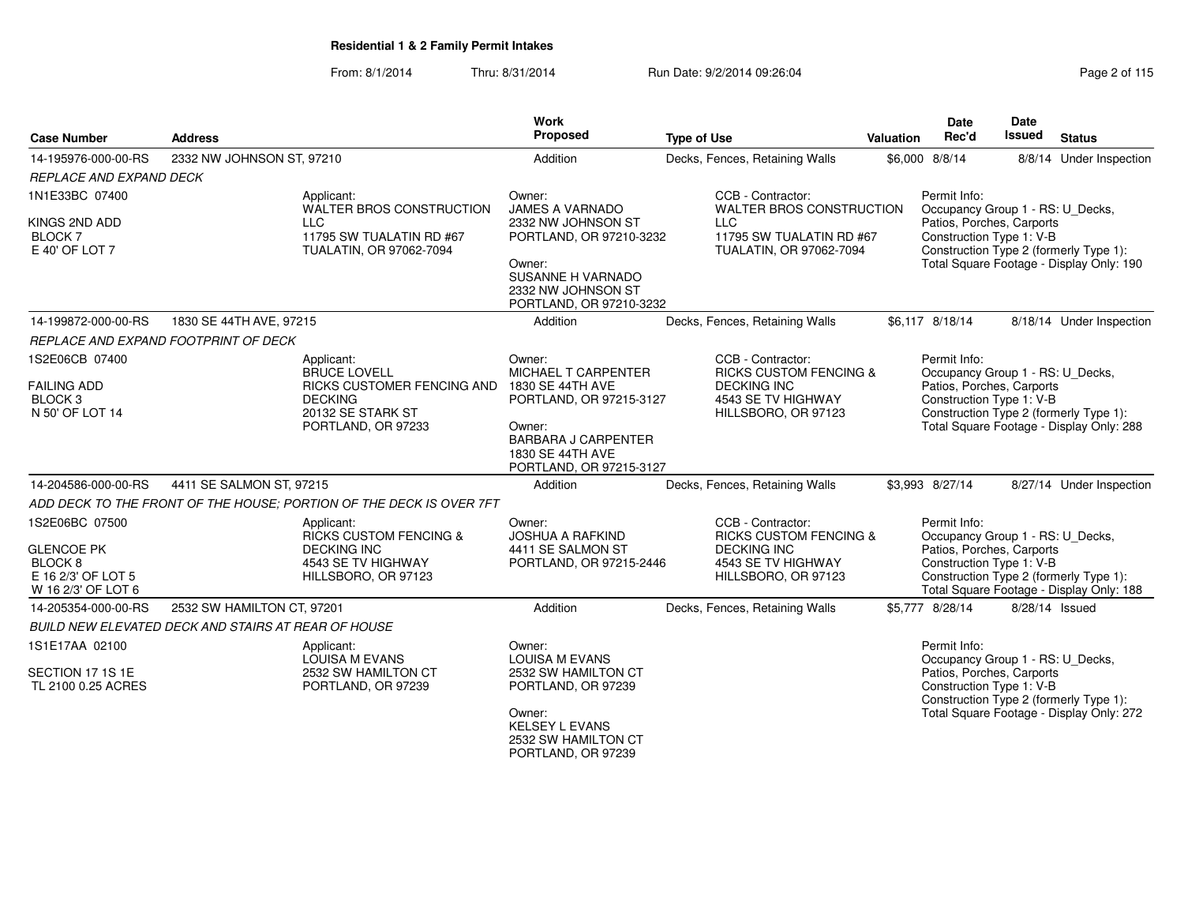| <b>Case Number</b>                                          | <b>Address</b>                                                      |                                   | <b>Work</b><br>Proposed                                                             | <b>Type of Use</b>                                                | Valuation | <b>Date</b><br>Rec'd                                  | <b>Date</b><br><b>Issued</b> | <b>Status</b>                                                                      |
|-------------------------------------------------------------|---------------------------------------------------------------------|-----------------------------------|-------------------------------------------------------------------------------------|-------------------------------------------------------------------|-----------|-------------------------------------------------------|------------------------------|------------------------------------------------------------------------------------|
| 14-195976-000-00-RS                                         | 2332 NW JOHNSON ST, 97210                                           |                                   | Addition                                                                            | Decks, Fences, Retaining Walls                                    |           | \$6,000 8/8/14                                        |                              | 8/8/14 Under Inspection                                                            |
| <b>REPLACE AND EXPAND DECK</b>                              |                                                                     |                                   |                                                                                     |                                                                   |           |                                                       |                              |                                                                                    |
| 1N1E33BC 07400                                              | Applicant:                                                          | WALTER BROS CONSTRUCTION          | Owner:<br><b>JAMES A VARNADO</b>                                                    | CCB - Contractor:<br>WALTER BROS CONSTRUCTION                     |           | Permit Info:<br>Occupancy Group 1 - RS: U_Decks,      |                              |                                                                                    |
| KINGS 2ND ADD<br>BLOCK <sub>7</sub><br>E 40' OF LOT 7       | <b>LLC</b><br>11795 SW TUALATIN RD #67<br>TUALATIN, OR 97062-7094   |                                   | 2332 NW JOHNSON ST<br>PORTLAND, OR 97210-3232                                       | <b>LLC</b><br>11795 SW TUALATIN RD #67<br>TUALATIN, OR 97062-7094 |           | Patios, Porches, Carports<br>Construction Type 1: V-B |                              | Construction Type 2 (formerly Type 1):                                             |
|                                                             |                                                                     |                                   | Owner:<br>SUSANNE H VARNADO<br>2332 NW JOHNSON ST<br>PORTLAND, OR 97210-3232        |                                                                   |           |                                                       |                              | Total Square Footage - Display Only: 190                                           |
| 14-199872-000-00-RS                                         | 1830 SE 44TH AVE, 97215                                             |                                   | Addition                                                                            | Decks, Fences, Retaining Walls                                    |           | \$6.117 8/18/14                                       |                              | 8/18/14 Under Inspection                                                           |
|                                                             | REPLACE AND EXPAND FOOTPRINT OF DECK                                |                                   |                                                                                     |                                                                   |           |                                                       |                              |                                                                                    |
| 1S2E06CB 07400                                              | Applicant:<br><b>BRUCE LOVELL</b>                                   |                                   | Owner:<br>MICHAEL T CARPENTER                                                       | CCB - Contractor:<br><b>RICKS CUSTOM FENCING &amp;</b>            |           | Permit Info:<br>Occupancy Group 1 - RS: U_Decks,      |                              |                                                                                    |
| <b>FAILING ADD</b><br>BLOCK <sub>3</sub><br>N 50' OF LOT 14 | <b>DECKING</b><br>20132 SE STARK ST                                 | <b>RICKS CUSTOMER FENCING AND</b> | 1830 SE 44TH AVE<br>PORTLAND, OR 97215-3127                                         | <b>DECKING INC</b><br>4543 SE TV HIGHWAY<br>HILLSBORO, OR 97123   |           | Patios, Porches, Carports<br>Construction Type 1: V-B |                              | Construction Type 2 (formerly Type 1):                                             |
|                                                             | PORTLAND, OR 97233                                                  |                                   | Owner:<br><b>BARBARA J CARPENTER</b><br>1830 SE 44TH AVE<br>PORTLAND, OR 97215-3127 |                                                                   |           |                                                       |                              | Total Square Footage - Display Only: 288                                           |
| 14-204586-000-00-RS                                         | 4411 SE SALMON ST, 97215                                            |                                   | Addition                                                                            | Decks, Fences, Retaining Walls                                    |           | \$3,993 8/27/14                                       |                              | 8/27/14 Under Inspection                                                           |
|                                                             | ADD DECK TO THE FRONT OF THE HOUSE: PORTION OF THE DECK IS OVER 7FT |                                   |                                                                                     |                                                                   |           |                                                       |                              |                                                                                    |
| 1S2E06BC 07500                                              | Applicant:<br><b>RICKS CUSTOM FENCING &amp;</b>                     |                                   | Owner:<br><b>JOSHUA A RAFKIND</b>                                                   | CCB - Contractor:<br><b>RICKS CUSTOM FENCING &amp;</b>            |           | Permit Info:<br>Occupancy Group 1 - RS: U_Decks,      |                              |                                                                                    |
| <b>GLENCOE PK</b><br>BLOCK <sub>8</sub>                     | <b>DECKING INC</b><br>4543 SE TV HIGHWAY                            |                                   | 4411 SE SALMON ST<br>PORTLAND, OR 97215-2446                                        | <b>DECKING INC</b><br>4543 SE TV HIGHWAY                          |           | Patios, Porches, Carports<br>Construction Type 1: V-B |                              |                                                                                    |
| E 16 2/3' OF LOT 5<br>W 16 2/3' OF LOT 6                    | HILLSBORO, OR 97123                                                 |                                   |                                                                                     | HILLSBORO, OR 97123                                               |           |                                                       |                              | Construction Type 2 (formerly Type 1):<br>Total Square Footage - Display Only: 188 |
| 14-205354-000-00-RS                                         | 2532 SW HAMILTON CT, 97201                                          |                                   | Addition                                                                            | Decks, Fences, Retaining Walls                                    |           | \$5,777 8/28/14                                       | 8/28/14 Issued               |                                                                                    |
|                                                             | BUILD NEW ELEVATED DECK AND STAIRS AT REAR OF HOUSE                 |                                   |                                                                                     |                                                                   |           |                                                       |                              |                                                                                    |
| 1S1E17AA 02100                                              | Applicant:<br>LOUISA M EVANS                                        |                                   | Owner:<br><b>LOUISA M EVANS</b>                                                     |                                                                   |           | Permit Info:<br>Occupancy Group 1 - RS: U_Decks,      |                              |                                                                                    |
| SECTION 17 1S 1E<br>TL 2100 0.25 ACRES                      | 2532 SW HAMILTON CT<br>PORTLAND, OR 97239                           |                                   | 2532 SW HAMILTON CT<br>PORTLAND, OR 97239                                           |                                                                   |           | Patios, Porches, Carports<br>Construction Type 1: V-B |                              | Construction Type 2 (formerly Type 1):                                             |
|                                                             |                                                                     |                                   | Owner:<br><b>KELSEY L EVANS</b><br>2532 SW HAMILTON CT<br>PORTLAND, OR 97239        |                                                                   |           |                                                       |                              | Total Square Footage - Display Only: 272                                           |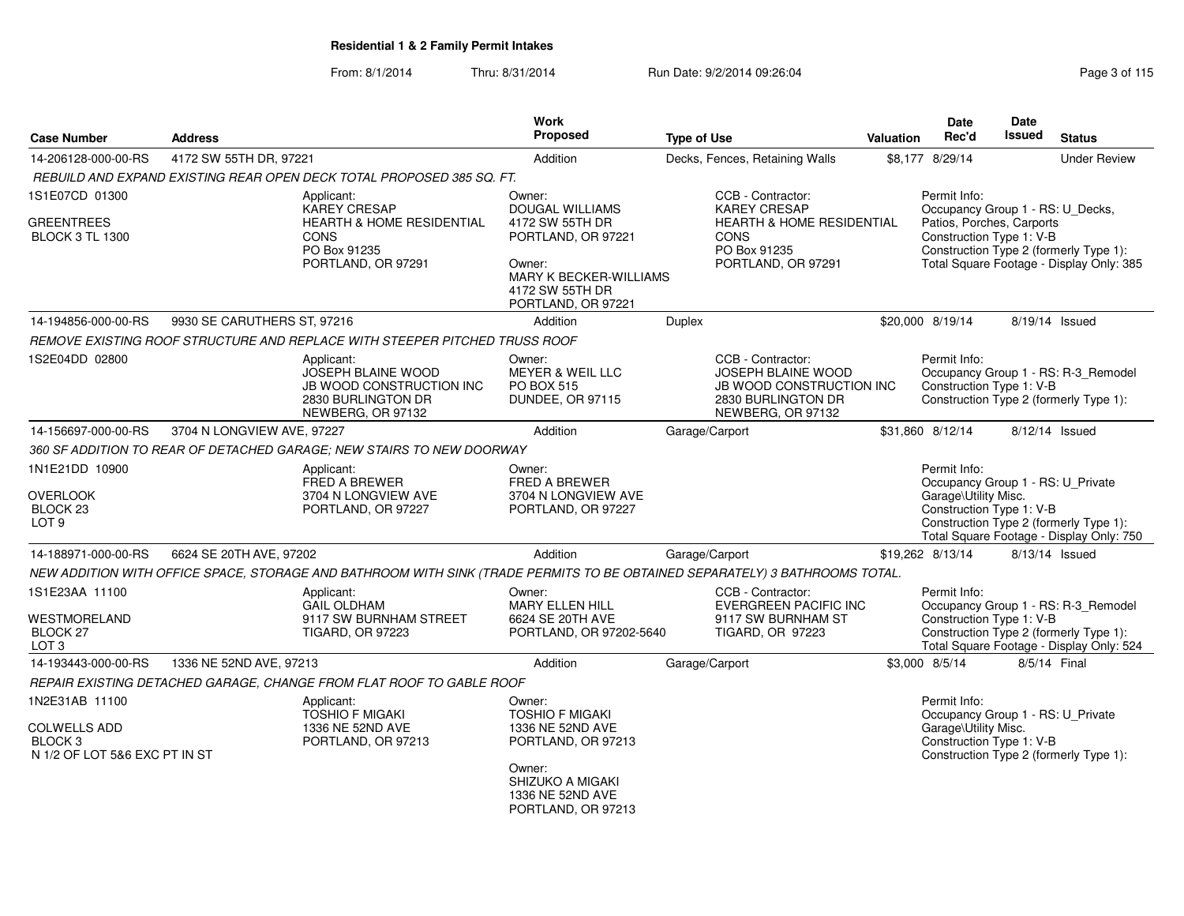| <b>Case Number</b>                                                                           | <b>Address</b>              |                                                                                                                             | <b>Work</b><br><b>Proposed</b>                                                               | <b>Type of Use</b> |                                                                                                                              | Valuation | Date<br>Rec'd                                                                                         | Date<br>Issued | <b>Status</b>                                                                                                             |
|----------------------------------------------------------------------------------------------|-----------------------------|-----------------------------------------------------------------------------------------------------------------------------|----------------------------------------------------------------------------------------------|--------------------|------------------------------------------------------------------------------------------------------------------------------|-----------|-------------------------------------------------------------------------------------------------------|----------------|---------------------------------------------------------------------------------------------------------------------------|
|                                                                                              |                             |                                                                                                                             |                                                                                              |                    |                                                                                                                              |           |                                                                                                       |                |                                                                                                                           |
| 14-206128-000-00-RS                                                                          | 4172 SW 55TH DR, 97221      |                                                                                                                             | Addition                                                                                     |                    | Decks, Fences, Retaining Walls                                                                                               |           | \$8,177 8/29/14                                                                                       |                | <b>Under Review</b>                                                                                                       |
|                                                                                              |                             | REBUILD AND EXPAND EXISTING REAR OPEN DECK TOTAL PROPOSED 385 SQ. FT.                                                       |                                                                                              |                    |                                                                                                                              |           |                                                                                                       |                |                                                                                                                           |
| 1S1E07CD 01300                                                                               |                             | Applicant:<br><b>KAREY CRESAP</b>                                                                                           | Owner:<br><b>DOUGAL WILLIAMS</b>                                                             |                    | CCB - Contractor:<br><b>KAREY CRESAP</b>                                                                                     |           | Permit Info:<br>Occupancy Group 1 - RS: U_Decks,                                                      |                |                                                                                                                           |
| <b>GREENTREES</b><br><b>BLOCK 3 TL 1300</b>                                                  |                             | <b>HEARTH &amp; HOME RESIDENTIAL</b><br><b>CONS</b><br>PO Box 91235<br>PORTLAND, OR 97291                                   | 4172 SW 55TH DR<br>PORTLAND, OR 97221<br>Owner:<br>MARY K BECKER-WILLIAMS<br>4172 SW 55TH DR |                    | <b>HEARTH &amp; HOME RESIDENTIAL</b><br><b>CONS</b><br>PO Box 91235<br>PORTLAND, OR 97291                                    |           | Patios, Porches, Carports<br>Construction Type 1: V-B                                                 |                | Construction Type 2 (formerly Type 1):<br>Total Square Footage - Display Only: 385                                        |
| 14-194856-000-00-RS                                                                          | 9930 SE CARUTHERS ST, 97216 |                                                                                                                             | PORTLAND, OR 97221<br>Addition                                                               | Duplex             |                                                                                                                              |           | \$20,000 8/19/14                                                                                      |                | 8/19/14 Issued                                                                                                            |
|                                                                                              |                             | REMOVE EXISTING ROOF STRUCTURE AND REPLACE WITH STEEPER PITCHED TRUSS ROOF                                                  |                                                                                              |                    |                                                                                                                              |           |                                                                                                       |                |                                                                                                                           |
| 1S2E04DD 02800                                                                               |                             | Applicant:<br><b>JOSEPH BLAINE WOOD</b><br><b>JB WOOD CONSTRUCTION INC</b><br>2830 BURLINGTON DR<br>NEWBERG, OR 97132       | Owner:<br><b>MEYER &amp; WEIL LLC</b><br><b>PO BOX 515</b><br><b>DUNDEE, OR 97115</b>        |                    | CCB - Contractor:<br><b>JOSEPH BLAINE WOOD</b><br><b>JB WOOD CONSTRUCTION INC</b><br>2830 BURLINGTON DR<br>NEWBERG, OR 97132 |           | Permit Info:<br>Construction Type 1: V-B                                                              |                | Occupancy Group 1 - RS: R-3 Remodel<br>Construction Type 2 (formerly Type 1):                                             |
| 14-156697-000-00-RS                                                                          | 3704 N LONGVIEW AVE, 97227  |                                                                                                                             | Addition                                                                                     | Garage/Carport     |                                                                                                                              |           | \$31,860 8/12/14                                                                                      |                | 8/12/14 Issued                                                                                                            |
|                                                                                              |                             | 360 SF ADDITION TO REAR OF DETACHED GARAGE; NEW STAIRS TO NEW DOORWAY                                                       |                                                                                              |                    |                                                                                                                              |           |                                                                                                       |                |                                                                                                                           |
| 1N1E21DD 10900<br><b>OVERLOOK</b><br>BLOCK <sub>23</sub><br>LOT <sub>9</sub>                 |                             | Applicant:<br><b>FRED A BREWER</b><br>3704 N LONGVIEW AVE<br>PORTLAND, OR 97227                                             | Owner:<br><b>FRED A BREWER</b><br>3704 N LONGVIEW AVE<br>PORTLAND, OR 97227                  |                    |                                                                                                                              |           | Permit Info:<br>Occupancy Group 1 - RS: U_Private<br>Garage\Utility Misc.<br>Construction Type 1: V-B |                | Construction Type 2 (formerly Type 1):<br>Total Square Footage - Display Only: 750                                        |
| 14-188971-000-00-RS                                                                          | 6624 SE 20TH AVE, 97202     |                                                                                                                             | Addition                                                                                     |                    | Garage/Carport                                                                                                               |           | \$19.262 8/13/14                                                                                      |                | $8/13/14$ Issued                                                                                                          |
|                                                                                              |                             | NEW ADDITION WITH OFFICE SPACE, STORAGE AND BATHROOM WITH SINK (TRADE PERMITS TO BE OBTAINED SEPARATELY) 3 BATHROOMS TOTAL. |                                                                                              |                    |                                                                                                                              |           |                                                                                                       |                |                                                                                                                           |
| 1S1E23AA 11100<br>WESTMORELAND<br>BLOCK 27<br>LOT <sub>3</sub>                               |                             | Applicant:<br><b>GAIL OLDHAM</b><br>9117 SW BURNHAM STREET<br><b>TIGARD, OR 97223</b>                                       | Owner:<br>MARY ELLEN HILL<br>6624 SE 20TH AVE<br>PORTLAND, OR 97202-5640                     |                    | CCB - Contractor:<br><b>EVERGREEN PACIFIC INC</b><br>9117 SW BURNHAM ST<br>TIGARD, OR 97223                                  |           | Permit Info:<br>Construction Type 1: V-B                                                              |                | Occupancy Group 1 - RS: R-3_Remodel<br>Construction Type 2 (formerly Type 1):<br>Total Square Footage - Display Only: 524 |
| 14-193443-000-00-RS                                                                          | 1336 NE 52ND AVE, 97213     |                                                                                                                             | Addition                                                                                     |                    | Garage/Carport                                                                                                               |           | \$3,000 8/5/14                                                                                        |                | 8/5/14 Final                                                                                                              |
|                                                                                              |                             | REPAIR EXISTING DETACHED GARAGE, CHANGE FROM FLAT ROOF TO GABLE ROOF                                                        |                                                                                              |                    |                                                                                                                              |           |                                                                                                       |                |                                                                                                                           |
| 1N2E31AB 11100<br><b>COLWELLS ADD</b><br>BLOCK <sub>3</sub><br>N 1/2 OF LOT 5&6 EXC PT IN ST |                             | Applicant:<br><b>TOSHIO F MIGAKI</b><br>1336 NE 52ND AVE<br>PORTLAND, OR 97213                                              | Owner:<br><b>TOSHIO F MIGAKI</b><br>1336 NE 52ND AVE<br>PORTLAND, OR 97213<br>Owner:         |                    |                                                                                                                              |           | Permit Info:<br>Occupancy Group 1 - RS: U_Private<br>Garage\Utility Misc.<br>Construction Type 1: V-B |                | Construction Type 2 (formerly Type 1):                                                                                    |
|                                                                                              |                             |                                                                                                                             | SHIZUKO A MIGAKI<br>1336 NE 52ND AVE<br>PORTLAND, OR 97213                                   |                    |                                                                                                                              |           |                                                                                                       |                |                                                                                                                           |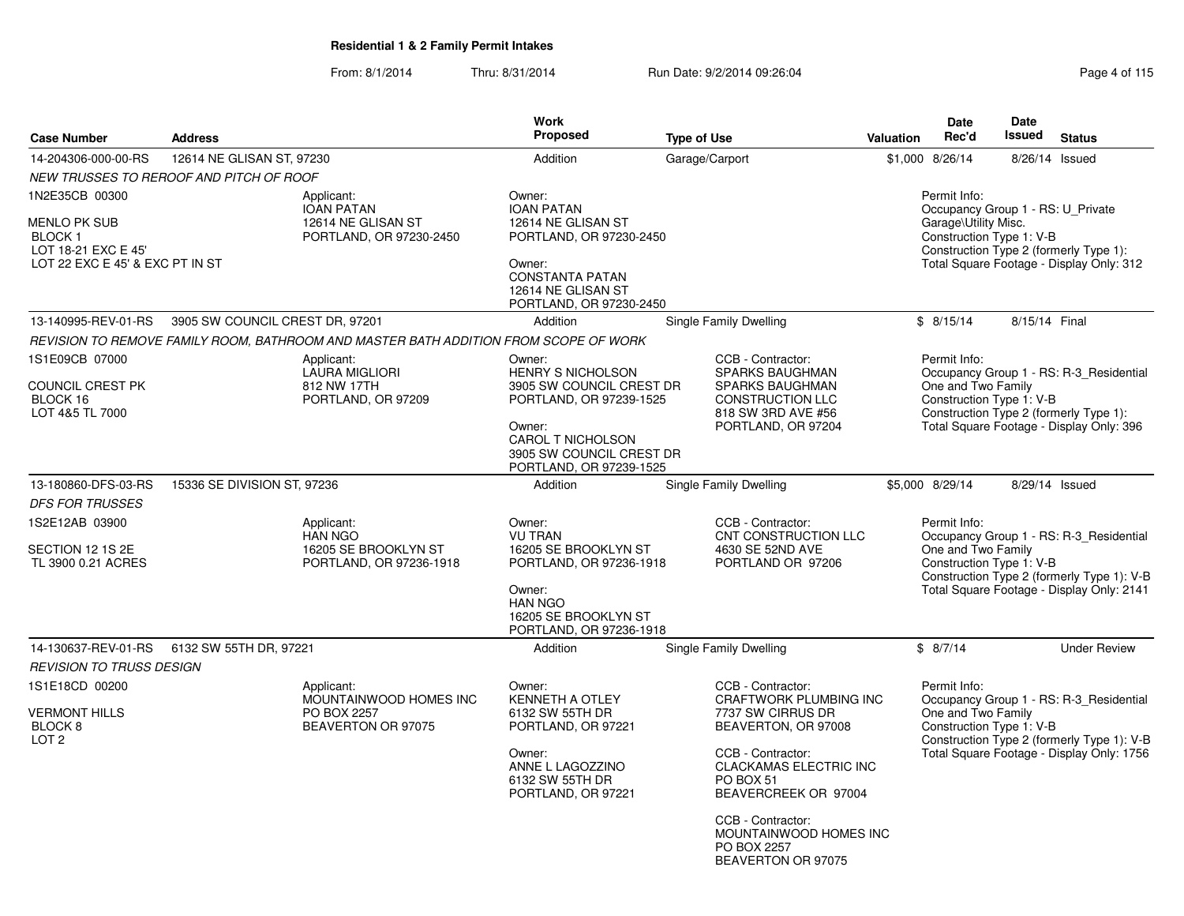| Page 4 of 115 |  |  |  |  |  |
|---------------|--|--|--|--|--|
|---------------|--|--|--|--|--|

| <b>Case Number</b>                                                                                         | <b>Address</b>                  |                                                                                      | <b>Work</b><br>Proposed                                                                                                                                                         | <b>Type of Use</b>                                                                                                                                                                                                                                                     | <b>Valuation</b> | <b>Date</b><br>Rec'd                                                                                  | Date<br>Issued | <b>Status</b>                                                                                                                      |
|------------------------------------------------------------------------------------------------------------|---------------------------------|--------------------------------------------------------------------------------------|---------------------------------------------------------------------------------------------------------------------------------------------------------------------------------|------------------------------------------------------------------------------------------------------------------------------------------------------------------------------------------------------------------------------------------------------------------------|------------------|-------------------------------------------------------------------------------------------------------|----------------|------------------------------------------------------------------------------------------------------------------------------------|
| 14-204306-000-00-RS                                                                                        | 12614 NE GLISAN ST, 97230       |                                                                                      | Addition                                                                                                                                                                        | Garage/Carport                                                                                                                                                                                                                                                         |                  | \$1,000 8/26/14                                                                                       |                | 8/26/14 Issued                                                                                                                     |
| NEW TRUSSES TO REROOF AND PITCH OF ROOF                                                                    |                                 |                                                                                      |                                                                                                                                                                                 |                                                                                                                                                                                                                                                                        |                  |                                                                                                       |                |                                                                                                                                    |
| 1N2E35CB 00300<br><b>MENLO PK SUB</b><br>BLOCK 1<br>LOT 18-21 EXC E 45'<br>LOT 22 EXC E 45' & EXC PT IN ST |                                 | Applicant:<br><b>IOAN PATAN</b><br>12614 NE GLISAN ST<br>PORTLAND, OR 97230-2450     | Owner:<br><b>IOAN PATAN</b><br>12614 NE GLISAN ST<br>PORTLAND, OR 97230-2450<br>Owner:<br><b>CONSTANTA PATAN</b><br>12614 NE GLISAN ST<br>PORTLAND, OR 97230-2450               |                                                                                                                                                                                                                                                                        |                  | Permit Info:<br>Occupancy Group 1 - RS: U_Private<br>Garage\Utility Misc.<br>Construction Type 1: V-B |                | Construction Type 2 (formerly Type 1):<br>Total Square Footage - Display Only: 312                                                 |
| 13-140995-REV-01-RS                                                                                        | 3905 SW COUNCIL CREST DR, 97201 |                                                                                      | Addition                                                                                                                                                                        | Single Family Dwelling                                                                                                                                                                                                                                                 |                  | \$8/15/14                                                                                             | 8/15/14 Final  |                                                                                                                                    |
|                                                                                                            |                                 | REVISION TO REMOVE FAMILY ROOM, BATHROOM AND MASTER BATH ADDITION FROM SCOPE OF WORK |                                                                                                                                                                                 |                                                                                                                                                                                                                                                                        |                  |                                                                                                       |                |                                                                                                                                    |
| 1S1E09CB 07000<br>COUNCIL CREST PK<br>BLOCK 16<br>LOT 4&5 TL 7000                                          |                                 | Applicant:<br><b>LAURA MIGLIORI</b><br>812 NW 17TH<br>PORTLAND, OR 97209             | Owner:<br><b>HENRY S NICHOLSON</b><br>3905 SW COUNCIL CREST DR<br>PORTLAND, OR 97239-1525<br>Owner:<br>CAROL T NICHOLSON<br>3905 SW COUNCIL CREST DR<br>PORTLAND, OR 97239-1525 | CCB - Contractor:<br>SPARKS BAUGHMAN<br>SPARKS BAUGHMAN<br><b>CONSTRUCTION LLC</b><br>818 SW 3RD AVE #56<br>PORTLAND, OR 97204                                                                                                                                         |                  | Permit Info:<br>One and Two Family<br>Construction Type 1: V-B                                        |                | Occupancy Group 1 - RS: R-3_Residential<br>Construction Type 2 (formerly Type 1):<br>Total Square Footage - Display Only: 396      |
| 13-180860-DFS-03-RS                                                                                        | 15336 SE DIVISION ST, 97236     |                                                                                      | Addition                                                                                                                                                                        | Single Family Dwelling                                                                                                                                                                                                                                                 |                  | \$5,000 8/29/14                                                                                       |                | 8/29/14 Issued                                                                                                                     |
| <b>DFS FOR TRUSSES</b>                                                                                     |                                 |                                                                                      |                                                                                                                                                                                 |                                                                                                                                                                                                                                                                        |                  |                                                                                                       |                |                                                                                                                                    |
| 1S2E12AB 03900<br>SECTION 12 1S 2E<br>TL 3900 0.21 ACRES                                                   |                                 | Applicant:<br><b>HAN NGO</b><br>16205 SE BROOKLYN ST<br>PORTLAND, OR 97236-1918      | Owner:<br><b>VU TRAN</b><br>16205 SE BROOKLYN ST<br>PORTLAND, OR 97236-1918<br>Owner:<br><b>HAN NGO</b><br>16205 SE BROOKLYN ST<br>PORTLAND, OR 97236-1918                      | CCB - Contractor:<br>CNT CONSTRUCTION LLC<br>4630 SE 52ND AVE<br>PORTLAND OR 97206                                                                                                                                                                                     |                  | Permit Info:<br>One and Two Family<br>Construction Type 1: V-B                                        |                | Occupancy Group 1 - RS: R-3_Residential<br>Construction Type 2 (formerly Type 1): V-B<br>Total Square Footage - Display Only: 2141 |
| 14-130637-REV-01-RS                                                                                        | 6132 SW 55TH DR, 97221          |                                                                                      | Addition                                                                                                                                                                        | Single Family Dwelling                                                                                                                                                                                                                                                 |                  | \$8/7/14                                                                                              |                | <b>Under Review</b>                                                                                                                |
| <b>REVISION TO TRUSS DESIGN</b>                                                                            |                                 |                                                                                      |                                                                                                                                                                                 |                                                                                                                                                                                                                                                                        |                  |                                                                                                       |                |                                                                                                                                    |
| 1S1E18CD 00200<br><b>VERMONT HILLS</b><br>BLOCK 8<br>LOT <sub>2</sub>                                      |                                 | Applicant:<br>MOUNTAINWOOD HOMES INC<br>PO BOX 2257<br>BEAVERTON OR 97075            | Owner:<br><b>KENNETH A OTLEY</b><br>6132 SW 55TH DR<br>PORTLAND, OR 97221<br>Owner:<br>ANNE L LAGOZZINO<br>6132 SW 55TH DR<br>PORTLAND, OR 97221                                | CCB - Contractor:<br>CRAFTWORK PLUMBING INC<br>7737 SW CIRRUS DR<br>BEAVERTON, OR 97008<br>CCB - Contractor:<br><b>CLACKAMAS ELECTRIC INC</b><br>PO BOX 51<br>BEAVERCREEK OR 97004<br>CCB - Contractor:<br>MOUNTAINWOOD HOMES INC<br>PO BOX 2257<br>BEAVERTON OR 97075 |                  | Permit Info:<br>One and Two Family<br>Construction Type 1: V-B                                        |                | Occupancy Group 1 - RS: R-3_Residential<br>Construction Type 2 (formerly Type 1): V-B<br>Total Square Footage - Display Only: 1756 |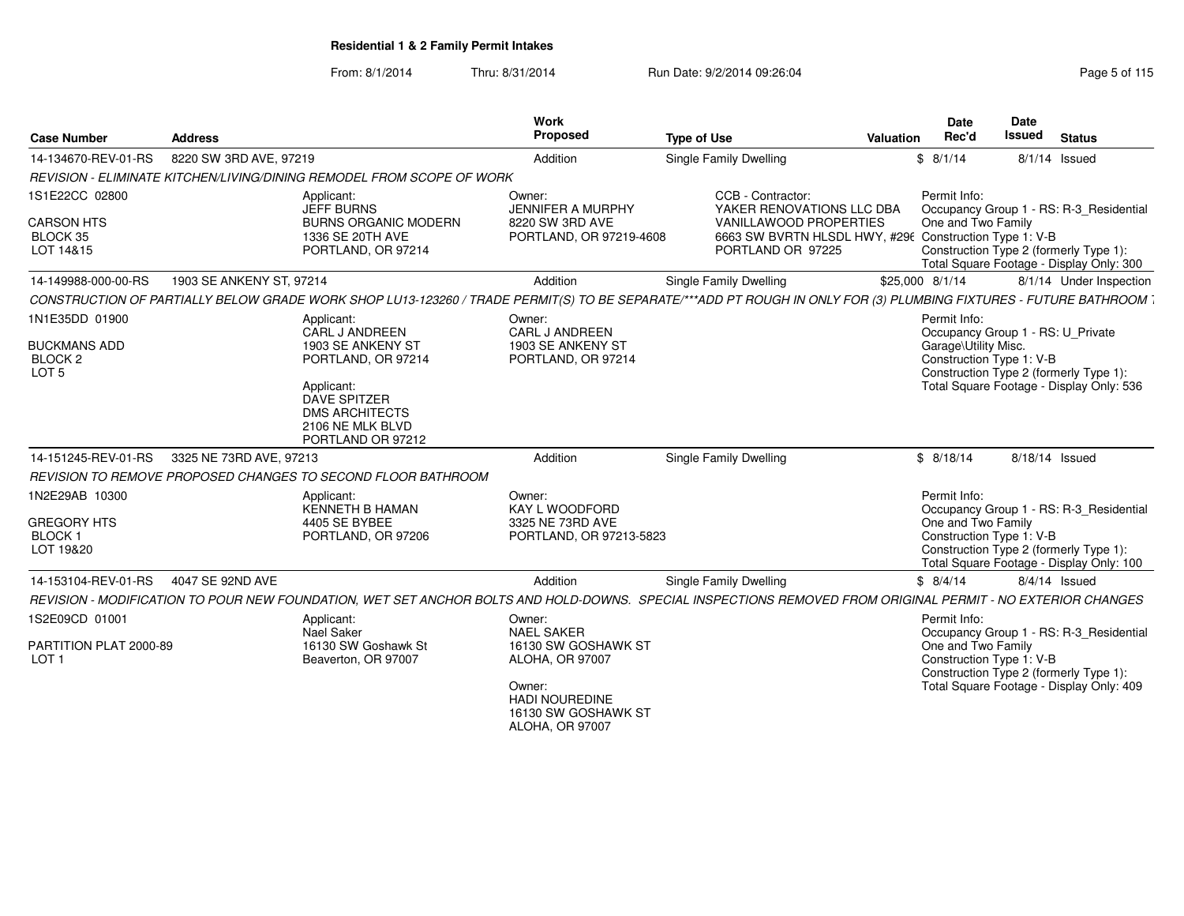| 8220 SW 3RD AVE, 97219<br>Single Family Dwelling<br>Addition<br>\$8/1/14<br>$8/1/14$ Issued<br>REVISION - ELIMINATE KITCHEN/LIVING/DINING REMODEL FROM SCOPE OF WORK<br>Applicant:<br>CCB - Contractor:<br>Permit Info:<br>Owner:<br>Occupancy Group 1 - RS: R-3 Residential<br><b>JEFF BURNS</b><br><b>JENNIFER A MURPHY</b><br>YAKER RENOVATIONS LLC DBA<br><b>BURNS ORGANIC MODERN</b><br>VANILLAWOOD PROPERTIES<br>One and Two Family<br>8220 SW 3RD AVE<br>6663 SW BVRTN HLSDL HWY, #296 Construction Type 1: V-B<br>1336 SE 20TH AVE<br>PORTLAND, OR 97219-4608<br>Construction Type 2 (formerly Type 1):<br>PORTLAND, OR 97214<br>PORTLAND OR 97225<br>Total Square Footage - Display Only: 300<br>Single Family Dwelling<br>1903 SE ANKENY ST, 97214<br>Addition<br>\$25,000 8/1/14<br>Permit Info:<br>Applicant:<br>Owner:<br>CARL J ANDREEN<br><b>CARL J ANDREEN</b><br>Occupancy Group 1 - RS: U_Private<br>Garage\Utility Misc.<br>1903 SE ANKENY ST<br>1903 SE ANKENY ST<br>Construction Type 1: V-B<br>PORTLAND, OR 97214<br>PORTLAND, OR 97214<br>Construction Type 2 (formerly Type 1):<br>Total Square Footage - Display Only: 536<br>Applicant:<br><b>DAVE SPITZER</b><br><b>DMS ARCHITECTS</b><br>2106 NE MLK BLVD<br>PORTLAND OR 97212<br>Single Family Dwelling<br>3325 NE 73RD AVE, 97213<br>Addition<br>\$8/18/14<br>8/18/14 Issued<br>REVISION TO REMOVE PROPOSED CHANGES TO SECOND FLOOR BATHROOM<br>Permit Info:<br>Applicant:<br>Owner:<br><b>KENNETH B HAMAN</b><br>KAY L WOODFORD<br>Occupancy Group 1 - RS: R-3_Residential<br>4405 SE BYBEE<br>3325 NE 73RD AVE<br>One and Two Family<br>Construction Type 1: V-B<br>PORTLAND, OR 97206<br>PORTLAND, OR 97213-5823<br>Construction Type 2 (formerly Type 1):<br>Total Square Footage - Display Only: 100<br>Addition<br>Single Family Dwelling<br>\$8/4/14<br>4047 SE 92ND AVE<br>$8/4/14$ Issued<br>REVISION - MODIFICATION TO POUR NEW FOUNDATION, WET SET ANCHOR BOLTS AND HOLD-DOWNS. SPECIAL INSPECTIONS REMOVED FROM ORIGINAL PERMIT - NO EXTERIOR CHANGES<br>Applicant:<br>Owner:<br>Permit Info:<br>Nael Saker<br><b>NAEL SAKER</b><br>Occupancy Group 1 - RS: R-3 Residential<br>16130 SW Goshawk St<br>One and Two Family<br>16130 SW GOSHAWK ST<br>Construction Type 1: V-B<br>Beaverton, OR 97007<br><b>ALOHA, OR 97007</b><br>Construction Type 2 (formerly Type 1):<br>Total Square Footage - Display Only: 409<br>Owner:<br><b>HADI NOUREDINE</b><br>16130 SW GOSHAWK ST<br><b>ALOHA, OR 97007</b> | <b>Case Number</b>                               | <b>Address</b> | <b>Work</b><br>Proposed | <b>Type of Use</b> | Valuation | Date<br>Rec'd | Date<br><b>Issued</b> | <b>Status</b> |
|--------------------------------------------------------------------------------------------------------------------------------------------------------------------------------------------------------------------------------------------------------------------------------------------------------------------------------------------------------------------------------------------------------------------------------------------------------------------------------------------------------------------------------------------------------------------------------------------------------------------------------------------------------------------------------------------------------------------------------------------------------------------------------------------------------------------------------------------------------------------------------------------------------------------------------------------------------------------------------------------------------------------------------------------------------------------------------------------------------------------------------------------------------------------------------------------------------------------------------------------------------------------------------------------------------------------------------------------------------------------------------------------------------------------------------------------------------------------------------------------------------------------------------------------------------------------------------------------------------------------------------------------------------------------------------------------------------------------------------------------------------------------------------------------------------------------------------------------------------------------------------------------------------------------------------------------------------------------------------------------------------------------------------------------------------------------------------------------------------------------------------------------------------------------------------------------------------------------------------------------------------------------------------------------------------------------------------------------------------------------------------------------------------------------------------------------------------------------------------------------------|--------------------------------------------------|----------------|-------------------------|--------------------|-----------|---------------|-----------------------|---------------|
|                                                                                                                                                                                                                                                                                                                                                                                                                                                                                                                                                                                                                                                                                                                                                                                                                                                                                                                                                                                                                                                                                                                                                                                                                                                                                                                                                                                                                                                                                                                                                                                                                                                                                                                                                                                                                                                                                                                                                                                                                                                                                                                                                                                                                                                                                                                                                                                                                                                                                                  | 14-134670-REV-01-RS                              |                |                         |                    |           |               |                       |               |
|                                                                                                                                                                                                                                                                                                                                                                                                                                                                                                                                                                                                                                                                                                                                                                                                                                                                                                                                                                                                                                                                                                                                                                                                                                                                                                                                                                                                                                                                                                                                                                                                                                                                                                                                                                                                                                                                                                                                                                                                                                                                                                                                                                                                                                                                                                                                                                                                                                                                                                  |                                                  |                |                         |                    |           |               |                       |               |
| 8/1/14 Under Inspection<br>CONSTRUCTION OF PARTIALLY BELOW GRADE WORK SHOP LU13-123260 / TRADE PERMIT(S) TO BE SEPARATE/***ADD PT ROUGH IN ONLY FOR (3) PLUMBING FIXTURES - FUTURE BATHROOM .                                                                                                                                                                                                                                                                                                                                                                                                                                                                                                                                                                                                                                                                                                                                                                                                                                                                                                                                                                                                                                                                                                                                                                                                                                                                                                                                                                                                                                                                                                                                                                                                                                                                                                                                                                                                                                                                                                                                                                                                                                                                                                                                                                                                                                                                                                    | 1S1E22CC 02800                                   |                |                         |                    |           |               |                       |               |
|                                                                                                                                                                                                                                                                                                                                                                                                                                                                                                                                                                                                                                                                                                                                                                                                                                                                                                                                                                                                                                                                                                                                                                                                                                                                                                                                                                                                                                                                                                                                                                                                                                                                                                                                                                                                                                                                                                                                                                                                                                                                                                                                                                                                                                                                                                                                                                                                                                                                                                  | <b>CARSON HTS</b><br>BLOCK 35<br>LOT 14&15       |                |                         |                    |           |               |                       |               |
|                                                                                                                                                                                                                                                                                                                                                                                                                                                                                                                                                                                                                                                                                                                                                                                                                                                                                                                                                                                                                                                                                                                                                                                                                                                                                                                                                                                                                                                                                                                                                                                                                                                                                                                                                                                                                                                                                                                                                                                                                                                                                                                                                                                                                                                                                                                                                                                                                                                                                                  | 14-149988-000-00-RS                              |                |                         |                    |           |               |                       |               |
|                                                                                                                                                                                                                                                                                                                                                                                                                                                                                                                                                                                                                                                                                                                                                                                                                                                                                                                                                                                                                                                                                                                                                                                                                                                                                                                                                                                                                                                                                                                                                                                                                                                                                                                                                                                                                                                                                                                                                                                                                                                                                                                                                                                                                                                                                                                                                                                                                                                                                                  |                                                  |                |                         |                    |           |               |                       |               |
|                                                                                                                                                                                                                                                                                                                                                                                                                                                                                                                                                                                                                                                                                                                                                                                                                                                                                                                                                                                                                                                                                                                                                                                                                                                                                                                                                                                                                                                                                                                                                                                                                                                                                                                                                                                                                                                                                                                                                                                                                                                                                                                                                                                                                                                                                                                                                                                                                                                                                                  | 1N1E35DD 01900<br><b>BUCKMANS ADD</b>            |                |                         |                    |           |               |                       |               |
|                                                                                                                                                                                                                                                                                                                                                                                                                                                                                                                                                                                                                                                                                                                                                                                                                                                                                                                                                                                                                                                                                                                                                                                                                                                                                                                                                                                                                                                                                                                                                                                                                                                                                                                                                                                                                                                                                                                                                                                                                                                                                                                                                                                                                                                                                                                                                                                                                                                                                                  | BLOCK 2<br>LOT <sub>5</sub>                      |                |                         |                    |           |               |                       |               |
|                                                                                                                                                                                                                                                                                                                                                                                                                                                                                                                                                                                                                                                                                                                                                                                                                                                                                                                                                                                                                                                                                                                                                                                                                                                                                                                                                                                                                                                                                                                                                                                                                                                                                                                                                                                                                                                                                                                                                                                                                                                                                                                                                                                                                                                                                                                                                                                                                                                                                                  |                                                  |                |                         |                    |           |               |                       |               |
|                                                                                                                                                                                                                                                                                                                                                                                                                                                                                                                                                                                                                                                                                                                                                                                                                                                                                                                                                                                                                                                                                                                                                                                                                                                                                                                                                                                                                                                                                                                                                                                                                                                                                                                                                                                                                                                                                                                                                                                                                                                                                                                                                                                                                                                                                                                                                                                                                                                                                                  | 14-151245-REV-01-RS                              |                |                         |                    |           |               |                       |               |
|                                                                                                                                                                                                                                                                                                                                                                                                                                                                                                                                                                                                                                                                                                                                                                                                                                                                                                                                                                                                                                                                                                                                                                                                                                                                                                                                                                                                                                                                                                                                                                                                                                                                                                                                                                                                                                                                                                                                                                                                                                                                                                                                                                                                                                                                                                                                                                                                                                                                                                  |                                                  |                |                         |                    |           |               |                       |               |
|                                                                                                                                                                                                                                                                                                                                                                                                                                                                                                                                                                                                                                                                                                                                                                                                                                                                                                                                                                                                                                                                                                                                                                                                                                                                                                                                                                                                                                                                                                                                                                                                                                                                                                                                                                                                                                                                                                                                                                                                                                                                                                                                                                                                                                                                                                                                                                                                                                                                                                  | 1N2E29AB 10300                                   |                |                         |                    |           |               |                       |               |
|                                                                                                                                                                                                                                                                                                                                                                                                                                                                                                                                                                                                                                                                                                                                                                                                                                                                                                                                                                                                                                                                                                                                                                                                                                                                                                                                                                                                                                                                                                                                                                                                                                                                                                                                                                                                                                                                                                                                                                                                                                                                                                                                                                                                                                                                                                                                                                                                                                                                                                  | <b>GREGORY HTS</b><br><b>BLOCK1</b><br>LOT 19&20 |                |                         |                    |           |               |                       |               |
|                                                                                                                                                                                                                                                                                                                                                                                                                                                                                                                                                                                                                                                                                                                                                                                                                                                                                                                                                                                                                                                                                                                                                                                                                                                                                                                                                                                                                                                                                                                                                                                                                                                                                                                                                                                                                                                                                                                                                                                                                                                                                                                                                                                                                                                                                                                                                                                                                                                                                                  | 14-153104-REV-01-RS                              |                |                         |                    |           |               |                       |               |
|                                                                                                                                                                                                                                                                                                                                                                                                                                                                                                                                                                                                                                                                                                                                                                                                                                                                                                                                                                                                                                                                                                                                                                                                                                                                                                                                                                                                                                                                                                                                                                                                                                                                                                                                                                                                                                                                                                                                                                                                                                                                                                                                                                                                                                                                                                                                                                                                                                                                                                  |                                                  |                |                         |                    |           |               |                       |               |
|                                                                                                                                                                                                                                                                                                                                                                                                                                                                                                                                                                                                                                                                                                                                                                                                                                                                                                                                                                                                                                                                                                                                                                                                                                                                                                                                                                                                                                                                                                                                                                                                                                                                                                                                                                                                                                                                                                                                                                                                                                                                                                                                                                                                                                                                                                                                                                                                                                                                                                  | 1S2E09CD 01001                                   |                |                         |                    |           |               |                       |               |
|                                                                                                                                                                                                                                                                                                                                                                                                                                                                                                                                                                                                                                                                                                                                                                                                                                                                                                                                                                                                                                                                                                                                                                                                                                                                                                                                                                                                                                                                                                                                                                                                                                                                                                                                                                                                                                                                                                                                                                                                                                                                                                                                                                                                                                                                                                                                                                                                                                                                                                  | PARTITION PLAT 2000-89<br>LOT <sub>1</sub>       |                |                         |                    |           |               |                       |               |
|                                                                                                                                                                                                                                                                                                                                                                                                                                                                                                                                                                                                                                                                                                                                                                                                                                                                                                                                                                                                                                                                                                                                                                                                                                                                                                                                                                                                                                                                                                                                                                                                                                                                                                                                                                                                                                                                                                                                                                                                                                                                                                                                                                                                                                                                                                                                                                                                                                                                                                  |                                                  |                |                         |                    |           |               |                       |               |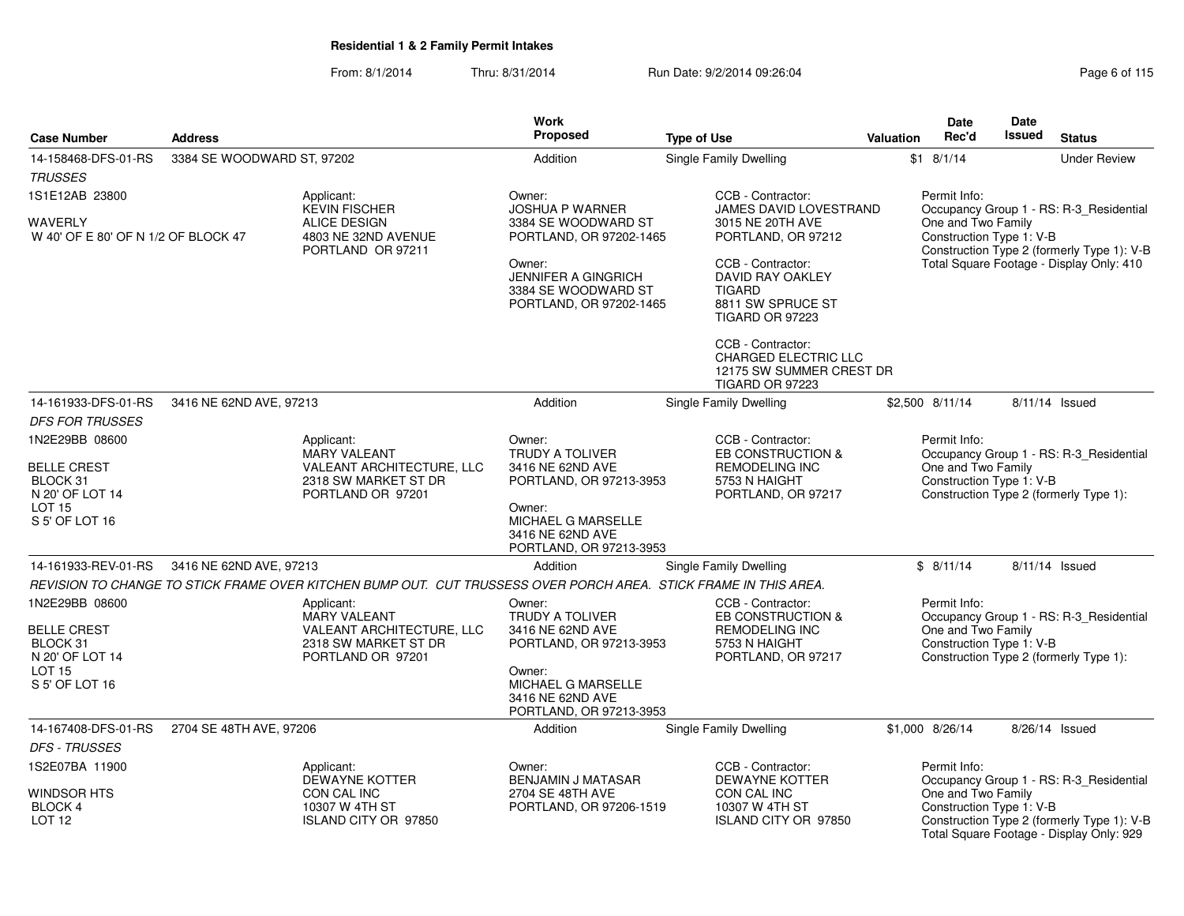|                                                                     |                            |                                                                                                                  | <b>Work</b>                                                                            |                                                                                                        |           | Date                                                           | <b>Date</b>   |                                                                                                                                   |
|---------------------------------------------------------------------|----------------------------|------------------------------------------------------------------------------------------------------------------|----------------------------------------------------------------------------------------|--------------------------------------------------------------------------------------------------------|-----------|----------------------------------------------------------------|---------------|-----------------------------------------------------------------------------------------------------------------------------------|
| <b>Case Number</b>                                                  | <b>Address</b>             |                                                                                                                  | <b>Proposed</b>                                                                        | <b>Type of Use</b>                                                                                     | Valuation | Rec'd                                                          | <b>Issued</b> | <b>Status</b>                                                                                                                     |
| 14-158468-DFS-01-RS                                                 | 3384 SE WOODWARD ST, 97202 |                                                                                                                  | Addition                                                                               | <b>Single Family Dwelling</b>                                                                          |           | $$1$ 8/1/14                                                    |               | <b>Under Review</b>                                                                                                               |
| <b>TRUSSES</b>                                                      |                            |                                                                                                                  |                                                                                        |                                                                                                        |           |                                                                |               |                                                                                                                                   |
| 1S1E12AB 23800                                                      |                            | Applicant:<br><b>KEVIN FISCHER</b>                                                                               | Owner:<br><b>JOSHUA P WARNER</b>                                                       | CCB - Contractor:<br>JAMES DAVID LOVESTRAND                                                            |           | Permit Info:                                                   |               | Occupancy Group 1 - RS: R-3_Residential                                                                                           |
| <b>WAVERLY</b><br>W 40' OF E 80' OF N 1/2 OF BLOCK 47               |                            | ALICE DESIGN<br>4803 NE 32ND AVENUE<br>PORTLAND OR 97211                                                         | 3384 SE WOODWARD ST<br>PORTLAND, OR 97202-1465                                         | 3015 NE 20TH AVE<br>PORTLAND, OR 97212                                                                 |           | One and Two Family<br>Construction Type 1: V-B                 |               | Construction Type 2 (formerly Type 1): V-B                                                                                        |
|                                                                     |                            |                                                                                                                  | Owner:<br><b>JENNIFER A GINGRICH</b><br>3384 SE WOODWARD ST<br>PORTLAND, OR 97202-1465 | CCB - Contractor:<br>DAVID RAY OAKLEY<br><b>TIGARD</b><br>8811 SW SPRUCE ST<br><b>TIGARD OR 97223</b>  |           |                                                                |               | Total Square Footage - Display Only: 410                                                                                          |
|                                                                     |                            |                                                                                                                  |                                                                                        | CCB - Contractor:<br><b>CHARGED ELECTRIC LLC</b><br>12175 SW SUMMER CREST DR<br><b>TIGARD OR 97223</b> |           |                                                                |               |                                                                                                                                   |
| 14-161933-DFS-01-RS                                                 | 3416 NE 62ND AVE, 97213    |                                                                                                                  | Addition                                                                               | Single Family Dwelling                                                                                 |           | \$2,500 8/11/14                                                |               | 8/11/14 Issued                                                                                                                    |
| <b>DFS FOR TRUSSES</b>                                              |                            |                                                                                                                  |                                                                                        |                                                                                                        |           |                                                                |               |                                                                                                                                   |
| 1N2E29BB 08600                                                      |                            | Applicant:                                                                                                       | Owner:                                                                                 | CCB - Contractor:                                                                                      |           | Permit Info:                                                   |               |                                                                                                                                   |
| <b>BELLE CREST</b>                                                  |                            | <b>MARY VALEANT</b><br>VALEANT ARCHITECTURE, LLC                                                                 | <b>TRUDY A TOLIVER</b><br>3416 NE 62ND AVE                                             | EB CONSTRUCTION &<br>REMODELING INC                                                                    |           | One and Two Family                                             |               | Occupancy Group 1 - RS: R-3_Residential                                                                                           |
| BLOCK 31<br>N 20' OF LOT 14                                         |                            | 2318 SW MARKET ST DR<br>PORTLAND OR 97201                                                                        | PORTLAND, OR 97213-3953                                                                | 5753 N HAIGHT<br>PORTLAND, OR 97217                                                                    |           | Construction Type 1: V-B                                       |               | Construction Type 2 (formerly Type 1):                                                                                            |
| LOT <sub>15</sub><br>S 5' OF LOT 16                                 |                            |                                                                                                                  | Owner:<br>MICHAEL G MARSELLE<br>3416 NE 62ND AVE<br>PORTLAND, OR 97213-3953            |                                                                                                        |           |                                                                |               |                                                                                                                                   |
| 14-161933-REV-01-RS                                                 | 3416 NE 62ND AVE, 97213    |                                                                                                                  | Addition                                                                               | <b>Single Family Dwelling</b>                                                                          |           | \$8/11/14                                                      |               | 8/11/14 Issued                                                                                                                    |
|                                                                     |                            | REVISION TO CHANGE TO STICK FRAME OVER KITCHEN BUMP OUT. CUT TRUSSESS OVER PORCH AREA. STICK FRAME IN THIS AREA. |                                                                                        |                                                                                                        |           |                                                                |               |                                                                                                                                   |
| 1N2E29BB 08600<br><b>BELLE CREST</b><br>BLOCK 31<br>N 20' OF LOT 14 |                            | Applicant:<br><b>MARY VALEANT</b><br>VALEANT ARCHITECTURE, LLC<br>2318 SW MARKET ST DR<br>PORTLAND OR 97201      | Owner:<br><b>TRUDY A TOLIVER</b><br>3416 NE 62ND AVE<br>PORTLAND, OR 97213-3953        | CCB - Contractor:<br>EB CONSTRUCTION &<br><b>REMODELING INC</b><br>5753 N HAIGHT<br>PORTLAND, OR 97217 |           | Permit Info:<br>One and Two Family<br>Construction Type 1: V-B |               | Occupancy Group 1 - RS: R-3_Residential<br>Construction Type 2 (formerly Type 1):                                                 |
| <b>LOT 15</b><br>S 5' OF LOT 16                                     |                            |                                                                                                                  | Owner:<br>MICHAEL G MARSELLE<br>3416 NE 62ND AVE<br>PORTLAND, OR 97213-3953            |                                                                                                        |           |                                                                |               |                                                                                                                                   |
| 14-167408-DFS-01-RS                                                 | 2704 SE 48TH AVE, 97206    |                                                                                                                  | Addition                                                                               | <b>Single Family Dwelling</b>                                                                          |           | \$1,000 8/26/14                                                |               | 8/26/14 Issued                                                                                                                    |
| DFS - TRUSSES                                                       |                            |                                                                                                                  |                                                                                        |                                                                                                        |           |                                                                |               |                                                                                                                                   |
| 1S2E07BA 11900                                                      |                            | Applicant:                                                                                                       | Owner:                                                                                 | CCB - Contractor:                                                                                      |           | Permit Info:                                                   |               |                                                                                                                                   |
| WINDSOR HTS<br>BLOCK 4<br>LOT <sub>12</sub>                         |                            | <b>DEWAYNE KOTTER</b><br>CON CAL INC<br>10307 W 4TH ST<br>ISLAND CITY OR 97850                                   | <b>BENJAMIN J MATASAR</b><br>2704 SE 48TH AVE<br>PORTLAND, OR 97206-1519               | <b>DEWAYNE KOTTER</b><br>CON CAL INC<br>10307 W 4TH ST<br>ISLAND CITY OR 97850                         |           | One and Two Family<br>Construction Type 1: V-B                 |               | Occupancy Group 1 - RS: R-3_Residential<br>Construction Type 2 (formerly Type 1): V-B<br>Total Square Footage - Display Only: 929 |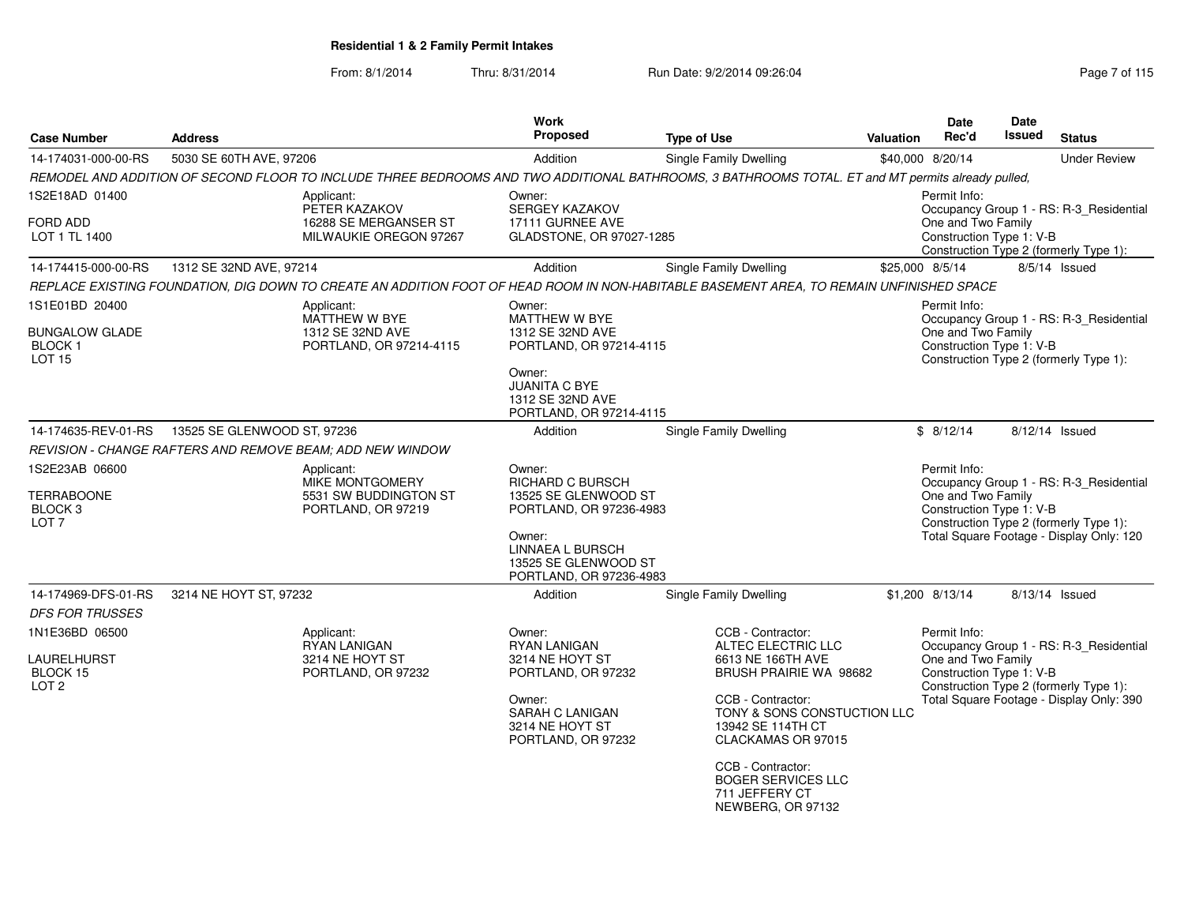| <b>Case Number</b>                                                            | <b>Address</b>              |                                                                                     | Work<br>Proposed                                                                                                                                                      | <b>Type of Use</b>                                                                                                                                                                                                                                                                    | <b>Valuation</b> | Date<br>Rec'd                                                  | <b>Date</b><br>Issued | <b>Status</b>                                                                                                                 |
|-------------------------------------------------------------------------------|-----------------------------|-------------------------------------------------------------------------------------|-----------------------------------------------------------------------------------------------------------------------------------------------------------------------|---------------------------------------------------------------------------------------------------------------------------------------------------------------------------------------------------------------------------------------------------------------------------------------|------------------|----------------------------------------------------------------|-----------------------|-------------------------------------------------------------------------------------------------------------------------------|
| 14-174031-000-00-RS                                                           | 5030 SE 60TH AVE, 97206     |                                                                                     | Addition                                                                                                                                                              | Single Family Dwelling                                                                                                                                                                                                                                                                |                  | \$40,000 8/20/14                                               |                       | <b>Under Review</b>                                                                                                           |
|                                                                               |                             |                                                                                     |                                                                                                                                                                       | REMODEL AND ADDITION OF SECOND FLOOR TO INCLUDE THREE BEDROOMS AND TWO ADDITIONAL BATHROOMS, 3 BATHROOMS TOTAL. ET and MT permits already pulled,                                                                                                                                     |                  |                                                                |                       |                                                                                                                               |
| 1S2E18AD 01400                                                                |                             | Applicant:                                                                          | Owner:                                                                                                                                                                |                                                                                                                                                                                                                                                                                       |                  | Permit Info:                                                   |                       |                                                                                                                               |
| FORD ADD<br>LOT 1 TL 1400                                                     |                             | PETER KAZAKOV<br>16288 SE MERGANSER ST<br>MILWAUKIE OREGON 97267                    | <b>SERGEY KAZAKOV</b><br>17111 GURNEE AVE<br>GLADSTONE, OR 97027-1285                                                                                                 |                                                                                                                                                                                                                                                                                       |                  | One and Two Family<br>Construction Type 1: V-B                 |                       | Occupancy Group 1 - RS: R-3_Residential<br>Construction Type 2 (formerly Type 1):                                             |
| 14-174415-000-00-RS                                                           | 1312 SE 32ND AVE, 97214     |                                                                                     | Addition                                                                                                                                                              | Single Family Dwelling                                                                                                                                                                                                                                                                | \$25,000 8/5/14  |                                                                |                       | $8/5/14$ Issued                                                                                                               |
|                                                                               |                             |                                                                                     |                                                                                                                                                                       | REPLACE EXISTING FOUNDATION, DIG DOWN TO CREATE AN ADDITION FOOT OF HEAD ROOM IN NON-HABITABLE BASEMENT AREA, TO REMAIN UNFINISHED SPACE                                                                                                                                              |                  |                                                                |                       |                                                                                                                               |
| 1S1E01BD 20400<br><b>BUNGALOW GLADE</b><br><b>BLOCK1</b><br><b>LOT 15</b>     |                             | Applicant:<br>MATTHEW W BYE<br>1312 SE 32ND AVE<br>PORTLAND, OR 97214-4115          | Owner:<br>MATTHEW W BYE<br>1312 SE 32ND AVE<br>PORTLAND, OR 97214-4115<br>Owner:<br><b>JUANITA C BYE</b><br>1312 SE 32ND AVE<br>PORTLAND, OR 97214-4115               |                                                                                                                                                                                                                                                                                       |                  | Permit Info:<br>One and Two Family<br>Construction Type 1: V-B |                       | Occupancy Group 1 - RS: R-3_Residential<br>Construction Type 2 (formerly Type 1):                                             |
| 14-174635-REV-01-RS                                                           | 13525 SE GLENWOOD ST, 97236 |                                                                                     | Addition                                                                                                                                                              | Single Family Dwelling                                                                                                                                                                                                                                                                |                  | \$8/12/14                                                      |                       | 8/12/14 Issued                                                                                                                |
|                                                                               |                             | <b>REVISION - CHANGE RAFTERS AND REMOVE BEAM: ADD NEW WINDOW</b>                    |                                                                                                                                                                       |                                                                                                                                                                                                                                                                                       |                  |                                                                |                       |                                                                                                                               |
| 1S2E23AB 06600<br><b>TERRABOONE</b><br>BLOCK <sub>3</sub><br>LOT <sub>7</sub> |                             | Applicant:<br><b>MIKE MONTGOMERY</b><br>5531 SW BUDDINGTON ST<br>PORTLAND, OR 97219 | Owner:<br>RICHARD C BURSCH<br>13525 SE GLENWOOD ST<br>PORTLAND, OR 97236-4983<br>Owner:<br><b>LINNAEA L BURSCH</b><br>13525 SE GLENWOOD ST<br>PORTLAND, OR 97236-4983 |                                                                                                                                                                                                                                                                                       |                  | Permit Info:<br>One and Two Family<br>Construction Type 1: V-B |                       | Occupancy Group 1 - RS: R-3_Residential<br>Construction Type 2 (formerly Type 1):<br>Total Square Footage - Display Only: 120 |
| 14-174969-DFS-01-RS                                                           | 3214 NE HOYT ST, 97232      |                                                                                     | Addition                                                                                                                                                              | <b>Single Family Dwelling</b>                                                                                                                                                                                                                                                         |                  | \$1,200 8/13/14                                                |                       | 8/13/14 Issued                                                                                                                |
| <b>DFS FOR TRUSSES</b>                                                        |                             |                                                                                     |                                                                                                                                                                       |                                                                                                                                                                                                                                                                                       |                  |                                                                |                       |                                                                                                                               |
| 1N1E36BD 06500<br>LAURELHURST<br><b>BLOCK 15</b><br>LOT <sub>2</sub>          |                             | Applicant:<br><b>RYAN LANIGAN</b><br>3214 NE HOYT ST<br>PORTLAND, OR 97232          | Owner:<br><b>RYAN LANIGAN</b><br>3214 NE HOYT ST<br>PORTLAND, OR 97232<br>Owner:<br>SARAH C LANIGAN<br>3214 NE HOYT ST<br>PORTLAND, OR 97232                          | CCB - Contractor:<br>ALTEC ELECTRIC LLC<br>6613 NE 166TH AVE<br><b>BRUSH PRAIRIE WA 98682</b><br>CCB - Contractor:<br>TONY & SONS CONSTUCTION LLC<br>13942 SE 114TH CT<br>CLACKAMAS OR 97015<br>CCB - Contractor:<br><b>BOGER SERVICES LLC</b><br>711 JEFFERY CT<br>NEWBERG, OR 97132 |                  | Permit Info:<br>One and Two Family<br>Construction Type 1: V-B |                       | Occupancy Group 1 - RS: R-3_Residential<br>Construction Type 2 (formerly Type 1):<br>Total Square Footage - Display Only: 390 |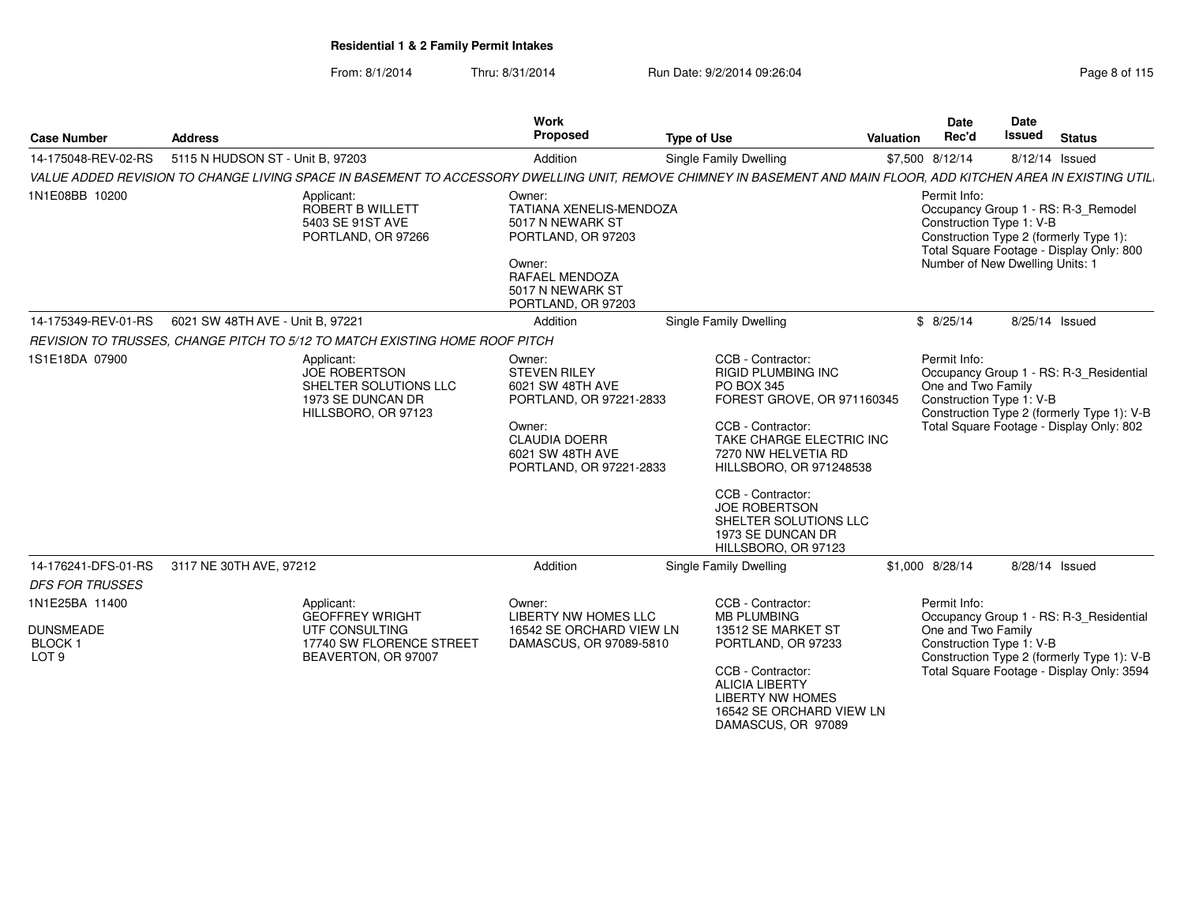| <b>Case Number</b>                                    | <b>Address</b>                                                                                          | Work<br>Proposed                                                                                                                                                 | <b>Type of Use</b>                                                                                                                                                                                                                                                                                       | Valuation | <b>Date</b><br>Rec'd                                                        | Date<br><b>Issued</b> | <b>Status</b>                                                                                                                     |
|-------------------------------------------------------|---------------------------------------------------------------------------------------------------------|------------------------------------------------------------------------------------------------------------------------------------------------------------------|----------------------------------------------------------------------------------------------------------------------------------------------------------------------------------------------------------------------------------------------------------------------------------------------------------|-----------|-----------------------------------------------------------------------------|-----------------------|-----------------------------------------------------------------------------------------------------------------------------------|
| 14-175048-REV-02-RS                                   | 5115 N HUDSON ST - Unit B, 97203                                                                        | Addition                                                                                                                                                         | Single Family Dwelling                                                                                                                                                                                                                                                                                   |           | \$7,500 8/12/14                                                             |                       | 8/12/14 Issued                                                                                                                    |
|                                                       |                                                                                                         | VALUE ADDED REVISION TO CHANGE LIVING SPACE IN BASEMENT TO ACCESSORY DWELLING UNIT, REMOVE CHIMNEY IN BASEMENT AND MAIN FLOOR, ADD KITCHEN AREA IN EXISTING UTIL |                                                                                                                                                                                                                                                                                                          |           |                                                                             |                       |                                                                                                                                   |
| 1N1E08BB 10200                                        | Applicant:<br>ROBERT B WILLETT<br>5403 SE 91ST AVE<br>PORTLAND, OR 97266                                | Owner:<br><b>TATIANA XENELIS-MENDOZA</b><br>5017 N NEWARK ST<br>PORTLAND, OR 97203<br>Owner:<br>RAFAEL MENDOZA<br>5017 N NEWARK ST<br>PORTLAND, OR 97203         |                                                                                                                                                                                                                                                                                                          |           | Permit Info:<br>Construction Type 1: V-B<br>Number of New Dwelling Units: 1 |                       | Occupancy Group 1 - RS: R-3_Remodel<br>Construction Type 2 (formerly Type 1):<br>Total Square Footage - Display Only: 800         |
| 14-175349-REV-01-RS                                   | 6021 SW 48TH AVE - Unit B, 97221                                                                        | Addition                                                                                                                                                         | <b>Single Family Dwelling</b>                                                                                                                                                                                                                                                                            |           | \$8/25/14                                                                   |                       | 8/25/14 Issued                                                                                                                    |
|                                                       | REVISION TO TRUSSES, CHANGE PITCH TO 5/12 TO MATCH EXISTING HOME ROOF PITCH                             |                                                                                                                                                                  |                                                                                                                                                                                                                                                                                                          |           |                                                                             |                       |                                                                                                                                   |
| 1S1E18DA 07900                                        | Applicant:<br><b>JOE ROBERTSON</b><br>SHELTER SOLUTIONS LLC<br>1973 SE DUNCAN DR<br>HILLSBORO, OR 97123 | Owner:<br><b>STEVEN RILEY</b><br>6021 SW 48TH AVE<br>PORTLAND, OR 97221-2833<br>Owner:<br><b>CLAUDIA DOERR</b><br>6021 SW 48TH AVE<br>PORTLAND, OR 97221-2833    | CCB - Contractor:<br>RIGID PLUMBING INC<br>PO BOX 345<br>FOREST GROVE, OR 971160345<br>CCB - Contractor:<br>TAKE CHARGE ELECTRIC INC<br>7270 NW HELVETIA RD<br>HILLSBORO, OR 971248538<br>CCB - Contractor:<br><b>JOE ROBERTSON</b><br>SHELTER SOLUTIONS LLC<br>1973 SE DUNCAN DR<br>HILLSBORO, OR 97123 |           | Permit Info:<br>One and Two Family<br>Construction Type 1: V-B              |                       | Occupancy Group 1 - RS: R-3_Residential<br>Construction Type 2 (formerly Type 1): V-B<br>Total Square Footage - Display Only: 802 |
| 14-176241-DFS-01-RS                                   | 3117 NE 30TH AVE, 97212                                                                                 | Addition                                                                                                                                                         | <b>Single Family Dwelling</b>                                                                                                                                                                                                                                                                            |           | \$1,000 8/28/14                                                             |                       | 8/28/14 Issued                                                                                                                    |
| <b>DFS FOR TRUSSES</b>                                |                                                                                                         |                                                                                                                                                                  |                                                                                                                                                                                                                                                                                                          |           |                                                                             |                       |                                                                                                                                   |
| 1N1E25BA 11400                                        | Applicant:<br><b>GEOFFREY WRIGHT</b>                                                                    | Owner:<br><b>LIBERTY NW HOMES LLC</b>                                                                                                                            | CCB - Contractor:<br><b>MB PLUMBING</b>                                                                                                                                                                                                                                                                  |           | Permit Info:                                                                |                       | Occupancy Group 1 - RS: R-3_Residential                                                                                           |
| <b>DUNSMEADE</b><br><b>BLOCK1</b><br>LOT <sub>9</sub> | UTF CONSULTING<br>BEAVERTON, OR 97007                                                                   | 16542 SE ORCHARD VIEW LN<br>17740 SW FLORENCE STREET<br>DAMASCUS, OR 97089-5810                                                                                  | 13512 SE MARKET ST<br>PORTLAND, OR 97233<br>CCB - Contractor:<br><b>ALICIA LIBERTY</b><br><b>LIBERTY NW HOMES</b><br>16542 SE ORCHARD VIEW LN<br>DAMASCUS, OR 97089                                                                                                                                      |           | One and Two Family<br>Construction Type 1: V-B                              |                       | Construction Type 2 (formerly Type 1): V-B<br>Total Square Footage - Display Only: 3594                                           |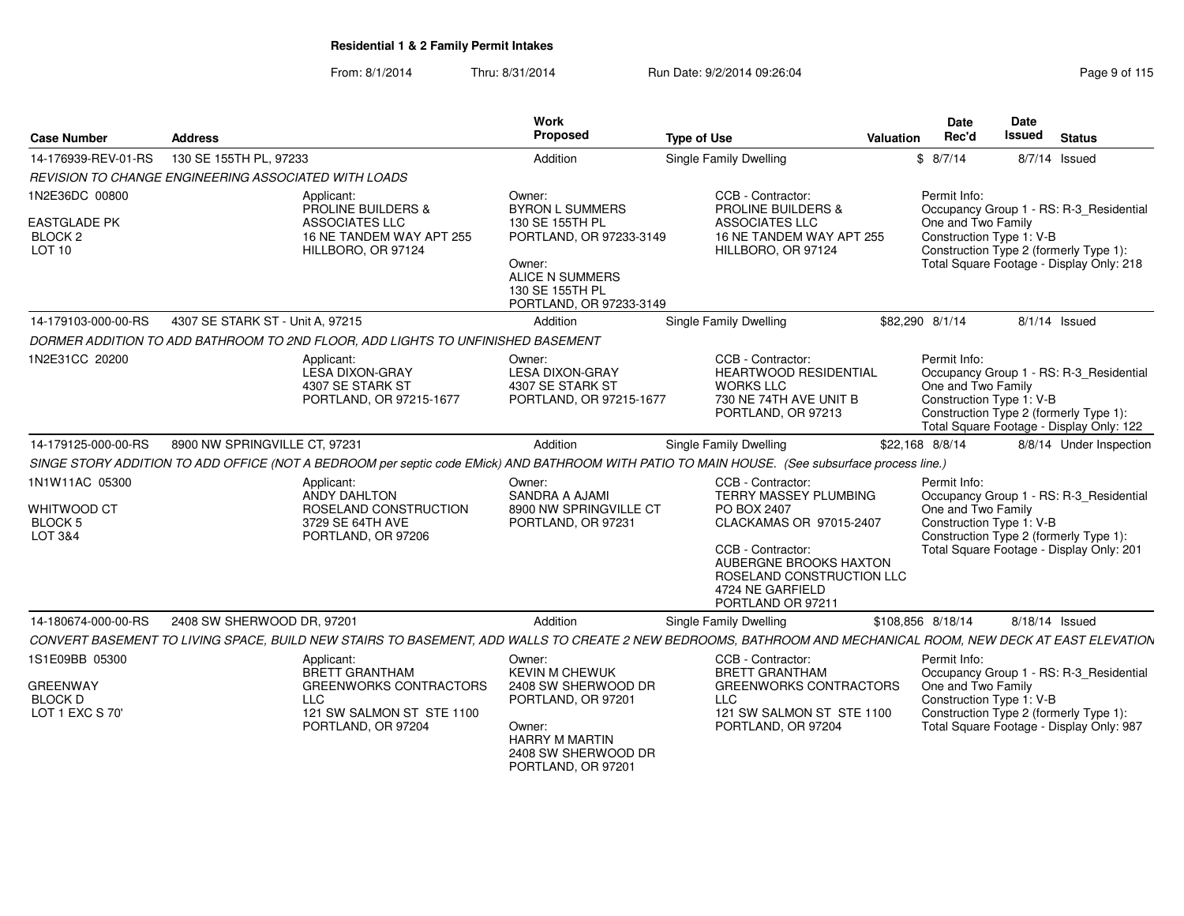| <b>Case Number</b>                                                     | <b>Address</b>                                                                                                                                               | <b>Work</b><br>Proposed                                                                                                                                          | <b>Type of Use</b><br>Valuation                                                                                                                                                                                  | <b>Date</b><br>Rec'd                                           | Date<br><b>Issued</b><br><b>Status</b>                                                                                        |
|------------------------------------------------------------------------|--------------------------------------------------------------------------------------------------------------------------------------------------------------|------------------------------------------------------------------------------------------------------------------------------------------------------------------|------------------------------------------------------------------------------------------------------------------------------------------------------------------------------------------------------------------|----------------------------------------------------------------|-------------------------------------------------------------------------------------------------------------------------------|
| 14-176939-REV-01-RS                                                    | 130 SE 155TH PL, 97233                                                                                                                                       | Addition                                                                                                                                                         | Single Family Dwelling                                                                                                                                                                                           | \$8/7/14                                                       | 8/7/14 Issued                                                                                                                 |
|                                                                        | REVISION TO CHANGE ENGINEERING ASSOCIATED WITH LOADS                                                                                                         |                                                                                                                                                                  |                                                                                                                                                                                                                  |                                                                |                                                                                                                               |
| 1N2E36DC 00800<br><b>EASTGLADE PK</b><br><b>BLOCK 2</b><br>LOT 10      | Applicant:<br><b>PROLINE BUILDERS &amp;</b><br>ASSOCIATES LLC<br>16 NE TANDEM WAY APT 255<br>HILLBORO, OR 97124                                              | Owner:<br><b>BYRON L SUMMERS</b><br>130 SE 155TH PL<br>PORTLAND, OR 97233-3149<br>Owner:<br><b>ALICE N SUMMERS</b><br>130 SE 155TH PL<br>PORTLAND, OR 97233-3149 | CCB - Contractor:<br><b>PROLINE BUILDERS &amp;</b><br>ASSOCIATES LLC<br>16 NE TANDEM WAY APT 255<br>HILLBORO, OR 97124                                                                                           | Permit Info:<br>One and Two Family<br>Construction Type 1: V-B | Occupancy Group 1 - RS: R-3_Residential<br>Construction Type 2 (formerly Type 1):<br>Total Square Footage - Display Only: 218 |
| 14-179103-000-00-RS                                                    | 4307 SE STARK ST - Unit A, 97215                                                                                                                             | Addition                                                                                                                                                         | <b>Single Family Dwelling</b>                                                                                                                                                                                    | \$82,290 8/1/14                                                | $8/1/14$ Issued                                                                                                               |
|                                                                        | DORMER ADDITION TO ADD BATHROOM TO 2ND FLOOR, ADD LIGHTS TO UNFINISHED BASEMENT                                                                              |                                                                                                                                                                  |                                                                                                                                                                                                                  |                                                                |                                                                                                                               |
| 1N2E31CC 20200                                                         | Applicant:<br><b>LESA DIXON-GRAY</b><br>4307 SE STARK ST<br>PORTLAND, OR 97215-1677                                                                          | Owner:<br><b>LESA DIXON-GRAY</b><br>4307 SE STARK ST<br>PORTLAND, OR 97215-1677                                                                                  | CCB - Contractor:<br><b>HEARTWOOD RESIDENTIAL</b><br><b>WORKS LLC</b><br>730 NE 74TH AVE UNIT B<br>PORTLAND, OR 97213                                                                                            | Permit Info:<br>One and Two Family<br>Construction Type 1: V-B | Occupancy Group 1 - RS: R-3_Residential<br>Construction Type 2 (formerly Type 1):<br>Total Square Footage - Display Only: 122 |
| 14-179125-000-00-RS                                                    | 8900 NW SPRINGVILLE CT. 97231                                                                                                                                | Addition                                                                                                                                                         | Single Family Dwelling                                                                                                                                                                                           | \$22.168 8/8/14                                                | 8/8/14 Under Inspection                                                                                                       |
|                                                                        | SINGE STORY ADDITION TO ADD OFFICE (NOT A BEDROOM per septic code EMick) AND BATHROOM WITH PATIO TO MAIN HOUSE. (See subsurface process line.)               |                                                                                                                                                                  |                                                                                                                                                                                                                  |                                                                |                                                                                                                               |
| 1N1W11AC 05300<br>WHITWOOD CT<br><b>BLOCK5</b><br>LOT 3&4              | Applicant:<br>ANDY DAHLTON<br>ROSELAND CONSTRUCTION<br>3729 SE 64TH AVE<br>PORTLAND, OR 97206                                                                | Owner:<br>SANDRA A AJAMI<br>8900 NW SPRINGVILLE CT<br>PORTLAND, OR 97231                                                                                         | CCB - Contractor:<br><b>TERRY MASSEY PLUMBING</b><br>PO BOX 2407<br>CLACKAMAS OR 97015-2407<br>CCB - Contractor:<br>AUBERGNE BROOKS HAXTON<br>ROSELAND CONSTRUCTION LLC<br>4724 NE GARFIELD<br>PORTLAND OR 97211 | Permit Info:<br>One and Two Family<br>Construction Type 1: V-B | Occupancy Group 1 - RS: R-3 Residential<br>Construction Type 2 (formerly Type 1):<br>Total Square Footage - Display Only: 201 |
| 14-180674-000-00-RS                                                    | 2408 SW SHERWOOD DR, 97201                                                                                                                                   | Addition                                                                                                                                                         | Single Family Dwelling                                                                                                                                                                                           | \$108,856 8/18/14                                              | 8/18/14 Issued                                                                                                                |
|                                                                        | CONVERT BASEMENT TO LIVING SPACE. BUILD NEW STAIRS TO BASEMENT. ADD WALLS TO CREATE 2 NEW BEDROOMS. BATHROOM AND MECHANICAL ROOM. NEW DECK AT EAST ELEVATION |                                                                                                                                                                  |                                                                                                                                                                                                                  |                                                                |                                                                                                                               |
| 1S1E09BB 05300<br><b>GREENWAY</b><br><b>BLOCK D</b><br>LOT 1 EXC S 70' | Applicant:<br><b>BRETT GRANTHAM</b><br><b>GREENWORKS CONTRACTORS</b><br><b>LLC</b><br>121 SW SALMON ST STE 1100<br>PORTLAND, OR 97204                        | Owner:<br><b>KEVIN M CHEWUK</b><br>2408 SW SHERWOOD DR<br>PORTLAND, OR 97201<br>Owner:<br><b>HARRY M MARTIN</b>                                                  | CCB - Contractor:<br><b>BRETT GRANTHAM</b><br><b>GREENWORKS CONTRACTORS</b><br><b>LLC</b><br>121 SW SALMON ST STE 1100<br>PORTLAND, OR 97204                                                                     | Permit Info:<br>One and Two Family<br>Construction Type 1: V-B | Occupancy Group 1 - RS: R-3_Residential<br>Construction Type 2 (formerly Type 1):<br>Total Square Footage - Display Only: 987 |
|                                                                        |                                                                                                                                                              | 2408 SW SHERWOOD DR<br>PORTLAND, OR 97201                                                                                                                        |                                                                                                                                                                                                                  |                                                                |                                                                                                                               |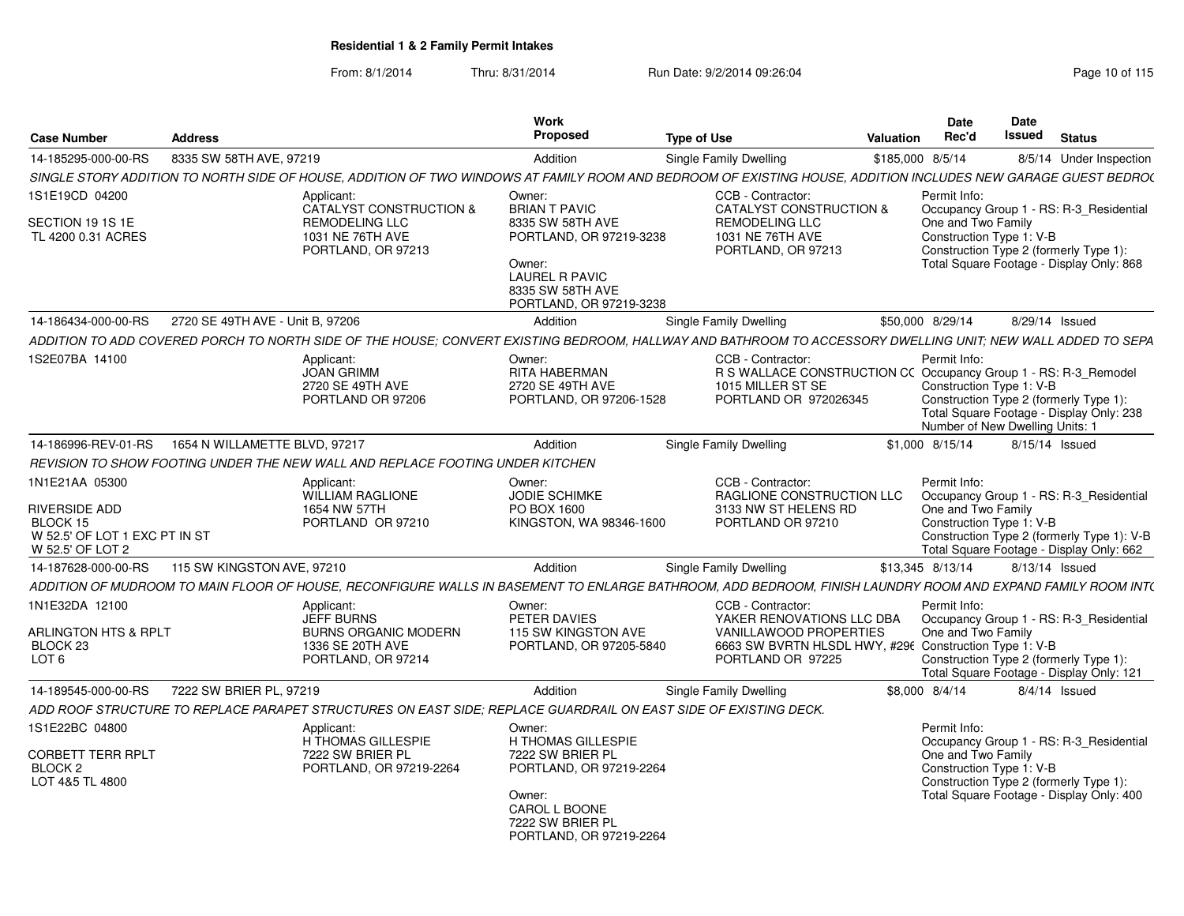| <b>Case Number</b>                                                                               | <b>Address</b>                   |                                                                                                                                                               | Work<br>Proposed                                                                                                                                                | <b>Type of Use</b>                                                                                                                                             | Valuation        | <b>Date</b><br>Rec'd               | <b>Date</b><br>Issued                                                                                                                                     | <b>Status</b> |                                            |
|--------------------------------------------------------------------------------------------------|----------------------------------|---------------------------------------------------------------------------------------------------------------------------------------------------------------|-----------------------------------------------------------------------------------------------------------------------------------------------------------------|----------------------------------------------------------------------------------------------------------------------------------------------------------------|------------------|------------------------------------|-----------------------------------------------------------------------------------------------------------------------------------------------------------|---------------|--------------------------------------------|
| 14-185295-000-00-RS                                                                              | 8335 SW 58TH AVE, 97219          |                                                                                                                                                               | Addition                                                                                                                                                        | Single Family Dwelling                                                                                                                                         | \$185,000 8/5/14 |                                    |                                                                                                                                                           |               | 8/5/14 Under Inspection                    |
|                                                                                                  |                                  | SINGLE STORY ADDITION TO NORTH SIDE OF HOUSE. ADDITION OF TWO WINDOWS AT FAMILY ROOM AND BEDROOM OF EXISTING HOUSE. ADDITION INCLUDES NEW GARAGE GUEST BEDRO( |                                                                                                                                                                 |                                                                                                                                                                |                  |                                    |                                                                                                                                                           |               |                                            |
| 1S1E19CD 04200<br>SECTION 19 1S 1E<br>TL 4200 0.31 ACRES                                         |                                  | Applicant:<br>CATALYST CONSTRUCTION &<br><b>REMODELING LLC</b><br>1031 NE 76TH AVE<br>PORTLAND, OR 97213                                                      | Owner:<br><b>BRIAN T PAVIC</b><br>8335 SW 58TH AVE<br>PORTLAND, OR 97219-3238<br>Owner:<br><b>LAUREL R PAVIC</b><br>8335 SW 58TH AVE<br>PORTLAND, OR 97219-3238 | CCB - Contractor:<br>CATALYST CONSTRUCTION &<br><b>REMODELING LLC</b><br>1031 NE 76TH AVE<br>PORTLAND, OR 97213                                                |                  | Permit Info:<br>One and Two Family | Occupancy Group 1 - RS: R-3_Residential<br>Construction Type 1: V-B<br>Construction Type 2 (formerly Type 1):<br>Total Square Footage - Display Only: 868 |               |                                            |
| 14-186434-000-00-RS                                                                              | 2720 SE 49TH AVE - Unit B, 97206 |                                                                                                                                                               | Addition                                                                                                                                                        | Single Family Dwelling                                                                                                                                         |                  | \$50,000 8/29/14                   | 8/29/14 Issued                                                                                                                                            |               |                                            |
|                                                                                                  |                                  | ADDITION TO ADD COVERED PORCH TO NORTH SIDE OF THE HOUSE: CONVERT EXISTING BEDROOM. HALLWAY AND BATHROOM TO ACCESSORY DWELLING UNIT: NEW WALL ADDED TO SEPA   |                                                                                                                                                                 |                                                                                                                                                                |                  |                                    |                                                                                                                                                           |               |                                            |
| 1S2E07BA 14100                                                                                   |                                  | Applicant:<br><b>JOAN GRIMM</b><br>2720 SE 49TH AVE<br>PORTLAND OR 97206                                                                                      | Owner:<br>RITA HABERMAN<br>2720 SE 49TH AVE<br>PORTLAND, OR 97206-1528                                                                                          | CCB - Contractor:<br>R S WALLACE CONSTRUCTION CC Occupancy Group 1 - RS: R-3_Remodel<br>1015 MILLER ST SE<br>PORTLAND OR 972026345                             |                  | Permit Info:                       | Construction Type 1: V-B<br>Construction Type 2 (formerly Type 1):<br>Total Square Footage - Display Only: 238<br>Number of New Dwelling Units: 1         |               |                                            |
| 14-186996-REV-01-RS                                                                              | 1654 N WILLAMETTE BLVD, 97217    |                                                                                                                                                               | Addition                                                                                                                                                        | Single Family Dwelling                                                                                                                                         |                  | \$1,000 8/15/14                    | 8/15/14 Issued                                                                                                                                            |               |                                            |
|                                                                                                  |                                  | REVISION TO SHOW FOOTING UNDER THE NEW WALL AND REPLACE FOOTING UNDER KITCHEN                                                                                 |                                                                                                                                                                 |                                                                                                                                                                |                  |                                    |                                                                                                                                                           |               |                                            |
| 1N1E21AA 05300<br>RIVERSIDE ADD<br>BLOCK 15<br>W 52.5' OF LOT 1 EXC PT IN ST<br>W 52.5' OF LOT 2 |                                  | Applicant:<br><b>WILLIAM RAGLIONE</b><br>1654 NW 57TH<br>PORTLAND OR 97210                                                                                    | Owner:<br><b>JODIE SCHIMKE</b><br>PO BOX 1600<br>KINGSTON, WA 98346-1600                                                                                        | CCB - Contractor:<br>RAGLIONE CONSTRUCTION LLC<br>3133 NW ST HELENS RD<br>PORTLAND OR 97210                                                                    |                  | Permit Info:<br>One and Two Family | Occupancy Group 1 - RS: R-3 Residential<br>Construction Type 1: V-B<br>Total Square Footage - Display Only: 662                                           |               | Construction Type 2 (formerly Type 1): V-B |
| 14-187628-000-00-RS                                                                              | 115 SW KINGSTON AVE, 97210       |                                                                                                                                                               | Addition                                                                                                                                                        | <b>Single Family Dwelling</b>                                                                                                                                  |                  | \$13,345 8/13/14                   | 8/13/14 Issued                                                                                                                                            |               |                                            |
|                                                                                                  |                                  | ADDITION OF MUDROOM TO MAIN FLOOR OF HOUSE. RECONFIGURE WALLS IN BASEMENT TO ENLARGE BATHROOM. ADD BEDROOM. FINISH LAUNDRY ROOM AND EXPAND FAMILY ROOM INT(   |                                                                                                                                                                 |                                                                                                                                                                |                  |                                    |                                                                                                                                                           |               |                                            |
| 1N1E32DA 12100<br><b>ARLINGTON HTS &amp; RPLT</b><br>BLOCK <sub>23</sub><br>LOT <sub>6</sub>     |                                  | Applicant:<br><b>JEFF BURNS</b><br><b>BURNS ORGANIC MODERN</b><br>1336 SE 20TH AVE<br>PORTLAND, OR 97214                                                      | Owner:<br>PETER DAVIES<br>115 SW KINGSTON AVE<br>PORTLAND, OR 97205-5840                                                                                        | CCB - Contractor:<br>YAKER RENOVATIONS LLC DBA<br><b>VANILLAWOOD PROPERTIES</b><br>6663 SW BVRTN HLSDL HWY, #296 Construction Type 1: V-B<br>PORTLAND OR 97225 |                  | Permit Info:<br>One and Two Family | Occupancy Group 1 - RS: R-3 Residential<br>Construction Type 2 (formerly Type 1):<br>Total Square Footage - Display Only: 121                             |               |                                            |
| 14-189545-000-00-RS                                                                              | 7222 SW BRIER PL, 97219          |                                                                                                                                                               | Addition                                                                                                                                                        | Single Family Dwelling                                                                                                                                         |                  | \$8,000 8/4/14                     | $8/4/14$ Issued                                                                                                                                           |               |                                            |
|                                                                                                  |                                  | ADD ROOF STRUCTURE TO REPLACE PARAPET STRUCTURES ON EAST SIDE: REPLACE GUARDRAIL ON EAST SIDE OF EXISTING DECK.                                               |                                                                                                                                                                 |                                                                                                                                                                |                  |                                    |                                                                                                                                                           |               |                                            |
| 1S1E22BC 04800<br><b>CORBETT TERR RPLT</b><br>BLOCK 2<br>LOT 4&5 TL 4800                         |                                  | Applicant:<br><b>H THOMAS GILLESPIE</b><br>7222 SW BRIER PL<br>PORTLAND, OR 97219-2264                                                                        | Owner:<br><b>H THOMAS GILLESPIE</b><br>7222 SW BRIER PL<br>PORTLAND, OR 97219-2264<br>Owner:<br>CAROL L BOONE<br>7222 SW BRIER PL<br>PORTLAND, OR 97219-2264    |                                                                                                                                                                |                  | Permit Info:<br>One and Two Family | Occupancy Group 1 - RS: R-3 Residential<br>Construction Type 1: V-B<br>Construction Type 2 (formerly Type 1):<br>Total Square Footage - Display Only: 400 |               |                                            |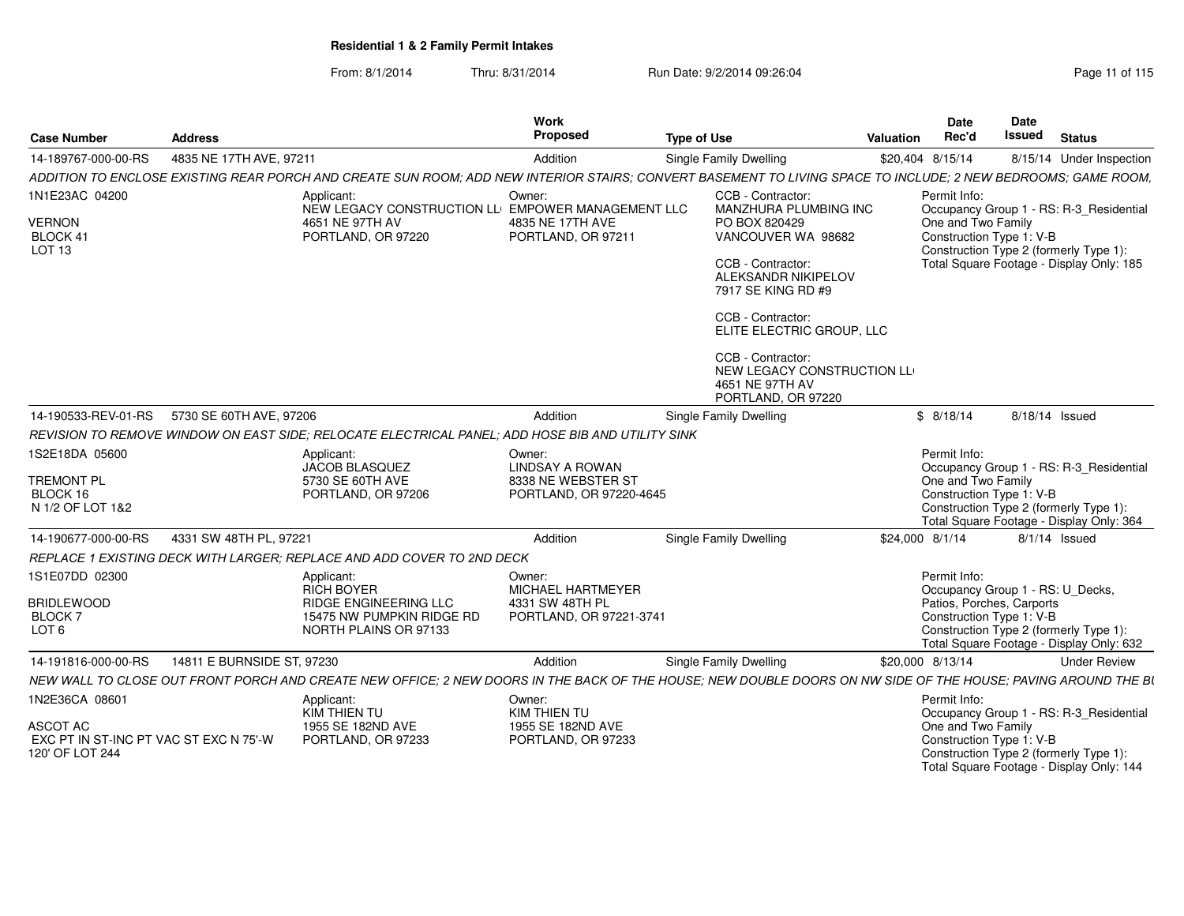From: 8/1/2014Thru: 8/31/2014 Run Date: 9/2/2014 09:26:04 Run Date: 9/2/2014 09:26:04

| <b>Case Number</b>                                                                      | <b>Address</b>                                                                                                                                                | Work<br>Proposed                                                                                       | <b>Type of Use</b>                                                                                                                                                                                                                                                                                       | Valuation | Date<br>Rec'd                                                         | Date<br><b>Issued</b> | <b>Status</b>                                                                                                                 |
|-----------------------------------------------------------------------------------------|---------------------------------------------------------------------------------------------------------------------------------------------------------------|--------------------------------------------------------------------------------------------------------|----------------------------------------------------------------------------------------------------------------------------------------------------------------------------------------------------------------------------------------------------------------------------------------------------------|-----------|-----------------------------------------------------------------------|-----------------------|-------------------------------------------------------------------------------------------------------------------------------|
| 14-189767-000-00-RS                                                                     | 4835 NE 17TH AVE, 97211                                                                                                                                       | Addition                                                                                               | <b>Single Family Dwelling</b>                                                                                                                                                                                                                                                                            |           | \$20,404 8/15/14                                                      |                       | 8/15/14 Under Inspection                                                                                                      |
|                                                                                         | ADDITION TO ENCLOSE EXISTING REAR PORCH AND CREATE SUN ROOM: ADD NEW INTERIOR STAIRS: CONVERT BASEMENT TO LIVING SPACE TO INCLUDE: 2 NEW BEDROOMS: GAME ROOM. |                                                                                                        |                                                                                                                                                                                                                                                                                                          |           |                                                                       |                       |                                                                                                                               |
| 1N1E23AC 04200<br><b>VERNON</b><br>BLOCK 41<br>LOT <sub>13</sub>                        | Applicant:<br>4651 NE 97TH AV<br>PORTLAND, OR 97220                                                                                                           | Owner:<br>NEW LEGACY CONSTRUCTION LLI EMPOWER MANAGEMENT LLC<br>4835 NE 17TH AVE<br>PORTLAND, OR 97211 | CCB - Contractor:<br>MANZHURA PLUMBING INC<br>PO BOX 820429<br>VANCOUVER WA 98682<br>CCB - Contractor:<br><b>ALEKSANDR NIKIPELOV</b><br>7917 SE KING RD #9<br>CCB - Contractor:<br>ELITE ELECTRIC GROUP, LLC<br>CCB - Contractor:<br>NEW LEGACY CONSTRUCTION LL<br>4651 NE 97TH AV<br>PORTLAND, OR 97220 |           | Permit Info:<br>One and Two Family<br>Construction Type 1: V-B        |                       | Occupancy Group 1 - RS: R-3_Residential<br>Construction Type 2 (formerly Type 1):<br>Total Square Footage - Display Only: 185 |
| 14-190533-REV-01-RS                                                                     | 5730 SE 60TH AVE, 97206                                                                                                                                       | Addition                                                                                               | Single Family Dwelling                                                                                                                                                                                                                                                                                   |           | \$8/18/14                                                             |                       | 8/18/14 Issued                                                                                                                |
|                                                                                         | REVISION TO REMOVE WINDOW ON EAST SIDE: RELOCATE ELECTRICAL PANEL: ADD HOSE BIB AND UTILITY SINK                                                              |                                                                                                        |                                                                                                                                                                                                                                                                                                          |           |                                                                       |                       |                                                                                                                               |
| 1S2E18DA 05600<br><b>TREMONT PL</b><br>BLOCK 16<br>N 1/2 OF LOT 1&2                     | Applicant:<br>JACOB BLASQUEZ<br>5730 SE 60TH AVE<br>PORTLAND, OR 97206                                                                                        | Owner:<br><b>LINDSAY A ROWAN</b><br>8338 NE WEBSTER ST<br>PORTLAND, OR 97220-4645                      |                                                                                                                                                                                                                                                                                                          |           | Permit Info:<br>One and Two Family<br>Construction Type 1: V-B        |                       | Occupancy Group 1 - RS: R-3 Residential<br>Construction Type 2 (formerly Type 1):<br>Total Square Footage - Display Only: 364 |
| 14-190677-000-00-RS                                                                     | 4331 SW 48TH PL, 97221                                                                                                                                        | Addition                                                                                               | Single Family Dwelling                                                                                                                                                                                                                                                                                   |           | \$24,000 8/1/14                                                       |                       | $8/1/14$ Issued                                                                                                               |
|                                                                                         | REPLACE 1 EXISTING DECK WITH LARGER: REPLACE AND ADD COVER TO 2ND DECK                                                                                        |                                                                                                        |                                                                                                                                                                                                                                                                                                          |           |                                                                       |                       |                                                                                                                               |
| 1S1E07DD 02300<br><b>BRIDLEWOOD</b><br><b>BLOCK7</b><br>LOT <sub>6</sub>                | Applicant:<br><b>RICH BOYER</b><br>RIDGE ENGINEERING LLC<br>15475 NW PUMPKIN RIDGE RD<br>NORTH PLAINS OR 97133                                                | Owner:<br>MICHAEL HARTMEYER<br>4331 SW 48TH PL<br>PORTLAND, OR 97221-3741                              |                                                                                                                                                                                                                                                                                                          |           | Permit Info:<br>Patios, Porches, Carports<br>Construction Type 1: V-B |                       | Occupancy Group 1 - RS: U_Decks,<br>Construction Type 2 (formerly Type 1):<br>Total Square Footage - Display Only: 632        |
| 14-191816-000-00-RS                                                                     | 14811 E BURNSIDE ST, 97230                                                                                                                                    | Addition                                                                                               | <b>Single Family Dwelling</b>                                                                                                                                                                                                                                                                            |           | \$20,000 8/13/14                                                      |                       | <b>Under Review</b>                                                                                                           |
|                                                                                         | NEW WALL TO CLOSE OUT FRONT PORCH AND CREATE NEW OFFICE: 2 NEW DOORS IN THE BACK OF THE HOUSE: NEW DOUBLE DOORS ON NW SIDE OF THE HOUSE: PAVING AROUND THE BI |                                                                                                        |                                                                                                                                                                                                                                                                                                          |           |                                                                       |                       |                                                                                                                               |
| 1N2E36CA 08601<br>ASCOT AC<br>EXC PT IN ST-INC PT VAC ST EXC N 75'-W<br>120' OF LOT 244 | Applicant:<br>KIM THIEN TU<br>1955 SE 182ND AVE<br>PORTLAND, OR 97233                                                                                         | Owner:<br>KIM THIEN TU<br>1955 SE 182ND AVE<br>PORTLAND, OR 97233                                      |                                                                                                                                                                                                                                                                                                          |           | Permit Info:<br>One and Two Family<br>Construction Type 1: V-B        |                       | Occupancy Group 1 - RS: R-3_Residential<br>Construction Type 2 (formerly Type 1):                                             |

Construction Type 1: V-B Construction Type 2 (formerly Type 1): Total Square Footage - Display Only: 144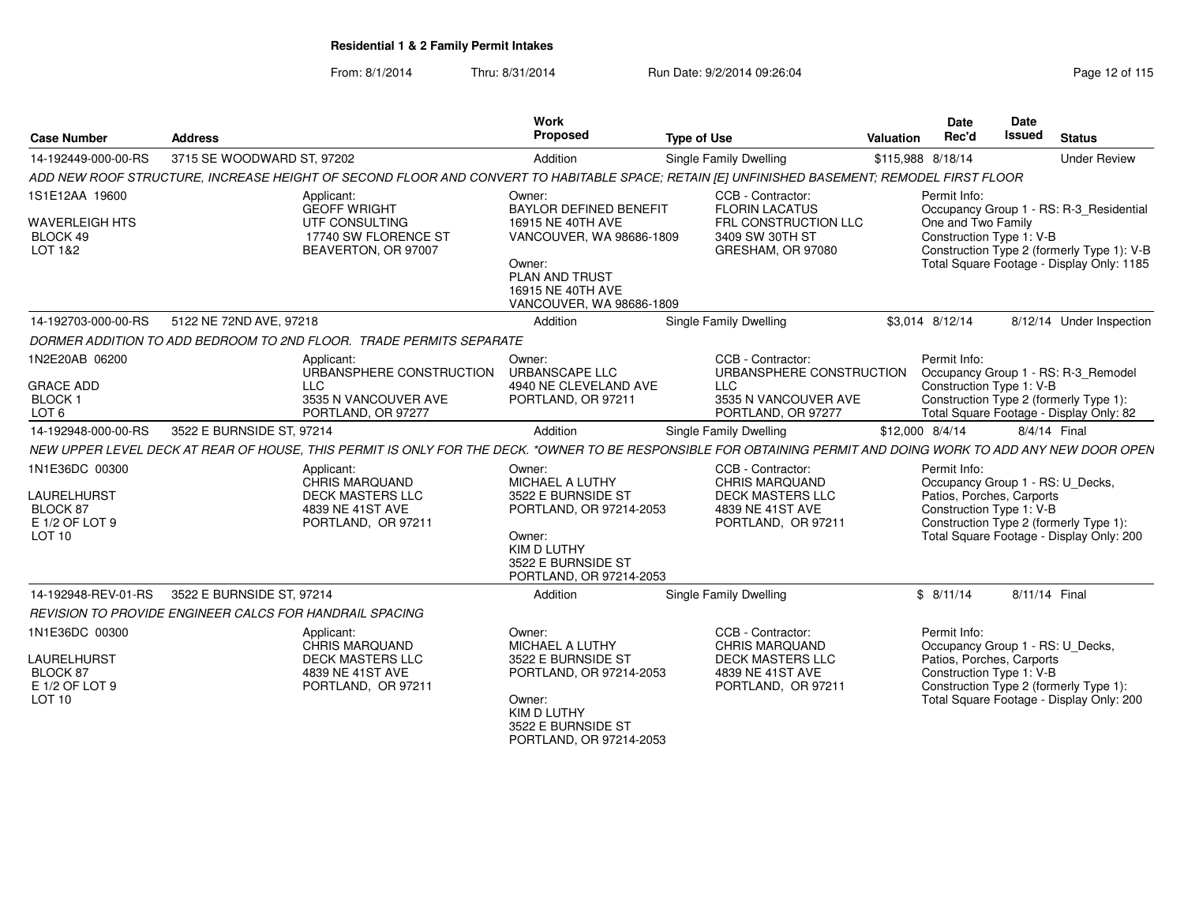| <b>Case Number</b>                                                                                                                                                                 | <b>Address</b>                                                                                                                                                                                                                                                                                                                                                                                         | Work<br>Proposed                                                                                                                                                                                                                                          | <b>Type of Use</b>                                                                                                                                                                                                                                     | Valuation | <b>Date</b><br>Rec'd                                                                                                                                                     | <b>Date</b><br>Issued | <b>Status</b>                                                                                                                                                                                                  |
|------------------------------------------------------------------------------------------------------------------------------------------------------------------------------------|--------------------------------------------------------------------------------------------------------------------------------------------------------------------------------------------------------------------------------------------------------------------------------------------------------------------------------------------------------------------------------------------------------|-----------------------------------------------------------------------------------------------------------------------------------------------------------------------------------------------------------------------------------------------------------|--------------------------------------------------------------------------------------------------------------------------------------------------------------------------------------------------------------------------------------------------------|-----------|--------------------------------------------------------------------------------------------------------------------------------------------------------------------------|-----------------------|----------------------------------------------------------------------------------------------------------------------------------------------------------------------------------------------------------------|
| 14-192449-000-00-RS                                                                                                                                                                | 3715 SE WOODWARD ST, 97202                                                                                                                                                                                                                                                                                                                                                                             | Addition                                                                                                                                                                                                                                                  | <b>Single Family Dwelling</b>                                                                                                                                                                                                                          |           | \$115,988 8/18/14                                                                                                                                                        |                       | <b>Under Review</b>                                                                                                                                                                                            |
|                                                                                                                                                                                    | ADD NEW ROOF STRUCTURE, INCREASE HEIGHT OF SECOND FLOOR AND CONVERT TO HABITABLE SPACE; RETAIN [E] UNFINISHED BASEMENT; REMODEL FIRST FLOOR                                                                                                                                                                                                                                                            |                                                                                                                                                                                                                                                           |                                                                                                                                                                                                                                                        |           |                                                                                                                                                                          |                       |                                                                                                                                                                                                                |
| 1S1E12AA 19600<br><b>WAVERLEIGH HTS</b><br>BLOCK 49<br>LOT 1&2                                                                                                                     | Applicant:<br><b>GEOFF WRIGHT</b><br>UTF CONSULTING<br>17740 SW FLORENCE ST<br>BEAVERTON, OR 97007                                                                                                                                                                                                                                                                                                     | Owner:<br><b>BAYLOR DEFINED BENEFIT</b><br>16915 NE 40TH AVE<br>VANCOUVER, WA 98686-1809<br>Owner:<br>PLAN AND TRUST<br>16915 NE 40TH AVE<br>VANCOUVER, WA 98686-1809                                                                                     | CCB - Contractor:<br><b>FLORIN LACATUS</b><br>FRL CONSTRUCTION LLC<br>3409 SW 30TH ST<br>GRESHAM, OR 97080                                                                                                                                             |           | Permit Info:<br>One and Two Family<br>Construction Type 1: V-B                                                                                                           |                       | Occupancy Group 1 - RS: R-3_Residential<br>Construction Type 2 (formerly Type 1): V-B<br>Total Square Footage - Display Only: 1185                                                                             |
| 14-192703-000-00-RS                                                                                                                                                                | 5122 NE 72ND AVE, 97218                                                                                                                                                                                                                                                                                                                                                                                | Addition                                                                                                                                                                                                                                                  | <b>Single Family Dwelling</b>                                                                                                                                                                                                                          |           | \$3.014 8/12/14                                                                                                                                                          |                       | 8/12/14 Under Inspection                                                                                                                                                                                       |
|                                                                                                                                                                                    | DORMER ADDITION TO ADD BEDROOM TO 2ND FLOOR. TRADE PERMITS SEPARATE                                                                                                                                                                                                                                                                                                                                    |                                                                                                                                                                                                                                                           |                                                                                                                                                                                                                                                        |           |                                                                                                                                                                          |                       |                                                                                                                                                                                                                |
| 1N2E20AB 06200<br><b>GRACE ADD</b><br><b>BLOCK1</b><br>LOT <sub>6</sub><br>14-192948-000-00-RS<br>1N1E36DC 00300<br>LAURELHURST<br>BLOCK 87<br>E 1/2 OF LOT 9<br>LOT <sub>10</sub> | Applicant:<br>URBANSPHERE CONSTRUCTION<br><b>LLC</b><br>3535 N VANCOUVER AVE<br>PORTLAND, OR 97277<br>3522 E BURNSIDE ST, 97214<br>NEW UPPER LEVEL DECK AT REAR OF HOUSE, THIS PERMIT IS ONLY FOR THE DECK. *OWNER TO BE RESPONSIBLE FOR OBTAINING PERMIT AND DOING WORK TO ADD ANY NEW DOOR OPEN<br>Applicant:<br>CHRIS MARQUAND<br><b>DECK MASTERS LLC</b><br>4839 NE 41ST AVE<br>PORTLAND, OR 97211 | Owner:<br><b>URBANSCAPE LLC</b><br>4940 NE CLEVELAND AVE<br>PORTLAND, OR 97211<br>Addition<br>Owner:<br>MICHAEL A LUTHY<br>3522 E BURNSIDE ST<br>PORTLAND, OR 97214-2053<br>Owner:<br><b>KIM D LUTHY</b><br>3522 E BURNSIDE ST<br>PORTLAND, OR 97214-2053 | CCB - Contractor:<br>URBANSPHERE CONSTRUCTION<br><b>LLC</b><br>3535 N VANCOUVER AVE<br>PORTLAND, OR 97277<br>Single Family Dwelling<br>CCB - Contractor:<br><b>CHRIS MARQUAND</b><br><b>DECK MASTERS LLC</b><br>4839 NE 41ST AVE<br>PORTLAND, OR 97211 |           | Permit Info:<br>Construction Type 1: V-B<br>\$12,000 8/4/14<br>Permit Info:<br>Occupancy Group 1 - RS: U_Decks,<br>Patios, Porches, Carports<br>Construction Type 1: V-B | 8/4/14 Final          | Occupancy Group 1 - RS: R-3_Remodel<br>Construction Type 2 (formerly Type 1):<br>Total Square Footage - Display Only: 82<br>Construction Type 2 (formerly Type 1):<br>Total Square Footage - Display Only: 200 |
| 14-192948-REV-01-RS                                                                                                                                                                | 3522 E BURNSIDE ST, 97214                                                                                                                                                                                                                                                                                                                                                                              | Addition                                                                                                                                                                                                                                                  | <b>Single Family Dwelling</b>                                                                                                                                                                                                                          |           | \$8/11/14                                                                                                                                                                | 8/11/14 Final         |                                                                                                                                                                                                                |
|                                                                                                                                                                                    | REVISION TO PROVIDE ENGINEER CALCS FOR HANDRAIL SPACING                                                                                                                                                                                                                                                                                                                                                |                                                                                                                                                                                                                                                           |                                                                                                                                                                                                                                                        |           |                                                                                                                                                                          |                       |                                                                                                                                                                                                                |
| 1N1E36DC 00300<br><b>LAURELHURST</b><br>BLOCK 87<br>E 1/2 OF LOT 9<br>LOT <sub>10</sub>                                                                                            | Applicant:<br>CHRIS MARQUAND<br><b>DECK MASTERS LLC</b><br>4839 NE 41ST AVE<br>PORTLAND, OR 97211                                                                                                                                                                                                                                                                                                      | Owner:<br>MICHAEL A LUTHY<br>3522 E BURNSIDE ST<br>PORTLAND, OR 97214-2053<br>Owner:<br><b>KIM D LUTHY</b><br>3522 E BURNSIDE ST<br>PORTLAND, OR 97214-2053                                                                                               | CCB - Contractor:<br><b>CHRIS MARQUAND</b><br><b>DECK MASTERS LLC</b><br>4839 NE 41ST AVE<br>PORTLAND, OR 97211                                                                                                                                        |           | Permit Info:<br>Occupancy Group 1 - RS: U_Decks,<br>Patios, Porches, Carports<br>Construction Type 1: V-B                                                                |                       | Construction Type 2 (formerly Type 1):<br>Total Square Footage - Display Only: 200                                                                                                                             |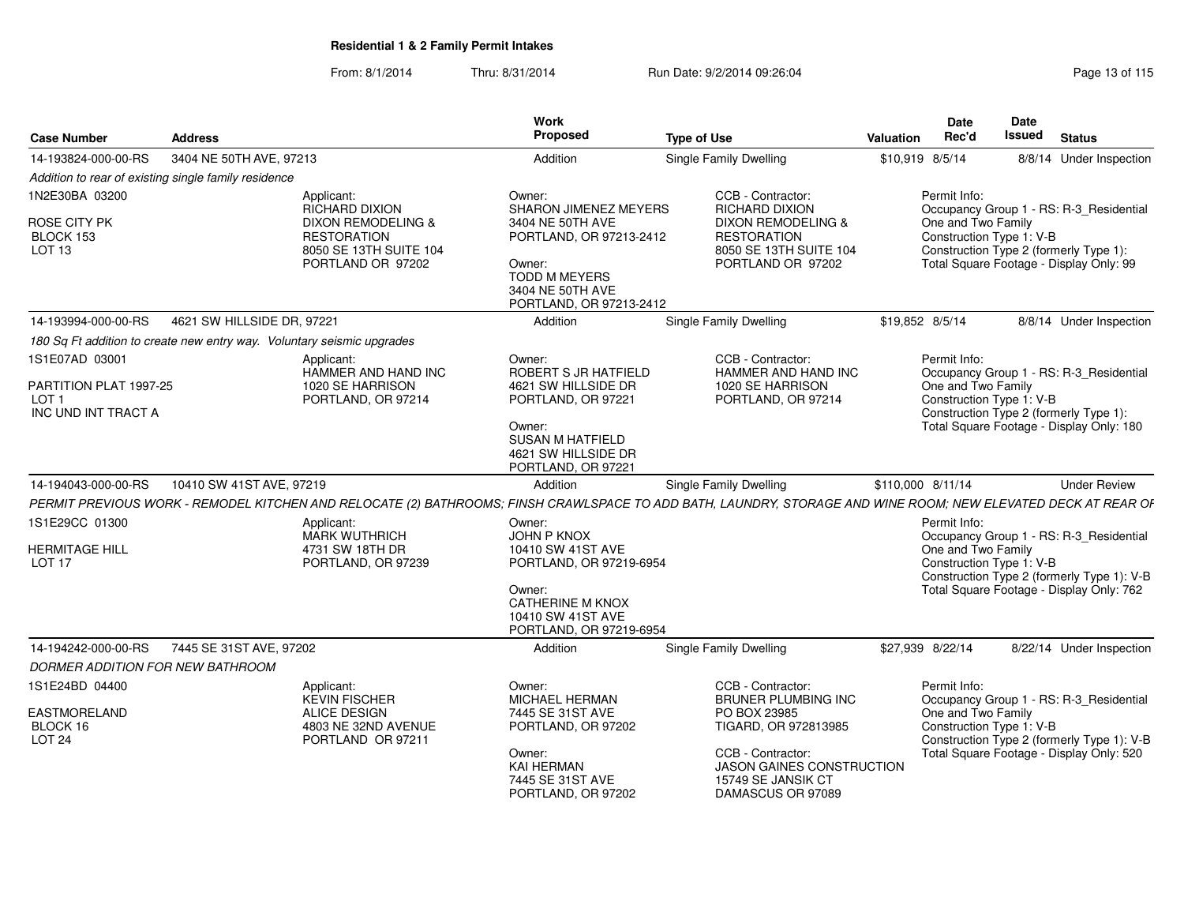| <b>Case Number</b>                                   | <b>Address</b>                                                         |                                                                                         | Work<br>Proposed                                                                                                             | <b>Type of Use</b>                                                                                                                                            | Valuation         | <b>Date</b><br>Rec'd                           | Date<br><b>Issued</b> | <b>Status</b>                                                                          |
|------------------------------------------------------|------------------------------------------------------------------------|-----------------------------------------------------------------------------------------|------------------------------------------------------------------------------------------------------------------------------|---------------------------------------------------------------------------------------------------------------------------------------------------------------|-------------------|------------------------------------------------|-----------------------|----------------------------------------------------------------------------------------|
| 14-193824-000-00-RS                                  | 3404 NE 50TH AVE, 97213                                                |                                                                                         | Addition                                                                                                                     | <b>Single Family Dwelling</b>                                                                                                                                 | \$10,919 8/5/14   |                                                |                       | 8/8/14 Under Inspection                                                                |
|                                                      | Addition to rear of existing single family residence                   |                                                                                         |                                                                                                                              |                                                                                                                                                               |                   |                                                |                       |                                                                                        |
| 1N2E30BA 03200                                       |                                                                        | Applicant:<br><b>RICHARD DIXION</b>                                                     | Owner:<br><b>SHARON JIMENEZ MEYERS</b>                                                                                       | CCB - Contractor:<br><b>RICHARD DIXION</b>                                                                                                                    |                   | Permit Info:                                   |                       | Occupancy Group 1 - RS: R-3_Residential                                                |
| ROSE CITY PK<br>BLOCK 153<br>LOT <sub>13</sub>       |                                                                        | DIXON REMODELING &<br><b>RESTORATION</b><br>8050 SE 13TH SUITE 104<br>PORTLAND OR 97202 | 3404 NE 50TH AVE<br>PORTLAND, OR 97213-2412<br>Owner:<br><b>TODD M MEYERS</b><br>3404 NE 50TH AVE<br>PORTLAND, OR 97213-2412 | DIXON REMODELING &<br><b>RESTORATION</b><br>8050 SE 13TH SUITE 104<br>PORTLAND OR 97202                                                                       |                   | One and Two Family<br>Construction Type 1: V-B |                       | Construction Type 2 (formerly Type 1):<br>Total Square Footage - Display Only: 99      |
| 14-193994-000-00-RS                                  | 4621 SW HILLSIDE DR, 97221                                             |                                                                                         | Addition                                                                                                                     | <b>Single Family Dwelling</b>                                                                                                                                 | \$19,852 8/5/14   |                                                |                       | 8/8/14 Under Inspection                                                                |
|                                                      | 180 Sq Ft addition to create new entry way. Voluntary seismic upgrades |                                                                                         |                                                                                                                              |                                                                                                                                                               |                   |                                                |                       |                                                                                        |
| 1S1E07AD 03001<br>PARTITION PLAT 1997-25             |                                                                        | Applicant:<br>HAMMER AND HAND INC<br>1020 SE HARRISON                                   | Owner:<br>ROBERT S JR HATFIELD<br>4621 SW HILLSIDE DR                                                                        | CCB - Contractor:<br>HAMMER AND HAND INC<br>1020 SE HARRISON                                                                                                  |                   | Permit Info:<br>One and Two Family             |                       | Occupancy Group 1 - RS: R-3_Residential                                                |
| LOT <sub>1</sub><br>INC UND INT TRACT A              |                                                                        | PORTLAND, OR 97214                                                                      | PORTLAND, OR 97221<br>Owner:<br><b>SUSAN M HATFIELD</b><br>4621 SW HILLSIDE DR<br>PORTLAND, OR 97221                         | PORTLAND, OR 97214                                                                                                                                            |                   | Construction Type 1: V-B                       |                       | Construction Type 2 (formerly Type 1):<br>Total Square Footage - Display Only: 180     |
| 14-194043-000-00-RS                                  | 10410 SW 41ST AVE, 97219                                               |                                                                                         | Addition                                                                                                                     | <b>Single Family Dwelling</b>                                                                                                                                 | \$110,000 8/11/14 |                                                |                       | <b>Under Review</b>                                                                    |
|                                                      |                                                                        |                                                                                         |                                                                                                                              | PERMIT PREVIOUS WORK - REMODEL KITCHEN AND RELOCATE (2) BATHROOMS; FINSH CRAWLSPACE TO ADD BATH, LAUNDRY, STORAGE AND WINE ROOM; NEW ELEVATED DECK AT REAR OF |                   |                                                |                       |                                                                                        |
| 1S1E29CC 01300                                       |                                                                        | Applicant:<br>MARK WUTHRICH                                                             | Owner:<br><b>JOHN P KNOX</b>                                                                                                 |                                                                                                                                                               |                   | Permit Info:                                   |                       | Occupancy Group 1 - RS: R-3_Residential                                                |
| <b>HERMITAGE HILL</b><br>LOT <sub>17</sub>           |                                                                        | 4731 SW 18TH DR<br>PORTLAND, OR 97239                                                   | 10410 SW 41ST AVE<br>PORTLAND, OR 97219-6954<br>Owner:<br><b>CATHERINE M KNOX</b>                                            |                                                                                                                                                               |                   | One and Two Family<br>Construction Type 1: V-B |                       | Construction Type 2 (formerly Type 1): V-B<br>Total Square Footage - Display Only: 762 |
|                                                      |                                                                        |                                                                                         | 10410 SW 41ST AVE<br>PORTLAND, OR 97219-6954                                                                                 |                                                                                                                                                               |                   |                                                |                       |                                                                                        |
| 14-194242-000-00-RS                                  | 7445 SE 31ST AVE, 97202                                                |                                                                                         | Addition                                                                                                                     | Single Family Dwelling                                                                                                                                        |                   | \$27,939 8/22/14                               |                       | 8/22/14 Under Inspection                                                               |
| DORMER ADDITION FOR NEW BATHROOM                     |                                                                        |                                                                                         |                                                                                                                              |                                                                                                                                                               |                   |                                                |                       |                                                                                        |
| 1S1E24BD 04400                                       |                                                                        | Applicant:<br><b>KEVIN FISCHER</b>                                                      | Owner:<br>MICHAEL HERMAN                                                                                                     | CCB - Contractor:<br>BRUNER PLUMBING INC                                                                                                                      |                   | Permit Info:                                   |                       | Occupancy Group 1 - RS: R-3_Residential                                                |
| <b>EASTMORELAND</b><br>BLOCK 16<br>LOT <sub>24</sub> |                                                                        | <b>ALICE DESIGN</b><br>4803 NE 32ND AVENUE<br>PORTLAND OR 97211                         | 7445 SE 31ST AVE<br>PORTLAND, OR 97202                                                                                       | PO BOX 23985<br>TIGARD, OR 972813985                                                                                                                          |                   | One and Two Family<br>Construction Type 1: V-B |                       | Construction Type 2 (formerly Type 1): V-B                                             |
|                                                      |                                                                        |                                                                                         | Owner:<br><b>KAI HERMAN</b><br>7445 SE 31ST AVE<br>PORTLAND, OR 97202                                                        | CCB - Contractor:<br><b>JASON GAINES CONSTRUCTION</b><br>15749 SE JANSIK CT<br>DAMASCUS OR 97089                                                              |                   |                                                |                       | Total Square Footage - Display Only: 520                                               |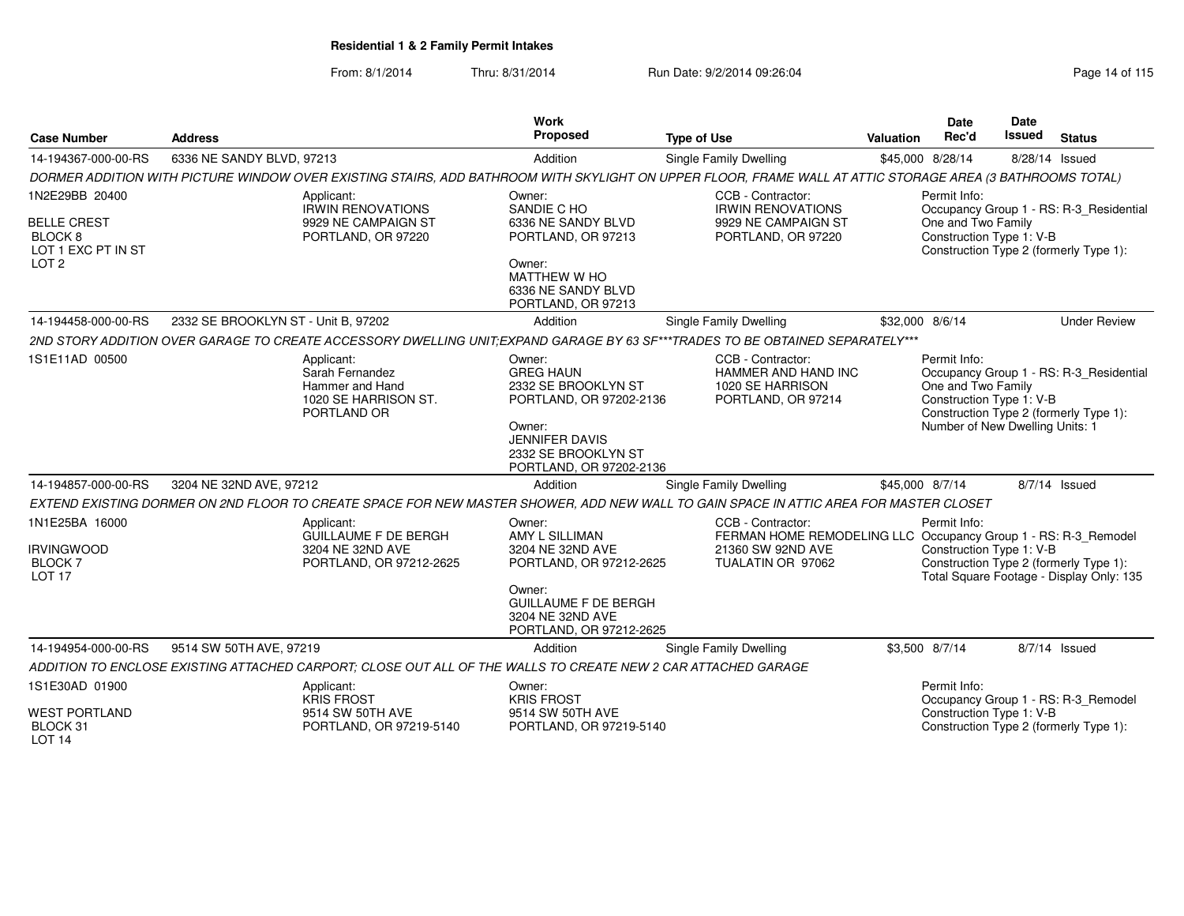|                                                                       |                                     |                                                                                                               | Work                                                                                 |                                                                                                                                                           |                  | <b>Date</b>                                                    | <b>Date</b>    |                                                                                    |
|-----------------------------------------------------------------------|-------------------------------------|---------------------------------------------------------------------------------------------------------------|--------------------------------------------------------------------------------------|-----------------------------------------------------------------------------------------------------------------------------------------------------------|------------------|----------------------------------------------------------------|----------------|------------------------------------------------------------------------------------|
| <b>Case Number</b>                                                    | <b>Address</b>                      |                                                                                                               | Proposed                                                                             | <b>Type of Use</b>                                                                                                                                        | <b>Valuation</b> | Rec'd                                                          | Issued         | <b>Status</b>                                                                      |
| 14-194367-000-00-RS                                                   | 6336 NE SANDY BLVD, 97213           |                                                                                                               | Addition                                                                             | <b>Single Family Dwelling</b>                                                                                                                             |                  | \$45,000 8/28/14                                               | 8/28/14 Issued |                                                                                    |
|                                                                       |                                     |                                                                                                               |                                                                                      | DORMER ADDITION WITH PICTURE WINDOW OVER EXISTING STAIRS, ADD BATHROOM WITH SKYLIGHT ON UPPER FLOOR, FRAME WALL AT ATTIC STORAGE AREA (3 BATHROOMS TOTAL) |                  |                                                                |                |                                                                                    |
| 1N2E29BB 20400<br><b>BELLE CREST</b>                                  |                                     | Applicant:<br><b>IRWIN RENOVATIONS</b><br>9929 NE CAMPAIGN ST                                                 | Owner:<br>SANDIE C HO<br>6336 NE SANDY BLVD                                          | CCB - Contractor:<br><b>IRWIN RENOVATIONS</b><br>9929 NE CAMPAIGN ST                                                                                      |                  | Permit Info:<br>One and Two Family                             |                | Occupancy Group 1 - RS: R-3_Residential                                            |
| <b>BLOCK 8</b><br>LOT 1 EXC PT IN ST                                  |                                     | PORTLAND, OR 97220                                                                                            | PORTLAND, OR 97213                                                                   | PORTLAND, OR 97220                                                                                                                                        |                  | Construction Type 1: V-B                                       |                | Construction Type 2 (formerly Type 1):                                             |
| LOT <sub>2</sub>                                                      |                                     |                                                                                                               | Owner:<br>MATTHEW W HO<br>6336 NE SANDY BLVD<br>PORTLAND, OR 97213                   |                                                                                                                                                           |                  |                                                                |                |                                                                                    |
| 14-194458-000-00-RS                                                   | 2332 SE BROOKLYN ST - Unit B, 97202 |                                                                                                               | Addition                                                                             | Single Family Dwelling                                                                                                                                    |                  | \$32,000 8/6/14                                                |                | <b>Under Review</b>                                                                |
|                                                                       |                                     |                                                                                                               |                                                                                      | 2ND STORY ADDITION OVER GARAGE TO CREATE ACCESSORY DWELLING UNIT:EXPAND GARAGE BY 63 SF***TRADES TO BE OBTAINED SEPARATELY***                             |                  |                                                                |                |                                                                                    |
| 1S1E11AD 00500                                                        |                                     | Applicant:<br>Sarah Fernandez<br>Hammer and Hand<br>1020 SE HARRISON ST.<br>PORTLAND OR                       | Owner:<br><b>GREG HAUN</b><br>2332 SE BROOKLYN ST<br>PORTLAND, OR 97202-2136         | CCB - Contractor:<br>HAMMER AND HAND INC<br>1020 SE HARRISON<br>PORTLAND, OR 97214                                                                        |                  | Permit Info:<br>One and Two Family<br>Construction Type 1: V-B |                | Occupancy Group 1 - RS: R-3_Residential<br>Construction Type 2 (formerly Type 1):  |
|                                                                       |                                     |                                                                                                               | Owner:<br><b>JENNIFER DAVIS</b><br>2332 SE BROOKLYN ST<br>PORTLAND, OR 97202-2136    |                                                                                                                                                           |                  | Number of New Dwelling Units: 1                                |                |                                                                                    |
| 14-194857-000-00-RS                                                   | 3204 NE 32ND AVE, 97212             |                                                                                                               | Addition                                                                             | Single Family Dwelling                                                                                                                                    |                  | \$45,000 8/7/14                                                |                | 8/7/14 Issued                                                                      |
|                                                                       |                                     |                                                                                                               |                                                                                      | EXTEND EXISTING DORMER ON 2ND FLOOR TO CREATE SPACE FOR NEW MASTER SHOWER, ADD NEW WALL TO GAIN SPACE IN ATTIC AREA FOR MASTER CLOSET                     |                  |                                                                |                |                                                                                    |
| 1N1E25BA 16000<br><b>IRVINGWOOD</b><br><b>BLOCK7</b><br><b>LOT 17</b> |                                     | Applicant:<br><b>GUILLAUME F DE BERGH</b><br>3204 NE 32ND AVE<br>PORTLAND, OR 97212-2625                      | Owner:<br>AMY L SILLIMAN<br>3204 NE 32ND AVE<br>PORTLAND, OR 97212-2625              | CCB - Contractor:<br>FERMAN HOME REMODELING LLC Occupancy Group 1 - RS: R-3_Remodel<br>21360 SW 92ND AVE<br>TUALATIN OR 97062                             |                  | Permit Info:<br>Construction Type 1: V-B                       |                | Construction Type 2 (formerly Type 1):<br>Total Square Footage - Display Only: 135 |
|                                                                       |                                     |                                                                                                               | Owner:<br><b>GUILLAUME F DE BERGH</b><br>3204 NE 32ND AVE<br>PORTLAND, OR 97212-2625 |                                                                                                                                                           |                  |                                                                |                |                                                                                    |
| 14-194954-000-00-RS                                                   | 9514 SW 50TH AVE, 97219             |                                                                                                               | Addition                                                                             | <b>Single Family Dwelling</b>                                                                                                                             |                  | \$3,500 8/7/14                                                 |                | 8/7/14 Issued                                                                      |
|                                                                       |                                     | ADDITION TO ENCLOSE EXISTING ATTACHED CARPORT; CLOSE OUT ALL OF THE WALLS TO CREATE NEW 2 CAR ATTACHED GARAGE |                                                                                      |                                                                                                                                                           |                  |                                                                |                |                                                                                    |
| 1S1E30AD 01900                                                        |                                     | Applicant:<br><b>KRIS FROST</b>                                                                               | Owner:<br><b>KRIS FROST</b>                                                          |                                                                                                                                                           |                  | Permit Info:                                                   |                | Occupancy Group 1 - RS: R-3_Remodel                                                |
| <b>WEST PORTLAND</b><br>BLOCK 31<br><b>LOT 14</b>                     |                                     | 9514 SW 50TH AVE<br>PORTLAND, OR 97219-5140                                                                   | 9514 SW 50TH AVE<br>PORTLAND, OR 97219-5140                                          |                                                                                                                                                           |                  | Construction Type 1: V-B                                       |                | Construction Type 2 (formerly Type 1):                                             |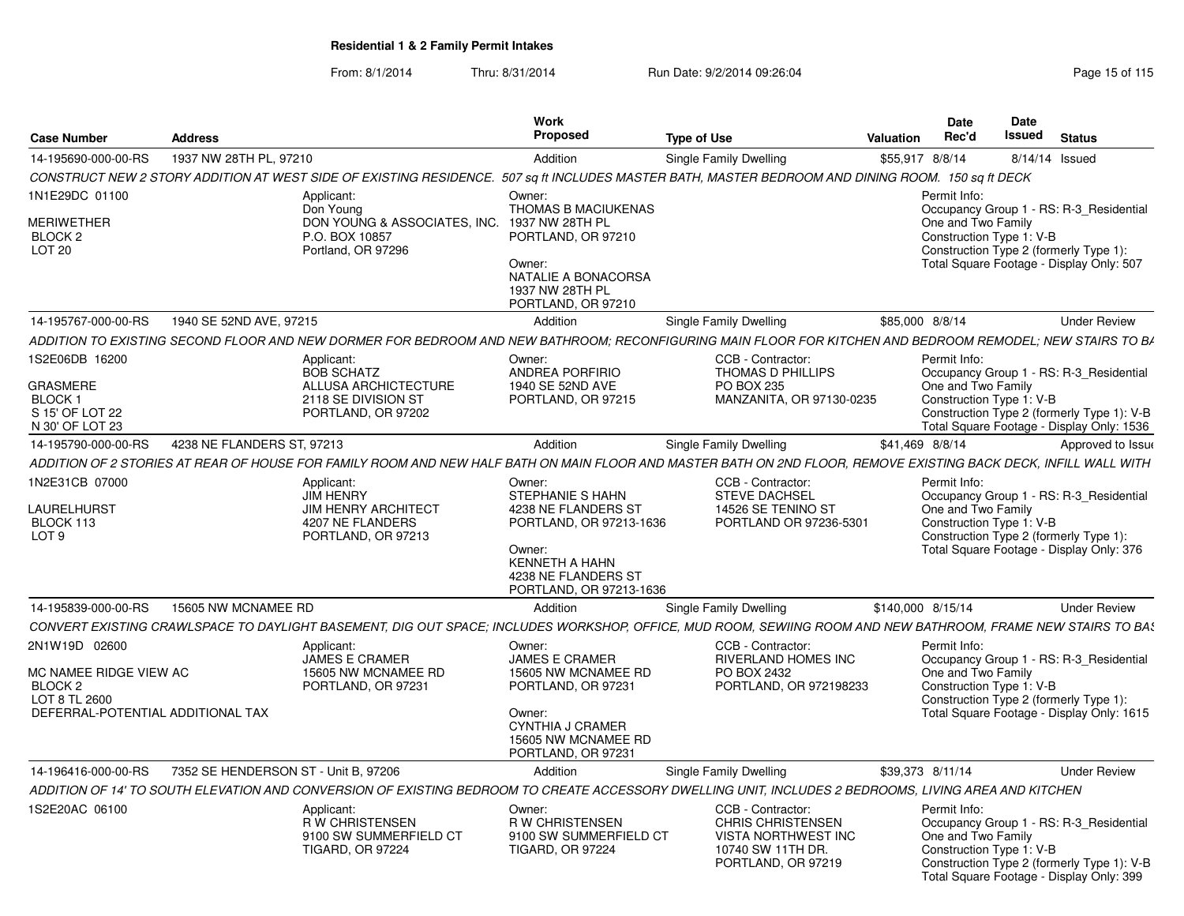| <b>Case Number</b>                                       | <b>Address</b>                       |                                                                                                                                                                  | Work<br>Proposed                                                                                      | <b>Type of Use</b>                                                                                                     | Valuation         | <b>Date</b><br>Rec'd | <b>Date</b><br>Issued                                              | <b>Status</b>                                                                                                                     |
|----------------------------------------------------------|--------------------------------------|------------------------------------------------------------------------------------------------------------------------------------------------------------------|-------------------------------------------------------------------------------------------------------|------------------------------------------------------------------------------------------------------------------------|-------------------|----------------------|--------------------------------------------------------------------|-----------------------------------------------------------------------------------------------------------------------------------|
| 14-195690-000-00-RS                                      | 1937 NW 28TH PL, 97210               |                                                                                                                                                                  | Addition                                                                                              | Single Family Dwelling                                                                                                 | \$55,917 8/8/14   |                      |                                                                    | 8/14/14 Issued                                                                                                                    |
|                                                          |                                      | CONSTRUCT NEW 2 STORY ADDITION AT WEST SIDE OF EXISTING RESIDENCE. 507 sq ft INCLUDES MASTER BATH, MASTER BEDROOM AND DINING ROOM. 150 sq ft DECK                |                                                                                                       |                                                                                                                        |                   |                      |                                                                    |                                                                                                                                   |
| 1N1E29DC 01100<br>MERIWETHER                             |                                      | Applicant:<br>Don Young<br>DON YOUNG & ASSOCIATES, INC.                                                                                                          | Owner:<br>THOMAS B MACIUKENAS<br>1937 NW 28TH PL                                                      |                                                                                                                        |                   | Permit Info:         | One and Two Family                                                 | Occupancy Group 1 - RS: R-3_Residential                                                                                           |
| BLOCK <sub>2</sub><br>LOT <sub>20</sub>                  |                                      | P.O. BOX 10857<br>Portland, OR 97296                                                                                                                             | PORTLAND, OR 97210<br>Owner:<br>NATALIE A BONACORSA<br>1937 NW 28TH PL<br>PORTLAND, OR 97210          |                                                                                                                        |                   |                      | Construction Type 1: V-B<br>Construction Type 2 (formerly Type 1): | Total Square Footage - Display Only: 507                                                                                          |
| 14-195767-000-00-RS                                      | 1940 SE 52ND AVE, 97215              |                                                                                                                                                                  | Addition                                                                                              | Single Family Dwelling                                                                                                 | \$85,000 8/8/14   |                      |                                                                    | <b>Under Review</b>                                                                                                               |
|                                                          |                                      | ADDITION TO EXISTING SECOND FLOOR AND NEW DORMER FOR BEDROOM AND NEW BATHROOM: RECONFIGURING MAIN FLOOR FOR KITCHEN AND BEDROOM REMODEL: NEW STAIRS TO B/        |                                                                                                       |                                                                                                                        |                   |                      |                                                                    |                                                                                                                                   |
| 1S2E06DB 16200<br><b>GRASMERE</b>                        |                                      | Applicant:<br><b>BOB SCHATZ</b><br><b>ALLUSA ARCHICTECTURE</b>                                                                                                   | Owner:<br><b>ANDREA PORFIRIO</b><br>1940 SE 52ND AVE                                                  | CCB - Contractor:<br>THOMAS D PHILLIPS<br><b>PO BOX 235</b>                                                            |                   | Permit Info:         | One and Two Family                                                 | Occupancy Group 1 - RS: R-3_Residential                                                                                           |
| BLOCK <sub>1</sub><br>S 15' OF LOT 22<br>N 30' OF LOT 23 |                                      | 2118 SE DIVISION ST<br>PORTLAND, OR 97202                                                                                                                        | PORTLAND, OR 97215                                                                                    | MANZANITA, OR 97130-0235                                                                                               |                   |                      | Construction Type 1: V-B                                           | Construction Type 2 (formerly Type 1): V-B<br>Total Square Footage - Display Only: 1536                                           |
| 14-195790-000-00-RS                                      | 4238 NE FLANDERS ST, 97213           |                                                                                                                                                                  | Addition                                                                                              | Single Family Dwelling                                                                                                 | \$41,469 8/8/14   |                      |                                                                    | Approved to Issue                                                                                                                 |
|                                                          |                                      | ADDITION OF 2 STORIES AT REAR OF HOUSE FOR FAMILY ROOM AND NEW HALF BATH ON MAIN FLOOR AND MASTER BATH ON 2ND FLOOR. REMOVE EXISTING BACK DECK. INFILL WALL WITH |                                                                                                       |                                                                                                                        |                   |                      |                                                                    |                                                                                                                                   |
| 1N2E31CB 07000<br>LAURELHURST                            |                                      | Applicant:<br><b>JIM HENRY</b><br><b>JIM HENRY ARCHITECT</b>                                                                                                     | Owner:<br>STEPHANIE S HAHN<br>4238 NE FLANDERS ST                                                     | CCB - Contractor:<br><b>STEVE DACHSEL</b><br>14526 SE TENINO ST                                                        |                   | Permit Info:         | One and Two Family                                                 | Occupancy Group 1 - RS: R-3 Residential                                                                                           |
| BLOCK 113<br>LOT <sub>9</sub>                            |                                      | 4207 NE FLANDERS<br>PORTLAND, OR 97213                                                                                                                           | PORTLAND, OR 97213-1636<br>Owner:<br>KENNETH A HAHN<br>4238 NE FLANDERS ST<br>PORTLAND, OR 97213-1636 | PORTLAND OR 97236-5301                                                                                                 |                   |                      | Construction Type 1: V-B<br>Construction Type 2 (formerly Type 1): | Total Square Footage - Display Only: 376                                                                                          |
| 14-195839-000-00-RS                                      | 15605 NW MCNAMEE RD                  |                                                                                                                                                                  | Addition                                                                                              | Single Family Dwelling                                                                                                 | \$140,000 8/15/14 |                      |                                                                    | <b>Under Review</b>                                                                                                               |
|                                                          |                                      | CONVERT EXISTING CRAWLSPACE TO DAYLIGHT BASEMENT. DIG OUT SPACE: INCLUDES WORKSHOP, OFFICE. MUD ROOM, SEWIING ROOM AND NEW BATHROOM, FRAME NEW STAIRS TO BAS     |                                                                                                       |                                                                                                                        |                   |                      |                                                                    |                                                                                                                                   |
| 2N1W19D 02600                                            |                                      | Applicant:<br>JAMES E CRAMER<br>15605 NW MCNAMEE RD                                                                                                              | Owner:<br><b>JAMES E CRAMER</b><br>15605 NW MCNAMEE RD                                                | CCB - Contractor:<br><b>RIVERLAND HOMES INC</b>                                                                        |                   | Permit Info:         | One and Two Family                                                 | Occupancy Group 1 - RS: R-3_Residential                                                                                           |
| MC NAMEE RIDGE VIEW AC<br>BLOCK 2<br>LOT 8 TL 2600       |                                      | PORTLAND, OR 97231                                                                                                                                               | PORTLAND, OR 97231                                                                                    | PO BOX 2432<br>PORTLAND, OR 972198233                                                                                  |                   |                      | Construction Type 1: V-B<br>Construction Type 2 (formerly Type 1): |                                                                                                                                   |
| DEFERRAL-POTENTIAL ADDITIONAL TAX                        |                                      |                                                                                                                                                                  | Owner:<br><b>CYNTHIA J CRAMER</b><br>15605 NW MCNAMEE RD<br>PORTLAND, OR 97231                        |                                                                                                                        |                   |                      |                                                                    | Total Square Footage - Display Only: 1615                                                                                         |
| 14-196416-000-00-RS                                      | 7352 SE HENDERSON ST - Unit B, 97206 |                                                                                                                                                                  | Addition                                                                                              | Single Family Dwelling                                                                                                 | \$39,373 8/11/14  |                      |                                                                    | <b>Under Review</b>                                                                                                               |
|                                                          |                                      | ADDITION OF 14' TO SOUTH ELEVATION AND CONVERSION OF EXISTING BEDROOM TO CREATE ACCESSORY DWELLING UNIT. INCLUDES 2 BEDROOMS. LIVING AREA AND KITCHEN            |                                                                                                       |                                                                                                                        |                   |                      |                                                                    |                                                                                                                                   |
| 1S2E20AC 06100                                           |                                      | Applicant:<br><b>RW CHRISTENSEN</b><br>9100 SW SUMMERFIELD CT<br><b>TIGARD, OR 97224</b>                                                                         | Owner:<br><b>RW CHRISTENSEN</b><br>9100 SW SUMMERFIELD CT<br><b>TIGARD, OR 97224</b>                  | CCB - Contractor:<br><b>CHRIS CHRISTENSEN</b><br><b>VISTA NORTHWEST INC</b><br>10740 SW 11TH DR.<br>PORTLAND, OR 97219 |                   | Permit Info:         | One and Two Family<br>Construction Type 1: V-B                     | Occupancy Group 1 - RS: R-3 Residential<br>Construction Type 2 (formerly Type 1): V-B<br>Total Square Footage - Display Only: 399 |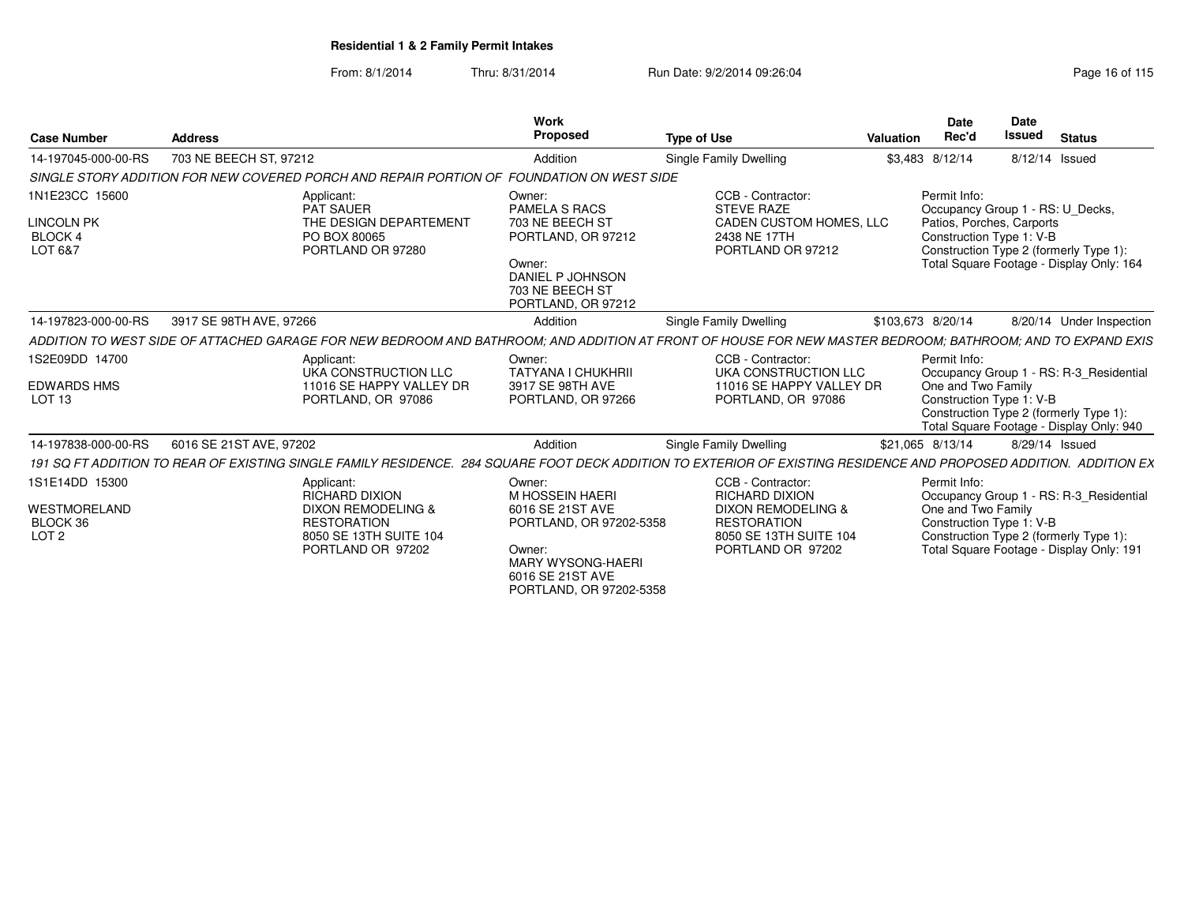| <b>Case Number</b>                                                    | <b>Address</b>          |                                                                                                                                           | Work<br><b>Proposed</b>                                                                                                                        | <b>Type of Use</b>                                                                                                                                                 | Valuation         | <b>Date</b><br>Rec'd                                                  | Date<br><b>Issued</b> | <b>Status</b>                                                                                                                 |
|-----------------------------------------------------------------------|-------------------------|-------------------------------------------------------------------------------------------------------------------------------------------|------------------------------------------------------------------------------------------------------------------------------------------------|--------------------------------------------------------------------------------------------------------------------------------------------------------------------|-------------------|-----------------------------------------------------------------------|-----------------------|-------------------------------------------------------------------------------------------------------------------------------|
| 14-197045-000-00-RS                                                   | 703 NE BEECH ST, 97212  |                                                                                                                                           | Addition                                                                                                                                       | Single Family Dwelling                                                                                                                                             |                   | \$3,483 8/12/14                                                       |                       | 8/12/14 Issued                                                                                                                |
|                                                                       |                         | SINGLE STORY ADDITION FOR NEW COVERED PORCH AND REPAIR PORTION OF FOUNDATION ON WEST SIDE                                                 |                                                                                                                                                |                                                                                                                                                                    |                   |                                                                       |                       |                                                                                                                               |
| 1N1E23CC 15600<br><b>LINCOLN PK</b><br><b>BLOCK 4</b><br>LOT 6&7      |                         | Applicant:<br>PAT SAUER<br>THE DESIGN DEPARTEMENT<br>PO BOX 80065<br>PORTLAND OR 97280                                                    | Owner:<br><b>PAMELA S RACS</b><br>703 NE BEECH ST<br>PORTLAND, OR 97212<br>Owner:<br>DANIEL P JOHNSON<br>703 NE BEECH ST<br>PORTLAND, OR 97212 | CCB - Contractor:<br><b>STEVE RAZE</b><br>CADEN CUSTOM HOMES, LLC<br>2438 NE 17TH<br>PORTLAND OR 97212                                                             |                   | Permit Info:<br>Patios, Porches, Carports<br>Construction Type 1: V-B |                       | Occupancy Group 1 - RS: U_Decks,<br>Construction Type 2 (formerly Type 1):<br>Total Square Footage - Display Only: 164        |
| 14-197823-000-00-RS                                                   | 3917 SE 98TH AVE, 97266 |                                                                                                                                           | Addition                                                                                                                                       | Single Family Dwelling                                                                                                                                             | \$103,673 8/20/14 |                                                                       |                       | 8/20/14 Under Inspection                                                                                                      |
|                                                                       |                         |                                                                                                                                           |                                                                                                                                                | ADDITION TO WEST SIDE OF ATTACHED GARAGE FOR NEW BEDROOM AND BATHROOM: AND ADDITION AT FRONT OF HOUSE FOR NEW MASTER BEDROOM: BATHROOM: AND TO EXPAND EXIS         |                   |                                                                       |                       |                                                                                                                               |
| 1S2E09DD 14700<br><b>EDWARDS HMS</b><br>LOT <sub>13</sub>             |                         | Applicant:<br>UKA CONSTRUCTION LLC<br>11016 SE HAPPY VALLEY DR<br>PORTLAND, OR 97086                                                      | Owner:<br>TATYANA I CHUKHRII<br>3917 SE 98TH AVE<br>PORTLAND, OR 97266                                                                         | CCB - Contractor:<br>UKA CONSTRUCTION LLC<br>11016 SE HAPPY VALLEY DR<br>PORTLAND, OR 97086                                                                        |                   | Permit Info:<br>One and Two Family<br>Construction Type 1: V-B        |                       | Occupancy Group 1 - RS: R-3_Residential<br>Construction Type 2 (formerly Type 1):<br>Total Square Footage - Display Only: 940 |
| 14-197838-000-00-RS                                                   | 6016 SE 21ST AVE, 97202 |                                                                                                                                           | Addition                                                                                                                                       | Single Family Dwelling                                                                                                                                             |                   | \$21.065 8/13/14                                                      |                       | 8/29/14 Issued                                                                                                                |
|                                                                       |                         |                                                                                                                                           |                                                                                                                                                | 191 SQ FT ADDITION TO REAR OF EXISTING SINGLE FAMILY RESIDENCE. 284 SQUARE FOOT DECK ADDITION TO EXTERIOR OF EXISTING RESIDENCE AND PROPOSED ADDITION. ADDITION EX |                   |                                                                       |                       |                                                                                                                               |
| 1S1E14DD 15300<br><b>WESTMORELAND</b><br>BLOCK 36<br>LOT <sub>2</sub> |                         | Applicant:<br><b>RICHARD DIXION</b><br><b>DIXON REMODELING &amp;</b><br><b>RESTORATION</b><br>8050 SE 13TH SUITE 104<br>PORTLAND OR 97202 | Owner:<br>M HOSSEIN HAERI<br>6016 SE 21ST AVE<br>PORTLAND, OR 97202-5358<br>Owner:<br><b>MARY WYSONG-HAERI</b><br>6016 SE 21ST AVE             | CCB - Contractor:<br><b>RICHARD DIXION</b><br><b>DIXON REMODELING &amp;</b><br><b>RESTORATION</b><br>8050 SE 13TH SUITE 104<br>PORTLAND OR 97202                   |                   | Permit Info:<br>One and Two Family<br>Construction Type 1: V-B        |                       | Occupancy Group 1 - RS: R-3_Residential<br>Construction Type 2 (formerly Type 1):<br>Total Square Footage - Display Only: 191 |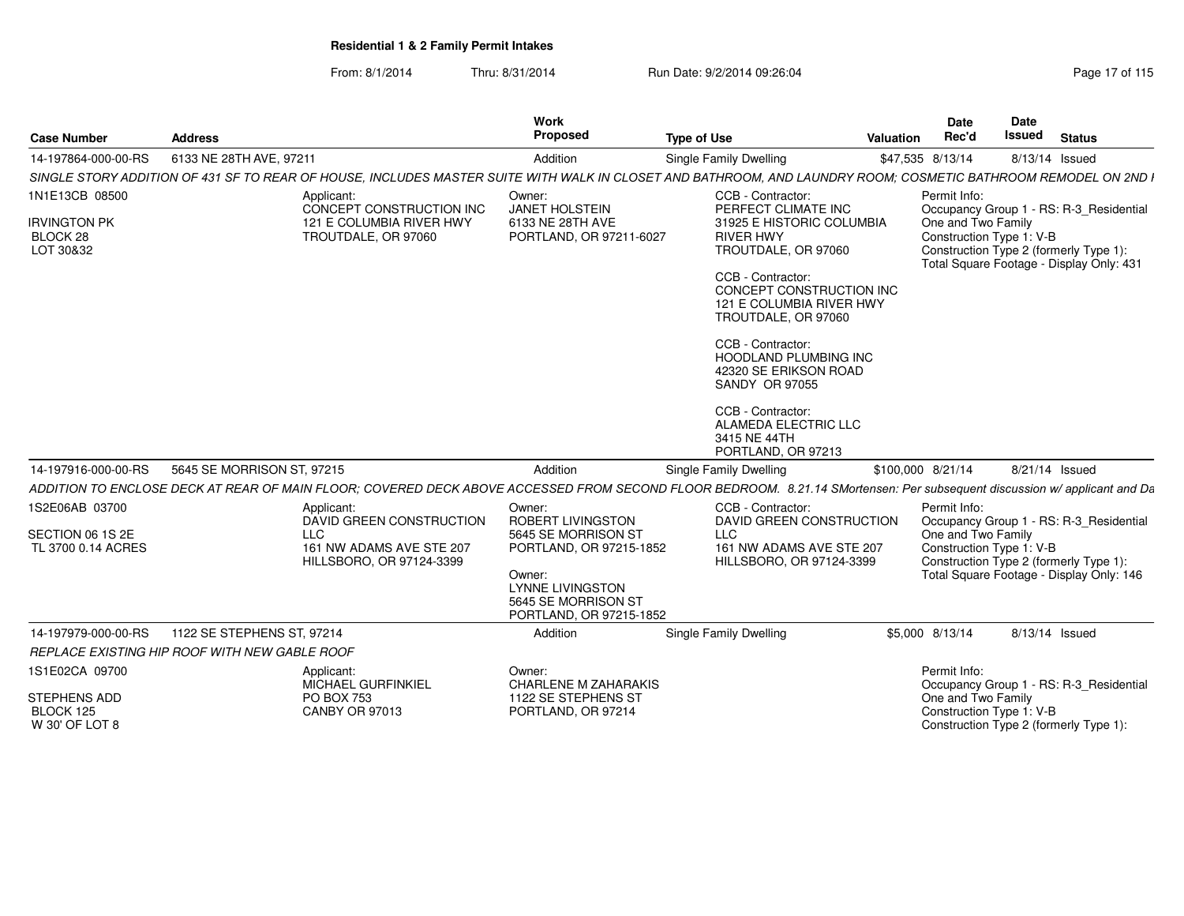| <b>Case Number</b>                           | <b>Address</b>                                                                                                                                                           | Work<br><b>Proposed</b>                                                                                                               | <b>Type of Use</b>                                                                                                                                                                                                                                                                                             | <b>Date</b><br>Rec'd<br>Valuation | <b>Date</b><br>Issued<br><b>Status</b>                                                                         |
|----------------------------------------------|--------------------------------------------------------------------------------------------------------------------------------------------------------------------------|---------------------------------------------------------------------------------------------------------------------------------------|----------------------------------------------------------------------------------------------------------------------------------------------------------------------------------------------------------------------------------------------------------------------------------------------------------------|-----------------------------------|----------------------------------------------------------------------------------------------------------------|
| 14-197864-000-00-RS                          | 6133 NE 28TH AVE, 97211                                                                                                                                                  | Addition                                                                                                                              | <b>Single Family Dwelling</b>                                                                                                                                                                                                                                                                                  | \$47,535 8/13/14                  | 8/13/14 Issued                                                                                                 |
|                                              | SINGLE STORY ADDITION OF 431 SF TO REAR OF HOUSE, INCLUDES MASTER SUITE WITH WALK IN CLOSET AND BATHROOM, AND LAUNDRY ROOM; COSMETIC BATHROOM REMODEL ON 2ND I           |                                                                                                                                       |                                                                                                                                                                                                                                                                                                                |                                   |                                                                                                                |
| 1N1E13CB 08500                               | Applicant:<br>CONCEPT CONSTRUCTION INC                                                                                                                                   | Owner:<br>JANET HOLSTEIN                                                                                                              | CCB - Contractor:<br>PERFECT CLIMATE INC                                                                                                                                                                                                                                                                       | Permit Info:                      | Occupancy Group 1 - RS: R-3_Residential                                                                        |
| <b>IRVINGTON PK</b><br>BLOCK 28<br>LOT 30&32 | 121 E COLUMBIA RIVER HWY<br>TROUTDALE, OR 97060                                                                                                                          | 6133 NE 28TH AVE<br>PORTLAND, OR 97211-6027                                                                                           | 31925 E HISTORIC COLUMBIA<br>RIVER HWY<br>TROUTDALE, OR 97060<br>CCB - Contractor:<br>CONCEPT CONSTRUCTION INC<br>121 E COLUMBIA RIVER HWY<br>TROUTDALE, OR 97060<br>CCB - Contractor:<br><b>HOODLAND PLUMBING INC</b><br>42320 SE ERIKSON ROAD<br>SANDY OR 97055<br>CCB - Contractor:<br>ALAMEDA ELECTRIC LLC | One and Two Family                | Construction Type 1: V-B<br>Construction Type 2 (formerly Type 1):<br>Total Square Footage - Display Only: 431 |
|                                              |                                                                                                                                                                          |                                                                                                                                       | 3415 NE 44TH<br>PORTLAND, OR 97213                                                                                                                                                                                                                                                                             |                                   |                                                                                                                |
| 14-197916-000-00-RS                          | 5645 SE MORRISON ST, 97215                                                                                                                                               | Addition                                                                                                                              | Single Family Dwelling                                                                                                                                                                                                                                                                                         | \$100,000 8/21/14                 | 8/21/14 Issued                                                                                                 |
|                                              | ADDITION TO ENCLOSE DECK AT REAR OF MAIN FLOOR; COVERED DECK ABOVE ACCESSED FROM SECOND FLOOR BEDROOM. 8.21.14 SMortensen: Per subsequent discussion w/ applicant and Da |                                                                                                                                       |                                                                                                                                                                                                                                                                                                                |                                   |                                                                                                                |
| 1S2E06AB 03700                               | Applicant:<br>DAVID GREEN CONSTRUCTION                                                                                                                                   | Owner:<br><b>ROBERT LIVINGSTON</b>                                                                                                    | CCB - Contractor:<br>DAVID GREEN CONSTRUCTION                                                                                                                                                                                                                                                                  | Permit Info:                      | Occupancy Group 1 - RS: R-3_Residential                                                                        |
| SECTION 06 1S 2E<br>TL 3700 0.14 ACRES       | LLC<br>161 NW ADAMS AVE STE 207<br>HILLSBORO, OR 97124-3399                                                                                                              | 5645 SE MORRISON ST<br>PORTLAND, OR 97215-1852<br>Owner:<br><b>LYNNE LIVINGSTON</b><br>5645 SE MORRISON ST<br>PORTLAND, OR 97215-1852 | <b>LLC</b><br>161 NW ADAMS AVE STE 207<br>HILLSBORO, OR 97124-3399                                                                                                                                                                                                                                             | One and Two Family                | Construction Type 1: V-B<br>Construction Type 2 (formerly Type 1):<br>Total Square Footage - Display Only: 146 |
| 14-197979-000-00-RS                          | 1122 SE STEPHENS ST, 97214                                                                                                                                               | Addition                                                                                                                              | <b>Single Family Dwelling</b>                                                                                                                                                                                                                                                                                  | \$5,000 8/13/14                   | 8/13/14 Issued                                                                                                 |
|                                              | REPLACE EXISTING HIP ROOF WITH NEW GABLE ROOF                                                                                                                            |                                                                                                                                       |                                                                                                                                                                                                                                                                                                                |                                   |                                                                                                                |
| 1S1E02CA 09700                               | Applicant:<br>MICHAEL GURFINKIEL                                                                                                                                         | Owner:<br><b>CHARLENE M ZAHARAKIS</b>                                                                                                 |                                                                                                                                                                                                                                                                                                                | Permit Info:                      | Occupancy Group 1 - RS: R-3_Residential                                                                        |
| STEPHENS ADD<br>BLOCK 125<br>W 30' OF LOT 8  | PO BOX 753<br><b>CANBY OR 97013</b>                                                                                                                                      | 1122 SE STEPHENS ST<br>PORTLAND, OR 97214                                                                                             |                                                                                                                                                                                                                                                                                                                | One and Two Family                | Construction Type 1: V-B<br>Construction Type 2 (formerly Type 1)                                              |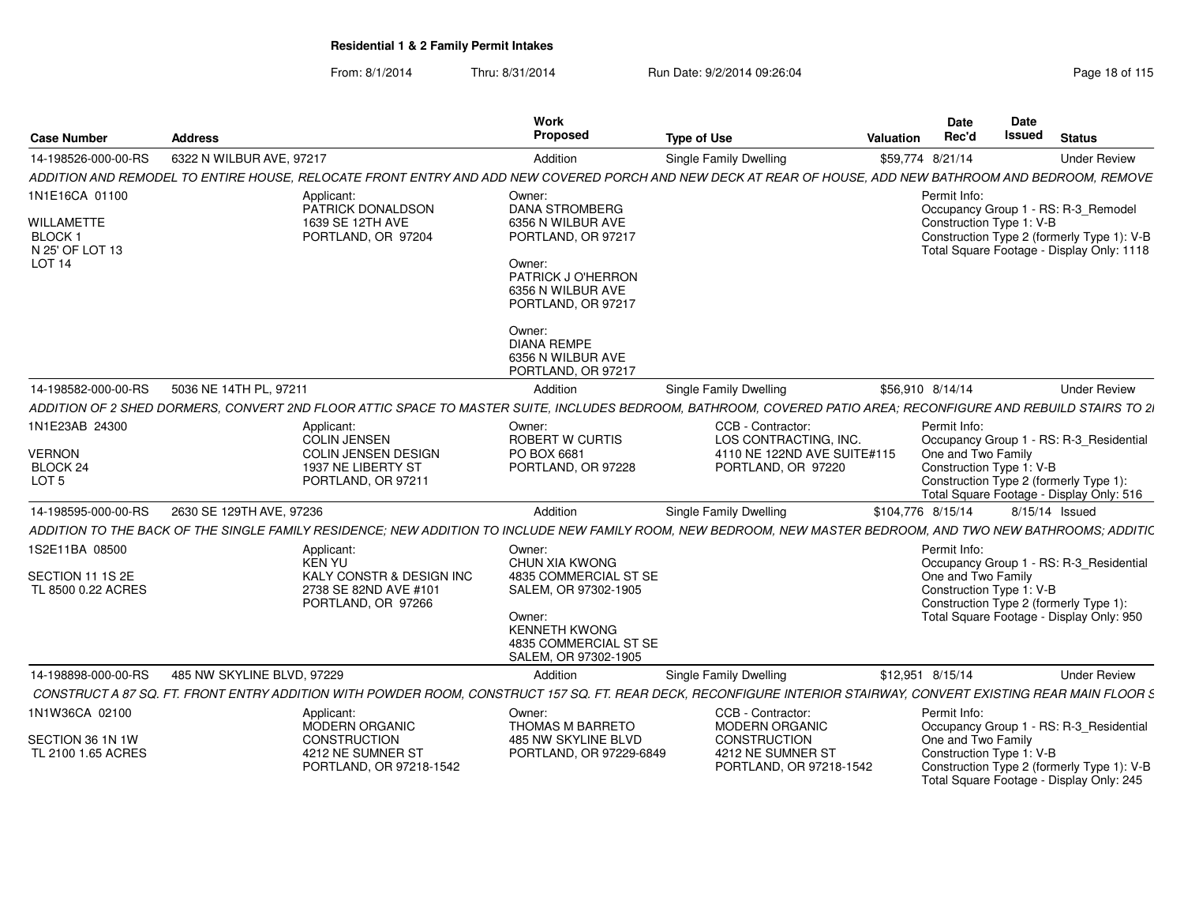| <b>Case Number</b>                                                                     | <b>Address</b>             |                                                                                                                                                                  | Work<br>Proposed                                                                                                                                      | <b>Type of Use</b>                                                                              | <b>Valuation</b>  | Date<br>Rec'd                                                                                                                        | Date<br>Issued | <b>Status</b> |                                                                                         |
|----------------------------------------------------------------------------------------|----------------------------|------------------------------------------------------------------------------------------------------------------------------------------------------------------|-------------------------------------------------------------------------------------------------------------------------------------------------------|-------------------------------------------------------------------------------------------------|-------------------|--------------------------------------------------------------------------------------------------------------------------------------|----------------|---------------|-----------------------------------------------------------------------------------------|
| 14-198526-000-00-RS                                                                    | 6322 N WILBUR AVE, 97217   |                                                                                                                                                                  | Addition                                                                                                                                              | Single Family Dwelling                                                                          | \$59,774 8/21/14  |                                                                                                                                      |                |               | <b>Under Review</b>                                                                     |
|                                                                                        |                            | ADDITION AND REMODEL TO ENTIRE HOUSE, RELOCATE FRONT ENTRY AND ADD NEW COVERED PORCH AND NEW DECK AT REAR OF HOUSE, ADD NEW BATHROOM AND BEDROOM, REMOVE         |                                                                                                                                                       |                                                                                                 |                   |                                                                                                                                      |                |               |                                                                                         |
| 1N1E16CA 01100<br>WILLAMETTE<br>BLOCK <sub>1</sub><br>N 25' OF LOT 13<br><b>LOT 14</b> |                            | Applicant:<br>PATRICK DONALDSON<br>1639 SE 12TH AVE<br>PORTLAND, OR 97204                                                                                        | Owner:<br><b>DANA STROMBERG</b><br>6356 N WILBUR AVE<br>PORTLAND, OR 97217<br>Owner:<br>PATRICK J O'HERRON<br>6356 N WILBUR AVE<br>PORTLAND, OR 97217 |                                                                                                 |                   | Permit Info:<br>Occupancy Group 1 - RS: R-3_Remodel<br>Construction Type 1: V-B                                                      |                |               | Construction Type 2 (formerly Type 1): V-B<br>Total Square Footage - Display Only: 1118 |
|                                                                                        |                            |                                                                                                                                                                  | Owner:<br><b>DIANA REMPE</b><br>6356 N WILBUR AVE<br>PORTLAND, OR 97217                                                                               |                                                                                                 |                   |                                                                                                                                      |                |               |                                                                                         |
| 14-198582-000-00-RS                                                                    | 5036 NE 14TH PL, 97211     |                                                                                                                                                                  | Addition                                                                                                                                              | <b>Single Family Dwelling</b>                                                                   | \$56,910 8/14/14  |                                                                                                                                      |                |               | <b>Under Review</b>                                                                     |
|                                                                                        |                            | ADDITION OF 2 SHED DORMERS, CONVERT 2ND FLOOR ATTIC SPACE TO MASTER SUITE, INCLUDES BEDROOM, BATHROOM, COVERED PATIO AREA; RECONFIGURE AND REBUILD STAIRS TO 21  |                                                                                                                                                       |                                                                                                 |                   |                                                                                                                                      |                |               |                                                                                         |
| 1N1E23AB 24300<br><b>VERNON</b><br>BLOCK 24<br>LOT <sub>5</sub>                        |                            | Applicant:<br>COLIN JENSEN<br>COLIN JENSEN DESIGN<br>1937 NE LIBERTY ST<br>PORTLAND, OR 97211                                                                    | Owner:<br>ROBERT W CURTIS<br>PO BOX 6681<br>PORTLAND, OR 97228                                                                                        | CCB - Contractor:<br>LOS CONTRACTING, INC.<br>4110 NE 122ND AVE SUITE#115<br>PORTLAND, OR 97220 |                   | Permit Info:<br>One and Two Family<br>Construction Type 1: V-B<br>Construction Type 2 (formerly Type 1):                             |                |               | Occupancy Group 1 - RS: R-3_Residential                                                 |
| 14-198595-000-00-RS                                                                    | 2630 SE 129TH AVE, 97236   |                                                                                                                                                                  | Addition                                                                                                                                              | Single Family Dwelling                                                                          | \$104,776 8/15/14 | Total Square Footage - Display Only: 516                                                                                             | 8/15/14 Issued |               |                                                                                         |
|                                                                                        |                            | ADDITION TO THE BACK OF THE SINGLE FAMILY RESIDENCE; NEW ADDITION TO INCLUDE NEW FAMILY ROOM, NEW BEDROOM, NEW MASTER BEDROOM, AND TWO NEW BATHROOMS; ADDITIC    |                                                                                                                                                       |                                                                                                 |                   |                                                                                                                                      |                |               |                                                                                         |
| 1S2E11BA 08500                                                                         |                            | Applicant:                                                                                                                                                       | Owner:                                                                                                                                                |                                                                                                 |                   | Permit Info:                                                                                                                         |                |               |                                                                                         |
| SECTION 11 1S 2E<br>TL 8500 0.22 ACRES                                                 |                            | KEN YU<br>KALY CONSTR & DESIGN INC<br>2738 SE 82ND AVE #101<br>PORTLAND, OR 97266                                                                                | CHUN XIA KWONG<br>4835 COMMERCIAL ST SE<br>SALEM. OR 97302-1905<br>Owner:<br><b>KENNETH KWONG</b><br>4835 COMMERCIAL ST SE<br>SALEM, OR 97302-1905    |                                                                                                 |                   | One and Two Family<br>Construction Type 1: V-B<br>Construction Type 2 (formerly Type 1):<br>Total Square Footage - Display Only: 950 |                |               | Occupancy Group 1 - RS: R-3 Residential                                                 |
| 14-198898-000-00-RS                                                                    | 485 NW SKYLINE BLVD, 97229 |                                                                                                                                                                  | Addition                                                                                                                                              | <b>Single Family Dwelling</b>                                                                   | \$12,951 8/15/14  |                                                                                                                                      |                |               | <b>Under Review</b>                                                                     |
|                                                                                        |                            | CONSTRUCT A 87 SQ. FT. FRONT ENTRY ADDITION WITH POWDER ROOM, CONSTRUCT 157 SQ. FT. REAR DECK, RECONFIGURE INTERIOR STAIRWAY, CONVERT EXISTING REAR MAIN FLOOR S |                                                                                                                                                       |                                                                                                 |                   |                                                                                                                                      |                |               |                                                                                         |
| 1N1W36CA 02100                                                                         |                            | Applicant:<br>MODERN ORGANIC                                                                                                                                     | Owner:<br>THOMAS M BARRETO                                                                                                                            | CCB - Contractor:<br><b>MODERN ORGANIC</b>                                                      |                   | Permit Info:                                                                                                                         |                |               | Occupancy Group 1 - RS: R-3_Residential                                                 |
| SECTION 36 1N 1W<br>TL 2100 1.65 ACRES                                                 |                            | <b>CONSTRUCTION</b><br>4212 NE SUMNER ST<br>PORTLAND, OR 97218-1542                                                                                              | 485 NW SKYLINE BLVD<br>PORTLAND, OR 97229-6849                                                                                                        | CONSTRUCTION<br>4212 NE SUMNER ST<br>PORTLAND, OR 97218-1542                                    |                   | One and Two Family<br>Construction Type 1: V-B<br>Total Square Footage - Display Only: 245                                           |                |               | Construction Type 2 (formerly Type 1): V-B                                              |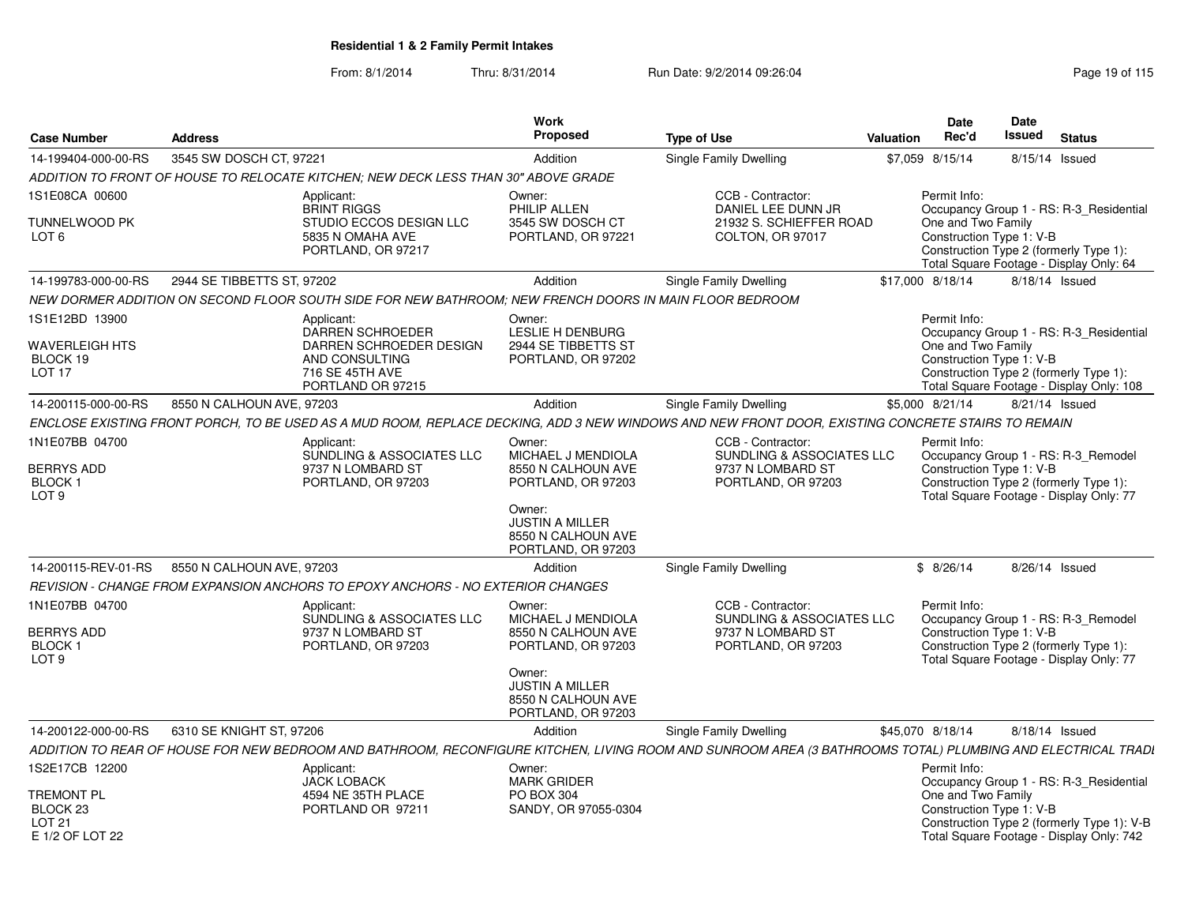| <b>Case Number</b>                                                                             | <b>Address</b>             |                                                                                                                            | Work<br><b>Proposed</b>                                                                                                                                         | <b>Type of Use</b>                                                                                                                                          | <b>Valuation</b> | Date<br>Rec'd                                                  | <b>Date</b><br><b>Issued</b> | <b>Status</b>                                                                                                                     |
|------------------------------------------------------------------------------------------------|----------------------------|----------------------------------------------------------------------------------------------------------------------------|-----------------------------------------------------------------------------------------------------------------------------------------------------------------|-------------------------------------------------------------------------------------------------------------------------------------------------------------|------------------|----------------------------------------------------------------|------------------------------|-----------------------------------------------------------------------------------------------------------------------------------|
| 14-199404-000-00-RS                                                                            | 3545 SW DOSCH CT, 97221    |                                                                                                                            | Addition                                                                                                                                                        | Single Family Dwelling                                                                                                                                      |                  | \$7,059 8/15/14                                                | 8/15/14 Issued               |                                                                                                                                   |
|                                                                                                |                            | ADDITION TO FRONT OF HOUSE TO RELOCATE KITCHEN; NEW DECK LESS THAN 30" ABOVE GRADE                                         |                                                                                                                                                                 |                                                                                                                                                             |                  |                                                                |                              |                                                                                                                                   |
| 1S1E08CA 00600                                                                                 |                            | Applicant:                                                                                                                 | Owner:                                                                                                                                                          | CCB - Contractor:                                                                                                                                           |                  | Permit Info:                                                   |                              |                                                                                                                                   |
| TUNNELWOOD PK<br>LOT <sub>6</sub>                                                              |                            | <b>BRINT RIGGS</b><br>STUDIO ECCOS DESIGN LLC<br>5835 N OMAHA AVE<br>PORTLAND, OR 97217                                    | PHILIP ALLEN<br>3545 SW DOSCH CT<br>PORTLAND, OR 97221                                                                                                          | DANIEL LEE DUNN JR<br>21932 S. SCHIEFFER ROAD<br>COLTON, OR 97017                                                                                           |                  | One and Two Family<br>Construction Type 1: V-B                 |                              | Occupancy Group 1 - RS: R-3 Residential<br>Construction Type 2 (formerly Type 1):<br>Total Square Footage - Display Only: 64      |
| 14-199783-000-00-RS                                                                            | 2944 SE TIBBETTS ST, 97202 |                                                                                                                            | Addition                                                                                                                                                        | Single Family Dwelling                                                                                                                                      |                  | \$17,000 8/18/14                                               | 8/18/14 Issued               |                                                                                                                                   |
|                                                                                                |                            | NEW DORMER ADDITION ON SECOND FLOOR SOUTH SIDE FOR NEW BATHROOM; NEW FRENCH DOORS IN MAIN FLOOR BEDROOM                    |                                                                                                                                                                 |                                                                                                                                                             |                  |                                                                |                              |                                                                                                                                   |
| 1S1E12BD 13900<br><b>WAVERLEIGH HTS</b><br>BLOCK 19<br>LOT <sub>17</sub>                       |                            | Applicant:<br><b>DARREN SCHROEDER</b><br>DARREN SCHROEDER DESIGN<br>AND CONSULTING<br>716 SE 45TH AVE<br>PORTLAND OR 97215 | Owner:<br><b>LESLIE H DENBURG</b><br>2944 SE TIBBETTS ST<br>PORTLAND, OR 97202                                                                                  |                                                                                                                                                             |                  | Permit Info:<br>One and Two Family<br>Construction Type 1: V-B |                              | Occupancy Group 1 - RS: R-3_Residential<br>Construction Type 2 (formerly Type 1):<br>Total Square Footage - Display Only: 108     |
| 14-200115-000-00-RS                                                                            | 8550 N CALHOUN AVE, 97203  |                                                                                                                            | Addition                                                                                                                                                        | Single Family Dwelling                                                                                                                                      |                  | \$5,000 8/21/14                                                | 8/21/14 Issued               |                                                                                                                                   |
|                                                                                                |                            |                                                                                                                            |                                                                                                                                                                 | ENCLOSE EXISTING FRONT PORCH, TO BE USED AS A MUD ROOM, REPLACE DECKING, ADD 3 NEW WINDOWS AND NEW FRONT DOOR, EXISTING CONCRETE STAIRS TO REMAIN           |                  |                                                                |                              |                                                                                                                                   |
| 1N1E07BB 04700<br><b>BERRYS ADD</b><br><b>BLOCK1</b><br>LOT <sub>9</sub>                       |                            | Applicant:<br>SUNDLING & ASSOCIATES LLC<br>9737 N LOMBARD ST<br>PORTLAND, OR 97203                                         | Owner:<br>MICHAEL J MENDIOLA<br>8550 N CALHOUN AVE<br>PORTLAND, OR 97203<br>Owner:<br><b>JUSTIN A MILLER</b><br>8550 N CALHOUN AVE<br>PORTLAND, OR 97203        | CCB - Contractor:<br>SUNDLING & ASSOCIATES LLC<br>9737 N LOMBARD ST<br>PORTLAND, OR 97203                                                                   |                  | Permit Info:<br>Construction Type 1: V-B                       |                              | Occupancy Group 1 - RS: R-3_Remodel<br>Construction Type 2 (formerly Type 1):<br>Total Square Footage - Display Only: 77          |
| 14-200115-REV-01-RS                                                                            | 8550 N CALHOUN AVE, 97203  |                                                                                                                            | Addition                                                                                                                                                        | Single Family Dwelling                                                                                                                                      |                  | \$8/26/14                                                      | 8/26/14 Issued               |                                                                                                                                   |
|                                                                                                |                            | REVISION - CHANGE FROM EXPANSION ANCHORS TO EPOXY ANCHORS - NO EXTERIOR CHANGES                                            |                                                                                                                                                                 |                                                                                                                                                             |                  |                                                                |                              |                                                                                                                                   |
| 1N1E07BB 04700<br><b>BERRYS ADD</b><br><b>BLOCK1</b><br>LOT <sub>9</sub>                       |                            | Applicant:<br>SUNDLING & ASSOCIATES LLC<br>9737 N LOMBARD ST<br>PORTLAND, OR 97203                                         | Owner:<br><b>MICHAEL J MENDIOLA</b><br>8550 N CALHOUN AVE<br>PORTLAND, OR 97203<br>Owner:<br><b>JUSTIN A MILLER</b><br>8550 N CALHOUN AVE<br>PORTLAND, OR 97203 | CCB - Contractor:<br><b>SUNDLING &amp; ASSOCIATES LLC</b><br>9737 N LOMBARD ST<br>PORTLAND, OR 97203                                                        |                  | Permit Info:<br>Construction Type 1: V-B                       |                              | Occupancy Group 1 - RS: R-3 Remodel<br>Construction Type 2 (formerly Type 1):<br>Total Square Footage - Display Only: 77          |
| 14-200122-000-00-RS                                                                            | 6310 SE KNIGHT ST, 97206   |                                                                                                                            | Addition                                                                                                                                                        | Single Family Dwelling                                                                                                                                      |                  | \$45,070 8/18/14                                               | 8/18/14 Issued               |                                                                                                                                   |
|                                                                                                |                            |                                                                                                                            |                                                                                                                                                                 | ADDITION TO REAR OF HOUSE FOR NEW BEDROOM AND BATHROOM, RECONFIGURE KITCHEN, LIVING ROOM AND SUNROOM AREA (3 BATHROOMS TOTAL) PLUMBING AND ELECTRICAL TRADI |                  |                                                                |                              |                                                                                                                                   |
| 1S2E17CB 12200<br><b>TREMONT PL</b><br>BLOCK <sub>23</sub><br><b>LOT 21</b><br>E 1/2 OF LOT 22 |                            | Applicant:<br><b>JACK LOBACK</b><br>4594 NE 35TH PLACE<br>PORTLAND OR 97211                                                | Owner:<br><b>MARK GRIDER</b><br>PO BOX 304<br>SANDY, OR 97055-0304                                                                                              |                                                                                                                                                             |                  | Permit Info:<br>One and Two Family<br>Construction Type 1: V-B |                              | Occupancy Group 1 - RS: R-3_Residential<br>Construction Type 2 (formerly Type 1): V-B<br>Total Square Footage - Display Only: 742 |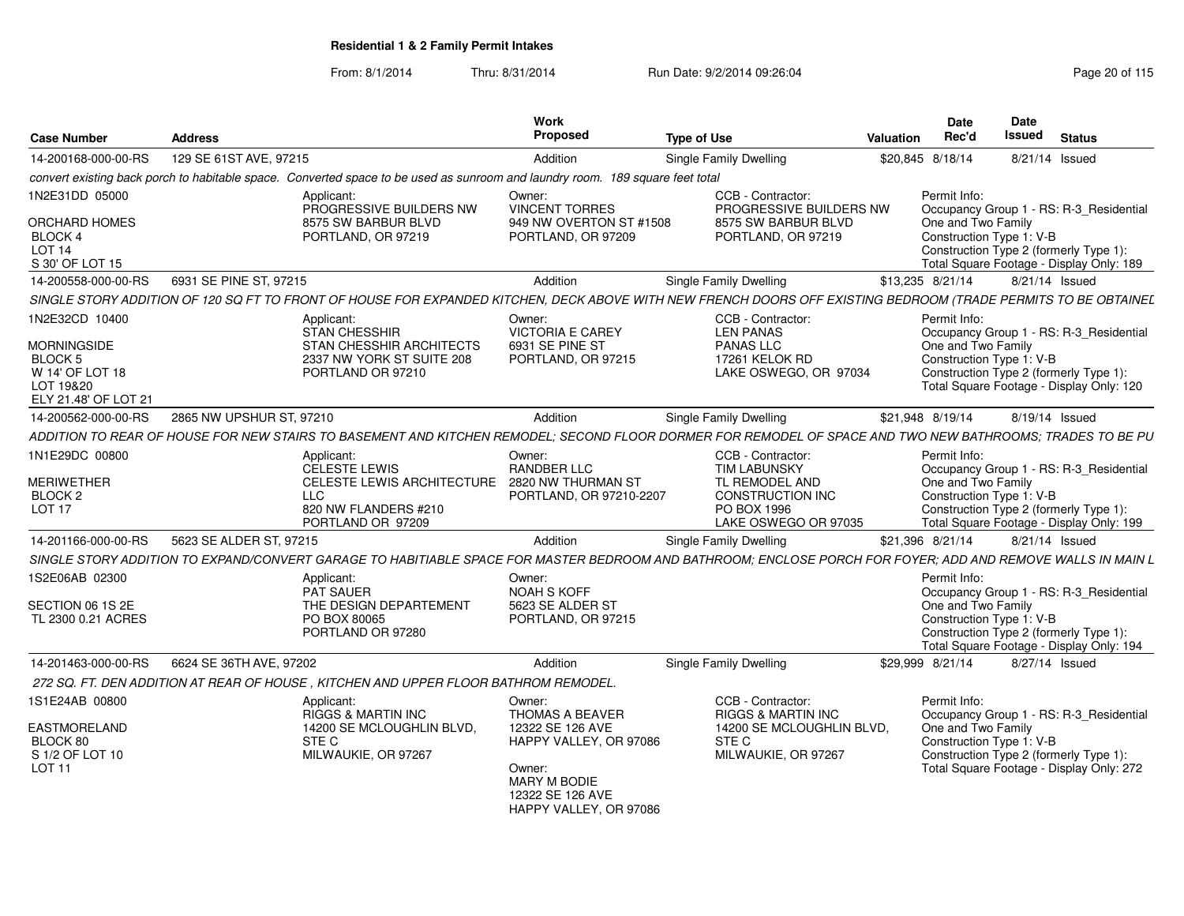| <b>Case Number</b>                                                                    | <b>Address</b>                                                                                                                                                 | Work<br>Proposed                                                                                                          | <b>Type of Use</b>                                                        | Valuation | <b>Date</b><br>Rec'd                           | Date<br><b>Issued</b> | <b>Status</b>                                                                      |
|---------------------------------------------------------------------------------------|----------------------------------------------------------------------------------------------------------------------------------------------------------------|---------------------------------------------------------------------------------------------------------------------------|---------------------------------------------------------------------------|-----------|------------------------------------------------|-----------------------|------------------------------------------------------------------------------------|
| 14-200168-000-00-RS                                                                   | 129 SE 61ST AVE, 97215                                                                                                                                         | Addition                                                                                                                  | Single Family Dwelling                                                    |           | \$20,845 8/18/14                               |                       | 8/21/14 Issued                                                                     |
|                                                                                       | convert existing back porch to habitable space. Converted space to be used as sunroom and laundry room. 189 square feet total                                  |                                                                                                                           |                                                                           |           |                                                |                       |                                                                                    |
| 1N2E31DD 05000                                                                        | Applicant:<br>PROGRESSIVE BUILDERS NW                                                                                                                          | Owner:<br><b>VINCENT TORRES</b>                                                                                           | CCB - Contractor:<br>PROGRESSIVE BUILDERS NW                              |           | Permit Info:                                   |                       | Occupancy Group 1 - RS: R-3 Residential                                            |
| <b>ORCHARD HOMES</b><br>BLOCK 4<br>LOT <sub>14</sub><br>S 30' OF LOT 15               | 8575 SW BARBUR BLVD<br>PORTLAND, OR 97219                                                                                                                      | 949 NW OVERTON ST #1508<br>PORTLAND, OR 97209                                                                             | 8575 SW BARBUR BLVD<br>PORTLAND, OR 97219                                 |           | One and Two Family<br>Construction Type 1: V-B |                       | Construction Type 2 (formerly Type 1):<br>Total Square Footage - Display Only: 189 |
| 14-200558-000-00-RS                                                                   | 6931 SE PINE ST, 97215                                                                                                                                         | Addition                                                                                                                  | Single Family Dwelling                                                    |           | \$13.235 8/21/14                               |                       | 8/21/14 Issued                                                                     |
|                                                                                       | SINGLE STORY ADDITION OF 120 SQ FT TO FRONT OF HOUSE FOR EXPANDED KITCHEN, DECK ABOVE WITH NEW FRENCH DOORS OFF EXISTING BEDROOM (TRADE PERMITS TO BE OBTAINEL |                                                                                                                           |                                                                           |           |                                                |                       |                                                                                    |
| 1N2E32CD 10400                                                                        | Applicant:<br><b>STAN CHESSHIR</b>                                                                                                                             | Owner:<br><b>VICTORIA E CAREY</b>                                                                                         | CCB - Contractor:<br><b>LEN PANAS</b>                                     |           | Permit Info:                                   |                       | Occupancy Group 1 - RS: R-3_Residential                                            |
| MORNINGSIDE<br><b>BLOCK 5</b><br>W 14' OF LOT 18<br>LOT 19&20<br>ELY 21.48' OF LOT 21 | STAN CHESSHIR ARCHITECTS<br>2337 NW YORK ST SUITE 208<br>PORTLAND OR 97210                                                                                     | 6931 SE PINE ST<br>PORTLAND, OR 97215                                                                                     | <b>PANAS LLC</b><br>17261 KELOK RD<br>LAKE OSWEGO, OR 97034               |           | One and Two Family<br>Construction Type 1: V-B |                       | Construction Type 2 (formerly Type 1):<br>Total Square Footage - Display Only: 120 |
| 14-200562-000-00-RS                                                                   | 2865 NW UPSHUR ST, 97210                                                                                                                                       | Addition                                                                                                                  | Single Family Dwelling                                                    |           | \$21,948 8/19/14                               |                       | 8/19/14 Issued                                                                     |
|                                                                                       | ADDITION TO REAR OF HOUSE FOR NEW STAIRS TO BASEMENT AND KITCHEN REMODEL: SECOND FLOOR DORMER FOR REMODEL OF SPACE AND TWO NEW BATHROOMS; TRADES TO BE PU      |                                                                                                                           |                                                                           |           |                                                |                       |                                                                                    |
| 1N1E29DC 00800                                                                        | Applicant:<br><b>CELESTE LEWIS</b>                                                                                                                             | Owner:<br><b>RANDBER LLC</b>                                                                                              | CCB - Contractor:<br><b>TIM LABUNSKY</b>                                  |           | Permit Info:                                   |                       | Occupancy Group 1 - RS: R-3_Residential                                            |
| <b>MERIWETHER</b><br>BLOCK <sub>2</sub><br>LOT <sub>17</sub>                          | CELESTE LEWIS ARCHITECTURE 2820 NW THURMAN ST<br><b>LLC</b><br>820 NW FLANDERS #210<br>PORTLAND OR 97209                                                       | PORTLAND, OR 97210-2207                                                                                                   | TL REMODEL AND<br>CONSTRUCTION INC<br>PO BOX 1996<br>LAKE OSWEGO OR 97035 |           | One and Two Family<br>Construction Type 1: V-B |                       | Construction Type 2 (formerly Type 1):<br>Total Square Footage - Display Only: 199 |
| 14-201166-000-00-RS                                                                   | 5623 SE ALDER ST, 97215                                                                                                                                        | Addition                                                                                                                  | Single Family Dwelling                                                    |           | \$21,396 8/21/14                               |                       | 8/21/14 Issued                                                                     |
|                                                                                       | SINGLE STORY ADDITION TO EXPAND/CONVERT GARAGE TO HABITIABLE SPACE FOR MASTER BEDROOM AND BATHROOM; ENCLOSE PORCH FOR FOYER; ADD AND REMOVE WALLS IN MAIN L    |                                                                                                                           |                                                                           |           |                                                |                       |                                                                                    |
| 1S2E06AB 02300                                                                        | Applicant:<br><b>PAT SAUER</b>                                                                                                                                 | Owner:<br><b>NOAH S KOFF</b>                                                                                              |                                                                           |           | Permit Info:                                   |                       | Occupancy Group 1 - RS: R-3_Residential                                            |
| SECTION 06 1S 2E<br>TL 2300 0.21 ACRES                                                | THE DESIGN DEPARTEMENT<br>PO BOX 80065<br>PORTLAND OR 97280                                                                                                    | 5623 SE ALDER ST<br>PORTLAND, OR 97215                                                                                    |                                                                           |           | One and Two Family<br>Construction Type 1: V-B |                       | Construction Type 2 (formerly Type 1):<br>Total Square Footage - Display Only: 194 |
| 14-201463-000-00-RS                                                                   | 6624 SE 36TH AVE, 97202                                                                                                                                        | Addition                                                                                                                  | Single Family Dwelling                                                    |           | \$29.999 8/21/14                               |                       | 8/27/14 Issued                                                                     |
|                                                                                       | 272 SQ. FT. DEN ADDITION AT REAR OF HOUSE, KITCHEN AND UPPER FLOOR BATHROM REMODEL.                                                                            |                                                                                                                           |                                                                           |           |                                                |                       |                                                                                    |
| 1S1E24AB 00800                                                                        | Applicant:<br><b>RIGGS &amp; MARTIN INC</b>                                                                                                                    | Owner:<br><b>THOMAS A BEAVER</b>                                                                                          | CCB - Contractor:<br><b>RIGGS &amp; MARTIN INC</b>                        |           | Permit Info:                                   |                       | Occupancy Group 1 - RS: R-3 Residential                                            |
| <b>EASTMORELAND</b><br>BLOCK 80<br>S 1/2 OF LOT 10<br>LOT <sub>11</sub>               | 14200 SE MCLOUGHLIN BLVD,<br>STE C<br>MILWAUKIE, OR 97267                                                                                                      | 12322 SE 126 AVE<br>HAPPY VALLEY, OR 97086<br>Owner:<br><b>MARY M BODIE</b><br>12322 SE 126 AVE<br>HAPPY VALLEY, OR 97086 | 14200 SE MCLOUGHLIN BLVD,<br>STE C<br>MILWAUKIE, OR 97267                 |           | One and Two Family<br>Construction Type 1: V-B |                       | Construction Type 2 (formerly Type 1):<br>Total Square Footage - Display Only: 272 |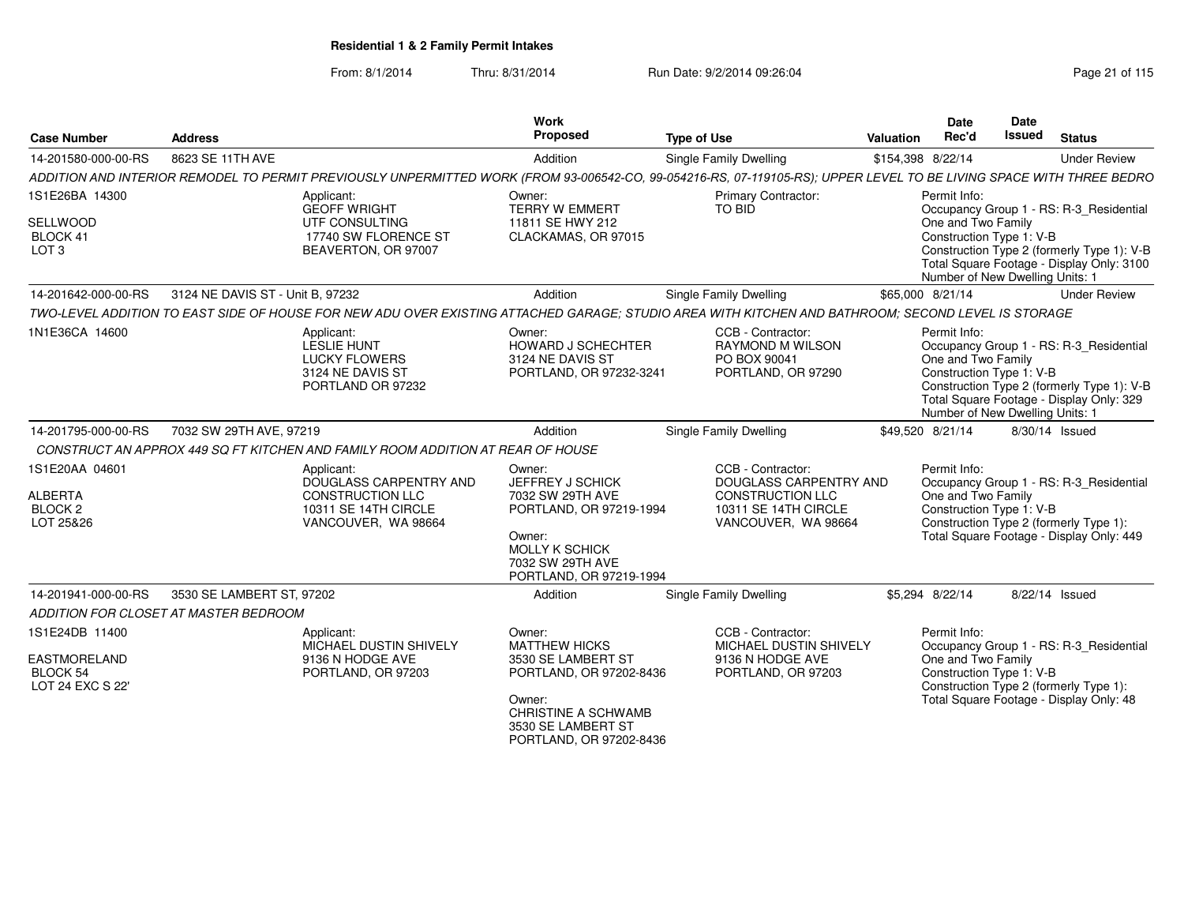| <b>Case Number</b>                                                  | <b>Address</b>                        |                                                                                                                | Work<br>Proposed                                                                                                                                                         | <b>Type of Use</b>                                                                                                                                                   | Date<br>Rec'd<br>Valuation                                                                        | Date<br><b>Issued</b> | <b>Status</b>                                                                                                                      |
|---------------------------------------------------------------------|---------------------------------------|----------------------------------------------------------------------------------------------------------------|--------------------------------------------------------------------------------------------------------------------------------------------------------------------------|----------------------------------------------------------------------------------------------------------------------------------------------------------------------|---------------------------------------------------------------------------------------------------|-----------------------|------------------------------------------------------------------------------------------------------------------------------------|
| 14-201580-000-00-RS                                                 | 8623 SE 11TH AVE                      |                                                                                                                | Addition                                                                                                                                                                 | Single Family Dwelling                                                                                                                                               | \$154,398 8/22/14                                                                                 |                       | <b>Under Review</b>                                                                                                                |
|                                                                     |                                       |                                                                                                                |                                                                                                                                                                          | ADDITION AND INTERIOR REMODEL TO PERMIT PREVIOUSLY UNPERMITTED WORK (FROM 93-006542-CO, 99-054216-RS, 07-119105-RS); UPPER LEVEL TO BE LIVING SPACE WITH THREE BEDRO |                                                                                                   |                       |                                                                                                                                    |
| 1S1E26BA 14300<br>SELLWOOD<br>BLOCK 41<br>LOT <sub>3</sub>          |                                       | Applicant:<br><b>GEOFF WRIGHT</b><br>UTF CONSULTING<br>17740 SW FLORENCE ST<br>BEAVERTON, OR 97007             | Owner:<br><b>TERRY W EMMERT</b><br>11811 SE HWY 212<br>CLACKAMAS, OR 97015                                                                                               | Primary Contractor:<br>TO BID                                                                                                                                        | Permit Info:<br>One and Two Family<br>Construction Type 1: V-B<br>Number of New Dwelling Units: 1 |                       | Occupancy Group 1 - RS: R-3_Residential<br>Construction Type 2 (formerly Type 1): V-B<br>Total Square Footage - Display Only: 3100 |
| 14-201642-000-00-RS                                                 | 3124 NE DAVIS ST - Unit B, 97232      |                                                                                                                | Addition                                                                                                                                                                 | Single Family Dwelling                                                                                                                                               | \$65,000 8/21/14                                                                                  |                       | <b>Under Review</b>                                                                                                                |
|                                                                     |                                       |                                                                                                                |                                                                                                                                                                          | TWO-LEVEL ADDITION TO EAST SIDE OF HOUSE FOR NEW ADU OVER EXISTING ATTACHED GARAGE: STUDIO AREA WITH KITCHEN AND BATHROOM: SECOND LEVEL IS STORAGE                   |                                                                                                   |                       |                                                                                                                                    |
| 1N1E36CA 14600                                                      |                                       | Applicant:<br>LESLIE HUNT<br><b>LUCKY FLOWERS</b><br>3124 NE DAVIS ST<br>PORTLAND OR 97232                     | Owner:<br>HOWARD J SCHECHTER<br>3124 NE DAVIS ST<br>PORTLAND, OR 97232-3241                                                                                              | CCB - Contractor:<br>RAYMOND M WILSON<br>PO BOX 90041<br>PORTLAND, OR 97290                                                                                          | Permit Info:<br>One and Two Family<br>Construction Type 1: V-B<br>Number of New Dwelling Units: 1 |                       | Occupancy Group 1 - RS: R-3_Residential<br>Construction Type 2 (formerly Type 1): V-B<br>Total Square Footage - Display Only: 329  |
| 14-201795-000-00-RS                                                 | 7032 SW 29TH AVE, 97219               |                                                                                                                | Addition                                                                                                                                                                 | <b>Single Family Dwelling</b>                                                                                                                                        | \$49,520 8/21/14                                                                                  |                       | 8/30/14 Issued                                                                                                                     |
|                                                                     |                                       | CONSTRUCT AN APPROX 449 SQ FT KITCHEN AND FAMILY ROOM ADDITION AT REAR OF HOUSE                                |                                                                                                                                                                          |                                                                                                                                                                      |                                                                                                   |                       |                                                                                                                                    |
| 1S1E20AA 04601<br><b>ALBERTA</b><br>BLOCK <sub>2</sub><br>LOT 25&26 |                                       | Applicant:<br>DOUGLASS CARPENTRY AND<br><b>CONSTRUCTION LLC</b><br>10311 SE 14TH CIRCLE<br>VANCOUVER, WA 98664 | Owner:<br>JEFFREY J SCHICK<br>7032 SW 29TH AVE<br>PORTLAND, OR 97219-1994<br>Owner:<br>MOLLY K SCHICK<br>7032 SW 29TH AVE<br>PORTLAND, OR 97219-1994                     | CCB - Contractor:<br>DOUGLASS CARPENTRY AND<br><b>CONSTRUCTION LLC</b><br>10311 SE 14TH CIRCLE<br>VANCOUVER, WA 98664                                                | Permit Info:<br>One and Two Family<br>Construction Type 1: V-B                                    |                       | Occupancy Group 1 - RS: R-3 Residential<br>Construction Type 2 (formerly Type 1):<br>Total Square Footage - Display Only: 449      |
| 14-201941-000-00-RS                                                 | 3530 SE LAMBERT ST, 97202             |                                                                                                                | Addition                                                                                                                                                                 | Single Family Dwelling                                                                                                                                               | \$5,294 8/22/14                                                                                   |                       | 8/22/14 Issued                                                                                                                     |
|                                                                     | ADDITION FOR CLOSET AT MASTER BEDROOM |                                                                                                                |                                                                                                                                                                          |                                                                                                                                                                      |                                                                                                   |                       |                                                                                                                                    |
| 1S1E24DB 11400<br>EASTMORELAND<br>BLOCK 54<br>LOT 24 EXC S 22'      |                                       | Applicant:<br>MICHAEL DUSTIN SHIVELY<br>9136 N HODGE AVE<br>PORTLAND, OR 97203                                 | Owner:<br><b>MATTHEW HICKS</b><br>3530 SE LAMBERT ST<br>PORTLAND, OR 97202-8436<br>Owner:<br><b>CHRISTINE A SCHWAMB</b><br>3530 SE LAMBERT ST<br>PORTLAND, OR 97202-8436 | CCB - Contractor:<br><b>MICHAEL DUSTIN SHIVELY</b><br>9136 N HODGE AVE<br>PORTLAND, OR 97203                                                                         | Permit Info:<br>One and Two Family<br>Construction Type 1: V-B                                    |                       | Occupancy Group 1 - RS: R-3 Residential<br>Construction Type 2 (formerly Type 1):<br>Total Square Footage - Display Only: 48       |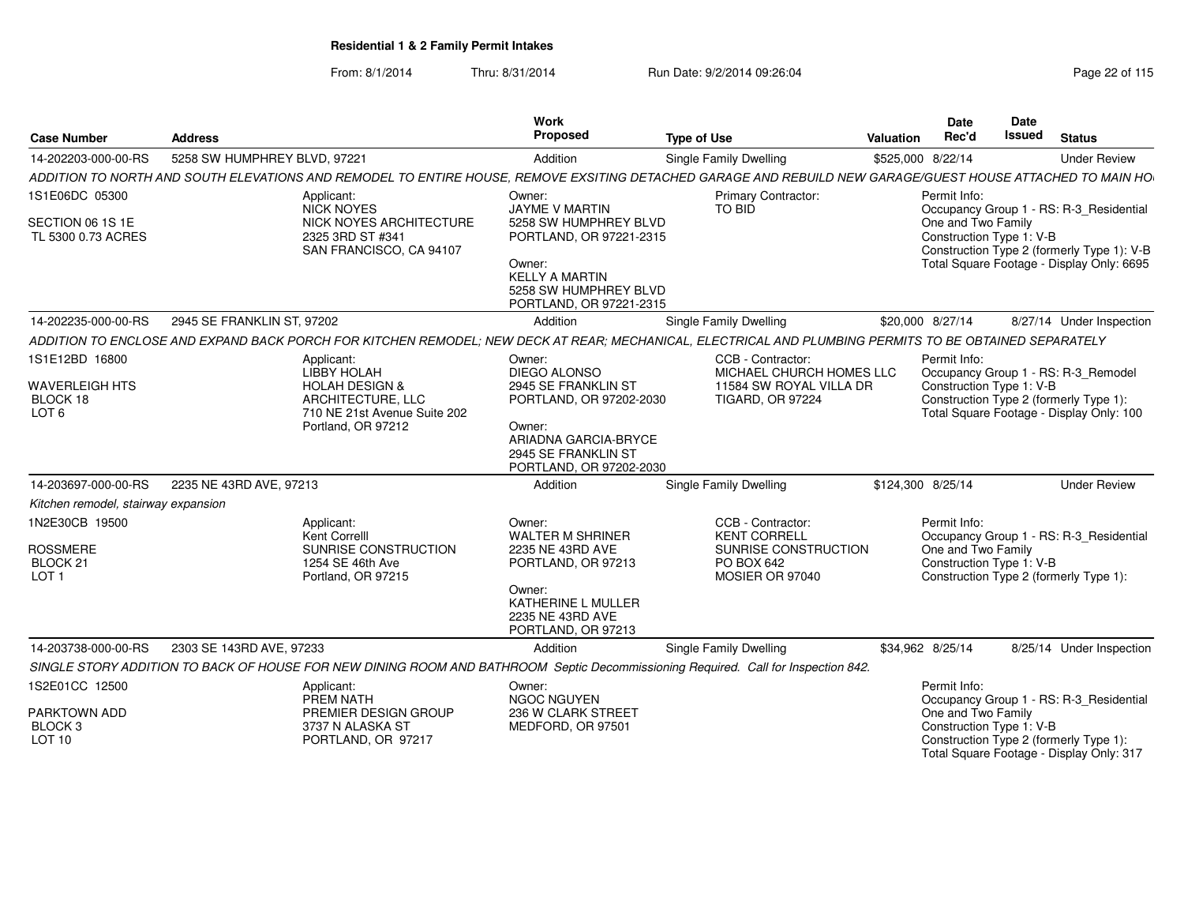|                                                |                                                                                                                                   | Work                                            |                                                                                           | Date                     | Date                                                                                    |
|------------------------------------------------|-----------------------------------------------------------------------------------------------------------------------------------|-------------------------------------------------|-------------------------------------------------------------------------------------------|--------------------------|-----------------------------------------------------------------------------------------|
| <b>Case Number</b>                             | <b>Address</b>                                                                                                                    | Proposed                                        | <b>Type of Use</b>                                                                        | Valuation<br>Rec'd       | <b>Issued Status</b>                                                                    |
|                                                | 14-202203-000-00-RS 5258 SW HUMPHREY BLVD, 97221                                                                                  | Addition                                        | <b>Single Family Dwelling</b>                                                             | \$525,000 8/22/14        | <b>Under Review</b>                                                                     |
|                                                | ADDITION TO NORTH AND SOUTH ELEVATIONS AND REMODEL TO ENTIRE I                                                                    |                                                 | OUSE, REMOVE EXSITING DETACHED GARAGE AND REBUILL                                         |                          | D NEW GARAGE/GUEST HOUSE ATTACHED TO MAIN HO                                            |
| 1S1E06DC 05300                                 | Applicant:                                                                                                                        | Owner:                                          | <b>Primary Contractor:</b>                                                                | Permit Info:             |                                                                                         |
|                                                | NICK NOYES                                                                                                                        | <b>JAYME V MARTIN</b>                           | TO BID                                                                                    |                          | Occupancy Group 1 - RS: R-3 Residential                                                 |
| SECTION 06 1S 1E                               | NICK NOYES ARCHITECTURE                                                                                                           | 5258 SW HUMPHREY BLVD                           |                                                                                           | One and Two Family       |                                                                                         |
| TL 5300 0.73 ACRES                             | 2325 3RD ST #341<br>SAN FRANCISCO, CA 94107                                                                                       | PORTLAND, OR 97221-2315                         |                                                                                           | Construction Type 1: V-B |                                                                                         |
|                                                |                                                                                                                                   | Owner:                                          |                                                                                           |                          | Construction Type 2 (formerly Type 1): V-B<br>Total Square Footage - Display Only: 6695 |
|                                                |                                                                                                                                   | <b>KELLY A MARTIN</b>                           |                                                                                           |                          |                                                                                         |
|                                                |                                                                                                                                   | 5258 SW HUMPHREY BLVD<br>PORTLAND, OR 97221-231 |                                                                                           |                          |                                                                                         |
| 14-202235-000-00-RS 2945 SE FRANKLIN ST, 97202 |                                                                                                                                   |                                                 |                                                                                           |                          |                                                                                         |
|                                                |                                                                                                                                   | Addition                                        | <b>Single Family Dwelling</b>                                                             | \$20,000 8/27/14         | 8/27/14 Under Inspection                                                                |
|                                                | ADDITION TO ENCLOSE AND EXPAND BACK PORCH FOR KITCHEN REMODEL,                                                                    |                                                 | ; NEW DECK AT REAR; MECHANICAL, ELECTRICAL AND PLUMBING PERMITS TO BE OBTAINED SEPARATELY |                          |                                                                                         |
| 1S1E12BD 16800                                 | Applicant:<br>LIBBY HOLAH                                                                                                         | Owner:<br>DIEGO ALONSO                          | CCB - Contractor:<br>MICHAEL CHURCH HOMES LLC                                             | Permit Info:             |                                                                                         |
|                                                | <b>HOLAH DESIGN &amp;</b>                                                                                                         | 2945 SE FRANKLIN ST                             | 11584 SW ROYAL VILLA DR                                                                   |                          | Occupancy Group 1 - RS: R-3_Remodel<br>Construction Type 1: V-B                         |
| WAVERLEIGH HTS<br>BLOCK 18<br>LOT 6            | ARCHITECTURE, LLC                                                                                                                 | PORTLAND, OR 97202-2030                         | <b>TIGARD, OR 97224</b>                                                                   |                          | Construction Type 2 (formerly Type 1):                                                  |
|                                                | 710 NE 21st Avenue Suite 202                                                                                                      |                                                 |                                                                                           |                          | Total Square Footage - Display Only: 100                                                |
|                                                | Portland, OR 97212                                                                                                                | Owner:<br>ARIADNA GARCIA-BRYCE                  |                                                                                           |                          |                                                                                         |
|                                                |                                                                                                                                   | 2945 SE FRANKLIN ST                             |                                                                                           |                          |                                                                                         |
|                                                |                                                                                                                                   | PORTLAND, OR 97202-2030                         |                                                                                           |                          | the control of the control of the control of                                            |
| 14-203697-000-00-RS 2235 NE 43RD AVE, 97213    |                                                                                                                                   | Addition                                        | Single Family Dwelling                                                                    | \$124,300 8/25/14        | <b>Under Review</b>                                                                     |
| Kitchen remodel, stairway expansion            |                                                                                                                                   |                                                 |                                                                                           |                          |                                                                                         |
| 1N2E30CB 19500                                 | Applicant:                                                                                                                        | Owner:                                          | CCB - Contractor:                                                                         | Permit Info:             |                                                                                         |
|                                                | Kent Correlll                                                                                                                     | WALTER M SHRINER                                | <b>KENT CORRELL</b>                                                                       |                          | Occupancy Group 1 - RS: R-3_Residential                                                 |
| <b>ROSSMERE</b>                                | SUNRISE CONSTRUCTION                                                                                                              | 2235 NE 43RD AVE                                | SUNRISE CONSTRUCTION                                                                      | One and Two Family       |                                                                                         |
| BLOCK 21<br>LOT 1                              | 1254 SE 46th Ave<br>Portland, OR 97215                                                                                            | PORTLAND, OR 9721                               | PO BOX 642<br>MOSIER OR 97040                                                             | Construction Type 1: V-B | Construction Type 2 (formerly Type 1):                                                  |
|                                                |                                                                                                                                   | Owner:                                          |                                                                                           |                          |                                                                                         |
|                                                |                                                                                                                                   | KATHERINE L MULLER                              |                                                                                           |                          |                                                                                         |
|                                                |                                                                                                                                   | 2235 NE 43RD AVE                                |                                                                                           |                          |                                                                                         |
|                                                |                                                                                                                                   | PORTLAND, OR 972                                |                                                                                           |                          |                                                                                         |
| 14-203738-000-00-RS 2303 SE 143RD AVE, 97233   |                                                                                                                                   | Addition                                        | Single Family Dwelling                                                                    | \$34,962 8/25/14         | 8/25/14 Under Inspection                                                                |
|                                                | SINGLE STORY ADDITION TO BACK OF HOUSE FOR NEW DINING ROOM AND BATHROOM Septic Decommissioning Required. Call for Inspection 842. |                                                 |                                                                                           |                          |                                                                                         |
| 1S2E01CC 12500                                 | Applicant:<br>PREM NATH                                                                                                           | Owner:<br><b>NGOC NGUYEN</b>                    |                                                                                           | Permit Info:             | Occupancy Group 1 - RS: R-3_Residential                                                 |
| PARKTOWN ADD                                   | PREMIER DESIGN GROUP                                                                                                              | 236 W CLARK STREET                              |                                                                                           | One and Two Family       |                                                                                         |
| BLOCK 3<br>LOT 10                              | 3737 N ALASKA ST                                                                                                                  | MEDFORD, OR 97501                               |                                                                                           | Construction Type 1: V-B |                                                                                         |
|                                                | PORTLAND, OR 97217                                                                                                                |                                                 |                                                                                           |                          | Construction Type 2 (formerly Type 1):                                                  |
|                                                |                                                                                                                                   |                                                 |                                                                                           |                          | Total Square Footage - Display Only: 317                                                |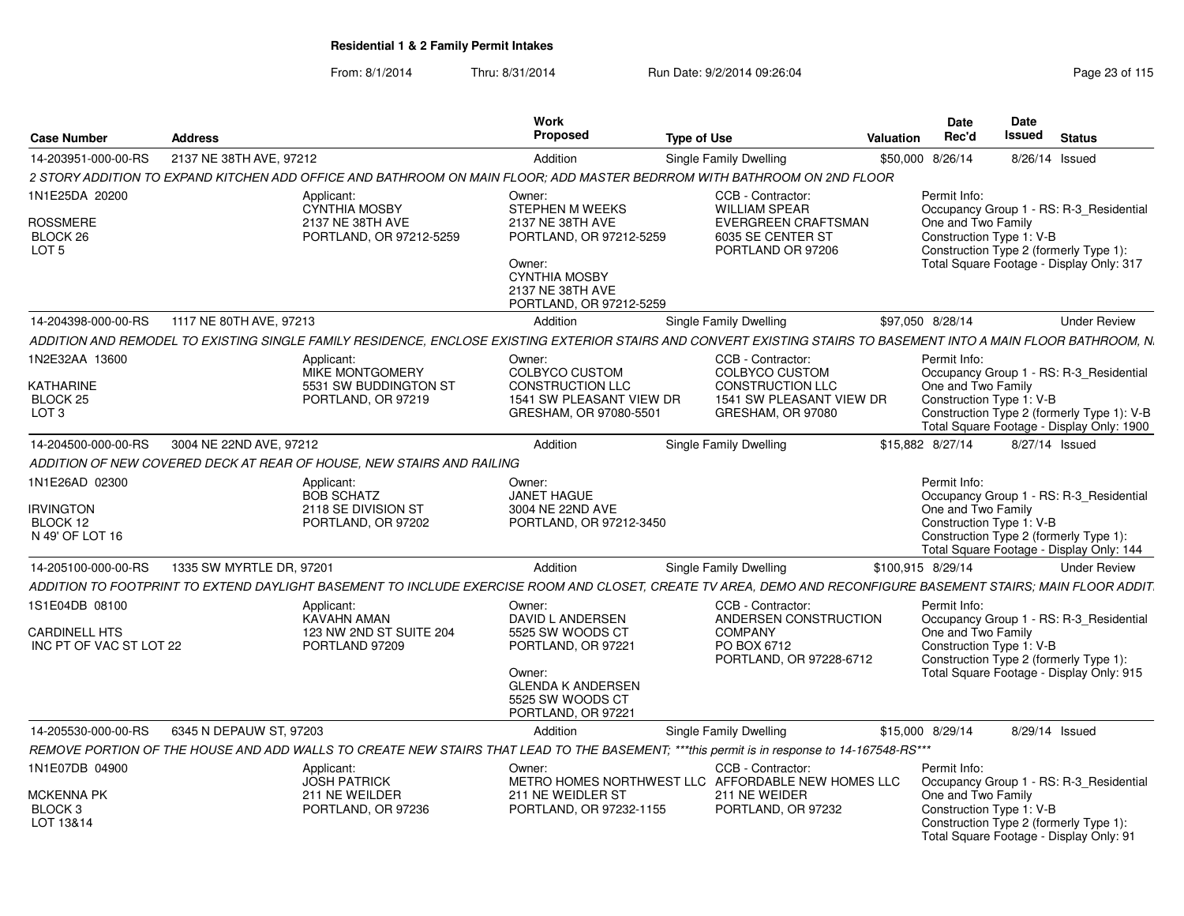| Case Number                                                       | <b>Address</b>                                                                                                                                                    | Work<br>Proposed                                                                                           | <b>Type of Use</b>                                                                                                | Valuation         | <b>Date</b><br><b>Date</b><br>Issued<br>Rec'd  | <b>Status</b>                                                                                                                 |
|-------------------------------------------------------------------|-------------------------------------------------------------------------------------------------------------------------------------------------------------------|------------------------------------------------------------------------------------------------------------|-------------------------------------------------------------------------------------------------------------------|-------------------|------------------------------------------------|-------------------------------------------------------------------------------------------------------------------------------|
| 14-203951-000-00-RS                                               | 2137 NE 38TH AVE, 97212                                                                                                                                           | Addition                                                                                                   | Single Family Dwelling                                                                                            | \$50,000 8/26/14  |                                                | 8/26/14 Issued                                                                                                                |
|                                                                   | 2 STORY ADDITION TO EXPAND KITCHEN ADD OFFICE AND BATHROOM ON MAIN FLOOR; ADD MASTER BEDRROM WITH BATHROOM ON 2ND FLOOR                                           |                                                                                                            |                                                                                                                   |                   |                                                |                                                                                                                               |
| 1N1E25DA 20200<br><b>ROSSMERE</b><br>BLOCK 26<br>LOT <sub>5</sub> | Applicant:<br><b>CYNTHIA MOSBY</b><br>2137 NE 38TH AVE<br>PORTLAND, OR 97212-5259                                                                                 | Owner:<br>STEPHEN M WEEKS<br>2137 NE 38TH AVE<br>PORTLAND, OR 97212-5259<br>Owner:<br><b>CYNTHIA MOSBY</b> | CCB - Contractor:<br><b>WILLIAM SPEAR</b><br><b>EVERGREEN CRAFTSMAN</b><br>6035 SE CENTER ST<br>PORTLAND OR 97206 | Permit Info:      | One and Two Family<br>Construction Type 1: V-B | Occupancy Group 1 - RS: R-3 Residential<br>Construction Type 2 (formerly Type 1):<br>Total Square Footage - Display Only: 317 |
|                                                                   |                                                                                                                                                                   | 2137 NE 38TH AVE<br>PORTLAND, OR 97212-5259                                                                |                                                                                                                   |                   |                                                |                                                                                                                               |
| 14-204398-000-00-RS                                               | 1117 NE 80TH AVE, 97213                                                                                                                                           | Addition                                                                                                   | Single Family Dwelling                                                                                            | \$97,050 8/28/14  |                                                | <b>Under Review</b>                                                                                                           |
|                                                                   | ADDITION AND REMODEL TO EXISTING SINGLE FAMILY RESIDENCE. ENCLOSE EXISTING EXTERIOR STAIRS AND CONVERT EXISTING STAIRS TO BASEMENT INTO A MAIN FLOOR BATHROOM. N. |                                                                                                            |                                                                                                                   |                   |                                                |                                                                                                                               |
| 1N2E32AA 13600                                                    |                                                                                                                                                                   |                                                                                                            | CCB - Contractor:                                                                                                 | Permit Info:      |                                                |                                                                                                                               |
|                                                                   | Applicant:<br><b>MIKE MONTGOMERY</b>                                                                                                                              | Owner:<br><b>COLBYCO CUSTOM</b>                                                                            | <b>COLBYCO CUSTOM</b>                                                                                             |                   |                                                | Occupancy Group 1 - RS: R-3_Residential                                                                                       |
| KATHARINE                                                         | 5531 SW BUDDINGTON ST                                                                                                                                             | CONSTRUCTION LLC                                                                                           | CONSTRUCTION LLC                                                                                                  |                   | One and Two Family                             |                                                                                                                               |
| BLOCK 25                                                          | PORTLAND, OR 97219                                                                                                                                                | 1541 SW PLEASANT VIEW DR                                                                                   | 1541 SW PLEASANT VIEW DR                                                                                          |                   | Construction Type 1: V-B                       |                                                                                                                               |
| LOT <sub>3</sub>                                                  |                                                                                                                                                                   | GRESHAM, OR 97080-5501                                                                                     | GRESHAM, OR 97080                                                                                                 |                   |                                                | Construction Type 2 (formerly Type 1): V-B<br>Total Square Footage - Display Only: 1900                                       |
| 14-204500-000-00-RS                                               | 3004 NE 22ND AVE, 97212                                                                                                                                           | Addition                                                                                                   | Single Family Dwelling                                                                                            | \$15,882 8/27/14  |                                                | 8/27/14 Issued                                                                                                                |
|                                                                   | ADDITION OF NEW COVERED DECK AT REAR OF HOUSE, NEW STAIRS AND RAILING                                                                                             |                                                                                                            |                                                                                                                   |                   |                                                |                                                                                                                               |
| 1N1E26AD 02300                                                    | Applicant:                                                                                                                                                        | Owner:                                                                                                     |                                                                                                                   | Permit Info:      |                                                |                                                                                                                               |
|                                                                   | <b>BOB SCHATZ</b>                                                                                                                                                 | <b>JANET HAGUE</b>                                                                                         |                                                                                                                   |                   |                                                | Occupancy Group 1 - RS: R-3_Residential                                                                                       |
| <b>IRVINGTON</b>                                                  | 2118 SE DIVISION ST                                                                                                                                               | 3004 NE 22ND AVE                                                                                           |                                                                                                                   |                   | One and Two Family                             |                                                                                                                               |
| BLOCK 12                                                          | PORTLAND, OR 97202                                                                                                                                                | PORTLAND, OR 97212-3450                                                                                    |                                                                                                                   |                   | Construction Type 1: V-B                       |                                                                                                                               |
| N 49' OF LOT 16                                                   |                                                                                                                                                                   |                                                                                                            |                                                                                                                   |                   |                                                | Construction Type 2 (formerly Type 1):<br>Total Square Footage - Display Only: 144                                            |
| 14-205100-000-00-RS                                               | 1335 SW MYRTLE DR. 97201                                                                                                                                          | Addition                                                                                                   | Single Family Dwelling                                                                                            | \$100,915 8/29/14 |                                                | <b>Under Review</b>                                                                                                           |
|                                                                   | ADDITION TO FOOTPRINT TO EXTEND DAYLIGHT BASEMENT TO INCLUDE EXERCISE ROOM AND CLOSET, CREATE TV AREA, DEMO AND RECONFIGURE BASEMENT STAIRS; MAIN FLOOR ADDIT     |                                                                                                            |                                                                                                                   |                   |                                                |                                                                                                                               |
|                                                                   |                                                                                                                                                                   |                                                                                                            |                                                                                                                   |                   |                                                |                                                                                                                               |
| 1S1E04DB 08100                                                    | Applicant:<br><b>KAVAHN AMAN</b>                                                                                                                                  | Owner:<br>DAVID L ANDERSEN                                                                                 | CCB - Contractor:<br>ANDERSEN CONSTRUCTION                                                                        | Permit Info:      |                                                | Occupancy Group 1 - RS: R-3_Residential                                                                                       |
| <b>CARDINELL HTS</b>                                              | 123 NW 2ND ST SUITE 204                                                                                                                                           | 5525 SW WOODS CT                                                                                           | <b>COMPANY</b>                                                                                                    |                   | One and Two Family                             |                                                                                                                               |
| INC PT OF VAC ST LOT 22                                           | PORTLAND 97209                                                                                                                                                    | PORTLAND, OR 97221                                                                                         | PO BOX 6712                                                                                                       |                   | Construction Type 1: V-B                       |                                                                                                                               |
|                                                                   |                                                                                                                                                                   |                                                                                                            | PORTLAND, OR 97228-6712                                                                                           |                   |                                                | Construction Type 2 (formerly Type 1):                                                                                        |
|                                                                   |                                                                                                                                                                   | Owner:<br><b>GLENDA K ANDERSEN</b>                                                                         |                                                                                                                   |                   |                                                | Total Square Footage - Display Only: 915                                                                                      |
|                                                                   |                                                                                                                                                                   | 5525 SW WOODS CT                                                                                           |                                                                                                                   |                   |                                                |                                                                                                                               |
|                                                                   |                                                                                                                                                                   | PORTLAND, OR 97221                                                                                         |                                                                                                                   |                   |                                                |                                                                                                                               |
| 14-205530-000-00-RS                                               | 6345 N DEPAUW ST, 97203                                                                                                                                           | Addition                                                                                                   | Single Family Dwelling                                                                                            | \$15,000 8/29/14  |                                                | 8/29/14 Issued                                                                                                                |
|                                                                   | REMOVE PORTION OF THE HOUSE AND ADD WALLS TO CREATE NEW STAIRS THAT LEAD TO THE BASEMENT; ***this permit is in response to 14-167548-RS***                        |                                                                                                            |                                                                                                                   |                   |                                                |                                                                                                                               |
| 1N1E07DB 04900                                                    | Applicant:                                                                                                                                                        | Owner:                                                                                                     | CCB - Contractor:                                                                                                 | Permit Info:      |                                                |                                                                                                                               |
|                                                                   | <b>JOSH PATRICK</b>                                                                                                                                               |                                                                                                            | METRO HOMES NORTHWEST LLC AFFORDABLE NEW HOMES LLC                                                                |                   |                                                | Occupancy Group 1 - RS: R-3_Residential                                                                                       |
| <b>MCKENNA PK</b>                                                 | 211 NE WEILDER                                                                                                                                                    | 211 NE WEIDLER ST                                                                                          | 211 NE WEIDER                                                                                                     |                   | One and Two Family                             |                                                                                                                               |
| BLOCK 3                                                           | PORTLAND, OR 97236                                                                                                                                                | PORTLAND, OR 97232-1155                                                                                    | PORTLAND, OR 97232                                                                                                |                   | Construction Type 1: V-B                       |                                                                                                                               |
| LOT 13&14                                                         |                                                                                                                                                                   |                                                                                                            |                                                                                                                   |                   | Construction Type 2 (formerly Type 1):         | Total Square Footage - Display Only: 91                                                                                       |
|                                                                   |                                                                                                                                                                   |                                                                                                            |                                                                                                                   |                   |                                                |                                                                                                                               |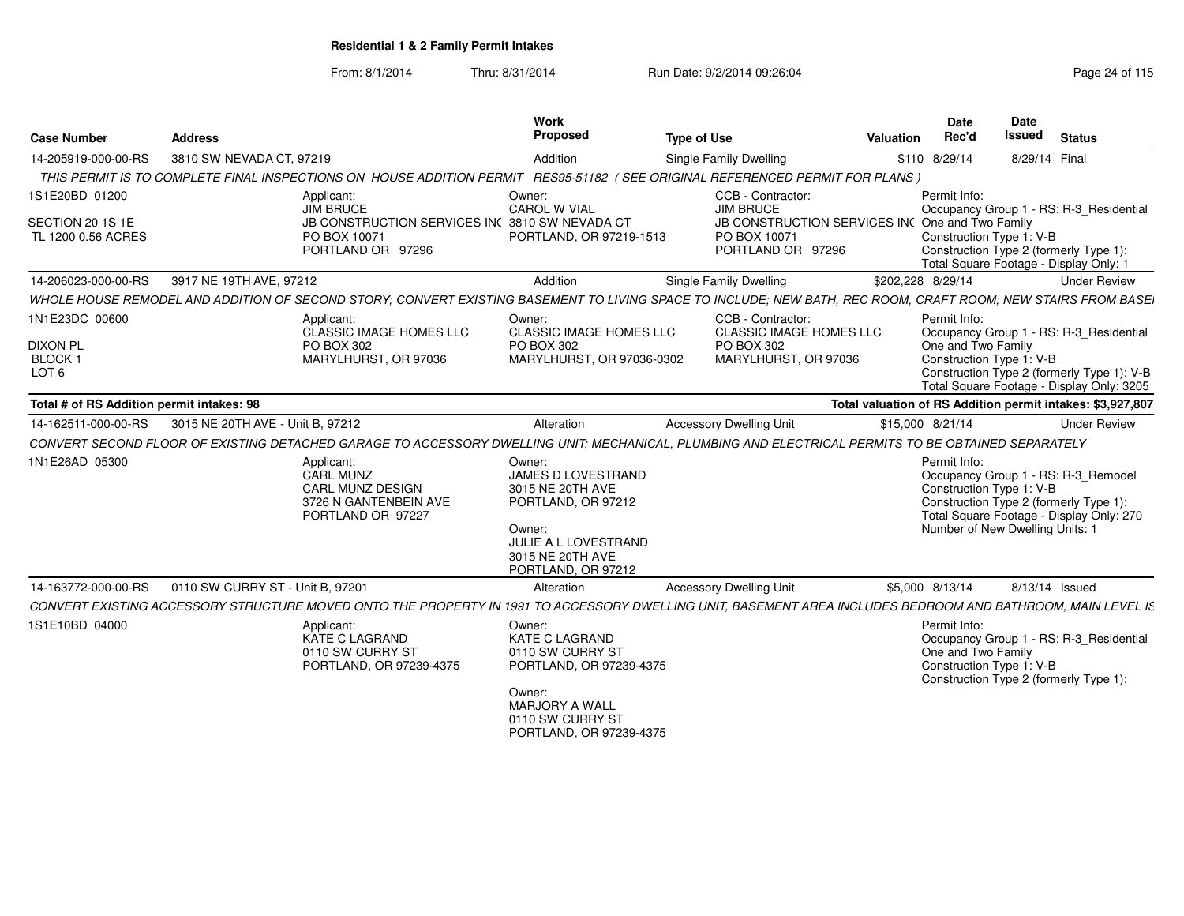| <b>Address</b>                            |                                                                                           | Work<br>Proposed                                                                                                                                | <b>Type of Use</b>                             | Valuation                                                                                                                                                                                                 | Date<br>Rec'd                                                                                                                                                                                               | <b>Date</b><br>Issued<br><b>Status</b>                                                                                                                                                                                                                                                                                                                                                                                                                                                                                                                                                                                                                                                                                                                                                                                                                                                                      |
|-------------------------------------------|-------------------------------------------------------------------------------------------|-------------------------------------------------------------------------------------------------------------------------------------------------|------------------------------------------------|-----------------------------------------------------------------------------------------------------------------------------------------------------------------------------------------------------------|-------------------------------------------------------------------------------------------------------------------------------------------------------------------------------------------------------------|-------------------------------------------------------------------------------------------------------------------------------------------------------------------------------------------------------------------------------------------------------------------------------------------------------------------------------------------------------------------------------------------------------------------------------------------------------------------------------------------------------------------------------------------------------------------------------------------------------------------------------------------------------------------------------------------------------------------------------------------------------------------------------------------------------------------------------------------------------------------------------------------------------------|
|                                           |                                                                                           | Addition                                                                                                                                        | <b>Single Family Dwelling</b>                  |                                                                                                                                                                                                           |                                                                                                                                                                                                             | 8/29/14 Final                                                                                                                                                                                                                                                                                                                                                                                                                                                                                                                                                                                                                                                                                                                                                                                                                                                                                               |
|                                           |                                                                                           |                                                                                                                                                 |                                                |                                                                                                                                                                                                           |                                                                                                                                                                                                             |                                                                                                                                                                                                                                                                                                                                                                                                                                                                                                                                                                                                                                                                                                                                                                                                                                                                                                             |
|                                           | Applicant:<br>JIM BRUCE<br>PO BOX 10071<br>PORTLAND OR 97296                              | Owner:<br><b>CAROL W VIAL</b>                                                                                                                   | <b>JIM BRUCE</b><br>PO BOX 10071               |                                                                                                                                                                                                           |                                                                                                                                                                                                             | Occupancy Group 1 - RS: R-3_Residential<br>Construction Type 2 (formerly Type 1):<br>Total Square Footage - Display Only: 1                                                                                                                                                                                                                                                                                                                                                                                                                                                                                                                                                                                                                                                                                                                                                                                 |
|                                           |                                                                                           | Addition                                                                                                                                        | <b>Single Family Dwelling</b>                  |                                                                                                                                                                                                           |                                                                                                                                                                                                             | <b>Under Review</b>                                                                                                                                                                                                                                                                                                                                                                                                                                                                                                                                                                                                                                                                                                                                                                                                                                                                                         |
|                                           |                                                                                           |                                                                                                                                                 |                                                |                                                                                                                                                                                                           |                                                                                                                                                                                                             |                                                                                                                                                                                                                                                                                                                                                                                                                                                                                                                                                                                                                                                                                                                                                                                                                                                                                                             |
|                                           | Applicant:<br>CLASSIC IMAGE HOMES LLC<br>PO BOX 302<br>MARYLHURST, OR 97036               | Owner:<br>PO BOX 302                                                                                                                            | PO BOX 302                                     |                                                                                                                                                                                                           |                                                                                                                                                                                                             | Occupancy Group 1 - RS: R-3_Residential<br>Construction Type 2 (formerly Type 1): V-B<br>Total Square Footage - Display Only: 3205                                                                                                                                                                                                                                                                                                                                                                                                                                                                                                                                                                                                                                                                                                                                                                          |
| Total # of RS Addition permit intakes: 98 |                                                                                           |                                                                                                                                                 |                                                |                                                                                                                                                                                                           |                                                                                                                                                                                                             |                                                                                                                                                                                                                                                                                                                                                                                                                                                                                                                                                                                                                                                                                                                                                                                                                                                                                                             |
|                                           |                                                                                           | Alteration                                                                                                                                      | <b>Accessory Dwelling Unit</b>                 |                                                                                                                                                                                                           |                                                                                                                                                                                                             | <b>Under Review</b>                                                                                                                                                                                                                                                                                                                                                                                                                                                                                                                                                                                                                                                                                                                                                                                                                                                                                         |
|                                           |                                                                                           |                                                                                                                                                 |                                                |                                                                                                                                                                                                           |                                                                                                                                                                                                             |                                                                                                                                                                                                                                                                                                                                                                                                                                                                                                                                                                                                                                                                                                                                                                                                                                                                                                             |
|                                           | Applicant:<br>CARL MUNZ<br>CARL MUNZ DESIGN<br>3726 N GANTENBEIN AVE<br>PORTLAND OR 97227 | Owner:<br>3015 NE 20TH AVE<br>PORTLAND, OR 97212<br>Owner:<br>3015 NE 20TH AVE<br>PORTLAND, OR 97212                                            |                                                |                                                                                                                                                                                                           |                                                                                                                                                                                                             | Occupancy Group 1 - RS: R-3_Remodel<br>Construction Type 2 (formerly Type 1)<br>Total Square Footage - Display Only: 270<br>Number of New Dwelling Units: 1                                                                                                                                                                                                                                                                                                                                                                                                                                                                                                                                                                                                                                                                                                                                                 |
|                                           |                                                                                           | Alteration                                                                                                                                      | <b>Accessory Dwelling Unit</b>                 |                                                                                                                                                                                                           |                                                                                                                                                                                                             | 8/13/14 Issued                                                                                                                                                                                                                                                                                                                                                                                                                                                                                                                                                                                                                                                                                                                                                                                                                                                                                              |
|                                           |                                                                                           |                                                                                                                                                 |                                                |                                                                                                                                                                                                           |                                                                                                                                                                                                             |                                                                                                                                                                                                                                                                                                                                                                                                                                                                                                                                                                                                                                                                                                                                                                                                                                                                                                             |
|                                           | Applicant:<br>KATE C LAGRAND<br>0110 SW CURRY ST<br>PORTLAND, OR 97239-4375               | Owner:<br><b>KATE C LAGRAND</b><br>0110 SW CURRY ST                                                                                             |                                                |                                                                                                                                                                                                           |                                                                                                                                                                                                             | Occupancy Group 1 - RS: R-3_Residential<br>Construction Type 2 (formerly Type 1):                                                                                                                                                                                                                                                                                                                                                                                                                                                                                                                                                                                                                                                                                                                                                                                                                           |
|                                           |                                                                                           | 3810 SW NEVADA CT, 97219<br>14-206023-000-00-RS 3917 NE 19TH AVE, 97212<br>3015 NE 20TH AVE - Unit B, 97212<br>0110 SW CURRY ST - Unit B. 97201 | JB CONSTRUCTION SERVICES IN( 3810 SW NEVADA CT | CCB - Contractor:<br>PORTLAND, OR 97219-1513<br>CCB - Contractor:<br><b>CLASSIC IMAGE HOMES LLC</b><br>MARYLHURST, OR 97036-0302<br>JAMES D LOVESTRAND<br>JULIE A L LOVESTRAND<br>PORTLAND, OR 97239-4375 | THIS PERMIT IS TO COMPLETE FINAL INSPECTIONS ON HOUSE ADDITION PERMIT RES95-51182 (SEE ORIGINAL REFERENCED PERMIT FOR PLANS)<br>PORTLAND OR 97296<br><b>CLASSIC IMAGE HOMES LLC</b><br>MARYLHURST, OR 97036 | \$110 8/29/14<br>Permit Info:<br>JB CONSTRUCTION SERVICES INC One and Two Family<br>Construction Type 1: V-B<br>\$202,228 8/29/14<br>WHOLE HOUSE REMODEL AND ADDITION OF SECOND STORY; CONVERT EXISTING BASEMENT TO LIVING SPACE TO INCLUDE; NEW BATH, REC ROOM, CRAFT ROOM; NEW STAIRS FROM BASE<br>Permit Info:<br>One and Two Family<br>Construction Type 1: V-B<br>Total valuation of RS Addition permit intakes: \$3,927,807<br>\$15,000 8/21/14<br>CONVERT SECOND FLOOR OF EXISTING DETACHED GARAGE TO ACCESSORY DWELLING UNIT; MECHANICAL, PLUMBING AND ELECTRICAL PERMITS TO BE OBTAINED SEPARATELY<br>Permit Info:<br>Construction Type 1: V-B<br>\$5,000 8/13/14<br>CONVERT EXISTING ACCESSORY STRUCTURE MOVED ONTO THE PROPERTY IN 1991 TO ACCESSORY DWELLING UNIT, BASEMENT AREA INCLUDES BEDROOM AND BATHROOM, MAIN LEVEL IS<br>Permit Info:<br>One and Two Family<br>Construction Type 1: V-B |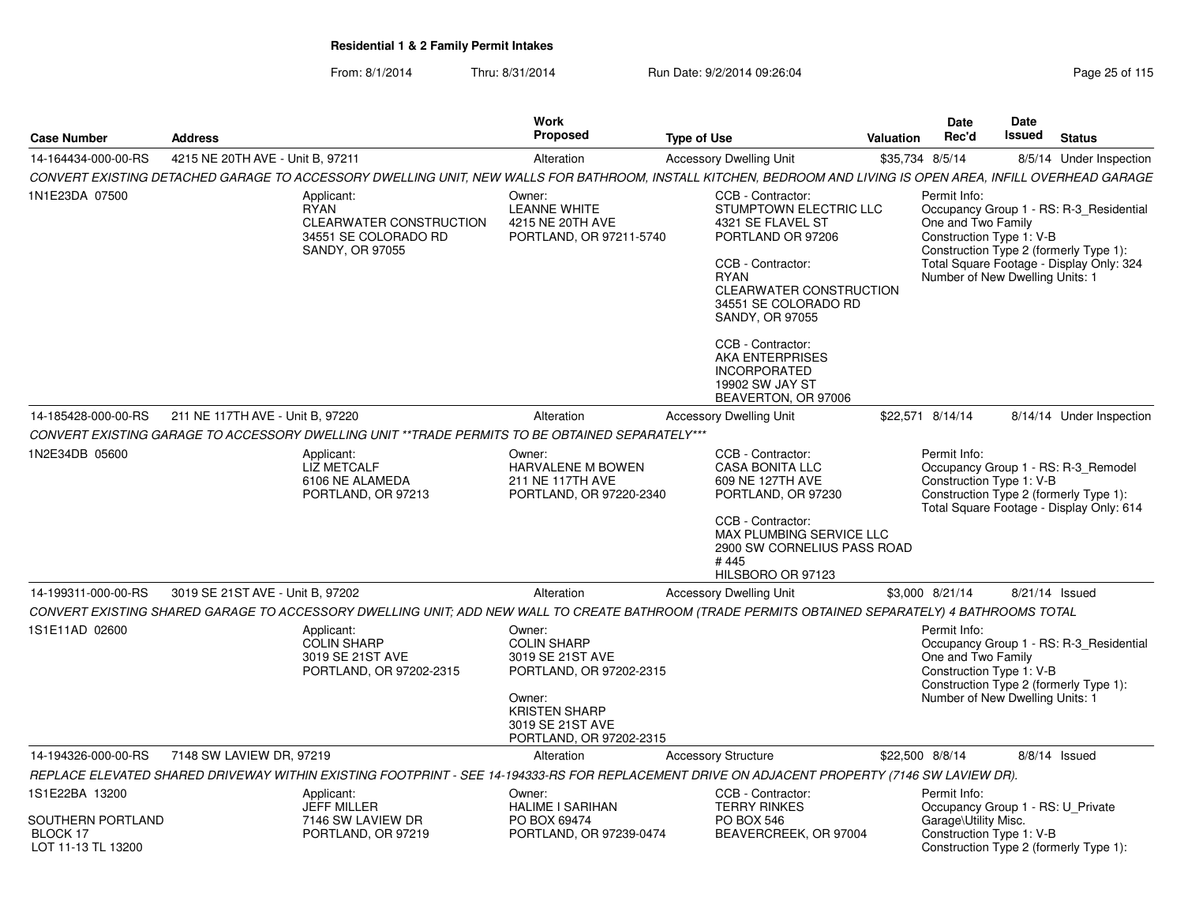| <b>Case Number</b>                                  | <b>Address</b>                                                                                                                                                | Work<br><b>Proposed</b>                                                                                                                                      | <b>Type of Use</b>                                                                                                                                                                                                                                                                       | Valuation       | Date<br>Rec'd                                                                                     | <b>Date</b><br>Issued | <b>Status</b>                                                                                                                 |
|-----------------------------------------------------|---------------------------------------------------------------------------------------------------------------------------------------------------------------|--------------------------------------------------------------------------------------------------------------------------------------------------------------|------------------------------------------------------------------------------------------------------------------------------------------------------------------------------------------------------------------------------------------------------------------------------------------|-----------------|---------------------------------------------------------------------------------------------------|-----------------------|-------------------------------------------------------------------------------------------------------------------------------|
| 14-164434-000-00-RS                                 | 4215 NE 20TH AVE - Unit B. 97211                                                                                                                              | Alteration                                                                                                                                                   | <b>Accessory Dwelling Unit</b>                                                                                                                                                                                                                                                           | \$35,734 8/5/14 |                                                                                                   |                       | 8/5/14 Under Inspection                                                                                                       |
|                                                     | CONVERT EXISTING DETACHED GARAGE TO ACCESSORY DWELLING UNIT, NEW WALLS FOR BATHROOM, INSTALL KITCHEN, BEDROOM AND LIVING IS OPEN AREA, INFILL OVERHEAD GARAGE |                                                                                                                                                              |                                                                                                                                                                                                                                                                                          |                 |                                                                                                   |                       |                                                                                                                               |
| 1N1E23DA 07500                                      | Applicant:<br><b>RYAN</b><br><b>CLEARWATER CONSTRUCTION</b><br>34551 SE COLORADO RD<br>SANDY, OR 97055                                                        | Owner:<br><b>LEANNE WHITE</b><br>4215 NE 20TH AVE<br>PORTLAND, OR 97211-5740                                                                                 | CCB - Contractor:<br>STUMPTOWN ELECTRIC LLC<br>4321 SE FLAVEL ST<br>PORTLAND OR 97206<br>CCB - Contractor:<br>RYAN<br><b>CLEARWATER CONSTRUCTION</b><br>34551 SE COLORADO RD<br><b>SANDY, OR 97055</b><br>CCB - Contractor:<br>AKA ENTERPRISES<br><b>INCORPORATED</b><br>19902 SW JAY ST |                 | Permit Info:<br>One and Two Family<br>Construction Type 1: V-B<br>Number of New Dwelling Units: 1 |                       | Occupancy Group 1 - RS: R-3_Residential<br>Construction Type 2 (formerly Type 1):<br>Total Square Footage - Display Only: 324 |
|                                                     |                                                                                                                                                               |                                                                                                                                                              | BEAVERTON, OR 97006                                                                                                                                                                                                                                                                      |                 |                                                                                                   |                       |                                                                                                                               |
| 14-185428-000-00-RS                                 | 211 NE 117TH AVE - Unit B. 97220                                                                                                                              | Alteration                                                                                                                                                   | <b>Accessory Dwelling Unit</b>                                                                                                                                                                                                                                                           |                 | \$22,571 8/14/14                                                                                  |                       | 8/14/14 Under Inspection                                                                                                      |
|                                                     | CONVERT EXISTING GARAGE TO ACCESSORY DWELLING UNIT **TRADE PERMITS TO BE OBTAINED SEPARATELY***                                                               |                                                                                                                                                              |                                                                                                                                                                                                                                                                                          |                 |                                                                                                   |                       |                                                                                                                               |
| 1N2E34DB 05600                                      | Applicant:<br><b>LIZ METCALF</b><br>6106 NE ALAMEDA<br>PORTLAND, OR 97213                                                                                     | Owner:<br><b>HARVALENE M BOWEN</b><br>211 NE 117TH AVE<br>PORTLAND, OR 97220-2340                                                                            | CCB - Contractor:<br><b>CASA BONITA LLC</b><br>609 NE 127TH AVE<br>PORTLAND, OR 97230                                                                                                                                                                                                    |                 | Permit Info:<br>Construction Type 1: V-B                                                          |                       | Occupancy Group 1 - RS: R-3_Remodel<br>Construction Type 2 (formerly Type 1):<br>Total Square Footage - Display Only: 614     |
|                                                     |                                                                                                                                                               |                                                                                                                                                              | CCB - Contractor:<br>MAX PLUMBING SERVICE LLC<br>2900 SW CORNELIUS PASS ROAD<br>#445<br>HILSBORO OR 97123                                                                                                                                                                                |                 |                                                                                                   |                       |                                                                                                                               |
| 14-199311-000-00-RS                                 | 3019 SE 21ST AVE - Unit B. 97202                                                                                                                              | Alteration                                                                                                                                                   | <b>Accessory Dwelling Unit</b>                                                                                                                                                                                                                                                           |                 | \$3,000 8/21/14                                                                                   | 8/21/14 Issued        |                                                                                                                               |
|                                                     | CONVERT EXISTING SHARED GARAGE TO ACCESSORY DWELLING UNIT; ADD NEW WALL TO CREATE BATHROOM (TRADE PERMITS OBTAINED SEPARATELY) 4 BATHROOMS TOTAL              |                                                                                                                                                              |                                                                                                                                                                                                                                                                                          |                 |                                                                                                   |                       |                                                                                                                               |
| 1S1E11AD 02600                                      | Applicant:<br><b>COLIN SHARP</b><br>3019 SE 21ST AVE<br>PORTLAND, OR 97202-2315                                                                               | Owner:<br><b>COLIN SHARP</b><br>3019 SE 21ST AVE<br>PORTLAND, OR 97202-2315<br>Owner:<br><b>KRISTEN SHARP</b><br>3019 SE 21ST AVE<br>PORTLAND, OR 97202-2315 |                                                                                                                                                                                                                                                                                          |                 | Permit Info:<br>One and Two Family<br>Construction Type 1: V-B<br>Number of New Dwelling Units: 1 |                       | Occupancy Group 1 - RS: R-3_Residential<br>Construction Type 2 (formerly Type 1):                                             |
| 14-194326-000-00-RS                                 | 7148 SW LAVIEW DR, 97219                                                                                                                                      | Alteration                                                                                                                                                   | <b>Accessory Structure</b>                                                                                                                                                                                                                                                               | \$22,500 8/8/14 |                                                                                                   |                       | 8/8/14 Issued                                                                                                                 |
|                                                     | REPLACE ELEVATED SHARED DRIVEWAY WITHIN EXISTING FOOTPRINT - SEE 14-194333-RS FOR REPLACEMENT DRIVE ON ADJACENT PROPERTY (7146 SW LAVIEW DR).                 |                                                                                                                                                              |                                                                                                                                                                                                                                                                                          |                 |                                                                                                   |                       |                                                                                                                               |
| 1S1E22BA 13200                                      | Applicant:                                                                                                                                                    | Owner:                                                                                                                                                       | CCB - Contractor:                                                                                                                                                                                                                                                                        |                 | Permit Info:                                                                                      |                       |                                                                                                                               |
| SOUTHERN PORTLAND<br>BLOCK 17<br>LOT 11-13 TL 13200 | <b>JEFF MILLER</b><br>7146 SW LAVIEW DR<br>PORTLAND, OR 97219                                                                                                 | <b>HALIME I SARIHAN</b><br>PO BOX 69474<br>PORTLAND, OR 97239-0474                                                                                           | <b>TERRY RINKES</b><br><b>PO BOX 546</b><br>BEAVERCREEK, OR 97004                                                                                                                                                                                                                        |                 | Occupancy Group 1 - RS: U_Private<br>Garage\Utility Misc.<br>Construction Type 1: V-B             |                       | Construction Type 2 (formerly Type 1):                                                                                        |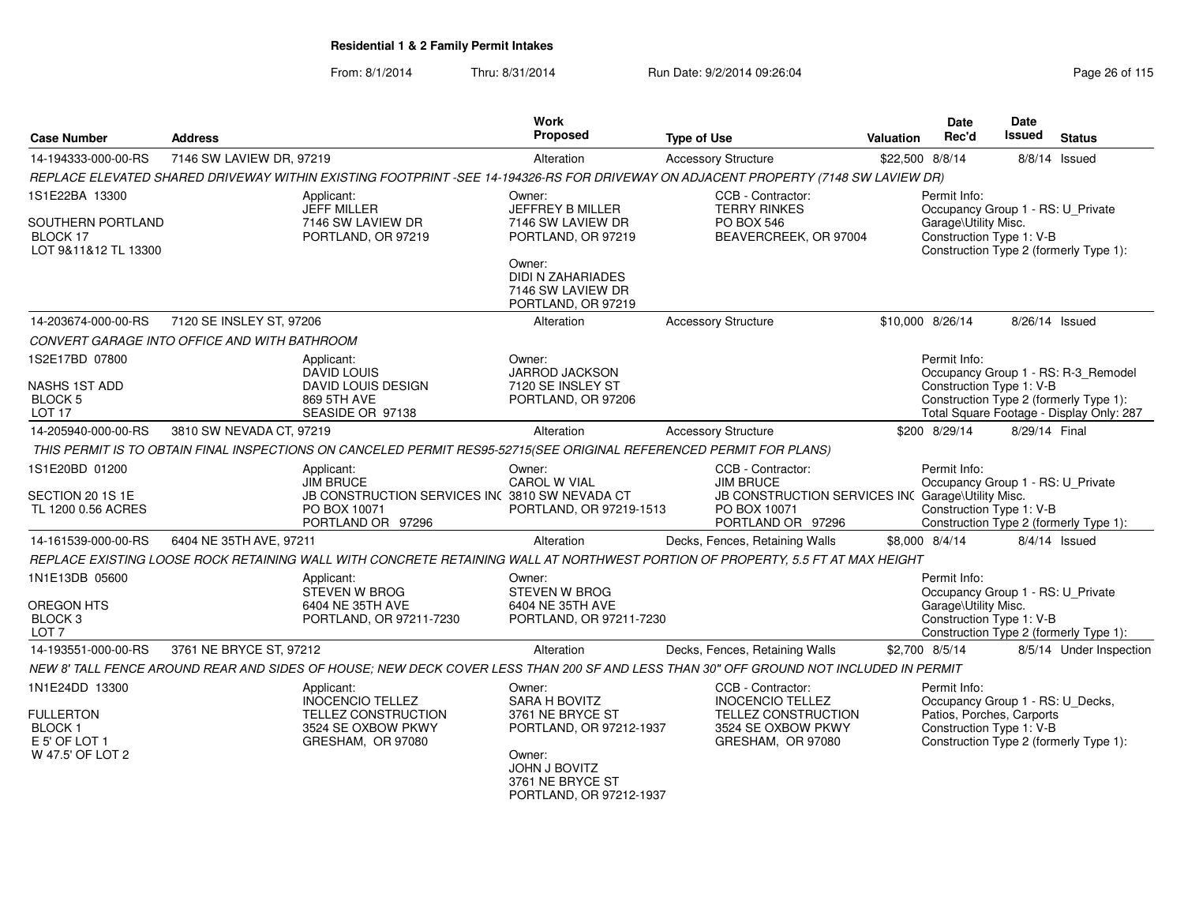| <b>Case Number</b>                                                                       | <b>Address</b>           |                                                                                                                                       | <b>Work</b><br>Proposed                                                                                         | <b>Type of Use</b>                                                                                                              | Valuation | <b>Date</b><br>Rec'd                                                                                                                                | <b>Date</b><br>Issued | <b>Status</b>                            |
|------------------------------------------------------------------------------------------|--------------------------|---------------------------------------------------------------------------------------------------------------------------------------|-----------------------------------------------------------------------------------------------------------------|---------------------------------------------------------------------------------------------------------------------------------|-----------|-----------------------------------------------------------------------------------------------------------------------------------------------------|-----------------------|------------------------------------------|
| 14-194333-000-00-RS                                                                      | 7146 SW LAVIEW DR, 97219 |                                                                                                                                       | Alteration                                                                                                      | <b>Accessory Structure</b>                                                                                                      |           | \$22,500 8/8/14                                                                                                                                     |                       | 8/8/14 Issued                            |
|                                                                                          |                          | REPLACE ELEVATED SHARED DRIVEWAY WITHIN EXISTING FOOTPRINT -SEE 14-194326-RS FOR DRIVEWAY ON ADJACENT PROPERTY (7148 SW LAVIEW DR)    |                                                                                                                 |                                                                                                                                 |           |                                                                                                                                                     |                       |                                          |
| 1S1E22BA 13300                                                                           |                          | Applicant:<br>JEFF MILLER<br>7146 SW LAVIEW DR                                                                                        | Owner:<br>JEFFREY B MILLER                                                                                      | CCB - Contractor:<br><b>TERRY RINKES</b>                                                                                        |           | Permit Info:<br>Occupancy Group 1 - RS: U_Private                                                                                                   |                       |                                          |
| SOUTHERN PORTLAND<br>BLOCK 17<br>LOT 9&11&12 TL 13300                                    |                          | PORTLAND, OR 97219                                                                                                                    | 7146 SW LAVIEW DR<br>PORTLAND, OR 97219                                                                         | PO BOX 546<br>BEAVERCREEK, OR 97004                                                                                             |           | Garage\Utility Misc.<br>Construction Type 1: V-B<br>Construction Type 2 (formerly Type 1):                                                          |                       |                                          |
|                                                                                          |                          |                                                                                                                                       | Owner:<br>DIDI N ZAHARIADES<br>7146 SW LAVIEW DR<br>PORTLAND, OR 97219                                          |                                                                                                                                 |           |                                                                                                                                                     |                       |                                          |
| 14-203674-000-00-RS                                                                      | 7120 SE INSLEY ST, 97206 |                                                                                                                                       | Alteration                                                                                                      | <b>Accessory Structure</b>                                                                                                      |           | \$10,000 8/26/14                                                                                                                                    | 8/26/14 Issued        |                                          |
| CONVERT GARAGE INTO OFFICE AND WITH BATHROOM                                             |                          |                                                                                                                                       |                                                                                                                 |                                                                                                                                 |           |                                                                                                                                                     |                       |                                          |
| 1S2E17BD 07800                                                                           |                          | Applicant:<br><b>DAVID LOUIS</b>                                                                                                      | Owner:<br>JARROD JACKSON                                                                                        |                                                                                                                                 |           | Permit Info:                                                                                                                                        |                       | Occupancy Group 1 - RS: R-3_Remodel      |
| NASHS 1ST ADD<br>BLOCK 5<br>LOT <sub>17</sub>                                            |                          | DAVID LOUIS DESIGN<br>869 5TH AVE<br>SEASIDE OR 97138                                                                                 | 7120 SE INSLEY ST<br>PORTLAND, OR 97206                                                                         |                                                                                                                                 |           | Construction Type 1: V-B<br>Construction Type 2 (formerly Type 1):                                                                                  |                       | Total Square Footage - Display Only: 287 |
| 14-205940-000-00-RS                                                                      | 3810 SW NEVADA CT, 97219 |                                                                                                                                       | Alteration                                                                                                      | <b>Accessory Structure</b>                                                                                                      |           | \$200 8/29/14                                                                                                                                       | 8/29/14 Final         |                                          |
|                                                                                          |                          | THIS PERMIT IS TO OBTAIN FINAL INSPECTIONS ON CANCELED PERMIT RES95-52715(SEE ORIGINAL REFERENCED PERMIT FOR PLANS)                   |                                                                                                                 |                                                                                                                                 |           |                                                                                                                                                     |                       |                                          |
| 1S1E20BD 01200<br>SECTION 20 1S 1E<br>TL 1200 0.56 ACRES                                 |                          | Applicant:<br><b>JIM BRUCE</b><br>JB CONSTRUCTION SERVICES INC 3810 SW NEVADA CT<br>PO BOX 10071<br>PORTLAND OR 97296                 | Owner:<br><b>CAROL W VIAL</b><br>PORTLAND, OR 97219-1513                                                        | CCB - Contractor:<br><b>JIM BRUCE</b><br>JB CONSTRUCTION SERVICES INC Garage\Utility Misc.<br>PO BOX 10071<br>PORTLAND OR 97296 |           | Permit Info:<br>Occupancy Group 1 - RS: U Private<br>Construction Type 1: V-B<br>Construction Type 2 (formerly Type 1):                             |                       |                                          |
| 14-161539-000-00-RS                                                                      | 6404 NE 35TH AVE, 97211  |                                                                                                                                       | Alteration                                                                                                      | Decks, Fences, Retaining Walls                                                                                                  |           | \$8,000 8/4/14                                                                                                                                      |                       | 8/4/14 Issued                            |
|                                                                                          |                          | REPLACE EXISTING LOOSE ROCK RETAINING WALL WITH CONCRETE RETAINING WALL AT NORTHWEST PORTION OF PROPERTY, 5.5 FT AT MAX HEIGHT        |                                                                                                                 |                                                                                                                                 |           |                                                                                                                                                     |                       |                                          |
| 1N1E13DB 05600                                                                           |                          | Applicant:<br><b>STEVEN W BROG</b>                                                                                                    | Owner:<br><b>STEVEN W BROG</b>                                                                                  |                                                                                                                                 |           | Permit Info:<br>Occupancy Group 1 - RS: U_Private                                                                                                   |                       |                                          |
| OREGON HTS<br>BLOCK 3<br>LOT <sub>7</sub>                                                |                          | 6404 NE 35TH AVE<br>PORTLAND, OR 97211-7230                                                                                           | 6404 NE 35TH AVE<br>PORTLAND, OR 97211-7230                                                                     |                                                                                                                                 |           | Garage\Utility Misc.<br>Construction Type 1: V-B                                                                                                    |                       | Construction Type 2 (formerly Type 1):   |
| 14-193551-000-00-RS                                                                      | 3761 NE BRYCE ST, 97212  |                                                                                                                                       | Alteration                                                                                                      | Decks, Fences, Retaining Walls                                                                                                  |           | \$2,700 8/5/14                                                                                                                                      |                       | 8/5/14 Under Inspection                  |
|                                                                                          |                          | NEW 8' TALL FENCE AROUND REAR AND SIDES OF HOUSE; NEW DECK COVER LESS THAN 200 SF AND LESS THAN 30" OFF GROUND NOT INCLUDED IN PERMIT |                                                                                                                 |                                                                                                                                 |           |                                                                                                                                                     |                       |                                          |
| 1N1E24DD 13300<br><b>FULLERTON</b><br><b>BLOCK1</b><br>E 5' OF LOT 1<br>W 47.5' OF LOT 2 |                          | Applicant:<br><b>INOCENCIO TELLEZ</b><br>TELLEZ CONSTRUCTION<br>3524 SE OXBOW PKWY<br>GRESHAM, OR 97080                               | Owner:<br><b>SARA H BOVITZ</b><br>3761 NE BRYCE ST<br>PORTLAND, OR 97212-1937<br>Owner:<br><b>JOHN J BOVITZ</b> | CCB - Contractor:<br><b>INOCENCIO TELLEZ</b><br>TELLEZ CONSTRUCTION<br>3524 SE OXBOW PKWY<br>GRESHAM, OR 97080                  |           | Permit Info:<br>Occupancy Group 1 - RS: U_Decks,<br>Patios, Porches, Carports<br>Construction Type 1: V-B<br>Construction Type 2 (formerly Type 1): |                       |                                          |
|                                                                                          |                          |                                                                                                                                       | 3761 NE BRYCE ST<br>PORTLAND, OR 97212-1937                                                                     |                                                                                                                                 |           |                                                                                                                                                     |                       |                                          |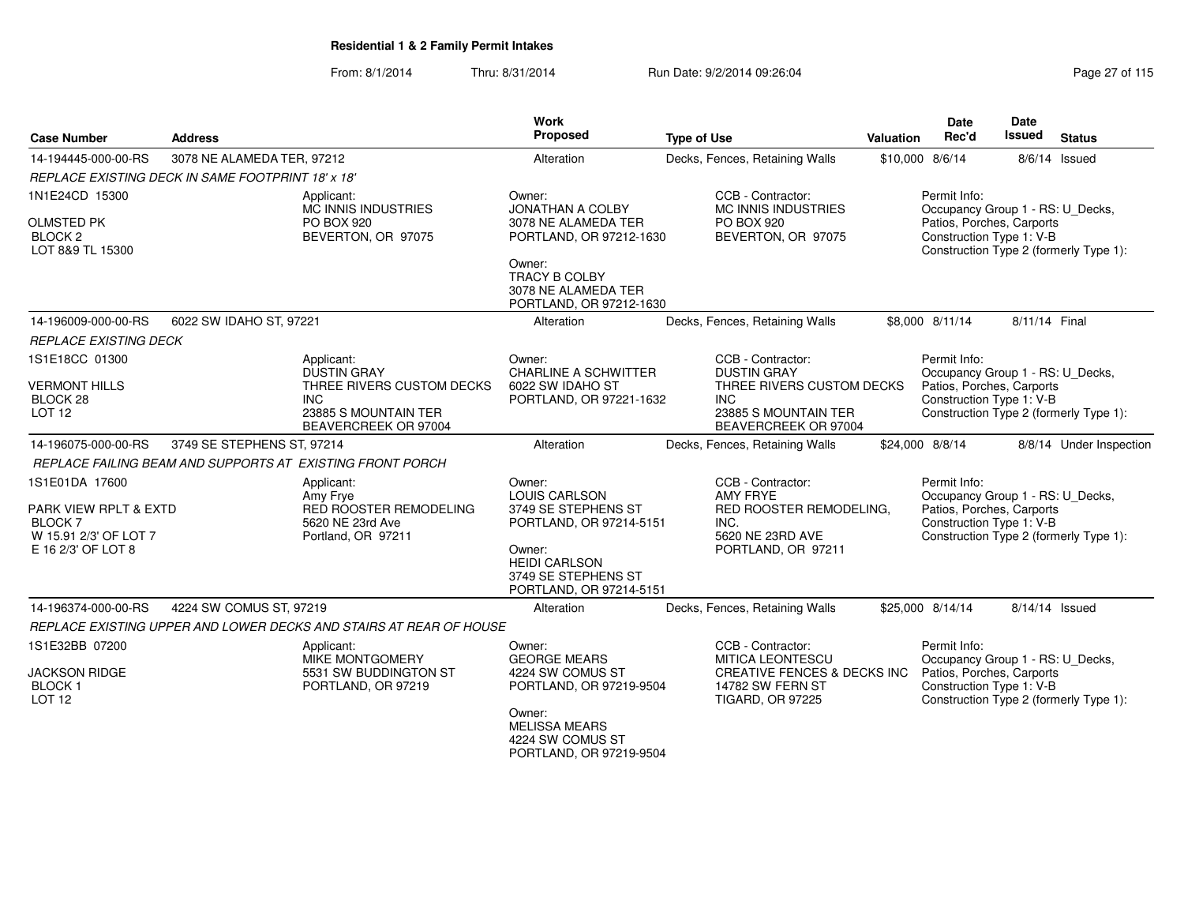| <b>Case Number</b>                                                                | <b>Address</b>                                             |                                                                                            | <b>Work</b><br>Proposed                                                          | <b>Type of Use</b>                                                                                    | Valuation                                    | <b>Date</b><br>Rec'd                                                                                                                | <b>Date</b><br>Issued                                                                                                               | <b>Status</b>                                                      |
|-----------------------------------------------------------------------------------|------------------------------------------------------------|--------------------------------------------------------------------------------------------|----------------------------------------------------------------------------------|-------------------------------------------------------------------------------------------------------|----------------------------------------------|-------------------------------------------------------------------------------------------------------------------------------------|-------------------------------------------------------------------------------------------------------------------------------------|--------------------------------------------------------------------|
| 14-194445-000-00-RS                                                               | 3078 NE ALAMEDA TER, 97212                                 |                                                                                            | Alteration                                                                       | Decks, Fences, Retaining Walls                                                                        |                                              | \$10,000 8/6/14                                                                                                                     |                                                                                                                                     | 8/6/14 Issued                                                      |
|                                                                                   | <b>REPLACE EXISTING DECK IN SAME FOOTPRINT 18' x 18'</b>   |                                                                                            |                                                                                  |                                                                                                       |                                              |                                                                                                                                     |                                                                                                                                     |                                                                    |
| 1N1E24CD 15300<br><b>OLMSTED PK</b><br><b>BLOCK 2</b>                             |                                                            | Applicant:<br><b>MC INNIS INDUSTRIES</b><br>PO BOX 920<br>BEVERTON, OR 97075               | Owner:<br>JONATHAN A COLBY<br>3078 NE ALAMEDA TER<br>PORTLAND, OR 97212-1630     | CCB - Contractor:<br><b>MC INNIS INDUSTRIES</b><br>PO BOX 920<br>BEVERTON, OR 97075                   |                                              | Permit Info:<br>Occupancy Group 1 - RS: U_Decks,<br>Patios, Porches, Carports<br>Construction Type 1: V-B                           |                                                                                                                                     |                                                                    |
| LOT 8&9 TL 15300                                                                  |                                                            |                                                                                            | Owner:<br>TRACY B COLBY<br>3078 NE ALAMEDA TER<br>PORTLAND, OR 97212-1630        |                                                                                                       |                                              |                                                                                                                                     |                                                                                                                                     | Construction Type 2 (formerly Type 1):                             |
| 14-196009-000-00-RS                                                               | 6022 SW IDAHO ST, 97221                                    |                                                                                            | Alteration                                                                       | Decks, Fences, Retaining Walls                                                                        |                                              | \$8,000 8/11/14                                                                                                                     | 8/11/14 Final                                                                                                                       |                                                                    |
| <b>REPLACE EXISTING DECK</b>                                                      |                                                            |                                                                                            |                                                                                  |                                                                                                       |                                              |                                                                                                                                     |                                                                                                                                     |                                                                    |
| 1S1E18CC 01300<br><b>VERMONT HILLS</b>                                            |                                                            | Applicant:<br><b>DUSTIN GRAY</b><br>THREE RIVERS CUSTOM DECKS                              | Owner:<br><b>CHARLINE A SCHWITTER</b><br>6022 SW IDAHO ST                        | CCB - Contractor:<br><b>DUSTIN GRAY</b><br>THREE RIVERS CUSTOM DECKS                                  |                                              | Permit Info:<br>Occupancy Group 1 - RS: U_Decks,<br>Patios, Porches, Carports                                                       |                                                                                                                                     |                                                                    |
| BLOCK 28<br>LOT <sub>12</sub>                                                     | <b>INC</b><br>23885 S MOUNTAIN TER<br>BEAVERCREEK OR 97004 |                                                                                            |                                                                                  | PORTLAND, OR 97221-1632<br><b>INC</b>                                                                 | 23885 S MOUNTAIN TER<br>BEAVERCREEK OR 97004 |                                                                                                                                     |                                                                                                                                     | Construction Type 1: V-B<br>Construction Type 2 (formerly Type 1): |
| 14-196075-000-00-RS                                                               | 3749 SE STEPHENS ST, 97214                                 |                                                                                            | Alteration                                                                       | Decks, Fences, Retaining Walls                                                                        |                                              | \$24,000 8/8/14                                                                                                                     |                                                                                                                                     | 8/8/14 Under Inspection                                            |
|                                                                                   |                                                            | REPLACE FAILING BEAM AND SUPPORTS AT EXISTING FRONT PORCH                                  |                                                                                  |                                                                                                       |                                              |                                                                                                                                     |                                                                                                                                     |                                                                    |
| 1S1E01DA 17600<br>PARK VIEW RPLT & EXTD<br><b>BLOCK7</b><br>W 15.91 2/3' OF LOT 7 |                                                            | Applicant:<br>Amy Frye<br>RED ROOSTER REMODELING<br>5620 NE 23rd Ave<br>Portland, OR 97211 | Owner:<br><b>LOUIS CARLSON</b><br>3749 SE STEPHENS ST<br>PORTLAND, OR 97214-5151 | CCB - Contractor:<br>AMY FRYE<br>RED ROOSTER REMODELING.<br>INC.<br>5620 NE 23RD AVE                  | Permit Info:                                 |                                                                                                                                     | Occupancy Group 1 - RS: U_Decks,<br>Patios, Porches, Carports<br>Construction Type 1: V-B<br>Construction Type 2 (formerly Type 1): |                                                                    |
| E 16 2/3' OF LOT 8                                                                |                                                            |                                                                                            | Owner:<br><b>HEIDI CARLSON</b><br>3749 SE STEPHENS ST<br>PORTLAND, OR 97214-5151 | PORTLAND, OR 97211                                                                                    |                                              |                                                                                                                                     |                                                                                                                                     |                                                                    |
| 14-196374-000-00-RS                                                               | 4224 SW COMUS ST, 97219                                    |                                                                                            | Alteration                                                                       | Decks, Fences, Retaining Walls                                                                        |                                              | \$25,000 8/14/14                                                                                                                    | 8/14/14 Issued                                                                                                                      |                                                                    |
|                                                                                   |                                                            | REPLACE EXISTING UPPER AND LOWER DECKS AND STAIRS AT REAR OF HOUSE                         |                                                                                  |                                                                                                       |                                              |                                                                                                                                     |                                                                                                                                     |                                                                    |
| 1S1E32BB 07200                                                                    |                                                            | Applicant:                                                                                 | Owner:                                                                           | CCB - Contractor:                                                                                     |                                              | Permit Info:                                                                                                                        |                                                                                                                                     |                                                                    |
| <b>JACKSON RIDGE</b><br><b>BLOCK1</b><br><b>LOT 12</b>                            |                                                            | <b>MIKE MONTGOMERY</b><br>5531 SW BUDDINGTON ST<br>PORTLAND, OR 97219                      | <b>GEORGE MEARS</b><br>4224 SW COMUS ST<br>PORTLAND, OR 97219-9504               | <b>MITICA LEONTESCU</b><br>CREATIVE FENCES & DECKS INC<br>14782 SW FERN ST<br><b>TIGARD, OR 97225</b> |                                              | Occupancy Group 1 - RS: U_Decks,<br>Patios, Porches, Carports<br>Construction Type 1: V-B<br>Construction Type 2 (formerly Type 1): |                                                                                                                                     |                                                                    |
|                                                                                   |                                                            |                                                                                            | Owner:<br><b>MELISSA MEARS</b><br>4224 SW COMUS ST<br>PORTLAND, OR 97219-9504    |                                                                                                       |                                              |                                                                                                                                     |                                                                                                                                     |                                                                    |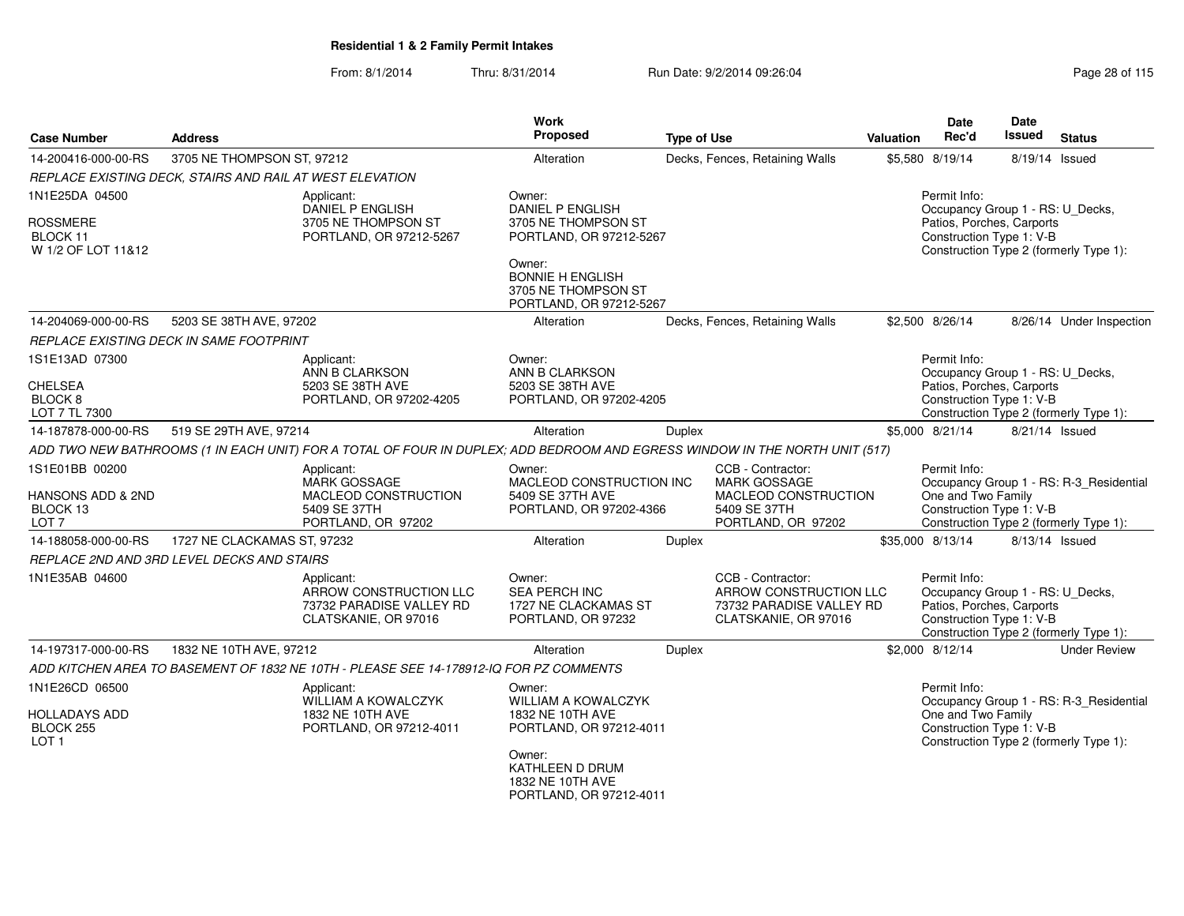| <b>Case Number</b>                                                  | <b>Address</b>                                                                                  |                                                                                                                             | Work<br>Proposed                                                                  | <b>Type of Use</b>      |                                                                                                        | <b>Valuation</b>                                 | Date<br>Rec'd                                                                                             | Date<br><b>Issued</b>                  | <b>Status</b>                                                                                   |
|---------------------------------------------------------------------|-------------------------------------------------------------------------------------------------|-----------------------------------------------------------------------------------------------------------------------------|-----------------------------------------------------------------------------------|-------------------------|--------------------------------------------------------------------------------------------------------|--------------------------------------------------|-----------------------------------------------------------------------------------------------------------|----------------------------------------|-------------------------------------------------------------------------------------------------|
| 14-200416-000-00-RS                                                 | 3705 NE THOMPSON ST, 97212                                                                      |                                                                                                                             | Alteration                                                                        |                         | Decks, Fences, Retaining Walls                                                                         |                                                  | \$5,580 8/19/14                                                                                           |                                        | 8/19/14 Issued                                                                                  |
|                                                                     | REPLACE EXISTING DECK, STAIRS AND RAIL AT WEST ELEVATION                                        |                                                                                                                             |                                                                                   |                         |                                                                                                        |                                                  |                                                                                                           |                                        |                                                                                                 |
| 1N1E25DA 04500                                                      |                                                                                                 | Applicant:<br>DANIEL P ENGLISH                                                                                              | Owner:<br><b>DANIEL P ENGLISH</b>                                                 |                         |                                                                                                        | Permit Info:<br>Occupancy Group 1 - RS: U_Decks, |                                                                                                           |                                        |                                                                                                 |
| <b>ROSSMERE</b><br>BLOCK 11<br>W 1/2 OF LOT 11&12                   |                                                                                                 | 3705 NE THOMPSON ST<br>PORTLAND, OR 97212-5267                                                                              | 3705 NE THOMPSON ST<br>PORTLAND, OR 97212-5267<br>Owner:                          |                         |                                                                                                        |                                                  | Patios, Porches, Carports<br>Construction Type 1: V-B                                                     | Construction Type 2 (formerly Type 1): |                                                                                                 |
|                                                                     |                                                                                                 |                                                                                                                             | <b>BONNIE H ENGLISH</b><br>3705 NE THOMPSON ST<br>PORTLAND, OR 97212-5267         |                         |                                                                                                        |                                                  |                                                                                                           |                                        |                                                                                                 |
| 14-204069-000-00-RS                                                 | 5203 SE 38TH AVE, 97202                                                                         |                                                                                                                             | Alteration                                                                        |                         | Decks, Fences, Retaining Walls                                                                         |                                                  | \$2,500 8/26/14                                                                                           |                                        | 8/26/14 Under Inspection                                                                        |
|                                                                     | REPLACE EXISTING DECK IN SAME FOOTPRINT                                                         |                                                                                                                             |                                                                                   |                         |                                                                                                        |                                                  |                                                                                                           |                                        |                                                                                                 |
| 1S1E13AD 07300                                                      |                                                                                                 | Applicant:<br>ANN B CLARKSON                                                                                                | Owner:<br>ANN B CLARKSON                                                          |                         |                                                                                                        |                                                  | Permit Info:<br>Occupancy Group 1 - RS: U_Decks,                                                          |                                        |                                                                                                 |
| <b>CHELSEA</b><br>BLOCK <sub>8</sub><br>LOT 7 TL 7300               |                                                                                                 | 5203 SE 38TH AVE<br>PORTLAND, OR 97202-4205                                                                                 | 5203 SE 38TH AVE                                                                  | PORTLAND, OR 97202-4205 |                                                                                                        |                                                  |                                                                                                           |                                        | Patios, Porches, Carports<br>Construction Type 1: V-B<br>Construction Type 2 (formerly Type 1): |
| 14-187878-000-00-RS                                                 | 519 SE 29TH AVE, 97214                                                                          |                                                                                                                             | Alteration                                                                        | <b>Duplex</b>           |                                                                                                        |                                                  | \$5,000 8/21/14                                                                                           | 8/21/14 Issued                         |                                                                                                 |
|                                                                     |                                                                                                 | ADD TWO NEW BATHROOMS (1 IN EACH UNIT) FOR A TOTAL OF FOUR IN DUPLEX; ADD BEDROOM AND EGRESS WINDOW IN THE NORTH UNIT (517) |                                                                                   |                         |                                                                                                        |                                                  |                                                                                                           |                                        |                                                                                                 |
| 1S1E01BB 00200<br>HANSONS ADD & 2ND<br>BLOCK 13<br>LOT <sub>7</sub> | Applicant:<br><b>MARK GOSSAGE</b><br>MACLEOD CONSTRUCTION<br>5409 SE 37TH<br>PORTLAND, OR 97202 |                                                                                                                             | Owner:<br>MACLEOD CONSTRUCTION INC<br>5409 SE 37TH AVE<br>PORTLAND, OR 97202-4366 |                         | CCB - Contractor:<br><b>MARK GOSSAGE</b><br>MACLEOD CONSTRUCTION<br>5409 SE 37TH<br>PORTLAND, OR 97202 |                                                  | Permit Info:<br>One and Two Family<br>Construction Type 1: V-B                                            |                                        | Occupancy Group 1 - RS: R-3_Residential<br>Construction Type 2 (formerly Type 1):               |
| 14-188058-000-00-RS                                                 | 1727 NE CLACKAMAS ST, 97232                                                                     |                                                                                                                             | Alteration                                                                        | Duplex                  |                                                                                                        |                                                  | \$35,000 8/13/14                                                                                          |                                        | 8/13/14 Issued                                                                                  |
|                                                                     | REPLACE 2ND AND 3RD LEVEL DECKS AND STAIRS                                                      |                                                                                                                             |                                                                                   |                         |                                                                                                        |                                                  |                                                                                                           |                                        |                                                                                                 |
| 1N1E35AB 04600                                                      |                                                                                                 | Applicant:<br>ARROW CONSTRUCTION LLC<br>73732 PARADISE VALLEY RD<br>CLATSKANIE, OR 97016                                    | Owner:<br>SEA PERCH INC<br>1727 NE CLACKAMAS ST<br>PORTLAND, OR 97232             |                         | CCB - Contractor:<br>ARROW CONSTRUCTION LLC<br>73732 PARADISE VALLEY RD<br>CLATSKANIE, OR 97016        |                                                  | Permit Info:<br>Occupancy Group 1 - RS: U_Decks,<br>Patios, Porches, Carports<br>Construction Type 1: V-B |                                        | Construction Type 2 (formerly Type 1):                                                          |
| 14-197317-000-00-RS                                                 | 1832 NE 10TH AVE, 97212                                                                         |                                                                                                                             | Alteration                                                                        | <b>Duplex</b>           |                                                                                                        |                                                  | \$2,000 8/12/14                                                                                           |                                        | <b>Under Review</b>                                                                             |
|                                                                     |                                                                                                 | ADD KITCHEN AREA TO BASEMENT OF 1832 NE 10TH - PLEASE SEE 14-178912-IQ FOR PZ COMMENTS                                      |                                                                                   |                         |                                                                                                        |                                                  |                                                                                                           |                                        |                                                                                                 |
| 1N1E26CD 06500                                                      |                                                                                                 | Applicant:<br><b>WILLIAM A KOWALCZYK</b>                                                                                    | Owner:<br><b>WILLIAM A KOWALCZYK</b>                                              |                         |                                                                                                        |                                                  | Permit Info:                                                                                              |                                        | Occupancy Group 1 - RS: R-3_Residential                                                         |
| HOLLADAYS ADD<br>BLOCK 255<br>LOT <sub>1</sub>                      |                                                                                                 | 1832 NE 10TH AVE<br>PORTLAND, OR 97212-4011                                                                                 | 1832 NE 10TH AVE<br>PORTLAND, OR 97212-4011                                       |                         |                                                                                                        |                                                  | One and Two Family<br>Construction Type 1: V-B                                                            |                                        | Construction Type 2 (formerly Type 1):                                                          |
|                                                                     |                                                                                                 |                                                                                                                             | Owner:<br>KATHLEEN D DRUM<br>1832 NE 10TH AVE<br>PORTLAND, OR 97212-4011          |                         |                                                                                                        |                                                  |                                                                                                           |                                        |                                                                                                 |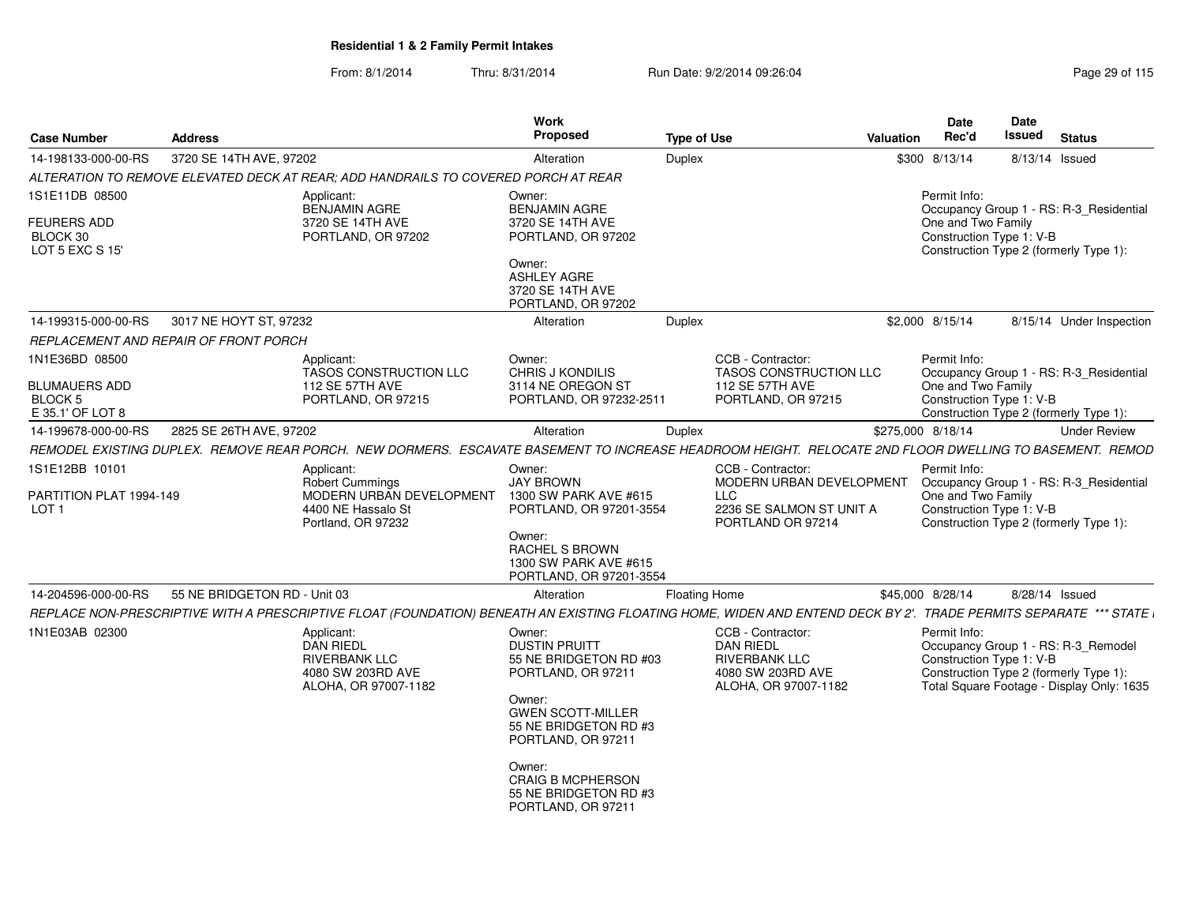| <b>Case Number</b>                                                  | <b>Address</b>                               |                                                                                                                                                                  | <b>Work</b><br>Proposed                                                                                                                                                                                                                                  | <b>Type of Use</b>   |                                                                                                            | Valuation | Date<br>Rec'd                                                  | Date<br><b>Issued</b> | <b>Status</b>                                                                                                              |  |
|---------------------------------------------------------------------|----------------------------------------------|------------------------------------------------------------------------------------------------------------------------------------------------------------------|----------------------------------------------------------------------------------------------------------------------------------------------------------------------------------------------------------------------------------------------------------|----------------------|------------------------------------------------------------------------------------------------------------|-----------|----------------------------------------------------------------|-----------------------|----------------------------------------------------------------------------------------------------------------------------|--|
| 14-198133-000-00-RS                                                 | 3720 SE 14TH AVE, 97202                      |                                                                                                                                                                  | Alteration                                                                                                                                                                                                                                               | Duplex               |                                                                                                            |           | \$300 8/13/14                                                  |                       | 8/13/14 Issued                                                                                                             |  |
|                                                                     |                                              | ALTERATION TO REMOVE ELEVATED DECK AT REAR; ADD HANDRAILS TO COVERED PORCH AT REAR                                                                               |                                                                                                                                                                                                                                                          |                      |                                                                                                            |           |                                                                |                       |                                                                                                                            |  |
| 1S1E11DB 08500<br><b>FEURERS ADD</b><br>BLOCK 30<br>LOT 5 EXC S 15' |                                              | Applicant:<br><b>BENJAMIN AGRE</b><br>3720 SE 14TH AVE<br>PORTLAND, OR 97202                                                                                     | Owner:<br><b>BENJAMIN AGRE</b><br>3720 SE 14TH AVE<br>PORTLAND, OR 97202<br>Owner:<br><b>ASHLEY AGRE</b>                                                                                                                                                 |                      |                                                                                                            |           | Permit Info:<br>One and Two Family<br>Construction Type 1: V-B |                       | Occupancy Group 1 - RS: R-3 Residential<br>Construction Type 2 (formerly Type 1):                                          |  |
|                                                                     |                                              |                                                                                                                                                                  | 3720 SE 14TH AVE<br>PORTLAND, OR 97202                                                                                                                                                                                                                   |                      |                                                                                                            |           |                                                                |                       |                                                                                                                            |  |
| 14-199315-000-00-RS                                                 | 3017 NE HOYT ST, 97232                       |                                                                                                                                                                  | Alteration                                                                                                                                                                                                                                               | Duplex               |                                                                                                            |           | \$2,000 8/15/14                                                |                       | 8/15/14 Under Inspection                                                                                                   |  |
|                                                                     | <b>REPLACEMENT AND REPAIR OF FRONT PORCH</b> |                                                                                                                                                                  |                                                                                                                                                                                                                                                          |                      |                                                                                                            |           |                                                                |                       |                                                                                                                            |  |
| 1N1E36BD 08500                                                      |                                              | Applicant:<br><b>TASOS CONSTRUCTION LLC</b>                                                                                                                      | Owner:<br><b>CHRIS J KONDILIS</b><br>3114 NE OREGON ST                                                                                                                                                                                                   |                      | CCB - Contractor:<br><b>TASOS CONSTRUCTION LLC</b>                                                         |           | Permit Info:<br>One and Two Family                             |                       | Occupancy Group 1 - RS: R-3 Residential                                                                                    |  |
| <b>BLUMAUERS ADD</b><br>BLOCK 5<br>E 35.1' OF LOT 8                 |                                              | 112 SE 57TH AVE<br>PORTLAND, OR 97215                                                                                                                            | PORTLAND, OR 97232-2511                                                                                                                                                                                                                                  |                      | <b>112 SE 57TH AVE</b><br>PORTLAND, OR 97215                                                               |           | Construction Type 1: V-B                                       |                       | Construction Type 2 (formerly Type 1):                                                                                     |  |
| 14-199678-000-00-RS                                                 | 2825 SE 26TH AVE, 97202                      |                                                                                                                                                                  | Alteration                                                                                                                                                                                                                                               | Duplex               |                                                                                                            |           | \$275,000 8/18/14                                              |                       | <b>Under Review</b>                                                                                                        |  |
|                                                                     |                                              | REMODEL EXISTING DUPLEX. REMOVE REAR PORCH. NEW DORMERS. ESCAVATE BASEMENT TO INCREASE HEADROOM HEIGHT. RELOCATE 2ND FLOOR DWELLING TO BASEMENT. REMOD           |                                                                                                                                                                                                                                                          |                      |                                                                                                            |           |                                                                |                       |                                                                                                                            |  |
| 1S1E12BB 10101                                                      |                                              | Applicant:<br><b>Robert Cummings</b>                                                                                                                             | Owner:<br><b>JAY BROWN</b>                                                                                                                                                                                                                               |                      | CCB - Contractor:<br>MODERN URBAN DEVELOPMENT                                                              |           | Permit Info:                                                   |                       | Occupancy Group 1 - RS: R-3_Residential                                                                                    |  |
| PARTITION PLAT 1994-149<br>LOT 1                                    |                                              | MODERN URBAN DEVELOPMENT<br>4400 NE Hassalo St<br>Portland, OR 97232                                                                                             | 1300 SW PARK AVE #615<br>PORTLAND, OR 97201-3554<br>Owner:                                                                                                                                                                                               |                      | <b>LLC</b><br>2236 SE SALMON ST UNIT A<br>PORTLAND OR 97214                                                |           | One and Two Family<br>Construction Type 1: V-B                 |                       | Construction Type 2 (formerly Type 1):                                                                                     |  |
|                                                                     |                                              |                                                                                                                                                                  | <b>RACHEL S BROWN</b><br>1300 SW PARK AVE #615<br>PORTLAND, OR 97201-3554                                                                                                                                                                                |                      |                                                                                                            |           |                                                                |                       |                                                                                                                            |  |
| 14-204596-000-00-RS                                                 | 55 NE BRIDGETON RD - Unit 03                 |                                                                                                                                                                  | Alteration                                                                                                                                                                                                                                               | <b>Floating Home</b> |                                                                                                            |           | \$45,000 8/28/14                                               |                       | 8/28/14 Issued                                                                                                             |  |
|                                                                     |                                              | REPLACE NON-PRESCRIPTIVE WITH A PRESCRIPTIVE FLOAT (FOUNDATION) BENEATH AN EXISTING FLOATING HOME, WIDEN AND ENTEND DECK BY 2'. TRADE PERMITS SEPARATE *** STATE |                                                                                                                                                                                                                                                          |                      |                                                                                                            |           |                                                                |                       |                                                                                                                            |  |
| 1N1E03AB 02300                                                      |                                              | Applicant:<br><b>DAN RIEDL</b><br><b>RIVERBANK LLC</b><br>4080 SW 203RD AVE<br>ALOHA, OR 97007-1182                                                              | Owner:<br><b>DUSTIN PRUITT</b><br>55 NE BRIDGETON RD #03<br>PORTLAND, OR 97211<br>Owner:<br><b>GWEN SCOTT-MILLER</b><br>55 NE BRIDGETON RD #3<br>PORTLAND, OR 97211<br>Owner:<br><b>CRAIG B MCPHERSON</b><br>55 NE BRIDGETON RD #3<br>PORTLAND, OR 97211 |                      | CCB - Contractor:<br><b>DAN RIEDL</b><br><b>RIVERBANK LLC</b><br>4080 SW 203RD AVE<br>ALOHA, OR 97007-1182 |           | Permit Info:<br>Construction Type 1: V-B                       |                       | Occupancy Group 1 - RS: R-3_Remodel<br>Construction Type 2 (formerly Type 1):<br>Total Square Footage - Display Only: 1635 |  |
|                                                                     |                                              |                                                                                                                                                                  |                                                                                                                                                                                                                                                          |                      |                                                                                                            |           |                                                                |                       |                                                                                                                            |  |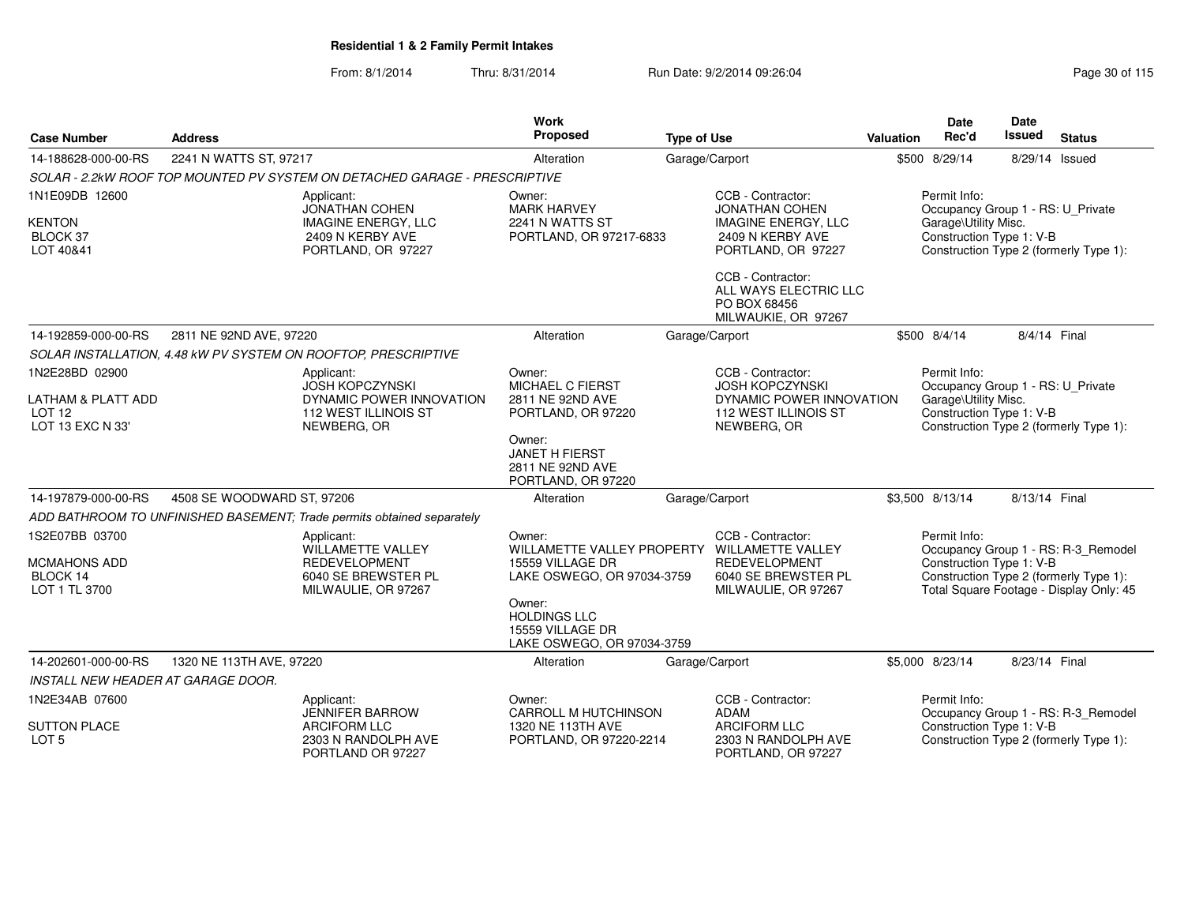| <b>Case Number</b>                                                            | <b>Address</b>                                                                                                                                                                                                                                                                                          |                                                                                                             | <b>Work</b><br>Proposed                                                                                                                                                                     | <b>Type of Use</b>                                                         |                                                                                                                                                                  | <b>Valuation</b>                                                                                      | <b>Date</b><br>Rec'd                                                                                  | Date<br><b>Issued</b>                  | <b>Status</b>                                                                                                            |
|-------------------------------------------------------------------------------|---------------------------------------------------------------------------------------------------------------------------------------------------------------------------------------------------------------------------------------------------------------------------------------------------------|-------------------------------------------------------------------------------------------------------------|---------------------------------------------------------------------------------------------------------------------------------------------------------------------------------------------|----------------------------------------------------------------------------|------------------------------------------------------------------------------------------------------------------------------------------------------------------|-------------------------------------------------------------------------------------------------------|-------------------------------------------------------------------------------------------------------|----------------------------------------|--------------------------------------------------------------------------------------------------------------------------|
| 14-188628-000-00-RS                                                           | 2241 N WATTS ST, 97217                                                                                                                                                                                                                                                                                  |                                                                                                             | Alteration                                                                                                                                                                                  | Garage/Carport                                                             |                                                                                                                                                                  |                                                                                                       | \$500 8/29/14                                                                                         | 8/29/14 Issued                         |                                                                                                                          |
|                                                                               |                                                                                                                                                                                                                                                                                                         | SOLAR - 2.2kW ROOF TOP MOUNTED PV SYSTEM ON DETACHED GARAGE - PRESCRIPTIVE                                  |                                                                                                                                                                                             |                                                                            |                                                                                                                                                                  |                                                                                                       |                                                                                                       |                                        |                                                                                                                          |
| 1N1E09DB 12600<br><b>KENTON</b><br>BLOCK 37<br>LOT 40&41                      |                                                                                                                                                                                                                                                                                                         | Applicant:<br><b>JONATHAN COHEN</b><br><b>IMAGINE ENERGY, LLC</b><br>2409 N KERBY AVE<br>PORTLAND, OR 97227 | Owner:<br><b>MARK HARVEY</b><br>2241 N WATTS ST<br>PORTLAND, OR 97217-6833                                                                                                                  |                                                                            | CCB - Contractor:<br><b>JONATHAN COHEN</b><br><b>IMAGINE ENERGY, LLC</b><br>2409 N KERBY AVE<br>PORTLAND, OR 97227<br>CCB - Contractor:<br>ALL WAYS ELECTRIC LLC |                                                                                                       | Permit Info:<br>Occupancy Group 1 - RS: U_Private<br>Garage\Utility Misc.<br>Construction Type 1: V-B |                                        | Construction Type 2 (formerly Type 1):                                                                                   |
|                                                                               |                                                                                                                                                                                                                                                                                                         |                                                                                                             |                                                                                                                                                                                             |                                                                            | PO BOX 68456<br>MILWAUKIE, OR 97267                                                                                                                              |                                                                                                       |                                                                                                       |                                        |                                                                                                                          |
| 14-192859-000-00-RS                                                           | 2811 NE 92ND AVE, 97220                                                                                                                                                                                                                                                                                 |                                                                                                             | Alteration                                                                                                                                                                                  | Garage/Carport                                                             |                                                                                                                                                                  |                                                                                                       | \$500 8/4/14                                                                                          | 8/4/14 Final                           |                                                                                                                          |
|                                                                               |                                                                                                                                                                                                                                                                                                         | SOLAR INSTALLATION, 4.48 kW PV SYSTEM ON ROOFTOP, PRESCRIPTIVE                                              |                                                                                                                                                                                             |                                                                            |                                                                                                                                                                  |                                                                                                       |                                                                                                       |                                        |                                                                                                                          |
| 1N2E28BD 02900<br>LATHAM & PLATT ADD<br>LOT <sub>12</sub><br>LOT 13 EXC N 33' | CCB - Contractor:<br>Owner:<br>Applicant:<br><b>JOSH KOPCZYNSKI</b><br><b>MICHAEL C FIERST</b><br>DYNAMIC POWER INNOVATION<br>2811 NE 92ND AVE<br>112 WEST ILLINOIS ST<br>PORTLAND, OR 97220<br>NEWBERG, OR<br>NEWBERG, OR<br>Owner:<br><b>JANET H FIERST</b><br>2811 NE 92ND AVE<br>PORTLAND, OR 97220 |                                                                                                             |                                                                                                                                                                                             | <b>JOSH KOPCZYNSKI</b><br>DYNAMIC POWER INNOVATION<br>112 WEST ILLINOIS ST |                                                                                                                                                                  | Permit Info:<br>Occupancy Group 1 - RS: U Private<br>Garage\Utility Misc.<br>Construction Type 1: V-B |                                                                                                       | Construction Type 2 (formerly Type 1): |                                                                                                                          |
| 14-197879-000-00-RS                                                           | 4508 SE WOODWARD ST, 97206                                                                                                                                                                                                                                                                              |                                                                                                             | Alteration                                                                                                                                                                                  | Garage/Carport                                                             |                                                                                                                                                                  |                                                                                                       | \$3,500 8/13/14                                                                                       | 8/13/14 Final                          |                                                                                                                          |
|                                                                               |                                                                                                                                                                                                                                                                                                         | ADD BATHROOM TO UNFINISHED BASEMENT; Trade permits obtained separately                                      |                                                                                                                                                                                             |                                                                            |                                                                                                                                                                  |                                                                                                       |                                                                                                       |                                        |                                                                                                                          |
| 1S2E07BB 03700<br><b>MCMAHONS ADD</b><br>BLOCK 14<br>LOT 1 TL 3700            |                                                                                                                                                                                                                                                                                                         | Applicant:<br>WILLAMETTE VALLEY<br><b>REDEVELOPMENT</b><br>6040 SE BREWSTER PL<br>MILWAULIE, OR 97267       | Owner:<br>WILLAMETTE VALLEY PROPERTY WILLAMETTE VALLEY<br>15559 VILLAGE DR<br>LAKE OSWEGO, OR 97034-3759<br>Owner:<br><b>HOLDINGS LLC</b><br>15559 VILLAGE DR<br>LAKE OSWEGO, OR 97034-3759 |                                                                            | CCB - Contractor:<br>REDEVELOPMENT<br>6040 SE BREWSTER PL<br>MILWAULIE, OR 97267                                                                                 |                                                                                                       | Permit Info:<br>Construction Type 1: V-B                                                              |                                        | Occupancy Group 1 - RS: R-3_Remodel<br>Construction Type 2 (formerly Type 1):<br>Total Square Footage - Display Only: 45 |
| 14-202601-000-00-RS                                                           | 1320 NE 113TH AVE, 97220                                                                                                                                                                                                                                                                                |                                                                                                             | Alteration                                                                                                                                                                                  | Garage/Carport                                                             |                                                                                                                                                                  |                                                                                                       | \$5,000 8/23/14                                                                                       | 8/23/14 Final                          |                                                                                                                          |
| INSTALL NEW HEADER AT GARAGE DOOR.                                            |                                                                                                                                                                                                                                                                                                         |                                                                                                             |                                                                                                                                                                                             |                                                                            |                                                                                                                                                                  |                                                                                                       |                                                                                                       |                                        |                                                                                                                          |
| 1N2E34AB 07600<br><b>SUTTON PLACE</b>                                         |                                                                                                                                                                                                                                                                                                         | Applicant:<br><b>JENNIFER BARROW</b><br>ARCIFORM LLC                                                        | Owner:<br><b>CARROLL M HUTCHINSON</b><br>1320 NE 113TH AVE                                                                                                                                  |                                                                            | CCB - Contractor:<br><b>ADAM</b><br><b>ARCIFORM LLC</b>                                                                                                          |                                                                                                       | Permit Info:<br>Construction Type 1: V-B                                                              |                                        | Occupancy Group 1 - RS: R-3_Remodel                                                                                      |
| LOT <sub>5</sub>                                                              |                                                                                                                                                                                                                                                                                                         | 2303 N RANDOLPH AVE<br>PORTLAND OR 97227                                                                    | PORTLAND, OR 97220-2214                                                                                                                                                                     |                                                                            | 2303 N RANDOLPH AVE<br>PORTLAND, OR 97227                                                                                                                        |                                                                                                       |                                                                                                       |                                        | Construction Type 2 (formerly Type 1):                                                                                   |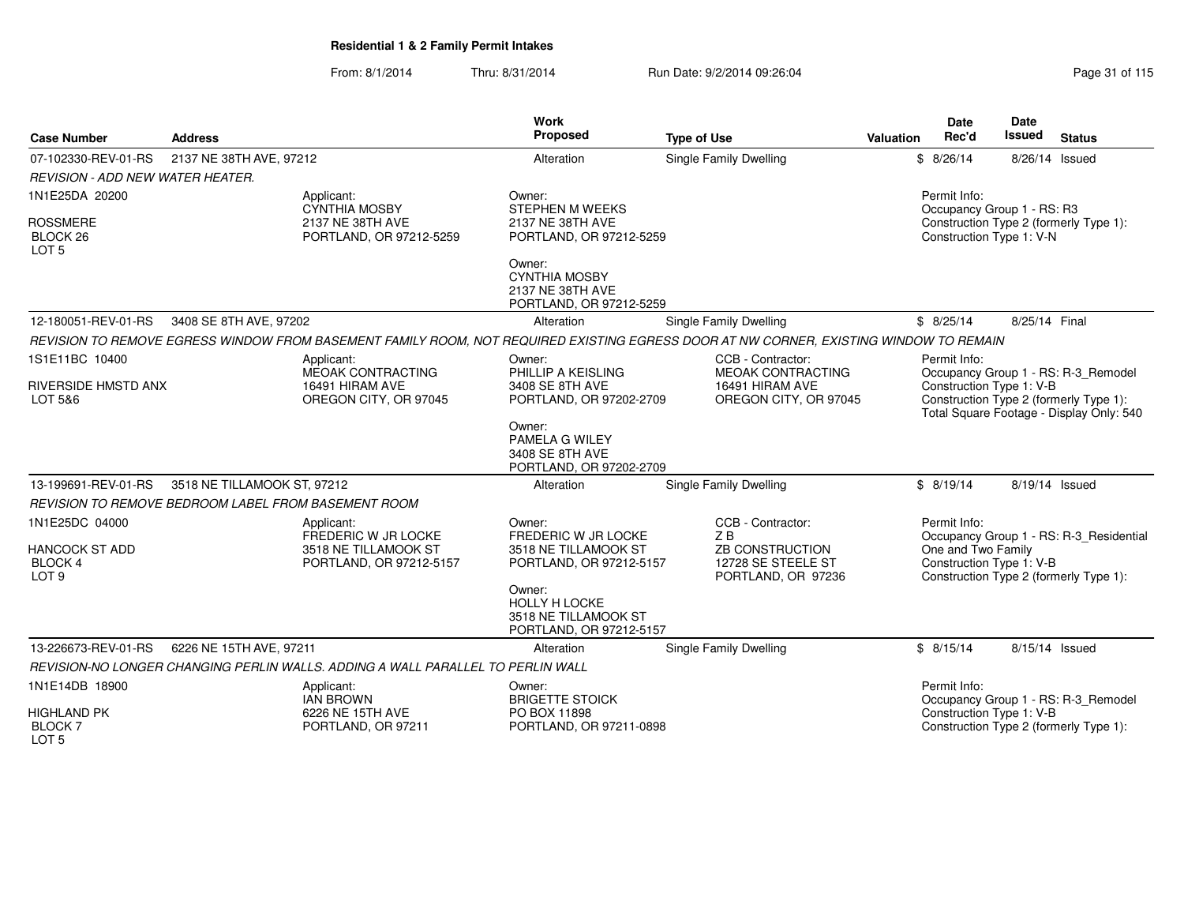| <b>Case Number</b>                                          | <b>Address</b>                                             |                                                                                 | Work<br>Proposed                                                              | <b>Type of Use</b>                                                                                                                    | Valuation | Date<br>Rec'd            | <b>Date</b><br>Issued<br><b>Status</b>                                                   |
|-------------------------------------------------------------|------------------------------------------------------------|---------------------------------------------------------------------------------|-------------------------------------------------------------------------------|---------------------------------------------------------------------------------------------------------------------------------------|-----------|--------------------------|------------------------------------------------------------------------------------------|
| 07-102330-REV-01-RS                                         | 2137 NE 38TH AVE, 97212                                    |                                                                                 | Alteration                                                                    | Single Family Dwelling                                                                                                                |           | \$8/26/14                | 8/26/14 Issued                                                                           |
| <b>REVISION - ADD NEW WATER HEATER.</b>                     |                                                            |                                                                                 |                                                                               |                                                                                                                                       |           |                          |                                                                                          |
| 1N1E25DA 20200                                              |                                                            | Applicant:<br><b>CYNTHIA MOSBY</b>                                              | Owner:<br>STEPHEN M WEEKS                                                     |                                                                                                                                       |           | Permit Info:             | Occupancy Group 1 - RS: R3                                                               |
| <b>ROSSMERE</b><br>BLOCK 26<br>LOT <sub>5</sub>             |                                                            | 2137 NE 38TH AVE<br>PORTLAND, OR 97212-5259                                     | 2137 NE 38TH AVE<br>PORTLAND, OR 97212-5259                                   |                                                                                                                                       |           | Construction Type 1: V-N | Construction Type 2 (formerly Type 1):                                                   |
|                                                             |                                                            |                                                                                 | Owner:<br><b>CYNTHIA MOSBY</b><br>2137 NE 38TH AVE<br>PORTLAND, OR 97212-5259 |                                                                                                                                       |           |                          |                                                                                          |
| 12-180051-REV-01-RS                                         | 3408 SE 8TH AVE, 97202                                     |                                                                                 | Alteration                                                                    | <b>Single Family Dwelling</b>                                                                                                         |           | \$8/25/14                | 8/25/14 Final                                                                            |
|                                                             |                                                            |                                                                                 |                                                                               | REVISION TO REMOVE EGRESS WINDOW FROM BASEMENT FAMILY ROOM, NOT REQUIRED EXISTING EGRESS DOOR AT NW CORNER, EXISTING WINDOW TO REMAIN |           |                          |                                                                                          |
| 1S1E11BC 10400                                              |                                                            | Applicant:<br>MEOAK CONTRACTING                                                 | Owner:<br>PHILLIP A KEISLING                                                  | CCB - Contractor:<br><b>MEOAK CONTRACTING</b>                                                                                         |           | Permit Info:             | Occupancy Group 1 - RS: R-3_Remodel                                                      |
| <b>RIVERSIDE HMSTD ANX</b><br>LOT 5&6                       |                                                            | 16491 HIRAM AVE<br>OREGON CITY, OR 97045                                        | 3408 SE 8TH AVE<br>PORTLAND, OR 97202-2709                                    | 16491 HIRAM AVE<br>OREGON CITY, OR 97045                                                                                              |           | Construction Type 1: V-B | Construction Type 2 (formerly Type 1):<br>Total Square Footage - Display Only: 540       |
|                                                             |                                                            |                                                                                 | Owner:<br>PAMELA G WILEY<br>3408 SE 8TH AVE<br>PORTLAND, OR 97202-2709        |                                                                                                                                       |           |                          |                                                                                          |
| 13-199691-REV-01-RS                                         | 3518 NE TILLAMOOK ST, 97212                                |                                                                                 | Alteration                                                                    | Single Family Dwelling                                                                                                                |           | \$8/19/14                | 8/19/14 Issued                                                                           |
|                                                             | <b>REVISION TO REMOVE BEDROOM LABEL FROM BASEMENT ROOM</b> |                                                                                 |                                                                               |                                                                                                                                       |           |                          |                                                                                          |
| 1N1E25DC 04000                                              |                                                            | Applicant:<br>FREDERIC W JR LOCKE                                               | Owner:<br>FREDERIC W JR LOCKE                                                 | CCB - Contractor:<br>ZB                                                                                                               |           | Permit Info:             | Occupancy Group 1 - RS: R-3_Residential                                                  |
| <b>HANCOCK ST ADD</b><br><b>BLOCK 4</b><br>LOT <sub>9</sub> |                                                            | 3518 NE TILLAMOOK ST<br>PORTLAND, OR 97212-5157                                 | 3518 NE TILLAMOOK ST<br>PORTLAND, OR 97212-5157                               | <b>ZB CONSTRUCTION</b><br>12728 SE STEELE ST<br>PORTLAND, OR 97236                                                                    |           |                          | One and Two Family<br>Construction Type 1: V-B<br>Construction Type 2 (formerly Type 1): |
|                                                             |                                                            |                                                                                 | Owner:<br>HOLLY H LOCKE<br>3518 NE TILLAMOOK ST<br>PORTLAND, OR 97212-5157    |                                                                                                                                       |           |                          |                                                                                          |
| 13-226673-REV-01-RS                                         | 6226 NE 15TH AVE, 97211                                    |                                                                                 | Alteration                                                                    | <b>Single Family Dwelling</b>                                                                                                         |           | \$8/15/14                | 8/15/14 Issued                                                                           |
|                                                             |                                                            | REVISION-NO LONGER CHANGING PERLIN WALLS, ADDING A WALL PARALLEL TO PERLIN WALL |                                                                               |                                                                                                                                       |           |                          |                                                                                          |
| 1N1E14DB 18900                                              |                                                            | Applicant:<br><b>IAN BROWN</b>                                                  | Owner:<br><b>BRIGETTE STOICK</b>                                              |                                                                                                                                       |           | Permit Info:             | Occupancy Group 1 - RS: R-3_Remodel                                                      |
| <b>HIGHLAND PK</b><br><b>BLOCK7</b><br>LOT <sub>5</sub>     |                                                            | 6226 NE 15TH AVE<br>PORTLAND, OR 97211                                          | PO BOX 11898<br>PORTLAND, OR 97211-0898                                       |                                                                                                                                       |           | Construction Type 1: V-B | Construction Type 2 (formerly Type 1):                                                   |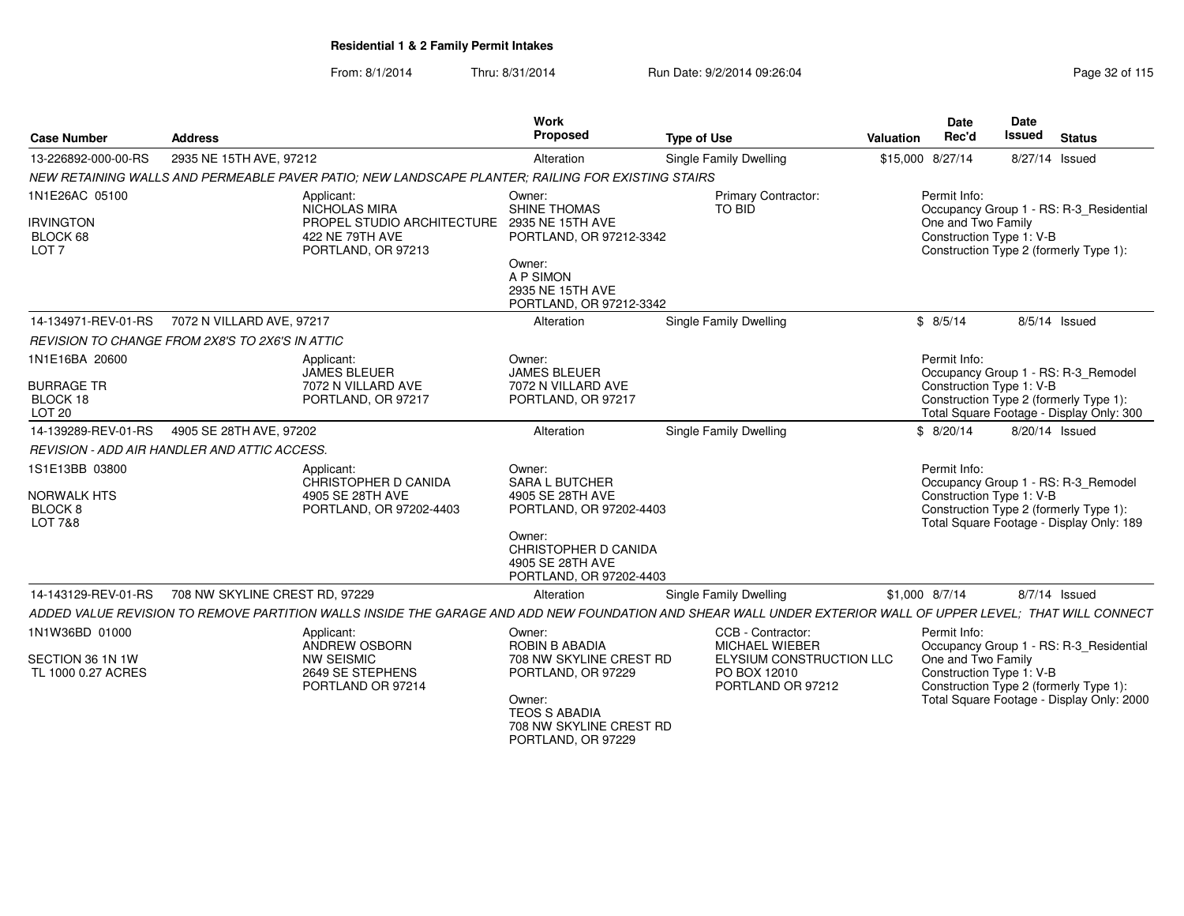| <b>Case Number</b>                                                               | <b>Address</b>                 |                                                                                                                                                              | Work<br>Proposed                                                                                                                 | <b>Type of Use</b>                                            | <b>Valuation</b> | Date<br>Rec'd                                  | Date<br>Issued | <b>Status</b>                                                                                                             |
|----------------------------------------------------------------------------------|--------------------------------|--------------------------------------------------------------------------------------------------------------------------------------------------------------|----------------------------------------------------------------------------------------------------------------------------------|---------------------------------------------------------------|------------------|------------------------------------------------|----------------|---------------------------------------------------------------------------------------------------------------------------|
| 13-226892-000-00-RS                                                              | 2935 NE 15TH AVE, 97212        |                                                                                                                                                              | Alteration                                                                                                                       | <b>Single Family Dwelling</b>                                 |                  | \$15,000 8/27/14                               |                | 8/27/14 Issued                                                                                                            |
|                                                                                  |                                | NEW RETAINING WALLS AND PERMEABLE PAVER PATIO; NEW LANDSCAPE PLANTER; RAILING FOR EXISTING STAIRS                                                            |                                                                                                                                  |                                                               |                  |                                                |                |                                                                                                                           |
| 1N1E26AC 05100                                                                   |                                | Applicant:<br>NICHOLAS MIRA                                                                                                                                  | Owner:<br>SHINE THOMAS                                                                                                           | Primary Contractor:<br>TO BID                                 |                  | Permit Info:                                   |                | Occupancy Group 1 - RS: R-3_Residential                                                                                   |
| <b>IRVINGTON</b><br>BLOCK 68<br>LOT <sub>7</sub>                                 |                                | PROPEL STUDIO ARCHITECTURE<br>422 NE 79TH AVE<br>PORTLAND, OR 97213                                                                                          | 2935 NE 15TH AVE<br>PORTLAND, OR 97212-3342                                                                                      |                                                               |                  | One and Two Family<br>Construction Type 1: V-B |                | Construction Type 2 (formerly Type 1):                                                                                    |
|                                                                                  |                                |                                                                                                                                                              | Owner:<br>A P SIMON<br>2935 NE 15TH AVE<br>PORTLAND, OR 97212-3342                                                               |                                                               |                  |                                                |                |                                                                                                                           |
| 14-134971-REV-01-RS                                                              | 7072 N VILLARD AVE, 97217      |                                                                                                                                                              | Alteration                                                                                                                       | Single Family Dwelling                                        |                  | \$8/5/14                                       |                | $8/5/14$ Issued                                                                                                           |
| REVISION TO CHANGE FROM 2X8'S TO 2X6'S IN ATTIC                                  |                                |                                                                                                                                                              |                                                                                                                                  |                                                               |                  |                                                |                |                                                                                                                           |
| 1N1E16BA 20600                                                                   |                                | Applicant:<br><b>JAMES BLEUER</b>                                                                                                                            | Owner:<br><b>JAMES BLEUER</b>                                                                                                    |                                                               |                  | Permit Info:                                   |                | Occupancy Group 1 - RS: R-3_Remodel                                                                                       |
| <b>BURRAGE TR</b><br>BLOCK 18<br>LOT <sub>20</sub>                               |                                | 7072 N VILLARD AVE<br>PORTLAND, OR 97217                                                                                                                     | 7072 N VILLARD AVE<br>PORTLAND, OR 97217                                                                                         |                                                               |                  | Construction Type 1: V-B                       |                | Construction Type 2 (formerly Type 1):<br>Total Square Footage - Display Only: 300                                        |
| 14-139289-REV-01-RS                                                              | 4905 SE 28TH AVE, 97202        |                                                                                                                                                              | Alteration                                                                                                                       | <b>Single Family Dwelling</b>                                 |                  | \$8/20/14                                      |                | 8/20/14 Issued                                                                                                            |
| REVISION - ADD AIR HANDLER AND ATTIC ACCESS.                                     |                                |                                                                                                                                                              |                                                                                                                                  |                                                               |                  |                                                |                |                                                                                                                           |
| 1S1E13BB 03800<br><b>NORWALK HTS</b><br>BLOCK <sub>8</sub><br><b>LOT 7&amp;8</b> |                                | Applicant:<br>CHRISTOPHER D CANIDA<br>4905 SE 28TH AVE<br>PORTLAND, OR 97202-4403                                                                            | Owner:<br><b>SARA L BUTCHER</b><br>4905 SE 28TH AVE<br>PORTLAND, OR 97202-4403<br>Owner:<br>CHRISTOPHER D CANIDA                 |                                                               |                  | Permit Info:<br>Construction Type 1: V-B       |                | Occupancy Group 1 - RS: R-3_Remodel<br>Construction Type 2 (formerly Type 1):<br>Total Square Footage - Display Only: 189 |
|                                                                                  |                                |                                                                                                                                                              | 4905 SE 28TH AVE<br>PORTLAND, OR 97202-4403                                                                                      |                                                               |                  |                                                |                |                                                                                                                           |
| 14-143129-REV-01-RS                                                              | 708 NW SKYLINE CREST RD, 97229 |                                                                                                                                                              | Alteration                                                                                                                       | Single Family Dwelling                                        |                  | \$1,000 8/7/14                                 |                | 8/7/14 Issued                                                                                                             |
|                                                                                  |                                | ADDED VALUE REVISION TO REMOVE PARTITION WALLS INSIDE THE GARAGE AND ADD NEW FOUNDATION AND SHEAR WALL UNDER EXTERIOR WALL OF UPPER LEVEL: THAT WILL CONNECT |                                                                                                                                  |                                                               |                  |                                                |                |                                                                                                                           |
| 1N1W36BD 01000                                                                   |                                | Applicant:<br>ANDREW OSBORN                                                                                                                                  | Owner:<br>ROBIN B ABADIA                                                                                                         | CCB - Contractor:<br><b>MICHAEL WIEBER</b>                    |                  | Permit Info:                                   |                | Occupancy Group 1 - RS: R-3_Residential                                                                                   |
| SECTION 36 1N 1W<br>TL 1000 0.27 ACRES                                           |                                | <b>NW SEISMIC</b><br>2649 SE STEPHENS<br>PORTLAND OR 97214                                                                                                   | 708 NW SKYLINE CREST RD<br>PORTLAND, OR 97229<br>Owner:<br><b>TEOS S ABADIA</b><br>708 NW SKYLINE CREST RD<br>PORTLAND, OR 97229 | ELYSIUM CONSTRUCTION LLC<br>PO BOX 12010<br>PORTLAND OR 97212 |                  | One and Two Family<br>Construction Type 1: V-B |                | Construction Type 2 (formerly Type 1):<br>Total Square Footage - Display Only: 2000                                       |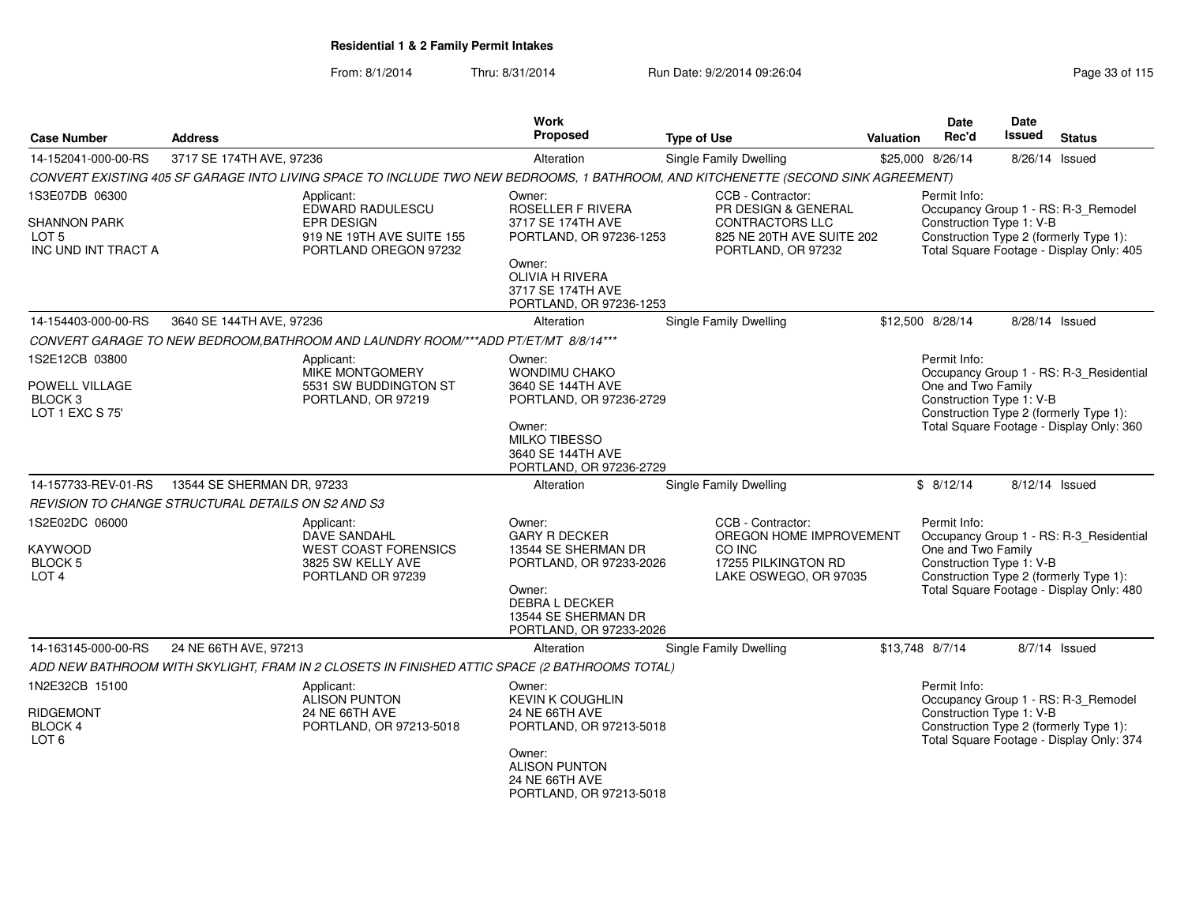| <b>Case Number</b>                                      | <b>Address</b>                                                          |                                                                                                                                   | <b>Work</b><br>Proposed                                                           | <b>Type of Use</b>                                                        | Valuation | <b>Date</b><br>Rec'd                                                                                                                                  | <b>Date</b><br>Issued | <b>Status</b>                            |  |
|---------------------------------------------------------|-------------------------------------------------------------------------|-----------------------------------------------------------------------------------------------------------------------------------|-----------------------------------------------------------------------------------|---------------------------------------------------------------------------|-----------|-------------------------------------------------------------------------------------------------------------------------------------------------------|-----------------------|------------------------------------------|--|
| 14-152041-000-00-RS                                     | 3717 SE 174TH AVE, 97236                                                |                                                                                                                                   | Alteration                                                                        | Single Family Dwelling                                                    |           | \$25,000 8/26/14                                                                                                                                      | 8/26/14 Issued        |                                          |  |
|                                                         |                                                                         | CONVERT EXISTING 405 SF GARAGE INTO LIVING SPACE TO INCLUDE TWO NEW BEDROOMS, 1 BATHROOM, AND KITCHENETTE (SECOND SINK AGREEMENT) |                                                                                   |                                                                           |           |                                                                                                                                                       |                       |                                          |  |
| 1S3E07DB 06300                                          |                                                                         | Applicant:<br>EDWARD RADULESCU                                                                                                    | Owner:<br>ROSELLER F RIVERA                                                       | CCB - Contractor:<br>PR DESIGN & GENERAL                                  |           | Permit Info:                                                                                                                                          |                       |                                          |  |
| <b>SHANNON PARK</b><br>LOT 5<br>INC UND INT TRACT A     | <b>EPR DESIGN</b><br>919 NE 19TH AVE SUITE 155<br>PORTLAND OREGON 97232 |                                                                                                                                   | 3717 SE 174TH AVE<br>PORTLAND, OR 97236-1253                                      | <b>CONTRACTORS LLC</b><br>825 NE 20TH AVE SUITE 202<br>PORTLAND, OR 97232 |           | Occupancy Group 1 - RS: R-3_Remodel<br>Construction Type 1: V-B<br>Construction Type 2 (formerly Type 1):<br>Total Square Footage - Display Only: 405 |                       |                                          |  |
|                                                         |                                                                         |                                                                                                                                   | Owner:<br><b>OLIVIA H RIVERA</b><br>3717 SE 174TH AVE<br>PORTLAND, OR 97236-1253  |                                                                           |           |                                                                                                                                                       |                       |                                          |  |
| 14-154403-000-00-RS                                     | 3640 SE 144TH AVE, 97236                                                |                                                                                                                                   | Alteration                                                                        | Single Family Dwelling                                                    |           | \$12,500 8/28/14                                                                                                                                      | 8/28/14 Issued        |                                          |  |
|                                                         |                                                                         | CONVERT GARAGE TO NEW BEDROOM, BATHROOM AND LAUNDRY ROOM/***ADD PT/ET/MT 8/8/14***                                                |                                                                                   |                                                                           |           |                                                                                                                                                       |                       |                                          |  |
| 1S2E12CB 03800                                          |                                                                         | Applicant:<br><b>MIKE MONTGOMERY</b>                                                                                              | Owner:<br><b>WONDIMU CHAKO</b>                                                    |                                                                           |           | Permit Info:                                                                                                                                          |                       | Occupancy Group 1 - RS: R-3_Residential  |  |
| POWELL VILLAGE<br>BLOCK <sub>3</sub><br>LOT 1 EXC S 75' | 5531 SW BUDDINGTON ST<br>PORTLAND, OR 97219                             |                                                                                                                                   | 3640 SE 144TH AVE<br>PORTLAND, OR 97236-2729                                      |                                                                           |           | One and Two Family<br>Construction Type 1: V-B                                                                                                        |                       | Construction Type 2 (formerly Type 1):   |  |
|                                                         |                                                                         |                                                                                                                                   | Owner:<br><b>MILKO TIBESSO</b><br>3640 SE 144TH AVE<br>PORTLAND, OR 97236-2729    |                                                                           |           | Total Square Footage - Display Only: 360                                                                                                              |                       |                                          |  |
| 14-157733-REV-01-RS                                     | 13544 SE SHERMAN DR, 97233                                              |                                                                                                                                   | Alteration                                                                        | Single Family Dwelling                                                    |           | \$8/12/14                                                                                                                                             | 8/12/14 Issued        |                                          |  |
| REVISION TO CHANGE STRUCTURAL DETAILS ON S2 AND S3      |                                                                         |                                                                                                                                   |                                                                                   |                                                                           |           |                                                                                                                                                       |                       |                                          |  |
| 1S2E02DC 06000                                          |                                                                         | Applicant:<br>DAVE SANDAHL                                                                                                        | Owner:<br><b>GARY R DECKER</b>                                                    | CCB - Contractor:<br>OREGON HOME IMPROVEMENT                              |           | Permit Info:                                                                                                                                          |                       | Occupancy Group 1 - RS: R-3_Residential  |  |
| KAYWOOD                                                 |                                                                         | <b>WEST COAST FORENSICS</b>                                                                                                       | 13544 SE SHERMAN DR                                                               | CO INC                                                                    |           | One and Two Family                                                                                                                                    |                       |                                          |  |
| BLOCK <sub>5</sub><br>LOT <sub>4</sub>                  |                                                                         | 3825 SW KELLY AVE<br>PORTLAND OR 97239                                                                                            | PORTLAND, OR 97233-2026                                                           | 17255 PILKINGTON RD<br>LAKE OSWEGO, OR 97035                              |           | Construction Type 1: V-B<br>Construction Type 2 (formerly Type 1):                                                                                    |                       |                                          |  |
|                                                         |                                                                         |                                                                                                                                   | Owner:<br><b>DEBRA L DECKER</b><br>13544 SE SHERMAN DR<br>PORTLAND, OR 97233-2026 |                                                                           |           |                                                                                                                                                       |                       | Total Square Footage - Display Only: 480 |  |
| 14-163145-000-00-RS                                     | 24 NE 66TH AVE, 97213                                                   |                                                                                                                                   | Alteration                                                                        | <b>Single Family Dwelling</b>                                             |           | \$13,748 8/7/14                                                                                                                                       |                       | 8/7/14 Issued                            |  |
|                                                         |                                                                         | ADD NEW BATHROOM WITH SKYLIGHT, FRAM IN 2 CLOSETS IN FINISHED ATTIC SPACE (2 BATHROOMS TOTAL)                                     |                                                                                   |                                                                           |           |                                                                                                                                                       |                       |                                          |  |
| 1N2E32CB 15100                                          |                                                                         | Applicant:<br><b>ALISON PUNTON</b>                                                                                                | Owner:<br><b>KEVIN K COUGHLIN</b>                                                 |                                                                           |           | Permit Info:                                                                                                                                          |                       | Occupancy Group 1 - RS: R-3_Remodel      |  |
| <b>RIDGEMONT</b><br><b>BLOCK 4</b><br>LOT <sub>6</sub>  |                                                                         | 24 NE 66TH AVE<br>PORTLAND, OR 97213-5018                                                                                         | 24 NE 66TH AVE<br>PORTLAND, OR 97213-5018                                         |                                                                           |           | Construction Type 1: V-B<br>Construction Type 2 (formerly Type 1):                                                                                    |                       | Total Square Footage - Display Only: 374 |  |
|                                                         |                                                                         |                                                                                                                                   | Owner:<br><b>ALISON PUNTON</b><br>24 NE 66TH AVE<br>PORTLAND, OR 97213-5018       |                                                                           |           |                                                                                                                                                       |                       |                                          |  |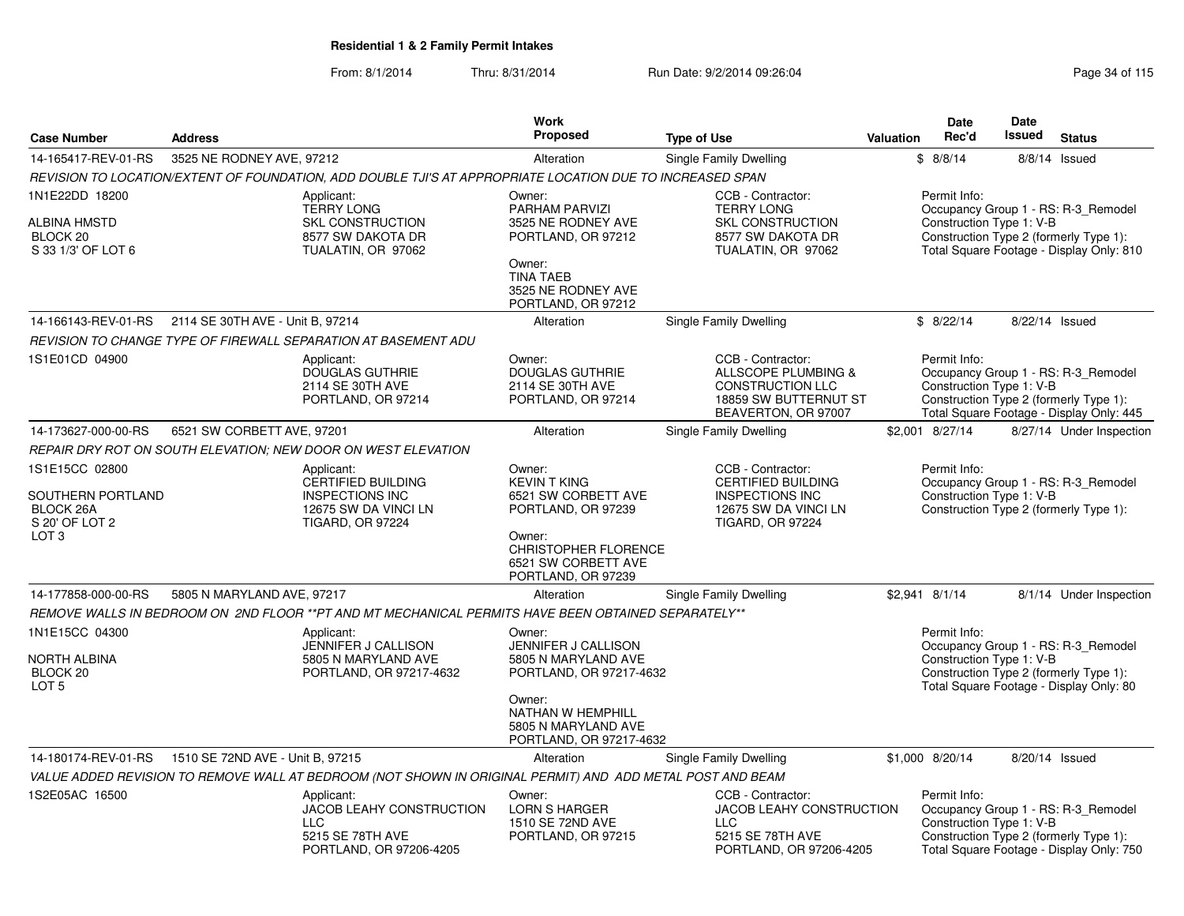|                                                                                               |                                                                                                                      |                                                                                                           | Work                                                                                                                                                                                                                                                                                            |                                                                                                                     |                                                                                                                           | Date                                                                                                                                                                 | <b>Date</b>    |                                                                                                                           |
|-----------------------------------------------------------------------------------------------|----------------------------------------------------------------------------------------------------------------------|-----------------------------------------------------------------------------------------------------------|-------------------------------------------------------------------------------------------------------------------------------------------------------------------------------------------------------------------------------------------------------------------------------------------------|---------------------------------------------------------------------------------------------------------------------|---------------------------------------------------------------------------------------------------------------------------|----------------------------------------------------------------------------------------------------------------------------------------------------------------------|----------------|---------------------------------------------------------------------------------------------------------------------------|
| <b>Case Number</b>                                                                            | <b>Address</b>                                                                                                       |                                                                                                           | <b>Proposed</b>                                                                                                                                                                                                                                                                                 | <b>Type of Use</b>                                                                                                  | <b>Valuation</b>                                                                                                          | Rec'd                                                                                                                                                                | <b>Issued</b>  | <b>Status</b>                                                                                                             |
| 14-165417-REV-01-RS                                                                           | 3525 NE RODNEY AVE, 97212                                                                                            |                                                                                                           | Alteration                                                                                                                                                                                                                                                                                      | Single Family Dwelling                                                                                              |                                                                                                                           | \$8/8/14                                                                                                                                                             |                | 8/8/14 Issued                                                                                                             |
|                                                                                               |                                                                                                                      | REVISION TO LOCATION/EXTENT OF FOUNDATION, ADD DOUBLE TJI'S AT APPROPRIATE LOCATION DUE TO INCREASED SPAN |                                                                                                                                                                                                                                                                                                 |                                                                                                                     |                                                                                                                           |                                                                                                                                                                      |                |                                                                                                                           |
| 1N1E22DD 18200<br>ALBINA HMSTD<br>BLOCK 20<br>S 33 1/3' OF LOT 6                              |                                                                                                                      | Applicant:<br><b>TERRY LONG</b><br><b>SKL CONSTRUCTION</b><br>8577 SW DAKOTA DR<br>TUALATIN, OR 97062     | Owner:<br>PARHAM PARVIZI<br>3525 NE RODNEY AVE<br>PORTLAND, OR 97212<br>Owner:<br><b>TINA TAEB</b><br>3525 NE RODNEY AVE<br>PORTLAND, OR 97212                                                                                                                                                  | CCB - Contractor:<br><b>TERRY LONG</b><br><b>SKL CONSTRUCTION</b><br>8577 SW DAKOTA DR<br>TUALATIN, OR 97062        |                                                                                                                           | Permit Info:<br>Construction Type 1: V-B                                                                                                                             |                | Occupancy Group 1 - RS: R-3_Remodel<br>Construction Type 2 (formerly Type 1):<br>Total Square Footage - Display Only: 810 |
|                                                                                               | 14-166143-REV-01-RS  2114 SE 30TH AVE - Unit B, 97214                                                                |                                                                                                           | Alteration                                                                                                                                                                                                                                                                                      | <b>Single Family Dwelling</b>                                                                                       |                                                                                                                           | \$8/22/14                                                                                                                                                            | 8/22/14 Issued |                                                                                                                           |
|                                                                                               |                                                                                                                      | REVISION TO CHANGE TYPE OF FIREWALL SEPARATION AT BASEMENT ADU                                            |                                                                                                                                                                                                                                                                                                 |                                                                                                                     |                                                                                                                           |                                                                                                                                                                      |                |                                                                                                                           |
| 1S1E01CD 04900                                                                                |                                                                                                                      | Applicant:<br><b>DOUGLAS GUTHRIE</b><br>2114 SE 30TH AVE<br>PORTLAND, OR 97214                            | Owner:<br><b>DOUGLAS GUTHRIE</b><br>2114 SE 30TH AVE<br>PORTLAND, OR 97214                                                                                                                                                                                                                      | CCB - Contractor:<br>ALLSCOPE PLUMBING &<br><b>CONSTRUCTION LLC</b><br>18859 SW BUTTERNUT ST<br>BEAVERTON, OR 97007 |                                                                                                                           | Permit Info:<br>Construction Type 1: V-B                                                                                                                             |                | Occupancy Group 1 - RS: R-3_Remodel<br>Construction Type 2 (formerly Type 1):<br>Total Square Footage - Display Only: 445 |
| 14-173627-000-00-RS                                                                           | 6521 SW CORBETT AVE, 97201                                                                                           |                                                                                                           | Alteration                                                                                                                                                                                                                                                                                      | Single Family Dwelling                                                                                              |                                                                                                                           | \$2,001 8/27/14                                                                                                                                                      |                | 8/27/14 Under Inspection                                                                                                  |
|                                                                                               |                                                                                                                      | REPAIR DRY ROT ON SOUTH ELEVATION; NEW DOOR ON WEST ELEVATION                                             |                                                                                                                                                                                                                                                                                                 |                                                                                                                     |                                                                                                                           |                                                                                                                                                                      |                |                                                                                                                           |
| 1S1E15CC 02800<br>SOUTHERN PORTLAND<br><b>BLOCK 26A</b><br>S 20' OF LOT 2<br>LOT <sub>3</sub> | Applicant:<br><b>CERTIFIED BUILDING</b><br><b>INSPECTIONS INC</b><br>12675 SW DA VINCI LN<br><b>TIGARD, OR 97224</b> |                                                                                                           | Owner:<br>CCB - Contractor:<br><b>KEVIN T KING</b><br><b>CERTIFIED BUILDING</b><br>6521 SW CORBETT AVE<br><b>INSPECTIONS INC</b><br>PORTLAND, OR 97239<br>12675 SW DA VINCI LN<br><b>TIGARD, OR 97224</b><br>Owner:<br><b>CHRISTOPHER FLORENCE</b><br>6521 SW CORBETT AVE<br>PORTLAND, OR 97239 |                                                                                                                     | Permit Info:<br>Occupancy Group 1 - RS: R-3_Remodel<br>Construction Type 1: V-B<br>Construction Type 2 (formerly Type 1): |                                                                                                                                                                      |                |                                                                                                                           |
| 14-177858-000-00-RS                                                                           | 5805 N MARYLAND AVE, 97217                                                                                           |                                                                                                           | Alteration                                                                                                                                                                                                                                                                                      | Single Family Dwelling                                                                                              |                                                                                                                           | \$2,941 8/1/14                                                                                                                                                       |                | 8/1/14 Under Inspection                                                                                                   |
|                                                                                               |                                                                                                                      | REMOVE WALLS IN BEDROOM ON 2ND FLOOR ** PT AND MT MECHANICAL PERMITS HAVE BEEN OBTAINED SEPARATELY**      |                                                                                                                                                                                                                                                                                                 |                                                                                                                     |                                                                                                                           |                                                                                                                                                                      |                |                                                                                                                           |
| 1N1E15CC 04300<br>NORTH ALBINA<br>BLOCK 20<br>LOT <sub>5</sub>                                |                                                                                                                      | Applicant:<br>JENNIFER J CALLISON<br>5805 N MARYLAND AVE<br>PORTLAND, OR 97217-4632                       | Owner:<br>JENNIFER J CALLISON<br>5805 N MARYLAND AVE<br>PORTLAND, OR 97217-4632<br>Owner:<br>NATHAN W HEMPHILL<br>5805 N MARYLAND AVE<br>PORTLAND, OR 97217-4632                                                                                                                                |                                                                                                                     |                                                                                                                           | Permit Info:<br>Occupancy Group 1 - RS: R-3_Remodel<br>Construction Type 1: V-B<br>Construction Type 2 (formerly Type 1):<br>Total Square Footage - Display Only: 80 |                |                                                                                                                           |
| 14-180174-REV-01-RS                                                                           | 1510 SE 72ND AVE - Unit B, 97215                                                                                     |                                                                                                           | Alteration                                                                                                                                                                                                                                                                                      | <b>Single Family Dwelling</b>                                                                                       |                                                                                                                           | \$1,000 8/20/14                                                                                                                                                      | 8/20/14 Issued |                                                                                                                           |
|                                                                                               |                                                                                                                      | VALUE ADDED REVISION TO REMOVE WALL AT BEDROOM (NOT SHOWN IN ORIGINAL PERMIT) AND ADD METAL POST AND BEAM |                                                                                                                                                                                                                                                                                                 |                                                                                                                     |                                                                                                                           |                                                                                                                                                                      |                |                                                                                                                           |
| 1S2E05AC 16500                                                                                |                                                                                                                      | Applicant:<br>JACOB LEAHY CONSTRUCTION<br><b>LLC</b><br>5215 SE 78TH AVE<br>PORTLAND, OR 97206-4205       | Owner:<br><b>LORN S HARGER</b><br>1510 SE 72ND AVE<br>PORTLAND, OR 97215                                                                                                                                                                                                                        | CCB - Contractor:<br>JACOB LEAHY CONSTRUCTION<br><b>LLC</b><br>5215 SE 78TH AVE<br>PORTLAND, OR 97206-4205          |                                                                                                                           | Permit Info:<br>Construction Type 1: V-B                                                                                                                             |                | Occupancy Group 1 - RS: R-3_Remodel<br>Construction Type 2 (formerly Type 1):<br>Total Square Footage - Display Only: 750 |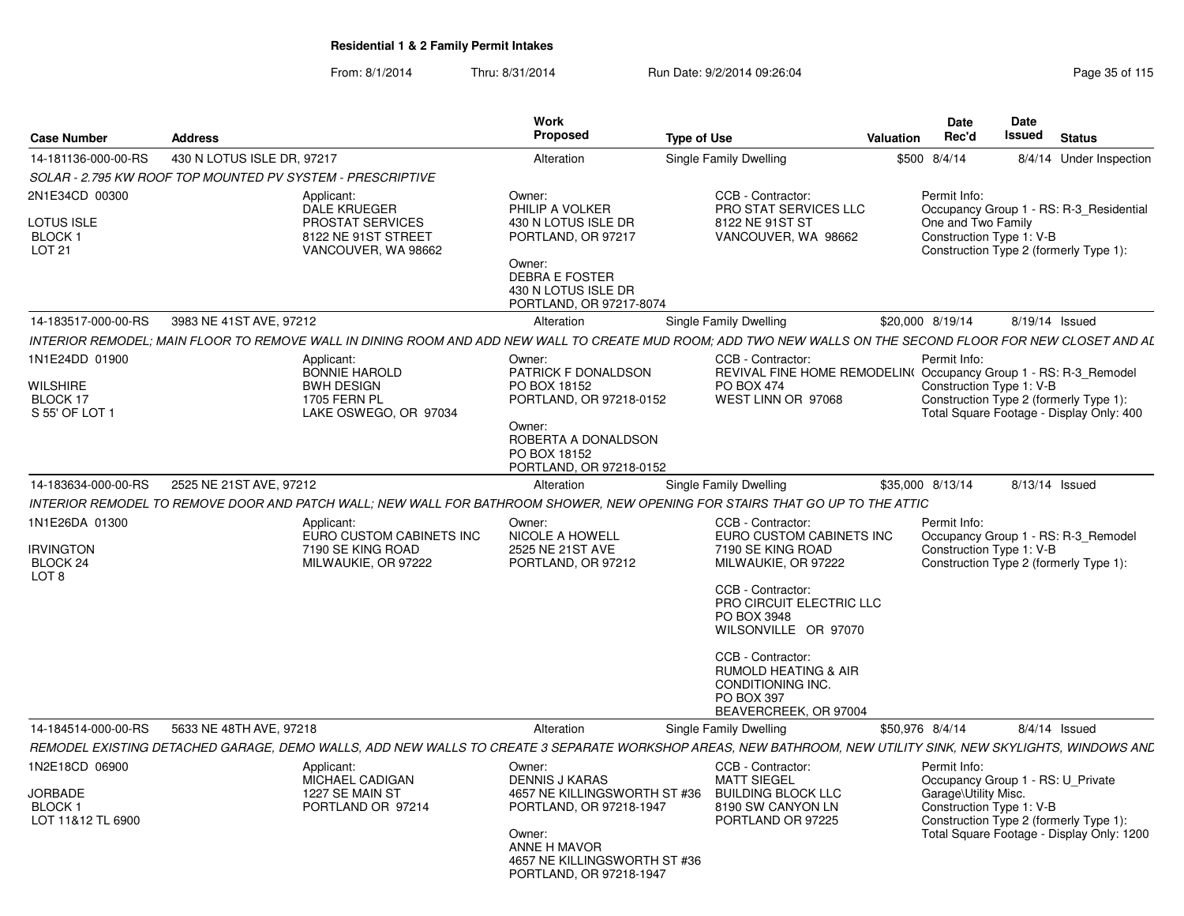| <b>Case Number</b>                                                | <b>Address</b>             |                                                                                                                                                             | Work<br>Proposed                                                                                                                                                                | <b>Type of Use</b> |                                                                                                                                                                                                                                                                                                       | <b>Valuation</b> | Date<br>Rec'd                                                                                         | Date<br>Issued | <b>Status</b>                                                                       |
|-------------------------------------------------------------------|----------------------------|-------------------------------------------------------------------------------------------------------------------------------------------------------------|---------------------------------------------------------------------------------------------------------------------------------------------------------------------------------|--------------------|-------------------------------------------------------------------------------------------------------------------------------------------------------------------------------------------------------------------------------------------------------------------------------------------------------|------------------|-------------------------------------------------------------------------------------------------------|----------------|-------------------------------------------------------------------------------------|
| 14-181136-000-00-RS                                               | 430 N LOTUS ISLE DR, 97217 |                                                                                                                                                             | Alteration                                                                                                                                                                      |                    | Single Family Dwelling                                                                                                                                                                                                                                                                                |                  | \$500 8/4/14                                                                                          |                | 8/4/14 Under Inspection                                                             |
|                                                                   |                            | SOLAR - 2.795 KW ROOF TOP MOUNTED PV SYSTEM - PRESCRIPTIVE                                                                                                  |                                                                                                                                                                                 |                    |                                                                                                                                                                                                                                                                                                       |                  |                                                                                                       |                |                                                                                     |
| 2N1E34CD 00300<br><b>LOTUS ISLE</b><br>BLOCK 1<br><b>LOT 21</b>   |                            | Applicant:<br><b>DALE KRUEGER</b><br>PROSTAT SERVICES<br>8122 NE 91ST STREET<br>VANCOUVER, WA 98662                                                         | Owner:<br>PHILIP A VOLKER<br>430 N LOTUS ISLE DR<br>PORTLAND, OR 97217<br>Owner:<br><b>DEBRA E FOSTER</b><br>430 N LOTUS ISLE DR<br>PORTLAND, OR 97217-8074                     |                    | CCB - Contractor:<br><b>PRO STAT SERVICES LLC</b><br>8122 NE 91ST ST<br>VANCOUVER, WA 98662                                                                                                                                                                                                           |                  | Permit Info:<br>One and Two Family<br>Construction Type 1: V-B                                        |                | Occupancy Group 1 - RS: R-3_Residential<br>Construction Type 2 (formerly Type 1):   |
| 14-183517-000-00-RS                                               | 3983 NE 41ST AVE, 97212    |                                                                                                                                                             | Alteration                                                                                                                                                                      |                    | Single Family Dwelling                                                                                                                                                                                                                                                                                |                  | \$20,000 8/19/14                                                                                      | 8/19/14 Issued |                                                                                     |
|                                                                   |                            | INTERIOR REMODEL: MAIN FLOOR TO REMOVE WALL IN DINING ROOM AND ADD NEW WALL TO CREATE MUD ROOM: ADD TWO NEW WALLS ON THE SECOND FLOOR FOR NEW CLOSET AND AL |                                                                                                                                                                                 |                    |                                                                                                                                                                                                                                                                                                       |                  |                                                                                                       |                |                                                                                     |
| 1N1E24DD 01900<br>WILSHIRE<br>BLOCK 17<br>S 55' OF LOT 1          |                            | Applicant:<br><b>BONNIE HAROLD</b><br><b>BWH DESIGN</b><br>1705 FERN PL<br>LAKE OSWEGO, OR 97034                                                            | Owner:<br>PATRICK F DONALDSON<br>PO BOX 18152<br>PORTLAND, OR 97218-0152<br>Owner:<br>ROBERTA A DONALDSON<br>PO BOX 18152<br>PORTLAND, OR 97218-0152                            |                    | CCB - Contractor:<br>REVIVAL FINE HOME REMODELIN(Occupancy Group 1 - RS: R-3_Remodel<br><b>PO BOX 474</b><br>WEST LINN OR 97068                                                                                                                                                                       |                  | Permit Info:<br>Construction Type 1: V-B                                                              |                | Construction Type 2 (formerly Type 1):<br>Total Square Footage - Display Only: 400  |
| 14-183634-000-00-RS                                               | 2525 NE 21ST AVE, 97212    |                                                                                                                                                             | Alteration                                                                                                                                                                      |                    | Single Family Dwelling                                                                                                                                                                                                                                                                                |                  | \$35,000 8/13/14                                                                                      |                | 8/13/14 Issued                                                                      |
|                                                                   |                            | INTERIOR REMODEL TO REMOVE DOOR AND PATCH WALL; NEW WALL FOR BATHROOM SHOWER, NEW OPENING FOR STAIRS THAT GO UP TO THE ATTIC                                |                                                                                                                                                                                 |                    |                                                                                                                                                                                                                                                                                                       |                  |                                                                                                       |                |                                                                                     |
| 1N1E26DA 01300<br><b>RVINGTON</b><br>BLOCK 24<br>LOT <sub>8</sub> |                            | Applicant:<br>EURO CUSTOM CABINETS INC<br>7190 SE KING ROAD<br>MILWAUKIE, OR 97222                                                                          | Owner:<br><b>NICOLE A HOWELL</b><br>2525 NE 21ST AVE<br>PORTLAND, OR 97212                                                                                                      |                    | CCB - Contractor:<br>EURO CUSTOM CABINETS INC<br>7190 SE KING ROAD<br>MILWAUKIE, OR 97222<br>CCB - Contractor:<br>PRO CIRCUIT ELECTRIC LLC<br>PO BOX 3948<br>WILSONVILLE OR 97070<br>CCB - Contractor:<br><b>RUMOLD HEATING &amp; AIR</b><br>CONDITIONING INC.<br>PO BOX 397<br>BEAVERCREEK, OR 97004 |                  | Permit Info:<br>Construction Type 1: V-B                                                              |                | Occupancy Group 1 - RS: R-3 Remodel<br>Construction Type 2 (formerly Type 1):       |
| 14-184514-000-00-RS                                               | 5633 NE 48TH AVE, 97218    |                                                                                                                                                             | Alteration                                                                                                                                                                      |                    | Single Family Dwelling                                                                                                                                                                                                                                                                                |                  | \$50,976 8/4/14                                                                                       |                | $8/4/14$ Issued                                                                     |
|                                                                   |                            | REMODEL EXISTING DETACHED GARAGE, DEMO WALLS, ADD NEW WALLS TO CREATE 3 SEPARATE WORKSHOP AREAS, NEW BATHROOM, NEW UTILITY SINK, NEW SKYLIGHTS, WINDOWS ANL |                                                                                                                                                                                 |                    |                                                                                                                                                                                                                                                                                                       |                  |                                                                                                       |                |                                                                                     |
| 1N2E18CD 06900<br><b>JORBADE</b><br>BLOCK 1<br>LOT 11&12 TL 6900  |                            | Applicant:<br>MICHAEL CADIGAN<br>1227 SE MAIN ST<br>PORTLAND OR 97214                                                                                       | Owner:<br><b>DENNIS J KARAS</b><br>4657 NE KILLINGSWORTH ST #36<br>PORTLAND, OR 97218-1947<br>Owner:<br>ANNE H MAVOR<br>4657 NE KILLINGSWORTH ST #36<br>PORTLAND, OR 97218-1947 |                    | CCB - Contractor:<br><b>MATT SIEGEL</b><br><b>BUILDING BLOCK LLC</b><br>8190 SW CANYON LN<br>PORTLAND OR 97225                                                                                                                                                                                        |                  | Permit Info:<br>Occupancy Group 1 - RS: U_Private<br>Garage\Utility Misc.<br>Construction Type 1: V-B |                | Construction Type 2 (formerly Type 1):<br>Total Square Footage - Display Only: 1200 |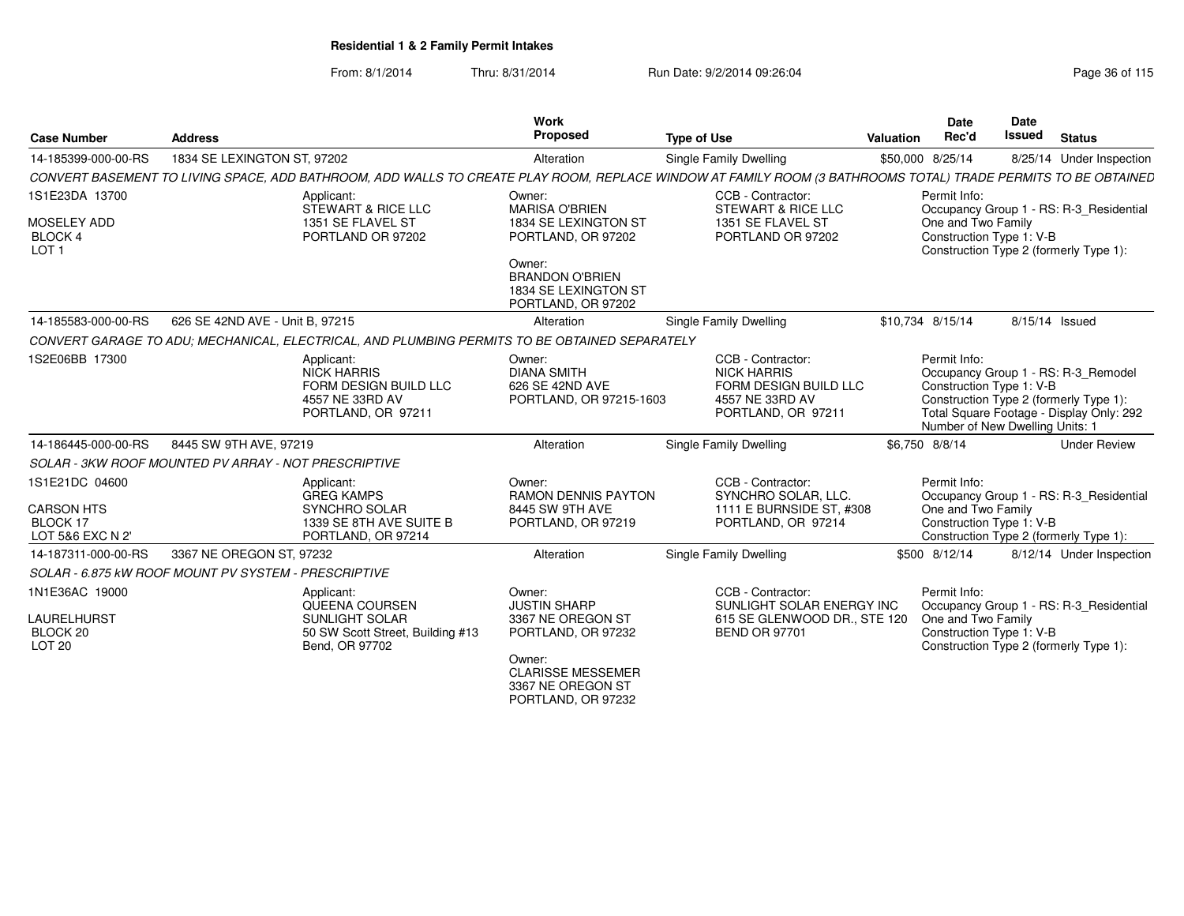| <b>Case Number</b>                                                  | <b>Address</b>                                       |                                                                                                          | Work<br>Proposed                                                                                                                                                | <b>Type of Use</b>                                                                                                                                            | Valuation        | <b>Date</b><br>Rec'd                                                        | Date<br><b>Issued</b> | <b>Status</b>                                                                                                             |
|---------------------------------------------------------------------|------------------------------------------------------|----------------------------------------------------------------------------------------------------------|-----------------------------------------------------------------------------------------------------------------------------------------------------------------|---------------------------------------------------------------------------------------------------------------------------------------------------------------|------------------|-----------------------------------------------------------------------------|-----------------------|---------------------------------------------------------------------------------------------------------------------------|
| 14-185399-000-00-RS                                                 | 1834 SE LEXINGTON ST, 97202                          |                                                                                                          | Alteration                                                                                                                                                      | Single Family Dwelling                                                                                                                                        | \$50,000 8/25/14 |                                                                             |                       | 8/25/14 Under Inspection                                                                                                  |
|                                                                     |                                                      |                                                                                                          |                                                                                                                                                                 | CONVERT BASEMENT TO LIVING SPACE, ADD BATHROOM, ADD WALLS TO CREATE PLAY ROOM, REPLACE WINDOW AT FAMILY ROOM (3 BATHROOMS TOTAL) TRADE PERMITS TO BE OBTAINED |                  |                                                                             |                       |                                                                                                                           |
| 1S1E23DA 13700<br>MOSELEY ADD<br><b>BLOCK 4</b><br>LOT <sub>1</sub> |                                                      | Applicant:<br>STEWART & RICE LLC<br>1351 SE FLAVEL ST<br>PORTLAND OR 97202                               | Owner:<br><b>MARISA O'BRIEN</b><br>1834 SE LEXINGTON ST<br>PORTLAND, OR 97202<br>Owner:<br><b>BRANDON O'BRIEN</b><br>1834 SE LEXINGTON ST<br>PORTLAND, OR 97202 | CCB - Contractor:<br>STEWART & RICE LLC<br>1351 SE FLAVEL ST<br>PORTLAND OR 97202                                                                             |                  | Permit Info:<br>One and Two Family<br>Construction Type 1: V-B              |                       | Occupancy Group 1 - RS: R-3_Residential<br>Construction Type 2 (formerly Type 1):                                         |
| 14-185583-000-00-RS                                                 | 626 SE 42ND AVE - Unit B, 97215                      |                                                                                                          | Alteration                                                                                                                                                      | Single Family Dwelling                                                                                                                                        | \$10.734 8/15/14 |                                                                             | 8/15/14 Issued        |                                                                                                                           |
|                                                                     |                                                      | CONVERT GARAGE TO ADU; MECHANICAL, ELECTRICAL, AND PLUMBING PERMITS TO BE OBTAINED SEPARATELY            |                                                                                                                                                                 |                                                                                                                                                               |                  |                                                                             |                       |                                                                                                                           |
| 1S2E06BB 17300                                                      |                                                      | Applicant:<br>NICK HARRIS<br>FORM DESIGN BUILD LLC<br>4557 NE 33RD AV<br>PORTLAND, OR 97211              | Owner:<br><b>DIANA SMITH</b><br>626 SE 42ND AVE<br>PORTLAND, OR 97215-1603                                                                                      | CCB - Contractor:<br><b>NICK HARRIS</b><br>FORM DESIGN BUILD LLC<br>4557 NE 33RD AV<br>PORTLAND, OR 97211                                                     |                  | Permit Info:<br>Construction Type 1: V-B<br>Number of New Dwelling Units: 1 |                       | Occupancy Group 1 - RS: R-3_Remodel<br>Construction Type 2 (formerly Type 1):<br>Total Square Footage - Display Only: 292 |
| 14-186445-000-00-RS                                                 | 8445 SW 9TH AVE, 97219                               |                                                                                                          | Alteration                                                                                                                                                      | Single Family Dwelling                                                                                                                                        | \$6.750 8/8/14   |                                                                             |                       | <b>Under Review</b>                                                                                                       |
|                                                                     | SOLAR - 3KW ROOF MOUNTED PV ARRAY - NOT PRESCRIPTIVE |                                                                                                          |                                                                                                                                                                 |                                                                                                                                                               |                  |                                                                             |                       |                                                                                                                           |
| 1S1E21DC 04600<br><b>CARSON HTS</b><br>BLOCK 17<br>LOT 5&6 EXC N 2' |                                                      | Applicant:<br><b>GREG KAMPS</b><br><b>SYNCHRO SOLAR</b><br>1339 SE 8TH AVE SUITE B<br>PORTLAND, OR 97214 | Owner:<br><b>RAMON DENNIS PAYTON</b><br>8445 SW 9TH AVE<br>PORTLAND, OR 97219                                                                                   | CCB - Contractor:<br>SYNCHRO SOLAR, LLC.<br>1111 E BURNSIDE ST, #308<br>PORTLAND, OR 97214                                                                    |                  | Permit Info:<br>One and Two Family<br>Construction Type 1: V-B              |                       | Occupancy Group 1 - RS: R-3_Residential<br>Construction Type 2 (formerly Type 1):                                         |
| 14-187311-000-00-RS                                                 | 3367 NE OREGON ST, 97232                             |                                                                                                          | Alteration                                                                                                                                                      | <b>Single Family Dwelling</b>                                                                                                                                 |                  | \$500 8/12/14                                                               |                       | 8/12/14 Under Inspection                                                                                                  |
|                                                                     | SOLAR - 6.875 KW ROOF MOUNT PV SYSTEM - PRESCRIPTIVE |                                                                                                          |                                                                                                                                                                 |                                                                                                                                                               |                  |                                                                             |                       |                                                                                                                           |
| 1N1E36AC 19000<br>LAURELHURST<br>BLOCK 20<br>LOT <sub>20</sub>      |                                                      | Applicant:<br>QUEENA COURSEN<br>SUNLIGHT SOLAR<br>50 SW Scott Street, Building #13<br>Bend, OR 97702     | Owner:<br><b>JUSTIN SHARP</b><br>3367 NE OREGON ST<br>PORTLAND, OR 97232<br>Owner:<br><b>CLARISSE MESSEMER</b><br>3367 NE OREGON ST<br>PORTLAND, OR 97232       | CCB - Contractor:<br>SUNLIGHT SOLAR ENERGY INC<br>615 SE GLENWOOD DR., STE 120<br><b>BEND OR 97701</b>                                                        |                  | Permit Info:<br>One and Two Family<br>Construction Type 1: V-B              |                       | Occupancy Group 1 - RS: R-3 Residential<br>Construction Type 2 (formerly Type 1):                                         |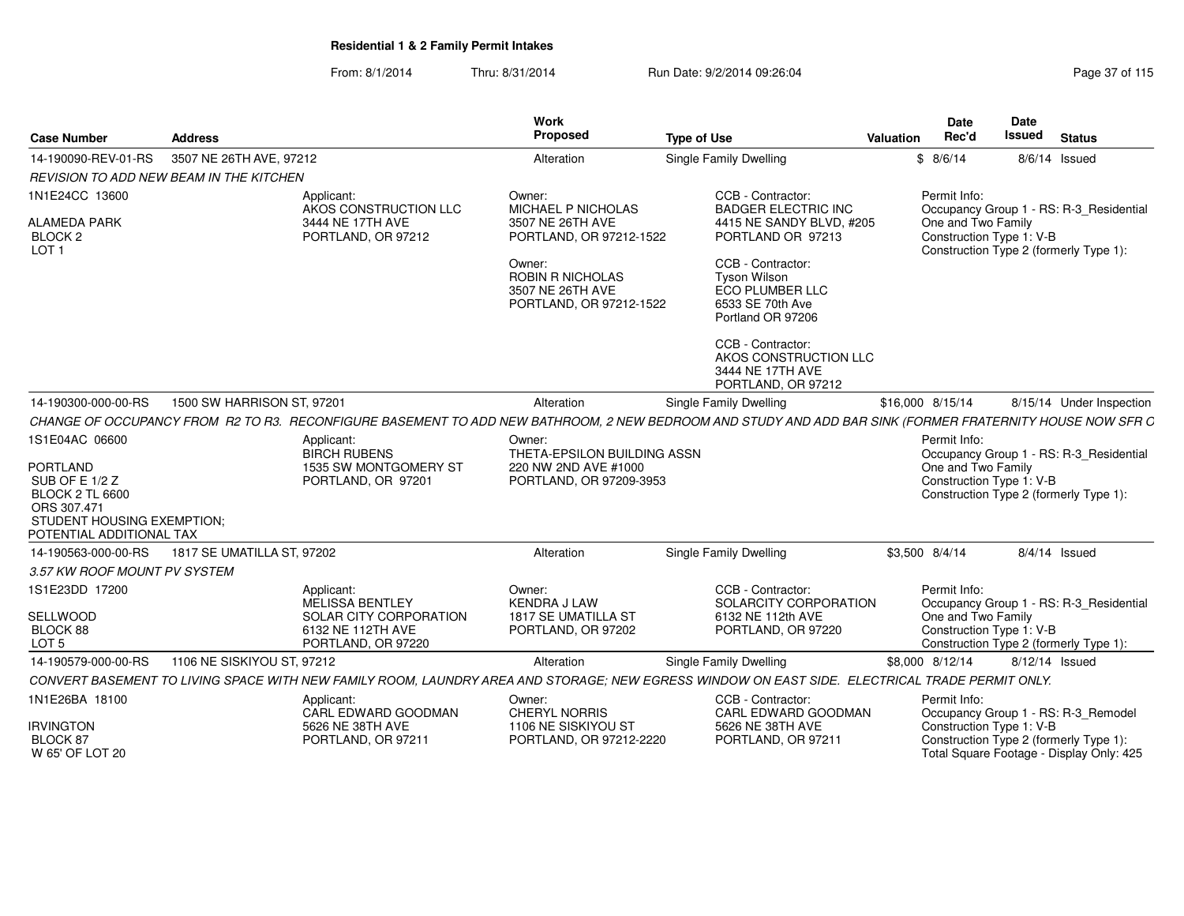From: 8/1/2014Thru: 8/31/2014 Run Date: 9/2/2014 09:26:04 Run Date: 9/2/2014 09:26:04

| <b>Case Number</b>                                                                                                                   | <b>Address</b>                                 |                                                                 | <b>Work</b><br>Proposed                                                          | <b>Type of Use</b>                                                                                                                                       | Date<br>Rec'd<br>Valuation |                                                | Date<br><b>Issued</b><br><b>Status</b>                                             |
|--------------------------------------------------------------------------------------------------------------------------------------|------------------------------------------------|-----------------------------------------------------------------|----------------------------------------------------------------------------------|----------------------------------------------------------------------------------------------------------------------------------------------------------|----------------------------|------------------------------------------------|------------------------------------------------------------------------------------|
| 14-190090-REV-01-RS                                                                                                                  | 3507 NE 26TH AVE, 97212                        |                                                                 | Alteration                                                                       | Single Family Dwelling                                                                                                                                   | \$8/6/14                   |                                                | 8/6/14 Issued                                                                      |
|                                                                                                                                      | <b>REVISION TO ADD NEW BEAM IN THE KITCHEN</b> |                                                                 |                                                                                  |                                                                                                                                                          |                            |                                                |                                                                                    |
| 1N1E24CC 13600                                                                                                                       |                                                | Applicant:                                                      | Owner:                                                                           | CCB - Contractor:                                                                                                                                        | Permit Info:               |                                                |                                                                                    |
| <b>ALAMEDA PARK</b><br>BLOCK <sub>2</sub><br>LOT <sub>1</sub>                                                                        |                                                | AKOS CONSTRUCTION LLC<br>3444 NE 17TH AVE<br>PORTLAND, OR 97212 | MICHAEL P NICHOLAS<br>3507 NE 26TH AVE<br>PORTLAND, OR 97212-1522                | <b>BADGER ELECTRIC INC</b><br>4415 NE SANDY BLVD. #205<br>PORTLAND OR 97213                                                                              |                            | One and Two Family<br>Construction Type 1: V-B | Occupancy Group 1 - RS: R-3_Residential<br>Construction Type 2 (formerly Type 1):  |
|                                                                                                                                      |                                                |                                                                 | Owner:<br><b>ROBIN R NICHOLAS</b><br>3507 NE 26TH AVE<br>PORTLAND, OR 97212-1522 | CCB - Contractor:<br><b>Tyson Wilson</b><br><b>ECO PLUMBER LLC</b><br>6533 SE 70th Ave<br>Portland OR 97206                                              |                            |                                                |                                                                                    |
|                                                                                                                                      |                                                |                                                                 |                                                                                  | CCB - Contractor:<br>AKOS CONSTRUCTION LLC<br>3444 NE 17TH AVE<br>PORTLAND, OR 97212                                                                     |                            |                                                |                                                                                    |
| 14-190300-000-00-RS                                                                                                                  | 1500 SW HARRISON ST, 97201                     |                                                                 | Alteration                                                                       | Single Family Dwelling                                                                                                                                   | \$16,000 8/15/14           |                                                | 8/15/14 Under Inspection                                                           |
|                                                                                                                                      |                                                |                                                                 |                                                                                  | CHANGE OF OCCUPANCY FROM R2 TO R3. RECONFIGURE BASEMENT TO ADD NEW BATHROOM. 2 NEW BEDROOM AND STUDY AND ADD BAR SINK (FORMER FRATERNITY HOUSE NOW SFR C |                            |                                                |                                                                                    |
| 1S1E04AC 06600                                                                                                                       |                                                | Applicant:<br><b>BIRCH RUBENS</b>                               | Owner:<br>THETA-EPSILON BUILDING ASSN                                            |                                                                                                                                                          | Permit Info:               |                                                | Occupancy Group 1 - RS: R-3_Residential                                            |
| PORTLAND<br>SUB OF E 1/2 Z<br><b>BLOCK 2 TL 6600</b><br>ORS 307.471<br><b>STUDENT HOUSING EXEMPTION:</b><br>POTENTIAL ADDITIONAL TAX |                                                | 1535 SW MONTGOMERY ST<br>PORTLAND, OR 97201                     | 220 NW 2ND AVE #1000<br>PORTLAND, OR 97209-3953                                  |                                                                                                                                                          |                            | One and Two Family<br>Construction Type 1: V-B | Construction Type 2 (formerly Type 1):                                             |
| 14-190563-000-00-RS                                                                                                                  | 1817 SE UMATILLA ST, 97202                     |                                                                 | Alteration                                                                       | Single Family Dwelling                                                                                                                                   | \$3.500 8/4/14             |                                                | 8/4/14 Issued                                                                      |
| 3.57 KW ROOF MOUNT PV SYSTEM                                                                                                         |                                                |                                                                 |                                                                                  |                                                                                                                                                          |                            |                                                |                                                                                    |
| 1S1E23DD 17200                                                                                                                       |                                                | Applicant:<br>MELISSA BENTLEY                                   | Owner:<br><b>KENDRA J LAW</b>                                                    | CCB - Contractor:<br>SOLARCITY CORPORATION                                                                                                               | Permit Info:               |                                                | Occupancy Group 1 - RS: R-3 Residential                                            |
| SELLWOOD                                                                                                                             |                                                | SOLAR CITY CORPORATION                                          | 1817 SE UMATILLA ST                                                              | 6132 NE 112th AVE                                                                                                                                        |                            | One and Two Family                             |                                                                                    |
| BLOCK 88<br>LOT <sub>5</sub>                                                                                                         |                                                | 6132 NE 112TH AVE<br>PORTLAND, OR 97220                         | PORTLAND, OR 97202                                                               | PORTLAND, OR 97220                                                                                                                                       |                            | Construction Type 1: V-B                       | Construction Type 2 (formerly Type 1):                                             |
| 14-190579-000-00-RS                                                                                                                  | 1106 NE SISKIYOU ST, 97212                     |                                                                 | Alteration                                                                       | <b>Single Family Dwelling</b>                                                                                                                            | \$8,000 8/12/14            |                                                | 8/12/14 Issued                                                                     |
|                                                                                                                                      |                                                |                                                                 |                                                                                  | CONVERT BASEMENT TO LIVING SPACE WITH NEW FAMILY ROOM, LAUNDRY AREA AND STORAGE; NEW EGRESS WINDOW ON EAST SIDE, ELECTRICAL TRADE PERMIT ONLY.           |                            |                                                |                                                                                    |
| 1N1E26BA 18100                                                                                                                       |                                                | Applicant:<br>CARL EDWARD GOODMAN                               | Owner:<br><b>CHERYL NORRIS</b>                                                   | CCB - Contractor:<br>CARL EDWARD GOODMAN                                                                                                                 | Permit Info:               |                                                | Occupancy Group 1 - RS: R-3_Remodel                                                |
| <b>IRVINGTON</b><br>BLOCK 87<br>W 65' OF LOT 20                                                                                      |                                                | 5626 NE 38TH AVE<br>PORTLAND, OR 97211                          | 1106 NE SISKIYOU ST<br>PORTLAND, OR 97212-2220                                   | 5626 NE 38TH AVE<br>PORTLAND, OR 97211                                                                                                                   |                            | Construction Type 1: V-B                       | Construction Type 2 (formerly Type 1):<br>Total Square Footage - Display Only: 425 |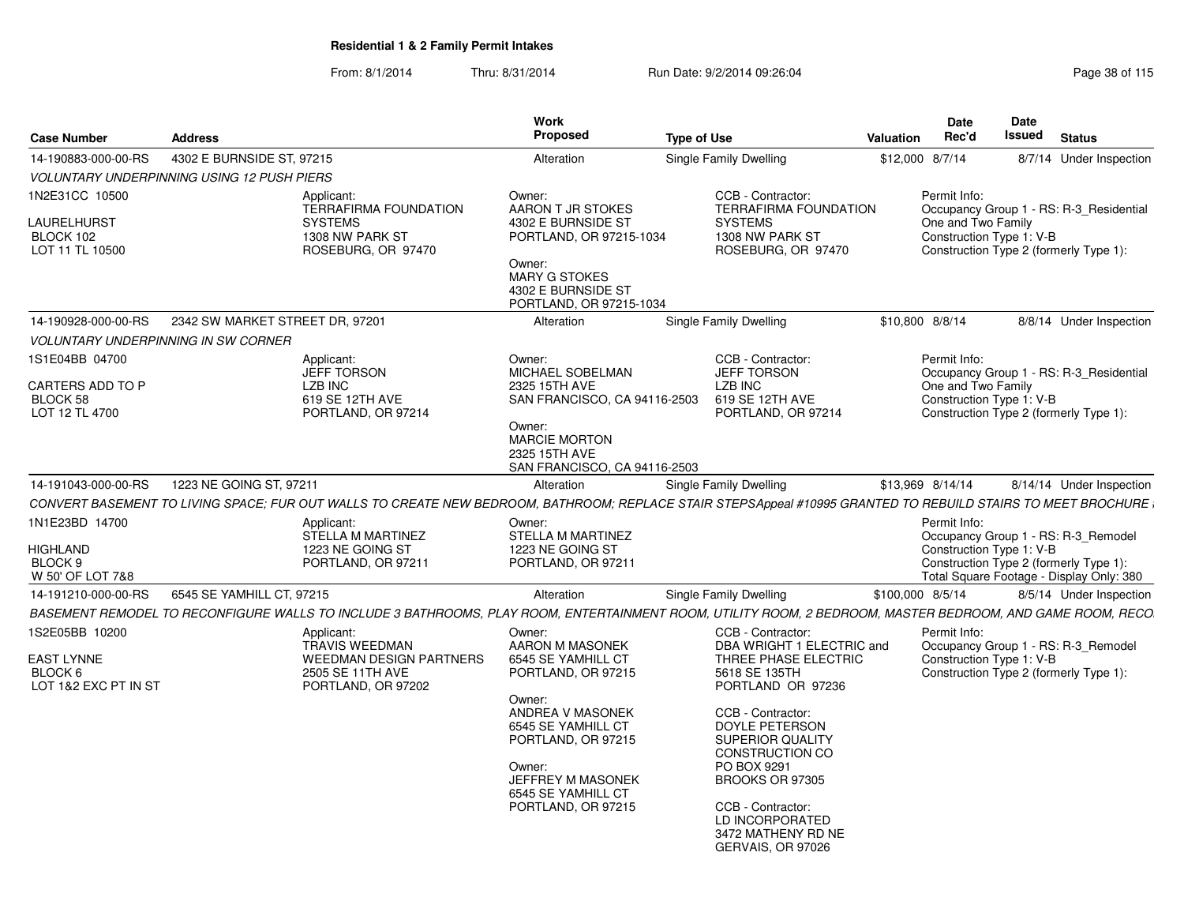|                                                                        |                                                                                                                                                               | Work                                                                                                                                                                                                                       |                                                                                                                                                                                                                                                                                                                               |                  | <b>Date</b>                                                                                              | Date   |                                                                                 |
|------------------------------------------------------------------------|---------------------------------------------------------------------------------------------------------------------------------------------------------------|----------------------------------------------------------------------------------------------------------------------------------------------------------------------------------------------------------------------------|-------------------------------------------------------------------------------------------------------------------------------------------------------------------------------------------------------------------------------------------------------------------------------------------------------------------------------|------------------|----------------------------------------------------------------------------------------------------------|--------|---------------------------------------------------------------------------------|
| <b>Case Number</b>                                                     | <b>Address</b>                                                                                                                                                | Proposed                                                                                                                                                                                                                   | <b>Type of Use</b>                                                                                                                                                                                                                                                                                                            | <b>Valuation</b> | Rec'd                                                                                                    | Issued | <b>Status</b>                                                                   |
| 14-190883-000-00-RS                                                    | 4302 E BURNSIDE ST. 97215                                                                                                                                     | Alteration                                                                                                                                                                                                                 | Single Family Dwelling                                                                                                                                                                                                                                                                                                        |                  | \$12,000 8/7/14                                                                                          |        | 8/7/14 Under Inspection                                                         |
|                                                                        | <b>VOLUNTARY UNDERPINNING USING 12 PUSH PIERS</b>                                                                                                             |                                                                                                                                                                                                                            |                                                                                                                                                                                                                                                                                                                               |                  |                                                                                                          |        |                                                                                 |
| 1N2E31CC 10500<br>LAURELHURST<br>BLOCK 102<br>LOT 11 TL 10500          | Applicant:<br><b>TERRAFIRMA FOUNDATION</b><br><b>SYSTEMS</b><br>1308 NW PARK ST<br>ROSEBURG, OR 97470                                                         | Owner:<br>AARON T JR STOKES<br>4302 E BURNSIDE ST<br>PORTLAND, OR 97215-1034<br>Owner:<br>MARY G STOKES<br>4302 E BURNSIDE ST<br>PORTLAND, OR 97215-1034                                                                   | CCB - Contractor:<br>TERRAFIRMA FOUNDATION<br><b>SYSTEMS</b><br>1308 NW PARK ST<br>ROSEBURG, OR 97470                                                                                                                                                                                                                         |                  | Permit Info:<br>One and Two Family<br>Construction Type 1: V-B<br>Construction Type 2 (formerly Type 1): |        | Occupancy Group 1 - RS: R-3 Residential                                         |
| 14-190928-000-00-RS                                                    | 2342 SW MARKET STREET DR, 97201                                                                                                                               | Alteration                                                                                                                                                                                                                 | Single Family Dwelling                                                                                                                                                                                                                                                                                                        |                  | \$10,800 8/8/14                                                                                          |        | 8/8/14 Under Inspection                                                         |
|                                                                        | <b>VOLUNTARY UNDERPINNING IN SW CORNER</b>                                                                                                                    |                                                                                                                                                                                                                            |                                                                                                                                                                                                                                                                                                                               |                  |                                                                                                          |        |                                                                                 |
| 1S1E04BB 04700<br>CARTERS ADD TO P<br>BLOCK 58<br>LOT 12 TL 4700       | Applicant:<br><b>JEFF TORSON</b><br>LZB INC<br>619 SE 12TH AVE<br>PORTLAND, OR 97214                                                                          | Owner:<br>MICHAEL SOBELMAN<br>2325 15TH AVE<br>SAN FRANCISCO, CA 94116-2503<br>Owner:<br><b>MARCIE MORTON</b><br>2325 15TH AVE<br>SAN FRANCISCO, CA 94116-2503                                                             | CCB - Contractor:<br><b>JEFF TORSON</b><br>LZB INC<br>619 SE 12TH AVE<br>PORTLAND, OR 97214                                                                                                                                                                                                                                   |                  | Permit Info:<br>One and Two Family<br>Construction Type 1: V-B<br>Construction Type 2 (formerly Type 1): |        | Occupancy Group 1 - RS: R-3 Residential                                         |
| 14-191043-000-00-RS                                                    | 1223 NE GOING ST, 97211                                                                                                                                       | Alteration                                                                                                                                                                                                                 | Single Family Dwelling                                                                                                                                                                                                                                                                                                        |                  | \$13,969 8/14/14                                                                                         |        | 8/14/14 Under Inspection                                                        |
|                                                                        | CONVERT BASEMENT TO LIVING SPACE: FUR OUT WALLS TO CREATE NEW BEDROOM, BATHROOM: REPLACE STAIR STEPSAppeal #10995 GRANTED TO REBUILD STAIRS TO MEET BROCHURE; |                                                                                                                                                                                                                            |                                                                                                                                                                                                                                                                                                                               |                  |                                                                                                          |        |                                                                                 |
| 1N1E23BD 14700<br><b>HIGHLAND</b><br>BLOCK 9<br>W 50' OF LOT 7&8       | Applicant:<br><b>STELLA M MARTINEZ</b><br>1223 NE GOING ST<br>PORTLAND, OR 97211                                                                              | Owner:<br><b>STELLA M MARTINEZ</b><br>1223 NE GOING ST<br>PORTLAND, OR 97211                                                                                                                                               |                                                                                                                                                                                                                                                                                                                               |                  | Permit Info:<br>Construction Type 1: V-B<br>Construction Type 2 (formerly Type 1):                       |        | Occupancy Group 1 - RS: R-3_Remodel<br>Total Square Footage - Display Only: 380 |
| 14-191210-000-00-RS                                                    | 6545 SE YAMHILL CT, 97215                                                                                                                                     | Alteration                                                                                                                                                                                                                 | Single Family Dwelling                                                                                                                                                                                                                                                                                                        |                  | \$100,000 8/5/14                                                                                         |        | 8/5/14 Under Inspection                                                         |
|                                                                        | BASEMENT REMODEL TO RECONFIGURE WALLS TO INCLUDE 3 BATHROOMS, PLAY ROOM, ENTERTAINMENT ROOM, UTILITY ROOM, 2 BEDROOM, MASTER BEDROOM, AND GAME ROOM, RECO     |                                                                                                                                                                                                                            |                                                                                                                                                                                                                                                                                                                               |                  |                                                                                                          |        |                                                                                 |
| 1S2E05BB 10200<br><b>EAST LYNNE</b><br>BLOCK 6<br>LOT 1&2 EXC PT IN ST | Applicant:<br>TRAVIS WEEDMAN<br><b>WEEDMAN DESIGN PARTNERS</b><br>2505 SE 11TH AVE<br>PORTLAND, OR 97202                                                      | Owner:<br>AARON M MASONEK<br>6545 SE YAMHILL CT<br>PORTLAND, OR 97215<br>Owner:<br>ANDREA V MASONEK<br>6545 SE YAMHILL CT<br>PORTLAND, OR 97215<br>Owner:<br>JEFFREY M MASONEK<br>6545 SE YAMHILL CT<br>PORTLAND, OR 97215 | CCB - Contractor:<br>DBA WRIGHT 1 ELECTRIC and<br>THREE PHASE ELECTRIC<br>5618 SE 135TH<br>PORTLAND OR 97236<br>CCB - Contractor:<br>DOYLE PETERSON<br><b>SUPERIOR QUALITY</b><br><b>CONSTRUCTION CO</b><br>PO BOX 9291<br>BROOKS OR 97305<br>CCB - Contractor:<br>LD INCORPORATED<br>3472 MATHENY RD NE<br>GERVAIS, OR 97026 |                  | Permit Info:<br>Construction Type 1: V-B<br>Construction Type 2 (formerly Type 1):                       |        | Occupancy Group 1 - RS: R-3 Remodel                                             |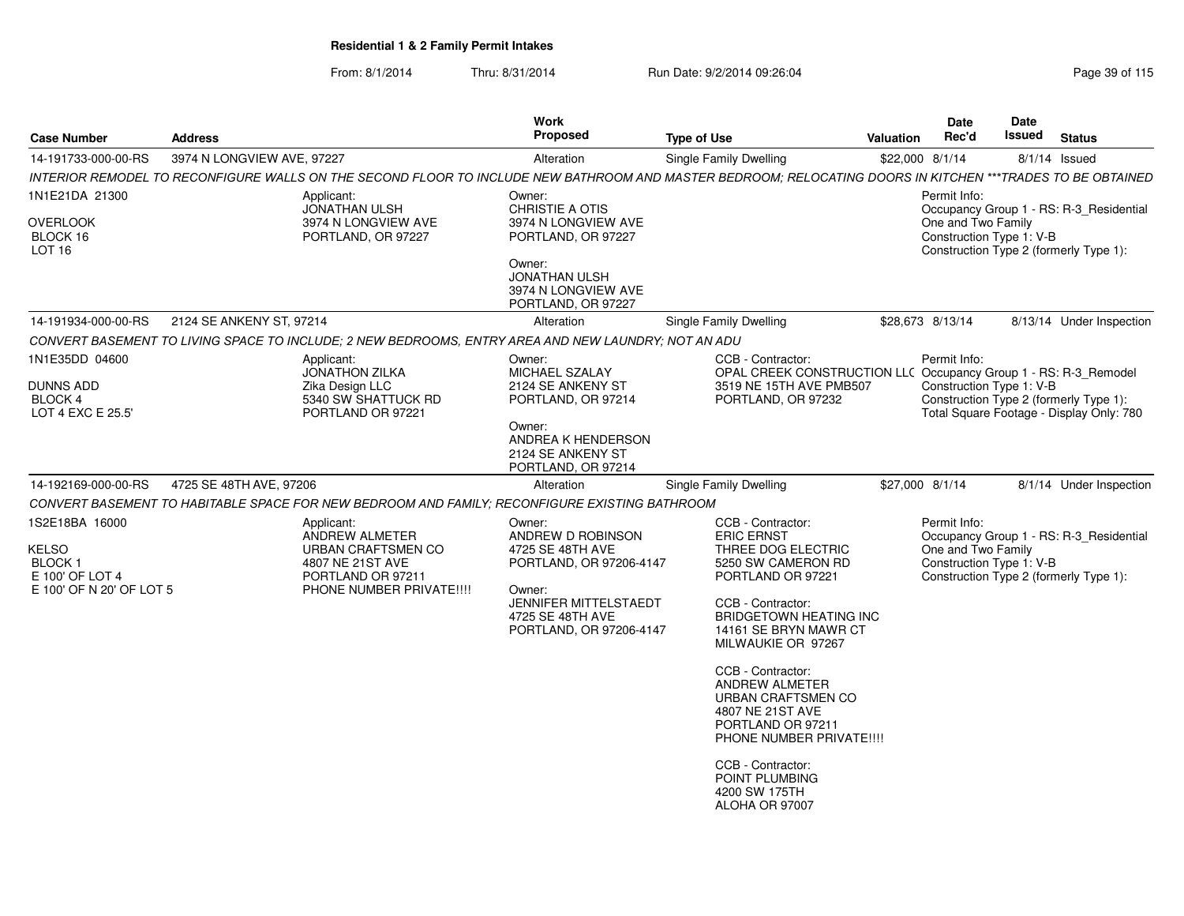| 3974 N LONGVIEW AVE, 97227<br>Single Family Dwelling<br>\$22,000 8/1/14<br>8/1/14 Issued<br>Alteration<br>Permit Info:<br>Applicant:<br>Owner:<br><b>JONATHAN ULSH</b><br><b>CHRISTIE A OTIS</b><br>Occupancy Group 1 - RS: R-3_Residential<br>One and Two Family<br>3974 N LONGVIEW AVE<br>3974 N LONGVIEW AVE<br>Construction Type 1: V-B<br>PORTLAND, OR 97227<br>PORTLAND, OR 97227<br>Construction Type 2 (formerly Type 1):<br>Owner:<br><b>JONATHAN ULSH</b><br>3974 N LONGVIEW AVE<br>PORTLAND, OR 97227<br>2124 SE ANKENY ST, 97214<br>Single Family Dwelling<br>\$28,673 8/13/14<br>Alteration<br>CONVERT BASEMENT TO LIVING SPACE TO INCLUDE; 2 NEW BEDROOMS, ENTRY AREA AND NEW LAUNDRY; NOT AN ADU<br>CCB - Contractor:<br>Permit Info:<br>Applicant:<br>Owner:<br><b>JONATHON ZILKA</b><br>MICHAEL SZALAY<br>OPAL CREEK CONSTRUCTION LLC Occupancy Group 1 - RS: R-3_Remodel<br>Zika Design LLC<br>2124 SE ANKENY ST<br>3519 NE 15TH AVE PMB507<br>Construction Type 1: V-B<br>5340 SW SHATTUCK RD<br>Construction Type 2 (formerly Type 1):<br>PORTLAND, OR 97214<br>PORTLAND, OR 97232<br>PORTLAND OR 97221<br>Total Square Footage - Display Only: 780<br>Owner:<br>ANDREA K HENDERSON<br>2124 SE ANKENY ST<br>PORTLAND, OR 97214<br>4725 SE 48TH AVE, 97206<br>\$27,000 8/1/14<br>14-192169-000-00-RS<br>Alteration<br>Single Family Dwelling<br>CONVERT BASEMENT TO HABITABLE SPACE FOR NEW BEDROOM AND FAMILY: RECONFIGURE EXISTING BATHROOM<br>CCB - Contractor:<br>Permit Info:<br>Applicant:<br>Owner:<br>ANDREW ALMETER<br>ANDREW D ROBINSON<br><b>ERIC ERNST</b><br>Occupancy Group 1 - RS: R-3_Residential<br>One and Two Family<br>URBAN CRAFTSMEN CO<br>4725 SE 48TH AVE<br>THREE DOG ELECTRIC<br>Construction Type 1: V-B<br>4807 NE 21ST AVE<br>PORTLAND, OR 97206-4147<br>5250 SW CAMERON RD<br>PORTLAND OR 97211<br>PORTLAND OR 97221<br>Construction Type 2 (formerly Type 1):<br>E 100' OF N 20' OF LOT 5<br>PHONE NUMBER PRIVATE !!!!<br>Owner:<br><b>JENNIFER MITTELSTAEDT</b><br>CCB - Contractor:<br>4725 SE 48TH AVE<br><b>BRIDGETOWN HEATING INC</b><br>PORTLAND, OR 97206-4147<br>14161 SE BRYN MAWR CT<br>MILWAUKIE OR 97267<br>CCB - Contractor:<br><b>ANDREW ALMETER</b><br>URBAN CRAFTSMEN CO<br>4807 NE 21ST AVE<br>PORTLAND OR 97211<br>PHONE NUMBER PRIVATE !!!!<br>CCB - Contractor:<br>POINT PLUMBING<br>4200 SW 175TH<br>ALOHA OR 97007 | <b>Case Number</b>                                             | <b>Address</b> | Work<br>Proposed | <b>Type of Use</b> | Valuation | Date<br>Rec'd | <b>Date</b><br>Issued | <b>Status</b> |
|--------------------------------------------------------------------------------------------------------------------------------------------------------------------------------------------------------------------------------------------------------------------------------------------------------------------------------------------------------------------------------------------------------------------------------------------------------------------------------------------------------------------------------------------------------------------------------------------------------------------------------------------------------------------------------------------------------------------------------------------------------------------------------------------------------------------------------------------------------------------------------------------------------------------------------------------------------------------------------------------------------------------------------------------------------------------------------------------------------------------------------------------------------------------------------------------------------------------------------------------------------------------------------------------------------------------------------------------------------------------------------------------------------------------------------------------------------------------------------------------------------------------------------------------------------------------------------------------------------------------------------------------------------------------------------------------------------------------------------------------------------------------------------------------------------------------------------------------------------------------------------------------------------------------------------------------------------------------------------------------------------------------------------------------------------------------------------------------------------------------------------------------------------------------------------------------------------------------------------------------------------------------------------------------------------------------------------------------------------------------------------------------|----------------------------------------------------------------|----------------|------------------|--------------------|-----------|---------------|-----------------------|---------------|
| INTERIOR REMODEL TO RECONFIGURE WALLS ON THE SECOND FLOOR TO INCLUDE NEW BATHROOM AND MASTER BEDROOM; RELOCATING DOORS IN KITCHEN ***TRADES TO BE OBTAINED                                                                                                                                                                                                                                                                                                                                                                                                                                                                                                                                                                                                                                                                                                                                                                                                                                                                                                                                                                                                                                                                                                                                                                                                                                                                                                                                                                                                                                                                                                                                                                                                                                                                                                                                                                                                                                                                                                                                                                                                                                                                                                                                                                                                                                 | 14-191733-000-00-RS                                            |                |                  |                    |           |               |                       |               |
| 8/13/14 Under Inspection<br>8/1/14 Under Inspection                                                                                                                                                                                                                                                                                                                                                                                                                                                                                                                                                                                                                                                                                                                                                                                                                                                                                                                                                                                                                                                                                                                                                                                                                                                                                                                                                                                                                                                                                                                                                                                                                                                                                                                                                                                                                                                                                                                                                                                                                                                                                                                                                                                                                                                                                                                                        |                                                                |                |                  |                    |           |               |                       |               |
|                                                                                                                                                                                                                                                                                                                                                                                                                                                                                                                                                                                                                                                                                                                                                                                                                                                                                                                                                                                                                                                                                                                                                                                                                                                                                                                                                                                                                                                                                                                                                                                                                                                                                                                                                                                                                                                                                                                                                                                                                                                                                                                                                                                                                                                                                                                                                                                            | 1N1E21DA 21300<br><b>OVERLOOK</b><br>BLOCK 16<br><b>LOT 16</b> |                |                  |                    |           |               |                       |               |
|                                                                                                                                                                                                                                                                                                                                                                                                                                                                                                                                                                                                                                                                                                                                                                                                                                                                                                                                                                                                                                                                                                                                                                                                                                                                                                                                                                                                                                                                                                                                                                                                                                                                                                                                                                                                                                                                                                                                                                                                                                                                                                                                                                                                                                                                                                                                                                                            | 14-191934-000-00-RS                                            |                |                  |                    |           |               |                       |               |
|                                                                                                                                                                                                                                                                                                                                                                                                                                                                                                                                                                                                                                                                                                                                                                                                                                                                                                                                                                                                                                                                                                                                                                                                                                                                                                                                                                                                                                                                                                                                                                                                                                                                                                                                                                                                                                                                                                                                                                                                                                                                                                                                                                                                                                                                                                                                                                                            |                                                                |                |                  |                    |           |               |                       |               |
|                                                                                                                                                                                                                                                                                                                                                                                                                                                                                                                                                                                                                                                                                                                                                                                                                                                                                                                                                                                                                                                                                                                                                                                                                                                                                                                                                                                                                                                                                                                                                                                                                                                                                                                                                                                                                                                                                                                                                                                                                                                                                                                                                                                                                                                                                                                                                                                            | 1N1E35DD 04600<br>DUNNS ADD<br>BLOCK 4<br>LOT 4 EXC E 25.5'    |                |                  |                    |           |               |                       |               |
|                                                                                                                                                                                                                                                                                                                                                                                                                                                                                                                                                                                                                                                                                                                                                                                                                                                                                                                                                                                                                                                                                                                                                                                                                                                                                                                                                                                                                                                                                                                                                                                                                                                                                                                                                                                                                                                                                                                                                                                                                                                                                                                                                                                                                                                                                                                                                                                            |                                                                |                |                  |                    |           |               |                       |               |
|                                                                                                                                                                                                                                                                                                                                                                                                                                                                                                                                                                                                                                                                                                                                                                                                                                                                                                                                                                                                                                                                                                                                                                                                                                                                                                                                                                                                                                                                                                                                                                                                                                                                                                                                                                                                                                                                                                                                                                                                                                                                                                                                                                                                                                                                                                                                                                                            |                                                                |                |                  |                    |           |               |                       |               |
|                                                                                                                                                                                                                                                                                                                                                                                                                                                                                                                                                                                                                                                                                                                                                                                                                                                                                                                                                                                                                                                                                                                                                                                                                                                                                                                                                                                                                                                                                                                                                                                                                                                                                                                                                                                                                                                                                                                                                                                                                                                                                                                                                                                                                                                                                                                                                                                            | 1S2E18BA 16000<br><b>KELSO</b><br>BLOCK 1<br>E 100' OF LOT 4   |                |                  |                    |           |               |                       |               |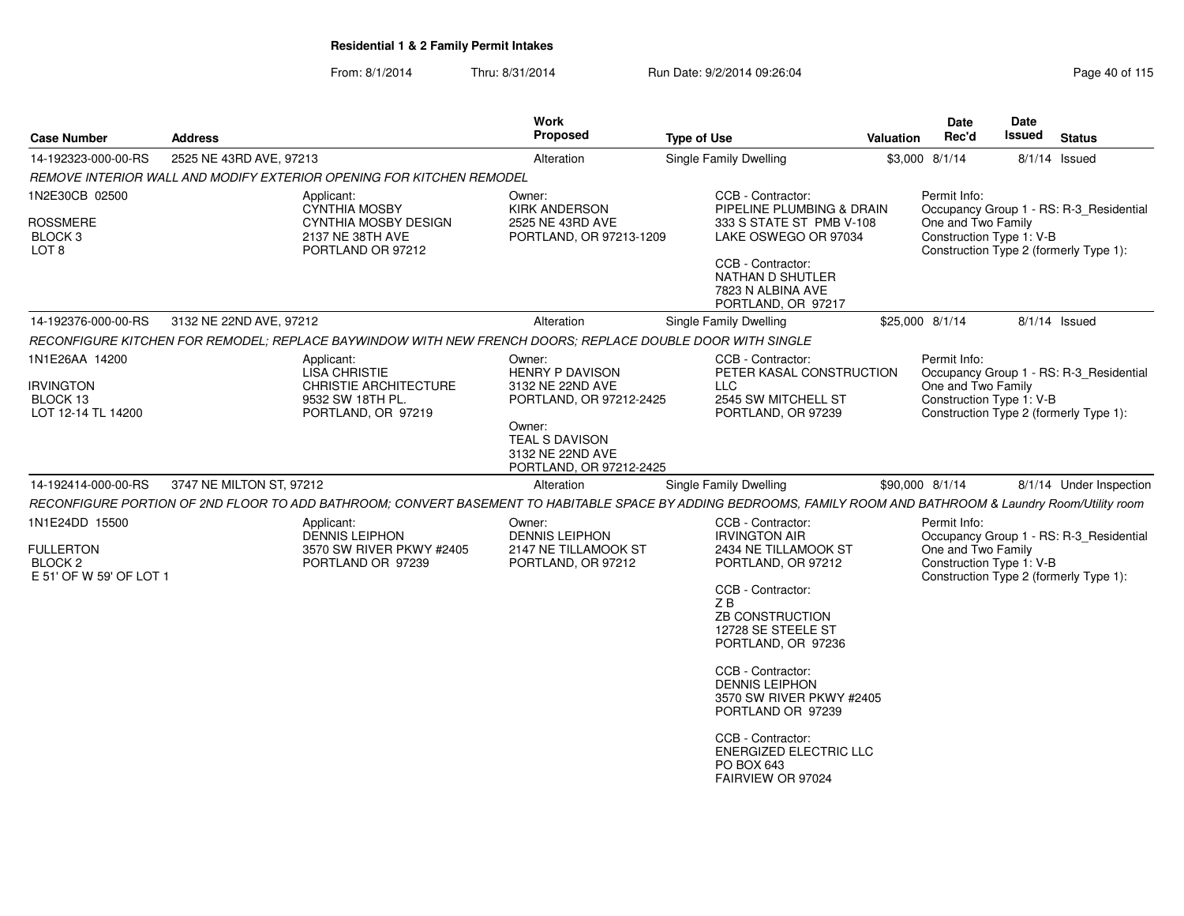### From: 8/1/2014Thru: 8/31/2014 Run Date: 9/2/2014 09:26:04

| <b>Case Number</b>                                                | <b>Address</b>           |                                                                                                           | Work<br>Proposed                                                                | <b>Type of Use</b>                                                                                                                                             | <b>Valuation</b> | Date<br>Rec'd                                                  | Date<br>Issued                                                     | <b>Status</b>                           |  |
|-------------------------------------------------------------------|--------------------------|-----------------------------------------------------------------------------------------------------------|---------------------------------------------------------------------------------|----------------------------------------------------------------------------------------------------------------------------------------------------------------|------------------|----------------------------------------------------------------|--------------------------------------------------------------------|-----------------------------------------|--|
| 14-192323-000-00-RS                                               | 2525 NE 43RD AVE, 97213  |                                                                                                           | Alteration                                                                      | Single Family Dwelling                                                                                                                                         |                  | \$3,000 8/1/14                                                 |                                                                    | $8/1/14$ Issued                         |  |
|                                                                   |                          | REMOVE INTERIOR WALL AND MODIFY EXTERIOR OPENING FOR KITCHEN REMODEL                                      |                                                                                 |                                                                                                                                                                |                  |                                                                |                                                                    |                                         |  |
| 1N2E30CB 02500                                                    |                          | Applicant:<br><b>CYNTHIA MOSBY</b>                                                                        | Owner:<br><b>KIRK ANDERSON</b>                                                  | CCB - Contractor:<br>PIPELINE PLUMBING & DRAIN                                                                                                                 |                  | Permit Info:                                                   |                                                                    | Occupancy Group 1 - RS: R-3_Residential |  |
| <b>ROSSMERE</b><br>BLOCK <sub>3</sub><br>LOT <sub>8</sub>         |                          | <b>CYNTHIA MOSBY DESIGN</b><br>2137 NE 38TH AVE<br>PORTLAND OR 97212                                      | 2525 NE 43RD AVE<br>PORTLAND, OR 97213-1209                                     | 333 S STATE ST PMB V-108<br>LAKE OSWEGO OR 97034                                                                                                               |                  | One and Two Family                                             | Construction Type 1: V-B<br>Construction Type 2 (formerly Type 1): |                                         |  |
|                                                                   |                          |                                                                                                           |                                                                                 | CCB - Contractor:<br>NATHAN D SHUTLER<br>7823 N ALBINA AVE<br>PORTLAND, OR 97217                                                                               |                  |                                                                |                                                                    |                                         |  |
| 14-192376-000-00-RS                                               | 3132 NE 22ND AVE, 97212  |                                                                                                           | Alteration                                                                      | Single Family Dwelling                                                                                                                                         |                  | \$25,000 8/1/14                                                |                                                                    | $8/1/14$ Issued                         |  |
|                                                                   |                          | RECONFIGURE KITCHEN FOR REMODEL; REPLACE BAYWINDOW WITH NEW FRENCH DOORS; REPLACE DOUBLE DOOR WITH SINGLE |                                                                                 |                                                                                                                                                                |                  |                                                                |                                                                    |                                         |  |
| 1N1E26AA 14200<br><b>IRVINGTON</b><br>BLOCK 13                    |                          | Applicant:<br><b>LISA CHRISTIE</b><br><b>CHRISTIE ARCHITECTURE</b><br>9532 SW 18TH PL.                    | Owner:<br><b>HENRY P DAVISON</b><br>3132 NE 22ND AVE<br>PORTLAND, OR 97212-2425 | CCB - Contractor:<br>PETER KASAL CONSTRUCTION<br>LLC<br>2545 SW MITCHELL ST                                                                                    |                  | Permit Info:<br>One and Two Family<br>Construction Type 1: V-B |                                                                    | Occupancy Group 1 - RS: R-3_Residential |  |
| LOT 12-14 TL 14200<br>PORTLAND, OR 97219                          |                          |                                                                                                           | Owner:<br>TEAL S DAVISON<br>3132 NE 22ND AVE<br>PORTLAND, OR 97212-2425         | PORTLAND, OR 97239                                                                                                                                             |                  | Construction Type 2 (formerly Type 1):                         |                                                                    |                                         |  |
| 14-192414-000-00-RS                                               | 3747 NE MILTON ST, 97212 |                                                                                                           | Alteration                                                                      | Single Family Dwelling                                                                                                                                         |                  | \$90,000 8/1/14                                                |                                                                    | 8/1/14 Under Inspection                 |  |
|                                                                   |                          |                                                                                                           |                                                                                 | RECONFIGURE PORTION OF 2ND FLOOR TO ADD BATHROOM; CONVERT BASEMENT TO HABITABLE SPACE BY ADDING BEDROOMS, FAMILY ROOM AND BATHROOM & Laundry Room/Utility room |                  |                                                                |                                                                    |                                         |  |
| 1N1E24DD 15500                                                    |                          | Applicant:<br><b>DENNIS LEIPHON</b>                                                                       | Owner:<br><b>DENNIS LEIPHON</b>                                                 | CCB - Contractor:<br><b>IRVINGTON AIR</b>                                                                                                                      |                  | Permit Info:                                                   |                                                                    | Occupancy Group 1 - RS: R-3_Residential |  |
| <b>FULLERTON</b><br>BLOCK <sub>2</sub><br>E 51' OF W 59' OF LOT 1 |                          | 3570 SW RIVER PKWY #2405<br>PORTLAND OR 97239                                                             | 2147 NE TILLAMOOK ST<br>PORTLAND, OR 97212                                      | 2434 NE TILLAMOOK ST<br>PORTLAND, OR 97212                                                                                                                     |                  | One and Two Family                                             | Construction Type 1: V-B<br>Construction Type 2 (formerly Type 1): |                                         |  |
|                                                                   |                          |                                                                                                           |                                                                                 | CCB - Contractor:<br>ZB<br><b>ZB CONSTRUCTION</b><br>12728 SE STEELE ST<br>PORTLAND, OR 97236                                                                  |                  |                                                                |                                                                    |                                         |  |
|                                                                   |                          |                                                                                                           |                                                                                 | CCB - Contractor:<br><b>DENNIS LEIPHON</b><br>3570 SW RIVER PKWY #2405<br>PORTLAND OR 97239                                                                    |                  |                                                                |                                                                    |                                         |  |
|                                                                   |                          |                                                                                                           |                                                                                 | CCB - Contractor:<br>ENERGIZED ELECTRIC LLC<br>PO BOX 643<br>FAIRVIEW OR 97024                                                                                 |                  |                                                                |                                                                    |                                         |  |
|                                                                   |                          |                                                                                                           |                                                                                 |                                                                                                                                                                |                  |                                                                |                                                                    |                                         |  |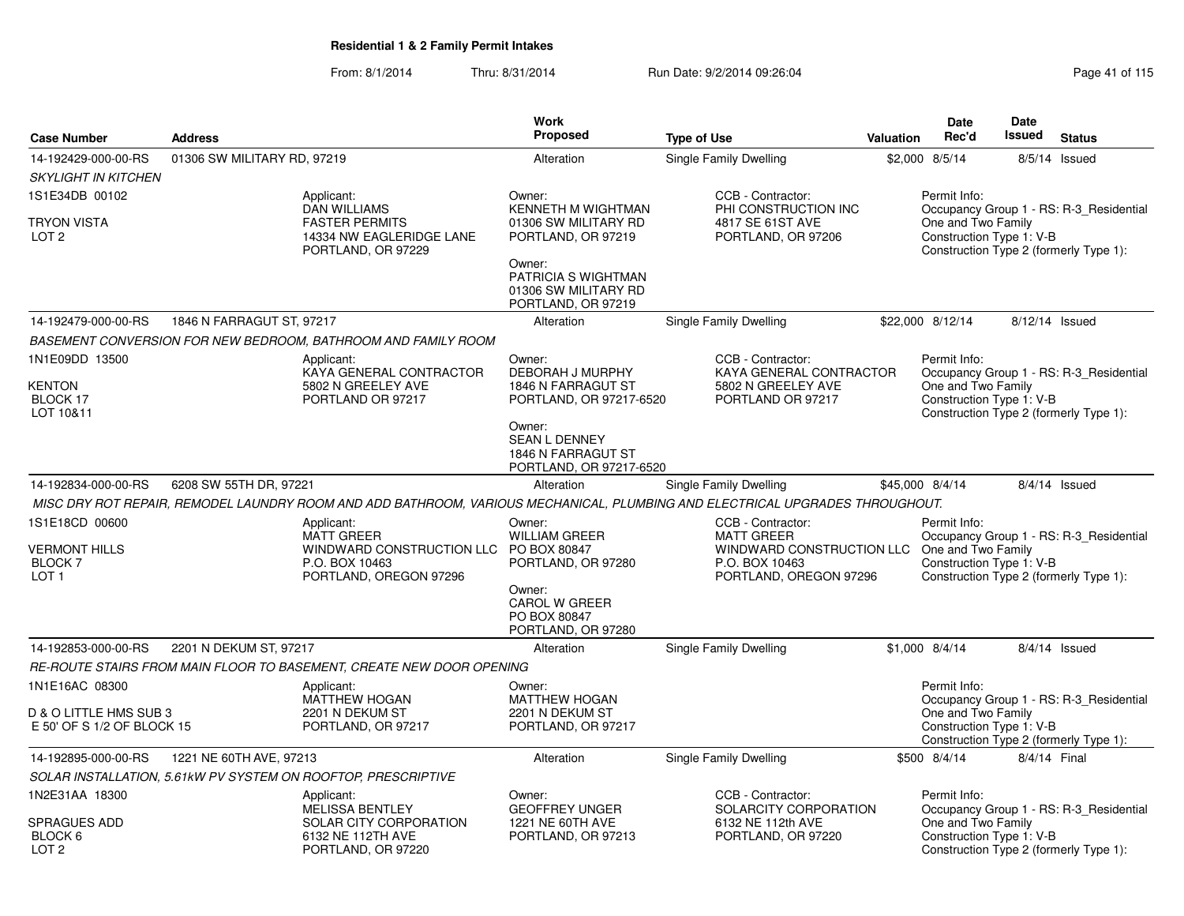|                                                                                   |                                                                                            |                                                                                                                              | <b>Work</b>                                                                     |                                                                                                               |                                                                                          | <b>Date</b>                                    | Date                                   |                                                                                   |
|-----------------------------------------------------------------------------------|--------------------------------------------------------------------------------------------|------------------------------------------------------------------------------------------------------------------------------|---------------------------------------------------------------------------------|---------------------------------------------------------------------------------------------------------------|------------------------------------------------------------------------------------------|------------------------------------------------|----------------------------------------|-----------------------------------------------------------------------------------|
| <b>Case Number</b>                                                                | <b>Address</b>                                                                             |                                                                                                                              | <b>Proposed</b>                                                                 | <b>Type of Use</b>                                                                                            | Valuation                                                                                | Rec'd                                          | <b>Issued</b>                          | <b>Status</b>                                                                     |
| 14-192429-000-00-RS                                                               | 01306 SW MILITARY RD, 97219                                                                |                                                                                                                              | Alteration                                                                      | Single Family Dwelling                                                                                        |                                                                                          | \$2,000 8/5/14                                 |                                        | 8/5/14 Issued                                                                     |
| <b>SKYLIGHT IN KITCHEN</b>                                                        |                                                                                            |                                                                                                                              |                                                                                 |                                                                                                               |                                                                                          |                                                |                                        |                                                                                   |
| 1S1E34DB 00102                                                                    |                                                                                            | Applicant:                                                                                                                   | Owner:                                                                          | CCB - Contractor:                                                                                             |                                                                                          | Permit Info:                                   |                                        |                                                                                   |
| TRYON VISTA<br>LOT <sub>2</sub>                                                   |                                                                                            | <b>DAN WILLIAMS</b><br><b>FASTER PERMITS</b><br>14334 NW EAGLERIDGE LANE<br>PORTLAND, OR 97229                               | <b>KENNETH M WIGHTMAN</b><br>01306 SW MILITARY RD<br>PORTLAND, OR 97219         | PHI CONSTRUCTION INC<br>4817 SE 61ST AVE<br>PORTLAND, OR 97206                                                |                                                                                          | One and Two Family<br>Construction Type 1: V-B |                                        | Occupancy Group 1 - RS: R-3 Residential<br>Construction Type 2 (formerly Type 1): |
|                                                                                   |                                                                                            |                                                                                                                              | Owner:<br>PATRICIA S WIGHTMAN<br>01306 SW MILITARY RD<br>PORTLAND, OR 97219     |                                                                                                               |                                                                                          |                                                |                                        |                                                                                   |
| 14-192479-000-00-RS                                                               | 1846 N FARRAGUT ST, 97217                                                                  |                                                                                                                              | Alteration                                                                      | Single Family Dwelling                                                                                        |                                                                                          | \$22,000 8/12/14                               |                                        | 8/12/14 Issued                                                                    |
|                                                                                   |                                                                                            | BASEMENT CONVERSION FOR NEW BEDROOM, BATHROOM AND FAMILY ROOM                                                                |                                                                                 |                                                                                                               |                                                                                          |                                                |                                        |                                                                                   |
| 1N1E09DD 13500                                                                    |                                                                                            | Applicant:<br>KAYA GENERAL CONTRACTOR                                                                                        | Owner:<br>DEBORAH J MURPHY                                                      | CCB - Contractor:<br>KAYA GENERAL CONTRACTOR                                                                  |                                                                                          | Permit Info:                                   |                                        | Occupancy Group 1 - RS: R-3_Residential                                           |
| <b>KENTON</b><br>5802 N GREELEY AVE<br>BLOCK 17<br>PORTLAND OR 97217<br>LOT 10&11 |                                                                                            | 1846 N FARRAGUT ST<br>PORTLAND, OR 97217-6520                                                                                | 5802 N GREELEY AVE<br>PORTLAND OR 97217                                         |                                                                                                               | One and Two Family<br>Construction Type 1: V-B                                           |                                                | Construction Type 2 (formerly Type 1): |                                                                                   |
|                                                                                   |                                                                                            |                                                                                                                              | Owner:<br><b>SEAN L DENNEY</b><br>1846 N FARRAGUT ST<br>PORTLAND, OR 97217-6520 |                                                                                                               |                                                                                          |                                                |                                        |                                                                                   |
| 14-192834-000-00-RS                                                               | 6208 SW 55TH DR, 97221                                                                     |                                                                                                                              | Alteration                                                                      | Single Family Dwelling                                                                                        |                                                                                          | \$45,000 8/4/14                                |                                        | 8/4/14 Issued                                                                     |
|                                                                                   |                                                                                            | MISC DRY ROT REPAIR, REMODEL LAUNDRY ROOM AND ADD BATHROOM, VARIOUS MECHANICAL, PLUMBING AND ELECTRICAL UPGRADES THROUGHOUT. |                                                                                 |                                                                                                               |                                                                                          |                                                |                                        |                                                                                   |
| 1S1E18CD 00600                                                                    |                                                                                            | Applicant:                                                                                                                   | Owner:                                                                          | CCB - Contractor:                                                                                             |                                                                                          | Permit Info:                                   |                                        |                                                                                   |
| <b>VERMONT HILLS</b><br>BLOCK 7<br>LOT <sub>1</sub>                               | <b>MATT GREER</b><br>WINDWARD CONSTRUCTION LLC<br>P.O. BOX 10463<br>PORTLAND, OREGON 97296 |                                                                                                                              | <b>WILLIAM GREER</b><br>PO BOX 80847<br>PORTLAND, OR 97280                      | <b>MATT GREER</b><br>WINDWARD CONSTRUCTION LLC One and Two Family<br>P.O. BOX 10463<br>PORTLAND, OREGON 97296 |                                                                                          | Construction Type 1: V-B                       |                                        | Occupancy Group 1 - RS: R-3 Residential<br>Construction Type 2 (formerly Type 1): |
|                                                                                   |                                                                                            |                                                                                                                              | Owner:<br>CAROL W GREER<br>PO BOX 80847<br>PORTLAND, OR 97280                   |                                                                                                               |                                                                                          |                                                |                                        |                                                                                   |
| 14-192853-000-00-RS                                                               | 2201 N DEKUM ST, 97217                                                                     |                                                                                                                              | Alteration                                                                      | <b>Single Family Dwelling</b>                                                                                 |                                                                                          | \$1,000 8/4/14                                 |                                        | $8/4/14$ Issued                                                                   |
|                                                                                   |                                                                                            | RE-ROUTE STAIRS FROM MAIN FLOOR TO BASEMENT, CREATE NEW DOOR OPENING                                                         |                                                                                 |                                                                                                               |                                                                                          |                                                |                                        |                                                                                   |
| 1N1E16AC 08300                                                                    |                                                                                            | Applicant:<br><b>MATTHEW HOGAN</b>                                                                                           | Owner:<br><b>MATTHEW HOGAN</b>                                                  |                                                                                                               |                                                                                          | Permit Info:                                   |                                        | Occupancy Group 1 - RS: R-3 Residential                                           |
| D & O LITTLE HMS SUB 3<br>E 50' OF S 1/2 OF BLOCK 15                              |                                                                                            | 2201 N DEKUM ST<br>PORTLAND, OR 97217                                                                                        | 2201 N DEKUM ST<br>PORTLAND, OR 97217                                           |                                                                                                               | One and Two Family<br>Construction Type 1: V-B<br>Construction Type 2 (formerly Type 1): |                                                |                                        |                                                                                   |
| 14-192895-000-00-RS                                                               | 1221 NE 60TH AVE, 97213                                                                    |                                                                                                                              | Alteration                                                                      | Single Family Dwelling                                                                                        |                                                                                          | \$500 8/4/14                                   | 8/4/14 Final                           |                                                                                   |
|                                                                                   |                                                                                            | SOLAR INSTALLATION, 5.61kW PV SYSTEM ON ROOFTOP, PRESCRIPTIVE                                                                |                                                                                 |                                                                                                               |                                                                                          |                                                |                                        |                                                                                   |
| 1N2E31AA 18300                                                                    |                                                                                            | Applicant:<br><b>MELISSA BENTLEY</b>                                                                                         | Owner:<br><b>GEOFFREY UNGER</b>                                                 | CCB - Contractor:<br>SOLARCITY CORPORATION                                                                    |                                                                                          | Permit Info:                                   |                                        | Occupancy Group 1 - RS: R-3_Residential                                           |
| SPRAGUES ADD<br>BLOCK 6<br>LOT <sub>2</sub>                                       | SOLAR CITY CORPORATION<br>6132 NE 112TH AVE<br>PORTLAND, OR 97220                          |                                                                                                                              | 1221 NE 60TH AVE<br>PORTLAND, OR 97213                                          | 6132 NE 112th AVE<br>PORTLAND, OR 97220                                                                       | One and Two Family<br>Construction Type 1: V-B<br>Construction Type 2 (formerly Type 1): |                                                |                                        |                                                                                   |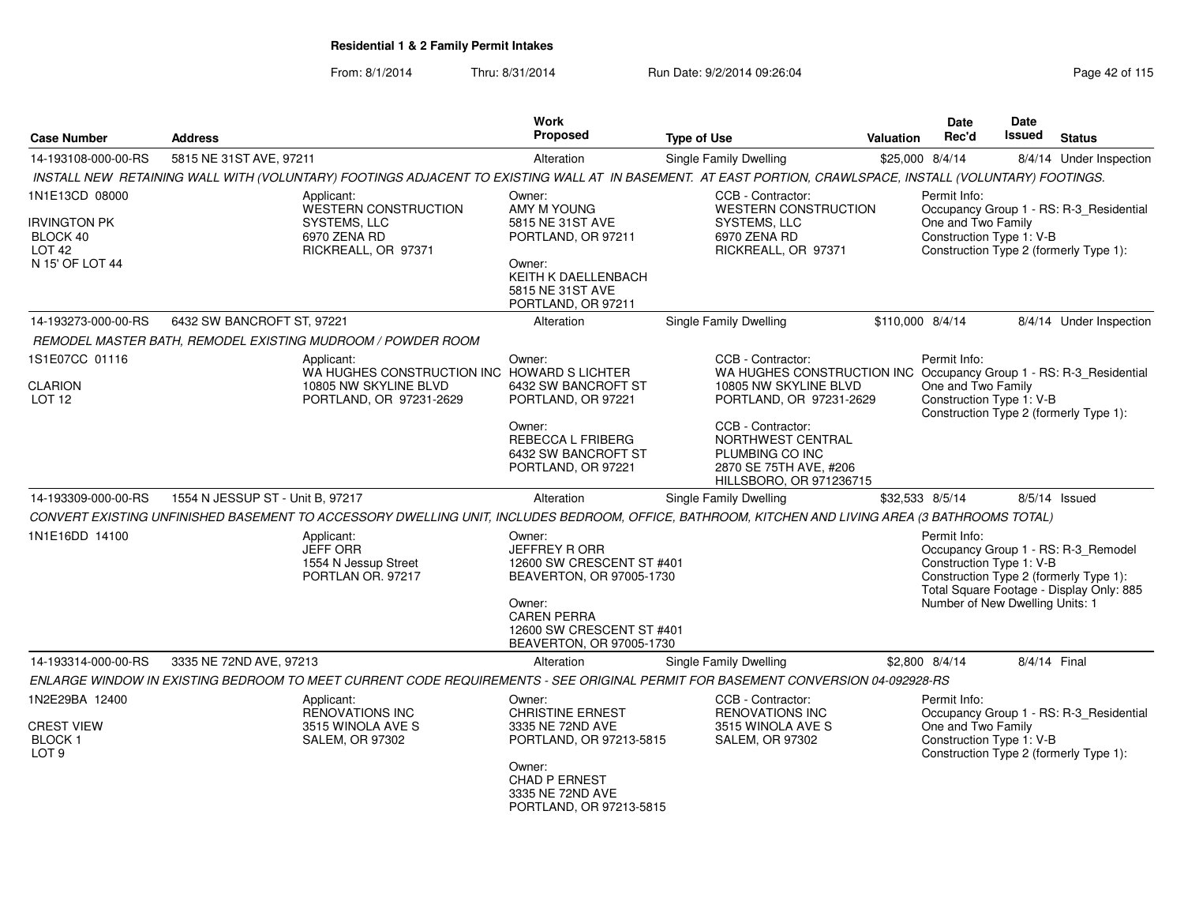| <b>Case Number</b>                                                                 | <b>Address</b>                                                                                                                                            | <b>Work</b><br>Proposed                                                                                                                                                         | <b>Type of Use</b>                                                                                                                          | <b>Valuation</b> | <b>Date</b><br>Rec'd                                                                                                                                | Date<br><b>Issued</b> | <b>Status</b>                                                                                                             |
|------------------------------------------------------------------------------------|-----------------------------------------------------------------------------------------------------------------------------------------------------------|---------------------------------------------------------------------------------------------------------------------------------------------------------------------------------|---------------------------------------------------------------------------------------------------------------------------------------------|------------------|-----------------------------------------------------------------------------------------------------------------------------------------------------|-----------------------|---------------------------------------------------------------------------------------------------------------------------|
| 14-193108-000-00-RS                                                                | 5815 NE 31ST AVE, 97211                                                                                                                                   | Alteration                                                                                                                                                                      | Single Family Dwelling                                                                                                                      |                  | \$25,000 8/4/14                                                                                                                                     |                       | 8/4/14 Under Inspection                                                                                                   |
|                                                                                    | INSTALL NEW RETAINING WALL WITH (VOLUNTARY) FOOTINGS ADJACENT TO EXISTING WALL AT IN BASEMENT. AT EAST PORTION, CRAWLSPACE, INSTALL (VOLUNTARY) FOOTINGS. |                                                                                                                                                                                 |                                                                                                                                             |                  |                                                                                                                                                     |                       |                                                                                                                           |
| 1N1E13CD 08000<br>IRVINGTON PK<br>BLOCK 40<br>LOT <sub>42</sub><br>N 15' OF LOT 44 | Applicant:<br>WESTERN CONSTRUCTION<br>SYSTEMS, LLC<br>6970 ZENA RD<br>RICKREALL, OR 97371                                                                 | Owner:<br>AMY M YOUNG<br>5815 NE 31ST AVE<br>PORTLAND, OR 97211<br>Owner:<br>KEITH K DAELLENBACH                                                                                | CCB - Contractor:<br><b>WESTERN CONSTRUCTION</b><br>SYSTEMS, LLC<br>6970 ZENA RD<br>RICKREALL, OR 97371                                     |                  | Permit Info:<br>Occupancy Group 1 - RS: R-3_Residential<br>One and Two Family<br>Construction Type 1: V-B<br>Construction Type 2 (formerly Type 1): |                       |                                                                                                                           |
|                                                                                    |                                                                                                                                                           | 5815 NE 31ST AVE<br>PORTLAND, OR 97211                                                                                                                                          |                                                                                                                                             |                  |                                                                                                                                                     |                       |                                                                                                                           |
| 14-193273-000-00-RS                                                                | 6432 SW BANCROFT ST, 97221                                                                                                                                | Alteration                                                                                                                                                                      | Single Family Dwelling                                                                                                                      | \$110,000 8/4/14 |                                                                                                                                                     |                       | 8/4/14 Under Inspection                                                                                                   |
|                                                                                    | REMODEL MASTER BATH, REMODEL EXISTING MUDROOM / POWDER ROOM                                                                                               |                                                                                                                                                                                 |                                                                                                                                             |                  |                                                                                                                                                     |                       |                                                                                                                           |
| 1S1E07CC 01116<br><b>CLARION</b><br><b>LOT 12</b>                                  | Applicant:<br>10805 NW SKYLINE BLVD<br>PORTLAND, OR 97231-2629                                                                                            | Owner:<br>WA HUGHES CONSTRUCTION INC HOWARD S LICHTER<br>6432 SW BANCROFT ST<br>PORTLAND, OR 97221                                                                              | CCB - Contractor:<br>WA HUGHES CONSTRUCTION INC Occupancy Group 1 - RS: R-3_Residential<br>10805 NW SKYLINE BLVD<br>PORTLAND, OR 97231-2629 |                  | Permit Info:<br>One and Two Family<br>Construction Type 1: V-B                                                                                      |                       |                                                                                                                           |
|                                                                                    |                                                                                                                                                           | Owner:<br>REBECCA L FRIBERG<br>6432 SW BANCROFT ST<br>PORTLAND, OR 97221                                                                                                        | CCB - Contractor:<br>NORTHWEST CENTRAL<br>PLUMBING CO INC<br>2870 SE 75TH AVE, #206<br>HILLSBORO, OR 971236715                              |                  | Construction Type 2 (formerly Type 1):                                                                                                              |                       |                                                                                                                           |
| 14-193309-000-00-RS                                                                | 1554 N JESSUP ST - Unit B, 97217                                                                                                                          | Alteration                                                                                                                                                                      | Single Family Dwelling                                                                                                                      |                  | \$32,533 8/5/14                                                                                                                                     |                       | 8/5/14 Issued                                                                                                             |
|                                                                                    | CONVERT EXISTING UNFINISHED BASEMENT TO ACCESSORY DWELLING UNIT, INCLUDES BEDROOM, OFFICE, BATHROOM, KITCHEN AND LIVING AREA (3 BATHROOMS TOTAL)          |                                                                                                                                                                                 |                                                                                                                                             |                  |                                                                                                                                                     |                       |                                                                                                                           |
| 1N1E16DD 14100                                                                     | Applicant:<br><b>JEFF ORR</b><br>1554 N Jessup Street<br>PORTLAN OR. 97217                                                                                | Owner:<br><b>JEFFREY RORR</b><br>12600 SW CRESCENT ST #401<br>BEAVERTON, OR 97005-1730<br>Owner:<br><b>CAREN PERRA</b><br>12600 SW CRESCENT ST #401<br>BEAVERTON, OR 97005-1730 |                                                                                                                                             |                  | Permit Info:<br>Construction Type 1: V-B<br>Number of New Dwelling Units: 1                                                                         |                       | Occupancy Group 1 - RS: R-3_Remodel<br>Construction Type 2 (formerly Type 1):<br>Total Square Footage - Display Only: 885 |
| 14-193314-000-00-RS                                                                | 3335 NE 72ND AVE, 97213                                                                                                                                   | Alteration                                                                                                                                                                      | Single Family Dwelling                                                                                                                      |                  | \$2,800 8/4/14                                                                                                                                      | 8/4/14 Final          |                                                                                                                           |
|                                                                                    | ENLARGE WINDOW IN EXISTING BEDROOM TO MEET CURRENT CODE REQUIREMENTS - SEE ORIGINAL PERMIT FOR BASEMENT CONVERSION 04-092928-RS                           |                                                                                                                                                                                 |                                                                                                                                             |                  |                                                                                                                                                     |                       |                                                                                                                           |
| 1N2E29BA 12400<br><b>CREST VIEW</b><br>BLOCK <sub>1</sub><br>LOT <sub>9</sub>      | Applicant:<br><b>RENOVATIONS INC</b><br>3515 WINOLA AVE S<br><b>SALEM, OR 97302</b>                                                                       | Owner:<br><b>CHRISTINE ERNEST</b><br>3335 NE 72ND AVE<br>PORTLAND, OR 97213-5815<br>Owner:<br>CHAD P ERNEST                                                                     | CCB - Contractor:<br><b>RENOVATIONS INC</b><br>3515 WINOLA AVE S<br>SALEM, OR 97302                                                         |                  | Permit Info:<br>One and Two Family<br>Construction Type 1: V-B                                                                                      |                       | Occupancy Group 1 - RS: R-3_Residential<br>Construction Type 2 (formerly Type 1):                                         |
|                                                                                    |                                                                                                                                                           | 3335 NE 72ND AVE<br>PORTLAND, OR 97213-5815                                                                                                                                     |                                                                                                                                             |                  |                                                                                                                                                     |                       |                                                                                                                           |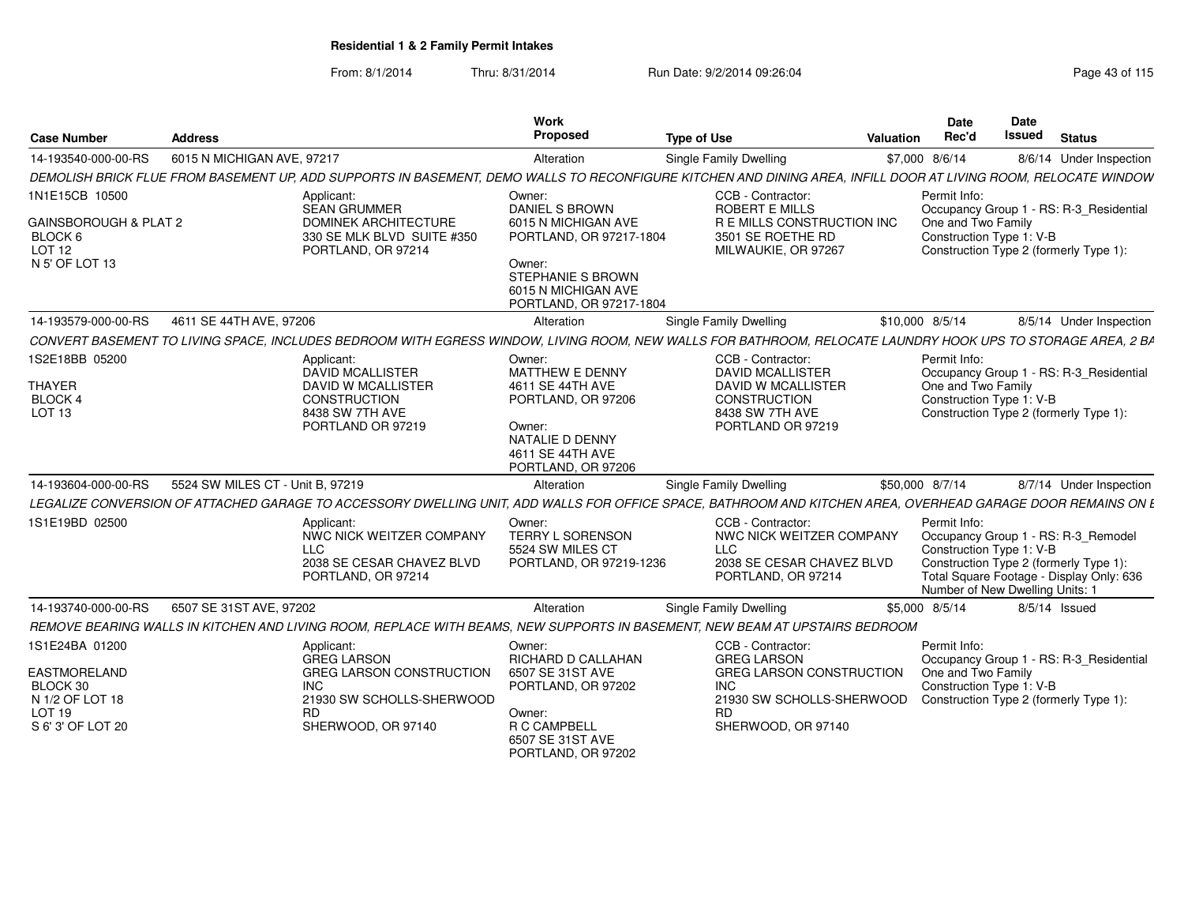|                                                                                              |                                  |                                                                                               | Work                                                                                 |                                                                                                                                                                |                 | Date                                                                        | <b>Date</b>   |                                                                                                                           |
|----------------------------------------------------------------------------------------------|----------------------------------|-----------------------------------------------------------------------------------------------|--------------------------------------------------------------------------------------|----------------------------------------------------------------------------------------------------------------------------------------------------------------|-----------------|-----------------------------------------------------------------------------|---------------|---------------------------------------------------------------------------------------------------------------------------|
| <b>Case Number</b>                                                                           | <b>Address</b>                   |                                                                                               | Proposed                                                                             | <b>Type of Use</b>                                                                                                                                             | Valuation       | Rec'd                                                                       | <b>Issued</b> | <b>Status</b>                                                                                                             |
| 14-193540-000-00-RS                                                                          | 6015 N MICHIGAN AVE, 97217       |                                                                                               | Alteration                                                                           | Single Family Dwelling                                                                                                                                         |                 | \$7,000 8/6/14                                                              |               | 8/6/14 Under Inspection                                                                                                   |
|                                                                                              |                                  |                                                                                               |                                                                                      | DEMOLISH BRICK FLUE FROM BASEMENT UP, ADD SUPPORTS IN BASEMENT, DEMO WALLS TO RECONFIGURE KITCHEN AND DINING AREA, INFILL DOOR AT LIVING ROOM, RELOCATE WINDOW |                 |                                                                             |               |                                                                                                                           |
| 1N1E15CB 10500<br>GAINSBOROUGH & PLAT 2<br>BLOCK 6                                           |                                  | Applicant<br><b>SEAN GRUMMER</b><br><b>DOMINEK ARCHITECTURE</b><br>330 SE MLK BLVD SUITE #350 | Owner:<br><b>DANIEL S BROWN</b><br>6015 N MICHIGAN AVE<br>PORTLAND, OR 97217-1804    | CCB - Contractor:<br><b>ROBERT E MILLS</b><br>R E MILLS CONSTRUCTION INC<br>3501 SE ROETHE RD                                                                  |                 | Permit Info:<br>One and Two Family<br>Construction Type 1: V-B              |               | Occupancy Group 1 - RS: R-3 Residential                                                                                   |
| LOT 12<br>N 5' OF LOT 13                                                                     |                                  | PORTLAND, OR 97214                                                                            | Owner:<br><b>STEPHANIE S BROWN</b><br>6015 N MICHIGAN AVE<br>PORTLAND, OR 97217-1804 | MILWAUKIE, OR 97267                                                                                                                                            |                 |                                                                             |               | Construction Type 2 (formerly Type 1):                                                                                    |
| 14-193579-000-00-RS                                                                          | 4611 SE 44TH AVE, 97206          |                                                                                               | Alteration                                                                           | Single Family Dwelling                                                                                                                                         | \$10,000 8/5/14 |                                                                             |               | 8/5/14 Under Inspection                                                                                                   |
|                                                                                              |                                  |                                                                                               |                                                                                      | CONVERT BASEMENT TO LIVING SPACE. INCLUDES BEDROOM WITH EGRESS WINDOW. LIVING ROOM. NEW WALLS FOR BATHROOM. RELOCATE LAUNDRY HOOK UPS TO STORAGE AREA, 2 BA    |                 |                                                                             |               |                                                                                                                           |
| 1S2E18BB 05200                                                                               |                                  | Applicant:<br>DAVID MCALLISTER                                                                | Owner:<br><b>MATTHEW E DENNY</b>                                                     | CCB - Contractor:<br><b>DAVID MCALLISTER</b>                                                                                                                   |                 | Permit Info:                                                                |               | Occupancy Group 1 - RS: R-3 Residential                                                                                   |
| <b>THAYER</b>                                                                                |                                  | <b>DAVID W MCALLISTER</b>                                                                     | 4611 SE 44TH AVE                                                                     | <b>DAVID W MCALLISTER</b>                                                                                                                                      |                 | One and Two Family                                                          |               |                                                                                                                           |
| BLOCK 4<br>LOT <sub>13</sub>                                                                 |                                  | <b>CONSTRUCTION</b><br>8438 SW 7TH AVE                                                        | PORTLAND, OR 97206                                                                   | CONSTRUCTION<br>8438 SW 7TH AVE                                                                                                                                |                 | Construction Type 1: V-B                                                    |               | Construction Type 2 (formerly Type 1):                                                                                    |
|                                                                                              |                                  | PORTLAND OR 97219                                                                             | Owner:<br>NATALIE D DENNY<br>4611 SE 44TH AVE<br>PORTLAND, OR 97206                  | PORTLAND OR 97219                                                                                                                                              |                 |                                                                             |               |                                                                                                                           |
| 14-193604-000-00-RS                                                                          | 5524 SW MILES CT - Unit B. 97219 |                                                                                               | Alteration                                                                           | Single Family Dwelling                                                                                                                                         | \$50,000 8/7/14 |                                                                             |               | 8/7/14 Under Inspection                                                                                                   |
|                                                                                              |                                  |                                                                                               |                                                                                      | LEGALIZE CONVERSION OF ATTACHED GARAGE TO ACCESSORY DWELLING UNIT. ADD WALLS FOR OFFICE SPACE. BATHROOM AND KITCHEN AREA. OVERHEAD GARAGE DOOR REMAINS ON L    |                 |                                                                             |               |                                                                                                                           |
| 1S1E19BD 02500                                                                               | <b>LLC</b>                       | Applicant:<br>NWC NICK WEITZER COMPANY<br>2038 SE CESAR CHAVEZ BLVD<br>PORTLAND, OR 97214     | Owner:<br>TERRY L SORENSON<br>5524 SW MILES CT<br>PORTLAND, OR 97219-1236            | CCB - Contractor:<br>NWC NICK WEITZER COMPANY<br><b>LLC</b><br>2038 SE CESAR CHAVEZ BLVD<br>PORTLAND, OR 97214                                                 |                 | Permit Info:<br>Construction Type 1: V-B<br>Number of New Dwelling Units: 1 |               | Occupancy Group 1 - RS: R-3_Remodel<br>Construction Type 2 (formerly Type 1):<br>Total Square Footage - Display Only: 636 |
| 14-193740-000-00-RS                                                                          | 6507 SE 31ST AVE, 97202          |                                                                                               | Alteration                                                                           | Single Family Dwelling                                                                                                                                         |                 | \$5,000 8/5/14                                                              |               | 8/5/14 Issued                                                                                                             |
|                                                                                              |                                  |                                                                                               |                                                                                      | REMOVE BEARING WALLS IN KITCHEN AND LIVING ROOM. REPLACE WITH BEAMS, NEW SUPPORTS IN BASEMENT, NEW BEAM AT UPSTAIRS BEDROOM                                    |                 |                                                                             |               |                                                                                                                           |
| 1S1E24BA 01200                                                                               |                                  | Applicant:<br><b>GREG LARSON</b>                                                              | Owner:<br>RICHARD D CALLAHAN                                                         | CCB - Contractor:<br><b>GREG LARSON</b>                                                                                                                        |                 | Permit Info:                                                                |               | Occupancy Group 1 - RS: R-3 Residential                                                                                   |
| <b>EASTMORELAND</b><br>BLOCK 30<br>N 1/2 OF LOT 18<br>LOT <sub>19</sub><br>S 6' 3' OF LOT 20 | <b>INC</b><br><b>RD</b>          | <b>GREG LARSON CONSTRUCTION</b><br>21930 SW SCHOLLS-SHERWOOD<br>SHERWOOD, OR 97140            | 6507 SE 31ST AVE<br>PORTLAND, OR 97202<br>Owner:<br>R C CAMPBELL                     | <b>GREG LARSON CONSTRUCTION</b><br><b>INC</b><br>21930 SW SCHOLLS-SHERWOOD<br>RD.<br>SHERWOOD, OR 97140                                                        |                 | One and Two Family<br>Construction Type 1: V-B                              |               | Construction Type 2 (formerly Type 1):                                                                                    |
|                                                                                              |                                  |                                                                                               | 6507 SE 31ST AVE<br>PORTLAND, OR 97202                                               |                                                                                                                                                                |                 |                                                                             |               |                                                                                                                           |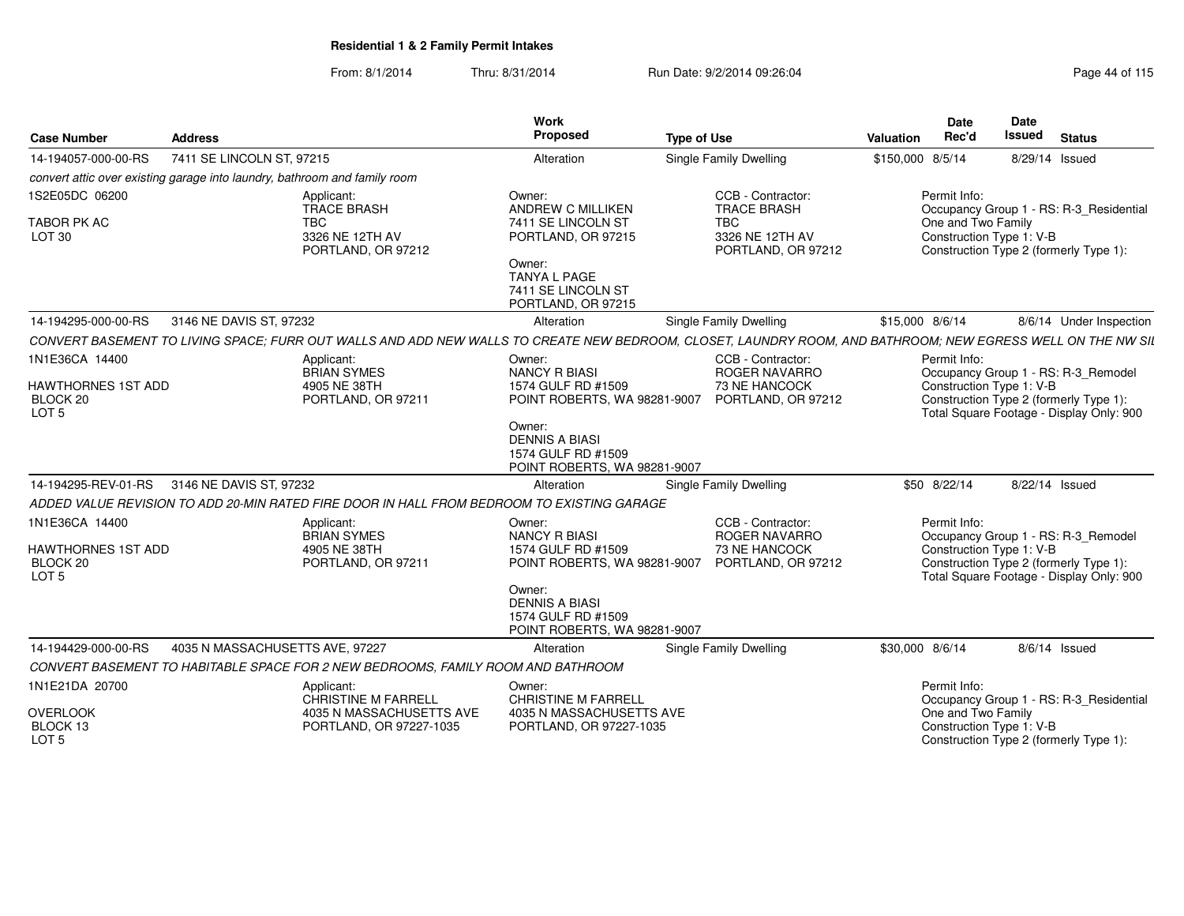| <b>Case Number</b>                                 | <b>Address</b>                                                                                                                                              | Work<br>Proposed                                                                      | <b>Type of Use</b>                                  | <b>Valuation</b> | <b>Date</b><br>Rec'd                           | Date<br><b>Issued</b> | <b>Status</b>                                                                      |  |
|----------------------------------------------------|-------------------------------------------------------------------------------------------------------------------------------------------------------------|---------------------------------------------------------------------------------------|-----------------------------------------------------|------------------|------------------------------------------------|-----------------------|------------------------------------------------------------------------------------|--|
| 14-194057-000-00-RS                                | 7411 SE LINCOLN ST, 97215                                                                                                                                   | Alteration                                                                            | <b>Single Family Dwelling</b>                       | \$150,000 8/5/14 |                                                |                       | 8/29/14 Issued                                                                     |  |
|                                                    | convert attic over existing garage into laundry, bathroom and family room                                                                                   |                                                                                       |                                                     |                  |                                                |                       |                                                                                    |  |
| 1S2E05DC 06200                                     | Applicant:<br><b>TRACE BRASH</b>                                                                                                                            | Owner:<br><b>ANDREW C MILLIKEN</b>                                                    | CCB - Contractor:<br><b>TRACE BRASH</b>             |                  | Permit Info:                                   |                       | Occupancy Group 1 - RS: R-3_Residential                                            |  |
| <b>TABOR PK AC</b><br>LOT <sub>30</sub>            | <b>TBC</b><br>3326 NE 12TH AV<br>PORTLAND, OR 97212                                                                                                         | 7411 SE LINCOLN ST<br>PORTLAND, OR 97215                                              | <b>TBC</b><br>3326 NE 12TH AV<br>PORTLAND, OR 97212 |                  | One and Two Family<br>Construction Type 1: V-B |                       | Construction Type 2 (formerly Type 1):                                             |  |
|                                                    |                                                                                                                                                             | Owner:<br><b>TANYA L PAGE</b><br>7411 SE LINCOLN ST<br>PORTLAND, OR 97215             |                                                     |                  |                                                |                       |                                                                                    |  |
| 14-194295-000-00-RS                                | 3146 NE DAVIS ST, 97232                                                                                                                                     | Alteration                                                                            | <b>Single Family Dwelling</b>                       | \$15,000 8/6/14  |                                                |                       | 8/6/14 Under Inspection                                                            |  |
|                                                    | CONVERT BASEMENT TO LIVING SPACE; FURR OUT WALLS AND ADD NEW WALLS TO CREATE NEW BEDROOM, CLOSET, LAUNDRY ROOM, AND BATHROOM; NEW EGRESS WELL ON THE NW SIL |                                                                                       |                                                     |                  |                                                |                       |                                                                                    |  |
| 1N1E36CA 14400                                     | Applicant:<br><b>BRIAN SYMES</b>                                                                                                                            | Owner:<br><b>NANCY R BIASI</b>                                                        | CCB - Contractor:<br>ROGER NAVARRO                  |                  | Permit Info:                                   |                       | Occupancy Group 1 - RS: R-3_Remodel                                                |  |
| HAWTHORNES 1ST ADD<br>BLOCK 20<br>LOT <sub>5</sub> | 4905 NE 38TH<br>PORTLAND, OR 97211                                                                                                                          | 1574 GULF RD #1509<br>POINT ROBERTS, WA 98281-9007                                    | 73 NE HANCOCK<br>PORTLAND, OR 97212                 |                  | Construction Type 1: V-B                       |                       | Construction Type 2 (formerly Type 1):<br>Total Square Footage - Display Only: 900 |  |
|                                                    |                                                                                                                                                             | Owner:<br><b>DENNIS A BIASI</b><br>1574 GULF RD #1509<br>POINT ROBERTS, WA 98281-9007 |                                                     |                  |                                                |                       |                                                                                    |  |
| 14-194295-REV-01-RS                                | 3146 NE DAVIS ST, 97232                                                                                                                                     | Alteration                                                                            | Single Family Dwelling                              |                  | \$50 8/22/14                                   |                       | 8/22/14 Issued                                                                     |  |
|                                                    | ADDED VALUE REVISION TO ADD 20-MIN RATED FIRE DOOR IN HALL FROM BEDROOM TO EXISTING GARAGE                                                                  |                                                                                       |                                                     |                  |                                                |                       |                                                                                    |  |
| 1N1E36CA 14400                                     | Applicant:<br><b>BRIAN SYMES</b>                                                                                                                            | Owner:<br><b>NANCY R BIASI</b>                                                        | CCB - Contractor:<br><b>ROGER NAVARRO</b>           |                  | Permit Info:                                   |                       | Occupancy Group 1 - RS: R-3_Remodel                                                |  |
| HAWTHORNES 1ST ADD<br>BLOCK 20<br>LOT <sub>5</sub> | 4905 NE 38TH<br>PORTLAND, OR 97211                                                                                                                          | 1574 GULF RD #1509<br>POINT ROBERTS, WA 98281-9007                                    | 73 NE HANCOCK<br>PORTLAND, OR 97212                 |                  | Construction Type 1: V-B                       |                       | Construction Type 2 (formerly Type 1):<br>Total Square Footage - Display Only: 900 |  |
|                                                    |                                                                                                                                                             | Owner:<br><b>DENNIS A BIASI</b><br>1574 GULF RD #1509<br>POINT ROBERTS, WA 98281-9007 |                                                     |                  |                                                |                       |                                                                                    |  |
| 14-194429-000-00-RS                                | 4035 N MASSACHUSETTS AVE, 97227                                                                                                                             | Alteration                                                                            | Single Family Dwelling                              | \$30,000 8/6/14  |                                                |                       | 8/6/14 Issued                                                                      |  |
|                                                    | CONVERT BASEMENT TO HABITABLE SPACE FOR 2 NEW BEDROOMS, FAMILY ROOM AND BATHROOM                                                                            |                                                                                       |                                                     |                  |                                                |                       |                                                                                    |  |
| 1N1E21DA 20700                                     | Applicant:<br>CHRISTINE M FARRELL                                                                                                                           | Owner:<br><b>CHRISTINE M FARRELL</b>                                                  |                                                     |                  | Permit Info:                                   |                       | Occupancy Group 1 - RS: R-3_Residential                                            |  |
| <b>OVERLOOK</b><br>BLOCK 13<br>LOT <sub>5</sub>    | 4035 N MASSACHUSETTS AVE<br>PORTLAND, OR 97227-1035                                                                                                         | 4035 N MASSACHUSETTS AVE<br>PORTLAND, OR 97227-1035                                   |                                                     |                  | One and Two Family<br>Construction Type 1: V-B |                       | Construction Type 2 (formerly Type 1):                                             |  |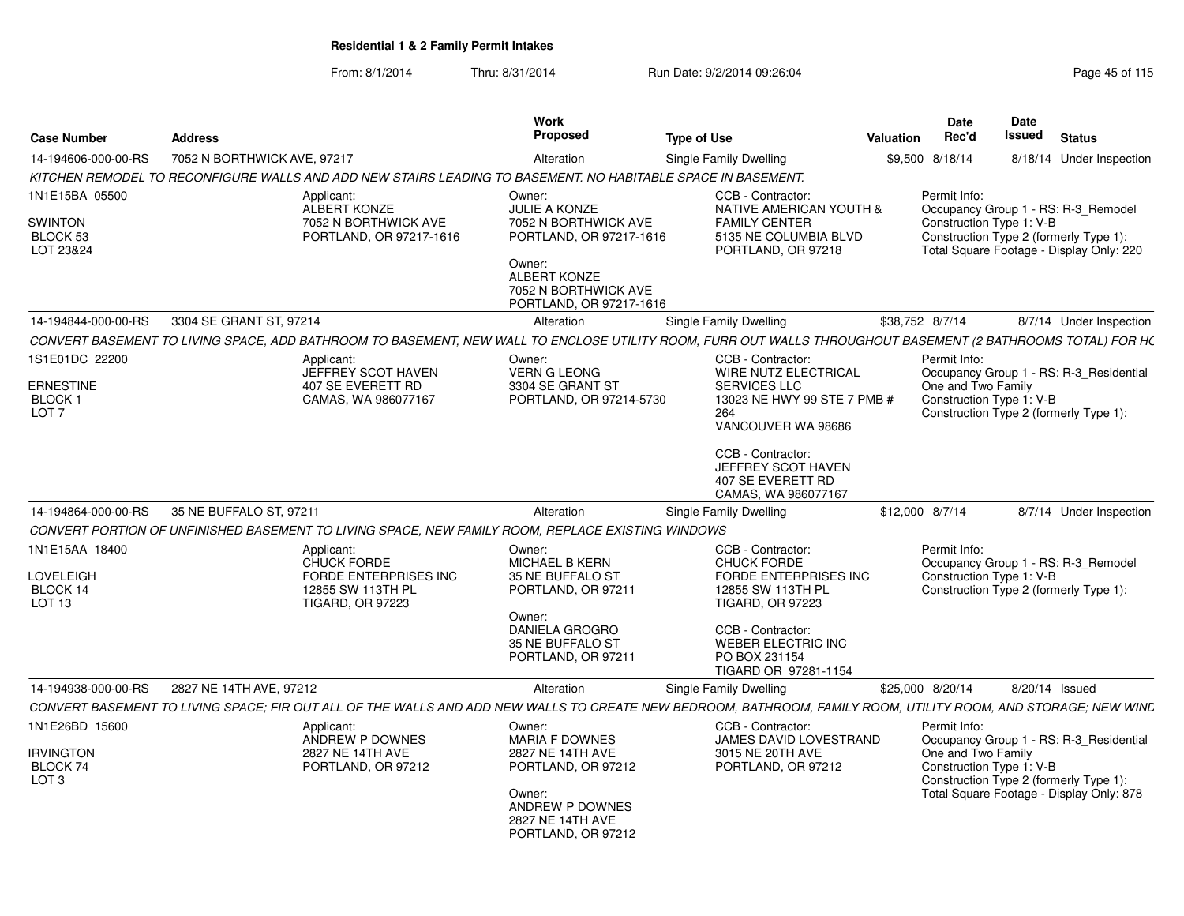| <b>Case Number</b>                                                   | <b>Address</b>                                                                                                                                                 | Work<br>Proposed                                                                                                                                                      | <b>Type of Use</b>                                                                                                                                                                                                 | <b>Valuation</b> | <b>Date</b><br>Rec'd                                           | <b>Date</b><br>Issued | <b>Status</b>                                                                                                                 |
|----------------------------------------------------------------------|----------------------------------------------------------------------------------------------------------------------------------------------------------------|-----------------------------------------------------------------------------------------------------------------------------------------------------------------------|--------------------------------------------------------------------------------------------------------------------------------------------------------------------------------------------------------------------|------------------|----------------------------------------------------------------|-----------------------|-------------------------------------------------------------------------------------------------------------------------------|
| 14-194606-000-00-RS                                                  | 7052 N BORTHWICK AVE, 97217                                                                                                                                    | Alteration                                                                                                                                                            | Single Family Dwelling                                                                                                                                                                                             |                  | \$9,500 8/18/14                                                |                       | 8/18/14 Under Inspection                                                                                                      |
|                                                                      | KITCHEN REMODEL TO RECONFIGURE WALLS AND ADD NEW STAIRS LEADING TO BASEMENT. NO HABITABLE SPACE IN BASEMENT.                                                   |                                                                                                                                                                       |                                                                                                                                                                                                                    |                  |                                                                |                       |                                                                                                                               |
| 1N1E15BA 05500<br><b>SWINTON</b><br>BLOCK <sub>53</sub><br>LOT 23&24 | Applicant:<br><b>ALBERT KONZE</b><br>7052 N BORTHWICK AVE<br>PORTLAND, OR 97217-1616                                                                           | Owner:<br><b>JULIE A KONZE</b><br>7052 N BORTHWICK AVE<br>PORTLAND, OR 97217-1616<br>Owner:<br><b>ALBERT KONZE</b><br>7052 N BORTHWICK AVE<br>PORTLAND, OR 97217-1616 | CCB - Contractor:<br>NATIVE AMERICAN YOUTH &<br><b>FAMILY CENTER</b><br>5135 NE COLUMBIA BLVD<br>PORTLAND, OR 97218                                                                                                |                  | Permit Info:<br>Construction Type 1: V-B                       |                       | Occupancy Group 1 - RS: R-3_Remodel<br>Construction Type 2 (formerly Type 1):<br>Total Square Footage - Display Only: 220     |
| 14-194844-000-00-RS                                                  | 3304 SE GRANT ST, 97214                                                                                                                                        | Alteration                                                                                                                                                            | Single Family Dwelling                                                                                                                                                                                             |                  | \$38,752 8/7/14                                                |                       | 8/7/14 Under Inspection                                                                                                       |
|                                                                      | CONVERT BASEMENT TO LIVING SPACE, ADD BATHROOM TO BASEMENT, NEW WALL TO ENCLOSE UTILITY ROOM, FURR OUT WALLS THROUGHOUT BASEMENT (2 BATHROOMS TOTAL) FOR HC    |                                                                                                                                                                       |                                                                                                                                                                                                                    |                  |                                                                |                       |                                                                                                                               |
| 1S1E01DC 22200<br><b>ERNESTINE</b><br>BLOCK 1<br>LOT <sub>7</sub>    | Applicant:<br>JEFFREY SCOT HAVEN<br>407 SE EVERETT RD<br>CAMAS, WA 986077167                                                                                   | Owner:<br><b>VERN G LEONG</b><br>3304 SE GRANT ST<br>PORTLAND, OR 97214-5730                                                                                          | CCB - Contractor:<br>WIRE NUTZ ELECTRICAL<br>SERVICES LLC<br>13023 NE HWY 99 STE 7 PMB #<br>264<br>VANCOUVER WA 98686<br>CCB - Contractor:<br>JEFFREY SCOT HAVEN<br>407 SE EVERETT RD<br>CAMAS, WA 986077167       |                  | Permit Info:<br>One and Two Family<br>Construction Type 1: V-B |                       | Occupancy Group 1 - RS: R-3 Residential<br>Construction Type 2 (formerly Type 1):                                             |
| 14-194864-000-00-RS                                                  | 35 NE BUFFALO ST, 97211                                                                                                                                        | Alteration                                                                                                                                                            | Single Family Dwelling                                                                                                                                                                                             |                  | \$12,000 8/7/14                                                |                       | 8/7/14 Under Inspection                                                                                                       |
|                                                                      | CONVERT PORTION OF UNFINISHED BASEMENT TO LIVING SPACE, NEW FAMILY ROOM, REPLACE EXISTING WINDOWS                                                              |                                                                                                                                                                       |                                                                                                                                                                                                                    |                  |                                                                |                       |                                                                                                                               |
| 1N1E15AA 18400<br>LOVELEIGH<br>BLOCK 14<br>LOT <sub>13</sub>         | Applicant:<br><b>CHUCK FORDE</b><br>FORDE ENTERPRISES INC<br>12855 SW 113TH PL<br><b>TIGARD, OR 97223</b>                                                      | Owner:<br>MICHAEL B KERN<br>35 NE BUFFALO ST<br>PORTLAND, OR 97211<br>Owner:<br><b>DANIELA GROGRO</b><br>35 NE BUFFALO ST<br>PORTLAND, OR 97211                       | CCB - Contractor:<br><b>CHUCK FORDE</b><br><b>FORDE ENTERPRISES INC</b><br>12855 SW 113TH PL<br><b>TIGARD, OR 97223</b><br>CCB - Contractor:<br><b>WEBER ELECTRIC INC</b><br>PO BOX 231154<br>TIGARD OR 97281-1154 |                  | Permit Info:<br>Construction Type 1: V-B                       |                       | Occupancy Group 1 - RS: R-3 Remodel<br>Construction Type 2 (formerly Type 1):                                                 |
| 14-194938-000-00-RS                                                  | 2827 NE 14TH AVE, 97212                                                                                                                                        | Alteration                                                                                                                                                            | Single Family Dwelling                                                                                                                                                                                             |                  | \$25,000 8/20/14                                               |                       | 8/20/14 Issued                                                                                                                |
|                                                                      | CONVERT BASEMENT TO LIVING SPACE: FIR OUT ALL OF THE WALLS AND ADD NEW WALLS TO CREATE NEW BEDROOM, BATHROOM, FAMILY ROOM, UTILITY ROOM, AND STORAGE: NEW WIND |                                                                                                                                                                       |                                                                                                                                                                                                                    |                  |                                                                |                       |                                                                                                                               |
| 1N1E26BD 15600<br><b>IRVINGTON</b><br>BLOCK 74<br>LOT <sub>3</sub>   | Applicant:<br>ANDREW P DOWNES<br>2827 NE 14TH AVE<br>PORTLAND, OR 97212                                                                                        | Owner:<br><b>MARIA F DOWNES</b><br>2827 NE 14TH AVE<br>PORTLAND, OR 97212<br>Owner:<br>ANDREW P DOWNES<br>2827 NE 14TH AVE<br>PORTLAND, OR 97212                      | CCB - Contractor:<br>JAMES DAVID LOVESTRAND<br>3015 NE 20TH AVE<br>PORTLAND, OR 97212                                                                                                                              |                  | Permit Info:<br>One and Two Family<br>Construction Type 1: V-B |                       | Occupancy Group 1 - RS: R-3 Residential<br>Construction Type 2 (formerly Type 1):<br>Total Square Footage - Display Only: 878 |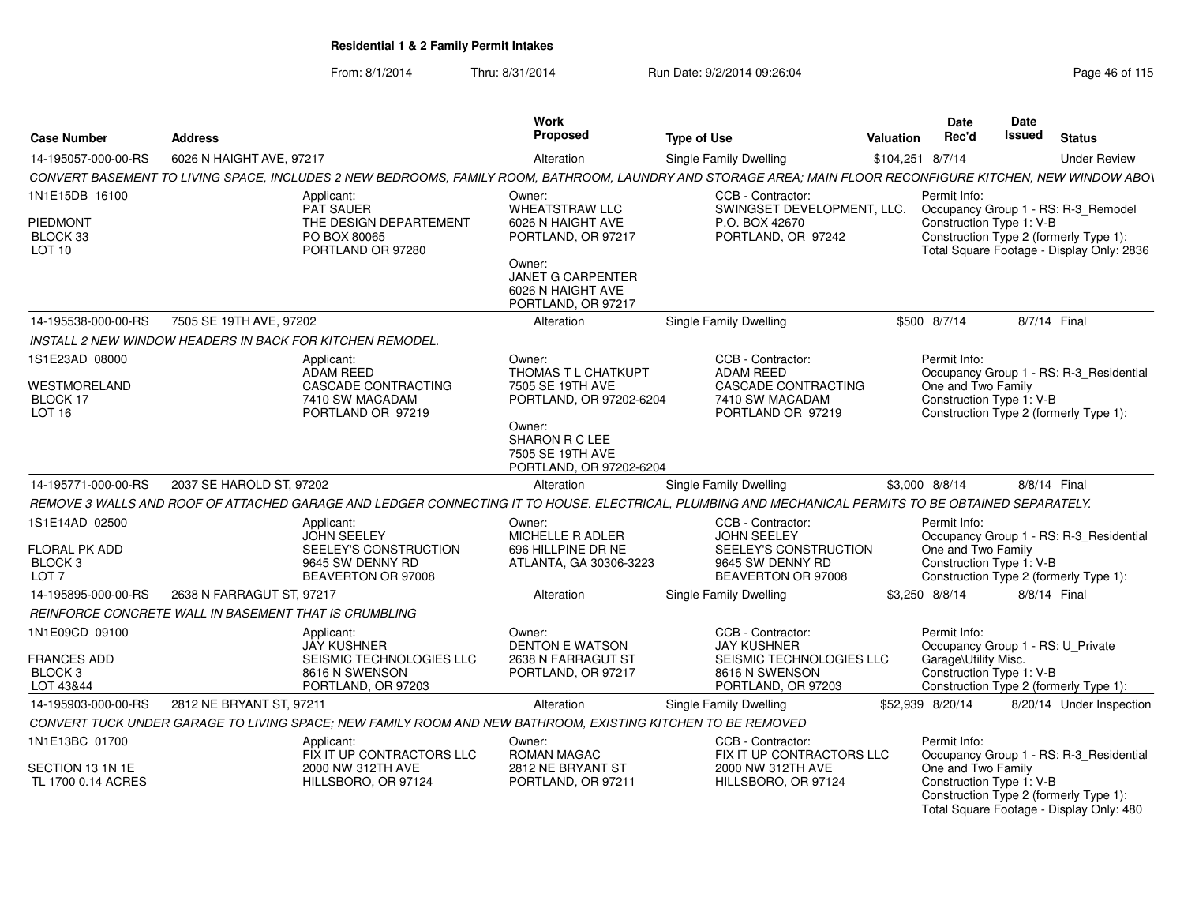| <b>Case Number</b>                                                        | <b>Address</b>                                                                                                                                              |                           | Work<br>Proposed                                                                                                                    | <b>Type of Use</b>                                                                                         | Valuation        | Date<br>Rec'd                                                                                                                                          | Date<br>Issued | <b>Status</b> |                          |
|---------------------------------------------------------------------------|-------------------------------------------------------------------------------------------------------------------------------------------------------------|---------------------------|-------------------------------------------------------------------------------------------------------------------------------------|------------------------------------------------------------------------------------------------------------|------------------|--------------------------------------------------------------------------------------------------------------------------------------------------------|----------------|---------------|--------------------------|
| 14-195057-000-00-RS                                                       | 6026 N HAIGHT AVE, 97217                                                                                                                                    |                           | Alteration                                                                                                                          | <b>Single Family Dwelling</b>                                                                              | \$104,251 8/7/14 |                                                                                                                                                        |                |               | <b>Under Review</b>      |
|                                                                           | CONVERT BASEMENT TO LIVING SPACE, INCLUDES 2 NEW BEDROOMS, FAMILY ROOM, BATHROOM, LAUNDRY AND STORAGE AREA; MAIN FLOOR RECONFIGURE KITCHEN, NEW WINDOW ABOV |                           |                                                                                                                                     |                                                                                                            |                  |                                                                                                                                                        |                |               |                          |
| 1N1E15DB 16100                                                            | Applicant:                                                                                                                                                  |                           | Owner:                                                                                                                              | CCB - Contractor:                                                                                          |                  | Permit Info:                                                                                                                                           |                |               |                          |
| PIEDMONT<br>BLOCK 33<br><b>LOT 10</b>                                     | <b>PAT SAUER</b><br>THE DESIGN DEPARTEMENT<br>PO BOX 80065<br>PORTLAND OR 97280                                                                             |                           | WHEATSTRAW LLC<br>6026 N HAIGHT AVE<br>PORTLAND, OR 97217<br>Owner:<br>JANET G CARPENTER<br>6026 N HAIGHT AVE<br>PORTLAND, OR 97217 | SWINGSET DEVELOPMENT, LLC.<br>P.O. BOX 42670<br>PORTLAND, OR 97242                                         |                  | Occupancy Group 1 - RS: R-3_Remodel<br>Construction Type 1: V-B<br>Construction Type 2 (formerly Type 1):<br>Total Square Footage - Display Only: 2836 |                |               |                          |
| 14-195538-000-00-RS                                                       | 7505 SE 19TH AVE, 97202                                                                                                                                     |                           | Alteration                                                                                                                          | <b>Single Family Dwelling</b>                                                                              |                  | \$500 8/7/14                                                                                                                                           |                | 8/7/14 Final  |                          |
|                                                                           | INSTALL 2 NEW WINDOW HEADERS IN BACK FOR KITCHEN REMODEL.                                                                                                   |                           |                                                                                                                                     |                                                                                                            |                  |                                                                                                                                                        |                |               |                          |
| 1S1E23AD 08000<br>WESTMORELAND<br>BLOCK 17<br>LOT 16                      | Applicant:<br>ADAM REED<br>CASCADE CONTRACTING<br>7410 SW MACADAM<br>PORTLAND OR 97219                                                                      |                           | Owner:<br>THOMAS T L CHATKUPT<br>7505 SE 19TH AVE<br>PORTLAND, OR 97202-6204                                                        | CCB - Contractor:<br><b>ADAM REED</b><br>CASCADE CONTRACTING<br>7410 SW MACADAM<br>PORTLAND OR 97219       |                  | Permit Info:<br>Occupancy Group 1 - RS: R-3_Residential<br>One and Two Family<br>Construction Type 1: V-B<br>Construction Type 2 (formerly Type 1):    |                |               |                          |
|                                                                           |                                                                                                                                                             |                           | Owner:<br>SHARON R C LEE<br>7505 SE 19TH AVE<br>PORTLAND, OR 97202-6204                                                             |                                                                                                            |                  |                                                                                                                                                        |                |               |                          |
| 14-195771-000-00-RS                                                       | 2037 SE HAROLD ST, 97202                                                                                                                                    |                           | Alteration                                                                                                                          | Single Family Dwelling                                                                                     |                  | \$3,000 8/8/14                                                                                                                                         |                | 8/8/14 Final  |                          |
|                                                                           | REMOVE 3 WALLS AND ROOF OF ATTACHED GARAGE AND LEDGER CONNECTING IT TO HOUSE. ELECTRICAL, PLUMBING AND MECHANICAL PERMITS TO BE OBTAINED SEPARATELY.        |                           |                                                                                                                                     |                                                                                                            |                  |                                                                                                                                                        |                |               |                          |
| 1S1E14AD 02500<br>FLORAL PK ADD<br>BLOCK <sub>3</sub><br>LOT <sub>7</sub> | Applicant:<br><b>JOHN SEELEY</b><br>SEELEY'S CONSTRUCTION<br>9645 SW DENNY RD<br>BEAVERTON OR 97008                                                         |                           | Owner:<br>MICHELLE R ADLER<br>696 HILLPINE DR NE<br>ATLANTA, GA 30306-3223                                                          | CCB - Contractor:<br><b>JOHN SEELEY</b><br>SEELEY'S CONSTRUCTION<br>9645 SW DENNY RD<br>BEAVERTON OR 97008 |                  | Permit Info:<br>Occupancy Group 1 - RS: R-3_Residential<br>One and Two Family<br>Construction Type 1: V-B<br>Construction Type 2 (formerly Type 1):    |                |               |                          |
| 14-195895-000-00-RS                                                       | 2638 N FARRAGUT ST. 97217                                                                                                                                   |                           | Alteration                                                                                                                          | <b>Single Family Dwelling</b>                                                                              |                  | \$3,250 8/8/14                                                                                                                                         |                | 8/8/14 Final  |                          |
|                                                                           | REINFORCE CONCRETE WALL IN BASEMENT THAT IS CRUMBLING                                                                                                       |                           |                                                                                                                                     |                                                                                                            |                  |                                                                                                                                                        |                |               |                          |
| 1N1E09CD 09100                                                            | Applicant:<br><b>JAY KUSHNER</b>                                                                                                                            |                           | Owner:<br><b>DENTON E WATSON</b>                                                                                                    | CCB - Contractor:<br><b>JAY KUSHNER</b>                                                                    |                  | Permit Info:<br>Occupancy Group 1 - RS: U_Private                                                                                                      |                |               |                          |
| <b>FRANCES ADD</b><br>BLOCK <sub>3</sub><br>LOT 43&44                     | 8616 N SWENSON<br>PORTLAND, OR 97203                                                                                                                        | SEISMIC TECHNOLOGIES LLC  | 2638 N FARRAGUT ST<br>PORTLAND, OR 97217                                                                                            | SEISMIC TECHNOLOGIES LLC<br>8616 N SWENSON<br>PORTLAND, OR 97203                                           |                  | Garage\Utility Misc.<br>Construction Type 1: V-B<br>Construction Type 2 (formerly Type 1):                                                             |                |               |                          |
| 14-195903-000-00-RS                                                       | 2812 NE BRYANT ST, 97211                                                                                                                                    |                           | Alteration                                                                                                                          | Single Family Dwelling                                                                                     |                  | \$52,939 8/20/14                                                                                                                                       |                |               | 8/20/14 Under Inspection |
|                                                                           | CONVERT TUCK UNDER GARAGE TO LIVING SPACE; NEW FAMILY ROOM AND NEW BATHROOM, EXISTING KITCHEN TO BE REMOVED                                                 |                           |                                                                                                                                     |                                                                                                            |                  |                                                                                                                                                        |                |               |                          |
| 1N1E13BC 01700                                                            | Applicant:                                                                                                                                                  | FIX IT UP CONTRACTORS LLC | Owner:<br><b>ROMAN MAGAC</b>                                                                                                        | CCB - Contractor:<br>FIX IT UP CONTRACTORS LLC                                                             |                  | Permit Info:<br>Occupancy Group 1 - RS: R-3 Residential                                                                                                |                |               |                          |
| SECTION 13 1N 1E<br>TL 1700 0.14 ACRES                                    | 2000 NW 312TH AVE<br>HILLSBORO, OR 97124                                                                                                                    |                           | 2812 NE BRYANT ST<br>PORTLAND, OR 97211                                                                                             | 2000 NW 312TH AVE<br>HILLSBORO, OR 97124                                                                   |                  | One and Two Family<br>Construction Type 1: V-B<br>Construction Type 2 (formerly Type 1):<br>Total Square Footage - Display Only: 480                   |                |               |                          |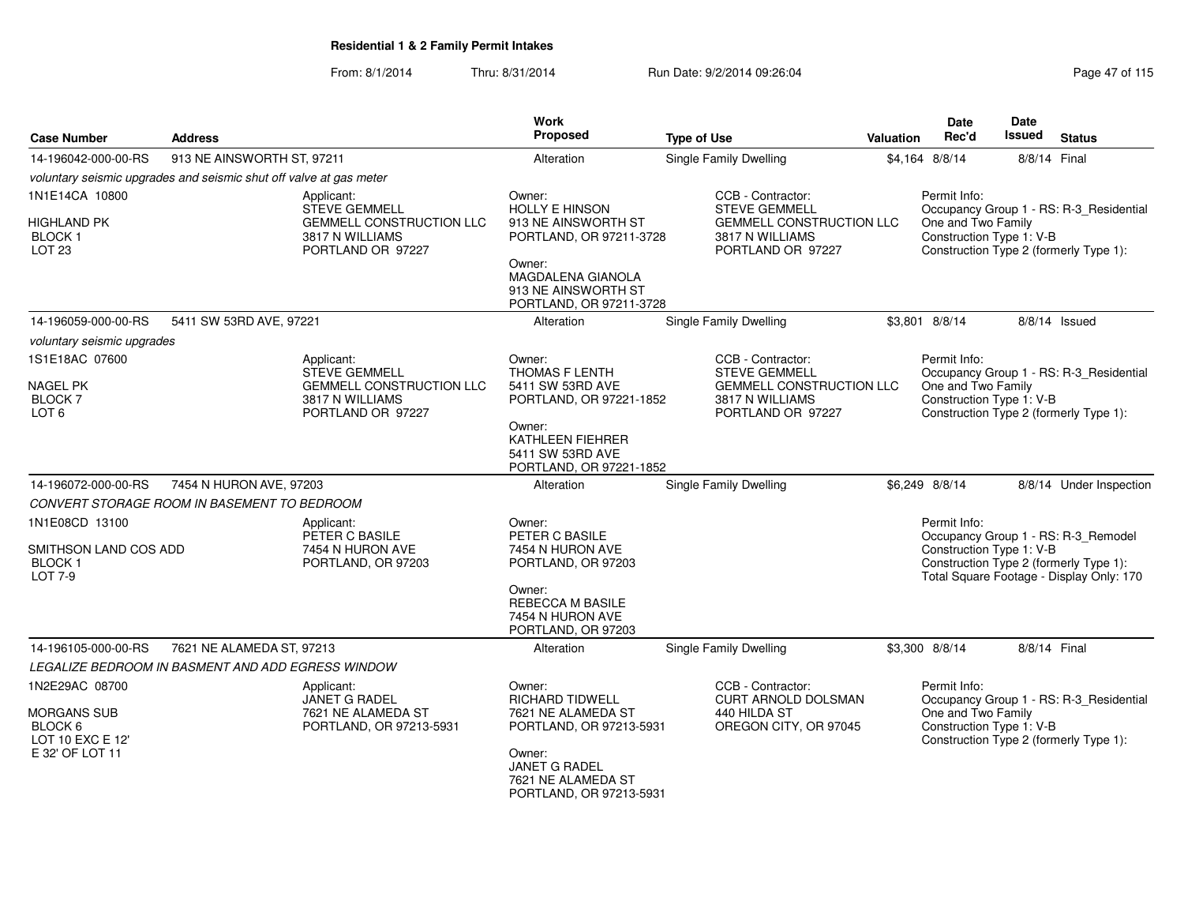| <b>Case Number</b>                                     | <b>Address</b>                                                     |                                                                         | <b>Work</b><br><b>Proposed</b>                                                | <b>Type of Use</b>                                                      | Valuation                      | <b>Date</b><br>Rec'd                                                                     | Date<br>Issued | <b>Status</b>                                                                      |  |
|--------------------------------------------------------|--------------------------------------------------------------------|-------------------------------------------------------------------------|-------------------------------------------------------------------------------|-------------------------------------------------------------------------|--------------------------------|------------------------------------------------------------------------------------------|----------------|------------------------------------------------------------------------------------|--|
| 14-196042-000-00-RS                                    | 913 NE AINSWORTH ST, 97211                                         |                                                                         | Alteration                                                                    | Single Family Dwelling                                                  | 8/8/14 Final<br>\$4,164 8/8/14 |                                                                                          |                |                                                                                    |  |
|                                                        | voluntary seismic upgrades and seismic shut off valve at gas meter |                                                                         |                                                                               |                                                                         |                                |                                                                                          |                |                                                                                    |  |
| 1N1E14CA 10800                                         |                                                                    | Applicant:<br><b>STEVE GEMMELL</b>                                      | Owner:<br>HOLLY E HINSON                                                      | CCB - Contractor:<br><b>STEVE GEMMELL</b>                               |                                | Permit Info:                                                                             |                | Occupancy Group 1 - RS: R-3_Residential                                            |  |
| HIGHLAND PK<br>BLOCK <sub>1</sub><br>LOT <sub>23</sub> |                                                                    | <b>GEMMELL CONSTRUCTION LLC</b><br>3817 N WILLIAMS<br>PORTLAND OR 97227 | 913 NE AINSWORTH ST<br>PORTLAND, OR 97211-3728                                | <b>GEMMELL CONSTRUCTION LLC</b><br>3817 N WILLIAMS<br>PORTLAND OR 97227 |                                | One and Two Family<br>Construction Type 1: V-B<br>Construction Type 2 (formerly Type 1): |                |                                                                                    |  |
|                                                        |                                                                    |                                                                         | Owner:<br>MAGDALENA GIANOLA<br>913 NE AINSWORTH ST<br>PORTLAND, OR 97211-3728 |                                                                         |                                |                                                                                          |                |                                                                                    |  |
| 14-196059-000-00-RS                                    | 5411 SW 53RD AVE, 97221                                            |                                                                         | Alteration                                                                    | Single Family Dwelling                                                  |                                | \$3,801 8/8/14                                                                           |                | 8/8/14 Issued                                                                      |  |
| voluntary seismic upgrades                             |                                                                    |                                                                         |                                                                               |                                                                         |                                |                                                                                          |                |                                                                                    |  |
| 1S1E18AC 07600                                         |                                                                    | Applicant:<br>STEVE GEMMELL                                             | Owner:<br>THOMAS F LENTH                                                      | CCB - Contractor:<br><b>STEVE GEMMELL</b>                               |                                | Permit Info:                                                                             |                | Occupancy Group 1 - RS: R-3_Residential                                            |  |
| <b>NAGEL PK</b><br><b>BLOCK7</b><br>LOT 6              |                                                                    | <b>GEMMELL CONSTRUCTION LLC</b><br>3817 N WILLIAMS<br>PORTLAND OR 97227 | 5411 SW 53RD AVE<br>PORTLAND, OR 97221-1852                                   | <b>GEMMELL CONSTRUCTION LLC</b><br>3817 N WILLIAMS<br>PORTLAND OR 97227 |                                | One and Two Family<br>Construction Type 1: V-B                                           |                | Construction Type 2 (formerly Type 1):                                             |  |
|                                                        |                                                                    |                                                                         | Owner:<br>KATHLEEN FIEHRER<br>5411 SW 53RD AVE<br>PORTLAND, OR 97221-1852     |                                                                         |                                |                                                                                          |                |                                                                                    |  |
| 14-196072-000-00-RS                                    | 7454 N HURON AVE, 97203                                            |                                                                         | Alteration                                                                    | Single Family Dwelling                                                  |                                | \$6,249 8/8/14                                                                           |                | 8/8/14 Under Inspection                                                            |  |
|                                                        | CONVERT STORAGE ROOM IN BASEMENT TO BEDROOM                        |                                                                         |                                                                               |                                                                         |                                |                                                                                          |                |                                                                                    |  |
| 1N1E08CD 13100                                         |                                                                    | Applicant:<br>PETER C BASILE                                            | Owner:<br>PETER C BASILE                                                      |                                                                         |                                | Permit Info:                                                                             |                | Occupancy Group 1 - RS: R-3_Remodel                                                |  |
| SMITHSON LAND COS ADD<br>BLOCK 1<br>LOT 7-9            |                                                                    | 7454 N HURON AVE<br>PORTLAND, OR 97203                                  | 7454 N HURON AVE<br>PORTLAND, OR 97203                                        |                                                                         |                                | Construction Type 1: V-B                                                                 |                | Construction Type 2 (formerly Type 1):<br>Total Square Footage - Display Only: 170 |  |
|                                                        |                                                                    |                                                                         | Owner:<br><b>REBECCA M BASILE</b><br>7454 N HURON AVE<br>PORTLAND, OR 97203   |                                                                         |                                |                                                                                          |                |                                                                                    |  |
| 14-196105-000-00-RS                                    | 7621 NE ALAMEDA ST, 97213                                          |                                                                         | Alteration                                                                    | Single Family Dwelling                                                  |                                | \$3,300 8/8/14                                                                           |                | 8/8/14 Final                                                                       |  |
|                                                        | LEGALIZE BEDROOM IN BASMENT AND ADD EGRESS WINDOW                  |                                                                         |                                                                               |                                                                         |                                |                                                                                          |                |                                                                                    |  |
| 1N2E29AC 08700                                         |                                                                    | Applicant:<br><b>JANET G RADEL</b>                                      | Owner:<br>RICHARD TIDWELL                                                     | CCB - Contractor:<br><b>CURT ARNOLD DOLSMAN</b>                         |                                | Permit Info:                                                                             |                | Occupancy Group 1 - RS: R-3_Residential                                            |  |
| <b>MORGANS SUB</b><br>BLOCK 6<br>LOT 10 EXC E 12'      |                                                                    | 7621 NE ALAMEDA ST<br>PORTLAND, OR 97213-5931                           | 7621 NE ALAMEDA ST<br>PORTLAND, OR 97213-5931                                 | 440 HILDA ST<br>OREGON CITY, OR 97045                                   |                                | One and Two Family<br>Construction Type 1: V-B                                           |                | Construction Type 2 (formerly Type 1):                                             |  |
| E 32' OF LOT 11                                        |                                                                    |                                                                         | Owner:<br>JANET G RADEL<br>7621 NE ALAMEDA ST<br>PORTLAND, OR 97213-5931      |                                                                         |                                |                                                                                          |                |                                                                                    |  |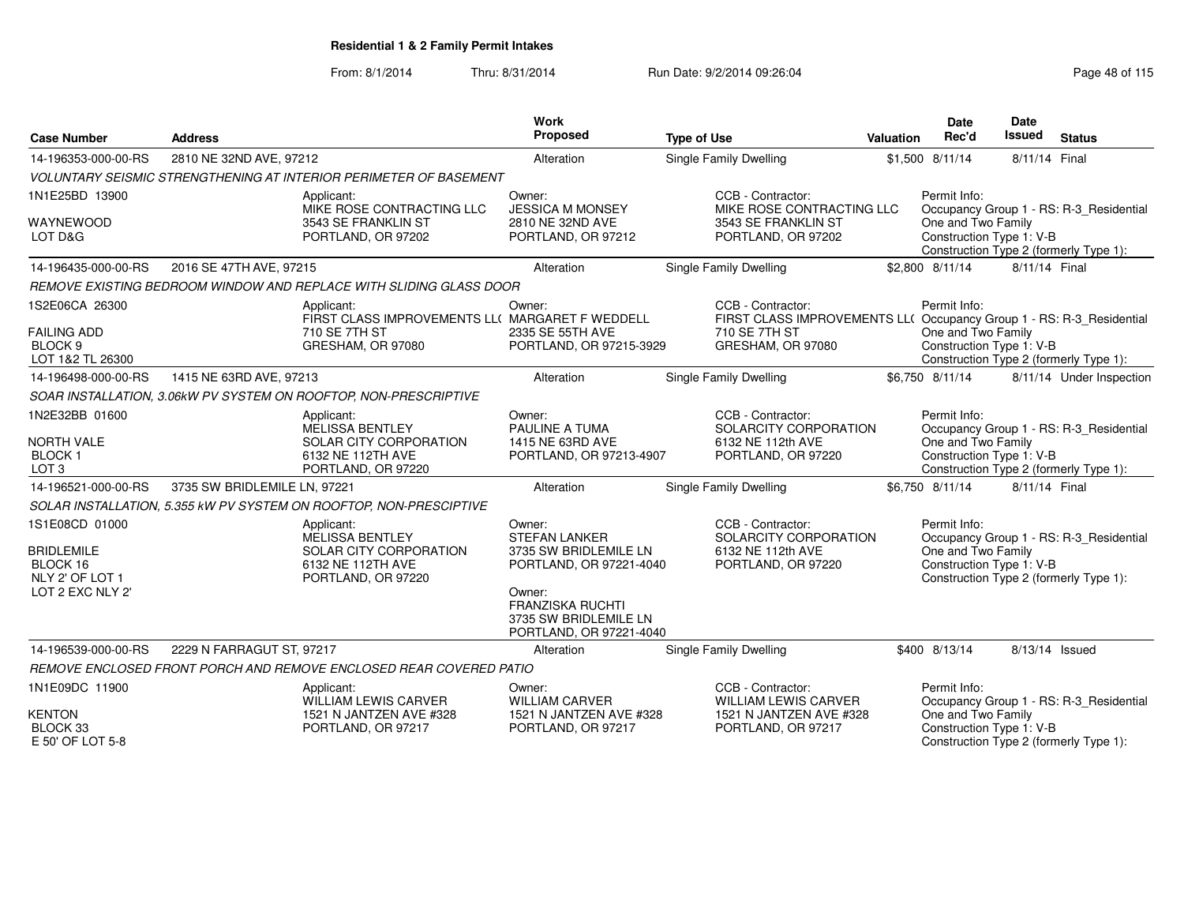| <b>Case Number</b>                                                                     | <b>Address</b>               |                                                                                                           | <b>Work</b><br><b>Proposed</b>                                                                                                                                              | <b>Type of Use</b> |                                                                                                                                 | Valuation | Date<br>Rec'd                                                                            | Date<br>Issued | <b>Status</b>                                                                     |
|----------------------------------------------------------------------------------------|------------------------------|-----------------------------------------------------------------------------------------------------------|-----------------------------------------------------------------------------------------------------------------------------------------------------------------------------|--------------------|---------------------------------------------------------------------------------------------------------------------------------|-----------|------------------------------------------------------------------------------------------|----------------|-----------------------------------------------------------------------------------|
| 14-196353-000-00-RS                                                                    | 2810 NE 32ND AVE, 97212      |                                                                                                           | Alteration                                                                                                                                                                  |                    | <b>Single Family Dwelling</b>                                                                                                   |           | \$1,500 8/11/14                                                                          | 8/11/14 Final  |                                                                                   |
|                                                                                        |                              | <b>VOLUNTARY SEISMIC STRENGTHENING AT INTERIOR PERIMETER OF BASEMENT</b>                                  |                                                                                                                                                                             |                    |                                                                                                                                 |           |                                                                                          |                |                                                                                   |
| 1N1E25BD 13900                                                                         |                              | Applicant:<br>MIKE ROSE CONTRACTING LLC                                                                   | Owner:<br><b>JESSICA M MONSEY</b>                                                                                                                                           |                    | CCB - Contractor:<br>MIKE ROSE CONTRACTING LLC                                                                                  |           | Permit Info:                                                                             |                | Occupancy Group 1 - RS: R-3_Residential                                           |
| WAYNEWOOD<br>LOT D&G                                                                   |                              | 3543 SE FRANKLIN ST<br>PORTLAND, OR 97202                                                                 | 2810 NE 32ND AVE<br>PORTLAND, OR 97212                                                                                                                                      |                    | 3543 SE FRANKLIN ST<br>PORTLAND, OR 97202                                                                                       |           | One and Two Family<br>Construction Type 1: V-B<br>Construction Type 2 (formerly Type 1): |                |                                                                                   |
| 14-196435-000-00-RS                                                                    | 2016 SE 47TH AVE, 97215      |                                                                                                           | Alteration                                                                                                                                                                  |                    | <b>Single Family Dwelling</b>                                                                                                   |           | \$2,800 8/11/14                                                                          | 8/11/14 Final  |                                                                                   |
|                                                                                        |                              | REMOVE EXISTING BEDROOM WINDOW AND REPLACE WITH SLIDING GLASS DOOR                                        |                                                                                                                                                                             |                    |                                                                                                                                 |           |                                                                                          |                |                                                                                   |
| 1S2E06CA 26300<br><b>FAILING ADD</b><br>BLOCK <sub>9</sub><br>LOT 1&2 TL 26300         |                              | Applicant:<br>FIRST CLASS IMPROVEMENTS LL( MARGARET F WEDDELL<br>710 SE 7TH ST<br>GRESHAM, OR 97080       | Owner:<br>2335 SE 55TH AVE<br>PORTLAND, OR 97215-3929                                                                                                                       |                    | CCB - Contractor:<br>FIRST CLASS IMPROVEMENTS LL( Occupancy Group 1 - RS: R-3_Residential<br>710 SE 7TH ST<br>GRESHAM, OR 97080 |           | Permit Info:<br>One and Two Family<br>Construction Type 1: V-B                           |                | Construction Type 2 (formerly Type 1):                                            |
| 14-196498-000-00-RS                                                                    | 1415 NE 63RD AVE, 97213      |                                                                                                           | Alteration                                                                                                                                                                  |                    | <b>Single Family Dwelling</b>                                                                                                   |           | \$6,750 8/11/14                                                                          |                | 8/11/14 Under Inspection                                                          |
|                                                                                        |                              | SOAR INSTALLATION, 3.06kW PV SYSTEM ON ROOFTOP, NON-PRESCRIPTIVE                                          |                                                                                                                                                                             |                    |                                                                                                                                 |           |                                                                                          |                |                                                                                   |
| 1N2E32BB 01600<br><b>NORTH VALE</b><br><b>BLOCK1</b><br>LOT <sub>3</sub>               |                              | Applicant:<br><b>MELISSA BENTLEY</b><br>SOLAR CITY CORPORATION<br>6132 NE 112TH AVE<br>PORTLAND, OR 97220 | Owner:<br><b>PAULINE A TUMA</b><br>1415 NE 63RD AVE<br>PORTLAND, OR 97213-4907                                                                                              |                    | CCB - Contractor:<br>SOLARCITY CORPORATION<br>6132 NE 112th AVE<br>PORTLAND, OR 97220                                           |           | Permit Info:<br>One and Two Family<br>Construction Type 1: V-B                           |                | Occupancy Group 1 - RS: R-3_Residential<br>Construction Type 2 (formerly Type 1): |
| 14-196521-000-00-RS                                                                    | 3735 SW BRIDLEMILE LN, 97221 |                                                                                                           | Alteration                                                                                                                                                                  |                    | Single Family Dwelling                                                                                                          |           | \$6.750 8/11/14                                                                          | 8/11/14 Final  |                                                                                   |
|                                                                                        |                              | SOLAR INSTALLATION, 5.355 kW PV SYSTEM ON ROOFTOP, NON-PRESCIPTIVE                                        |                                                                                                                                                                             |                    |                                                                                                                                 |           |                                                                                          |                |                                                                                   |
| 1S1E08CD 01000<br><b>BRIDLEMILE</b><br>BLOCK 16<br>NLY 2' OF LOT 1<br>LOT 2 EXC NLY 2' |                              | Applicant:<br><b>MELISSA BENTLEY</b><br>SOLAR CITY CORPORATION<br>6132 NE 112TH AVE<br>PORTLAND, OR 97220 | Owner:<br><b>STEFAN LANKER</b><br>3735 SW BRIDLEMILE LN<br>PORTLAND, OR 97221-4040<br>Owner:<br><b>FRANZISKA RUCHTI</b><br>3735 SW BRIDLEMILE LN<br>PORTLAND, OR 97221-4040 |                    | CCB - Contractor:<br>SOLARCITY CORPORATION<br>6132 NE 112th AVE<br>PORTLAND, OR 97220                                           |           | Permit Info:<br>One and Two Family<br>Construction Type 1: V-B                           |                | Occupancy Group 1 - RS: R-3_Residential<br>Construction Type 2 (formerly Type 1): |
| 14-196539-000-00-RS                                                                    | 2229 N FARRAGUT ST, 97217    |                                                                                                           | Alteration                                                                                                                                                                  |                    | Single Family Dwelling                                                                                                          |           | \$400 8/13/14                                                                            | 8/13/14 Issued |                                                                                   |
|                                                                                        |                              | REMOVE ENCLOSED FRONT PORCH AND REMOVE ENCLOSED REAR COVERED PATIO                                        |                                                                                                                                                                             |                    |                                                                                                                                 |           |                                                                                          |                |                                                                                   |
| 1N1E09DC 11900                                                                         |                              | Applicant:<br><b>WILLIAM LEWIS CARVER</b>                                                                 | Owner:<br><b>WILLIAM CARVER</b>                                                                                                                                             |                    | CCB - Contractor:<br><b>WILLIAM LEWIS CARVER</b>                                                                                |           | Permit Info:                                                                             |                | Occupancy Group 1 - RS: R-3_Residential                                           |
| <b>KENTON</b><br>BLOCK 33<br>E 50' OF LOT 5-8                                          |                              | 1521 N JANTZEN AVE #328<br>PORTLAND, OR 97217                                                             | 1521 N JANTZEN AVE #328<br>PORTLAND, OR 97217                                                                                                                               |                    | 1521 N JANTZEN AVE #328<br>PORTLAND, OR 97217                                                                                   |           | One and Two Family<br>Construction Type 1: V-B                                           |                | Construction Type 2 (formerly Type 1):                                            |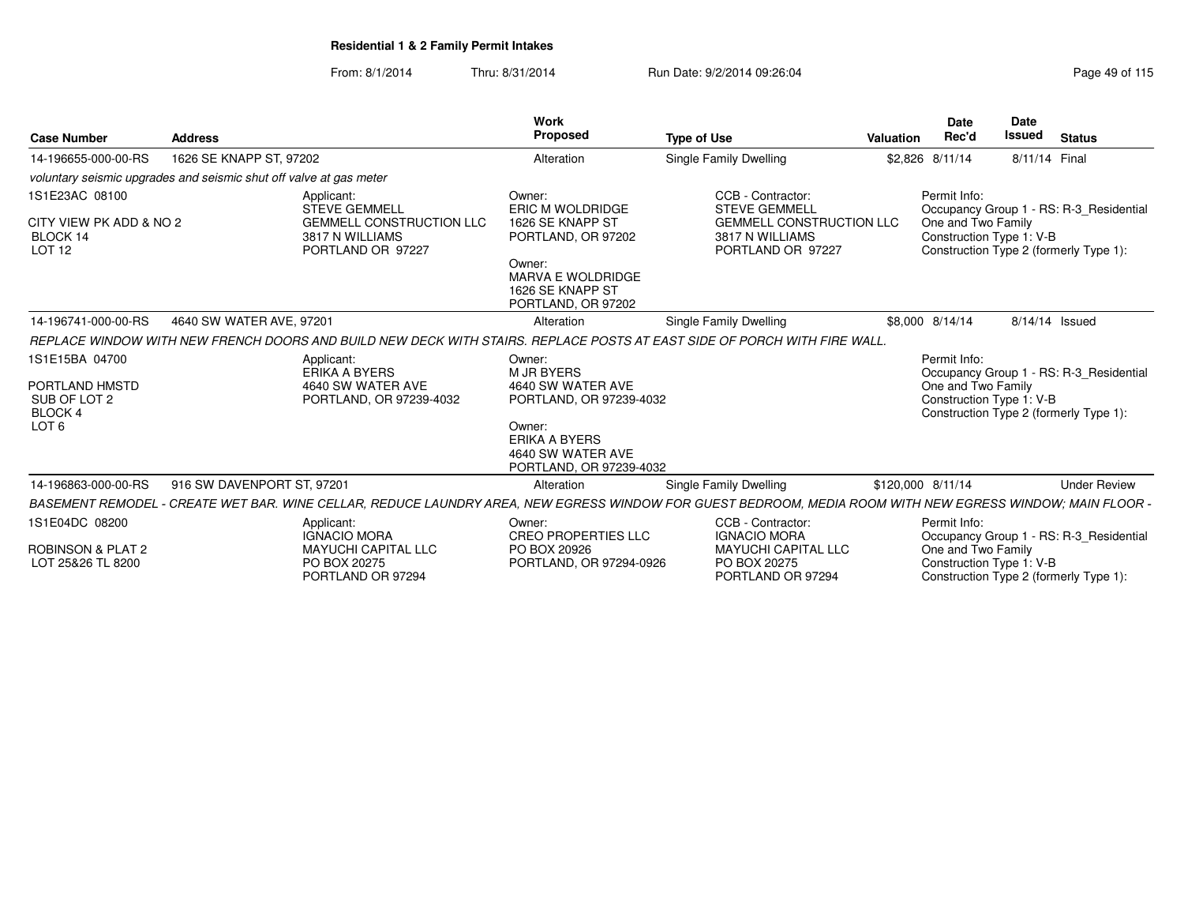| <b>Case Number</b>                                                 | <b>Address</b>             |                                                                                                                                        | <b>Work</b><br>Proposed                                                 | <b>Type of Use</b>                                                      | Valuation         | <b>Date</b><br>Rec'd                           | <b>Date</b><br>Issued | <b>Status</b>                           |
|--------------------------------------------------------------------|----------------------------|----------------------------------------------------------------------------------------------------------------------------------------|-------------------------------------------------------------------------|-------------------------------------------------------------------------|-------------------|------------------------------------------------|-----------------------|-----------------------------------------|
| 14-196655-000-00-RS                                                | 1626 SE KNAPP ST, 97202    |                                                                                                                                        | Alteration                                                              | Single Family Dwelling                                                  |                   | \$2,826 8/11/14                                | 8/11/14 Final         |                                         |
| voluntary seismic upgrades and seismic shut off valve at gas meter |                            |                                                                                                                                        |                                                                         |                                                                         |                   |                                                |                       |                                         |
| 1S1E23AC 08100                                                     |                            | Applicant:<br>STEVE GEMMELL                                                                                                            | Owner:<br>ERIC M WOLDRIDGE                                              | CCB - Contractor:<br><b>STEVE GEMMELL</b>                               |                   | Permit Info:                                   |                       | Occupancy Group 1 - RS: R-3_Residential |
| CITY VIEW PK ADD & NO 2<br>BLOCK 14<br><b>LOT 12</b>               |                            | <b>GEMMELL CONSTRUCTION LLC</b><br>3817 N WILLIAMS<br>PORTLAND OR 97227                                                                | 1626 SE KNAPP ST<br>PORTLAND, OR 97202                                  | <b>GEMMELL CONSTRUCTION LLC</b><br>3817 N WILLIAMS<br>PORTLAND OR 97227 |                   | One and Two Family<br>Construction Type 1: V-B |                       | Construction Type 2 (formerly Type 1):  |
|                                                                    |                            |                                                                                                                                        | Owner:<br>MARVA E WOLDRIDGE<br>1626 SE KNAPP ST<br>PORTLAND, OR 97202   |                                                                         |                   |                                                |                       |                                         |
| 14-196741-000-00-RS                                                | 4640 SW WATER AVE, 97201   |                                                                                                                                        | Alteration                                                              | Single Family Dwelling                                                  |                   | \$8,000 8/14/14                                | 8/14/14 Issued        |                                         |
|                                                                    |                            | REPLACE WINDOW WITH NEW FRENCH DOORS AND BUILD NEW DECK WITH STAIRS. REPLACE POSTS AT EAST SIDE OF PORCH WITH FIRE WALL.               |                                                                         |                                                                         |                   |                                                |                       |                                         |
| 1S1E15BA 04700                                                     |                            | Applicant:<br>ERIKA A BYERS                                                                                                            | Owner:<br><b>M JR BYERS</b>                                             |                                                                         |                   | Permit Info:                                   |                       | Occupancy Group 1 - RS: R-3_Residential |
| PORTLAND HMSTD<br>SUB OF LOT 2<br>BLOCK 4                          |                            | 4640 SW WATER AVE<br>PORTLAND, OR 97239-4032                                                                                           | 4640 SW WATER AVE<br>PORTLAND, OR 97239-4032                            |                                                                         |                   | One and Two Family<br>Construction Type 1: V-B |                       | Construction Type 2 (formerly Type 1):  |
| LOT <sub>6</sub>                                                   |                            |                                                                                                                                        | Owner:<br>ERIKA A BYERS<br>4640 SW WATER AVE<br>PORTLAND, OR 97239-4032 |                                                                         |                   |                                                |                       |                                         |
| 14-196863-000-00-RS                                                | 916 SW DAVENPORT ST, 97201 |                                                                                                                                        | Alteration                                                              | <b>Single Family Dwelling</b>                                           | \$120,000 8/11/14 |                                                |                       | <b>Under Review</b>                     |
| <b>BASEMENT REMODEL</b>                                            |                            | - CREATE WET BAR. WINE CELLAR. REDUCE LAUNDRY AREA. NEW EGRESS WINDOW FOR GUEST BEDROOM. MEDIA ROOM WITH NEW EGRESS WINDOW: MAIN FLOOR |                                                                         |                                                                         |                   |                                                |                       |                                         |
| 1S1E04DC 08200                                                     |                            | Applicant:<br><b>IGNACIO MORA</b>                                                                                                      | Owner:<br>CREO PROPERTIES LLC                                           | CCB - Contractor:<br><b>IGNACIO MORA</b>                                |                   | Permit Info:                                   |                       | Occupancy Group 1 - RS: R-3_Residential |
| <b>ROBINSON &amp; PLAT 2</b><br>LOT 25&26 TL 8200                  |                            | <b>MAYUCHI CAPITAL LLC</b><br>PO BOX 20275<br>PORTLAND OR 97294                                                                        | PO BOX 20926<br>PORTLAND, OR 97294-0926                                 | <b>MAYUCHI CAPITAL LLC</b><br>PO BOX 20275<br>PORTLAND OR 97294         |                   | One and Two Family<br>Construction Type 1: V-B |                       | Construction Type 2 (formerly Type 1):  |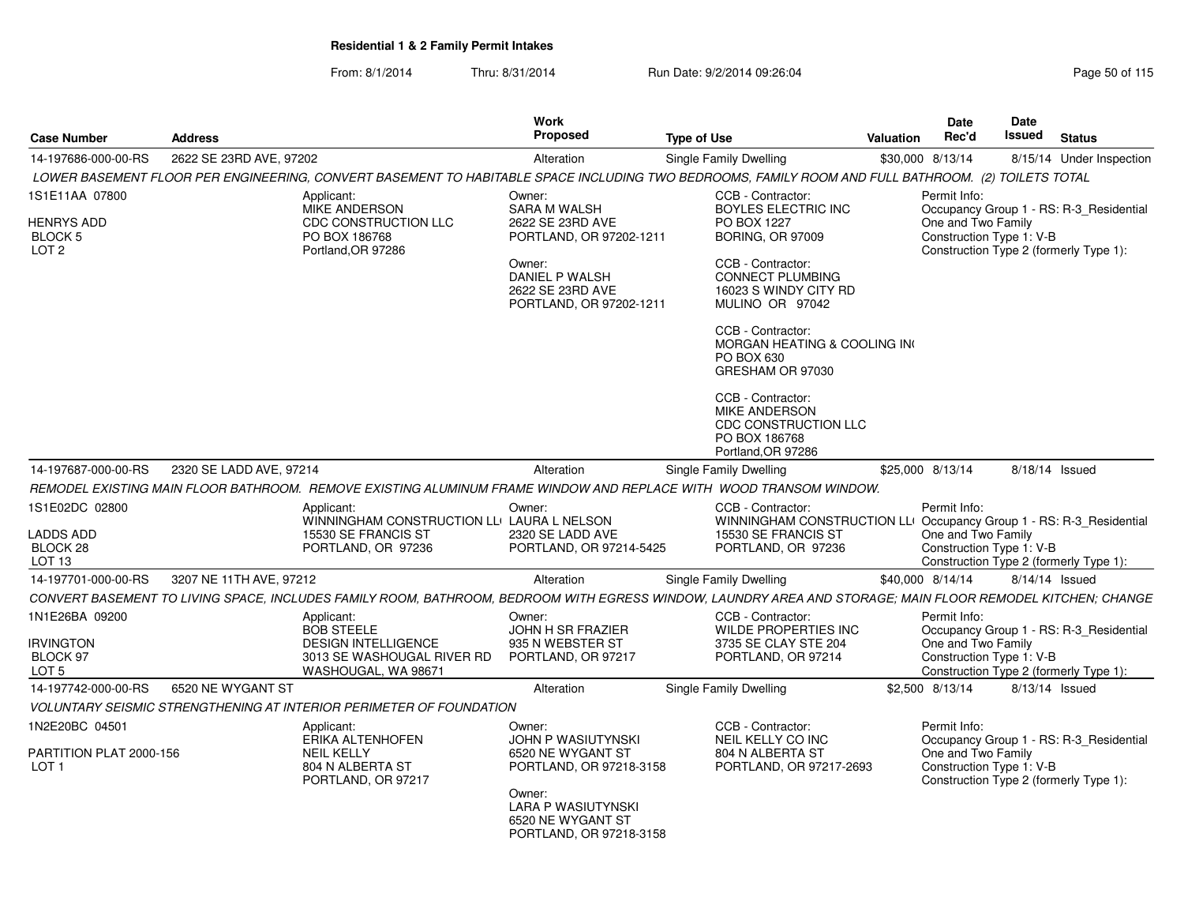From: 8/1/2014Thru: 8/31/2014 Run Date: 9/2/2014 09:26:04 Run Date: 9/2/2014 09:26:04

| <b>Case Number</b>                                                 | <b>Address</b>                                                                                                                                             | Work<br>Proposed                                                                                                                                        | <b>Type of Use</b>                                                                                                                                                                                                                                                                                                                 | Date<br>Rec'd<br>Valuation         | Date<br>Issued                                                     | Status                                                                            |
|--------------------------------------------------------------------|------------------------------------------------------------------------------------------------------------------------------------------------------------|---------------------------------------------------------------------------------------------------------------------------------------------------------|------------------------------------------------------------------------------------------------------------------------------------------------------------------------------------------------------------------------------------------------------------------------------------------------------------------------------------|------------------------------------|--------------------------------------------------------------------|-----------------------------------------------------------------------------------|
| 14-197686-000-00-RS                                                | 2622 SE 23RD AVE, 97202                                                                                                                                    | Alteration                                                                                                                                              | <b>Single Family Dwelling</b>                                                                                                                                                                                                                                                                                                      | \$30,000 8/13/14                   |                                                                    | 8/15/14 Under Inspection                                                          |
|                                                                    | LOWER BASEMENT FLOOR PER ENGINEERING, CONVERT BASEMENT TO HABITABLE SPACE INCLUDING TWO BEDROOMS, FAMILY ROOM AND FULL BATHROOM. (2) TOILETS TOTAL         |                                                                                                                                                         |                                                                                                                                                                                                                                                                                                                                    |                                    |                                                                    |                                                                                   |
| 1S1E11AA 07800<br><b>HENRYS ADD</b><br>BLOCK 5<br>LOT <sub>2</sub> | Applicant:<br><b>MIKE ANDERSON</b><br>CDC CONSTRUCTION LLC<br>PO BOX 186768<br>Portland.OR 97286                                                           | Owner:<br><b>SARA M WALSH</b><br>2622 SE 23RD AVE<br>PORTLAND, OR 97202-1211<br>Owner:<br>DANIEL P WALSH<br>2622 SE 23RD AVE<br>PORTLAND, OR 97202-1211 | CCB - Contractor:<br>BOYLES ELECTRIC INC<br>PO BOX 1227<br><b>BORING, OR 97009</b><br>CCB - Contractor:<br><b>CONNECT PLUMBING</b><br>16023 S WINDY CITY RD<br>MULINO OR 97042<br>CCB - Contractor:<br>MORGAN HEATING & COOLING IN<br>PO BOX 630<br>GRESHAM OR 97030<br>CCB - Contractor:<br>MIKE ANDERSON<br>CDC CONSTRUCTION LLC | Permit Info:<br>One and Two Family | Construction Type 1: V-B<br>Construction Type 2 (formerly Type 1): | Occupancy Group 1 - RS: R-3 Residential                                           |
| 14-197687-000-00-RS                                                | 2320 SE LADD AVE, 97214                                                                                                                                    | Alteration                                                                                                                                              | PO BOX 186768<br>Portland, OR 97286<br><b>Single Family Dwelling</b>                                                                                                                                                                                                                                                               | \$25,000 8/13/14                   | 8/18/14 Issued                                                     |                                                                                   |
|                                                                    | REMODEL EXISTING MAIN FLOOR BATHROOM.  REMOVE EXISTING ALUMINUM FRAME WINDOW AND REPLACE WITH  WOOD TRANSOM WINDOW.                                        |                                                                                                                                                         |                                                                                                                                                                                                                                                                                                                                    |                                    |                                                                    |                                                                                   |
| 1S1E02DC 02800<br>LADDS ADD<br>BLOCK 28<br>LOT <sub>13</sub>       | Applicant:<br>15530 SE FRANCIS ST<br>PORTLAND, OR 97236                                                                                                    | Owner:<br>WINNINGHAM CONSTRUCTION LLI LAURA L NELSON<br>2320 SE LADD AVE<br>PORTLAND, OR 97214-5425                                                     | CCB - Contractor:<br>WINNINGHAM CONSTRUCTION LLI Occupancy Group 1 - RS: R-3_Residential<br>15530 SE FRANCIS ST<br>PORTLAND, OR 97236                                                                                                                                                                                              | Permit Info:<br>One and Two Family | Construction Type 1: V-B<br>Construction Type 2 (formerly Type 1): |                                                                                   |
| 14-197701-000-00-RS                                                | 3207 NE 11TH AVE, 97212                                                                                                                                    | Alteration                                                                                                                                              | <b>Single Family Dwelling</b>                                                                                                                                                                                                                                                                                                      | \$40,000 8/14/14                   | 8/14/14 Issued                                                     |                                                                                   |
|                                                                    | CONVERT BASEMENT TO LIVING SPACE, INCLUDES FAMILY ROOM, BATHROOM, BEDROOM WITH EGRESS WINDOW, LAUNDRY AREA AND STORAGE; MAIN FLOOR REMODEL KITCHEN; CHANGE |                                                                                                                                                         |                                                                                                                                                                                                                                                                                                                                    |                                    |                                                                    |                                                                                   |
| 1N1E26BA 09200<br><b>IRVINGTON</b><br>BLOCK 97<br>LOT <sub>5</sub> | Applicant:<br><b>BOB STEELE</b><br><b>DESIGN INTELLIGENCE</b><br>3013 SE WASHOUGAL RIVER RD<br>WASHOUGAL, WA 9867                                          | Owner:<br>JOHN H SR FRAZIER<br>935 N WEBSTER ST<br>PORTLAND, OR 97217                                                                                   | CCB - Contractor:<br><b>WILDE PROPERTIES INC</b><br>3735 SE CLAY STE 204<br>PORTLAND, OR 97214                                                                                                                                                                                                                                     | Permit Info:<br>One and Two Family | Construction Type 1: V-B                                           | Occupancy Group 1 - RS: R-3_Residential<br>Construction Type 2 (formerly Type 1): |
| 14-197742-000-00-RS                                                | 6520 NE WYGANT ST                                                                                                                                          | Alteration                                                                                                                                              | <b>Single Family Dwelling</b>                                                                                                                                                                                                                                                                                                      | \$2,500 8/13/14                    | 8/13/14 Issued                                                     |                                                                                   |
|                                                                    | VOLUNTARY SEISMIC STRENGTHENING AT INTERIOR PERIMETER OF FOUNDATION                                                                                        |                                                                                                                                                         |                                                                                                                                                                                                                                                                                                                                    |                                    |                                                                    |                                                                                   |
| 1N2E20BC 04501<br>PARTITION PLAT 2000-156<br>LOT <sub>1</sub>      | Applicant:<br><b>ERIKA ALTENHOFEN</b><br><b>NEIL KELLY</b><br>804 N ALBERTA ST<br>PORTLAND, OR 97217                                                       | Owner:<br>JOHN P WASIUTYNSKI<br>6520 NE WYGANT ST<br>PORTLAND, OR 97218-3158<br>Owner:<br><b>LARA P WASIUTYNSKI</b><br>6520 NE WYGANT ST                | CCB - Contractor:<br>NEIL KELLY CO INC<br>804 N ALBERTA ST<br>PORTLAND, OR 97217-2693                                                                                                                                                                                                                                              | Permit Info:<br>One and Two Family | Construction Type 1: V-B<br>Construction Type 2 (formerly Type 1): | Occupancy Group 1 - RS: R-3_Residential                                           |

PORTLAND, OR 97218-3158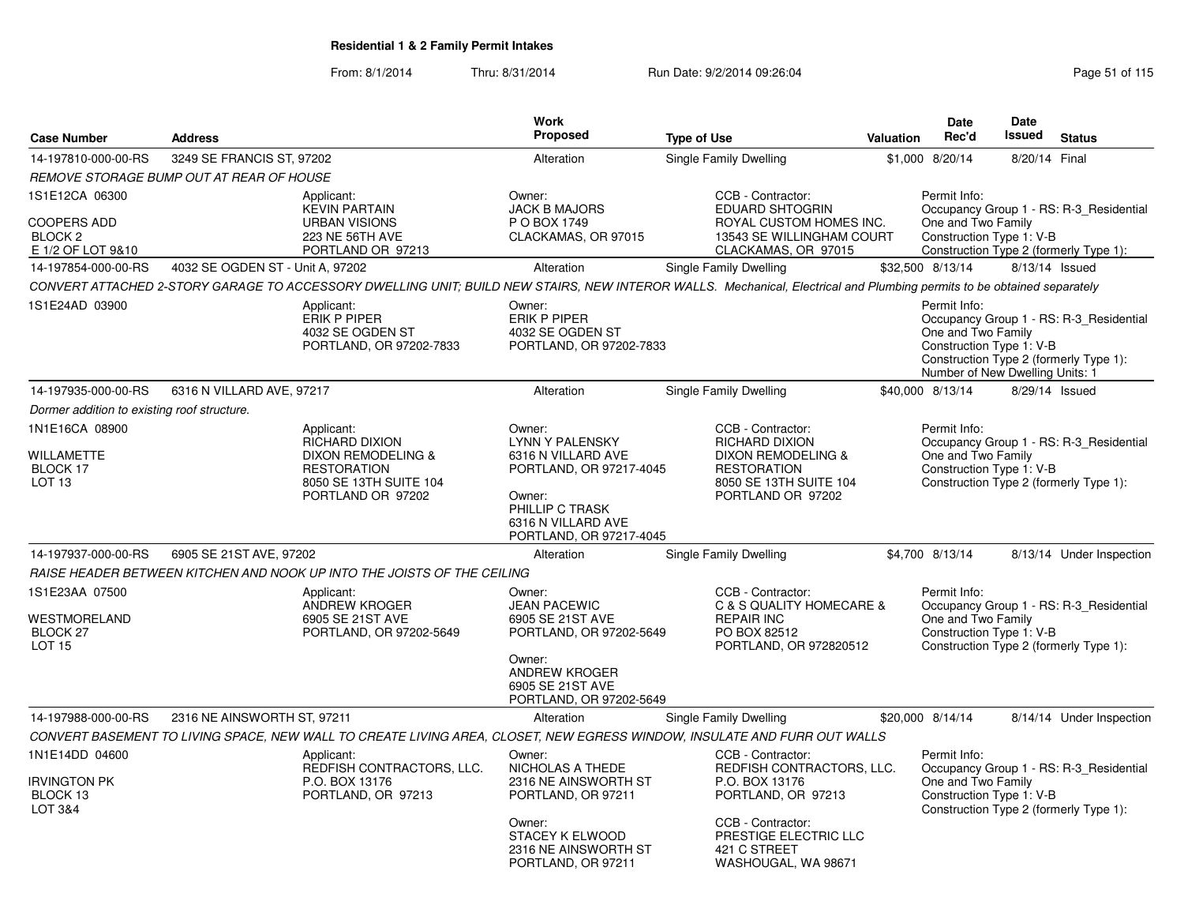| <b>Case Number</b>                                                              | <b>Address</b>                                  |                                                                                                                                                                        | Work<br><b>Proposed</b>                                                                                                     | <b>Type of Use</b>                  | Valuation                                                                                             | <b>Date</b><br>Rec'd                                                                                                                        | <b>Date</b><br><b>Issued</b> | <b>Status</b>                           |
|---------------------------------------------------------------------------------|-------------------------------------------------|------------------------------------------------------------------------------------------------------------------------------------------------------------------------|-----------------------------------------------------------------------------------------------------------------------------|-------------------------------------|-------------------------------------------------------------------------------------------------------|---------------------------------------------------------------------------------------------------------------------------------------------|------------------------------|-----------------------------------------|
| 14-197810-000-00-RS                                                             | 3249 SE FRANCIS ST, 97202                       |                                                                                                                                                                        | Alteration                                                                                                                  | Single Family Dwelling              |                                                                                                       | \$1,000 8/20/14                                                                                                                             | 8/20/14 Final                |                                         |
|                                                                                 | <b>REMOVE STORAGE BUMP OUT AT REAR OF HOUSE</b> |                                                                                                                                                                        |                                                                                                                             |                                     |                                                                                                       |                                                                                                                                             |                              |                                         |
| 1S1E12CA 06300<br><b>COOPERS ADD</b><br>BLOCK <sub>2</sub><br>E 1/2 OF LOT 9&10 |                                                 | Applicant:<br><b>KEVIN PARTAIN</b><br><b>URBAN VISIONS</b><br>223 NE 56TH AVE<br>PORTLAND OR 97213                                                                     | Owner:<br><b>JACK B MAJORS</b><br>P O BOX 1749<br>CLACKAMAS, OR 97015                                                       | CCB - Contractor:                   | <b>EDUARD SHTOGRIN</b><br>ROYAL CUSTOM HOMES INC.<br>13543 SE WILLINGHAM COURT<br>CLACKAMAS, OR 97015 | Permit Info:<br>One and Two Family<br>Construction Type 1: V-B<br>Construction Type 2 (formerly Type 1):                                    |                              | Occupancy Group 1 - RS: R-3_Residential |
| 14-197854-000-00-RS                                                             | 4032 SE OGDEN ST - Unit A, 97202                |                                                                                                                                                                        | Alteration                                                                                                                  | Single Family Dwelling              |                                                                                                       | \$32,500 8/13/14                                                                                                                            | 8/13/14 Issued               |                                         |
|                                                                                 |                                                 | CONVERT ATTACHED 2-STORY GARAGE TO ACCESSORY DWELLING UNIT; BUILD NEW STAIRS, NEW INTEROR WALLS. Mechanical, Electrical and Plumbing permits to be obtained separately |                                                                                                                             |                                     |                                                                                                       |                                                                                                                                             |                              |                                         |
| 1S1E24AD 03900                                                                  |                                                 | Applicant:<br>ERIK P PIPER<br>4032 SE OGDEN ST<br>PORTLAND, OR 97202-7833                                                                                              | Owner:<br>ERIK P PIPER<br>4032 SE OGDEN ST<br>PORTLAND, OR 97202-7833                                                       |                                     |                                                                                                       | Permit Info:<br>One and Two Family<br>Construction Type 1: V-B<br>Construction Type 2 (formerly Type 1):<br>Number of New Dwelling Units: 1 |                              | Occupancy Group 1 - RS: R-3_Residential |
| 14-197935-000-00-RS                                                             | 6316 N VILLARD AVE, 97217                       |                                                                                                                                                                        | Alteration                                                                                                                  | Single Family Dwelling              |                                                                                                       | \$40,000 8/13/14                                                                                                                            | 8/29/14 Issued               |                                         |
| Dormer addition to existing roof structure.                                     |                                                 |                                                                                                                                                                        |                                                                                                                             |                                     |                                                                                                       |                                                                                                                                             |                              |                                         |
| 1N1E16CA 08900                                                                  |                                                 | Applicant:<br><b>RICHARD DIXION</b>                                                                                                                                    | Owner:<br><b>LYNN Y PALENSKY</b>                                                                                            | CCB - Contractor:<br>RICHARD DIXION |                                                                                                       | Permit Info:                                                                                                                                |                              | Occupancy Group 1 - RS: R-3_Residential |
| WILLAMETTE<br>BLOCK 17<br><b>LOT 13</b>                                         |                                                 | DIXON REMODELING &<br><b>RESTORATION</b><br>8050 SE 13TH SUITE 104<br>PORTLAND OR 97202                                                                                | 6316 N VILLARD AVE<br>PORTLAND, OR 97217-4045<br>Owner:<br>PHILLIP C TRASK<br>6316 N VILLARD AVE<br>PORTLAND, OR 97217-4045 | <b>RESTORATION</b>                  | DIXON REMODELING &<br>8050 SE 13TH SUITE 104<br>PORTLAND OR 97202                                     | One and Two Family<br>Construction Type 1: V-B<br>Construction Type 2 (formerly Type 1):                                                    |                              |                                         |
| 14-197937-000-00-RS                                                             | 6905 SE 21ST AVE, 97202                         |                                                                                                                                                                        | Alteration                                                                                                                  | Single Family Dwelling              |                                                                                                       | \$4,700 8/13/14                                                                                                                             |                              | 8/13/14 Under Inspection                |
|                                                                                 |                                                 | RAISE HEADER BETWEEN KITCHEN AND NOOK UP INTO THE JOISTS OF THE CEILING                                                                                                |                                                                                                                             |                                     |                                                                                                       |                                                                                                                                             |                              |                                         |
| 1S1E23AA 07500                                                                  |                                                 | Applicant:<br><b>ANDREW KROGER</b>                                                                                                                                     | Owner:<br><b>JEAN PACEWIC</b>                                                                                               | CCB - Contractor:                   | C & S QUALITY HOMECARE &                                                                              | Permit Info:                                                                                                                                |                              | Occupancy Group 1 - RS: R-3_Residential |
| WESTMORELAND<br>BLOCK <sub>27</sub><br><b>LOT 15</b>                            |                                                 | 6905 SE 21ST AVE<br>PORTLAND, OR 97202-5649                                                                                                                            | 6905 SE 21ST AVE<br>PORTLAND, OR 97202-5649                                                                                 | <b>REPAIR INC</b><br>PO BOX 82512   | PORTLAND, OR 972820512                                                                                | One and Two Family<br>Construction Type 1: V-B                                                                                              |                              | Construction Type 2 (formerly Type 1):  |
|                                                                                 |                                                 |                                                                                                                                                                        | Owner:<br><b>ANDREW KROGER</b><br>6905 SE 21ST AVE<br>PORTLAND, OR 97202-5649                                               |                                     |                                                                                                       |                                                                                                                                             |                              |                                         |
| 14-197988-000-00-RS                                                             | 2316 NE AINSWORTH ST, 97211                     |                                                                                                                                                                        | Alteration                                                                                                                  | <b>Single Family Dwelling</b>       |                                                                                                       | \$20,000 8/14/14                                                                                                                            |                              | 8/14/14 Under Inspection                |
|                                                                                 |                                                 | CONVERT BASEMENT TO LIVING SPACE, NEW WALL TO CREATE LIVING AREA, CLOSET, NEW EGRESS WINDOW, INSULATE AND FURR OUT WALLS                                               |                                                                                                                             |                                     |                                                                                                       |                                                                                                                                             |                              |                                         |
| 1N1E14DD 04600<br><b>IRVINGTON PK</b><br>BLOCK 13<br>LOT 3&4                    |                                                 | Applicant:<br>REDFISH CONTRACTORS, LLC.<br>P.O. BOX 13176<br>PORTLAND, OR 97213                                                                                        | Owner:<br>NICHOLAS A THEDE<br>2316 NE AINSWORTH ST<br>PORTLAND, OR 97211                                                    | CCB - Contractor:<br>P.O. BOX 13176 | REDFISH CONTRACTORS, LLC.<br>PORTLAND, OR 97213                                                       | Permit Info:<br>One and Two Family<br>Construction Type 1: V-B<br>Construction Type 2 (formerly Type 1):                                    |                              | Occupancy Group 1 - RS: R-3 Residential |
|                                                                                 |                                                 |                                                                                                                                                                        | Owner:<br><b>STACEY K ELWOOD</b><br>2316 NE AINSWORTH ST<br>PORTLAND, OR 97211                                              | CCB - Contractor:<br>421 C STREET   | PRESTIGE ELECTRIC LLC<br>WASHOUGAL, WA 98671                                                          |                                                                                                                                             |                              |                                         |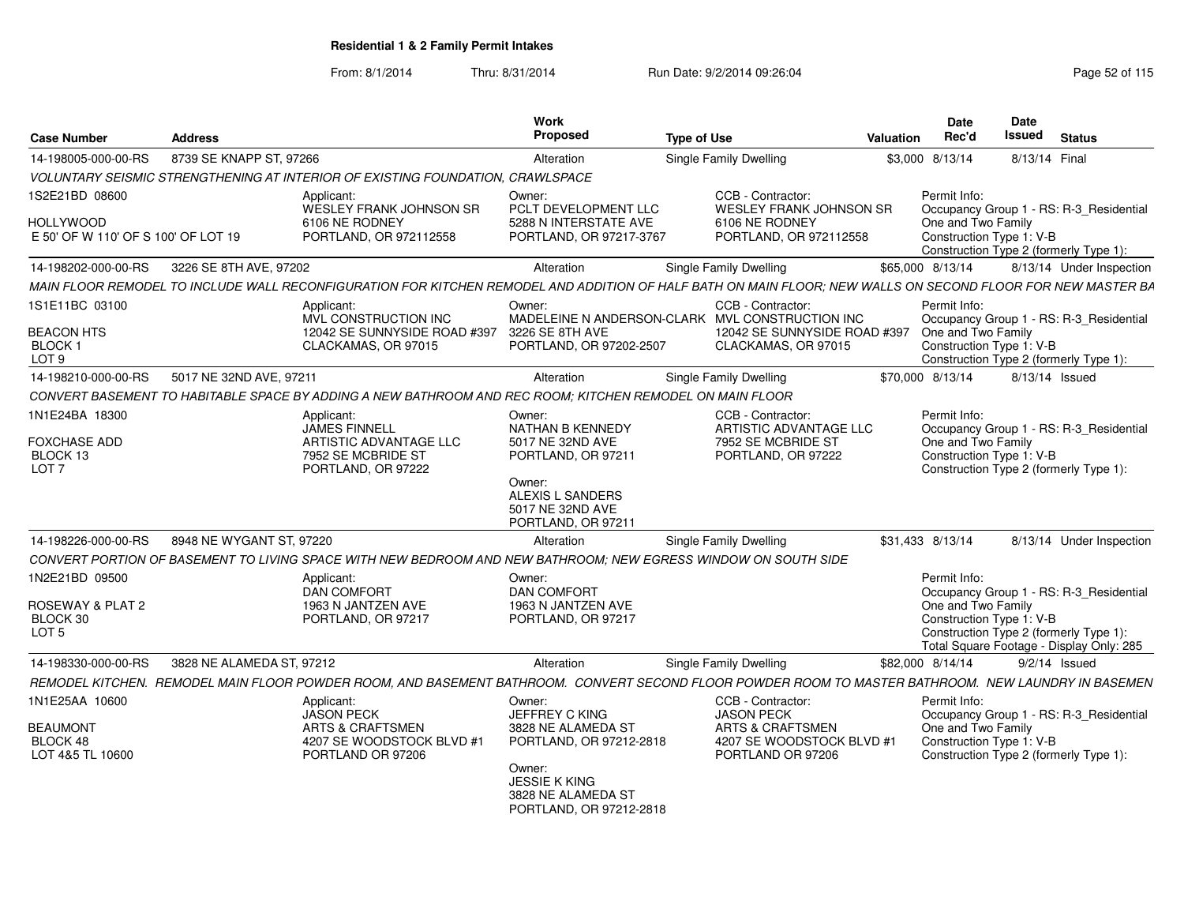From: 8/1/2014

| <b>Case Number</b>                                          | <b>Address</b>            |                                                                                                                                                             | <b>Work</b><br>Proposed                                                         | <b>Type of Use</b> |                                                                       | Valuation        | <b>Date</b><br>Rec'd                           | <b>Date</b><br><b>Issued</b> | <b>Status</b>                                                                      |
|-------------------------------------------------------------|---------------------------|-------------------------------------------------------------------------------------------------------------------------------------------------------------|---------------------------------------------------------------------------------|--------------------|-----------------------------------------------------------------------|------------------|------------------------------------------------|------------------------------|------------------------------------------------------------------------------------|
| 14-198005-000-00-RS                                         | 8739 SE KNAPP ST, 97266   |                                                                                                                                                             | Alteration                                                                      |                    | <b>Single Family Dwelling</b>                                         | \$3,000 8/13/14  |                                                | 8/13/14 Final                |                                                                                    |
|                                                             |                           | VOLUNTARY SEISMIC STRENGTHENING AT INTERIOR OF EXISTING FOUNDATION, CRAWLSPACE                                                                              |                                                                                 |                    |                                                                       |                  |                                                |                              |                                                                                    |
| 1S2E21BD 08600                                              |                           | Applicant:<br>WESLEY FRANK JOHNSON SR                                                                                                                       | Owner:<br>PCLT DEVELOPMENT LLC                                                  |                    | CCB - Contractor:<br><b>WESLEY FRANK JOHNSON SR</b>                   |                  | Permit Info:                                   |                              | Occupancy Group 1 - RS: R-3 Residential                                            |
| <b>HOLLYWOOD</b><br>E 50' OF W 110' OF S 100' OF LOT 19     |                           | 6106 NE RODNEY<br>PORTLAND, OR 972112558                                                                                                                    | 5288 N INTERSTATE AVE<br>PORTLAND, OR 97217-3767                                |                    | 6106 NE RODNEY<br>PORTLAND, OR 972112558                              |                  | One and Two Family<br>Construction Type 1: V-B |                              | Construction Type 2 (formerly Type 1):                                             |
| 14-198202-000-00-RS                                         | 3226 SE 8TH AVE, 97202    |                                                                                                                                                             | Alteration                                                                      |                    | <b>Single Family Dwelling</b>                                         | \$65,000 8/13/14 |                                                |                              | 8/13/14 Under Inspection                                                           |
|                                                             |                           | MAIN FLOOR REMODEL TO INCLUDE WALL RECONFIGURATION FOR KITCHEN REMODEL AND ADDITION OF HALF BATH ON MAIN FLOOR; NEW WALLS ON SECOND FLOOR FOR NEW MASTER BA |                                                                                 |                    |                                                                       |                  |                                                |                              |                                                                                    |
| 1S1E11BC 03100                                              |                           | Applicant:<br>MVL CONSTRUCTION INC                                                                                                                          | Owner:<br>MADELEINE N ANDERSON-CLARK MVL CONSTRUCTION INC                       |                    | CCB - Contractor:                                                     |                  | Permit Info:                                   |                              | Occupancy Group 1 - RS: R-3 Residential                                            |
| <b>BEACON HTS</b><br>BLOCK <sub>1</sub><br>LOT <sub>9</sub> |                           | 12042 SE SUNNYSIDE ROAD #397<br>CLACKAMAS, OR 97015                                                                                                         | 3226 SE 8TH AVE<br>PORTLAND, OR 97202-2507                                      |                    | 12042 SE SUNNYSIDE ROAD #397<br>CLACKAMAS, OR 97015                   |                  | One and Two Family<br>Construction Type 1: V-B |                              | Construction Type 2 (formerly Type 1):                                             |
| 14-198210-000-00-RS                                         | 5017 NE 32ND AVE, 97211   |                                                                                                                                                             | Alteration                                                                      |                    | <b>Single Family Dwelling</b>                                         | \$70,000 8/13/14 |                                                | 8/13/14 Issued               |                                                                                    |
|                                                             |                           | CONVERT BASEMENT TO HABITABLE SPACE BY ADDING A NEW BATHROOM AND REC ROOM; KITCHEN REMODEL ON MAIN FLOOR                                                    |                                                                                 |                    |                                                                       |                  |                                                |                              |                                                                                    |
| 1N1E24BA 18300                                              |                           | Applicant:<br><b>JAMES FINNELL</b>                                                                                                                          | Owner:<br>NATHAN B KENNEDY                                                      |                    | CCB - Contractor:<br>ARTISTIC ADVANTAGE LLC                           |                  | Permit Info:                                   |                              | Occupancy Group 1 - RS: R-3_Residential                                            |
| <b>FOXCHASE ADD</b><br>BLOCK 13<br>LOT <sub>7</sub>         |                           | ARTISTIC ADVANTAGE LLC<br>7952 SE MCBRIDE ST<br>PORTLAND, OR 97222                                                                                          | 5017 NE 32ND AVE<br>PORTLAND, OR 97211                                          |                    | 7952 SE MCBRIDE ST<br>PORTLAND, OR 97222                              |                  | One and Two Family<br>Construction Type 1: V-B |                              | Construction Type 2 (formerly Type 1):                                             |
|                                                             |                           |                                                                                                                                                             | Owner:<br>ALEXIS L SANDERS<br>5017 NE 32ND AVE<br>PORTLAND, OR 97211            |                    |                                                                       |                  |                                                |                              |                                                                                    |
| 14-198226-000-00-RS                                         | 8948 NE WYGANT ST, 97220  |                                                                                                                                                             | Alteration                                                                      |                    | <b>Single Family Dwelling</b>                                         | \$31,433 8/13/14 |                                                |                              | 8/13/14 Under Inspection                                                           |
|                                                             |                           | CONVERT PORTION OF BASEMENT TO LIVING SPACE WITH NEW BEDROOM AND NEW BATHROOM; NEW EGRESS WINDOW ON SOUTH SIDE                                              |                                                                                 |                    |                                                                       |                  |                                                |                              |                                                                                    |
| 1N2E21BD 09500                                              |                           | Applicant:<br><b>DAN COMFORT</b>                                                                                                                            | Owner:<br><b>DAN COMFORT</b>                                                    |                    |                                                                       |                  | Permit Info:                                   |                              | Occupancy Group 1 - RS: R-3_Residential                                            |
| ROSEWAY & PLAT 2<br>BLOCK 30<br>LOT <sub>5</sub>            |                           | 1963 N JANTZEN AVE<br>PORTLAND, OR 97217                                                                                                                    | 1963 N JANTZEN AVE<br>PORTLAND, OR 97217                                        |                    |                                                                       |                  | One and Two Family<br>Construction Type 1: V-B |                              | Construction Type 2 (formerly Type 1):<br>Total Square Footage - Display Only: 285 |
| 14-198330-000-00-RS                                         | 3828 NE ALAMEDA ST. 97212 |                                                                                                                                                             | Alteration                                                                      |                    | <b>Single Family Dwelling</b>                                         | \$82,000 8/14/14 |                                                |                              | $9/2/14$ Issued                                                                    |
|                                                             |                           | REMODEL KITCHEN. REMODEL MAIN FLOOR POWDER ROOM, AND BASEMENT BATHROOM. CONVERT SECOND FLOOR POWDER ROOM TO MASTER BATHROOM. NEW LAUNDRY IN BASEMEN         |                                                                                 |                    |                                                                       |                  |                                                |                              |                                                                                    |
| 1N1E25AA 10600<br><b>BEAUMONT</b>                           |                           | Applicant:<br><b>JASON PECK</b><br><b>ARTS &amp; CRAFTSMEN</b>                                                                                              | Owner:<br><b>JEFFREY C KING</b><br>3828 NE ALAMEDA ST                           |                    | CCB - Contractor:<br><b>JASON PECK</b><br><b>ARTS &amp; CRAFTSMEN</b> |                  | Permit Info:<br>One and Two Family             |                              | Occupancy Group 1 - RS: R-3_Residential                                            |
| BLOCK 48<br>LOT 4&5 TL 10600                                |                           | 4207 SE WOODSTOCK BLVD #1<br>PORTLAND OR 97206                                                                                                              | PORTLAND, OR 97212-2818                                                         |                    | 4207 SE WOODSTOCK BLVD #1<br>PORTLAND OR 97206                        |                  | Construction Type 1: V-B                       |                              | Construction Type 2 (formerly Type 1):                                             |
|                                                             |                           |                                                                                                                                                             | Owner:<br><b>JESSIE K KING</b><br>3828 NE ALAMEDA ST<br>PORTLAND, OR 97212-2818 |                    |                                                                       |                  |                                                |                              |                                                                                    |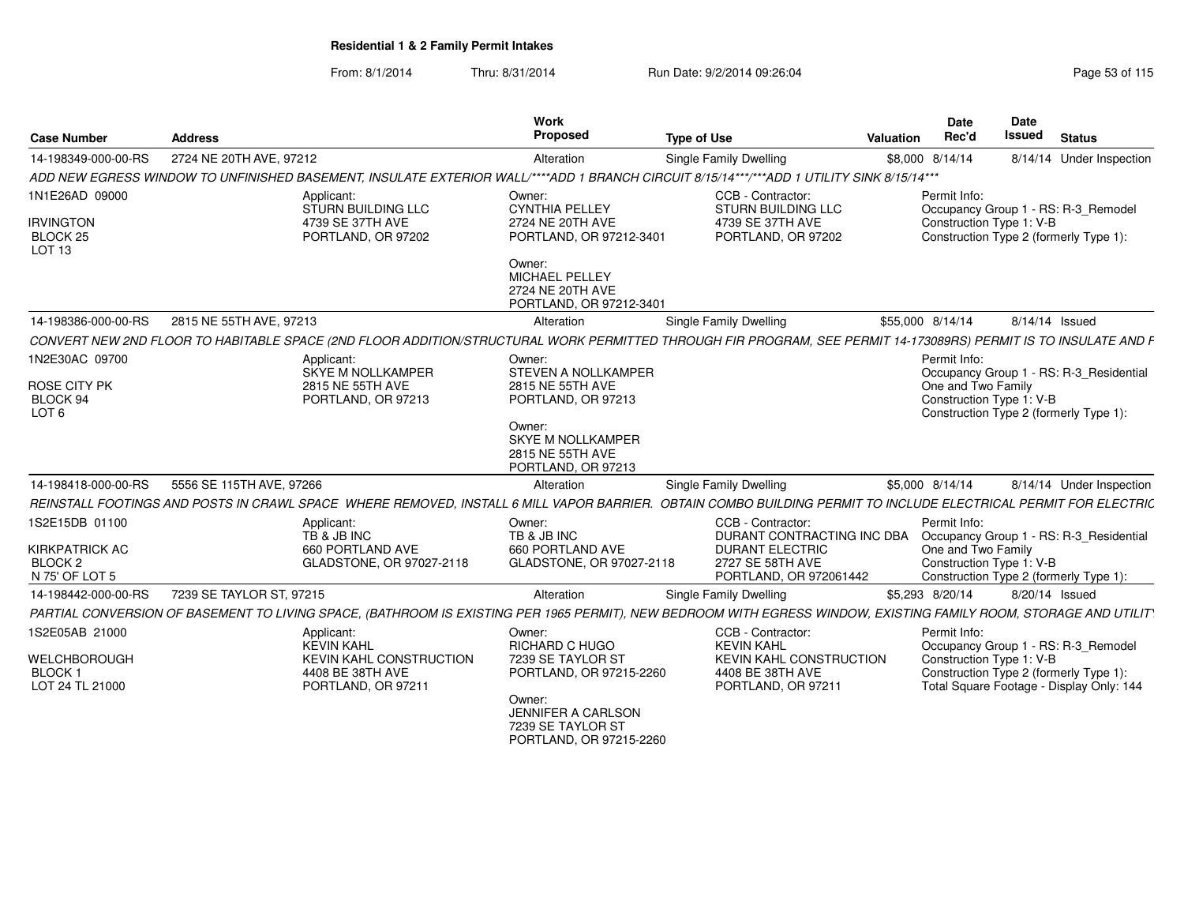| <b>Case Number</b>                                                  | <b>Address</b>                                                                                                                                                    | Work<br>Proposed                                                               | <b>Type of Use</b>                                                                     | Valuation        | <b>Date</b><br>Rec'd               | Date<br>Issued<br><b>Status</b>                                                                                                                       |
|---------------------------------------------------------------------|-------------------------------------------------------------------------------------------------------------------------------------------------------------------|--------------------------------------------------------------------------------|----------------------------------------------------------------------------------------|------------------|------------------------------------|-------------------------------------------------------------------------------------------------------------------------------------------------------|
| 14-198349-000-00-RS                                                 | 2724 NE 20TH AVE, 97212                                                                                                                                           | Alteration                                                                     | <b>Single Family Dwelling</b>                                                          | \$8,000 8/14/14  |                                    | 8/14/14 Under Inspection                                                                                                                              |
|                                                                     | ADD NEW EGRESS WINDOW TO UNFINISHED BASEMENT, INSULATE EXTERIOR WALL/****ADD 1 BRANCH CIRCUIT 8/15/14***/***ADD 1 UTILITY SINK 8/15/14***                         |                                                                                |                                                                                        |                  |                                    |                                                                                                                                                       |
| 1N1E26AD 09000<br><b>IRVINGTON</b><br>BLOCK 25<br>LOT <sub>13</sub> | Applicant:<br>STURN BUILDING LLC<br>4739 SE 37TH AVE<br>PORTLAND, OR 97202                                                                                        | Owner:<br><b>CYNTHIA PELLEY</b><br>2724 NE 20TH AVE<br>PORTLAND, OR 97212-3401 | CCB - Contractor:<br>STURN BUILDING LLC<br>4739 SE 37TH AVE<br>PORTLAND, OR 97202      |                  | Permit Info:                       | Occupancy Group 1 - RS: R-3_Remodel<br>Construction Type 1: V-B<br>Construction Type 2 (formerly Type 1):                                             |
|                                                                     |                                                                                                                                                                   | Owner:<br>MICHAEL PELLEY<br>2724 NE 20TH AVE<br>PORTLAND, OR 97212-3401        |                                                                                        |                  |                                    |                                                                                                                                                       |
| 14-198386-000-00-RS                                                 | 2815 NE 55TH AVE, 97213                                                                                                                                           | Alteration                                                                     | <b>Single Family Dwelling</b>                                                          | \$55,000 8/14/14 |                                    | 8/14/14 Issued                                                                                                                                        |
|                                                                     | CONVERT NEW 2ND FLOOR TO HABITABLE SPACE (2ND FLOOR ADDITION/STRUCTURAL WORK PERMITTED THROUGH FIR PROGRAM, SEE PERMIT 14-173089RS) PERMIT IS TO INSULATE AND F   |                                                                                |                                                                                        |                  |                                    |                                                                                                                                                       |
| 1N2E30AC 09700<br>ROSE CITY PK                                      | Applicant:<br>SKYE M NOLLKAMPER<br>2815 NE 55TH AVE                                                                                                               | Owner:<br>STEVEN A NOLLKAMPER<br>2815 NE 55TH AVE                              |                                                                                        |                  | Permit Info:<br>One and Two Family | Occupancy Group 1 - RS: R-3 Residential                                                                                                               |
| BLOCK 94<br>LOT <sub>6</sub>                                        | PORTLAND, OR 97213                                                                                                                                                | PORTLAND, OR 97213                                                             |                                                                                        |                  |                                    | Construction Type 1: V-B<br>Construction Type 2 (formerly Type 1):                                                                                    |
|                                                                     |                                                                                                                                                                   | Owner:<br><b>SKYE M NOLLKAMPER</b><br>2815 NE 55TH AVE<br>PORTLAND, OR 97213   |                                                                                        |                  |                                    |                                                                                                                                                       |
| 14-198418-000-00-RS                                                 | 5556 SE 115TH AVE, 97266                                                                                                                                          | Alteration                                                                     | <b>Single Family Dwelling</b>                                                          | \$5,000 8/14/14  |                                    | 8/14/14 Under Inspection                                                                                                                              |
|                                                                     | REINSTALL FOOTINGS AND POSTS IN CRAWL SPACE WHERE REMOVED, INSTALL 6 MILL VAPOR BARRIER. OBTAIN COMBO BUILDING PERMIT TO INCLUDE ELECTRICAL PERMIT FOR ELECTRIC   |                                                                                |                                                                                        |                  |                                    |                                                                                                                                                       |
| 1S2E15DB 01100                                                      | Applicant:<br>TB & JB INC                                                                                                                                         | Owner:<br>TB & JB INC                                                          | CCB - Contractor:<br>DURANT CONTRACTING INC DBA                                        |                  | Permit Info:                       | Occupancy Group 1 - RS: R-3_Residential                                                                                                               |
| <b>KIRKPATRICK AC</b><br>BLOCK <sub>2</sub><br>N 75' OF LOT 5       | 660 PORTLAND AVE<br>GLADSTONE, OR 97027-2118                                                                                                                      | 660 PORTLAND AVE<br>GLADSTONE, OR 97027-2118                                   | <b>DURANT ELECTRIC</b><br>2727 SE 58TH AVE<br>PORTLAND, OR 972061442                   |                  | One and Two Family                 | Construction Type 1: V-B<br>Construction Type 2 (formerly Type 1):                                                                                    |
| 14-198442-000-00-RS                                                 | 7239 SE TAYLOR ST. 97215                                                                                                                                          | Alteration                                                                     | Single Family Dwelling                                                                 | \$5,293 8/20/14  |                                    | 8/20/14 Issued                                                                                                                                        |
|                                                                     | PARTIAL CONVERSION OF BASEMENT TO LIVING SPACE, (BATHROOM IS EXISTING PER 1965 PERMIT), NEW BEDROOM WITH EGRESS WINDOW, EXISTING FAMILY ROOM, STORAGE AND UTILITY |                                                                                |                                                                                        |                  |                                    |                                                                                                                                                       |
| 1S2E05AB 21000                                                      | Applicant:                                                                                                                                                        | Owner:                                                                         | CCB - Contractor:                                                                      |                  | Permit Info:                       |                                                                                                                                                       |
| <b>WELCHBOROUGH</b><br><b>BLOCK1</b><br>LOT 24 TL 21000             | <b>KEVIN KAHL</b><br><b>KEVIN KAHL CONSTRUCTION</b><br>4408 BE 38TH AVE<br>PORTLAND, OR 97211                                                                     | <b>RICHARD C HUGO</b><br>7239 SE TAYLOR ST<br>PORTLAND, OR 97215-2260          | <b>KEVIN KAHL</b><br>KEVIN KAHL CONSTRUCTION<br>4408 BE 38TH AVE<br>PORTLAND, OR 97211 |                  |                                    | Occupancy Group 1 - RS: R-3_Remodel<br>Construction Type 1: V-B<br>Construction Type 2 (formerly Type 1):<br>Total Square Footage - Display Only: 144 |
|                                                                     |                                                                                                                                                                   | Owner:<br>JENNIFER A CARLSON<br>7239 SE TAYLOR ST<br>PORTLAND, OR 97215-2260   |                                                                                        |                  |                                    |                                                                                                                                                       |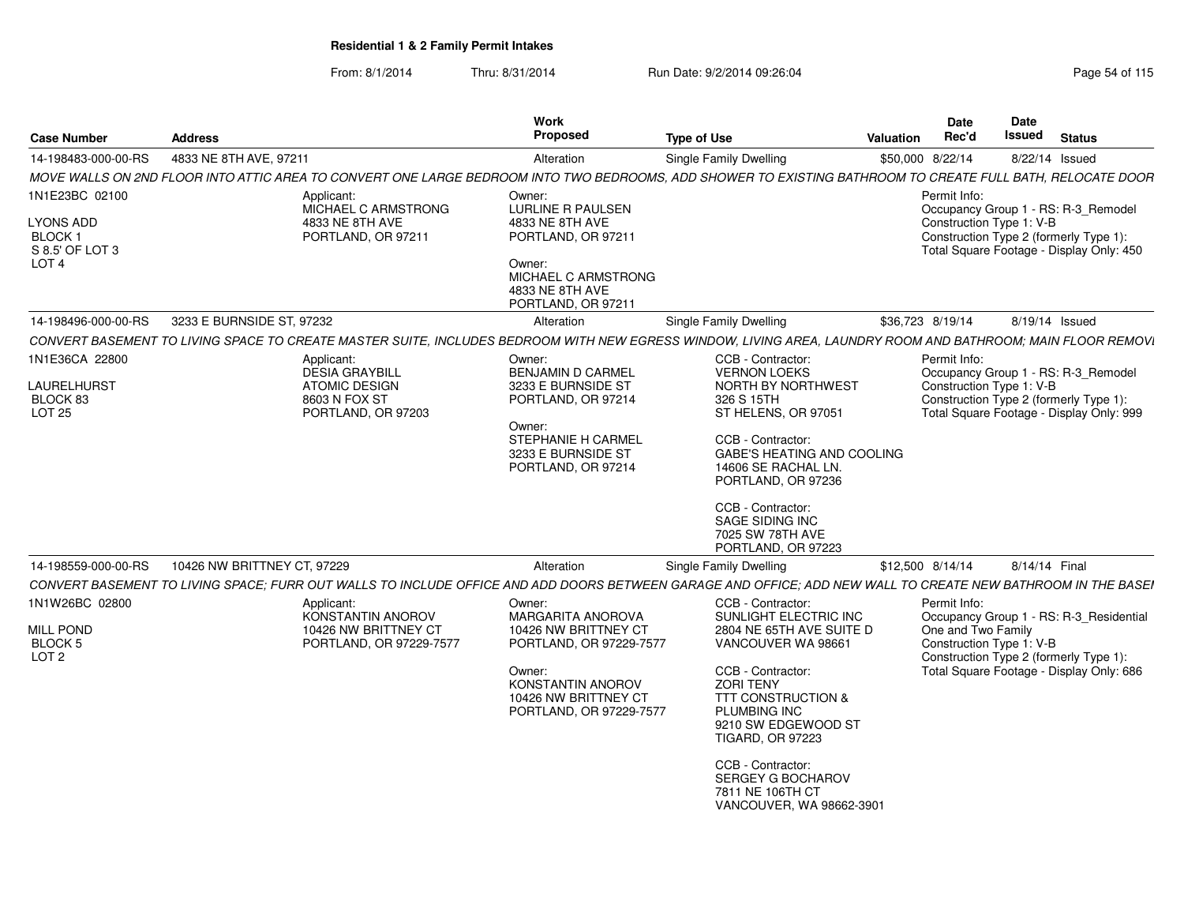| <b>Case Number</b>                                                            | <b>Address</b>              |                                                                                                    | Work<br>Proposed                                                                                                                                                 | <b>Type of Use</b>                                                                                                                                                                                                                                                                                                                        | <b>Valuation</b> | <b>Date</b><br>Rec'd                                           | Date<br>Issued | <b>Status</b>                                                                                                                 |
|-------------------------------------------------------------------------------|-----------------------------|----------------------------------------------------------------------------------------------------|------------------------------------------------------------------------------------------------------------------------------------------------------------------|-------------------------------------------------------------------------------------------------------------------------------------------------------------------------------------------------------------------------------------------------------------------------------------------------------------------------------------------|------------------|----------------------------------------------------------------|----------------|-------------------------------------------------------------------------------------------------------------------------------|
| 14-198483-000-00-RS                                                           | 4833 NE 8TH AVE, 97211      |                                                                                                    | Alteration                                                                                                                                                       | Single Family Dwelling                                                                                                                                                                                                                                                                                                                    |                  | \$50,000 8/22/14                                               |                | 8/22/14 Issued                                                                                                                |
|                                                                               |                             |                                                                                                    |                                                                                                                                                                  | MOVE WALLS ON 2ND FLOOR INTO ATTIC AREA TO CONVERT ONE LARGE BEDROOM INTO TWO BEDROOMS, ADD SHOWER TO EXISTING BATHROOM TO CREATE FULL BATH, RELOCATE DOOR                                                                                                                                                                                |                  |                                                                |                |                                                                                                                               |
| 1N1E23BC 02100<br>LYONS ADD<br>BLOCK 1<br>S 8.5' OF LOT 3<br>LOT <sub>4</sub> |                             | Applicant:<br>MICHAEL C ARMSTRONG<br>4833 NE 8TH AVE<br>PORTLAND, OR 97211                         | Owner:<br><b>LURLINE R PAULSEN</b><br>4833 NE 8TH AVE<br>PORTLAND, OR 97211<br>Owner:<br>MICHAEL C ARMSTRONG<br>4833 NE 8TH AVE<br>PORTLAND, OR 97211            |                                                                                                                                                                                                                                                                                                                                           |                  | Permit Info:<br>Construction Type 1: V-B                       |                | Occupancy Group 1 - RS: R-3_Remodel<br>Construction Type 2 (formerly Type 1):<br>Total Square Footage - Display Only: 450     |
| 14-198496-000-00-RS                                                           | 3233 E BURNSIDE ST, 97232   |                                                                                                    | Alteration                                                                                                                                                       | Single Family Dwelling                                                                                                                                                                                                                                                                                                                    |                  | \$36,723 8/19/14                                               |                | 8/19/14 Issued                                                                                                                |
|                                                                               |                             |                                                                                                    |                                                                                                                                                                  | CONVERT BASEMENT TO LIVING SPACE TO CREATE MASTER SUITE. INCLUDES BEDROOM WITH NEW EGRESS WINDOW. LIVING AREA, LAUNDRY ROOM AND BATHROOM: MAIN FLOOR REMOVI                                                                                                                                                                               |                  |                                                                |                |                                                                                                                               |
| 1N1E36CA 22800<br>LAURELHURST<br>BLOCK 83<br>LOT 25                           |                             | Applicant:<br><b>DESIA GRAYBILL</b><br><b>ATOMIC DESIGN</b><br>8603 N FOX ST<br>PORTLAND, OR 97203 | Owner:<br><b>BENJAMIN D CARMEL</b><br>3233 E BURNSIDE ST<br>PORTLAND, OR 97214<br>Owner:<br>STEPHANIE H CARMEL<br>3233 E BURNSIDE ST<br>PORTLAND, OR 97214       | CCB - Contractor:<br><b>VERNON LOEKS</b><br>NORTH BY NORTHWEST<br>326 S 15TH<br>ST HELENS, OR 97051<br>CCB - Contractor:<br><b>GABE'S HEATING AND COOLING</b><br>14606 SE RACHAL LN.<br>PORTLAND, OR 97236<br>CCB - Contractor:<br>SAGE SIDING INC<br>7025 SW 78TH AVE<br>PORTLAND, OR 97223                                              |                  | Permit Info:<br>Construction Type 1: V-B                       |                | Occupancy Group 1 - RS: R-3_Remodel<br>Construction Type 2 (formerly Type 1):<br>Total Square Footage - Display Only: 999     |
| 14-198559-000-00-RS                                                           | 10426 NW BRITTNEY CT, 97229 |                                                                                                    | Alteration                                                                                                                                                       | Single Family Dwelling                                                                                                                                                                                                                                                                                                                    |                  | \$12,500 8/14/14                                               |                | 8/14/14 Final                                                                                                                 |
|                                                                               |                             |                                                                                                    |                                                                                                                                                                  | CONVERT BASEMENT TO LIVING SPACE; FURR OUT WALLS TO INCLUDE OFFICE AND ADD DOORS BETWEEN GARAGE AND OFFICE; ADD NEW WALL TO CREATE NEW BATHROOM IN THE BASEI                                                                                                                                                                              |                  |                                                                |                |                                                                                                                               |
| 1N1W26BC 02800<br><b>MILL POND</b><br>BLOCK 5<br>LOT <sub>2</sub>             |                             | Applicant:<br><b>KONSTANTIN ANOROV</b><br>10426 NW BRITTNEY CT<br>PORTLAND, OR 97229-7577          | Owner:<br>MARGARITA ANOROVA<br>10426 NW BRITTNEY CT<br>PORTLAND, OR 97229-7577<br>Owner:<br>KONSTANTIN ANOROV<br>10426 NW BRITTNEY CT<br>PORTLAND, OR 97229-7577 | CCB - Contractor:<br>SUNLIGHT ELECTRIC INC<br>2804 NE 65TH AVE SUITE D<br>VANCOUVER WA 98661<br>CCB - Contractor:<br><b>ZORI TENY</b><br><b>TTT CONSTRUCTION &amp;</b><br><b>PLUMBING INC</b><br>9210 SW EDGEWOOD ST<br><b>TIGARD, OR 97223</b><br>CCB - Contractor:<br>SERGEY G BOCHAROV<br>7811 NE 106TH CT<br>VANCOUVER, WA 98662-3901 |                  | Permit Info:<br>One and Two Family<br>Construction Type 1: V-B |                | Occupancy Group 1 - RS: R-3_Residential<br>Construction Type 2 (formerly Type 1):<br>Total Square Footage - Display Only: 686 |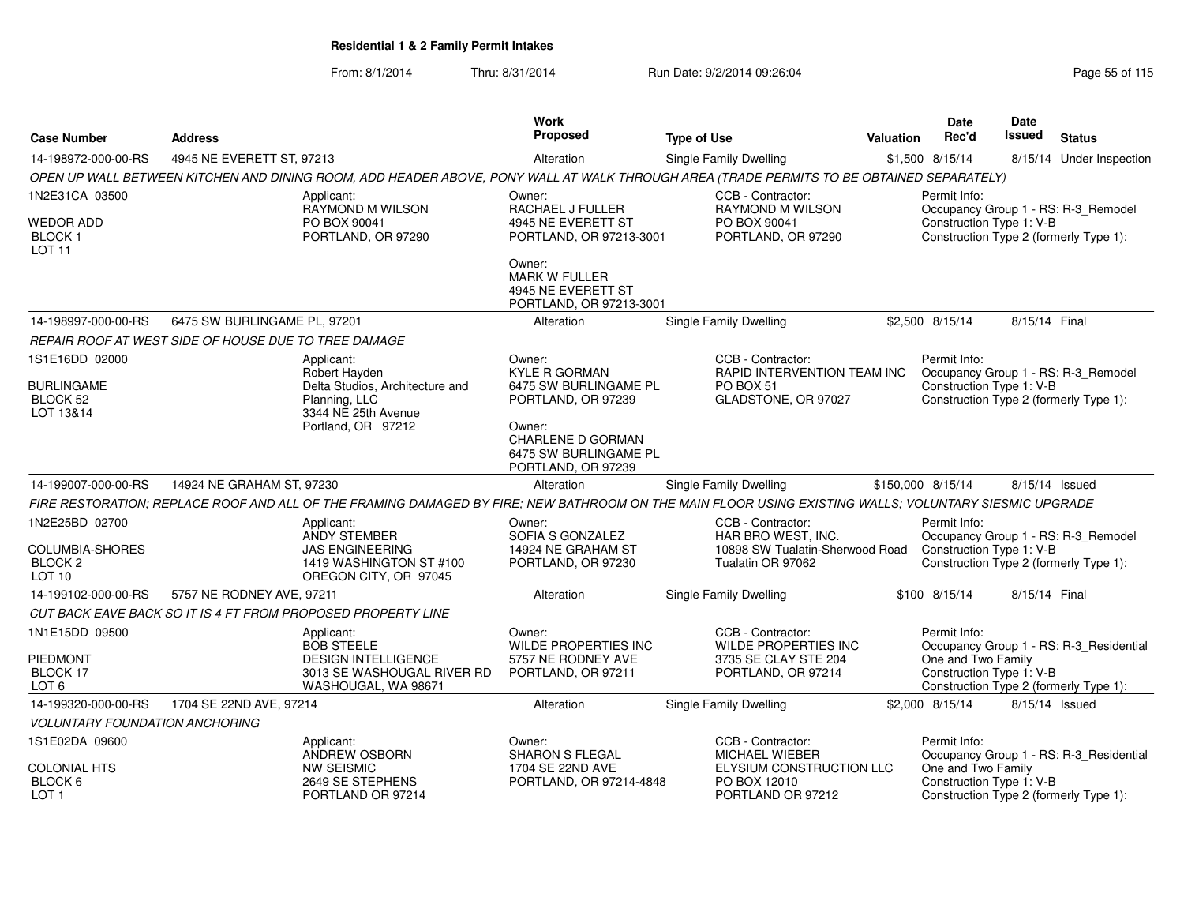| <b>Case Number</b>                                         | <b>Address</b>                                       |                                                                                                                                                       | Work<br>Proposed                                                           | <b>Type of Use</b>                                            | <b>Valuation</b> | <b>Date</b><br>Rec'd                           | <b>Date</b><br><b>Issued</b> | <b>Status</b>                                                                 |
|------------------------------------------------------------|------------------------------------------------------|-------------------------------------------------------------------------------------------------------------------------------------------------------|----------------------------------------------------------------------------|---------------------------------------------------------------|------------------|------------------------------------------------|------------------------------|-------------------------------------------------------------------------------|
| 14-198972-000-00-RS                                        | 4945 NE EVERETT ST, 97213                            |                                                                                                                                                       | Alteration                                                                 | Single Family Dwelling                                        |                  | \$1,500 8/15/14                                |                              | 8/15/14 Under Inspection                                                      |
|                                                            |                                                      | OPEN UP WALL BETWEEN KITCHEN AND DINING ROOM, ADD HEADER ABOVE, PONY WALL AT WALK THROUGH AREA (TRADE PERMITS TO BE OBTAINED SEPARATELY)              |                                                                            |                                                               |                  |                                                |                              |                                                                               |
| 1N2E31CA 03500                                             |                                                      | Applicant:                                                                                                                                            | Owner:                                                                     | CCB - Contractor:                                             |                  | Permit Info:                                   |                              |                                                                               |
| <b>WEDOR ADD</b><br><b>BLOCK1</b><br><b>LOT 11</b>         |                                                      | <b>RAYMOND M WILSON</b><br>PO BOX 90041<br>PORTLAND, OR 97290                                                                                         | RACHAEL J FULLER<br>4945 NE EVERETT ST<br>PORTLAND, OR 97213-3001          | <b>RAYMOND M WILSON</b><br>PO BOX 90041<br>PORTLAND, OR 97290 |                  | Construction Type 1: V-B                       |                              | Occupancy Group 1 - RS: R-3_Remodel<br>Construction Type 2 (formerly Type 1): |
|                                                            |                                                      |                                                                                                                                                       | Owner:<br>MARK W FULLER<br>4945 NE EVERETT ST<br>PORTLAND, OR 97213-3001   |                                                               |                  |                                                |                              |                                                                               |
| 14-198997-000-00-RS                                        | 6475 SW BURLINGAME PL, 97201                         |                                                                                                                                                       | Alteration                                                                 | <b>Single Family Dwelling</b>                                 |                  | \$2,500 8/15/14                                | 8/15/14 Final                |                                                                               |
|                                                            | REPAIR ROOF AT WEST SIDE OF HOUSE DUE TO TREE DAMAGE |                                                                                                                                                       |                                                                            |                                                               |                  |                                                |                              |                                                                               |
| 1S1E16DD 02000                                             |                                                      | Applicant:<br>Robert Hayden                                                                                                                           | Owner:<br><b>KYLE R GORMAN</b>                                             | CCB - Contractor:<br>RAPID INTERVENTION TEAM INC              |                  | Permit Info:                                   |                              | Occupancy Group 1 - RS: R-3_Remodel                                           |
| <b>BURLINGAME</b><br>BLOCK 52<br>LOT 13&14                 |                                                      | Delta Studios, Architecture and<br>Planning, LLC<br>3344 NE 25th Avenue                                                                               | 6475 SW BURLINGAME PL<br>PORTLAND, OR 97239                                | PO BOX 51<br>GLADSTONE, OR 97027                              |                  | Construction Type 1: V-B                       |                              | Construction Type 2 (formerly Type 1):                                        |
|                                                            |                                                      | Portland, OR 97212                                                                                                                                    | Owner:<br>CHARLENE D GORMAN<br>6475 SW BURLINGAME PL<br>PORTLAND, OR 97239 |                                                               |                  |                                                |                              |                                                                               |
| 14-199007-000-00-RS                                        | 14924 NE GRAHAM ST, 97230                            |                                                                                                                                                       | Alteration                                                                 | Single Family Dwelling                                        |                  | \$150,000 8/15/14                              |                              | 8/15/14 Issued                                                                |
|                                                            |                                                      | FIRE RESTORATION; REPLACE ROOF AND ALL OF THE FRAMING DAMAGED BY FIRE; NEW BATHROOM ON THE MAIN FLOOR USING EXISTING WALLS; VOLUNTARY SIESMIC UPGRADE |                                                                            |                                                               |                  |                                                |                              |                                                                               |
| 1N2E25BD 02700                                             |                                                      | Applicant:<br>ANDY STEMBER                                                                                                                            | Owner:<br>SOFIA S GONZALEZ                                                 | CCB - Contractor:<br>HAR BRO WEST, INC.                       |                  | Permit Info:                                   |                              | Occupancy Group 1 - RS: R-3_Remodel                                           |
| COLUMBIA-SHORES<br>BLOCK <sub>2</sub><br>LOT <sub>10</sub> |                                                      | <b>JAS ENGINEERING</b><br>1419 WASHINGTON ST #100<br>OREGON CITY, OR 97045                                                                            | 14924 NE GRAHAM ST<br>PORTLAND, OR 97230                                   | 10898 SW Tualatin-Sherwood Road<br>Tualatin OR 97062          |                  | Construction Type 1: V-B                       |                              | Construction Type 2 (formerly Type 1):                                        |
| 14-199102-000-00-RS                                        | 5757 NE RODNEY AVE, 97211                            |                                                                                                                                                       | Alteration                                                                 | <b>Single Family Dwelling</b>                                 |                  | \$100 8/15/14                                  | 8/15/14 Final                |                                                                               |
|                                                            |                                                      | CUT BACK EAVE BACK SO IT IS 4 FT FROM PROPOSED PROPERTY LINE                                                                                          |                                                                            |                                                               |                  |                                                |                              |                                                                               |
| 1N1E15DD 09500                                             |                                                      | Applicant:<br><b>BOB STEELE</b>                                                                                                                       | Owner:<br><b>WILDE PROPERTIES INC</b>                                      | CCB - Contractor:<br><b>WILDE PROPERTIES INC</b>              |                  | Permit Info:                                   |                              | Occupancy Group 1 - RS: R-3_Residential                                       |
| PIEDMONT<br>BLOCK 17<br>LOT <sub>6</sub>                   |                                                      | <b>DESIGN INTELLIGENCE</b><br>3013 SE WASHOUGAL RIVER RD<br>WASHOUGAL, WA 98671                                                                       | 5757 NE RODNEY AVE<br>PORTLAND, OR 97211                                   | 3735 SE CLAY STE 204<br>PORTLAND, OR 97214                    |                  | One and Two Family<br>Construction Type 1: V-B |                              | Construction Type 2 (formerly Type 1):                                        |
| 14-199320-000-00-RS                                        | 1704 SE 22ND AVE, 97214                              |                                                                                                                                                       | Alteration                                                                 | Single Family Dwelling                                        |                  | \$2,000 8/15/14                                |                              | 8/15/14 Issued                                                                |
| <b>VOLUNTARY FOUNDATION ANCHORING</b>                      |                                                      |                                                                                                                                                       |                                                                            |                                                               |                  |                                                |                              |                                                                               |
| 1S1E02DA 09600                                             |                                                      | Applicant:<br>ANDREW OSBORN                                                                                                                           | Owner:<br><b>SHARON S FLEGAL</b>                                           | CCB - Contractor:<br><b>MICHAEL WIEBER</b>                    |                  | Permit Info:                                   |                              | Occupancy Group 1 - RS: R-3_Residential                                       |
| <b>COLONIAL HTS</b><br>BLOCK 6<br>LOT <sub>1</sub>         |                                                      | <b>NW SEISMIC</b><br>2649 SE STEPHENS<br>PORTLAND OR 97214                                                                                            | 1704 SE 22ND AVE<br>PORTLAND, OR 97214-4848                                | ELYSIUM CONSTRUCTION LLC<br>PO BOX 12010<br>PORTLAND OR 97212 |                  | One and Two Family<br>Construction Type 1: V-B |                              | Construction Type 2 (formerly Type 1):                                        |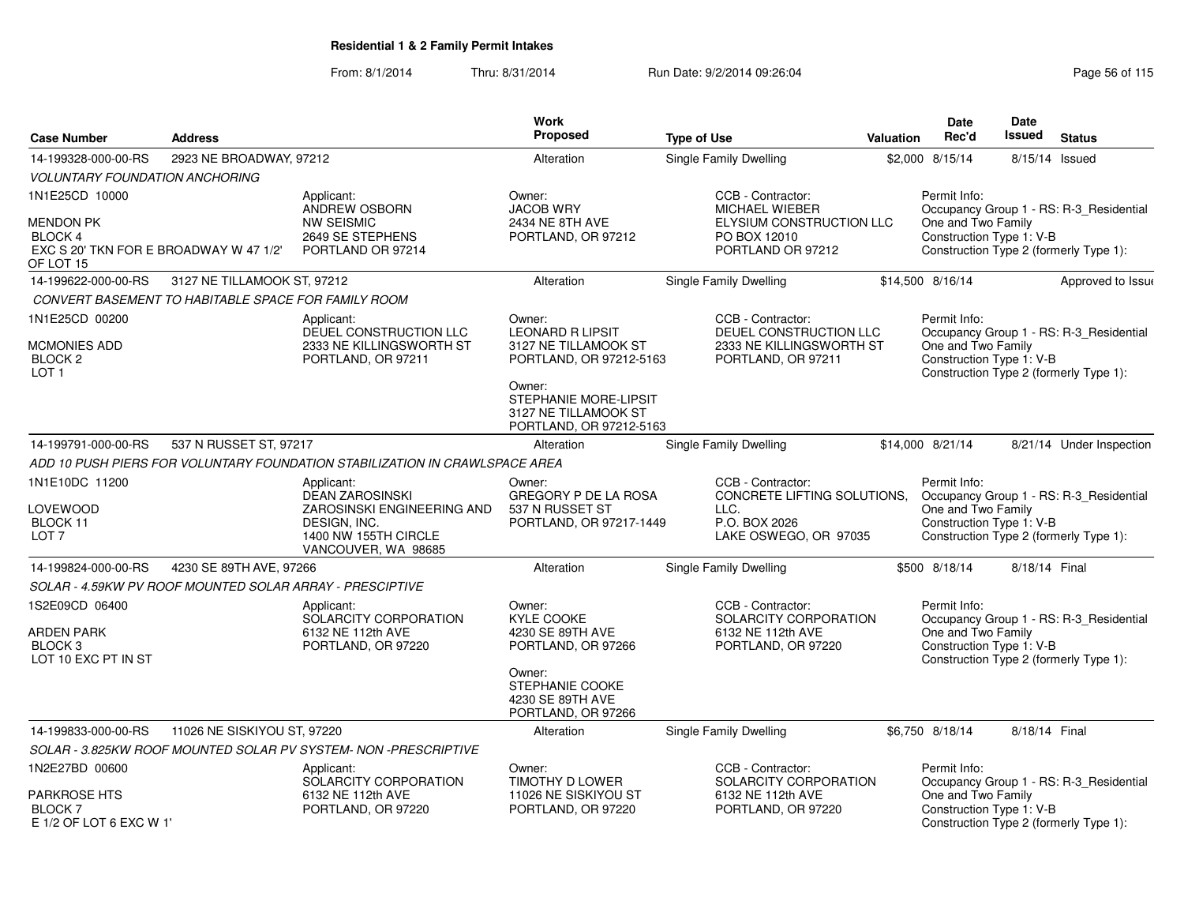|                                                          |                                                          |                                                                             | <b>Work</b><br><b>Proposed</b>                                 |                                                |                  | Date                                           | Date<br><b>Issued</b> |                                         |
|----------------------------------------------------------|----------------------------------------------------------|-----------------------------------------------------------------------------|----------------------------------------------------------------|------------------------------------------------|------------------|------------------------------------------------|-----------------------|-----------------------------------------|
| <b>Case Number</b>                                       | <b>Address</b>                                           |                                                                             |                                                                | <b>Type of Use</b>                             | <b>Valuation</b> | Rec'd                                          |                       | <b>Status</b>                           |
| 14-199328-000-00-RS                                      | 2923 NE BROADWAY, 97212                                  |                                                                             | Alteration                                                     | <b>Single Family Dwelling</b>                  |                  | \$2,000 8/15/14                                | 8/15/14               | Issued                                  |
| <b>VOLUNTARY FOUNDATION ANCHORING</b>                    |                                                          |                                                                             |                                                                |                                                |                  |                                                |                       |                                         |
| 1N1E25CD 10000                                           |                                                          | Applicant:<br>ANDREW OSBORN                                                 | Owner:<br><b>JACOB WRY</b>                                     | CCB - Contractor:<br>MICHAEL WIEBER            |                  | Permit Info:                                   |                       | Occupancy Group 1 - RS: R-3_Residential |
| <b>MENDON PK</b>                                         |                                                          | <b>NW SEISMIC</b>                                                           | 2434 NE 8TH AVE                                                | ELYSIUM CONSTRUCTION LLC                       |                  | One and Two Family                             |                       |                                         |
| <b>BLOCK 4</b><br>EXC S 20' TKN FOR E BROADWAY W 47 1/2" |                                                          | 2649 SE STEPHENS<br>PORTLAND OR 97214                                       | PORTLAND, OR 97212                                             | PO BOX 12010<br>PORTLAND OR 97212              |                  | Construction Type 1: V-B                       |                       | Construction Type 2 (formerly Type 1):  |
| OF LOT 15                                                |                                                          |                                                                             |                                                                |                                                |                  |                                                |                       |                                         |
| 14-199622-000-00-RS                                      | 3127 NE TILLAMOOK ST, 97212                              |                                                                             | Alteration                                                     | <b>Single Family Dwelling</b>                  |                  | \$14,500 8/16/14                               |                       | Approved to Issue                       |
|                                                          | CONVERT BASEMENT TO HABITABLE SPACE FOR FAMILY ROOM      |                                                                             |                                                                |                                                |                  |                                                |                       |                                         |
| 1N1E25CD 00200                                           |                                                          | Applicant:                                                                  | Owner:                                                         | CCB - Contractor:                              |                  | Permit Info:                                   |                       |                                         |
|                                                          |                                                          | DEUEL CONSTRUCTION LLC                                                      | <b>LEONARD R LIPSIT</b>                                        | DEUEL CONSTRUCTION LLC                         |                  |                                                |                       | Occupancy Group 1 - RS: R-3_Residential |
| MCMONIES ADD<br><b>BLOCK 2</b>                           |                                                          | 2333 NE KILLINGSWORTH ST<br>PORTLAND, OR 97211                              | 3127 NE TILLAMOOK ST<br>PORTLAND, OR 97212-5163                | 2333 NE KILLINGSWORTH ST<br>PORTLAND, OR 97211 |                  | One and Two Family<br>Construction Type 1: V-B |                       |                                         |
| LOT <sub>1</sub>                                         |                                                          |                                                                             |                                                                |                                                |                  |                                                |                       | Construction Type 2 (formerly Type 1):  |
|                                                          |                                                          |                                                                             | Owner:<br><b>STEPHANIE MORE-LIPSIT</b><br>3127 NE TILLAMOOK ST |                                                |                  |                                                |                       |                                         |
|                                                          |                                                          |                                                                             | PORTLAND, OR 97212-5163                                        |                                                |                  |                                                |                       |                                         |
| 14-199791-000-00-RS                                      | 537 N RUSSET ST, 97217                                   |                                                                             | Alteration                                                     | <b>Single Family Dwelling</b>                  |                  | \$14,000 8/21/14                               |                       | 8/21/14 Under Inspection                |
|                                                          |                                                          | ADD 10 PUSH PIERS FOR VOLUNTARY FOUNDATION STABILIZATION IN CRAWLSPACE AREA |                                                                |                                                |                  |                                                |                       |                                         |
| 1N1E10DC 11200                                           |                                                          | Applicant:                                                                  | Owner:                                                         | CCB - Contractor:                              |                  | Permit Info:                                   |                       |                                         |
| LOVEWOOD                                                 |                                                          | <b>DEAN ZAROSINSKI</b><br>ZAROSINSKI ENGINEERING AND                        | <b>GREGORY P DE LA ROSA</b><br>537 N RUSSET ST                 | CONCRETE LIFTING SOLUTIONS.<br>LLC.            |                  | One and Two Family                             |                       | Occupancy Group 1 - RS: R-3_Residential |
| BLOCK 11                                                 |                                                          | DESIGN, INC.                                                                | PORTLAND, OR 97217-1449                                        | P.O. BOX 2026                                  |                  | Construction Type 1: V-B                       |                       |                                         |
| LOT <sub>7</sub>                                         |                                                          | 1400 NW 155TH CIRCLE                                                        |                                                                | LAKE OSWEGO, OR 97035                          |                  |                                                |                       | Construction Type 2 (formerly Type 1):  |
|                                                          |                                                          | VANCOUVER, WA 98685                                                         |                                                                |                                                |                  |                                                |                       |                                         |
| 14-199824-000-00-RS                                      | 4230 SE 89TH AVE, 97266                                  |                                                                             | Alteration                                                     | Single Family Dwelling                         |                  | \$500 8/18/14                                  | 8/18/14 Final         |                                         |
|                                                          | SOLAR - 4.59KW PV ROOF MOUNTED SOLAR ARRAY - PRESCIPTIVE |                                                                             |                                                                |                                                |                  |                                                |                       |                                         |
| 1S2E09CD 06400                                           |                                                          | Applicant:<br>SOLARCITY CORPORATION                                         | Owner:<br><b>KYLE COOKE</b>                                    | CCB - Contractor:<br>SOLARCITY CORPORATION     |                  | Permit Info:                                   |                       | Occupancy Group 1 - RS: R-3 Residential |
| ARDEN PARK                                               |                                                          | 6132 NE 112th AVE                                                           | 4230 SE 89TH AVE                                               | 6132 NE 112th AVE                              |                  | One and Two Family                             |                       |                                         |
| BLOCK <sub>3</sub>                                       |                                                          | PORTLAND, OR 97220                                                          | PORTLAND, OR 97266                                             | PORTLAND, OR 97220                             |                  | Construction Type 1: V-B                       |                       |                                         |
| LOT 10 EXC PT IN ST                                      |                                                          |                                                                             | Owner:                                                         |                                                |                  |                                                |                       | Construction Type 2 (formerly Type 1):  |
|                                                          |                                                          |                                                                             | STEPHANIE COOKE<br>4230 SE 89TH AVE                            |                                                |                  |                                                |                       |                                         |
|                                                          |                                                          |                                                                             | PORTLAND, OR 97266                                             |                                                |                  |                                                |                       |                                         |
| 14-199833-000-00-RS                                      | 11026 NE SISKIYOU ST, 97220                              |                                                                             | Alteration                                                     | Single Family Dwelling                         |                  | \$6,750 8/18/14                                | 8/18/14 Final         |                                         |
|                                                          |                                                          | SOLAR - 3.825KW ROOF MOUNTED SOLAR PV SYSTEM- NON -PRESCRIPTIVE             |                                                                |                                                |                  |                                                |                       |                                         |
| 1N2E27BD 00600                                           |                                                          | Applicant:                                                                  | Owner:                                                         | CCB - Contractor:                              |                  | Permit Info:                                   |                       |                                         |
| PARKROSE HTS                                             |                                                          | SOLARCITY CORPORATION<br>6132 NE 112th AVE                                  | TIMOTHY D LOWER<br>11026 NE SISKIYOU ST                        | SOLARCITY CORPORATION<br>6132 NE 112th AVE     |                  | One and Two Family                             |                       | Occupancy Group 1 - RS: R-3_Residential |
| <b>BLOCK7</b>                                            |                                                          | PORTLAND, OR 97220                                                          | PORTLAND, OR 97220                                             | PORTLAND, OR 97220                             |                  | Construction Type 1: V-B                       |                       |                                         |
| E 1/2 OF LOT 6 EXC W 1'                                  |                                                          |                                                                             |                                                                |                                                |                  |                                                |                       | Construction Type 2 (formerly Type 1):  |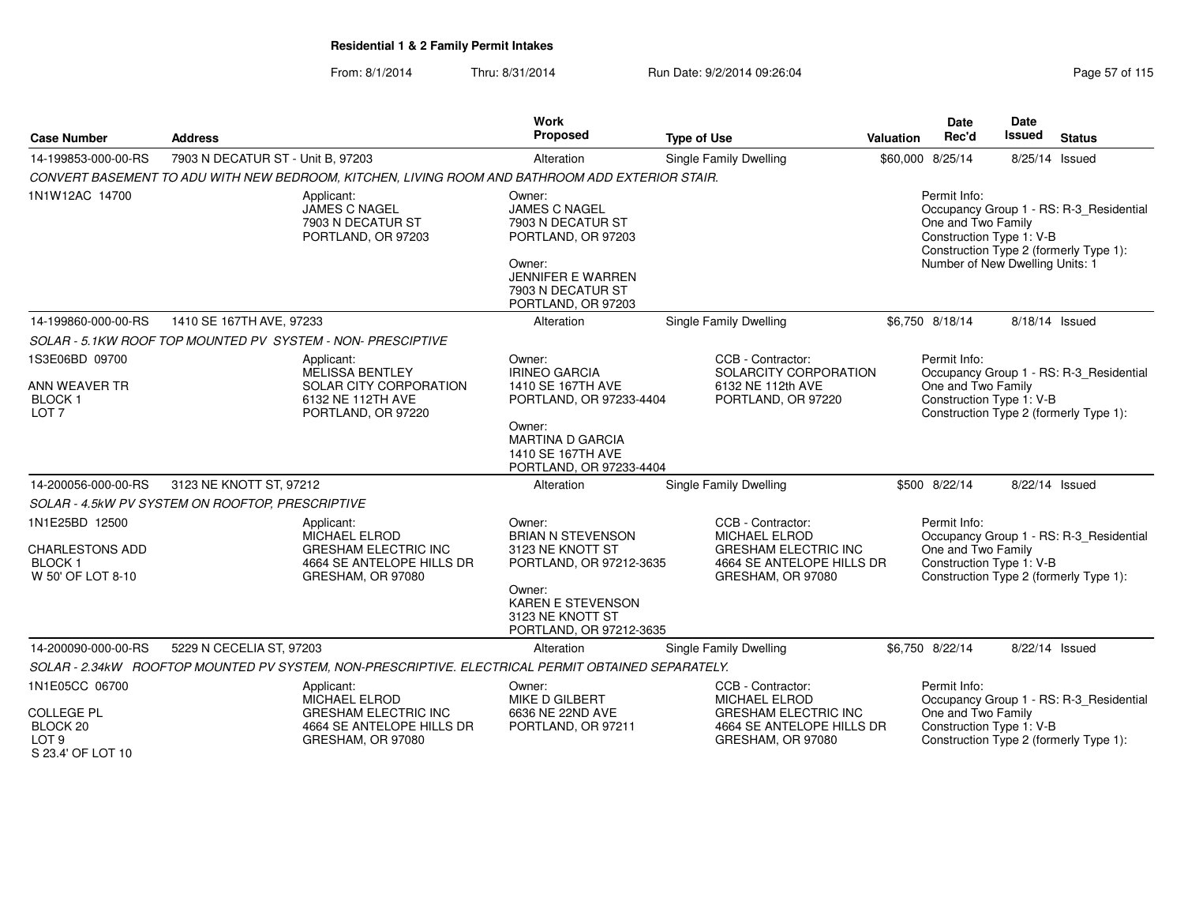| <b>Case Number</b>                                                                | <b>Address</b>                                                                                               | <b>Work</b><br>Proposed                                                           | <b>Type of Use</b>                                                                                                         | Valuation                       | <b>Date</b><br>Rec'd                                                                                                                                | Date<br><b>Issued</b> | <b>Status</b>                                                                     |
|-----------------------------------------------------------------------------------|--------------------------------------------------------------------------------------------------------------|-----------------------------------------------------------------------------------|----------------------------------------------------------------------------------------------------------------------------|---------------------------------|-----------------------------------------------------------------------------------------------------------------------------------------------------|-----------------------|-----------------------------------------------------------------------------------|
| 14-199853-000-00-RS                                                               | 7903 N DECATUR ST - Unit B, 97203                                                                            | Alteration                                                                        | Single Family Dwelling                                                                                                     |                                 | \$60,000 8/25/14                                                                                                                                    | 8/25/14 Issued        |                                                                                   |
|                                                                                   | CONVERT BASEMENT TO ADU WITH NEW BEDROOM, KITCHEN, LIVING ROOM AND BATHROOM ADD EXTERIOR STAIR.              |                                                                                   |                                                                                                                            |                                 |                                                                                                                                                     |                       |                                                                                   |
| 1N1W12AC 14700                                                                    | Applicant:<br>JAMES C NAGEL<br>7903 N DECATUR ST<br>PORTLAND, OR 97203                                       | Owner:<br><b>JAMES C NAGEL</b><br>7903 N DECATUR ST<br>PORTLAND, OR 97203         |                                                                                                                            |                                 | Permit Info:<br>Occupancy Group 1 - RS: R-3_Residential<br>One and Two Family<br>Construction Type 1: V-B<br>Construction Type 2 (formerly Type 1): |                       |                                                                                   |
|                                                                                   |                                                                                                              |                                                                                   |                                                                                                                            | Number of New Dwelling Units: 1 |                                                                                                                                                     |                       |                                                                                   |
| 14-199860-000-00-RS                                                               | 1410 SE 167TH AVE, 97233                                                                                     | Alteration                                                                        | <b>Single Family Dwelling</b>                                                                                              |                                 | \$6.750 8/18/14                                                                                                                                     | 8/18/14 Issued        |                                                                                   |
|                                                                                   | SOLAR - 5.1KW ROOF TOP MOUNTED PV SYSTEM - NON-PRESCIPTIVE                                                   |                                                                                   |                                                                                                                            |                                 |                                                                                                                                                     |                       |                                                                                   |
| 1S3E06BD 09700                                                                    | Applicant:<br><b>MELISSA BENTLEY</b>                                                                         | Owner:<br><b>IRINEO GARCIA</b>                                                    | CCB - Contractor:<br>SOLARCITY CORPORATION                                                                                 |                                 | Permit Info:                                                                                                                                        |                       | Occupancy Group 1 - RS: R-3_Residential                                           |
| ANN WEAVER TR<br><b>BLOCK1</b><br>LOT <sub>7</sub>                                | SOLAR CITY CORPORATION<br>6132 NE 112TH AVE<br>PORTLAND, OR 97220                                            | 1410 SE 167TH AVE<br>PORTLAND, OR 97233-4404                                      | 6132 NE 112th AVE<br>PORTLAND, OR 97220                                                                                    |                                 | One and Two Family<br>Construction Type 1: V-B<br>Construction Type 2 (formerly Type 1):                                                            |                       |                                                                                   |
|                                                                                   |                                                                                                              | Owner:<br><b>MARTINA D GARCIA</b><br>1410 SE 167TH AVE<br>PORTLAND, OR 97233-4404 |                                                                                                                            |                                 |                                                                                                                                                     |                       |                                                                                   |
| 14-200056-000-00-RS                                                               | 3123 NE KNOTT ST, 97212                                                                                      | Alteration                                                                        | Single Family Dwelling                                                                                                     |                                 | \$500 8/22/14                                                                                                                                       | 8/22/14 Issued        |                                                                                   |
|                                                                                   | SOLAR - 4.5kW PV SYSTEM ON ROOFTOP, PRESCRIPTIVE                                                             |                                                                                   |                                                                                                                            |                                 |                                                                                                                                                     |                       |                                                                                   |
| 1N1E25BD 12500<br><b>CHARLESTONS ADD</b><br><b>BLOCK1</b><br>W 50' OF LOT 8-10    | Applicant:<br>MICHAEL ELROD<br><b>GRESHAM ELECTRIC INC</b><br>4664 SE ANTELOPE HILLS DR<br>GRESHAM, OR 97080 | Owner:<br><b>BRIAN N STEVENSON</b><br>3123 NE KNOTT ST<br>PORTLAND, OR 97212-3635 | CCB - Contractor:<br><b>MICHAEL ELROD</b><br><b>GRESHAM ELECTRIC INC</b><br>4664 SE ANTELOPE HILLS DR<br>GRESHAM, OR 97080 |                                 | Permit Info:<br>One and Two Family<br>Construction Type 1: V-B                                                                                      |                       | Occupancy Group 1 - RS: R-3_Residential<br>Construction Type 2 (formerly Type 1): |
|                                                                                   |                                                                                                              | Owner:<br><b>KAREN E STEVENSON</b><br>3123 NE KNOTT ST<br>PORTLAND, OR 97212-3635 |                                                                                                                            |                                 |                                                                                                                                                     |                       |                                                                                   |
| 14-200090-000-00-RS                                                               | 5229 N CECELIA ST, 97203                                                                                     | Alteration                                                                        | Single Family Dwelling                                                                                                     |                                 | \$6,750 8/22/14                                                                                                                                     | 8/22/14 Issued        |                                                                                   |
|                                                                                   | SOLAR - 2.34kW ROOFTOP MOUNTED PV SYSTEM, NON-PRESCRIPTIVE. ELECTRICAL PERMIT OBTAINED SEPARATELY.           |                                                                                   |                                                                                                                            |                                 |                                                                                                                                                     |                       |                                                                                   |
| 1N1E05CC 06700                                                                    | Applicant:<br><b>MICHAEL ELROD</b>                                                                           | Owner:<br><b>MIKE D GILBERT</b>                                                   | CCB - Contractor:<br><b>MICHAEL ELROD</b>                                                                                  |                                 | Permit Info:                                                                                                                                        |                       | Occupancy Group 1 - RS: R-3_Residential                                           |
| <b>COLLEGE PL</b><br>BLOCK <sub>20</sub><br>LOT <sub>9</sub><br>S 23.4' OF LOT 10 | <b>GRESHAM ELECTRIC INC</b><br>4664 SE ANTELOPE HILLS DR<br>GRESHAM, OR 97080                                | 6636 NE 22ND AVE<br>PORTLAND, OR 97211                                            | <b>GRESHAM ELECTRIC INC</b><br>4664 SE ANTELOPE HILLS DR<br>GRESHAM, OR 97080                                              |                                 | One and Two Family<br>Construction Type 1: V-B                                                                                                      |                       | Construction Type 2 (formerly Type 1):                                            |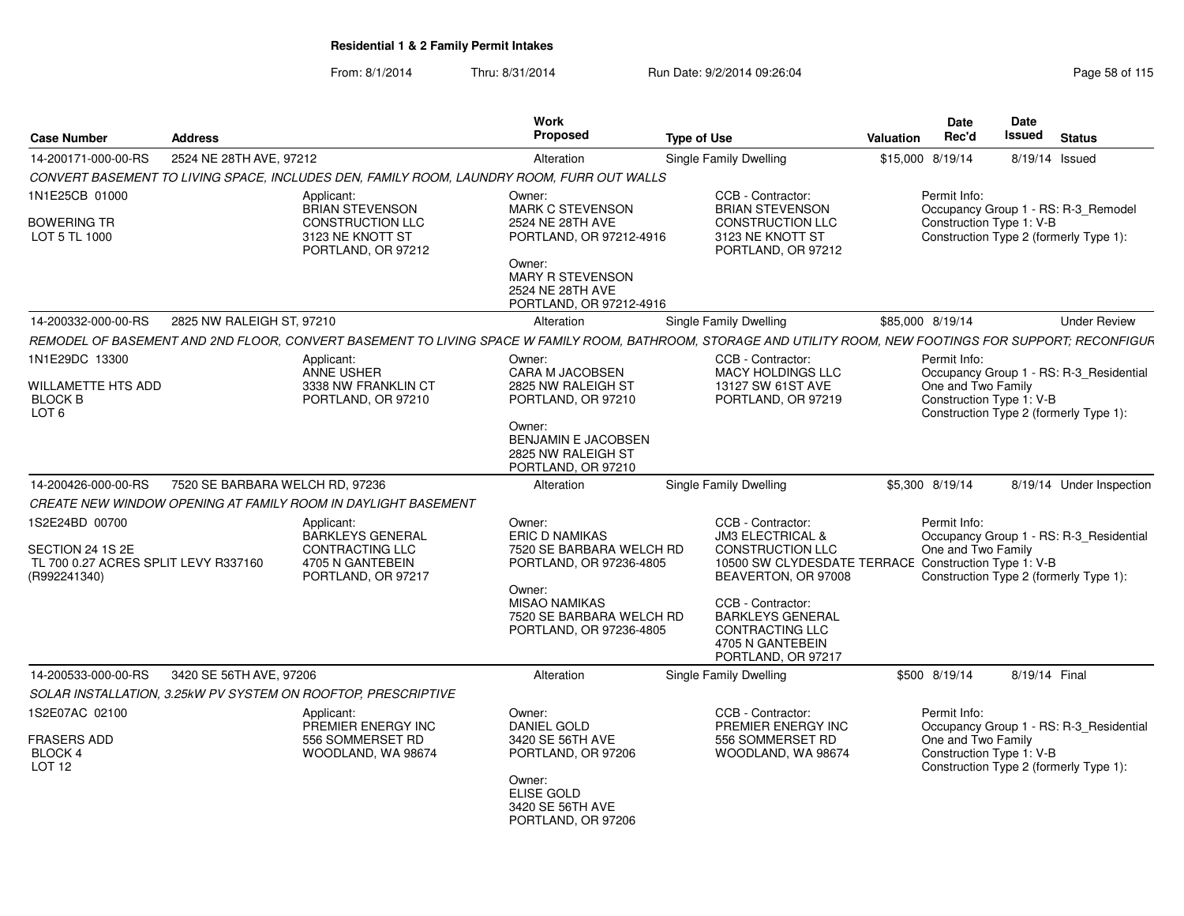|                                                                          |                                 |                                                                                           | Work                                                                                  |                                                                                                                                                             |                  | Date                               | Date                                                               |
|--------------------------------------------------------------------------|---------------------------------|-------------------------------------------------------------------------------------------|---------------------------------------------------------------------------------------|-------------------------------------------------------------------------------------------------------------------------------------------------------------|------------------|------------------------------------|--------------------------------------------------------------------|
| <b>Case Number</b>                                                       | <b>Address</b>                  |                                                                                           | Proposed                                                                              | <b>Type of Use</b>                                                                                                                                          | Valuation        | Rec'd                              | Issued<br><b>Status</b>                                            |
| 14-200171-000-00-RS                                                      | 2524 NE 28TH AVE, 97212         |                                                                                           | Alteration                                                                            | Single Family Dwelling                                                                                                                                      | \$15,000 8/19/14 |                                    | 8/19/14 Issued                                                     |
|                                                                          |                                 | CONVERT BASEMENT TO LIVING SPACE, INCLUDES DEN, FAMILY ROOM, LAUNDRY ROOM, FURR OUT WALLS |                                                                                       |                                                                                                                                                             |                  |                                    |                                                                    |
| 1N1E25CB 01000                                                           |                                 | Applicant:<br><b>BRIAN STEVENSON</b>                                                      | Owner:<br>MARK C STEVENSON                                                            | CCB - Contractor:<br><b>BRIAN STEVENSON</b>                                                                                                                 |                  | Permit Info:                       | Occupancy Group 1 - RS: R-3_Remodel                                |
| <b>BOWERING TR</b><br>LOT 5 TL 1000                                      |                                 | CONSTRUCTION LLC<br>3123 NE KNOTT ST<br>PORTLAND, OR 97212                                | 2524 NE 28TH AVE<br>PORTLAND, OR 97212-4916                                           | CONSTRUCTION LLC<br>3123 NE KNOTT ST<br>PORTLAND, OR 97212                                                                                                  |                  |                                    | Construction Type 1: V-B<br>Construction Type 2 (formerly Type 1): |
|                                                                          |                                 |                                                                                           | Owner:<br>MARY R STEVENSON<br>2524 NE 28TH AVE<br>PORTLAND, OR 97212-4916             |                                                                                                                                                             |                  |                                    |                                                                    |
| 14-200332-000-00-RS                                                      | 2825 NW RALEIGH ST, 97210       |                                                                                           | Alteration                                                                            | <b>Single Family Dwelling</b>                                                                                                                               | \$85,000 8/19/14 |                                    | <b>Under Review</b>                                                |
|                                                                          |                                 |                                                                                           |                                                                                       | REMODEL OF BASEMENT AND 2ND FLOOR. CONVERT BASEMENT TO LIVING SPACE W FAMILY ROOM. BATHROOM. STORAGE AND UTILITY ROOM. NEW FOOTINGS FOR SUPPORT: RECONFIGUR |                  |                                    |                                                                    |
| 1N1E29DC 13300<br>WILLAMETTE HTS ADD                                     |                                 | Applicant:<br>ANNE USHER<br>3338 NW FRANKLIN CT                                           | Owner:<br><b>CARA M JACOBSEN</b><br>2825 NW RALEIGH ST                                | CCB - Contractor:<br>MACY HOLDINGS LLC<br>13127 SW 61ST AVE                                                                                                 |                  | Permit Info:<br>One and Two Family | Occupancy Group 1 - RS: R-3_Residential                            |
| <b>BLOCK B</b><br>LOT <sub>6</sub>                                       |                                 | PORTLAND, OR 97210                                                                        | PORTLAND, OR 97210<br>Owner:                                                          | PORTLAND, OR 97219                                                                                                                                          |                  |                                    | Construction Type 1: V-B<br>Construction Type 2 (formerly Type 1): |
|                                                                          |                                 |                                                                                           | <b>BENJAMIN E JACOBSEN</b><br>2825 NW RALEIGH ST<br>PORTLAND, OR 97210                |                                                                                                                                                             |                  |                                    |                                                                    |
| 14-200426-000-00-RS                                                      | 7520 SE BARBARA WELCH RD, 97236 |                                                                                           | Alteration                                                                            | <b>Single Family Dwelling</b>                                                                                                                               | \$5,300 8/19/14  |                                    | 8/19/14 Under Inspection                                           |
|                                                                          |                                 | CREATE NEW WINDOW OPENING AT FAMILY ROOM IN DAYLIGHT BASEMENT                             |                                                                                       |                                                                                                                                                             |                  |                                    |                                                                    |
| 1S2E24BD 00700                                                           |                                 | Applicant:<br>BARKLEYS GENERAL                                                            | Owner:<br><b>ERIC D NAMIKAS</b>                                                       | CCB - Contractor:<br><b>JM3 ELECTRICAL &amp;</b>                                                                                                            |                  | Permit Info:                       | Occupancy Group 1 - RS: R-3 Residential                            |
| SECTION 24 1S 2E<br>TL 700 0.27 ACRES SPLIT LEVY R337160<br>(R992241340) |                                 | <b>CONTRACTING LLC</b><br>4705 N GANTEBEIN<br>PORTLAND, OR 97217                          | 7520 SE BARBARA WELCH RD<br>PORTLAND, OR 97236-4805                                   | <b>CONSTRUCTION LLC</b><br>10500 SW CLYDESDATE TERRACE Construction Type 1: V-B<br>BEAVERTON, OR 97008                                                      |                  | One and Two Family                 | Construction Type 2 (formerly Type 1):                             |
|                                                                          |                                 |                                                                                           | Owner:<br><b>MISAO NAMIKAS</b><br>7520 SE BARBARA WELCH RD<br>PORTLAND, OR 97236-4805 | CCB - Contractor:<br><b>BARKLEYS GENERAL</b><br><b>CONTRACTING LLC</b><br>4705 N GANTEBEIN                                                                  |                  |                                    |                                                                    |
| 14-200533-000-00-RS                                                      | 3420 SE 56TH AVE, 97206         |                                                                                           |                                                                                       | PORTLAND, OR 97217                                                                                                                                          |                  |                                    |                                                                    |
|                                                                          |                                 |                                                                                           | Alteration                                                                            | <b>Single Family Dwelling</b>                                                                                                                               | \$500 8/19/14    |                                    | 8/19/14 Final                                                      |
|                                                                          |                                 | SOLAR INSTALLATION, 3.25kW PV SYSTEM ON ROOFTOP, PRESCRIPTIVE                             |                                                                                       |                                                                                                                                                             |                  |                                    |                                                                    |
| 1S2E07AC 02100                                                           |                                 | Applicant:<br>PREMIER ENERGY INC                                                          | Owner:<br>DANIEL GOLD                                                                 | CCB - Contractor:<br>PREMIER ENERGY INC                                                                                                                     |                  | Permit Info:                       | Occupancy Group 1 - RS: R-3_Residential                            |
| <b>FRASERS ADD</b><br><b>BLOCK 4</b><br>LOT 12                           |                                 | 556 SOMMERSET RD<br>WOODLAND, WA 98674                                                    | 3420 SE 56TH AVE<br>PORTLAND, OR 97206                                                | 556 SOMMERSET RD<br>WOODLAND, WA 98674                                                                                                                      |                  | One and Two Family                 | Construction Type 1: V-B<br>Construction Type 2 (formerly Type 1): |
|                                                                          |                                 |                                                                                           | Owner:<br>ELISE GOLD<br>3420 SE 56TH AVE<br>PORTLAND, OR 97206                        |                                                                                                                                                             |                  |                                    |                                                                    |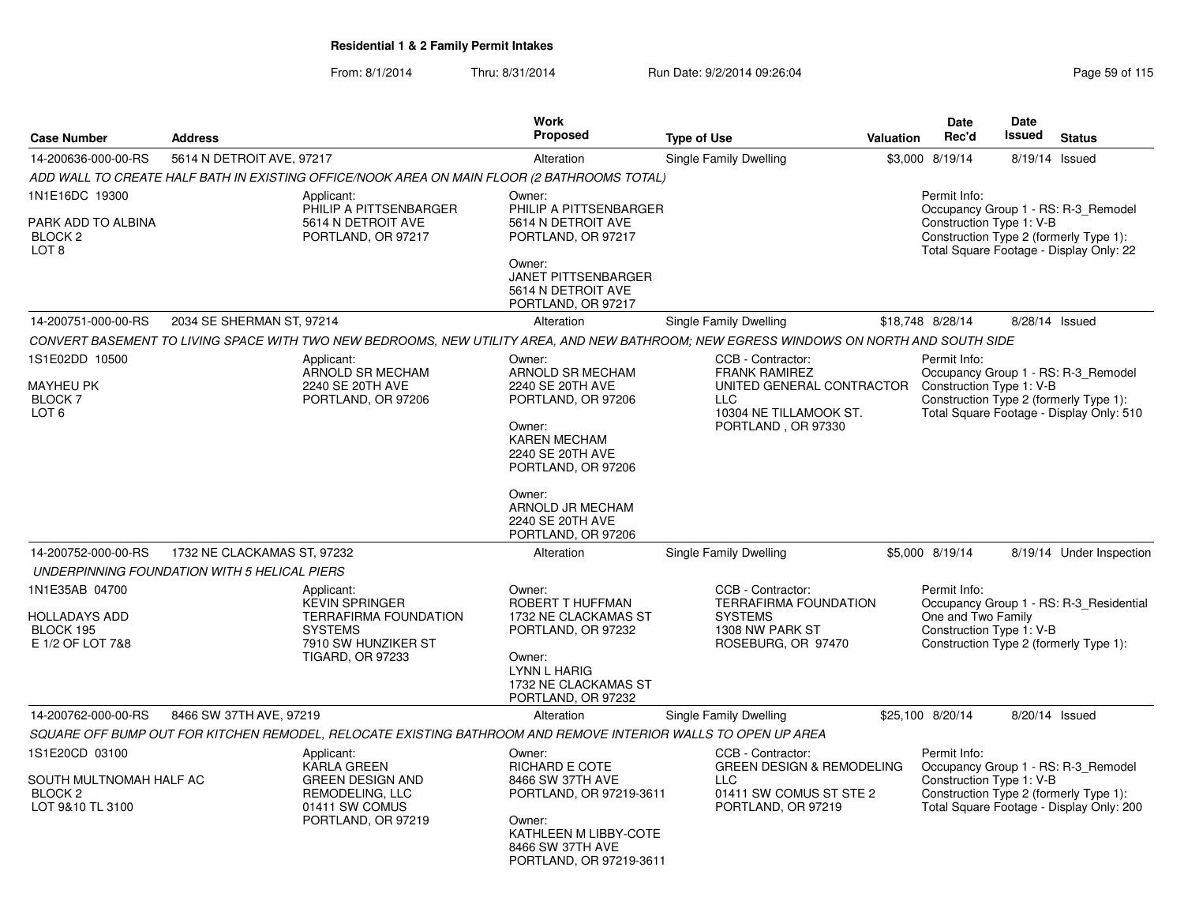|                                                                                     |                                              |                                                                                                                                         | Work                                                                                                                                                                                                                    |                                                                                                                                      |                  | <b>Date</b>                                                    | <b>Date</b>    |                                                                                                                           |
|-------------------------------------------------------------------------------------|----------------------------------------------|-----------------------------------------------------------------------------------------------------------------------------------------|-------------------------------------------------------------------------------------------------------------------------------------------------------------------------------------------------------------------------|--------------------------------------------------------------------------------------------------------------------------------------|------------------|----------------------------------------------------------------|----------------|---------------------------------------------------------------------------------------------------------------------------|
| <b>Case Number</b>                                                                  | <b>Address</b>                               |                                                                                                                                         | <b>Proposed</b>                                                                                                                                                                                                         | <b>Type of Use</b>                                                                                                                   | <b>Valuation</b> | Rec'd                                                          | <b>Issued</b>  | <b>Status</b>                                                                                                             |
| 14-200636-000-00-RS                                                                 | 5614 N DETROIT AVE, 97217                    |                                                                                                                                         | Alteration                                                                                                                                                                                                              | Single Family Dwelling                                                                                                               |                  | \$3,000 8/19/14                                                | 8/19/14 Issued |                                                                                                                           |
|                                                                                     |                                              | ADD WALL TO CREATE HALF BATH IN EXISTING OFFICE/NOOK AREA ON MAIN FLOOR (2 BATHROOMS TOTAL)                                             |                                                                                                                                                                                                                         |                                                                                                                                      |                  |                                                                |                |                                                                                                                           |
| 1N1E16DC 19300<br>PARK ADD TO ALBINA<br>BLOCK 2<br>LOT <sub>8</sub>                 |                                              | Applicant:<br>PHILIP A PITTSENBARGER<br>5614 N DETROIT AVE<br>PORTLAND, OR 97217                                                        | Owner:<br>PHILIP A PITTSENBARGER<br>5614 N DETROIT AVE<br>PORTLAND, OR 97217<br>Owner:<br><b>JANET PITTSENBARGER</b><br>5614 N DETROIT AVE<br>PORTLAND, OR 97217                                                        |                                                                                                                                      |                  | Permit Info:<br>Construction Type 1: V-B                       |                | Occupancy Group 1 - RS: R-3_Remodel<br>Construction Type 2 (formerly Type 1):<br>Total Square Footage - Display Only: 22  |
| 14-200751-000-00-RS                                                                 | 2034 SE SHERMAN ST, 97214                    |                                                                                                                                         | Alteration                                                                                                                                                                                                              | Single Family Dwelling                                                                                                               |                  | \$18,748 8/28/14                                               | 8/28/14 Issued |                                                                                                                           |
|                                                                                     |                                              | CONVERT BASEMENT TO LIVING SPACE WITH TWO NEW BEDROOMS, NEW UTILITY AREA, AND NEW BATHROOM; NEW EGRESS WINDOWS ON NORTH AND SOUTH SIDE  |                                                                                                                                                                                                                         |                                                                                                                                      |                  |                                                                |                |                                                                                                                           |
| 1S1E02DD 10500<br>MAYHEU PK<br><b>BLOCK7</b><br>LOT <sub>6</sub>                    |                                              | Applicant:<br>ARNOLD SR MECHAM<br>2240 SE 20TH AVE<br>PORTLAND, OR 97206                                                                | Owner:<br>ARNOLD SR MECHAM<br>2240 SE 20TH AVE<br>PORTLAND, OR 97206<br>Owner:<br><b>KAREN MECHAM</b><br>2240 SE 20TH AVE<br>PORTLAND, OR 97206<br>Owner:<br>ARNOLD JR MECHAM<br>2240 SE 20TH AVE<br>PORTLAND, OR 97206 | CCB - Contractor:<br><b>FRANK RAMIREZ</b><br>UNITED GENERAL CONTRACTOR<br><b>LLC</b><br>10304 NE TILLAMOOK ST.<br>PORTLAND, OR 97330 |                  | Permit Info:<br>Construction Type 1: V-B                       |                | Occupancy Group 1 - RS: R-3 Remodel<br>Construction Type 2 (formerly Type 1):<br>Total Square Footage - Display Only: 510 |
| 14-200752-000-00-RS                                                                 | 1732 NE CLACKAMAS ST, 97232                  |                                                                                                                                         | Alteration                                                                                                                                                                                                              | Single Family Dwelling                                                                                                               |                  | \$5,000 8/19/14                                                |                | 8/19/14 Under Inspection                                                                                                  |
|                                                                                     | UNDERPINNING FOUNDATION WITH 5 HELICAL PIERS |                                                                                                                                         |                                                                                                                                                                                                                         |                                                                                                                                      |                  |                                                                |                |                                                                                                                           |
| 1N1E35AB 04700<br><b>HOLLADAYS ADD</b><br>BLOCK 195<br>E 1/2 OF LOT 7&8             |                                              | Applicant:<br><b>KEVIN SPRINGER</b><br><b>TERRAFIRMA FOUNDATION</b><br><b>SYSTEMS</b><br>7910 SW HUNZIKER ST<br><b>TIGARD, OR 97233</b> | Owner:<br>ROBERT T HUFFMAN<br>1732 NE CLACKAMAS ST<br>PORTLAND, OR 97232<br>Owner:<br>LYNN L HARIG<br>1732 NE CLACKAMAS ST<br>PORTLAND, OR 97232                                                                        | CCB - Contractor:<br><b>TERRAFIRMA FOUNDATION</b><br><b>SYSTEMS</b><br>1308 NW PARK ST<br>ROSEBURG, OR 97470                         |                  | Permit Info:<br>One and Two Family<br>Construction Type 1: V-B |                | Occupancy Group 1 - RS: R-3_Residential<br>Construction Type 2 (formerly Type 1):                                         |
| 14-200762-000-00-RS                                                                 | 8466 SW 37TH AVE, 97219                      |                                                                                                                                         | Alteration                                                                                                                                                                                                              | Single Family Dwelling                                                                                                               |                  | \$25,100 8/20/14                                               | 8/20/14 Issued |                                                                                                                           |
|                                                                                     |                                              | SQUARE OFF BUMP OUT FOR KITCHEN REMODEL, RELOCATE EXISTING BATHROOM AND REMOVE INTERIOR WALLS TO OPEN UP AREA                           |                                                                                                                                                                                                                         |                                                                                                                                      |                  |                                                                |                |                                                                                                                           |
| 1S1E20CD 03100<br>SOUTH MULTNOMAH HALF AC<br>BLOCK <sub>2</sub><br>LOT 9&10 TL 3100 |                                              | Applicant:<br><b>KARLA GREEN</b><br><b>GREEN DESIGN AND</b><br>REMODELING, LLC<br>01411 SW COMUS<br>PORTLAND, OR 97219                  | Owner:<br><b>RICHARD E COTE</b><br>8466 SW 37TH AVE<br>PORTLAND, OR 97219-3611<br>Owner:<br>KATHLEEN M LIBBY-COTE<br>8466 SW 37TH AVE<br>PORTLAND, OR 97219-3611                                                        | CCB - Contractor:<br><b>GREEN DESIGN &amp; REMODELING</b><br><b>LLC</b><br>01411 SW COMUS ST STE 2<br>PORTLAND, OR 97219             |                  | Permit Info:<br>Construction Type 1: V-B                       |                | Occupancy Group 1 - RS: R-3_Remodel<br>Construction Type 2 (formerly Type 1):<br>Total Square Footage - Display Only: 200 |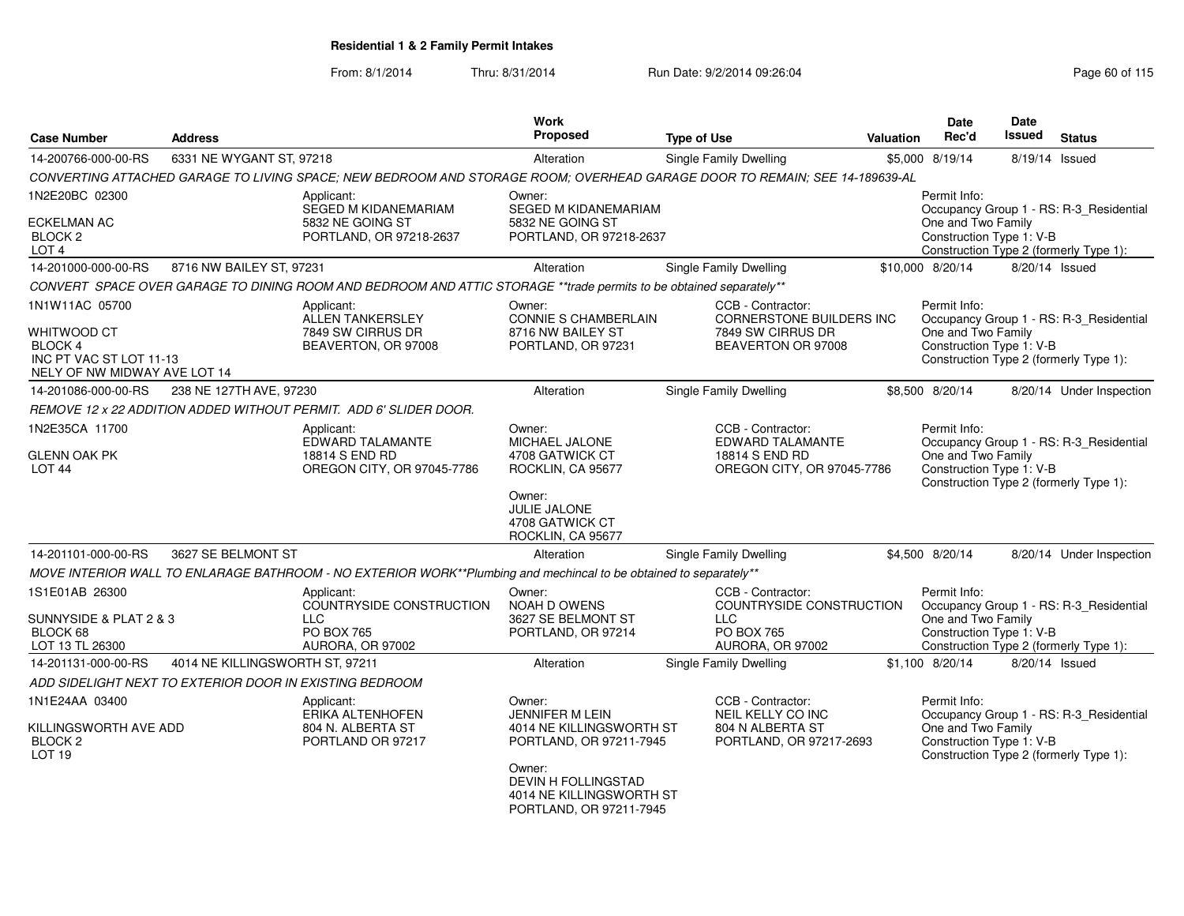| <b>Case Number</b>                                                                                         | <b>Address</b>                  |                                                                                                                            | Work<br><b>Proposed</b>                                                                                                                   | <b>Type of Use</b> |                                                                                               | <b>Valuation</b> | <b>Date</b><br>Rec'd                                           | Date<br>Issued | <b>Status</b>                                                                     |
|------------------------------------------------------------------------------------------------------------|---------------------------------|----------------------------------------------------------------------------------------------------------------------------|-------------------------------------------------------------------------------------------------------------------------------------------|--------------------|-----------------------------------------------------------------------------------------------|------------------|----------------------------------------------------------------|----------------|-----------------------------------------------------------------------------------|
| 14-200766-000-00-RS                                                                                        | 6331 NE WYGANT ST, 97218        |                                                                                                                            | Alteration                                                                                                                                |                    | Single Family Dwelling                                                                        |                  | \$5,000 8/19/14                                                | 8/19/14 Issued |                                                                                   |
|                                                                                                            |                                 | CONVERTING ATTACHED GARAGE TO LIVING SPACE; NEW BEDROOM AND STORAGE ROOM; OVERHEAD GARAGE DOOR TO REMAIN; SEE 14-189639-AL |                                                                                                                                           |                    |                                                                                               |                  |                                                                |                |                                                                                   |
| 1N2E20BC 02300<br><b>ECKELMAN AC</b><br>BLOCK <sub>2</sub><br>LOT <sub>4</sub>                             |                                 | Applicant:<br>SEGED M KIDANEMARIAM<br>5832 NE GOING ST<br>PORTLAND, OR 97218-2637                                          | Owner:<br><b>SEGED M KIDANEMARIAM</b><br>5832 NE GOING ST<br>PORTLAND, OR 97218-2637                                                      |                    |                                                                                               |                  | Permit Info:<br>One and Two Family<br>Construction Type 1: V-B |                | Occupancy Group 1 - RS: R-3_Residential<br>Construction Type 2 (formerly Type 1): |
| 14-201000-000-00-RS                                                                                        | 8716 NW BAILEY ST, 97231        |                                                                                                                            | Alteration                                                                                                                                |                    | Single Family Dwelling                                                                        |                  | \$10,000 8/20/14                                               | 8/20/14 Issued |                                                                                   |
|                                                                                                            |                                 | CONVERT SPACE OVER GARAGE TO DINING ROOM AND BEDROOM AND ATTIC STORAGE **trade permits to be obtained separately**         |                                                                                                                                           |                    |                                                                                               |                  |                                                                |                |                                                                                   |
| 1N1W11AC 05700<br>WHITWOOD CT<br><b>BLOCK 4</b><br>INC PT VAC ST LOT 11-13<br>NELY OF NW MIDWAY AVE LOT 14 |                                 | Applicant:<br><b>ALLEN TANKERSLEY</b><br>7849 SW CIRRUS DR<br>BEAVERTON, OR 97008                                          | Owner:<br><b>CONNIE S CHAMBERLAIN</b><br>8716 NW BAILEY ST<br>PORTLAND, OR 97231                                                          |                    | CCB - Contractor:<br>CORNERSTONE BUILDERS INC<br>7849 SW CIRRUS DR<br>BEAVERTON OR 97008      |                  | Permit Info:<br>One and Two Family<br>Construction Type 1: V-B |                | Occupancy Group 1 - RS: R-3_Residential<br>Construction Type 2 (formerly Type 1): |
| 14-201086-000-00-RS                                                                                        | 238 NE 127TH AVE, 97230         |                                                                                                                            | Alteration                                                                                                                                |                    | Single Family Dwelling                                                                        |                  | \$8,500 8/20/14                                                |                | 8/20/14 Under Inspection                                                          |
|                                                                                                            |                                 | REMOVE 12 x 22 ADDITION ADDED WITHOUT PERMIT. ADD 6' SLIDER DOOR.                                                          |                                                                                                                                           |                    |                                                                                               |                  |                                                                |                |                                                                                   |
| 1N2E35CA 11700<br><b>GLENN OAK PK</b><br>LOT <sub>44</sub>                                                 |                                 | Applicant:<br><b>EDWARD TALAMANTE</b><br>18814 S END RD<br>OREGON CITY, OR 97045-7786                                      | Owner:<br>MICHAEL JALONE<br>4708 GATWICK CT<br>ROCKLIN, CA 95677<br>Owner:<br><b>JULIE JALONE</b><br>4708 GATWICK CT<br>ROCKLIN, CA 95677 |                    | CCB - Contractor:<br>EDWARD TALAMANTE<br>18814 S END RD<br>OREGON CITY, OR 97045-7786         |                  | Permit Info:<br>One and Two Family<br>Construction Type 1: V-B |                | Occupancy Group 1 - RS: R-3_Residential<br>Construction Type 2 (formerly Type 1): |
| 14-201101-000-00-RS                                                                                        | 3627 SE BELMONT ST              |                                                                                                                            | Alteration                                                                                                                                |                    | Single Family Dwelling                                                                        |                  | \$4,500 8/20/14                                                |                | 8/20/14 Under Inspection                                                          |
|                                                                                                            |                                 | MOVE INTERIOR WALL TO ENLARAGE BATHROOM - NO EXTERIOR WORK**Plumbing and mechincal to be obtained to separately**          |                                                                                                                                           |                    |                                                                                               |                  |                                                                |                |                                                                                   |
| 1S1E01AB 26300<br>SUNNYSIDE & PLAT 2 & 3<br>BLOCK 68<br>LOT 13 TL 26300                                    |                                 | Applicant:<br>COUNTRYSIDE CONSTRUCTION<br><b>LLC</b><br><b>PO BOX 765</b><br>AURORA, OR 97002                              | Owner:<br><b>NOAH D OWENS</b><br>3627 SE BELMONT ST<br>PORTLAND, OR 97214                                                                 |                    | CCB - Contractor:<br>COUNTRYSIDE CONSTRUCTION<br><b>LLC</b><br>PO BOX 765<br>AURORA, OR 97002 |                  | Permit Info:<br>One and Two Family<br>Construction Type 1: V-B |                | Occupancy Group 1 - RS: R-3 Residential<br>Construction Type 2 (formerly Type 1): |
| 14-201131-000-00-RS                                                                                        | 4014 NE KILLINGSWORTH ST, 97211 |                                                                                                                            | Alteration                                                                                                                                |                    | Single Family Dwelling                                                                        |                  | \$1,100 8/20/14                                                | 8/20/14 Issued |                                                                                   |
| ADD SIDELIGHT NEXT TO EXTERIOR DOOR IN EXISTING BEDROOM                                                    |                                 |                                                                                                                            |                                                                                                                                           |                    |                                                                                               |                  |                                                                |                |                                                                                   |
| 1N1E24AA 03400<br>KILLINGSWORTH AVE ADD<br>BLOCK <sub>2</sub><br>LOT <sub>19</sub>                         |                                 | Applicant:<br><b>ERIKA ALTENHOFEN</b><br>804 N. ALBERTA ST<br>PORTLAND OR 97217                                            | Owner:<br><b>JENNIFER M LEIN</b><br>4014 NE KILLINGSWORTH ST<br>PORTLAND, OR 97211-7945<br>Owner:                                         |                    | CCB - Contractor:<br>NEIL KELLY CO INC<br>804 N ALBERTA ST<br>PORTLAND, OR 97217-2693         |                  | Permit Info:<br>One and Two Family<br>Construction Type 1: V-B |                | Occupancy Group 1 - RS: R-3 Residential<br>Construction Type 2 (formerly Type 1): |
|                                                                                                            |                                 |                                                                                                                            | <b>DEVIN H FOLLINGSTAD</b><br>4014 NE KILLINGSWORTH ST<br>PORTLAND, OR 97211-7945                                                         |                    |                                                                                               |                  |                                                                |                |                                                                                   |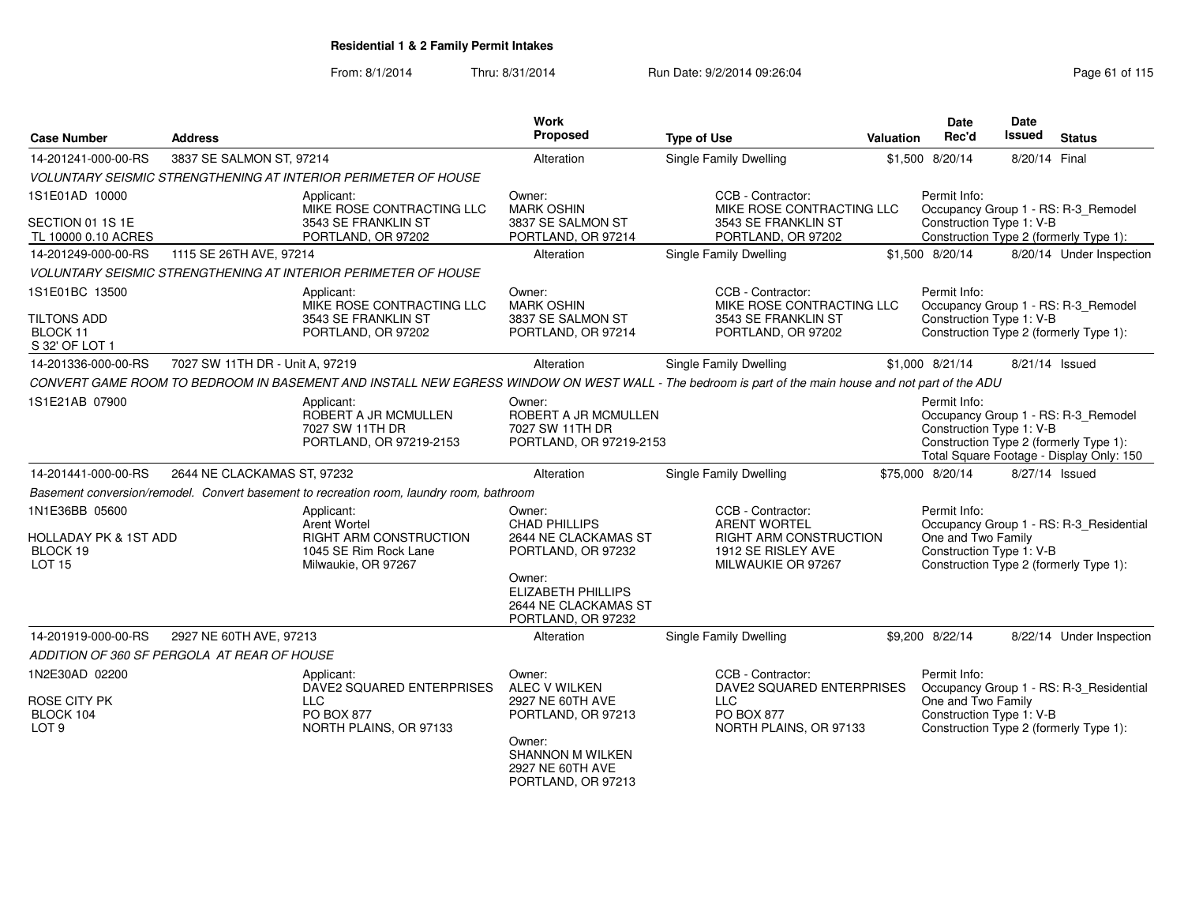| <b>Case Number</b>                                                              | <b>Address</b>                              |                                                                                                                                                     | Work<br>Proposed                                                                                                                                                  | <b>Type of Use</b>                                                                                             | Valuation | <b>Date</b><br>Rec'd                                           | Date<br><b>Issued</b> | <b>Status</b>                                                                                                             |
|---------------------------------------------------------------------------------|---------------------------------------------|-----------------------------------------------------------------------------------------------------------------------------------------------------|-------------------------------------------------------------------------------------------------------------------------------------------------------------------|----------------------------------------------------------------------------------------------------------------|-----------|----------------------------------------------------------------|-----------------------|---------------------------------------------------------------------------------------------------------------------------|
| 14-201241-000-00-RS                                                             | 3837 SE SALMON ST, 97214                    |                                                                                                                                                     | Alteration                                                                                                                                                        | Single Family Dwelling                                                                                         |           | \$1,500 8/20/14                                                | 8/20/14 Final         |                                                                                                                           |
|                                                                                 |                                             | <b>VOLUNTARY SEISMIC STRENGTHENING AT INTERIOR PERIMETER OF HOUSE</b>                                                                               |                                                                                                                                                                   |                                                                                                                |           |                                                                |                       |                                                                                                                           |
| 1S1E01AD 10000                                                                  |                                             | Applicant:<br>MIKE ROSE CONTRACTING LLC                                                                                                             | Owner:<br><b>MARK OSHIN</b>                                                                                                                                       | CCB - Contractor:<br>MIKE ROSE CONTRACTING LLC                                                                 |           | Permit Info:                                                   |                       | Occupancy Group 1 - RS: R-3_Remodel                                                                                       |
| SECTION 01 1S 1E<br>TL 10000 0.10 ACRES                                         |                                             | 3543 SE FRANKLIN ST<br>PORTLAND, OR 97202                                                                                                           | 3837 SE SALMON ST<br>PORTLAND, OR 97214                                                                                                                           | 3543 SE FRANKLIN ST<br>PORTLAND, OR 97202                                                                      |           | Construction Type 1: V-B                                       |                       | Construction Type 2 (formerly Type 1):                                                                                    |
| 14-201249-000-00-RS                                                             | 1115 SE 26TH AVE, 97214                     |                                                                                                                                                     | Alteration                                                                                                                                                        | Single Family Dwelling                                                                                         |           | \$1,500 8/20/14                                                |                       | 8/20/14 Under Inspection                                                                                                  |
|                                                                                 |                                             | <b>VOLUNTARY SEISMIC STRENGTHENING AT INTERIOR PERIMETER OF HOUSE</b>                                                                               |                                                                                                                                                                   |                                                                                                                |           |                                                                |                       |                                                                                                                           |
| 1S1E01BC 13500<br><b>TILTONS ADD</b><br>BLOCK 11<br>S 32' OF LOT 1              |                                             | Applicant:<br>MIKE ROSE CONTRACTING LLC<br>3543 SE FRANKLIN ST<br>PORTLAND, OR 97202                                                                | Owner:<br><b>MARK OSHIN</b><br>3837 SE SALMON ST<br>PORTLAND, OR 97214                                                                                            | CCB - Contractor:<br>MIKE ROSE CONTRACTING LLC<br>3543 SE FRANKLIN ST<br>PORTLAND, OR 97202                    |           | Permit Info:<br>Construction Type 1: V-B                       |                       | Occupancy Group 1 - RS: R-3_Remodel<br>Construction Type 2 (formerly Type 1):                                             |
| 14-201336-000-00-RS                                                             | 7027 SW 11TH DR - Unit A, 97219             |                                                                                                                                                     | Alteration                                                                                                                                                        | Single Family Dwelling                                                                                         |           | \$1,000 8/21/14                                                |                       | 8/21/14 Issued                                                                                                            |
|                                                                                 |                                             | CONVERT GAME ROOM TO BEDROOM IN BASEMENT AND INSTALL NEW EGRESS WINDOW ON WEST WALL - The bedroom is part of the main house and not part of the ADU |                                                                                                                                                                   |                                                                                                                |           |                                                                |                       |                                                                                                                           |
| 1S1E21AB 07900                                                                  |                                             | Applicant:<br>ROBERT A JR MCMULLEN<br>7027 SW 11TH DR<br>PORTLAND, OR 97219-2153                                                                    | Owner:<br>ROBERT A JR MCMULLEN<br>7027 SW 11TH DR<br>PORTLAND, OR 97219-2153                                                                                      |                                                                                                                |           | Permit Info:<br>Construction Type 1: V-B                       |                       | Occupancy Group 1 - RS: R-3_Remodel<br>Construction Type 2 (formerly Type 1):<br>Total Square Footage - Display Only: 150 |
| 14-201441-000-00-RS                                                             | 2644 NE CLACKAMAS ST, 97232                 |                                                                                                                                                     | Alteration                                                                                                                                                        | Single Family Dwelling                                                                                         |           | \$75,000 8/20/14                                               |                       | 8/27/14 Issued                                                                                                            |
|                                                                                 |                                             | Basement conversion/remodel. Convert basement to recreation room, laundry room, bathroom                                                            |                                                                                                                                                                   |                                                                                                                |           |                                                                |                       |                                                                                                                           |
| 1N1E36BB 05600<br><b>HOLLADAY PK &amp; 1ST ADD</b><br>BLOCK 19<br><b>LOT 15</b> |                                             | Applicant:<br>Arent Wortel<br><b>RIGHT ARM CONSTRUCTION</b><br>1045 SE Rim Rock Lane<br>Milwaukie, OR 97267                                         | Owner:<br><b>CHAD PHILLIPS</b><br>2644 NE CLACKAMAS ST<br>PORTLAND, OR 97232<br>Owner:<br><b>ELIZABETH PHILLIPS</b><br>2644 NE CLACKAMAS ST<br>PORTLAND, OR 97232 | CCB - Contractor:<br><b>ARENT WORTEL</b><br>RIGHT ARM CONSTRUCTION<br>1912 SE RISLEY AVE<br>MILWAUKIE OR 97267 |           | Permit Info:<br>One and Two Family<br>Construction Type 1: V-B |                       | Occupancy Group 1 - RS: R-3_Residential<br>Construction Type 2 (formerly Type 1):                                         |
| 14-201919-000-00-RS                                                             | 2927 NE 60TH AVE, 97213                     |                                                                                                                                                     | Alteration                                                                                                                                                        | <b>Single Family Dwelling</b>                                                                                  |           | \$9,200 8/22/14                                                |                       | 8/22/14 Under Inspection                                                                                                  |
|                                                                                 | ADDITION OF 360 SF PERGOLA AT REAR OF HOUSE |                                                                                                                                                     |                                                                                                                                                                   |                                                                                                                |           |                                                                |                       |                                                                                                                           |
| 1N2E30AD 02200<br><b>ROSE CITY PK</b><br>BLOCK 104<br>LOT <sub>9</sub>          |                                             | Applicant:<br>DAVE2 SQUARED ENTERPRISES<br><b>LLC</b><br>PO BOX 877<br>NORTH PLAINS, OR 97133                                                       | Owner:<br><b>ALEC V WILKEN</b><br>2927 NE 60TH AVE<br>PORTLAND, OR 97213<br>Owner:<br><b>SHANNON M WILKEN</b><br>2927 NE 60TH AVE<br>PORTLAND, OR 97213           | CCB - Contractor:<br>DAVE2 SQUARED ENTERPRISES<br><b>LLC</b><br>PO BOX 877<br>NORTH PLAINS, OR 97133           |           | Permit Info:<br>One and Two Family<br>Construction Type 1: V-B |                       | Occupancy Group 1 - RS: R-3 Residential<br>Construction Type 2 (formerly Type 1):                                         |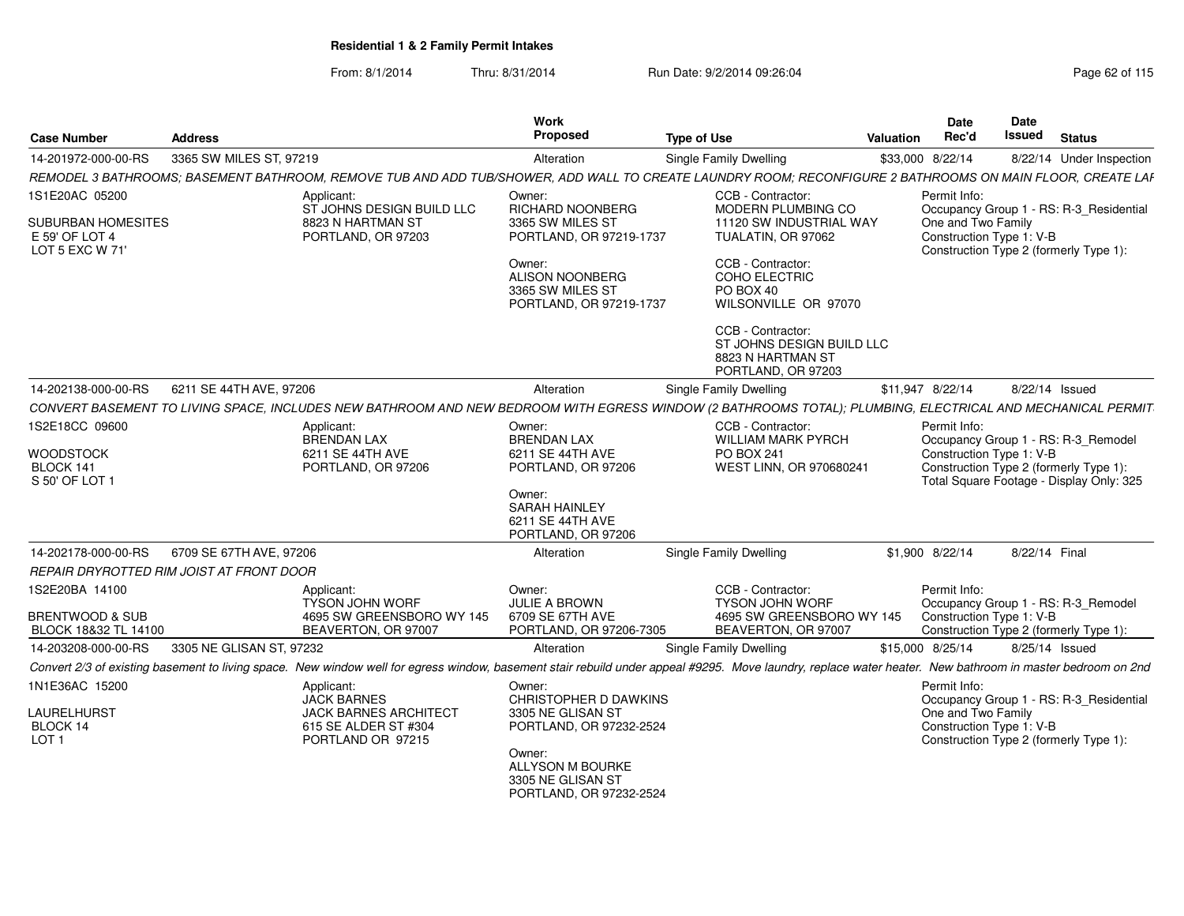| <b>Case Number</b>                                             | <b>Address</b>                           |                                                                                                 | Work<br><b>Proposed</b>                                                                             | <b>Type of Use</b>                                                                                                                                                                                                                         | <b>Valuation</b> | <b>Date</b><br>Rec'd                                                                     | Date<br><b>Issued</b> | <b>Status</b>                            |
|----------------------------------------------------------------|------------------------------------------|-------------------------------------------------------------------------------------------------|-----------------------------------------------------------------------------------------------------|--------------------------------------------------------------------------------------------------------------------------------------------------------------------------------------------------------------------------------------------|------------------|------------------------------------------------------------------------------------------|-----------------------|------------------------------------------|
| 14-201972-000-00-RS                                            | 3365 SW MILES ST, 97219                  |                                                                                                 | Alteration                                                                                          | Single Family Dwelling                                                                                                                                                                                                                     |                  | \$33,000 8/22/14                                                                         |                       | 8/22/14 Under Inspection                 |
|                                                                |                                          |                                                                                                 |                                                                                                     | REMODEL 3 BATHROOMS; BASEMENT BATHROOM, REMOVE TUB AND ADD TUB/SHOWER, ADD WALL TO CREATE LAUNDRY ROOM; RECONFIGURE 2 BATHROOMS ON MAIN FLOOR, CREATE LAF                                                                                  |                  |                                                                                          |                       |                                          |
| 1S1E20AC 05200                                                 |                                          | Applicant:<br>ST JOHNS DESIGN BUILD LLC                                                         | Owner:<br>RICHARD NOONBERG                                                                          | CCB - Contractor:<br>MODERN PLUMBING CO                                                                                                                                                                                                    |                  | Permit Info:                                                                             |                       | Occupancy Group 1 - RS: R-3_Residential  |
| <b>SUBURBAN HOMESITES</b><br>E 59' OF LOT 4<br>LOT 5 EXC W 71' |                                          | 8823 N HARTMAN ST<br>PORTLAND, OR 97203                                                         | 3365 SW MILES ST<br>PORTLAND, OR 97219-1737                                                         | 11120 SW INDUSTRIAL WAY<br>TUALATIN, OR 97062                                                                                                                                                                                              |                  | One and Two Family<br>Construction Type 1: V-B<br>Construction Type 2 (formerly Type 1): |                       |                                          |
|                                                                |                                          |                                                                                                 | Owner:<br><b>ALISON NOONBERG</b><br>3365 SW MILES ST<br>PORTLAND, OR 97219-1737                     | CCB - Contractor:<br>COHO ELECTRIC<br>PO BOX 40<br>WILSONVILLE OR 97070                                                                                                                                                                    |                  |                                                                                          |                       |                                          |
|                                                                |                                          |                                                                                                 |                                                                                                     | CCB - Contractor:<br>ST JOHNS DESIGN BUILD LLC<br>8823 N HARTMAN ST<br>PORTLAND, OR 97203                                                                                                                                                  |                  |                                                                                          |                       |                                          |
| 14-202138-000-00-RS                                            | 6211 SE 44TH AVE, 97206                  |                                                                                                 | Alteration                                                                                          | <b>Single Family Dwelling</b>                                                                                                                                                                                                              |                  | \$11,947 8/22/14                                                                         | 8/22/14 Issued        |                                          |
|                                                                |                                          |                                                                                                 |                                                                                                     | CONVERT BASEMENT TO LIVING SPACE, INCLUDES NEW BATHROOM AND NEW BEDROOM WITH EGRESS WINDOW (2 BATHROOMS TOTAL); PLUMBING, ELECTRICAL AND MECHANICAL PERMIT                                                                                 |                  |                                                                                          |                       |                                          |
| 1S2E18CC 09600                                                 |                                          | Applicant:<br><b>BRENDAN LAX</b>                                                                | Owner:<br><b>BRENDAN LAX</b>                                                                        | CCB - Contractor:<br><b>WILLIAM MARK PYRCH</b>                                                                                                                                                                                             |                  | Permit Info:                                                                             |                       | Occupancy Group 1 - RS: R-3_Remodel      |
| <b>WOODSTOCK</b><br>BLOCK 141<br>S 50' OF LOT 1                |                                          | 6211 SE 44TH AVE<br>PORTLAND, OR 97206                                                          | 6211 SE 44TH AVE<br>PORTLAND, OR 97206                                                              | <b>PO BOX 241</b><br>WEST LINN, OR 970680241                                                                                                                                                                                               |                  | Construction Type 1: V-B<br>Construction Type 2 (formerly Type 1):                       |                       | Total Square Footage - Display Only: 325 |
|                                                                |                                          |                                                                                                 | Owner:<br><b>SARAH HAINLEY</b><br>6211 SE 44TH AVE<br>PORTLAND, OR 97206                            |                                                                                                                                                                                                                                            |                  |                                                                                          |                       |                                          |
| 14-202178-000-00-RS                                            | 6709 SE 67TH AVE, 97206                  |                                                                                                 | Alteration                                                                                          | <b>Single Family Dwelling</b>                                                                                                                                                                                                              |                  | \$1,900 8/22/14                                                                          | 8/22/14 Final         |                                          |
|                                                                | REPAIR DRYROTTED RIM JOIST AT FRONT DOOR |                                                                                                 |                                                                                                     |                                                                                                                                                                                                                                            |                  |                                                                                          |                       |                                          |
| 1S2E20BA 14100<br><b>BRENTWOOD &amp; SUB</b>                   |                                          | Applicant:<br><b>TYSON JOHN WORF</b><br>4695 SW GREENSBORO WY 145                               | Owner:<br>JULIE A BROWN<br>6709 SE 67TH AVE                                                         | CCB - Contractor:<br>TYSON JOHN WORF<br>4695 SW GREENSBORO WY 145                                                                                                                                                                          |                  | Permit Info:<br>Construction Type 1: V-B                                                 |                       | Occupancy Group 1 - RS: R-3_Remodel      |
| BLOCK 18&32 TL 14100                                           |                                          | BEAVERTON, OR 97007                                                                             | PORTLAND, OR 97206-7305                                                                             | BEAVERTON, OR 97007                                                                                                                                                                                                                        |                  | Construction Type 2 (formerly Type 1):                                                   |                       |                                          |
| 14-203208-000-00-RS                                            | 3305 NE GLISAN ST, 97232                 |                                                                                                 | Alteration                                                                                          | <b>Single Family Dwelling</b><br>Convert 2/3 of existing basement to living space. New window well for egress window, basement stair rebuild under appeal #9295. Move laundry, replace water heater. New bathroom in master bedroom on 2nd |                  | \$15,000 8/25/14                                                                         |                       | 8/25/14 Issued                           |
| 1N1E36AC 15200                                                 |                                          | Applicant:                                                                                      | Owner:                                                                                              |                                                                                                                                                                                                                                            |                  | Permit Info:                                                                             |                       |                                          |
| LAURELHURST<br>BLOCK 14<br>LOT <sub>1</sub>                    |                                          | <b>JACK BARNES</b><br><b>JACK BARNES ARCHITECT</b><br>615 SE ALDER ST #304<br>PORTLAND OR 97215 | CHRISTOPHER D DAWKINS<br>3305 NE GLISAN ST<br>PORTLAND, OR 97232-2524<br>Owner:<br>ALLYSON M BOURKE |                                                                                                                                                                                                                                            |                  | One and Two Family<br>Construction Type 1: V-B<br>Construction Type 2 (formerly Type 1): |                       | Occupancy Group 1 - RS: R-3 Residential  |
|                                                                |                                          |                                                                                                 | 3305 NE GLISAN ST<br>PORTLAND, OR 97232-2524                                                        |                                                                                                                                                                                                                                            |                  |                                                                                          |                       |                                          |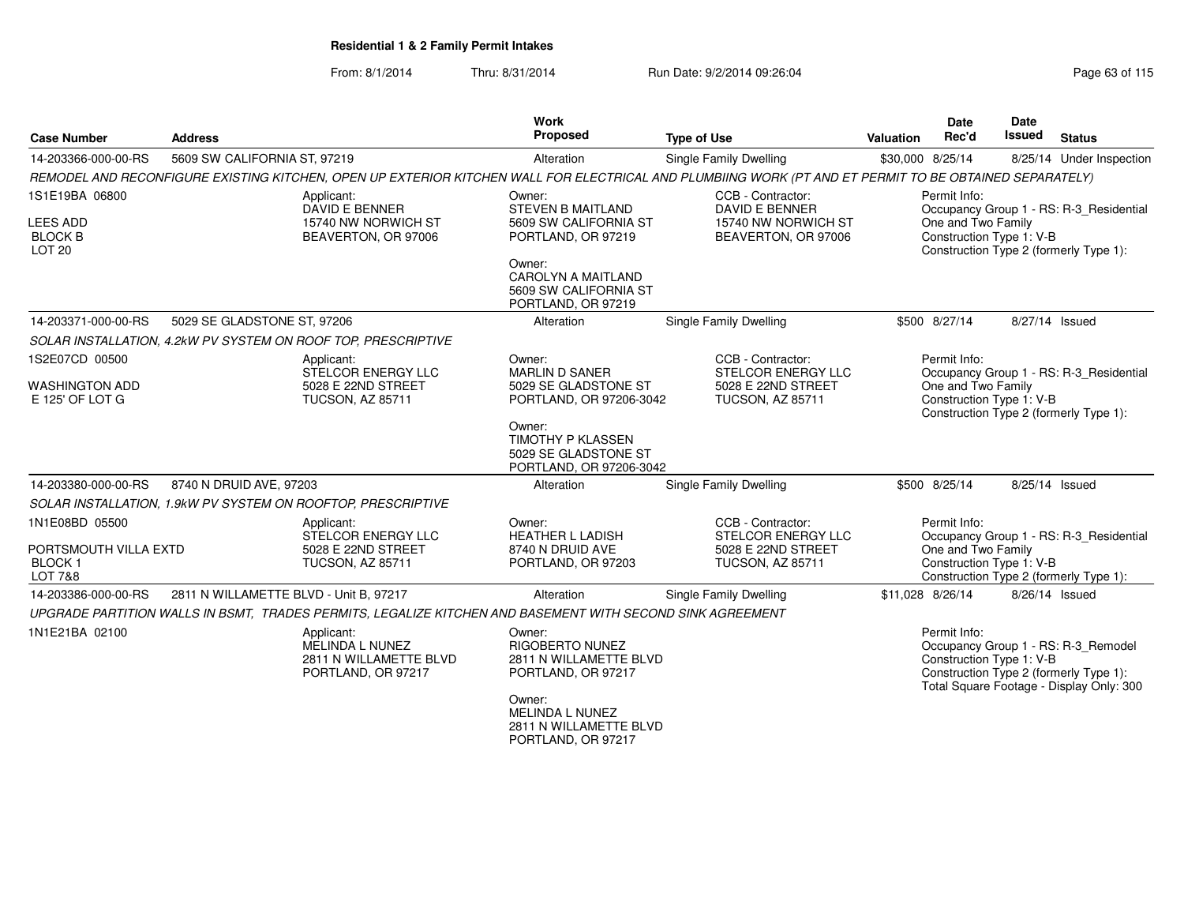| <b>Case Number</b>                                                       | <b>Address</b>                                                                                                                                         | <b>Work</b><br>Proposed                                                                                                                                                     | <b>Type of Use</b>                                                                              | Valuation        | <b>Date</b><br>Rec'd                                           | Date<br>Issued | <b>Status</b>                                                                                                             |
|--------------------------------------------------------------------------|--------------------------------------------------------------------------------------------------------------------------------------------------------|-----------------------------------------------------------------------------------------------------------------------------------------------------------------------------|-------------------------------------------------------------------------------------------------|------------------|----------------------------------------------------------------|----------------|---------------------------------------------------------------------------------------------------------------------------|
| 14-203366-000-00-RS                                                      | 5609 SW CALIFORNIA ST, 97219                                                                                                                           | Alteration                                                                                                                                                                  | Single Family Dwelling                                                                          | \$30,000 8/25/14 |                                                                |                | 8/25/14 Under Inspection                                                                                                  |
|                                                                          | REMODEL AND RECONFIGURE EXISTING KITCHEN, OPEN UP EXTERIOR KITCHEN WALL FOR ELECTRICAL AND PLUMBIING WORK (PT AND ET PERMIT TO BE OBTAINED SEPARATELY) |                                                                                                                                                                             |                                                                                                 |                  |                                                                |                |                                                                                                                           |
| 1S1E19BA 06800<br><b>LEES ADD</b><br><b>BLOCK B</b><br>LOT <sub>20</sub> | Applicant:<br><b>DAVID E BENNER</b><br>15740 NW NORWICH ST<br>BEAVERTON, OR 97006                                                                      | Owner:<br><b>STEVEN B MAITLAND</b><br>5609 SW CALIFORNIA ST<br>PORTLAND, OR 97219<br>Owner:<br>CAROLYN A MAITLAND<br>5609 SW CALIFORNIA ST<br>PORTLAND, OR 97219            | CCB - Contractor:<br>DAVID E BENNER<br>15740 NW NORWICH ST<br>BEAVERTON, OR 97006               |                  | Permit Info:<br>One and Two Family<br>Construction Type 1: V-B |                | Occupancy Group 1 - RS: R-3_Residential<br>Construction Type 2 (formerly Type 1):                                         |
| 14-203371-000-00-RS                                                      | 5029 SE GLADSTONE ST, 97206                                                                                                                            | Alteration                                                                                                                                                                  | Single Family Dwelling                                                                          |                  | \$500 8/27/14                                                  | 8/27/14 Issued |                                                                                                                           |
|                                                                          | SOLAR INSTALLATION, 4.2kW PV SYSTEM ON ROOF TOP, PRESCRIPTIVE                                                                                          |                                                                                                                                                                             |                                                                                                 |                  |                                                                |                |                                                                                                                           |
| 1S2E07CD 00500<br><b>WASHINGTON ADD</b><br>E 125' OF LOT G               | Applicant:<br>STELCOR ENERGY LLC<br>5028 E 22ND STREET<br><b>TUCSON, AZ 85711</b>                                                                      | Owner:<br><b>MARLIN D SANER</b><br>5029 SE GLADSTONE ST<br>PORTLAND, OR 97206-3042<br>Owner:<br><b>TIMOTHY P KLASSEN</b><br>5029 SE GLADSTONE ST<br>PORTLAND, OR 97206-3042 | CCB - Contractor:<br>STELCOR ENERGY LLC<br>5028 E 22ND STREET<br><b>TUCSON, AZ 85711</b>        |                  | Permit Info:<br>One and Two Family<br>Construction Type 1: V-B |                | Occupancy Group 1 - RS: R-3 Residential<br>Construction Type 2 (formerly Type 1):                                         |
| 14-203380-000-00-RS                                                      | 8740 N DRUID AVE, 97203                                                                                                                                | Alteration                                                                                                                                                                  | Single Family Dwelling                                                                          |                  | \$500 8/25/14                                                  | 8/25/14 Issued |                                                                                                                           |
|                                                                          | SOLAR INSTALLATION, 1.9kW PV SYSTEM ON ROOFTOP, PRESCRIPTIVE                                                                                           |                                                                                                                                                                             |                                                                                                 |                  |                                                                |                |                                                                                                                           |
| 1N1E08BD 05500<br>PORTSMOUTH VILLA EXTD<br>BLOCK 1<br><b>LOT 7&amp;8</b> | Applicant:<br>STELCOR ENERGY LLC<br>5028 E 22ND STREET<br><b>TUCSON, AZ 85711</b>                                                                      | Owner:<br><b>HEATHER L LADISH</b><br>8740 N DRUID AVE<br>PORTLAND, OR 97203                                                                                                 | CCB - Contractor:<br><b>STELCOR ENERGY LLC</b><br>5028 E 22ND STREET<br><b>TUCSON, AZ 85711</b> |                  | Permit Info:<br>One and Two Family<br>Construction Type 1: V-B |                | Occupancy Group 1 - RS: R-3_Residential<br>Construction Type 2 (formerly Type 1):                                         |
| 14-203386-000-00-RS                                                      | 2811 N WILLAMETTE BLVD - Unit B, 97217                                                                                                                 | Alteration                                                                                                                                                                  | Single Family Dwelling                                                                          | \$11.028 8/26/14 |                                                                | 8/26/14 Issued |                                                                                                                           |
|                                                                          | UPGRADE PARTITION WALLS IN BSMT, TRADES PERMITS, LEGALIZE KITCHEN AND BASEMENT WITH SECOND SINK AGREEMENT                                              |                                                                                                                                                                             |                                                                                                 |                  |                                                                |                |                                                                                                                           |
| 1N1E21BA 02100                                                           | Applicant:<br>MELINDA L NUNEZ<br>2811 N WILLAMETTE BLVD<br>PORTLAND, OR 97217                                                                          | Owner:<br><b>RIGOBERTO NUNEZ</b><br>2811 N WILLAMETTE BLVD<br>PORTLAND, OR 97217<br>Owner:<br><b>MELINDA L NUNEZ</b><br>2811 N WILLAMETTE BLVD<br>PORTLAND, OR 97217        |                                                                                                 |                  | Permit Info:<br>Construction Type 1: V-B                       |                | Occupancy Group 1 - RS: R-3_Remodel<br>Construction Type 2 (formerly Type 1):<br>Total Square Footage - Display Only: 300 |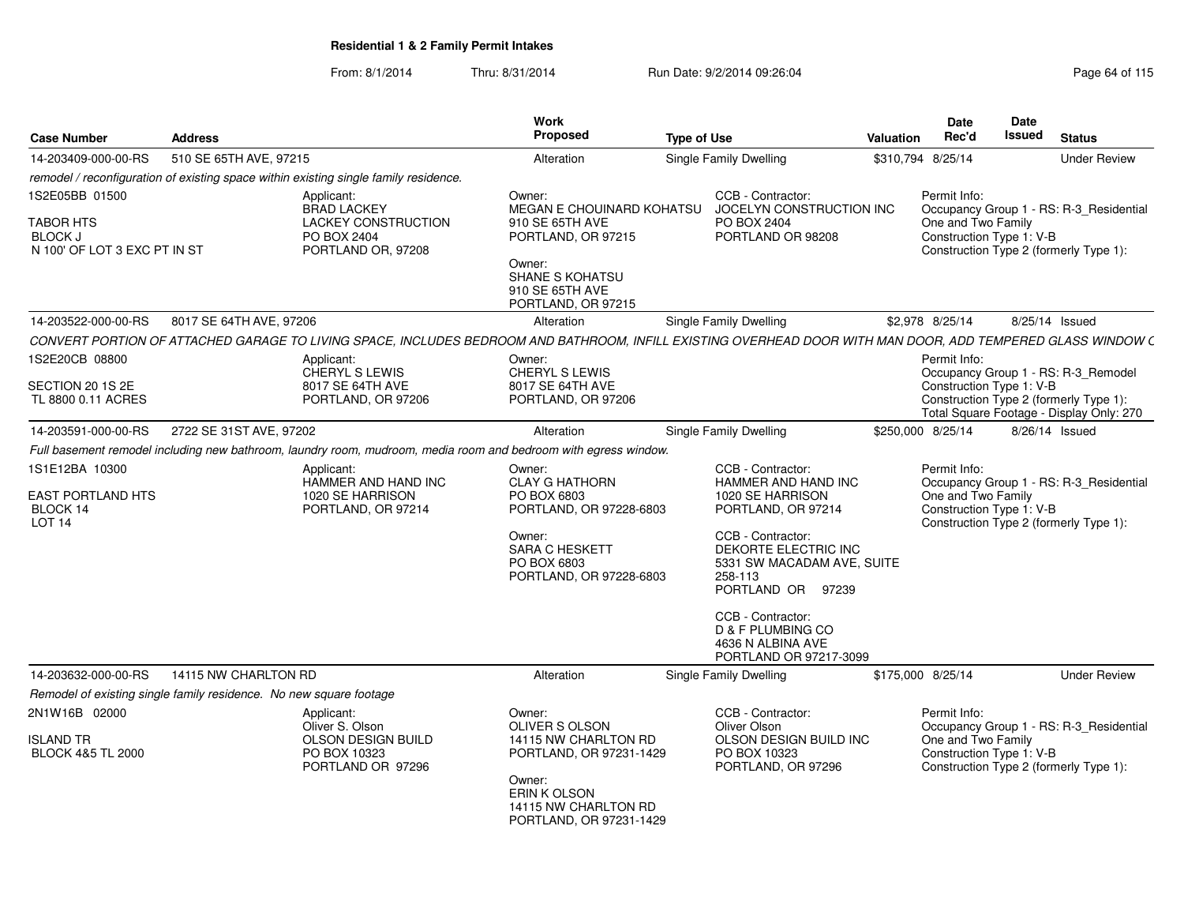| <b>Case Number</b>                                                                   | <b>Address</b>                                                     |                                                                                                                                                             | Work<br>Proposed                                                                                                                                                | <b>Type of Use</b> |                                                                                                                                                                                                                                                                                        | Valuation | <b>Date</b><br>Rec'd                                           | Date<br><b>Issued</b> | <b>Status</b>                                                                                                             |
|--------------------------------------------------------------------------------------|--------------------------------------------------------------------|-------------------------------------------------------------------------------------------------------------------------------------------------------------|-----------------------------------------------------------------------------------------------------------------------------------------------------------------|--------------------|----------------------------------------------------------------------------------------------------------------------------------------------------------------------------------------------------------------------------------------------------------------------------------------|-----------|----------------------------------------------------------------|-----------------------|---------------------------------------------------------------------------------------------------------------------------|
| 14-203409-000-00-RS                                                                  | 510 SE 65TH AVE, 97215                                             |                                                                                                                                                             | Alteration                                                                                                                                                      |                    | <b>Single Family Dwelling</b>                                                                                                                                                                                                                                                          |           | \$310,794 8/25/14                                              |                       | <b>Under Review</b>                                                                                                       |
|                                                                                      |                                                                    | remodel / reconfiguration of existing space within existing single family residence.                                                                        |                                                                                                                                                                 |                    |                                                                                                                                                                                                                                                                                        |           |                                                                |                       |                                                                                                                           |
| 1S2E05BB 01500<br><b>TABOR HTS</b><br><b>BLOCK J</b><br>N 100' OF LOT 3 EXC PT IN ST |                                                                    | Applicant:<br><b>BRAD LACKEY</b><br><b>LACKEY CONSTRUCTION</b><br>PO BOX 2404<br>PORTLAND OR, 97208                                                         | Owner:<br>MEGAN E CHOUINARD KOHATSU<br>910 SE 65TH AVE<br>PORTLAND, OR 97215<br>Owner:<br>SHANE S KOHATSU<br>910 SE 65TH AVE<br>PORTLAND, OR 97215              |                    | CCB - Contractor:<br>JOCELYN CONSTRUCTION INC<br>PO BOX 2404<br>PORTLAND OR 98208                                                                                                                                                                                                      |           | Permit Info:<br>One and Two Family<br>Construction Type 1: V-B |                       | Occupancy Group 1 - RS: R-3_Residential<br>Construction Type 2 (formerly Type 1):                                         |
| 14-203522-000-00-RS                                                                  | 8017 SE 64TH AVE, 97206                                            |                                                                                                                                                             | Alteration                                                                                                                                                      |                    | Single Family Dwelling                                                                                                                                                                                                                                                                 |           | \$2,978 8/25/14                                                |                       | 8/25/14 Issued                                                                                                            |
|                                                                                      |                                                                    | CONVERT PORTION OF ATTACHED GARAGE TO LIVING SPACE, INCLUDES BEDROOM AND BATHROOM, INFILL EXISTING OVERHEAD DOOR WITH MAN DOOR, ADD TEMPERED GLASS WINDOW ( |                                                                                                                                                                 |                    |                                                                                                                                                                                                                                                                                        |           |                                                                |                       |                                                                                                                           |
| 1S2E20CB 08800<br>SECTION 20 1S 2E<br>TL 8800 0.11 ACRES                             |                                                                    | Applicant:<br><b>CHERYL S LEWIS</b><br>8017 SE 64TH AVE<br>PORTLAND, OR 97206                                                                               | Owner:<br>CHERYL S LEWIS<br>8017 SE 64TH AVE<br>PORTLAND, OR 97206                                                                                              |                    |                                                                                                                                                                                                                                                                                        |           | Permit Info:<br>Construction Type 1: V-B                       |                       | Occupancy Group 1 - RS: R-3_Remodel<br>Construction Type 2 (formerly Type 1):<br>Total Square Footage - Display Only: 270 |
| 14-203591-000-00-RS                                                                  | 2722 SE 31ST AVE, 97202                                            |                                                                                                                                                             | Alteration                                                                                                                                                      |                    | Single Family Dwelling                                                                                                                                                                                                                                                                 |           | \$250,000 8/25/14                                              |                       | 8/26/14 Issued                                                                                                            |
|                                                                                      |                                                                    | Full basement remodel including new bathroom, laundry room, mudroom, media room and bedroom with egress window.                                             |                                                                                                                                                                 |                    |                                                                                                                                                                                                                                                                                        |           |                                                                |                       |                                                                                                                           |
| 1S1E12BA 10300<br><b>EAST PORTLAND HTS</b><br>BLOCK 14<br>LOT <sub>14</sub>          |                                                                    | Applicant:<br>HAMMER AND HAND INC<br>1020 SE HARRISON<br>PORTLAND, OR 97214                                                                                 | Owner:<br><b>CLAY G HATHORN</b><br>PO BOX 6803<br>PORTLAND, OR 97228-6803<br>Owner:<br><b>SARA C HESKETT</b><br>PO BOX 6803<br>PORTLAND, OR 97228-6803          |                    | CCB - Contractor:<br>HAMMER AND HAND INC<br>1020 SE HARRISON<br>PORTLAND, OR 97214<br>CCB - Contractor:<br>DEKORTE ELECTRIC INC<br>5331 SW MACADAM AVE, SUITE<br>258-113<br>PORTLAND OR 97239<br>CCB - Contractor:<br>D & F PLUMBING CO<br>4636 N ALBINA AVE<br>PORTLAND OR 97217-3099 |           | Permit Info:<br>One and Two Family<br>Construction Type 1: V-B |                       | Occupancy Group 1 - RS: R-3_Residential<br>Construction Type 2 (formerly Type 1):                                         |
| 14-203632-000-00-RS                                                                  | 14115 NW CHARLTON RD                                               |                                                                                                                                                             | Alteration                                                                                                                                                      |                    | Single Family Dwelling                                                                                                                                                                                                                                                                 |           | \$175,000 8/25/14                                              |                       | <b>Under Review</b>                                                                                                       |
|                                                                                      | Remodel of existing single family residence. No new square footage |                                                                                                                                                             |                                                                                                                                                                 |                    |                                                                                                                                                                                                                                                                                        |           |                                                                |                       |                                                                                                                           |
| 2N1W16B 02000<br><b>ISLAND TR</b><br><b>BLOCK 4&amp;5 TL 2000</b>                    |                                                                    | Applicant:<br>Oliver S. Olson<br>OLSON DESIGN BUILD<br>PO BOX 10323<br>PORTLAND OR 97296                                                                    | Owner:<br>OLIVER S OLSON<br>14115 NW CHARLTON RD<br>PORTLAND, OR 97231-1429<br>Owner:<br><b>ERIN K OLSON</b><br>14115 NW CHARLTON RD<br>PORTLAND, OR 97231-1429 |                    | CCB - Contractor:<br>Oliver Olson<br>OLSON DESIGN BUILD INC<br>PO BOX 10323<br>PORTLAND, OR 97296                                                                                                                                                                                      |           | Permit Info:<br>One and Two Family<br>Construction Type 1: V-B |                       | Occupancy Group 1 - RS: R-3_Residential<br>Construction Type 2 (formerly Type 1):                                         |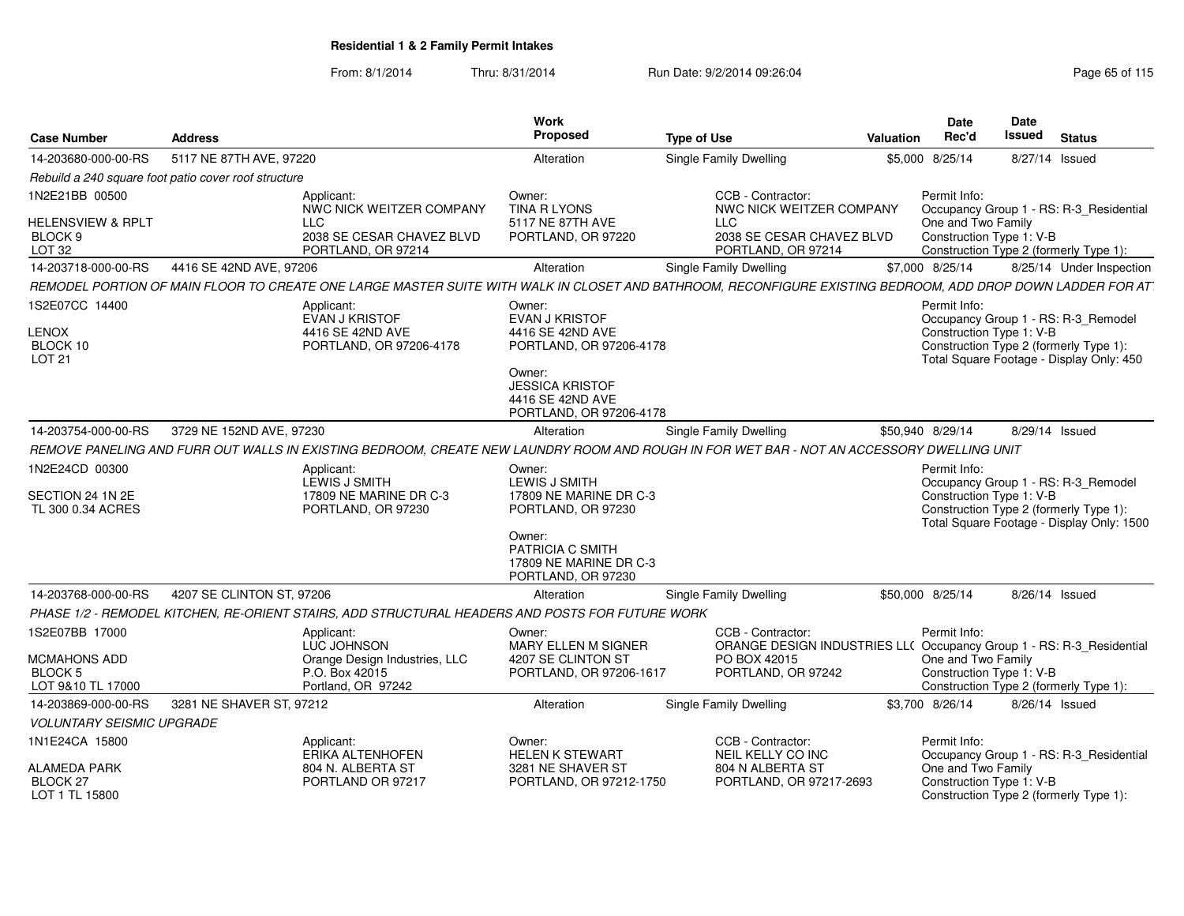| <b>Case Number</b>                                           | <b>Address</b>            |                                                                                                 | <b>Work</b><br>Proposed                                                         | <b>Type of Use</b>                                                                                                                                         | <b>Valuation</b> | Date<br>Rec'd                                  | <b>Date</b><br><b>Issued</b> | <b>Status</b>                                                                                                             |
|--------------------------------------------------------------|---------------------------|-------------------------------------------------------------------------------------------------|---------------------------------------------------------------------------------|------------------------------------------------------------------------------------------------------------------------------------------------------------|------------------|------------------------------------------------|------------------------------|---------------------------------------------------------------------------------------------------------------------------|
| 14-203680-000-00-RS                                          | 5117 NE 87TH AVE, 97220   |                                                                                                 | Alteration                                                                      | <b>Single Family Dwelling</b>                                                                                                                              |                  | \$5,000 8/25/14                                | 8/27/14 Issued               |                                                                                                                           |
| Rebuild a 240 square foot patio cover roof structure         |                           |                                                                                                 |                                                                                 |                                                                                                                                                            |                  |                                                |                              |                                                                                                                           |
| 1N2E21BB 00500<br><b>HELENSVIEW &amp; RPLT</b>               |                           | Applicant:<br>NWC NICK WEITZER COMPANY                                                          | Owner:<br><b>TINA R LYONS</b><br>5117 NE 87TH AVE                               | CCB - Contractor:<br>NWC NICK WEITZER COMPANY                                                                                                              |                  | Permit Info:                                   |                              | Occupancy Group 1 - RS: R-3 Residential                                                                                   |
| BLOCK <sub>9</sub><br>LOT <sub>32</sub>                      |                           | <b>LLC</b><br>2038 SE CESAR CHAVEZ BLVD<br>PORTLAND, OR 97214                                   | PORTLAND, OR 97220                                                              | <b>LLC</b><br>2038 SE CESAR CHAVEZ BLVD<br>PORTLAND, OR 97214                                                                                              |                  | One and Two Family<br>Construction Type 1: V-B |                              | Construction Type 2 (formerly Type 1):                                                                                    |
| 14-203718-000-00-RS                                          | 4416 SE 42ND AVE, 97206   |                                                                                                 | Alteration                                                                      | Single Family Dwelling                                                                                                                                     |                  | \$7,000 8/25/14                                |                              | 8/25/14 Under Inspection                                                                                                  |
|                                                              |                           |                                                                                                 |                                                                                 | REMODEL PORTION OF MAIN FLOOR TO CREATE ONE LARGE MASTER SUITE WITH WALK IN CLOSET AND BATHROOM, RECONFIGURE EXISTING BEDROOM, ADD DROP DOWN LADDER FOR AT |                  |                                                |                              |                                                                                                                           |
| 1S2E07CC 14400<br><b>LENOX</b><br>BLOCK 10<br>LOT 21         |                           | Applicant:<br><b>EVAN J KRISTOF</b><br>4416 SE 42ND AVE<br>PORTLAND, OR 97206-4178              | Owner:<br><b>EVAN J KRISTOF</b><br>4416 SE 42ND AVE<br>PORTLAND, OR 97206-4178  |                                                                                                                                                            |                  | Permit Info:<br>Construction Type 1: V-B       |                              | Occupancy Group 1 - RS: R-3_Remodel<br>Construction Type 2 (formerly Type 1):<br>Total Square Footage - Display Only: 450 |
|                                                              |                           |                                                                                                 | Owner:<br><b>JESSICA KRISTOF</b><br>4416 SE 42ND AVE<br>PORTLAND, OR 97206-4178 |                                                                                                                                                            |                  |                                                |                              |                                                                                                                           |
| 14-203754-000-00-RS                                          | 3729 NE 152ND AVE, 97230  |                                                                                                 | Alteration                                                                      | <b>Single Family Dwelling</b>                                                                                                                              |                  | \$50,940 8/29/14                               | 8/29/14 Issued               |                                                                                                                           |
|                                                              |                           |                                                                                                 |                                                                                 | REMOVE PANELING AND FURR OUT WALLS IN EXISTING BEDROOM, CREATE NEW LAUNDRY ROOM AND ROUGH IN FOR WET BAR - NOT AN ACCESSORY DWELLING UNIT                  |                  |                                                |                              |                                                                                                                           |
| 1N2E24CD 00300                                               |                           | Applicant:<br>LEWIS J SMITH                                                                     | Owner:<br>LEWIS J SMITH                                                         |                                                                                                                                                            |                  | Permit Info:                                   |                              | Occupancy Group 1 - RS: R-3_Remodel                                                                                       |
| SECTION 24 1N 2E<br>TL 300 0.34 ACRES                        |                           | 17809 NE MARINE DR C-3<br>PORTLAND, OR 97230                                                    | 17809 NE MARINE DR C-3<br>PORTLAND, OR 97230                                    |                                                                                                                                                            |                  | Construction Type 1: V-B                       |                              | Construction Type 2 (formerly Type 1):<br>Total Square Footage - Display Only: 1500                                       |
|                                                              |                           |                                                                                                 | Owner:<br>PATRICIA C SMITH<br>17809 NE MARINE DR C-3<br>PORTLAND, OR 97230      |                                                                                                                                                            |                  |                                                |                              |                                                                                                                           |
| 14-203768-000-00-RS                                          | 4207 SE CLINTON ST, 97206 |                                                                                                 | Alteration                                                                      | Single Family Dwelling                                                                                                                                     |                  | \$50,000 8/25/14                               | 8/26/14 Issued               |                                                                                                                           |
|                                                              |                           | PHASE 1/2 - REMODEL KITCHEN, RE-ORIENT STAIRS, ADD STRUCTURAL HEADERS AND POSTS FOR FUTURE WORK |                                                                                 |                                                                                                                                                            |                  |                                                |                              |                                                                                                                           |
| 1S2E07BB 17000                                               |                           | Applicant:<br>LUC JOHNSON                                                                       | Owner:<br><b>MARY ELLEN M SIGNER</b>                                            | CCB - Contractor:<br>ORANGE DESIGN INDUSTRIES LL( Occupancy Group 1 - RS: R-3_Residential                                                                  |                  | Permit Info:                                   |                              |                                                                                                                           |
| MCMAHONS ADD<br>BLOCK 5<br>LOT 9&10 TL 17000                 |                           | Orange Design Industries, LLC<br>P.O. Box 42015<br>Portland, OR 97242                           | 4207 SE CLINTON ST<br>PORTLAND, OR 97206-1617                                   | PO BOX 42015<br>PORTLAND, OR 97242                                                                                                                         |                  | One and Two Family<br>Construction Type 1: V-B |                              | Construction Type 2 (formerly Type 1):                                                                                    |
| 14-203869-000-00-RS                                          | 3281 NE SHAVER ST, 97212  |                                                                                                 | Alteration                                                                      | <b>Single Family Dwelling</b>                                                                                                                              |                  | \$3,700 8/26/14                                | 8/26/14 Issued               |                                                                                                                           |
| <b>VOLUNTARY SEISMIC UPGRADE</b>                             |                           |                                                                                                 |                                                                                 |                                                                                                                                                            |                  |                                                |                              |                                                                                                                           |
| 1N1E24CA 15800                                               |                           | Applicant:<br>ERIKA ALTENHOFEN                                                                  | Owner:<br><b>HELEN K STEWART</b>                                                | CCB - Contractor:<br>NEIL KELLY CO INC                                                                                                                     |                  | Permit Info:                                   |                              | Occupancy Group 1 - RS: R-3_Residential                                                                                   |
| <b>ALAMEDA PARK</b><br>BLOCK <sub>27</sub><br>LOT 1 TL 15800 |                           | 804 N. ALBERTA ST<br>PORTLAND OR 97217                                                          | 3281 NE SHAVER ST<br>PORTLAND, OR 97212-1750                                    | 804 N ALBERTA ST<br>PORTLAND, OR 97217-2693                                                                                                                |                  | One and Two Family<br>Construction Type 1: V-B |                              | Construction Type 2 (formerly Type 1):                                                                                    |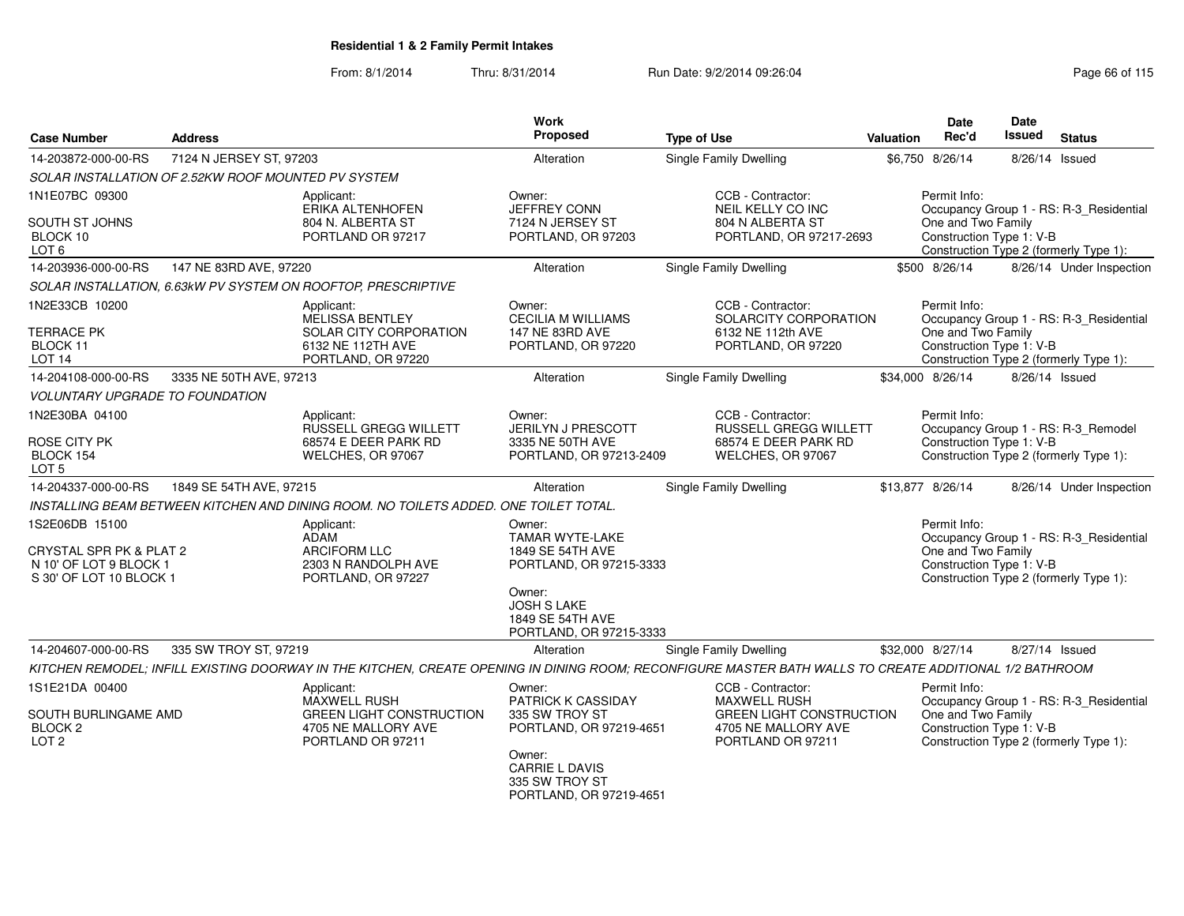| <b>Case Number</b>                                                                             | <b>Address</b>                                      |                                                                                                           | <b>Work</b><br><b>Proposed</b>                                                                                       | <b>Type of Use</b>                                                                                                                                      | <b>Valuation</b> | Date<br>Rec'd                                                  | Date<br>Issued | <b>Status</b>                                                                     |
|------------------------------------------------------------------------------------------------|-----------------------------------------------------|-----------------------------------------------------------------------------------------------------------|----------------------------------------------------------------------------------------------------------------------|---------------------------------------------------------------------------------------------------------------------------------------------------------|------------------|----------------------------------------------------------------|----------------|-----------------------------------------------------------------------------------|
| 14-203872-000-00-RS                                                                            | 7124 N JERSEY ST, 97203                             |                                                                                                           | Alteration                                                                                                           | Single Family Dwelling                                                                                                                                  |                  | \$6,750 8/26/14                                                | 8/26/14        | Issued                                                                            |
|                                                                                                | SOLAR INSTALLATION OF 2.52KW ROOF MOUNTED PV SYSTEM |                                                                                                           |                                                                                                                      |                                                                                                                                                         |                  |                                                                |                |                                                                                   |
| 1N1E07BC 09300                                                                                 |                                                     | Applicant:<br><b>ERIKA ALTENHOFEN</b>                                                                     | Owner:<br><b>JEFFREY CONN</b>                                                                                        | CCB - Contractor:<br>NEIL KELLY CO INC                                                                                                                  |                  | Permit Info:                                                   |                | Occupancy Group 1 - RS: R-3_Residential                                           |
| SOUTH ST JOHNS<br>BLOCK 10<br>LOT <sub>6</sub>                                                 |                                                     | 804 N. ALBERTA ST<br>PORTLAND OR 97217                                                                    | 7124 N JERSEY ST<br>PORTLAND, OR 97203                                                                               | 804 N ALBERTA ST<br>PORTLAND, OR 97217-2693                                                                                                             |                  | One and Two Family<br>Construction Type 1: V-B                 |                | Construction Type 2 (formerly Type 1):                                            |
| 14-203936-000-00-RS                                                                            | 147 NE 83RD AVE, 97220                              |                                                                                                           | Alteration                                                                                                           | Single Family Dwelling                                                                                                                                  |                  | \$500 8/26/14                                                  |                | 8/26/14 Under Inspection                                                          |
|                                                                                                |                                                     | SOLAR INSTALLATION, 6.63kW PV SYSTEM ON ROOFTOP, PRESCRIPTIVE                                             |                                                                                                                      |                                                                                                                                                         |                  |                                                                |                |                                                                                   |
| 1N2E33CB 10200<br>TERRACE PK<br>BLOCK 11<br>LOT <sub>14</sub>                                  |                                                     | Applicant:<br><b>MELISSA BENTLEY</b><br>SOLAR CITY CORPORATION<br>6132 NE 112TH AVE<br>PORTLAND, OR 97220 | Owner:<br><b>CECILIA M WILLIAMS</b><br>147 NE 83RD AVE<br>PORTLAND, OR 97220                                         | CCB - Contractor:<br>SOLARCITY CORPORATION<br>6132 NE 112th AVE<br>PORTLAND, OR 97220                                                                   |                  | Permit Info:<br>One and Two Family<br>Construction Type 1: V-B |                | Occupancy Group 1 - RS: R-3_Residential<br>Construction Type 2 (formerly Type 1): |
| 14-204108-000-00-RS                                                                            | 3335 NE 50TH AVE, 97213                             |                                                                                                           | Alteration                                                                                                           | Single Family Dwelling                                                                                                                                  |                  | \$34.000 8/26/14                                               | 8/26/14 Issued |                                                                                   |
| <b>VOLUNTARY UPGRADE TO FOUNDATION</b>                                                         |                                                     |                                                                                                           |                                                                                                                      |                                                                                                                                                         |                  |                                                                |                |                                                                                   |
| 1N2E30BA 04100                                                                                 |                                                     | Applicant:<br>RUSSELL GREGG WILLETT                                                                       | Owner:<br><b>JERILYN J PRESCOTT</b>                                                                                  | CCB - Contractor:<br><b>RUSSELL GREGG WILLETT</b>                                                                                                       |                  | Permit Info:                                                   |                | Occupancy Group 1 - RS: R-3_Remodel                                               |
| ROSE CITY PK<br>BLOCK 154<br>LOT <sub>5</sub>                                                  |                                                     | 68574 E DEER PARK RD<br>WELCHES, OR 97067                                                                 | 3335 NE 50TH AVE<br>PORTLAND, OR 97213-2409                                                                          | 68574 E DEER PARK RD<br>WELCHES, OR 97067                                                                                                               |                  | Construction Type 1: V-B                                       |                | Construction Type 2 (formerly Type 1):                                            |
| 14-204337-000-00-RS                                                                            | 1849 SE 54TH AVE, 97215                             |                                                                                                           | Alteration                                                                                                           | Single Family Dwelling                                                                                                                                  |                  | \$13,877 8/26/14                                               |                | 8/26/14 Under Inspection                                                          |
|                                                                                                |                                                     | INSTALLING BEAM BETWEEN KITCHEN AND DINING ROOM. NO TOILETS ADDED. ONE TOILET TOTAL.                      |                                                                                                                      |                                                                                                                                                         |                  |                                                                |                |                                                                                   |
| 1S2E06DB 15100<br>CRYSTAL SPR PK & PLAT 2<br>N 10' OF LOT 9 BLOCK 1<br>S 30' OF LOT 10 BLOCK 1 |                                                     | Applicant:<br>ADAM<br><b>ARCIFORM LLC</b><br>2303 N RANDOLPH AVE<br>PORTLAND, OR 97227                    | Owner:<br><b>TAMAR WYTE-LAKE</b><br>1849 SE 54TH AVE<br>PORTLAND, OR 97215-3333                                      |                                                                                                                                                         |                  | Permit Info:<br>One and Two Family<br>Construction Type 1: V-B |                | Occupancy Group 1 - RS: R-3_Residential<br>Construction Type 2 (formerly Type 1): |
|                                                                                                |                                                     |                                                                                                           | Owner:<br><b>JOSH S LAKE</b><br>1849 SE 54TH AVE<br>PORTLAND, OR 97215-3333                                          |                                                                                                                                                         |                  |                                                                |                |                                                                                   |
| 14-204607-000-00-RS                                                                            | 335 SW TROY ST, 97219                               |                                                                                                           | Alteration                                                                                                           | <b>Single Family Dwelling</b>                                                                                                                           |                  | \$32,000 8/27/14                                               | 8/27/14 Issued |                                                                                   |
|                                                                                                |                                                     |                                                                                                           |                                                                                                                      | KITCHEN REMODEL; INFILL EXISTING DOORWAY IN THE KITCHEN, CREATE OPENING IN DINING ROOM; RECONFIGURE MASTER BATH WALLS TO CREATE ADDITIONAL 1/2 BATHROOM |                  |                                                                |                |                                                                                   |
| 1S1E21DA 00400                                                                                 |                                                     | Applicant:                                                                                                | Owner:                                                                                                               | CCB - Contractor:                                                                                                                                       |                  | Permit Info:                                                   |                |                                                                                   |
| SOUTH BURLINGAME AMD<br>BLOCK <sub>2</sub><br>LOT <sub>2</sub>                                 |                                                     | <b>MAXWELL RUSH</b><br><b>GREEN LIGHT CONSTRUCTION</b><br>4705 NE MALLORY AVE<br>PORTLAND OR 97211        | PATRICK K CASSIDAY<br>335 SW TROY ST<br>PORTLAND, OR 97219-4651<br>Owner:<br><b>CARRIE L DAVIS</b><br>335 SW TROY ST | <b>MAXWELL RUSH</b><br><b>GREEN LIGHT CONSTRUCTION</b><br>4705 NE MALLORY AVE<br>PORTLAND OR 97211                                                      |                  | One and Two Family<br>Construction Type 1: V-B                 |                | Occupancy Group 1 - RS: R-3_Residential<br>Construction Type 2 (formerly Type 1): |
|                                                                                                |                                                     |                                                                                                           | PORTLAND, OR 97219-4651                                                                                              |                                                                                                                                                         |                  |                                                                |                |                                                                                   |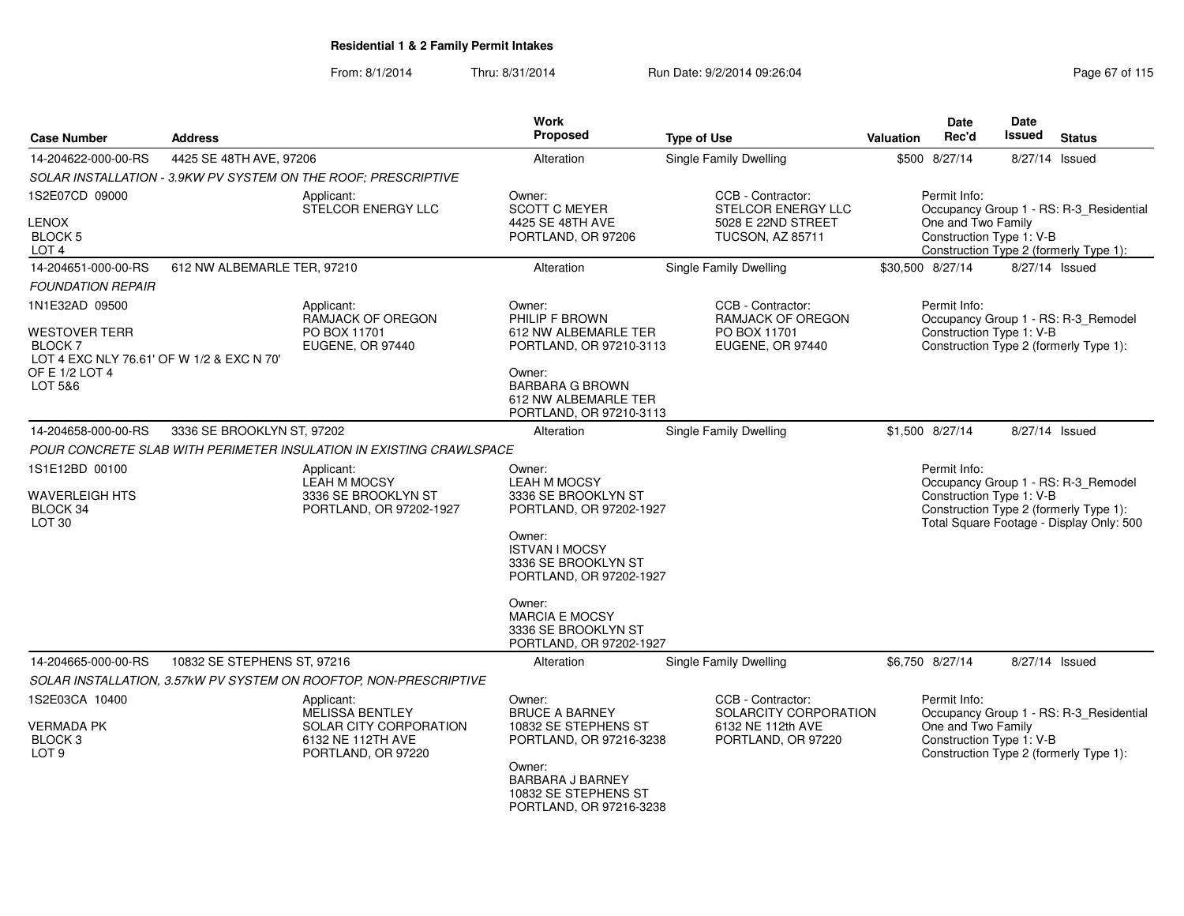| <b>Case Number</b>                                                           | <b>Address</b>              |                                                                     | Work<br><b>Proposed</b>                                                             | <b>Type of Use</b>                                           | <b>Valuation</b> | Date<br>Rec'd                                  | Date<br>Issued | <b>Status</b>                                                                      |
|------------------------------------------------------------------------------|-----------------------------|---------------------------------------------------------------------|-------------------------------------------------------------------------------------|--------------------------------------------------------------|------------------|------------------------------------------------|----------------|------------------------------------------------------------------------------------|
| 14-204622-000-00-RS                                                          | 4425 SE 48TH AVE, 97206     |                                                                     | Alteration                                                                          | <b>Single Family Dwelling</b>                                |                  | \$500 8/27/14                                  |                | 8/27/14 Issued                                                                     |
|                                                                              |                             | SOLAR INSTALLATION - 3.9KW PV SYSTEM ON THE ROOF: PRESCRIPTIVE      |                                                                                     |                                                              |                  |                                                |                |                                                                                    |
| 1S2E07CD 09000                                                               |                             | Applicant:<br>STELCOR ENERGY LLC                                    | Owner:<br><b>SCOTT C MEYER</b>                                                      | CCB - Contractor:<br>STELCOR ENERGY LLC                      |                  | Permit Info:                                   |                | Occupancy Group 1 - RS: R-3_Residential                                            |
| LENOX<br>BLOCK 5<br>LOT <sub>4</sub>                                         |                             |                                                                     | 4425 SE 48TH AVE<br>PORTLAND, OR 97206                                              | 5028 E 22ND STREET<br><b>TUCSON, AZ 85711</b>                |                  | One and Two Family<br>Construction Type 1: V-B |                | Construction Type 2 (formerly Type 1):                                             |
| 14-204651-000-00-RS                                                          | 612 NW ALBEMARLE TER, 97210 |                                                                     | Alteration                                                                          | Single Family Dwelling                                       |                  | \$30,500 8/27/14                               |                | 8/27/14 Issued                                                                     |
| <b>FOUNDATION REPAIR</b>                                                     |                             |                                                                     |                                                                                     |                                                              |                  |                                                |                |                                                                                    |
| 1N1E32AD 09500                                                               |                             | Applicant:                                                          | Owner:                                                                              | CCB - Contractor:                                            |                  | Permit Info:                                   |                |                                                                                    |
| WESTOVER TERR<br><b>BLOCK 7</b><br>LOT 4 EXC NLY 76.61' OF W 1/2 & EXC N 70' |                             | RAMJACK OF OREGON<br>PO BOX 11701<br>EUGENE, OR 97440               | PHILIP F BROWN<br>612 NW ALBEMARLE TER<br>PORTLAND, OR 97210-3113                   | <b>RAMJACK OF OREGON</b><br>PO BOX 11701<br>EUGENE, OR 97440 |                  | Construction Type 1: V-B                       |                | Occupancy Group 1 - RS: R-3_Remodel<br>Construction Type 2 (formerly Type 1):      |
| OF E 1/2 LOT 4<br>LOT 5&6                                                    |                             |                                                                     | Owner:<br><b>BARBARA G BROWN</b><br>612 NW ALBEMARLE TER<br>PORTLAND, OR 97210-3113 |                                                              |                  |                                                |                |                                                                                    |
| 14-204658-000-00-RS                                                          | 3336 SE BROOKLYN ST, 97202  |                                                                     | Alteration                                                                          | <b>Single Family Dwelling</b>                                |                  | \$1,500 8/27/14                                |                | 8/27/14 Issued                                                                     |
|                                                                              |                             | POUR CONCRETE SLAB WITH PERIMETER INSULATION IN EXISTING CRAWLSPACE |                                                                                     |                                                              |                  |                                                |                |                                                                                    |
| 1S1E12BD 00100                                                               |                             | Applicant:<br><b>LEAH M MOCSY</b>                                   | Owner:<br><b>LEAH M MOCSY</b>                                                       |                                                              |                  | Permit Info:                                   |                | Occupancy Group 1 - RS: R-3_Remodel                                                |
| WAVERLEIGH HTS<br>BLOCK 34<br>LOT <sub>30</sub>                              |                             | 3336 SE BROOKLYN ST<br>PORTLAND, OR 97202-1927                      | 3336 SE BROOKLYN ST<br>PORTLAND, OR 97202-1927                                      |                                                              |                  | Construction Type 1: V-B                       |                | Construction Type 2 (formerly Type 1):<br>Total Square Footage - Display Only: 500 |
|                                                                              |                             |                                                                     | Owner:<br><b>ISTVAN I MOCSY</b><br>3336 SE BROOKLYN ST<br>PORTLAND, OR 97202-1927   |                                                              |                  |                                                |                |                                                                                    |
|                                                                              |                             |                                                                     | Owner:<br><b>MARCIA E MOCSY</b><br>3336 SE BROOKLYN ST<br>PORTLAND, OR 97202-1927   |                                                              |                  |                                                |                |                                                                                    |
| 14-204665-000-00-RS                                                          | 10832 SE STEPHENS ST, 97216 |                                                                     | Alteration                                                                          | Single Family Dwelling                                       |                  | \$6,750 8/27/14                                |                | 8/27/14 Issued                                                                     |
|                                                                              |                             | SOLAR INSTALLATION, 3.57kW PV SYSTEM ON ROOFTOP, NON-PRESCRIPTIVE   |                                                                                     |                                                              |                  |                                                |                |                                                                                    |
| 1S2E03CA 10400                                                               |                             | Applicant:<br><b>MELISSA BENTLEY</b>                                | Owner:<br><b>BRUCE A BARNEY</b>                                                     | CCB - Contractor:<br>SOLARCITY CORPORATION                   |                  | Permit Info:                                   |                | Occupancy Group 1 - RS: R-3_Residential                                            |
| <b>VERMADA PK</b><br>BLOCK <sub>3</sub><br>LOT <sub>9</sub>                  |                             | SOLAR CITY CORPORATION<br>6132 NE 112TH AVE<br>PORTLAND, OR 97220   | 10832 SE STEPHENS ST<br>PORTLAND, OR 97216-3238                                     | 6132 NE 112th AVE<br>PORTLAND, OR 97220                      |                  | One and Two Family<br>Construction Type 1: V-B |                | Construction Type 2 (formerly Type 1):                                             |
|                                                                              |                             |                                                                     | Owner:<br>BARBARA J BARNEY<br>10832 SE STEPHENS ST<br>PORTLAND, OR 97216-3238       |                                                              |                  |                                                |                |                                                                                    |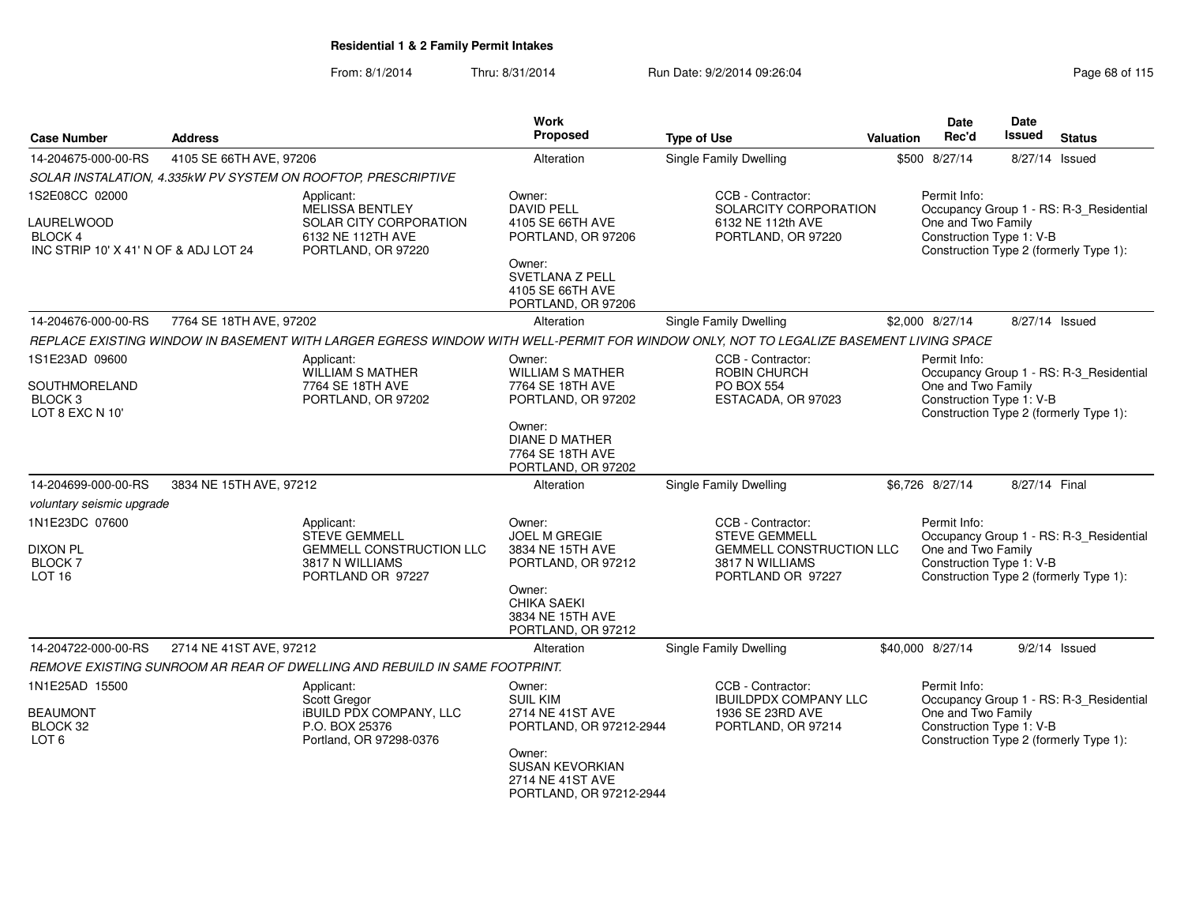| <b>Case Number</b>                                                                      | <b>Address</b>          |                                                                                                               | <b>Work</b><br>Proposed                                                                                  | <b>Type of Use</b>                                                                                                                    | Valuation | <b>Date</b><br>Rec'd                                           | <b>Date</b><br><b>Issued</b> | <b>Status</b>                                                                     |
|-----------------------------------------------------------------------------------------|-------------------------|---------------------------------------------------------------------------------------------------------------|----------------------------------------------------------------------------------------------------------|---------------------------------------------------------------------------------------------------------------------------------------|-----------|----------------------------------------------------------------|------------------------------|-----------------------------------------------------------------------------------|
| 14-204675-000-00-RS                                                                     | 4105 SE 66TH AVE, 97206 |                                                                                                               | Alteration                                                                                               | <b>Single Family Dwelling</b>                                                                                                         |           | \$500 8/27/14                                                  | 8/27/14 Issued               |                                                                                   |
|                                                                                         |                         | SOLAR INSTALATION, 4.335kW PV SYSTEM ON ROOFTOP, PRESCRIPTIVE                                                 |                                                                                                          |                                                                                                                                       |           |                                                                |                              |                                                                                   |
| 1S2E08CC 02000<br>LAURELWOOD<br><b>BLOCK 4</b><br>INC STRIP 10' X 41' N OF & ADJ LOT 24 |                         | Applicant:<br><b>MELISSA BENTLEY</b><br>SOLAR CITY CORPORATION<br>6132 NE 112TH AVE<br>PORTLAND, OR 97220     | Owner:<br><b>DAVID PELL</b><br>4105 SE 66TH AVE<br>PORTLAND, OR 97206<br>Owner:                          | CCB - Contractor:<br>SOLARCITY CORPORATION<br>6132 NE 112th AVE<br>PORTLAND, OR 97220                                                 |           | Permit Info:<br>One and Two Family<br>Construction Type 1: V-B |                              | Occupancy Group 1 - RS: R-3_Residential<br>Construction Type 2 (formerly Type 1): |
|                                                                                         |                         |                                                                                                               | <b>SVETLANA Z PELL</b><br>4105 SE 66TH AVE<br>PORTLAND, OR 97206                                         |                                                                                                                                       |           |                                                                |                              |                                                                                   |
| 14-204676-000-00-RS                                                                     | 7764 SE 18TH AVE, 97202 |                                                                                                               | Alteration                                                                                               | Single Family Dwelling                                                                                                                |           | \$2,000 8/27/14                                                |                              | 8/27/14 Issued                                                                    |
|                                                                                         |                         |                                                                                                               |                                                                                                          | REPLACE EXISTING WINDOW IN BASEMENT WITH LARGER EGRESS WINDOW WITH WELL-PERMIT FOR WINDOW ONLY, NOT TO LEGALIZE BASEMENT LIVING SPACE |           |                                                                |                              |                                                                                   |
| 1S1E23AD 09600<br>SOUTHMORELAND<br>BLOCK <sub>3</sub><br>LOT 8 EXC N 10'                |                         | Applicant:<br><b>WILLIAM S MATHER</b><br>7764 SE 18TH AVE<br>PORTLAND, OR 97202                               | Owner:<br><b>WILLIAM S MATHER</b><br>7764 SE 18TH AVE<br>PORTLAND, OR 97202                              | CCB - Contractor:<br>ROBIN CHURCH<br><b>PO BOX 554</b><br>ESTACADA, OR 97023                                                          |           | Permit Info:<br>One and Two Family<br>Construction Type 1: V-B |                              | Occupancy Group 1 - RS: R-3_Residential<br>Construction Type 2 (formerly Type 1): |
|                                                                                         |                         |                                                                                                               | Owner:<br><b>DIANE D MATHER</b><br>7764 SE 18TH AVE<br>PORTLAND, OR 97202                                |                                                                                                                                       |           |                                                                |                              |                                                                                   |
| 14-204699-000-00-RS                                                                     | 3834 NE 15TH AVE, 97212 |                                                                                                               | Alteration                                                                                               | Single Family Dwelling                                                                                                                |           | \$6,726 8/27/14                                                | 8/27/14 Final                |                                                                                   |
| voluntary seismic upgrade                                                               |                         |                                                                                                               |                                                                                                          |                                                                                                                                       |           |                                                                |                              |                                                                                   |
| 1N1E23DC 07600<br><b>DIXON PL</b><br><b>BLOCK 7</b><br>LOT <sub>16</sub>                |                         | Applicant:<br><b>STEVE GEMMELL</b><br><b>GEMMELL CONSTRUCTION LLC</b><br>3817 N WILLIAMS<br>PORTLAND OR 97227 | Owner:<br><b>JOEL M GREGIE</b><br>3834 NE 15TH AVE<br>PORTLAND, OR 97212<br>Owner:<br><b>CHIKA SAEKI</b> | CCB - Contractor:<br><b>STEVE GEMMELL</b><br><b>GEMMELL CONSTRUCTION LLC</b><br>3817 N WILLIAMS<br>PORTLAND OR 97227                  |           | Permit Info:<br>One and Two Family<br>Construction Type 1: V-B |                              | Occupancy Group 1 - RS: R-3_Residential<br>Construction Type 2 (formerly Type 1): |
|                                                                                         |                         |                                                                                                               | 3834 NE 15TH AVE<br>PORTLAND, OR 97212                                                                   |                                                                                                                                       |           |                                                                |                              |                                                                                   |
| 14-204722-000-00-RS                                                                     | 2714 NE 41ST AVE, 97212 |                                                                                                               | Alteration                                                                                               | <b>Single Family Dwelling</b>                                                                                                         |           | \$40,000 8/27/14                                               |                              | $9/2/14$ Issued                                                                   |
|                                                                                         |                         | REMOVE EXISTING SUNROOM AR REAR OF DWELLING AND REBUILD IN SAME FOOTPRINT.                                    |                                                                                                          |                                                                                                                                       |           |                                                                |                              |                                                                                   |
| 1N1E25AD 15500<br><b>BEAUMONT</b><br>BLOCK 32<br>LOT <sub>6</sub>                       |                         | Applicant:<br>Scott Gregor<br><b>IBUILD PDX COMPANY, LLC</b><br>P.O. BOX 25376<br>Portland, OR 97298-0376     | Owner:<br><b>SUIL KIM</b><br>2714 NE 41ST AVE<br>PORTLAND, OR 97212-2944<br>Owner:                       | CCB - Contractor:<br><b>IBUILDPDX COMPANY LLC</b><br>1936 SE 23RD AVE<br>PORTLAND, OR 97214                                           |           | Permit Info:<br>One and Two Family<br>Construction Type 1: V-B |                              | Occupancy Group 1 - RS: R-3_Residential<br>Construction Type 2 (formerly Type 1): |
|                                                                                         |                         |                                                                                                               | <b>SUSAN KEVORKIAN</b><br>2714 NE 41ST AVE<br>PORTLAND, OR 97212-2944                                    |                                                                                                                                       |           |                                                                |                              |                                                                                   |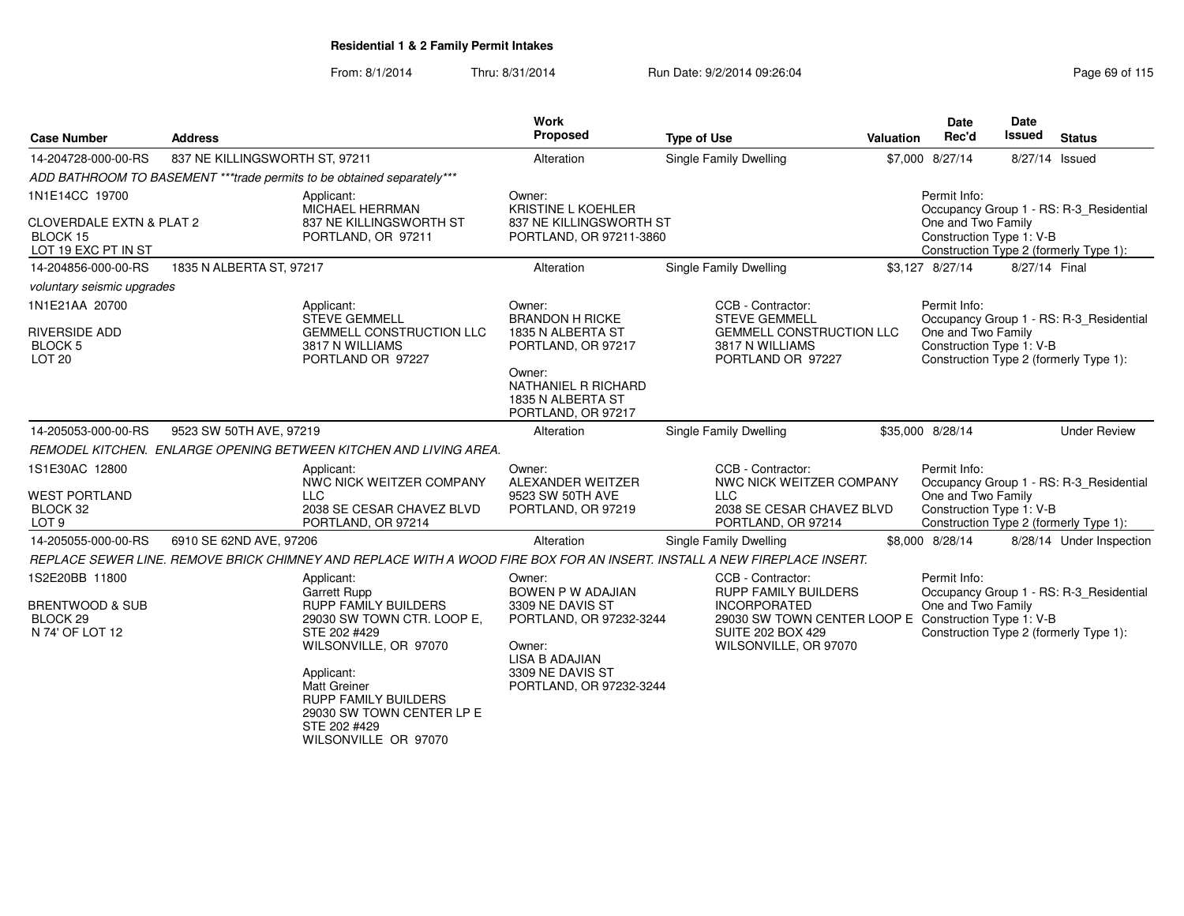From: 8/1/2014

| <b>Case Number</b>                                                     | <b>Address</b>                 |                                                                                                                          | Work<br><b>Proposed</b>                                                                            | <b>Type of Use</b>                                                                                                               | Valuation | <b>Date</b><br>Rec'd                           | <b>Date</b><br><b>Issued</b> | <b>Status</b>                           |
|------------------------------------------------------------------------|--------------------------------|--------------------------------------------------------------------------------------------------------------------------|----------------------------------------------------------------------------------------------------|----------------------------------------------------------------------------------------------------------------------------------|-----------|------------------------------------------------|------------------------------|-----------------------------------------|
| 14-204728-000-00-RS                                                    | 837 NE KILLINGSWORTH ST, 97211 |                                                                                                                          | Alteration                                                                                         | Single Family Dwelling                                                                                                           |           | \$7,000 8/27/14                                | 8/27/14 Issued               |                                         |
|                                                                        |                                | ADD BATHROOM TO BASEMENT ***trade permits to be obtained separately***                                                   |                                                                                                    |                                                                                                                                  |           |                                                |                              |                                         |
| 1N1E14CC 19700                                                         |                                | Applicant:<br>MICHAEL HERRMAN                                                                                            | Owner:<br>KRISTINE L KOEHLER                                                                       |                                                                                                                                  |           | Permit Info:                                   |                              | Occupancy Group 1 - RS: R-3_Residential |
| <b>CLOVERDALE EXTN &amp; PLAT 2</b><br>BLOCK 15<br>LOT 19 EXC PT IN ST |                                | 837 NE KILLINGSWORTH ST<br>PORTLAND, OR 97211                                                                            | 837 NE KILLINGSWORTH ST<br>PORTLAND, OR 97211-3860                                                 |                                                                                                                                  |           | One and Two Family<br>Construction Type 1: V-B |                              | Construction Type 2 (formerly Type 1):  |
| 14-204856-000-00-RS                                                    | 1835 N ALBERTA ST, 97217       |                                                                                                                          | Alteration                                                                                         | Single Family Dwelling                                                                                                           |           | \$3,127 8/27/14                                | 8/27/14 Final                |                                         |
| voluntary seismic upgrades                                             |                                |                                                                                                                          |                                                                                                    |                                                                                                                                  |           |                                                |                              |                                         |
| 1N1E21AA 20700                                                         |                                | Applicant:<br><b>STEVE GEMMELL</b>                                                                                       | Owner:<br><b>BRANDON H RICKE</b>                                                                   | CCB - Contractor:<br><b>STEVE GEMMELL</b>                                                                                        |           | Permit Info:                                   |                              | Occupancy Group 1 - RS: R-3 Residential |
| <b>RIVERSIDE ADD</b><br><b>BLOCK 5</b><br><b>LOT 20</b>                |                                | <b>GEMMELL CONSTRUCTION LLC</b><br>3817 N WILLIAMS<br>PORTLAND OR 97227                                                  | 1835 N ALBERTA ST<br>PORTLAND, OR 97217                                                            | <b>GEMMELL CONSTRUCTION LLC</b><br>3817 N WILLIAMS<br>PORTLAND OR 97227                                                          |           | One and Two Family<br>Construction Type 1: V-B |                              | Construction Type 2 (formerly Type 1):  |
|                                                                        |                                |                                                                                                                          | Owner:<br>NATHANIEL R RICHARD<br>1835 N ALBERTA ST<br>PORTLAND, OR 97217                           |                                                                                                                                  |           |                                                |                              |                                         |
| 14-205053-000-00-RS                                                    | 9523 SW 50TH AVE, 97219        |                                                                                                                          | Alteration                                                                                         | Single Family Dwelling                                                                                                           |           | \$35,000 8/28/14                               |                              | <b>Under Review</b>                     |
|                                                                        |                                | REMODEL KITCHEN. ENLARGE OPENING BETWEEN KITCHEN AND LIVING AREA.                                                        |                                                                                                    |                                                                                                                                  |           |                                                |                              |                                         |
| 1S1E30AC 12800                                                         |                                | Applicant:<br>NWC NICK WEITZER COMPANY                                                                                   | Owner:<br>ALEXANDER WEITZER                                                                        | CCB - Contractor:<br>NWC NICK WEITZER COMPANY                                                                                    |           | Permit Info:                                   |                              | Occupancy Group 1 - RS: R-3_Residential |
| <b>WEST PORTLAND</b><br>BLOCK 32<br>LOT <sub>9</sub>                   |                                | <b>LLC</b><br>2038 SE CESAR CHAVEZ BLVD<br>PORTLAND, OR 97214                                                            | 9523 SW 50TH AVE<br>PORTLAND, OR 97219                                                             | <b>LLC</b><br>2038 SE CESAR CHAVEZ BLVD<br>PORTLAND, OR 97214                                                                    |           | One and Two Family<br>Construction Type 1: V-B |                              | Construction Type 2 (formerly Type 1):  |
| 14-205055-000-00-RS                                                    | 6910 SE 62ND AVE, 97206        |                                                                                                                          | Alteration                                                                                         | Single Family Dwelling                                                                                                           |           | \$8,000 8/28/14                                |                              | 8/28/14 Under Inspection                |
|                                                                        |                                | REPLACE SEWER LINE. REMOVE BRICK CHIMNEY AND REPLACE WITH A WOOD FIRE BOX FOR AN INSERT. INSTALL A NEW FIREPLACE INSERT. |                                                                                                    |                                                                                                                                  |           |                                                |                              |                                         |
| 1S2E20BB 11800                                                         |                                | Applicant:<br><b>Garrett Rupp</b>                                                                                        | Owner:<br>BOWEN P W ADAJIAN                                                                        | CCB - Contractor:<br><b>RUPP FAMILY BUILDERS</b>                                                                                 |           | Permit Info:                                   |                              | Occupancy Group 1 - RS: R-3_Residential |
| <b>BRENTWOOD &amp; SUB</b><br>BLOCK <sub>29</sub><br>N 74' OF LOT 12   |                                | <b>RUPP FAMILY BUILDERS</b><br>29030 SW TOWN CTR. LOOP E,<br>STE 202 #429<br>WILSONVILLE, OR 97070<br>Applicant:         | 3309 NE DAVIS ST<br>PORTLAND, OR 97232-3244<br>Owner:<br><b>LISA B ADAJIAN</b><br>3309 NE DAVIS ST | <b>INCORPORATED</b><br>29030 SW TOWN CENTER LOOP E Construction Type 1: V-B<br><b>SUITE 202 BOX 429</b><br>WILSONVILLE, OR 97070 |           | One and Two Family                             |                              | Construction Type 2 (formerly Type 1):  |
|                                                                        |                                | <b>Matt Greiner</b><br><b>RUPP FAMILY BUILDERS</b><br>29030 SW TOWN CENTER LP E<br>STE 202 #429<br>WILSONVILLE OR 97070  | PORTLAND, OR 97232-3244                                                                            |                                                                                                                                  |           |                                                |                              |                                         |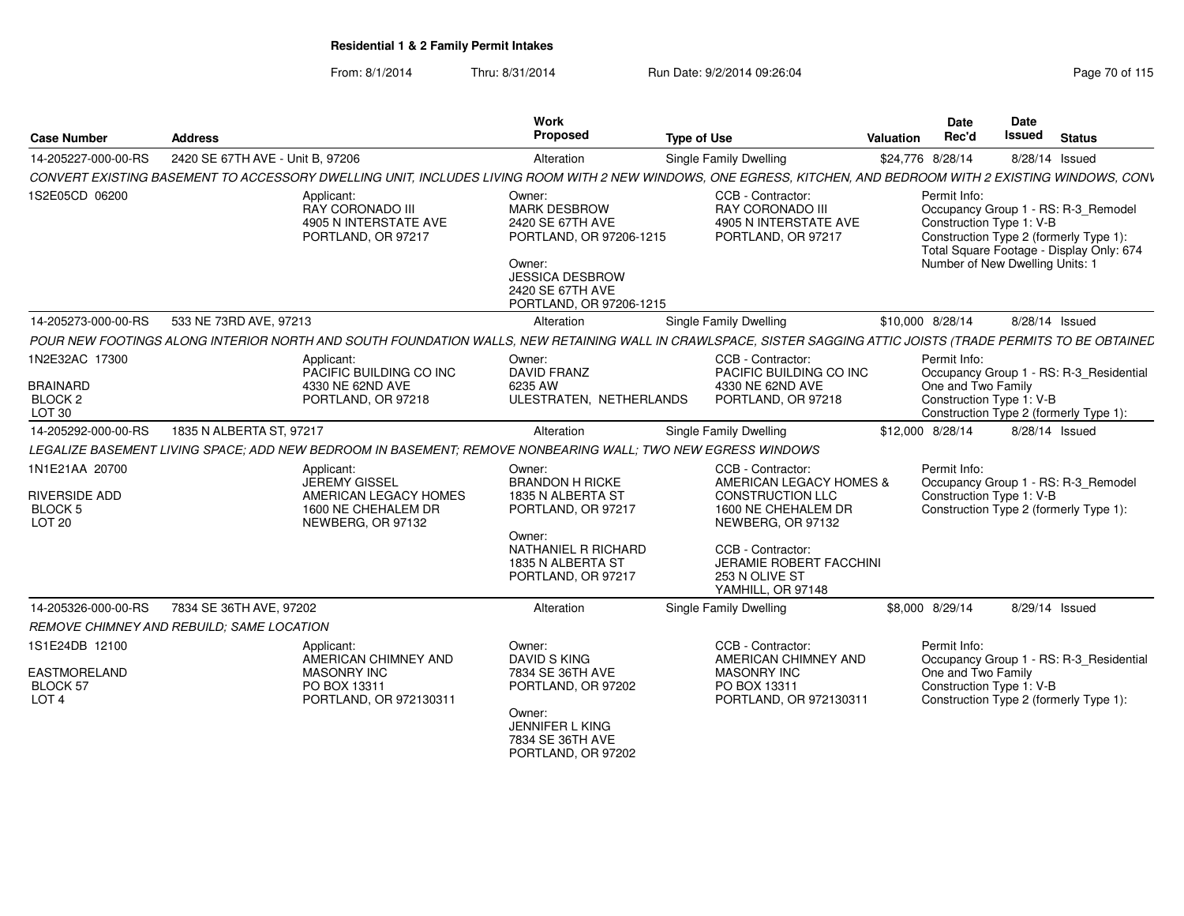| <b>Case Number</b>                                                       | <b>Address</b>                            |                                                                                                             | Work<br>Proposed                                                                                                                                                | <b>Type of Use</b>                                                                                                                                             | Valuation | <b>Date</b><br>Rec'd               | Date<br>Issued                                              | <b>Status</b>                                                                                                             |
|--------------------------------------------------------------------------|-------------------------------------------|-------------------------------------------------------------------------------------------------------------|-----------------------------------------------------------------------------------------------------------------------------------------------------------------|----------------------------------------------------------------------------------------------------------------------------------------------------------------|-----------|------------------------------------|-------------------------------------------------------------|---------------------------------------------------------------------------------------------------------------------------|
| 14-205227-000-00-RS                                                      | 2420 SE 67TH AVE - Unit B, 97206          |                                                                                                             | Alteration                                                                                                                                                      | Single Family Dwelling                                                                                                                                         |           | \$24,776 8/28/14                   | 8/28/14 Issued                                              |                                                                                                                           |
|                                                                          |                                           |                                                                                                             |                                                                                                                                                                 | CONVERT EXISTING BASEMENT TO ACCESSORY DWELLING UNIT, INCLUDES LIVING ROOM WITH 2 NEW WINDOWS, ONE EGRESS, KITCHEN, AND BEDROOM WITH 2 EXISTING WINDOWS, CONV  |           |                                    |                                                             |                                                                                                                           |
| 1S2E05CD 06200                                                           |                                           | Applicant:<br>RAY CORONADO III<br>4905 N INTERSTATE AVE<br>PORTLAND, OR 97217                               | Owner:<br><b>MARK DESBROW</b><br>2420 SE 67TH AVE<br>PORTLAND, OR 97206-1215<br>Owner:<br><b>JESSICA DESBROW</b><br>2420 SE 67TH AVE<br>PORTLAND, OR 97206-1215 | CCB - Contractor:<br>RAY CORONADO III<br>4905 N INTERSTATE AVE<br>PORTLAND, OR 97217                                                                           |           | Permit Info:                       | Construction Type 1: V-B<br>Number of New Dwelling Units: 1 | Occupancy Group 1 - RS: R-3_Remodel<br>Construction Type 2 (formerly Type 1):<br>Total Square Footage - Display Only: 674 |
| 14-205273-000-00-RS                                                      | 533 NE 73RD AVE, 97213                    |                                                                                                             | Alteration                                                                                                                                                      | <b>Single Family Dwelling</b>                                                                                                                                  |           | \$10,000 8/28/14                   | 8/28/14 Issued                                              |                                                                                                                           |
|                                                                          |                                           |                                                                                                             |                                                                                                                                                                 | POUR NEW FOOTINGS ALONG INTERIOR NORTH AND SOUTH FOUNDATION WALLS, NEW RETAINING WALL IN CRAWLSPACE, SISTER SAGGING ATTIC JOISTS (TRADE PERMITS TO BE OBTAINEL |           |                                    |                                                             |                                                                                                                           |
| 1N2E32AC 17300<br><b>BRAINARD</b><br>BLOCK <sub>2</sub><br><b>LOT 30</b> |                                           | Applicant:<br>PACIFIC BUILDING CO INC<br>4330 NE 62ND AVE<br>PORTLAND, OR 97218                             | Owner:<br><b>DAVID FRANZ</b><br>6235 AW<br>ULESTRATEN, NETHERLANDS                                                                                              | CCB - Contractor:<br>PACIFIC BUILDING CO INC<br>4330 NE 62ND AVE<br>PORTLAND, OR 97218                                                                         |           | Permit Info:<br>One and Two Family | Construction Type 1: V-B                                    | Occupancy Group 1 - RS: R-3_Residential<br>Construction Type 2 (formerly Type 1):                                         |
| 14-205292-000-00-RS                                                      | 1835 N ALBERTA ST, 97217                  |                                                                                                             | Alteration                                                                                                                                                      | Single Family Dwelling                                                                                                                                         |           | \$12,000 8/28/14                   | 8/28/14 Issued                                              |                                                                                                                           |
|                                                                          |                                           | LEGALIZE BASEMENT LIVING SPACE; ADD NEW BEDROOM IN BASEMENT; REMOVE NONBEARING WALL; TWO NEW EGRESS WINDOWS |                                                                                                                                                                 |                                                                                                                                                                |           |                                    |                                                             |                                                                                                                           |
| 1N1E21AA 20700<br>RIVERSIDE ADD<br><b>BLOCK 5</b><br><b>LOT 20</b>       |                                           | Applicant:<br>JEREMY GISSEL<br>AMERICAN LEGACY HOMES<br>1600 NE CHEHALEM DR<br>NEWBERG, OR 97132            | Owner:<br><b>BRANDON H RICKE</b><br>1835 N ALBERTA ST<br>PORTLAND, OR 97217                                                                                     | CCB - Contractor:<br>AMERICAN LEGACY HOMES &<br><b>CONSTRUCTION LLC</b><br>1600 NE CHEHALEM DR<br>NEWBERG, OR 97132                                            |           | Permit Info:                       | Construction Type 1: V-B                                    | Occupancy Group 1 - RS: R-3 Remodel<br>Construction Type 2 (formerly Type 1):                                             |
|                                                                          |                                           |                                                                                                             | Owner:<br>NATHANIEL R RICHARD<br>1835 N ALBERTA ST<br>PORTLAND, OR 97217                                                                                        | CCB - Contractor:<br><b>JERAMIE ROBERT FACCHINI</b><br>253 N OLIVE ST<br>YAMHILL, OR 97148                                                                     |           |                                    |                                                             |                                                                                                                           |
| 14-205326-000-00-RS                                                      | 7834 SE 36TH AVE, 97202                   |                                                                                                             | Alteration                                                                                                                                                      | Single Family Dwelling                                                                                                                                         |           | \$8,000 8/29/14                    | 8/29/14 Issued                                              |                                                                                                                           |
|                                                                          | REMOVE CHIMNEY AND REBUILD: SAME LOCATION |                                                                                                             |                                                                                                                                                                 |                                                                                                                                                                |           |                                    |                                                             |                                                                                                                           |
| 1S1E24DB 12100<br>EASTMORELAND<br><b>BLOCK 57</b><br>LOT <sub>4</sub>    |                                           | Applicant:<br>AMERICAN CHIMNEY AND<br><b>MASONRY INC</b><br>PO BOX 13311<br>PORTLAND, OR 972130311          | Owner:<br><b>DAVID S KING</b><br>7834 SE 36TH AVE<br>PORTLAND, OR 97202                                                                                         | CCB - Contractor:<br>AMERICAN CHIMNEY AND<br><b>MASONRY INC</b><br>PO BOX 13311<br>PORTLAND, OR 972130311                                                      |           | Permit Info:<br>One and Two Family | Construction Type 1: V-B                                    | Occupancy Group 1 - RS: R-3 Residential<br>Construction Type 2 (formerly Type 1):                                         |
|                                                                          |                                           |                                                                                                             | Owner:<br>JENNIFER L KING<br>7834 SE 36TH AVE<br>PORTLAND, OR 97202                                                                                             |                                                                                                                                                                |           |                                    |                                                             |                                                                                                                           |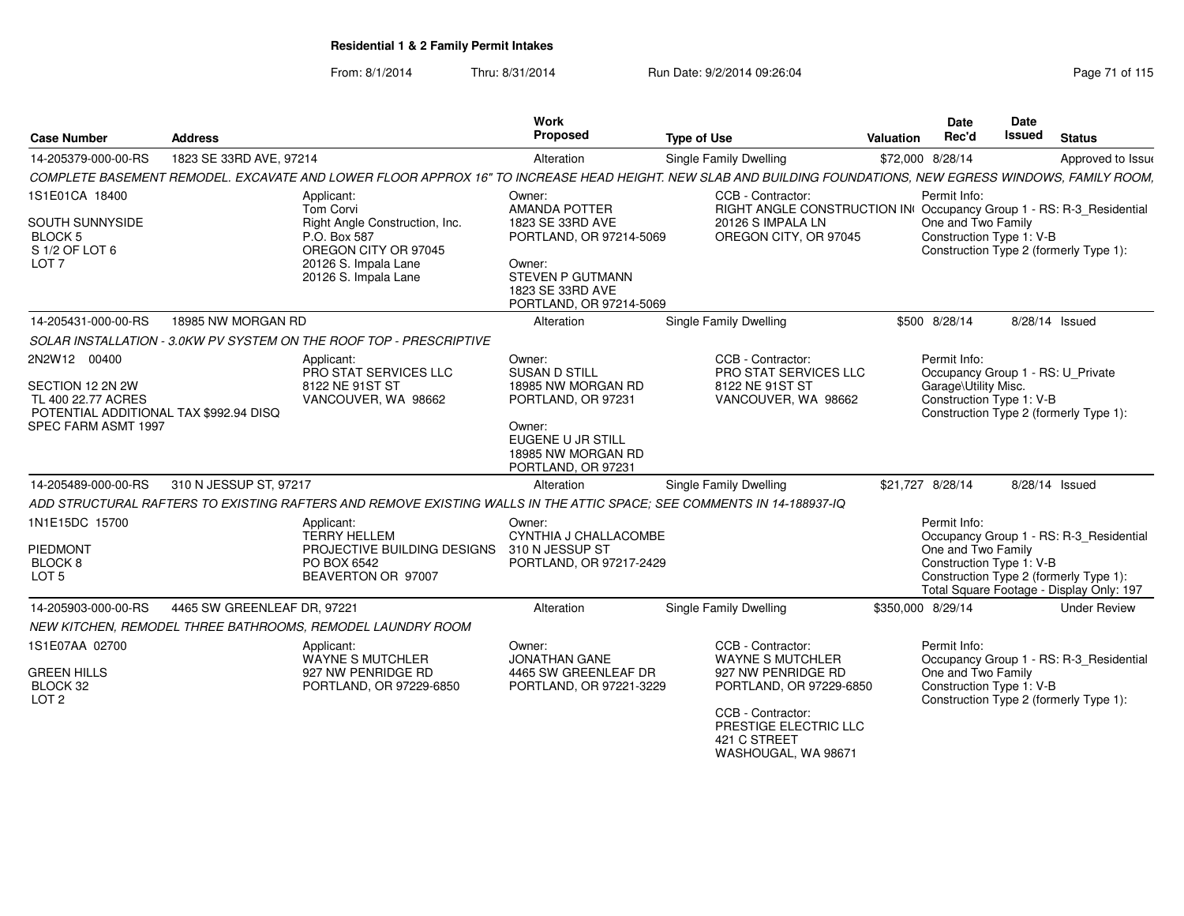| <b>Case Number</b>                                                                                                                                                                      | <b>Address</b>              |                                                                                                                                                                                                                                                                                           | Work<br>Proposed                                                                                                                                                                                                                                     | <b>Type of Use</b>                                                                                                                     | <b>Valuation</b> | <b>Date</b><br>Rec'd                                                                                                                                                                        | <b>Date</b><br><b>Issued</b> | <b>Status</b>                                                                     |
|-----------------------------------------------------------------------------------------------------------------------------------------------------------------------------------------|-----------------------------|-------------------------------------------------------------------------------------------------------------------------------------------------------------------------------------------------------------------------------------------------------------------------------------------|------------------------------------------------------------------------------------------------------------------------------------------------------------------------------------------------------------------------------------------------------|----------------------------------------------------------------------------------------------------------------------------------------|------------------|---------------------------------------------------------------------------------------------------------------------------------------------------------------------------------------------|------------------------------|-----------------------------------------------------------------------------------|
| 14-205379-000-00-RS                                                                                                                                                                     | 1823 SE 33RD AVE, 97214     |                                                                                                                                                                                                                                                                                           | Alteration                                                                                                                                                                                                                                           | <b>Single Family Dwelling</b>                                                                                                          |                  | \$72,000 8/28/14                                                                                                                                                                            |                              | Approved to Issue                                                                 |
|                                                                                                                                                                                         |                             | COMPLETE BASEMENT REMODEL. EXCAVATE AND LOWER FLOOR APPROX 16" TO INCREASE HEAD HEIGHT. NEW SLAB AND BUILDING FOUNDATIONS, NEW EGRESS WINDOWS, FAMILY ROOM,                                                                                                                               |                                                                                                                                                                                                                                                      |                                                                                                                                        |                  |                                                                                                                                                                                             |                              |                                                                                   |
| 1S1E01CA 18400<br>SOUTH SUNNYSIDE<br>BLOCK 5<br>S 1/2 OF LOT 6<br>LOT <sub>7</sub>                                                                                                      |                             | Applicant:<br>Tom Corvi<br>Right Angle Construction, Inc.<br>P.O. Box 587<br>OREGON CITY OR 97045<br>20126 S. Impala Lane<br>20126 S. Impala Lane                                                                                                                                         | Owner:<br><b>AMANDA POTTER</b><br>1823 SE 33RD AVE<br>PORTLAND, OR 97214-5069<br>Owner:<br>STEVEN P GUTMANN<br>1823 SE 33RD AVE<br>PORTLAND, OR 97214-5069                                                                                           | CCB - Contractor:<br>RIGHT ANGLE CONSTRUCTION IN Occupancy Group 1 - RS: R-3_Residential<br>20126 S IMPALA LN<br>OREGON CITY, OR 97045 |                  | Permit Info:<br>One and Two Family<br>Construction Type 1: V-B                                                                                                                              |                              | Construction Type 2 (formerly Type 1):                                            |
| 14-205431-000-00-RS                                                                                                                                                                     | 18985 NW MORGAN RD          |                                                                                                                                                                                                                                                                                           | Alteration                                                                                                                                                                                                                                           | <b>Single Family Dwelling</b>                                                                                                          |                  | \$500 8/28/14                                                                                                                                                                               | 8/28/14 Issued               |                                                                                   |
|                                                                                                                                                                                         |                             | SOLAR INSTALLATION - 3.0KW PV SYSTEM ON THE ROOF TOP - PRESCRIPTIVE                                                                                                                                                                                                                       |                                                                                                                                                                                                                                                      |                                                                                                                                        |                  |                                                                                                                                                                                             |                              |                                                                                   |
| 2N2W12 00400<br>SECTION 12 2N 2W<br>TL 400 22.77 ACRES<br>POTENTIAL ADDITIONAL TAX \$992.94 DISQ<br>SPEC FARM ASMT 1997<br>14-205489-000-00-RS<br>1N1E15DC 15700<br>PIEDMONT<br>BLOCK 8 | 310 N JESSUP ST. 97217      | Applicant:<br>PRO STAT SERVICES LLC<br>8122 NE 91ST ST<br>VANCOUVER, WA 98662<br>ADD STRUCTURAL RAFTERS TO EXISTING RAFTERS AND REMOVE EXISTING WALLS IN THE ATTIC SPACE: SEE COMMENTS IN 14-188937-IQ<br>Applicant:<br><b>TERRY HELLEM</b><br>PROJECTIVE BUILDING DESIGNS<br>PO BOX 6542 | Owner:<br><b>SUSAN D STILL</b><br>18985 NW MORGAN RD<br>PORTLAND, OR 97231<br>Owner:<br>EUGENE U JR STILL<br>18985 NW MORGAN RD<br>PORTLAND, OR 97231<br>Alteration<br>Owner:<br>CYNTHIA J CHALLACOMBE<br>310 N JESSUP ST<br>PORTLAND, OR 97217-2429 | CCB - Contractor:<br><b>PRO STAT SERVICES LLC</b><br>8122 NE 91ST ST<br>VANCOUVER, WA 98662<br><b>Single Family Dwelling</b>           |                  | Permit Info:<br>Occupancy Group 1 - RS: U_Private<br>Garage\Utility Misc.<br>Construction Type 1: V-B<br>\$21,727 8/28/14<br>Permit Info:<br>One and Two Family<br>Construction Type 1: V-B | 8/28/14 Issued               | Construction Type 2 (formerly Type 1):<br>Occupancy Group 1 - RS: R-3 Residential |
| LOT <sub>5</sub>                                                                                                                                                                        |                             | BEAVERTON OR 97007                                                                                                                                                                                                                                                                        |                                                                                                                                                                                                                                                      |                                                                                                                                        |                  |                                                                                                                                                                                             |                              | Construction Type 2 (formerly Type 1):                                            |
|                                                                                                                                                                                         |                             |                                                                                                                                                                                                                                                                                           |                                                                                                                                                                                                                                                      |                                                                                                                                        |                  |                                                                                                                                                                                             |                              | Total Square Footage - Display Only: 197                                          |
| 14-205903-000-00-RS                                                                                                                                                                     | 4465 SW GREENLEAF DR, 97221 |                                                                                                                                                                                                                                                                                           | Alteration                                                                                                                                                                                                                                           | Single Family Dwelling                                                                                                                 |                  | \$350,000 8/29/14                                                                                                                                                                           |                              | <b>Under Review</b>                                                               |
|                                                                                                                                                                                         |                             | NEW KITCHEN. REMODEL THREE BATHROOMS. REMODEL LAUNDRY ROOM                                                                                                                                                                                                                                |                                                                                                                                                                                                                                                      |                                                                                                                                        |                  |                                                                                                                                                                                             |                              |                                                                                   |
| 1S1E07AA 02700<br><b>GREEN HILLS</b><br>BLOCK 32<br>LOT <sub>2</sub>                                                                                                                    |                             | Applicant:<br><b>WAYNE S MUTCHLER</b><br>927 NW PENRIDGE RD<br>PORTLAND, OR 97229-6850                                                                                                                                                                                                    | Owner:<br><b>JONATHAN GANE</b><br>4465 SW GREENLEAF DR<br>PORTLAND, OR 97221-3229                                                                                                                                                                    | CCB - Contractor:<br><b>WAYNE S MUTCHLER</b><br>927 NW PENRIDGE RD<br>PORTLAND, OR 97229-6850<br>CCB - Contractor:                     |                  | Permit Info:<br>One and Two Family<br>Construction Type 1: V-B                                                                                                                              |                              | Occupancy Group 1 - RS: R-3_Residential<br>Construction Type 2 (formerly Type 1): |
|                                                                                                                                                                                         |                             |                                                                                                                                                                                                                                                                                           |                                                                                                                                                                                                                                                      | PRESTIGE ELECTRIC LLC<br>421 C STREET<br>WASHOUGAL, WA 98671                                                                           |                  |                                                                                                                                                                                             |                              |                                                                                   |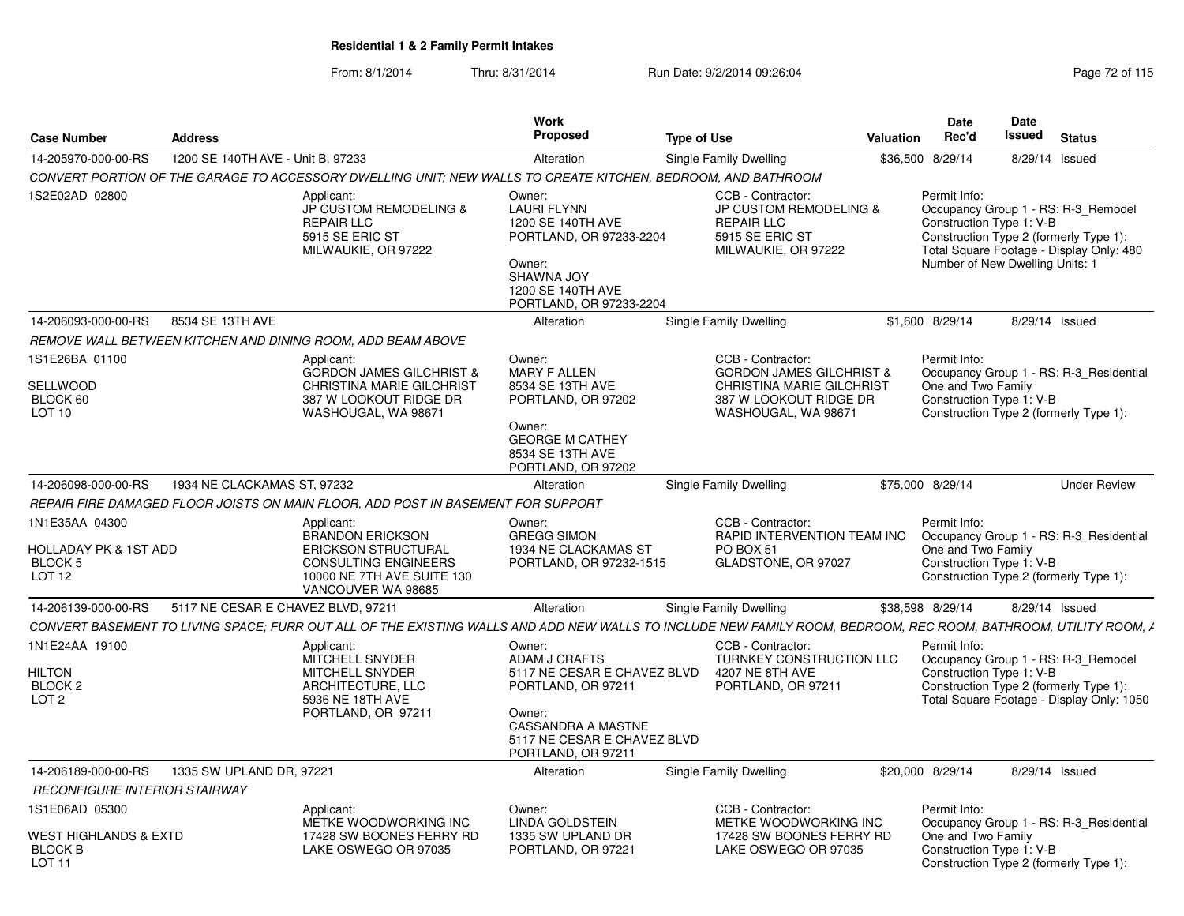| <b>Case Number</b>                                                                        | <b>Address</b>                     |                                                                                                                                                                 | <b>Work</b><br>Proposed                                                                                                                                                  | <b>Type of Use</b>                                                                                                                            | Valuation        | <b>Date</b><br>Rec'd                                                                                                                                                                                     | Date<br><b>Issued</b> | <b>Status</b>       |
|-------------------------------------------------------------------------------------------|------------------------------------|-----------------------------------------------------------------------------------------------------------------------------------------------------------------|--------------------------------------------------------------------------------------------------------------------------------------------------------------------------|-----------------------------------------------------------------------------------------------------------------------------------------------|------------------|----------------------------------------------------------------------------------------------------------------------------------------------------------------------------------------------------------|-----------------------|---------------------|
| 14-205970-000-00-RS                                                                       | 1200 SE 140TH AVE - Unit B. 97233  |                                                                                                                                                                 | Alteration                                                                                                                                                               | <b>Single Family Dwelling</b>                                                                                                                 |                  | \$36,500 8/29/14                                                                                                                                                                                         |                       | 8/29/14 Issued      |
|                                                                                           |                                    | CONVERT PORTION OF THE GARAGE TO ACCESSORY DWELLING UNIT; NEW WALLS TO CREATE KITCHEN, BEDROOM, AND BATHROOM                                                    |                                                                                                                                                                          |                                                                                                                                               |                  |                                                                                                                                                                                                          |                       |                     |
| 1S2E02AD 02800                                                                            |                                    | Applicant:<br>JP CUSTOM REMODELING &<br><b>REPAIR LLC</b><br>5915 SE ERIC ST<br>MILWAUKIE, OR 97222                                                             | Owner:<br><b>LAURI FLYNN</b><br>1200 SE 140TH AVE<br>PORTLAND, OR 97233-2204<br>Owner:<br>SHAWNA JOY<br>1200 SE 140TH AVE<br>PORTLAND, OR 97233-2204                     | CCB - Contractor:<br><b>JP CUSTOM REMODELING &amp;</b><br><b>REPAIR LLC</b><br><b>5915 SE ERIC ST</b><br>MILWAUKIE, OR 97222                  |                  | Permit Info:<br>Occupancy Group 1 - RS: R-3_Remodel<br>Construction Type 1: V-B<br>Construction Type 2 (formerly Type 1):<br>Total Square Footage - Display Only: 480<br>Number of New Dwelling Units: 1 |                       |                     |
| 14-206093-000-00-RS                                                                       | 8534 SE 13TH AVE                   |                                                                                                                                                                 | Alteration                                                                                                                                                               | <b>Single Family Dwelling</b>                                                                                                                 |                  | \$1,600 8/29/14                                                                                                                                                                                          |                       | 8/29/14 Issued      |
|                                                                                           |                                    | REMOVE WALL BETWEEN KITCHEN AND DINING ROOM, ADD BEAM ABOVE                                                                                                     |                                                                                                                                                                          |                                                                                                                                               |                  |                                                                                                                                                                                                          |                       |                     |
| 1S1E26BA 01100<br>SELLWOOD<br>BLOCK 60<br>LOT <sub>10</sub>                               |                                    | Applicant:<br><b>GORDON JAMES GILCHRIST &amp;</b><br>CHRISTINA MARIE GILCHRIST<br>387 W LOOKOUT RIDGE DR<br>WASHOUGAL, WA 98671                                 | Owner:<br><b>MARY F ALLEN</b><br>8534 SE 13TH AVE<br>PORTLAND, OR 97202<br>Owner:<br><b>GEORGE M CATHEY</b><br>8534 SE 13TH AVE<br>PORTLAND, OR 97202                    | CCB - Contractor:<br><b>GORDON JAMES GILCHRIST &amp;</b><br><b>CHRISTINA MARIE GILCHRIST</b><br>387 W LOOKOUT RIDGE DR<br>WASHOUGAL, WA 98671 |                  | Permit Info:<br>Occupancy Group 1 - RS: R-3 Residential<br>One and Two Family<br>Construction Type 1: V-B<br>Construction Type 2 (formerly Type 1):                                                      |                       |                     |
| 14-206098-000-00-RS                                                                       | 1934 NE CLACKAMAS ST. 97232        |                                                                                                                                                                 | Alteration                                                                                                                                                               | Single Family Dwelling                                                                                                                        |                  | \$75,000 8/29/14                                                                                                                                                                                         |                       | <b>Under Review</b> |
|                                                                                           |                                    | REPAIR FIRE DAMAGED FLOOR JOISTS ON MAIN FLOOR, ADD POST IN BASEMENT FOR SUPPORT                                                                                |                                                                                                                                                                          |                                                                                                                                               |                  |                                                                                                                                                                                                          |                       |                     |
| 1N1E35AA 04300<br><b>HOLLADAY PK &amp; 1ST ADD</b><br>BLOCK 5<br><b>LOT 12</b>            |                                    | Applicant:<br><b>BRANDON ERICKSON</b><br><b>ERICKSON STRUCTURAL</b><br><b>CONSULTING ENGINEERS</b><br>10000 NE 7TH AVE SUITE 130<br>VANCOUVER WA 98685          | Owner:<br><b>GREGG SIMON</b><br>1934 NE CLACKAMAS ST<br>PORTLAND, OR 97232-1515                                                                                          | CCB - Contractor:<br>RAPID INTERVENTION TEAM INC<br>PO BOX 51<br>GLADSTONE, OR 97027                                                          |                  | Permit Info:<br>Occupancy Group 1 - RS: R-3 Residential<br>One and Two Family<br>Construction Type 1: V-B<br>Construction Type 2 (formerly Type 1):                                                      |                       |                     |
| 14-206139-000-00-RS                                                                       | 5117 NE CESAR E CHAVEZ BLVD, 97211 |                                                                                                                                                                 | Alteration                                                                                                                                                               | <b>Single Family Dwelling</b>                                                                                                                 |                  | \$38,598 8/29/14                                                                                                                                                                                         |                       | 8/29/14 Issued      |
|                                                                                           |                                    | CONVERT BASEMENT TO LIVING SPACE: FURR OUT ALL OF THE EXISTING WALLS AND ADD NEW WALLS TO INCLUDE NEW FAMILY ROOM, BEDROOM, REC ROOM, BATHROOM, UTILITY ROOM, A |                                                                                                                                                                          |                                                                                                                                               |                  |                                                                                                                                                                                                          |                       |                     |
| 1N1E24AA 19100<br><b>HILTON</b><br><b>BLOCK 2</b><br>LOT <sub>2</sub>                     |                                    | Applicant:<br>MITCHELL SNYDER<br><b>MITCHELL SNYDER</b><br>ARCHITECTURE, LLC<br>5936 NE 18TH AVE<br>PORTLAND, OR 97211                                          | Owner:<br>ADAM J CRAFTS<br>5117 NE CESAR E CHAVEZ BLVD<br>PORTLAND, OR 97211<br>Owner:<br><b>CASSANDRA A MASTNE</b><br>5117 NE CESAR E CHAVEZ BLVD<br>PORTLAND, OR 97211 | CCB - Contractor:<br>TURNKEY CONSTRUCTION LLC<br>4207 NE 8TH AVE<br>PORTLAND, OR 97211                                                        |                  | Permit Info:<br>Occupancy Group 1 - RS: R-3_Remodel<br>Construction Type 1: V-B<br>Construction Type 2 (formerly Type 1):<br>Total Square Footage - Display Only: 1050                                   |                       |                     |
| 14-206189-000-00-RS<br>1335 SW UPLAND DR. 97221                                           |                                    | Alteration                                                                                                                                                      | Single Family Dwelling                                                                                                                                                   |                                                                                                                                               | \$20,000 8/29/14 |                                                                                                                                                                                                          | 8/29/14 Issued        |                     |
| RECONFIGURE INTERIOR STAIRWAY                                                             |                                    |                                                                                                                                                                 |                                                                                                                                                                          |                                                                                                                                               |                  |                                                                                                                                                                                                          |                       |                     |
| 1S1E06AD 05300<br><b>WEST HIGHLANDS &amp; EXTD</b><br><b>BLOCK B</b><br>LOT <sub>11</sub> |                                    | Applicant:<br>METKE WOODWORKING INC<br>17428 SW BOONES FERRY RD<br>LAKE OSWEGO OR 97035                                                                         | Owner:<br>LINDA GOLDSTEIN<br>1335 SW UPLAND DR<br>PORTLAND, OR 97221                                                                                                     | CCB - Contractor:<br>METKE WOODWORKING INC<br>17428 SW BOONES FERRY RD<br>LAKE OSWEGO OR 97035                                                |                  | Permit Info:<br>Occupancy Group 1 - RS: R-3 Residential<br>One and Two Family<br>Construction Type 1: V-B<br>Construction Type 2 (formerly Type 1):                                                      |                       |                     |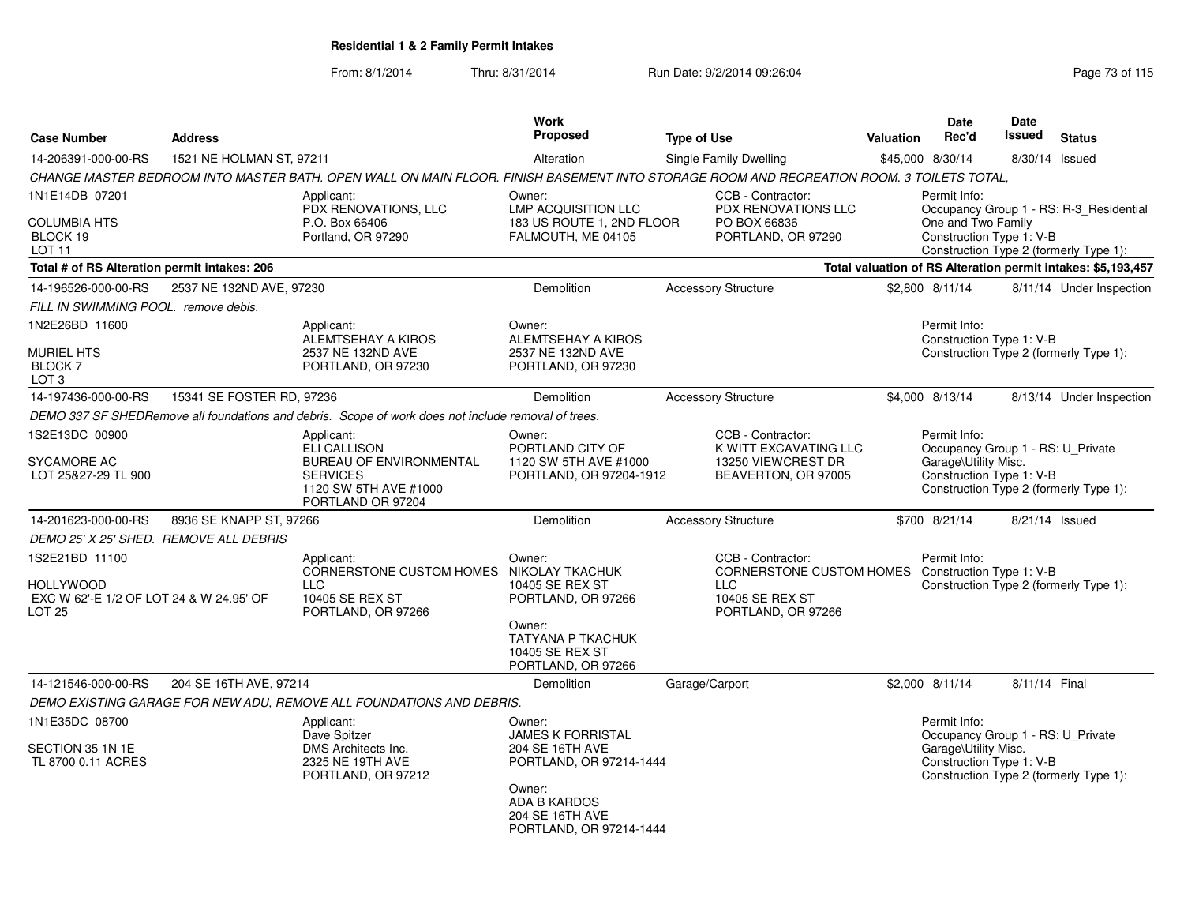| <b>Case Number</b>                                                               | <b>Address</b>                         |                                                                                                                                          | <b>Work</b><br>Proposed                                                        | <b>Type of Use</b>                                                                      | Valuation | Date<br>Rec'd                                                                                         | <b>Date</b><br>Issued | <b>Status</b>                                                |
|----------------------------------------------------------------------------------|----------------------------------------|------------------------------------------------------------------------------------------------------------------------------------------|--------------------------------------------------------------------------------|-----------------------------------------------------------------------------------------|-----------|-------------------------------------------------------------------------------------------------------|-----------------------|--------------------------------------------------------------|
| 14-206391-000-00-RS                                                              | 1521 NE HOLMAN ST, 97211               |                                                                                                                                          | Alteration                                                                     | Single Family Dwelling                                                                  |           | \$45,000 8/30/14                                                                                      |                       | 8/30/14 Issued                                               |
|                                                                                  |                                        | CHANGE MASTER BEDROOM INTO MASTER BATH. OPEN WALL ON MAIN FLOOR. FINISH BASEMENT INTO STORAGE ROOM AND RECREATION ROOM. 3 TOILETS TOTAL, |                                                                                |                                                                                         |           |                                                                                                       |                       |                                                              |
| 1N1E14DB 07201                                                                   |                                        | Applicant:<br>PDX RENOVATIONS, LLC                                                                                                       | Owner:<br><b>LMP ACQUISITION LLC</b>                                           | CCB - Contractor:<br><b>PDX RENOVATIONS LLC</b>                                         |           | Permit Info:                                                                                          |                       | Occupancy Group 1 - RS: R-3_Residential                      |
| <b>COLUMBIA HTS</b><br>BLOCK 19<br>LOT <sub>11</sub>                             |                                        | P.O. Box 66406<br>Portland, OR 97290                                                                                                     | 183 US ROUTE 1, 2ND FLOOR<br>FALMOUTH, ME 04105                                | PO BOX 66836<br>PORTLAND, OR 97290                                                      |           | One and Two Family<br>Construction Type 1: V-B                                                        |                       | Construction Type 2 (formerly Type 1):                       |
| Total # of RS Alteration permit intakes: 206                                     |                                        |                                                                                                                                          |                                                                                |                                                                                         |           |                                                                                                       |                       | Total valuation of RS Alteration permit intakes: \$5,193,457 |
| 14-196526-000-00-RS                                                              | 2537 NE 132ND AVE, 97230               |                                                                                                                                          | <b>Demolition</b>                                                              | <b>Accessory Structure</b>                                                              |           | \$2,800 8/11/14                                                                                       |                       | 8/11/14 Under Inspection                                     |
| FILL IN SWIMMING POOL. remove debis.                                             |                                        |                                                                                                                                          |                                                                                |                                                                                         |           |                                                                                                       |                       |                                                              |
| 1N2E26BD 11600                                                                   |                                        | Applicant:<br>ALEMTSEHAY A KIROS                                                                                                         | Owner:<br>ALEMTSEHAY A KIROS                                                   |                                                                                         |           | Permit Info:<br>Construction Type 1: V-B                                                              |                       |                                                              |
| <b>MURIEL HTS</b><br>BLOCK 7<br>LOT <sub>3</sub>                                 |                                        | 2537 NE 132ND AVE<br>PORTLAND, OR 97230                                                                                                  | 2537 NE 132ND AVE<br>PORTLAND, OR 97230                                        |                                                                                         |           |                                                                                                       |                       | Construction Type 2 (formerly Type 1):                       |
| 14-197436-000-00-RS                                                              | 15341 SE FOSTER RD, 97236              |                                                                                                                                          | Demolition                                                                     | <b>Accessory Structure</b>                                                              |           | \$4,000 8/13/14                                                                                       |                       | 8/13/14 Under Inspection                                     |
|                                                                                  |                                        | DEMO 337 SF SHEDRemove all foundations and debris. Scope of work does not include removal of trees.                                      |                                                                                |                                                                                         |           |                                                                                                       |                       |                                                              |
| 1S2E13DC 00900<br><b>SYCAMORE AC</b><br>LOT 25&27-29 TL 900                      |                                        | Applicant:<br><b>ELI CALLISON</b><br><b>BUREAU OF ENVIRONMENTAL</b><br><b>SERVICES</b><br>1120 SW 5TH AVE #1000<br>PORTLAND OR 97204     | Owner:<br>PORTLAND CITY OF<br>1120 SW 5TH AVE #1000<br>PORTLAND, OR 97204-1912 | CCB - Contractor:<br>K WITT EXCAVATING LLC<br>13250 VIEWCREST DR<br>BEAVERTON, OR 97005 |           | Permit Info:<br>Occupancy Group 1 - RS: U_Private<br>Garage\Utility Misc.<br>Construction Type 1: V-B |                       | Construction Type 2 (formerly Type 1):                       |
| 14-201623-000-00-RS                                                              | 8936 SE KNAPP ST, 97266                |                                                                                                                                          | Demolition                                                                     | <b>Accessory Structure</b>                                                              |           | \$700 8/21/14                                                                                         |                       | 8/21/14 Issued                                               |
|                                                                                  | DEMO 25' X 25' SHED. REMOVE ALL DEBRIS |                                                                                                                                          |                                                                                |                                                                                         |           |                                                                                                       |                       |                                                              |
| 1S2E21BD 11100                                                                   |                                        | Applicant:<br>CORNERSTONE CUSTOM HOMES NIKOLAY TKACHUK                                                                                   | Owner:                                                                         | CCB - Contractor:<br>CORNERSTONE CUSTOM HOMES Construction Type 1: V-B                  |           | Permit Info:                                                                                          |                       |                                                              |
| <b>HOLLYWOOD</b><br>EXC W 62'-E 1/2 OF LOT 24 & W 24.95' OF<br>LOT <sub>25</sub> |                                        | <b>LLC</b><br>10405 SE REX ST<br>PORTLAND, OR 97266                                                                                      | 10405 SE REX ST<br>PORTLAND, OR 97266<br>Owner:                                | <b>LLC</b><br>10405 SE REX ST<br>PORTLAND, OR 97266                                     |           |                                                                                                       |                       | Construction Type 2 (formerly Type 1):                       |
|                                                                                  |                                        |                                                                                                                                          | <b>TATYANA P TKACHUK</b><br>10405 SE REX ST<br>PORTLAND, OR 97266              |                                                                                         |           |                                                                                                       |                       |                                                              |
| 14-121546-000-00-RS                                                              | 204 SE 16TH AVE, 97214                 |                                                                                                                                          | <b>Demolition</b>                                                              | Garage/Carport                                                                          |           | \$2,000 8/11/14                                                                                       | 8/11/14 Final         |                                                              |
|                                                                                  |                                        | DEMO EXISTING GARAGE FOR NEW ADU, REMOVE ALL FOUNDATIONS AND DEBRIS.                                                                     |                                                                                |                                                                                         |           |                                                                                                       |                       |                                                              |
| 1N1E35DC 08700                                                                   |                                        | Applicant:<br>Dave Spitzer                                                                                                               | Owner:<br><b>JAMES K FORRISTAL</b>                                             |                                                                                         |           | Permit Info:<br>Occupancy Group 1 - RS: U_Private                                                     |                       |                                                              |
| SECTION 35 1N 1E<br>TL 8700 0.11 ACRES                                           |                                        | DMS Architects Inc.<br>2325 NE 19TH AVE<br>PORTLAND, OR 97212                                                                            | 204 SE 16TH AVE<br>PORTLAND, OR 97214-1444                                     |                                                                                         |           | Garage\Utility Misc.<br>Construction Type 1: V-B                                                      |                       | Construction Type 2 (formerly Type 1):                       |
|                                                                                  |                                        |                                                                                                                                          | Owner:<br><b>ADA B KARDOS</b><br>204 SE 16TH AVE<br>PORTLAND, OR 97214-1444    |                                                                                         |           |                                                                                                       |                       |                                                              |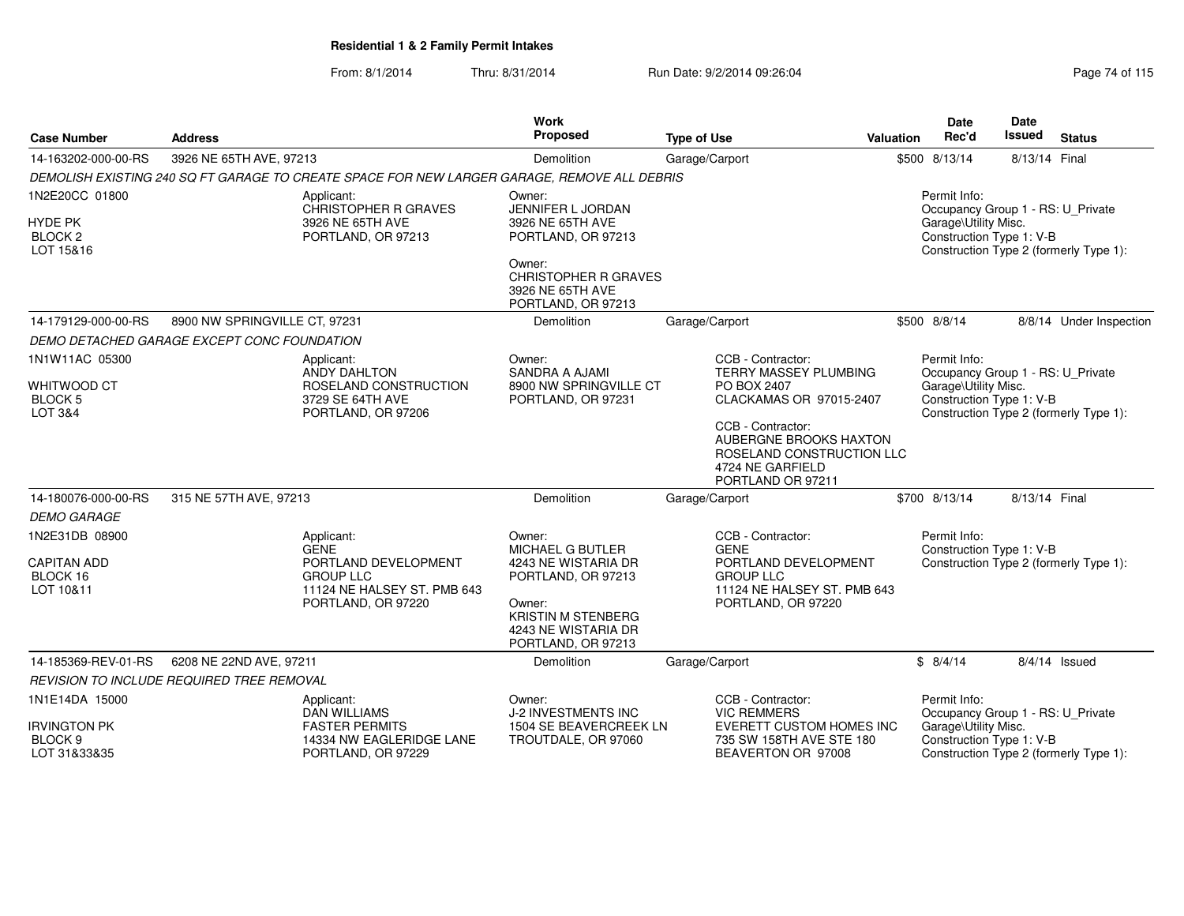| <b>Case Number</b>                                                  | <b>Address</b>                                                  |                                                                                               | <b>Work</b><br>Proposed                                                                                 | <b>Type of Use</b>                                                                                                | <b>Valuation</b> | <b>Date</b><br>Rec'd                                                                                  | Date<br><b>Issued</b> | <b>Status</b>                          |
|---------------------------------------------------------------------|-----------------------------------------------------------------|-----------------------------------------------------------------------------------------------|---------------------------------------------------------------------------------------------------------|-------------------------------------------------------------------------------------------------------------------|------------------|-------------------------------------------------------------------------------------------------------|-----------------------|----------------------------------------|
| 14-163202-000-00-RS                                                 | 3926 NE 65TH AVE, 97213                                         |                                                                                               | Demolition                                                                                              | Garage/Carport                                                                                                    |                  | \$500 8/13/14                                                                                         | 8/13/14 Final         |                                        |
|                                                                     |                                                                 | DEMOLISH EXISTING 240 SQ FT GARAGE TO CREATE SPACE FOR NEW LARGER GARAGE, REMOVE ALL DEBRIS   |                                                                                                         |                                                                                                                   |                  |                                                                                                       |                       |                                        |
| 1N2E20CC 01800<br><b>HYDE PK</b><br>BLOCK <sub>2</sub><br>LOT 15&16 |                                                                 | Applicant:<br><b>CHRISTOPHER R GRAVES</b><br>3926 NE 65TH AVE<br>PORTLAND, OR 97213           | Owner:<br>JENNIFER L JORDAN<br>3926 NE 65TH AVE<br>PORTLAND, OR 97213<br>Owner:                         |                                                                                                                   |                  | Permit Info:<br>Occupancy Group 1 - RS: U_Private<br>Garage\Utility Misc.<br>Construction Type 1: V-B |                       | Construction Type 2 (formerly Type 1): |
|                                                                     |                                                                 |                                                                                               | <b>CHRISTOPHER R GRAVES</b><br>3926 NE 65TH AVE<br>PORTLAND, OR 97213                                   |                                                                                                                   |                  |                                                                                                       |                       |                                        |
| 14-179129-000-00-RS                                                 | 8900 NW SPRINGVILLE CT, 97231                                   |                                                                                               | Demolition                                                                                              | Garage/Carport                                                                                                    |                  | \$500 8/8/14                                                                                          |                       | 8/8/14 Under Inspection                |
|                                                                     | DEMO DETACHED GARAGE EXCEPT CONC FOUNDATION                     |                                                                                               |                                                                                                         |                                                                                                                   |                  |                                                                                                       |                       |                                        |
| 1N1W11AC 05300                                                      |                                                                 | Applicant:<br><b>ANDY DAHLTON</b>                                                             | Owner:<br><b>SANDRA A AJAMI</b>                                                                         | CCB - Contractor:<br>TERRY MASSEY PLUMBING                                                                        |                  | Permit Info:<br>Occupancy Group 1 - RS: U_Private                                                     |                       |                                        |
| <b>WHITWOOD CT</b><br><b>BLOCK 5</b><br>LOT 3&4                     | ROSELAND CONSTRUCTION<br>3729 SE 64TH AVE<br>PORTLAND, OR 97206 |                                                                                               | 8900 NW SPRINGVILLE CT<br>PORTLAND, OR 97231                                                            | PO BOX 2407<br>CLACKAMAS OR 97015-2407                                                                            |                  | Garage\Utility Misc.<br>Construction Type 1: V-B                                                      |                       | Construction Type 2 (formerly Type 1): |
|                                                                     |                                                                 |                                                                                               |                                                                                                         | CCB - Contractor:<br>AUBERGNE BROOKS HAXTON<br>ROSELAND CONSTRUCTION LLC<br>4724 NE GARFIELD<br>PORTLAND OR 97211 |                  |                                                                                                       |                       |                                        |
| 14-180076-000-00-RS                                                 | 315 NE 57TH AVE, 97213                                          |                                                                                               | Demolition                                                                                              | Garage/Carport                                                                                                    |                  | \$700 8/13/14                                                                                         | 8/13/14 Final         |                                        |
| <b>DEMO GARAGE</b>                                                  |                                                                 |                                                                                               |                                                                                                         |                                                                                                                   |                  |                                                                                                       |                       |                                        |
| 1N2E31DB 08900                                                      |                                                                 | Applicant:<br><b>GENE</b>                                                                     | Owner:<br>MICHAEL G BUTLER                                                                              | CCB - Contractor:<br><b>GENE</b>                                                                                  |                  | Permit Info:<br>Construction Type 1: V-B                                                              |                       |                                        |
| <b>CAPITAN ADD</b><br>BLOCK 16<br>LOT 10&11                         |                                                                 | PORTLAND DEVELOPMENT<br><b>GROUP LLC</b><br>11124 NE HALSEY ST. PMB 643<br>PORTLAND, OR 97220 | 4243 NE WISTARIA DR<br>PORTLAND, OR 97213<br>Owner:<br><b>KRISTIN M STENBERG</b><br>4243 NE WISTARIA DR | PORTLAND DEVELOPMENT<br><b>GROUP LLC</b><br>11124 NE HALSEY ST. PMB 643<br>PORTLAND, OR 97220                     |                  |                                                                                                       |                       | Construction Type 2 (formerly Type 1): |
|                                                                     |                                                                 |                                                                                               | PORTLAND, OR 97213                                                                                      |                                                                                                                   |                  |                                                                                                       |                       |                                        |
| 14-185369-REV-01-RS                                                 | 6208 NE 22ND AVE, 97211                                         |                                                                                               | Demolition                                                                                              | Garage/Carport                                                                                                    |                  | \$8/4/14                                                                                              |                       | $8/4/14$ Issued                        |
|                                                                     | <b>REVISION TO INCLUDE REQUIRED TREE REMOVAL</b>                |                                                                                               |                                                                                                         |                                                                                                                   |                  |                                                                                                       |                       |                                        |
| 1N1E14DA 15000                                                      |                                                                 | Applicant:<br><b>DAN WILLIAMS</b>                                                             | Owner:<br>J-2 INVESTMENTS INC                                                                           | CCB - Contractor:<br><b>VIC REMMERS</b>                                                                           |                  | Permit Info:<br>Occupancy Group 1 - RS: U_Private                                                     |                       |                                        |
| <b>IRVINGTON PK</b><br>BLOCK <sub>9</sub><br>LOT 31&33&35           |                                                                 | <b>FASTER PERMITS</b><br>14334 NW EAGLERIDGE LANE<br>PORTLAND, OR 97229                       | 1504 SE BEAVERCREEK LN<br>TROUTDALE, OR 97060                                                           | EVERETT CUSTOM HOMES INC<br>735 SW 158TH AVE STE 180<br>BEAVERTON OR 97008                                        |                  | Garage\Utility Misc.<br>Construction Type 1: V-B                                                      |                       | Construction Type 2 (formerly Type 1): |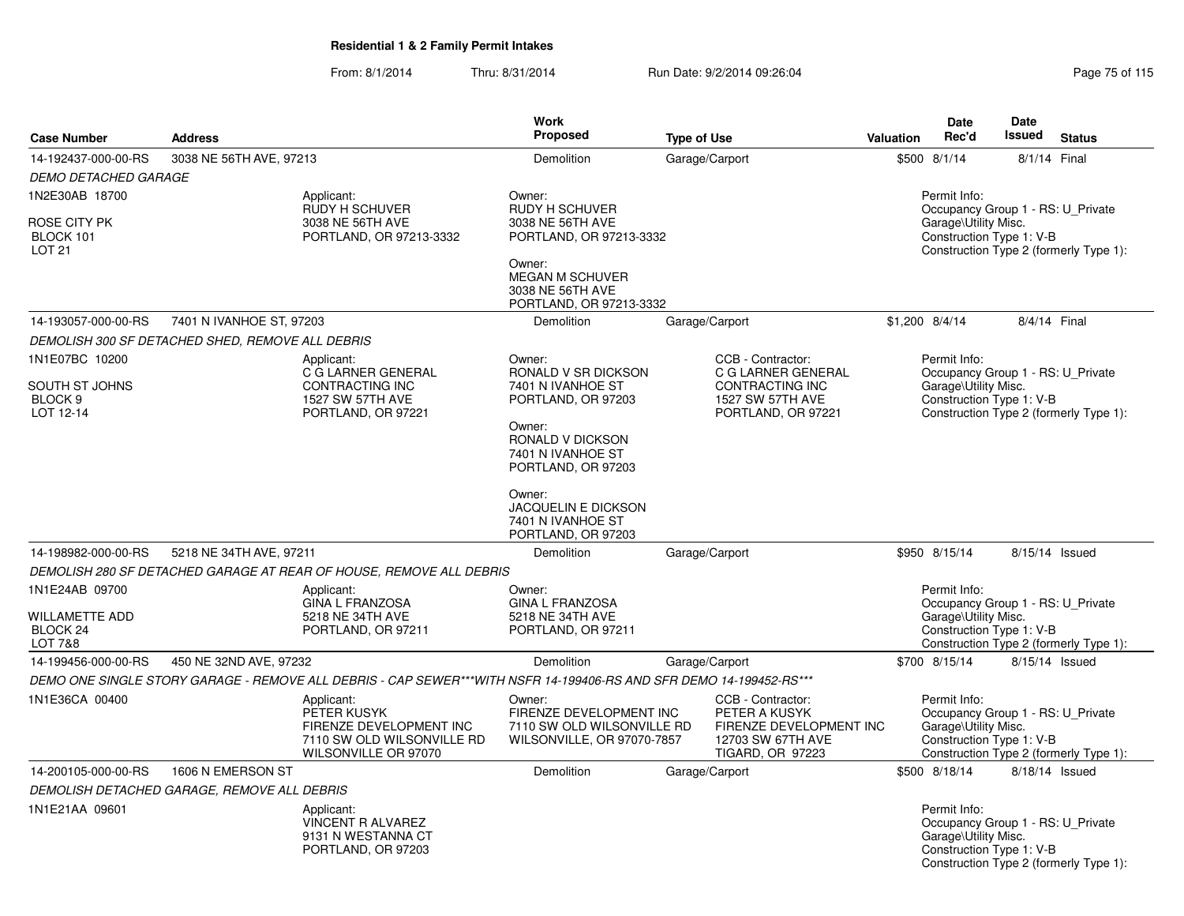|                                                                     |                                                  |                                                                                                                    | <b>Work</b>                                                                                                                                       |                                                                                                               |                                                                                                                                                 | <b>Date</b>                                                                                           | Date           |                                        |  |
|---------------------------------------------------------------------|--------------------------------------------------|--------------------------------------------------------------------------------------------------------------------|---------------------------------------------------------------------------------------------------------------------------------------------------|---------------------------------------------------------------------------------------------------------------|-------------------------------------------------------------------------------------------------------------------------------------------------|-------------------------------------------------------------------------------------------------------|----------------|----------------------------------------|--|
| <b>Case Number</b>                                                  | <b>Address</b>                                   |                                                                                                                    | <b>Proposed</b>                                                                                                                                   | <b>Type of Use</b>                                                                                            | <b>Valuation</b>                                                                                                                                | Rec'd                                                                                                 | Issued         | <b>Status</b>                          |  |
| 14-192437-000-00-RS                                                 | 3038 NE 56TH AVE, 97213                          |                                                                                                                    | Demolition                                                                                                                                        | Garage/Carport                                                                                                |                                                                                                                                                 | \$500 8/1/14                                                                                          | 8/1/14 Final   |                                        |  |
| <b>DEMO DETACHED GARAGE</b>                                         |                                                  |                                                                                                                    |                                                                                                                                                   |                                                                                                               |                                                                                                                                                 |                                                                                                       |                |                                        |  |
| 1N2E30AB 18700<br>ROSE CITY PK<br>BLOCK 101<br>LOT <sub>21</sub>    |                                                  | Applicant:<br>RUDY H SCHUVER<br>3038 NE 56TH AVE<br>PORTLAND, OR 97213-3332                                        | Owner:<br><b>RUDY H SCHUVER</b><br>3038 NE 56TH AVE<br>PORTLAND, OR 97213-3332<br>Owner:<br><b>MEGAN M SCHUVER</b><br>3038 NE 56TH AVE            |                                                                                                               | Permit Info:<br>Occupancy Group 1 - RS: U Private<br>Garage\Utility Misc.<br>Construction Type 1: V-B<br>Construction Type 2 (formerly Type 1): |                                                                                                       |                |                                        |  |
|                                                                     |                                                  |                                                                                                                    | PORTLAND, OR 97213-3332                                                                                                                           |                                                                                                               |                                                                                                                                                 |                                                                                                       |                |                                        |  |
| 14-193057-000-00-RS                                                 | 7401 N IVANHOE ST, 97203                         |                                                                                                                    | Demolition                                                                                                                                        | Garage/Carport                                                                                                |                                                                                                                                                 | \$1,200 8/4/14                                                                                        | 8/4/14 Final   |                                        |  |
|                                                                     | DEMOLISH 300 SF DETACHED SHED, REMOVE ALL DEBRIS |                                                                                                                    |                                                                                                                                                   |                                                                                                               |                                                                                                                                                 |                                                                                                       |                |                                        |  |
| 1N1E07BC 10200<br>SOUTH ST JOHNS<br>BLOCK <sub>9</sub><br>LOT 12-14 |                                                  | Applicant:<br>C G LARNER GENERAL<br><b>CONTRACTING INC</b><br>1527 SW 57TH AVE<br>PORTLAND, OR 97221               | Owner:<br>RONALD V SR DICKSON<br>7401 N IVANHOE ST<br>PORTLAND, OR 97203<br>Owner:<br>RONALD V DICKSON<br>7401 N IVANHOE ST<br>PORTLAND, OR 97203 | CCB - Contractor:<br>C G LARNER GENERAL<br><b>CONTRACTING INC</b><br>1527 SW 57TH AVE<br>PORTLAND, OR 97221   |                                                                                                                                                 | Permit Info:<br>Occupancy Group 1 - RS: U_Private<br>Garage\Utility Misc.<br>Construction Type 1: V-B |                | Construction Type 2 (formerly Type 1): |  |
| 14-198982-000-00-RS                                                 | 5218 NE 34TH AVE, 97211                          |                                                                                                                    | Owner:<br><b>JACQUELIN E DICKSON</b><br>7401 N IVANHOE ST<br>PORTLAND, OR 97203<br>Demolition                                                     | Garage/Carport                                                                                                |                                                                                                                                                 | \$950 8/15/14                                                                                         | 8/15/14 Issued |                                        |  |
|                                                                     |                                                  | DEMOLISH 280 SF DETACHED GARAGE AT REAR OF HOUSE, REMOVE ALL DEBRIS                                                |                                                                                                                                                   |                                                                                                               |                                                                                                                                                 |                                                                                                       |                |                                        |  |
| 1N1E24AB 09700                                                      |                                                  | Applicant:                                                                                                         | Owner:                                                                                                                                            |                                                                                                               |                                                                                                                                                 | Permit Info:                                                                                          |                |                                        |  |
| WILLAMETTE ADD<br>BLOCK 24<br>LOT 7&8                               |                                                  | <b>GINA L FRANZOSA</b><br>5218 NE 34TH AVE<br>PORTLAND, OR 97211                                                   | <b>GINA L FRANZOSA</b><br>5218 NE 34TH AVE<br>PORTLAND, OR 97211                                                                                  |                                                                                                               |                                                                                                                                                 | Occupancy Group 1 - RS: U_Private<br>Garage\Utility Misc.<br>Construction Type 1: V-B                 |                | Construction Type 2 (formerly Type 1): |  |
| 14-199456-000-00-RS                                                 | 450 NE 32ND AVE, 97232                           |                                                                                                                    | Demolition                                                                                                                                        | Garage/Carport                                                                                                |                                                                                                                                                 | \$700 8/15/14                                                                                         | 8/15/14 Issued |                                        |  |
|                                                                     |                                                  | DEMO ONE SINGLE STORY GARAGE - REMOVE ALL DEBRIS - CAP SEWER***WITH NSFR 14-199406-RS AND SFR DEMO 14-199452-RS*** |                                                                                                                                                   |                                                                                                               |                                                                                                                                                 |                                                                                                       |                |                                        |  |
| 1N1E36CA 00400                                                      |                                                  | Applicant:<br>PETER KUSYK<br>FIRENZE DEVELOPMENT INC<br>7110 SW OLD WILSONVILLE RD<br>WILSONVILLE OR 97070         | Owner:<br>FIRENZE DEVELOPMENT INC<br>7110 SW OLD WILSONVILLE RD<br>WILSONVILLE, OR 97070-7857                                                     | CCB - Contractor:<br>PETER A KUSYK<br>FIRENZE DEVELOPMENT INC<br>12703 SW 67TH AVE<br><b>TIGARD, OR 97223</b> |                                                                                                                                                 | Permit Info:<br>Occupancy Group 1 - RS: U Private<br>Garage\Utility Misc.<br>Construction Type 1: V-B |                | Construction Type 2 (formerly Type 1): |  |
| 14-200105-000-00-RS                                                 | 1606 N EMERSON ST                                |                                                                                                                    | Demolition                                                                                                                                        | Garage/Carport                                                                                                |                                                                                                                                                 | \$500 8/18/14                                                                                         |                | 8/18/14 Issued                         |  |
|                                                                     | DEMOLISH DETACHED GARAGE, REMOVE ALL DEBRIS      |                                                                                                                    |                                                                                                                                                   |                                                                                                               |                                                                                                                                                 |                                                                                                       |                |                                        |  |
| 1N1E21AA 09601                                                      |                                                  | Applicant:<br><b>VINCENT R ALVAREZ</b><br>9131 N WESTANNA CT<br>PORTLAND, OR 97203                                 |                                                                                                                                                   |                                                                                                               |                                                                                                                                                 | Permit Info:<br>Occupancy Group 1 - RS: U Private<br>Garage\Utility Misc.<br>Construction Type 1: V-B |                | Construction Type 2 (formerly Type 1): |  |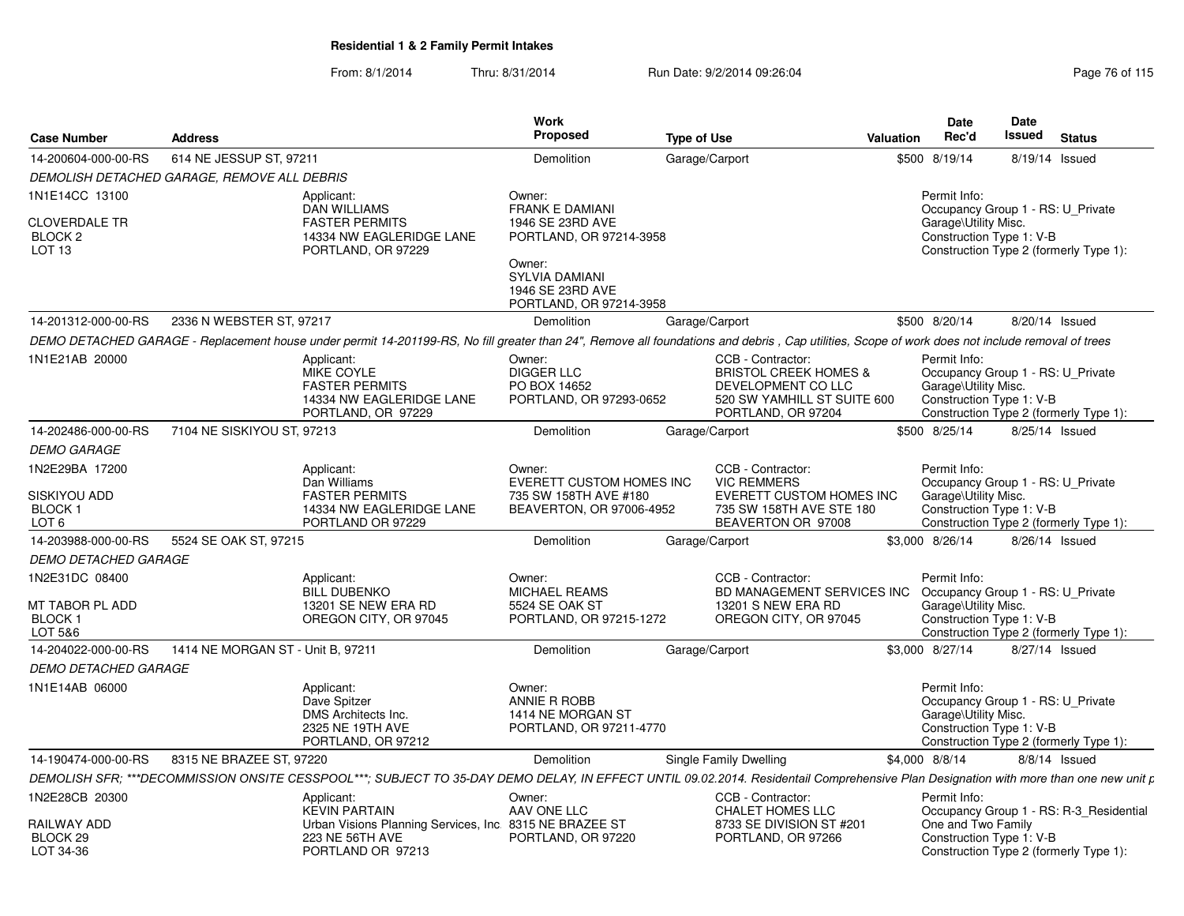| <b>Case Number</b>                                                     | <b>Address</b>                              |                                                                                                                                                                                                 | <b>Work</b><br>Proposed                                                                                            | <b>Type of Use</b> |                                                                                                                                  | <b>Valuation</b> | <b>Date</b><br>Rec'd                                                                                  | <b>Date</b><br>Issued | <b>Status</b>                                                                     |
|------------------------------------------------------------------------|---------------------------------------------|-------------------------------------------------------------------------------------------------------------------------------------------------------------------------------------------------|--------------------------------------------------------------------------------------------------------------------|--------------------|----------------------------------------------------------------------------------------------------------------------------------|------------------|-------------------------------------------------------------------------------------------------------|-----------------------|-----------------------------------------------------------------------------------|
| 14-200604-000-00-RS                                                    | 614 NE JESSUP ST, 97211                     |                                                                                                                                                                                                 | Demolition                                                                                                         |                    | Garage/Carport                                                                                                                   |                  | \$500 8/19/14                                                                                         | 8/19/14 Issued        |                                                                                   |
|                                                                        | DEMOLISH DETACHED GARAGE, REMOVE ALL DEBRIS |                                                                                                                                                                                                 |                                                                                                                    |                    |                                                                                                                                  |                  |                                                                                                       |                       |                                                                                   |
| 1N1E14CC 13100<br><b>CLOVERDALE TR</b><br>BLOCK <sub>2</sub><br>LOT 13 |                                             | Applicant:<br><b>DAN WILLIAMS</b><br><b>FASTER PERMITS</b><br>14334 NW EAGLERIDGE LANE<br>PORTLAND, OR 97229                                                                                    | Owner:<br><b>FRANK E DAMIANI</b><br>1946 SE 23RD AVE<br>PORTLAND, OR 97214-3958<br>Owner:<br><b>SYLVIA DAMIANI</b> |                    |                                                                                                                                  |                  | Permit Info:<br>Occupancy Group 1 - RS: U Private<br>Garage\Utility Misc.<br>Construction Type 1: V-B |                       | Construction Type 2 (formerly Type 1):                                            |
|                                                                        |                                             |                                                                                                                                                                                                 | 1946 SE 23RD AVE<br>PORTLAND, OR 97214-3958                                                                        |                    |                                                                                                                                  |                  |                                                                                                       |                       |                                                                                   |
| 14-201312-000-00-RS                                                    | 2336 N WEBSTER ST, 97217                    |                                                                                                                                                                                                 | Demolition                                                                                                         |                    | Garage/Carport                                                                                                                   |                  | \$500 8/20/14                                                                                         |                       | 8/20/14 Issued                                                                    |
|                                                                        |                                             | DEMO DETACHED GARAGE - Replacement house under permit 14-201199-RS, No fill greater than 24", Remove all foundations and debris, Cap utilities, Scope of work does not include removal of trees |                                                                                                                    |                    |                                                                                                                                  |                  |                                                                                                       |                       |                                                                                   |
| 1N1E21AB 20000                                                         |                                             | Applicant:<br>MIKE COYLE<br><b>FASTER PERMITS</b><br>14334 NW EAGLERIDGE LANE<br>PORTLAND, OR 97229                                                                                             | Owner:<br><b>DIGGER LLC</b><br>PO BOX 14652<br>PORTLAND, OR 97293-0652                                             |                    | CCB - Contractor:<br><b>BRISTOL CREEK HOMES &amp;</b><br>DEVELOPMENT CO LLC<br>520 SW YAMHILL ST SUITE 600<br>PORTLAND, OR 97204 |                  | Permit Info:<br>Occupancy Group 1 - RS: U_Private<br>Garage\Utility Misc.<br>Construction Type 1: V-B |                       | Construction Type 2 (formerly Type 1):                                            |
| 14-202486-000-00-RS                                                    | 7104 NE SISKIYOU ST, 97213                  |                                                                                                                                                                                                 | Demolition                                                                                                         |                    | Garage/Carport                                                                                                                   |                  | \$500 8/25/14                                                                                         |                       | 8/25/14 Issued                                                                    |
| <b>DEMO GARAGE</b>                                                     |                                             |                                                                                                                                                                                                 |                                                                                                                    |                    |                                                                                                                                  |                  |                                                                                                       |                       |                                                                                   |
| 1N2E29BA 17200<br>SISKIYOU ADD<br><b>BLOCK1</b><br>LOT <sub>6</sub>    |                                             | Applicant:<br>Dan Williams<br><b>FASTER PERMITS</b><br>14334 NW EAGLERIDGE LANE<br>PORTLAND OR 97229                                                                                            | Owner:<br>EVERETT CUSTOM HOMES INC<br>735 SW 158TH AVE #180<br>BEAVERTON, OR 97006-4952                            |                    | CCB - Contractor:<br><b>VIC REMMERS</b><br>EVERETT CUSTOM HOMES INC<br>735 SW 158TH AVE STE 180<br>BEAVERTON OR 97008            |                  | Permit Info:<br>Occupancy Group 1 - RS: U_Private<br>Garage\Utility Misc.<br>Construction Type 1: V-B |                       | Construction Type 2 (formerly Type 1):                                            |
| 14-203988-000-00-RS                                                    | 5524 SE OAK ST, 97215                       |                                                                                                                                                                                                 | Demolition                                                                                                         |                    | Garage/Carport                                                                                                                   |                  | \$3.000 8/26/14                                                                                       |                       | 8/26/14 Issued                                                                    |
| <b>DEMO DETACHED GARAGE</b>                                            |                                             |                                                                                                                                                                                                 |                                                                                                                    |                    |                                                                                                                                  |                  |                                                                                                       |                       |                                                                                   |
| 1N2E31DC 08400<br>MT TABOR PL ADD<br><b>BLOCK1</b><br>LOT 5&6          |                                             | Applicant:<br><b>BILL DUBENKO</b><br>13201 SE NEW ERA RD<br>OREGON CITY, OR 97045                                                                                                               | Owner:<br><b>MICHAEL REAMS</b><br>5524 SE OAK ST<br>PORTLAND, OR 97215-1272                                        |                    | CCB - Contractor:<br>BD MANAGEMENT SERVICES INC<br>13201 S NEW ERA RD<br>OREGON CITY, OR 97045                                   |                  | Permit Info:<br>Occupancy Group 1 - RS: U Private<br>Garage\Utility Misc.<br>Construction Type 1: V-B |                       | Construction Type 2 (formerly Type 1):                                            |
| 14-204022-000-00-RS                                                    | 1414 NE MORGAN ST - Unit B, 97211           |                                                                                                                                                                                                 | Demolition                                                                                                         |                    | Garage/Carport                                                                                                                   |                  | \$3,000 8/27/14                                                                                       |                       | 8/27/14 Issued                                                                    |
| <b>DEMO DETACHED GARAGE</b>                                            |                                             |                                                                                                                                                                                                 |                                                                                                                    |                    |                                                                                                                                  |                  |                                                                                                       |                       |                                                                                   |
| 1N1E14AB 06000                                                         |                                             | Applicant:<br>Dave Spitzer<br>DMS Architects Inc.<br>2325 NE 19TH AVE<br>PORTLAND, OR 97212                                                                                                     | Owner:<br><b>ANNIE R ROBB</b><br>1414 NE MORGAN ST<br>PORTLAND, OR 97211-4770                                      |                    |                                                                                                                                  |                  | Permit Info:<br>Occupancy Group 1 - RS: U Private<br>Garage\Utility Misc.<br>Construction Type 1: V-B |                       | Construction Type 2 (formerly Type 1):                                            |
| 14-190474-000-00-RS                                                    | 8315 NE BRAZEE ST, 97220                    |                                                                                                                                                                                                 | Demolition                                                                                                         |                    | Single Family Dwelling                                                                                                           |                  | \$4,000 8/8/14                                                                                        |                       | 8/8/14 Issued                                                                     |
|                                                                        |                                             | DEMOLISH SFR; ***DECOMMISSION ONSITE CESSPOOL***; SUBJECT TO 35-DAY DEMO DELAY, IN EFFECT UNTIL 09.02.2014. Residentail Comprehensive Plan Designation with more than one new unit p            |                                                                                                                    |                    |                                                                                                                                  |                  |                                                                                                       |                       |                                                                                   |
| 1N2E28CB 20300<br>RAILWAY ADD<br>BLOCK <sub>29</sub><br>LOT 34-36      |                                             | Applicant:<br><b>KEVIN PARTAIN</b><br>Urban Visions Planning Services, Inc. 8315 NE BRAZEE ST<br>223 NE 56TH AVE<br>PORTLAND OR 97213                                                           | Owner:<br>AAV ONE LLC<br>PORTLAND, OR 97220                                                                        |                    | CCB - Contractor:<br><b>CHALET HOMES LLC</b><br>8733 SE DIVISION ST #201<br>PORTLAND, OR 97266                                   |                  | Permit Info:<br>One and Two Family<br>Construction Type 1: V-B                                        |                       | Occupancy Group 1 - RS: R-3_Residential<br>Construction Type 2 (formerly Type 1): |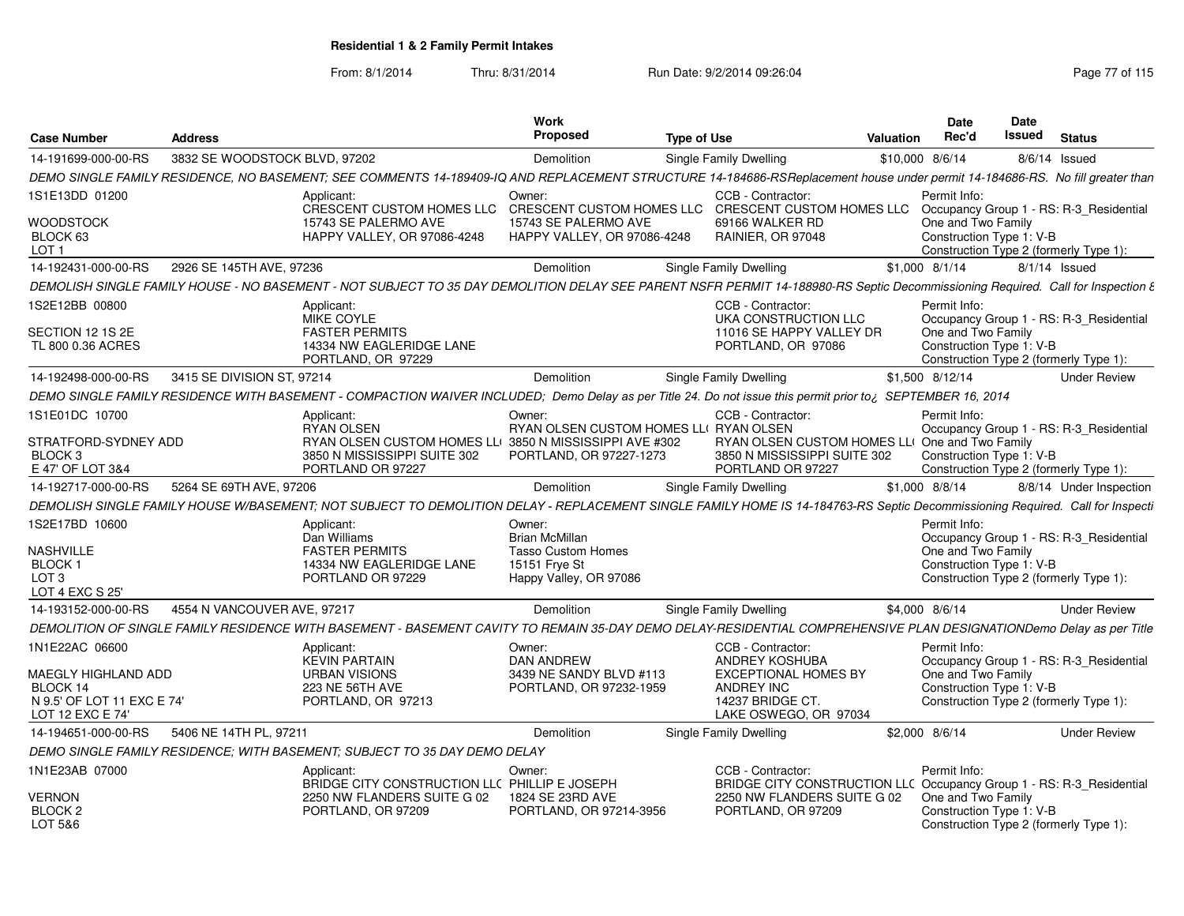| <b>Case Number</b>                            | <b>Address</b>                |                                                                                                                                                                                | <b>Work</b><br>Proposed                                    | <b>Type of Use</b>                                   | Valuation                                                            | <b>Date</b><br>Rec'd                                               | <b>Date</b><br>Issued | <b>Status</b>                           |
|-----------------------------------------------|-------------------------------|--------------------------------------------------------------------------------------------------------------------------------------------------------------------------------|------------------------------------------------------------|------------------------------------------------------|----------------------------------------------------------------------|--------------------------------------------------------------------|-----------------------|-----------------------------------------|
| 14-191699-000-00-RS                           | 3832 SE WOODSTOCK BLVD, 97202 |                                                                                                                                                                                | Demolition                                                 | Single Family Dwelling                               | \$10,000 8/6/14                                                      |                                                                    | 8/6/14 Issued         |                                         |
|                                               |                               | DEMO SINGLE FAMILY RESIDENCE, NO BASEMENT; SEE COMMENTS 14-189409-IQ AND REPLACEMENT STRUCTURE 14-184686-RSReplacement house under permit 14-184686-RS. No fill greater than   |                                                            |                                                      |                                                                      |                                                                    |                       |                                         |
| 1S1E13DD 01200                                |                               | Applicant:                                                                                                                                                                     | Owner:                                                     | CCB - Contractor:                                    |                                                                      | Permit Info:                                                       |                       |                                         |
|                                               |                               | CRESCENT CUSTOM HOMES LLC                                                                                                                                                      |                                                            | CRESCENT CUSTOM HOMES LLC  CRESCENT CUSTOM HOMES LLC |                                                                      |                                                                    |                       | Occupancy Group 1 - RS: R-3 Residential |
| WOODSTOCK<br>BLOCK 63                         |                               | 15743 SE PALERMO AVE<br><b>HAPPY VALLEY, OR 97086-4248</b>                                                                                                                     | 15743 SE PALERMO AVE<br><b>HAPPY VALLEY, OR 97086-4248</b> | 69166 WALKER RD<br>RAINIER, OR 97048                 |                                                                      | One and Two Family<br>Construction Type 1: V-B                     |                       |                                         |
| LOT <sub>1</sub>                              |                               |                                                                                                                                                                                |                                                            |                                                      |                                                                      | Construction Type 2 (formerly Type 1):                             |                       |                                         |
| 14-192431-000-00-RS                           | 2926 SE 145TH AVE, 97236      |                                                                                                                                                                                | Demolition                                                 | Single Family Dwelling                               | \$1,000 8/1/14                                                       |                                                                    | 8/1/14 Issued         |                                         |
|                                               |                               | DEMOLISH SINGLE FAMILY HOUSE - NO BASEMENT - NOT SUBJECT TO 35 DAY DEMOLITION DELAY SEE PARENT NSFR PERMIT 14-188980-RS Septic Decommissioning Required. Call for Inspection & |                                                            |                                                      |                                                                      |                                                                    |                       |                                         |
| 1S2E12BB 00800                                |                               | Applicant:                                                                                                                                                                     |                                                            | CCB - Contractor:                                    |                                                                      | Permit Info:                                                       |                       |                                         |
|                                               |                               | <b>MIKE COYLE</b>                                                                                                                                                              |                                                            | <b>UKA CONSTRUCTION LLC</b>                          |                                                                      |                                                                    |                       | Occupancy Group 1 - RS: R-3_Residential |
| SECTION 12 1S 2E                              |                               | <b>FASTER PERMITS</b>                                                                                                                                                          |                                                            | 11016 SE HAPPY VALLEY DR                             |                                                                      | One and Two Family                                                 |                       |                                         |
| TL 800 0.36 ACRES                             |                               | 14334 NW EAGLERIDGE LANE<br>PORTLAND, OR 97229                                                                                                                                 |                                                            | PORTLAND, OR 97086                                   |                                                                      | Construction Type 1: V-B<br>Construction Type 2 (formerly Type 1): |                       |                                         |
| 14-192498-000-00-RS                           | 3415 SE DIVISION ST, 97214    |                                                                                                                                                                                | Demolition                                                 | Single Family Dwelling                               | \$1,500 8/12/14                                                      |                                                                    |                       | <b>Under Review</b>                     |
|                                               |                               | DEMO SINGLE FAMILY RESIDENCE WITH BASEMENT - COMPACTION WAIVER INCLUDED; Demo Delay as per Title 24. Do not issue this permit prior to; SEPTEMBER 16, 2014                     |                                                            |                                                      |                                                                      |                                                                    |                       |                                         |
| 1S1E01DC 10700                                |                               |                                                                                                                                                                                | Owner                                                      | CCB - Contractor:                                    |                                                                      | Permit Info:                                                       |                       |                                         |
|                                               |                               | Applicant:<br><b>RYAN OLSEN</b>                                                                                                                                                | RYAN OLSEN CUSTOM HOMES LLI RYAN OLSEN                     |                                                      |                                                                      |                                                                    |                       | Occupancy Group 1 - RS: R-3 Residential |
| STRATFORD-SYDNEY ADD                          |                               | RYAN OLSEN CUSTOM HOMES LLI 3850 N MISSISSIPPI AVE #302                                                                                                                        |                                                            |                                                      | RYAN OLSEN CUSTOM HOMES LLI One and Two Family                       |                                                                    |                       |                                         |
| BLOCK <sub>3</sub>                            |                               | 3850 N MISSISSIPPI SUITE 302                                                                                                                                                   | PORTLAND, OR 97227-1273                                    | 3850 N MISSISSIPPI SUITE 302                         |                                                                      | Construction Type 1: V-B                                           |                       |                                         |
| E 47' OF LOT 3&4                              |                               | PORTLAND OR 97227                                                                                                                                                              |                                                            | PORTLAND OR 97227                                    |                                                                      | Construction Type 2 (formerly Type 1):                             |                       |                                         |
| 14-192717-000-00-RS                           | 5264 SE 69TH AVE, 97206       |                                                                                                                                                                                | Demolition                                                 | Single Family Dwelling                               | \$1,000 8/8/14                                                       |                                                                    |                       | 8/8/14 Under Inspection                 |
|                                               |                               | DEMOLISH SINGLE FAMILY HOUSE W/BASEMENT; NOT SUBJECT TO DEMOLITION DELAY - REPLACEMENT SINGLE FAMILY HOME IS 14-184763-RS Septic Decommissioning Required. Call for Inspecti   |                                                            |                                                      |                                                                      |                                                                    |                       |                                         |
| 1S2E17BD 10600                                |                               | Applicant:                                                                                                                                                                     | Owner:                                                     |                                                      |                                                                      | Permit Info:                                                       |                       |                                         |
|                                               |                               | Dan Williams                                                                                                                                                                   | Brian McMillan                                             |                                                      |                                                                      |                                                                    |                       | Occupancy Group 1 - RS: R-3_Residential |
| NASHVILLE<br>BLOCK 1                          |                               | <b>FASTER PERMITS</b><br>14334 NW EAGLERIDGE LANE                                                                                                                              | <b>Tasso Custom Homes</b><br>15151 Frye St                 |                                                      |                                                                      | One and Two Family<br>Construction Type 1: V-B                     |                       |                                         |
| LOT <sub>3</sub>                              |                               | PORTLAND OR 97229                                                                                                                                                              | Happy Valley, OR 97086                                     |                                                      |                                                                      | Construction Type 2 (formerly Type 1)                              |                       |                                         |
| LOT 4 EXC S 25'                               |                               |                                                                                                                                                                                |                                                            |                                                      |                                                                      |                                                                    |                       |                                         |
| 14-193152-000-00-RS                           | 4554 N VANCOUVER AVE, 97217   |                                                                                                                                                                                | Demolition                                                 | Single Family Dwelling                               | \$4,000 8/6/14                                                       |                                                                    |                       | <b>Under Review</b>                     |
|                                               |                               | DEMOLITION OF SINGLE FAMILY RESIDENCE WITH BASEMENT - BASEMENT CAVITY TO REMAIN 35-DAY DEMO DELAY-RESIDENTIAL COMPREHENSIVE PLAN DESIGNATIONDemo Delay as per Title            |                                                            |                                                      |                                                                      |                                                                    |                       |                                         |
| 1N1E22AC 06600                                |                               | Applicant:                                                                                                                                                                     | Owner:                                                     | CCB - Contractor:                                    |                                                                      | Permit Info:                                                       |                       |                                         |
|                                               |                               | <b>KEVIN PARTAIN</b>                                                                                                                                                           | <b>DAN ANDREW</b>                                          | ANDREY KOSHUBA                                       |                                                                      |                                                                    |                       | Occupancy Group 1 - RS: R-3_Residential |
| <b><i>AAEGLY HIGHLAND ADD</i></b><br>BLOCK 14 |                               | <b>URBAN VISIONS</b><br>223 NE 56TH AVE                                                                                                                                        | 3439 NE SANDY BLVD #113<br>PORTLAND, OR 97232-1959         | <b>EXCEPTIONAL HOMES BY</b><br><b>ANDREY INC</b>     |                                                                      | One and Two Family<br>Construction Type 1: V-B                     |                       |                                         |
| N 9.5' OF LOT 11 EXC E 74'                    |                               | PORTLAND, OR 97213                                                                                                                                                             |                                                            | 14237 BRIDGE CT.                                     |                                                                      | Construction Type 2 (formerly Type 1):                             |                       |                                         |
| LOT 12 EXC E 74'                              |                               |                                                                                                                                                                                |                                                            | LAKE OSWEGO, OR 97034                                |                                                                      |                                                                    |                       |                                         |
| 14-194651-000-00-RS                           | 5406 NE 14TH PL, 97211        |                                                                                                                                                                                | Demolition                                                 | Single Family Dwelling                               | \$2,000 8/6/14                                                       |                                                                    |                       | <b>Under Review</b>                     |
|                                               |                               | DEMO SINGLE FAMILY RESIDENCE: WITH BASEMENT: SUBJECT TO 35 DAY DEMO DELAY                                                                                                      |                                                            |                                                      |                                                                      |                                                                    |                       |                                         |
| 1N1E23AB 07000                                |                               | Applicant:                                                                                                                                                                     | Owner                                                      | CCB - Contractor:                                    |                                                                      | Permit Info:                                                       |                       |                                         |
|                                               |                               | BRIDGE CITY CONSTRUCTION LLC PHILLIP E JOSEPH                                                                                                                                  |                                                            |                                                      | BRIDGE CITY CONSTRUCTION LLC Occupancy Group 1 - RS: R-3_Residential |                                                                    |                       |                                         |
| <b>VERNON</b>                                 |                               | 2250 NW FLANDERS SUITE G 02                                                                                                                                                    | 1824 SE 23RD AVE                                           | 2250 NW FLANDERS SUITE G 02                          |                                                                      | One and Two Family                                                 |                       |                                         |
| BLOCK <sub>2</sub><br>LOT 5&6                 |                               | PORTLAND, OR 97209                                                                                                                                                             | PORTLAND, OR 97214-3956                                    | PORTLAND, OR 97209                                   |                                                                      | Construction Type 1: V-B<br>Construction Type 2 (formerly Type 1): |                       |                                         |
|                                               |                               |                                                                                                                                                                                |                                                            |                                                      |                                                                      |                                                                    |                       |                                         |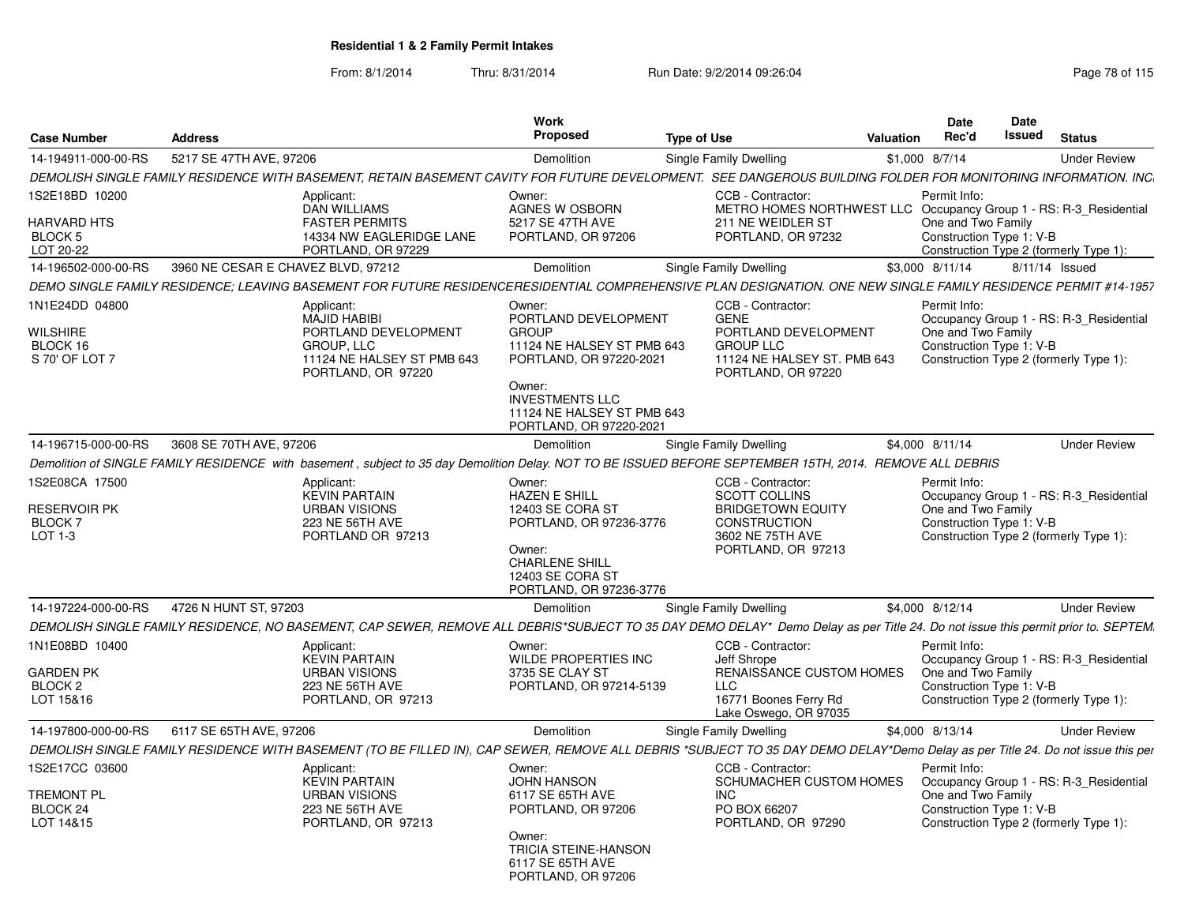| <b>Case Number</b>                              | <b>Address</b>                     |                                                                                        | Work<br>Proposed                                                                          | <b>Type of Use</b>                                                                                                                                                               | <b>Date</b><br>Rec'd<br>Valuation |                    | <b>Date</b><br>Issued<br><b>Status</b>                             |                     |
|-------------------------------------------------|------------------------------------|----------------------------------------------------------------------------------------|-------------------------------------------------------------------------------------------|----------------------------------------------------------------------------------------------------------------------------------------------------------------------------------|-----------------------------------|--------------------|--------------------------------------------------------------------|---------------------|
| 14-194911-000-00-RS                             | 5217 SE 47TH AVE, 97206            |                                                                                        | Demolition                                                                                | Single Family Dwelling                                                                                                                                                           | \$1,000 8/7/14                    |                    |                                                                    | <b>Under Review</b> |
|                                                 |                                    |                                                                                        |                                                                                           | DEMOLISH SINGLE FAMILY RESIDENCE WITH BASEMENT, RETAIN BASEMENT CAVITY FOR FUTURE DEVELOPMENT. SEE DANGEROUS BUILDING FOLDER FOR MONITORING INFORMATION. INC.                    |                                   |                    |                                                                    |                     |
| 1S2E18BD 10200<br>HARVARD HTS<br><b>BLOCK 5</b> |                                    | Applicant:<br><b>DAN WILLIAMS</b><br><b>FASTER PERMITS</b><br>14334 NW EAGLERIDGE LANE | Owner:<br>AGNES W OSBORN<br>5217 SE 47TH AVE<br>PORTLAND, OR 97206                        | CCB - Contractor:<br>METRO HOMES NORTHWEST LLC Occupancy Group 1 - RS: R-3_Residential<br>211 NE WEIDLER ST<br>PORTLAND, OR 97232                                                | Permit Info:                      | One and Two Family | Construction Type 1: V-B                                           |                     |
| LOT 20-22                                       |                                    | PORTLAND, OR 97229                                                                     |                                                                                           |                                                                                                                                                                                  |                                   |                    | Construction Type 2 (formerly Type 1):                             |                     |
| 14-196502-000-00-RS                             | 3960 NE CESAR E CHAVEZ BLVD, 97212 |                                                                                        | Demolition                                                                                | Single Family Dwelling                                                                                                                                                           | \$3,000 8/11/14                   |                    | 8/11/14 Issued                                                     |                     |
|                                                 |                                    |                                                                                        |                                                                                           | DEMO SINGLE FAMILY RESIDENCE; LEAVING BASEMENT FOR FUTURE RESIDENCERESIDENTIAL COMPREHENSIVE PLAN DESIGNATION. ONE NEW SINGLE FAMILY RESIDENCE PERMIT #14-1957                   |                                   |                    |                                                                    |                     |
|                                                 |                                    |                                                                                        |                                                                                           |                                                                                                                                                                                  |                                   |                    |                                                                    |                     |
| 1N1E24DD 04800<br>WILSHIRE                      |                                    | Applicant:<br><b>MAJID HABIBI</b><br>PORTLAND DEVELOPMENT                              | Owner:<br>PORTLAND DEVELOPMENT<br><b>GROUP</b>                                            | CCB - Contractor:<br><b>GENE</b><br>PORTLAND DEVELOPMENT                                                                                                                         | Permit Info:                      | One and Two Family | Occupancy Group 1 - RS: R-3_Residential                            |                     |
| BLOCK 16<br>S 70' OF LOT 7                      |                                    | <b>GROUP, LLC</b><br>11124 NE HALSEY ST PMB 643<br>PORTLAND, OR 97220                  | 11124 NE HALSEY ST PMB 643<br>PORTLAND, OR 97220-2021<br>Owner:<br><b>INVESTMENTS LLC</b> | <b>GROUP LLC</b><br>11124 NE HALSEY ST. PMB 643<br>PORTLAND, OR 97220                                                                                                            |                                   |                    | Construction Type 1: V-B<br>Construction Type 2 (formerly Type 1): |                     |
|                                                 |                                    |                                                                                        | 11124 NE HALSEY ST PMB 643<br>PORTLAND, OR 97220-2021                                     |                                                                                                                                                                                  |                                   |                    |                                                                    |                     |
| 14-196715-000-00-RS                             | 3608 SE 70TH AVE, 97206            |                                                                                        | Demolition                                                                                | Single Family Dwelling                                                                                                                                                           | \$4,000 8/11/14                   |                    |                                                                    | <b>Under Review</b> |
|                                                 |                                    |                                                                                        |                                                                                           | Demolition of SINGLE FAMILY RESIDENCE with basement, subject to 35 day Demolition Delay. NOT TO BE ISSUED BEFORE SEPTEMBER 15TH, 2014. REMOVE ALL DEBRIS                         |                                   |                    |                                                                    |                     |
| 1S2E08CA 17500                                  |                                    | Applicant:                                                                             | Owner:                                                                                    | CCB - Contractor:                                                                                                                                                                | Permit Info:                      |                    |                                                                    |                     |
| RESERVOIR PK                                    |                                    | <b>KEVIN PARTAIN</b><br><b>URBAN VISIONS</b>                                           | <b>HAZEN E SHILL</b><br>12403 SE CORA ST                                                  | <b>SCOTT COLLINS</b><br><b>BRIDGETOWN EQUITY</b>                                                                                                                                 |                                   | One and Two Family | Occupancy Group 1 - RS: R-3 Residential                            |                     |
| <b>BLOCK7</b>                                   |                                    | 223 NE 56TH AVE                                                                        | PORTLAND, OR 97236-3776                                                                   | <b>CONSTRUCTION</b>                                                                                                                                                              |                                   |                    | Construction Type 1: V-B                                           |                     |
| LOT 1-3                                         |                                    | PORTLAND OR 97213                                                                      | Owner:<br><b>CHARLENE SHILL</b><br>12403 SE CORA ST<br>PORTLAND, OR 97236-3776            | 3602 NE 75TH AVE<br>PORTLAND, OR 97213                                                                                                                                           |                                   |                    | Construction Type 2 (formerly Type 1):                             |                     |
| 14-197224-000-00-RS                             | 4726 N HUNT ST, 97203              |                                                                                        | Demolition                                                                                | Single Family Dwelling                                                                                                                                                           | \$4.000 8/12/14                   |                    |                                                                    | <b>Under Review</b> |
|                                                 |                                    |                                                                                        |                                                                                           | DEMOLISH SINGLE FAMILY RESIDENCE, NO BASEMENT, CAP SEWER, REMOVE ALL DEBRIS*SUBJECT TO 35 DAY DEMO DELAY* Demo Delay as per Title 24. Do not issue this permit prior to. SEPTEM. |                                   |                    |                                                                    |                     |
| 1N1E08BD 10400                                  |                                    | Applicant:                                                                             | Owner:                                                                                    | CCB - Contractor:                                                                                                                                                                | Permit Info:                      |                    |                                                                    |                     |
|                                                 |                                    | <b>KEVIN PARTAIN</b>                                                                   | WILDE PROPERTIES INC                                                                      | Jeff Shrope                                                                                                                                                                      |                                   |                    | Occupancy Group 1 - RS: R-3_Residential                            |                     |
| <b>GARDEN PK</b>                                |                                    | <b>URBAN VISIONS</b>                                                                   | 3735 SE CLAY ST                                                                           | RENAISSANCE CUSTOM HOMES                                                                                                                                                         |                                   | One and Two Family |                                                                    |                     |
| BLOCK <sub>2</sub>                              |                                    | 223 NE 56TH AVE                                                                        | PORTLAND, OR 97214-5139                                                                   | LLC                                                                                                                                                                              |                                   |                    | Construction Type 1: V-B                                           |                     |
| LOT 15&16                                       |                                    | PORTLAND, OR 97213                                                                     |                                                                                           | 16771 Boones Ferry Rd<br>Lake Oswego, OR 97035                                                                                                                                   |                                   |                    | Construction Type 2 (formerly Type 1):                             |                     |
| 14-197800-000-00-RS                             | 6117 SE 65TH AVE, 97206            |                                                                                        | Demolition                                                                                | Single Family Dwelling                                                                                                                                                           | \$4,000 8/13/14                   |                    |                                                                    | <b>Under Review</b> |
|                                                 |                                    |                                                                                        |                                                                                           |                                                                                                                                                                                  |                                   |                    |                                                                    |                     |
|                                                 |                                    |                                                                                        |                                                                                           | DEMOLISH SINGLE FAMILY RESIDENCE WITH BASEMENT (TO BE FILLED IN), CAP SEWER, REMOVE ALL DEBRIS *SUBJECT TO 35 DAY DEMO DELAY*Demo Delay as per Title 24. Do not issue this per   |                                   |                    |                                                                    |                     |
| 1S2E17CC 03600                                  |                                    | Applicant:<br><b>KEVIN PARTAIN</b>                                                     | Owner:<br><b>JOHN HANSON</b>                                                              | CCB - Contractor:<br>SCHUMACHER CUSTOM HOMES                                                                                                                                     | Permit Info:                      |                    | Occupancy Group 1 - RS: R-3 Residential                            |                     |
| <b>TREMONT PL</b><br>BLOCK 24                   |                                    | <b>URBAN VISIONS</b><br>223 NE 56TH AVE                                                | 6117 SE 65TH AVE<br>PORTLAND, OR 97206                                                    | INC.<br>PO BOX 66207                                                                                                                                                             |                                   | One and Two Family | Construction Type 1: V-B                                           |                     |
| LOT 14&15                                       |                                    | PORTLAND, OR 97213                                                                     |                                                                                           | PORTLAND, OR 97290                                                                                                                                                               |                                   |                    | Construction Type 2 (formerly Type 1):                             |                     |
|                                                 |                                    |                                                                                        | Owner:<br>TRICIA STEINE-HANSON<br>6117 SE 65TH AVE<br>PORTLAND, OR 97206                  |                                                                                                                                                                                  |                                   |                    |                                                                    |                     |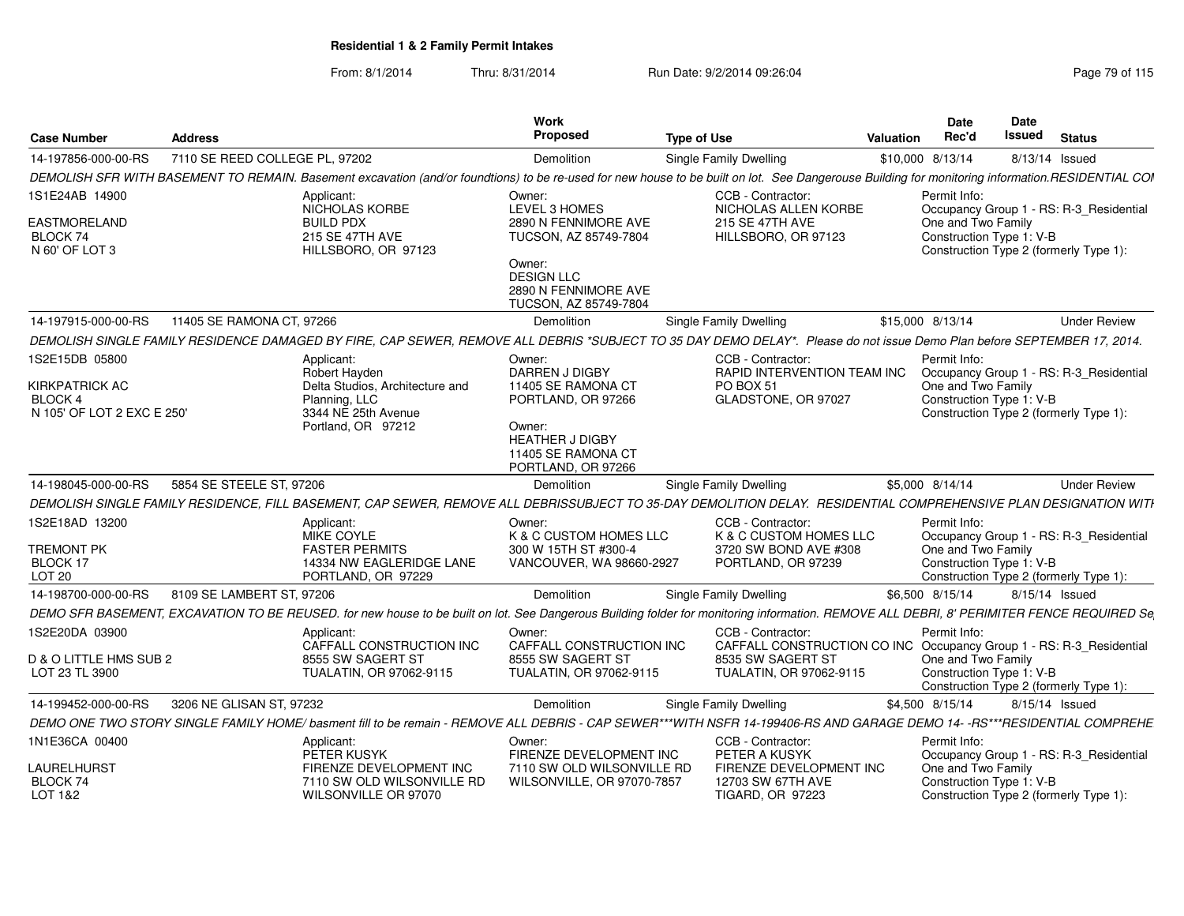| <b>Case Number</b>                                                        | Address                                                             |                                                                               | Work<br>Proposed                                                                                                                                     | <b>Type of Use</b>                                                                                                                                                                               | Date<br>Rec'd<br>Valuation                                     |                          | <b>Date</b><br>Issued<br><b>Status</b>                                            |
|---------------------------------------------------------------------------|---------------------------------------------------------------------|-------------------------------------------------------------------------------|------------------------------------------------------------------------------------------------------------------------------------------------------|--------------------------------------------------------------------------------------------------------------------------------------------------------------------------------------------------|----------------------------------------------------------------|--------------------------|-----------------------------------------------------------------------------------|
| 14-197856-000-00-RS                                                       | 7110 SE REED COLLEGE PL, 97202                                      |                                                                               | Demolition                                                                                                                                           | Single Family Dwelling                                                                                                                                                                           | \$10,000 8/13/14                                               |                          | 8/13/14 Issued                                                                    |
|                                                                           |                                                                     |                                                                               |                                                                                                                                                      | DEMOLISH SFR WITH BASEMENT TO REMAIN. Basement excavation (and/or foundtions) to be re-used for new house to be built on lot. See Dangerouse Building for monitoring information.RESIDENTIAL COI |                                                                |                          |                                                                                   |
| 1S1E24AB 14900<br>EASTMORELAND<br>BLOCK 74<br>N 60' OF LOT 3              | Applicant:<br>NICHOLAS KORBE<br><b>BUILD PDX</b><br>215 SE 47TH AVE | HILLSBORO, OR 97123                                                           | Owner:<br>LEVEL 3 HOMES<br>2890 N FENNIMORE AVE<br>TUCSON, AZ 85749-7804                                                                             | CCB - Contractor:<br>NICHOLAS ALLEN KORBE<br>215 SE 47TH AVE<br>HILLSBORO, OR 97123                                                                                                              | Permit Info:<br>One and Two Family<br>Construction Type 1: V-B |                          | Occupancy Group 1 - RS: R-3_Residential<br>Construction Type 2 (formerly Type 1): |
|                                                                           |                                                                     |                                                                               | Owner:<br><b>DESIGN LLC</b><br>2890 N FENNIMORE AVE<br>TUCSON, AZ 85749-7804                                                                         |                                                                                                                                                                                                  |                                                                |                          |                                                                                   |
| 14-197915-000-00-RS                                                       | 11405 SE RAMONA CT, 97266                                           |                                                                               | Demolition                                                                                                                                           | Single Family Dwelling                                                                                                                                                                           | \$15,000 8/13/14                                               |                          | <b>Under Review</b>                                                               |
|                                                                           |                                                                     |                                                                               |                                                                                                                                                      | DEMOLISH SINGLE FAMILY RESIDENCE DAMAGED BY FIRE, CAP SEWER, REMOVE ALL DEBRIS *SUBJECT TO 35 DAY DEMO DELAY*. Please do not issue Demo Plan before SEPTEMBER 17, 2014.                          |                                                                |                          |                                                                                   |
| 1S2E15DB 05800<br>KIRKPATRICK AC<br>BLOCK 4<br>N 105' OF LOT 2 EXC E 250' | Applicant:<br>Robert Hayden<br>Planning, LLC<br>Portland, OR 97212  | Delta Studios, Architecture and<br>3344 NE 25th Avenue                        | Owner:<br>DARREN J DIGBY<br>11405 SE RAMONA CT<br>PORTLAND, OR 97266<br>Owner:<br><b>HEATHER J DIGBY</b><br>11405 SE RAMONA CT<br>PORTLAND, OR 97266 | CCB - Contractor:<br>RAPID INTERVENTION TEAM INC<br><b>PO BOX 51</b><br>GLADSTONE, OR 97027                                                                                                      | Permit Info:<br>One and Two Family                             | Construction Type 1: V-B | Occupancy Group 1 - RS: R-3_Residential<br>Construction Type 2 (formerly Type 1): |
| 14-198045-000-00-RS                                                       | 5854 SE STEELE ST, 97206                                            |                                                                               | Demolition                                                                                                                                           | <b>Single Family Dwelling</b>                                                                                                                                                                    | \$5,000 8/14/14                                                |                          | <b>Under Review</b>                                                               |
|                                                                           |                                                                     |                                                                               |                                                                                                                                                      | DEMOLISH SINGLE FAMILY RESIDENCE, FILL BASEMENT, CAP SEWER, REMOVE ALL DEBRISSUBJECT TO 35-DAY DEMOLITION DELAY. RESIDENTIAL COMPREHENSIVE PLAN DESIGNATION WITI                                 |                                                                |                          |                                                                                   |
| 1S2E18AD 13200<br><b>TREMONT PK</b><br>BLOCK 17                           | Applicant:<br>MIKE COYLE<br><b>FASTER PERMITS</b>                   | 14334 NW EAGLERIDGE LANE                                                      | Owner:<br>K & C CUSTOM HOMES LLC<br>300 W 15TH ST #300-4<br>VANCOUVER, WA 98660-2927                                                                 | CCB - Contractor:<br>K & C CUSTOM HOMES LLC<br>3720 SW BOND AVE #308<br>PORTLAND, OR 97239                                                                                                       | Permit Info:<br>One and Two Family<br>Construction Type 1: V-B |                          | Occupancy Group 1 - RS: R-3_Residential                                           |
| <b>LOT 20</b>                                                             | 8109 SE LAMBERT ST, 97206                                           | PORTLAND, OR 97229                                                            |                                                                                                                                                      |                                                                                                                                                                                                  |                                                                |                          | Construction Type 2 (formerly Type 1):                                            |
| 14-198700-000-00-RS                                                       |                                                                     |                                                                               | Demolition                                                                                                                                           | Single Family Dwelling                                                                                                                                                                           | \$6,500 8/15/14                                                |                          | 8/15/14 Issued                                                                    |
|                                                                           |                                                                     |                                                                               |                                                                                                                                                      | DEMO SFR BASEMENT, EXCAVATION TO BE REUSED. for new house to be built on lot. See Dangerous Building folder for monitoring information. REMOVE ALL DEBRI, 8' PERIMITER FENCE REQUIRED Se         |                                                                |                          |                                                                                   |
| 1S2E20DA 03900<br>D & O LITTLE HMS SUB 2<br>LOT 23 TL 3900                | Applicant:                                                          | CAFFALL CONSTRUCTION INC<br>8555 SW SAGERT ST<br>TUALATIN, OR 97062-9115      | Owner:<br>CAFFALL CONSTRUCTION INC<br>8555 SW SAGERT ST<br>TUALATIN, OR 97062-9115                                                                   | CCB - Contractor:<br>CAFFALL CONSTRUCTION CO INC Occupancy Group 1 - RS: R-3 Residential<br>8535 SW SAGERT ST<br>TUALATIN, OR 97062-9115                                                         | Permit Info:<br>One and Two Family                             | Construction Type 1: V-B | Construction Type 2 (formerly Type 1):                                            |
| 14-199452-000-00-RS                                                       | 3206 NE GLISAN ST. 97232                                            |                                                                               | Demolition                                                                                                                                           | Single Family Dwelling                                                                                                                                                                           | \$4,500 8/15/14                                                |                          | 8/15/14 Issued                                                                    |
|                                                                           |                                                                     |                                                                               |                                                                                                                                                      | DEMO ONE TWO STORY SINGLE FAMILY HOME/ basment fill to be remain - REMOVE ALL DEBRIS - CAP SEWER***WITH NSFR 14-199406-RS AND GARAGE DEMO 14--RS***RESIDENTIAL COMPREHE                          |                                                                |                          |                                                                                   |
| 1N1E36CA 00400                                                            | Applicant:                                                          |                                                                               | Owner:                                                                                                                                               | CCB - Contractor:                                                                                                                                                                                | Permit Info:                                                   |                          |                                                                                   |
| LAURELHURST<br>BLOCK 74<br><b>LOT 1&amp;2</b>                             | PETER KUSYK                                                         | FIRENZE DEVELOPMENT INC<br>7110 SW OLD WILSONVILLE RD<br>WILSONVILLE OR 97070 | FIRENZE DEVELOPMENT INC<br>7110 SW OLD WILSONVILLE RD<br>WILSONVILLE, OR 97070-7857                                                                  | PETER A KUSYK<br>FIRENZE DEVELOPMENT INC<br>12703 SW 67TH AVE<br><b>TIGARD, OR 97223</b>                                                                                                         | One and Two Family<br>Construction Type 1: V-B                 |                          | Occupancy Group 1 - RS: R-3 Residential<br>Construction Type 2 (formerly Type 1): |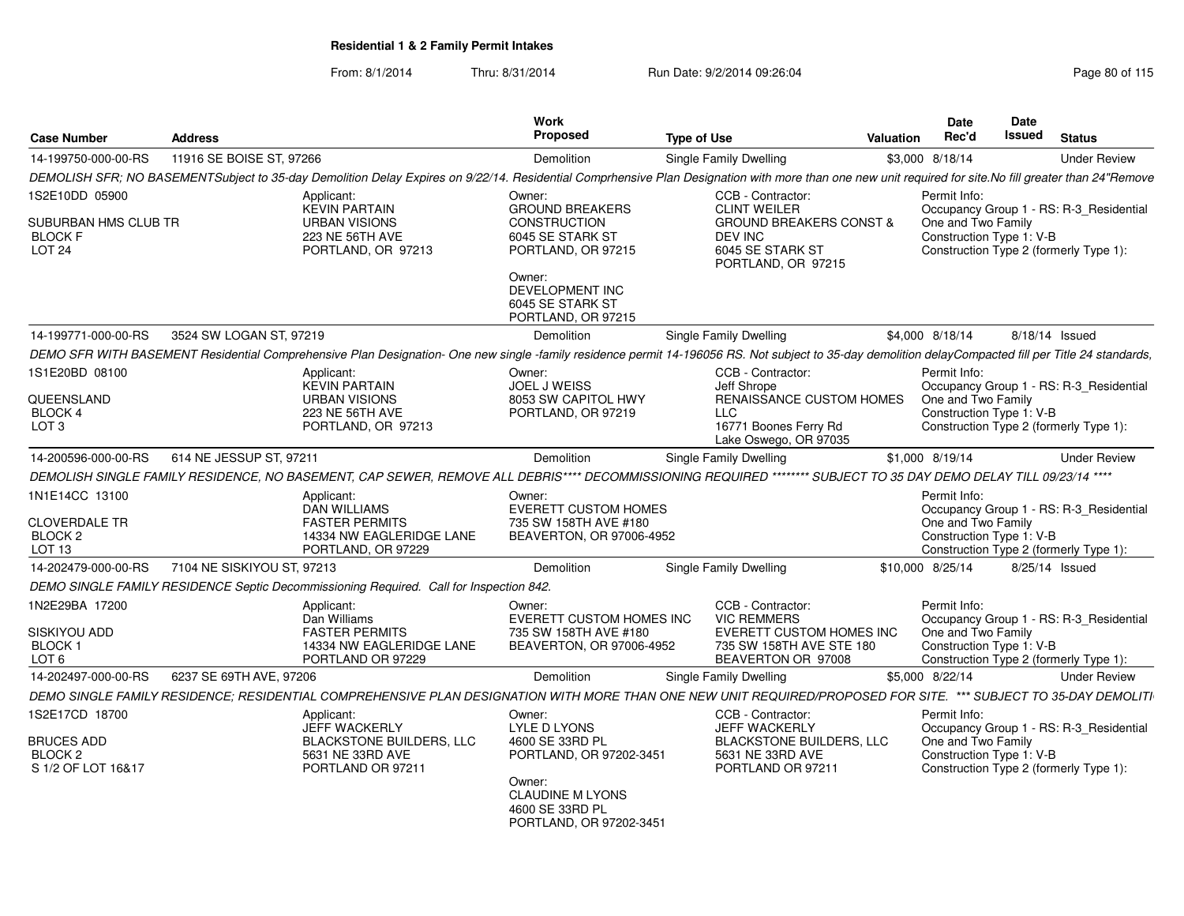| <b>Case Number</b>                                                              | <b>Address</b>             |                                                                                                                                                                                                        | Work<br><b>Proposed</b>                                                                           | <b>Type of Use</b> |                                                                                                                                     | <b>Valuation</b> | Date<br>Rec'd                                                  | Date<br><b>Issued</b> | <b>Status</b>                                                                     |
|---------------------------------------------------------------------------------|----------------------------|--------------------------------------------------------------------------------------------------------------------------------------------------------------------------------------------------------|---------------------------------------------------------------------------------------------------|--------------------|-------------------------------------------------------------------------------------------------------------------------------------|------------------|----------------------------------------------------------------|-----------------------|-----------------------------------------------------------------------------------|
| 14-199750-000-00-RS                                                             | 11916 SE BOISE ST, 97266   |                                                                                                                                                                                                        | Demolition                                                                                        |                    | <b>Single Family Dwelling</b>                                                                                                       |                  | \$3,000 8/18/14                                                |                       | <b>Under Review</b>                                                               |
|                                                                                 |                            | DEMOLISH SFR; NO BASEMENTSubject to 35-day Demolition Delay Expires on 9/22/14. Residential Comprhensive Plan Designation with more than one new unit required for site.No fill greater than 24"Remove |                                                                                                   |                    |                                                                                                                                     |                  |                                                                |                       |                                                                                   |
| 1S2E10DD 05900<br>SUBURBAN HMS CLUB TR<br><b>BLOCK F</b><br>LOT <sub>24</sub>   |                            | Applicant:<br><b>KEVIN PARTAIN</b><br><b>URBAN VISIONS</b><br>223 NE 56TH AVE<br>PORTLAND, OR 97213                                                                                                    | Owner:<br><b>GROUND BREAKERS</b><br><b>CONSTRUCTION</b><br>6045 SE STARK ST<br>PORTLAND, OR 97215 |                    | CCB - Contractor:<br><b>CLINT WEILER</b><br><b>GROUND BREAKERS CONST &amp;</b><br>DEV INC<br>6045 SE STARK ST<br>PORTLAND, OR 97215 |                  | Permit Info:<br>One and Two Family<br>Construction Type 1: V-B |                       | Occupancy Group 1 - RS: R-3_Residential<br>Construction Type 2 (formerly Type 1): |
|                                                                                 |                            |                                                                                                                                                                                                        | Owner:<br>DEVELOPMENT INC<br>6045 SE STARK ST<br>PORTLAND, OR 97215                               |                    |                                                                                                                                     |                  |                                                                |                       |                                                                                   |
| 14-199771-000-00-RS                                                             | 3524 SW LOGAN ST, 97219    |                                                                                                                                                                                                        | Demolition                                                                                        |                    | <b>Single Family Dwelling</b>                                                                                                       |                  | \$4,000 8/18/14                                                |                       | 8/18/14 Issued                                                                    |
|                                                                                 |                            | DEMO SFR WITH BASEMENT Residential Comprehensive Plan Designation- One new single -family residence permit 14-196056 RS. Not subject to 35-day demolition delayCompacted fill per Title 24 standards,  |                                                                                                   |                    |                                                                                                                                     |                  |                                                                |                       |                                                                                   |
| 1S1E20BD 08100<br>QUEENSLAND<br>BLOCK 4<br>LOT 3                                |                            | Applicant:<br><b>KEVIN PARTAIN</b><br><b>URBAN VISIONS</b><br>223 NE 56TH AVE<br>PORTLAND, OR 97213                                                                                                    | Owner:<br>JOEL J WEISS<br>8053 SW CAPITOL HWY<br>PORTLAND, OR 97219                               |                    | CCB - Contractor:<br>Jeff Shrope<br>RENAISSANCE CUSTOM HOMES<br><b>LLC</b><br>16771 Boones Ferry Rd<br>Lake Oswego, OR 97035        |                  | Permit Info:<br>One and Two Family<br>Construction Type 1: V-B |                       | Occupancy Group 1 - RS: R-3 Residential<br>Construction Type 2 (formerly Type 1): |
| 14-200596-000-00-RS                                                             | 614 NE JESSUP ST, 97211    |                                                                                                                                                                                                        | Demolition                                                                                        |                    | Single Family Dwelling                                                                                                              |                  | \$1,000 8/19/14                                                |                       | <b>Under Review</b>                                                               |
|                                                                                 |                            | DEMOLISH SINGLE FAMILY RESIDENCE, NO BASEMENT, CAP SEWER, REMOVE ALL DEBRIS**** DECOMMISSIONING REQUIRED ******** SUBJECT TO 35 DAY DEMO DELAY TILL 09/23/14 ****                                      |                                                                                                   |                    |                                                                                                                                     |                  |                                                                |                       |                                                                                   |
| 1N1E14CC 13100<br><b>CLOVERDALE TR</b><br>BLOCK 2<br>LOT <sub>13</sub>          |                            | Applicant:<br>DAN WILLIAMS<br><b>FASTER PERMITS</b><br>14334 NW EAGLERIDGE LANE<br>PORTLAND, OR 97229                                                                                                  | Owner:<br><b>EVERETT CUSTOM HOMES</b><br>735 SW 158TH AVE #180<br>BEAVERTON, OR 97006-4952        |                    |                                                                                                                                     |                  | Permit Info:<br>One and Two Family<br>Construction Type 1: V-B |                       | Occupancy Group 1 - RS: R-3_Residential<br>Construction Type 2 (formerly Type 1): |
| 14-202479-000-00-RS                                                             | 7104 NE SISKIYOU ST, 97213 |                                                                                                                                                                                                        | Demolition                                                                                        |                    | Single Family Dwelling                                                                                                              |                  | \$10,000 8/25/14                                               |                       | 8/25/14 Issued                                                                    |
|                                                                                 |                            | DEMO SINGLE FAMILY RESIDENCE Septic Decommissioning Required. Call for Inspection 842.                                                                                                                 |                                                                                                   |                    |                                                                                                                                     |                  |                                                                |                       |                                                                                   |
| 1N2E29BA 17200<br>SISKIYOU ADD<br><b>BLOCK1</b><br>LOT <sub>6</sub>             |                            | Applicant:<br>Dan Williams<br><b>FASTER PERMITS</b><br>14334 NW EAGLERIDGE LANE<br>PORTLAND OR 97229                                                                                                   | Owner:<br>EVERETT CUSTOM HOMES INC<br>735 SW 158TH AVE #180<br>BEAVERTON, OR 97006-4952           |                    | CCB - Contractor:<br><b>VIC REMMERS</b><br>EVERETT CUSTOM HOMES INC<br>735 SW 158TH AVE STE 180<br>BEAVERTON OR 97008               |                  | Permit Info:<br>One and Two Family<br>Construction Type 1: V-B |                       | Occupancy Group 1 - RS: R-3_Residential<br>Construction Type 2 (formerly Type 1): |
| 14-202497-000-00-RS                                                             | 6237 SE 69TH AVE, 97206    |                                                                                                                                                                                                        | Demolition                                                                                        |                    | <b>Single Family Dwelling</b>                                                                                                       |                  | \$5,000 8/22/14                                                |                       | <b>Under Review</b>                                                               |
|                                                                                 |                            | DEMO SINGLE FAMILY RESIDENCE; RESIDENTIAL COMPREHENSIVE PLAN DESIGNATION WITH MORE THAN ONE NEW UNIT REQUIRED/PROPOSED FOR SITE. *** SUBJECT TO 35-DAY DEMOLITI                                        |                                                                                                   |                    |                                                                                                                                     |                  |                                                                |                       |                                                                                   |
| 1S2E17CD 18700<br><b>BRUCES ADD</b><br>BLOCK <sub>2</sub><br>S 1/2 OF LOT 16&17 |                            | Applicant:<br><b>JEFF WACKERLY</b><br><b>BLACKSTONE BUILDERS, LLC</b><br>5631 NE 33RD AVE<br>PORTLAND OR 97211                                                                                         | Owner:<br>LYLE D LYONS<br>4600 SE 33RD PL<br>PORTLAND, OR 97202-3451                              |                    | CCB - Contractor:<br><b>JEFF WACKERLY</b><br><b>BLACKSTONE BUILDERS, LLC</b><br>5631 NE 33RD AVE<br>PORTLAND OR 97211               |                  | Permit Info:<br>One and Two Family<br>Construction Type 1: V-B |                       | Occupancy Group 1 - RS: R-3_Residential<br>Construction Type 2 (formerly Type 1): |
|                                                                                 |                            |                                                                                                                                                                                                        | Owner:<br><b>CLAUDINE M LYONS</b><br>4600 SE 33RD PL<br>PORTLAND, OR 97202-3451                   |                    |                                                                                                                                     |                  |                                                                |                       |                                                                                   |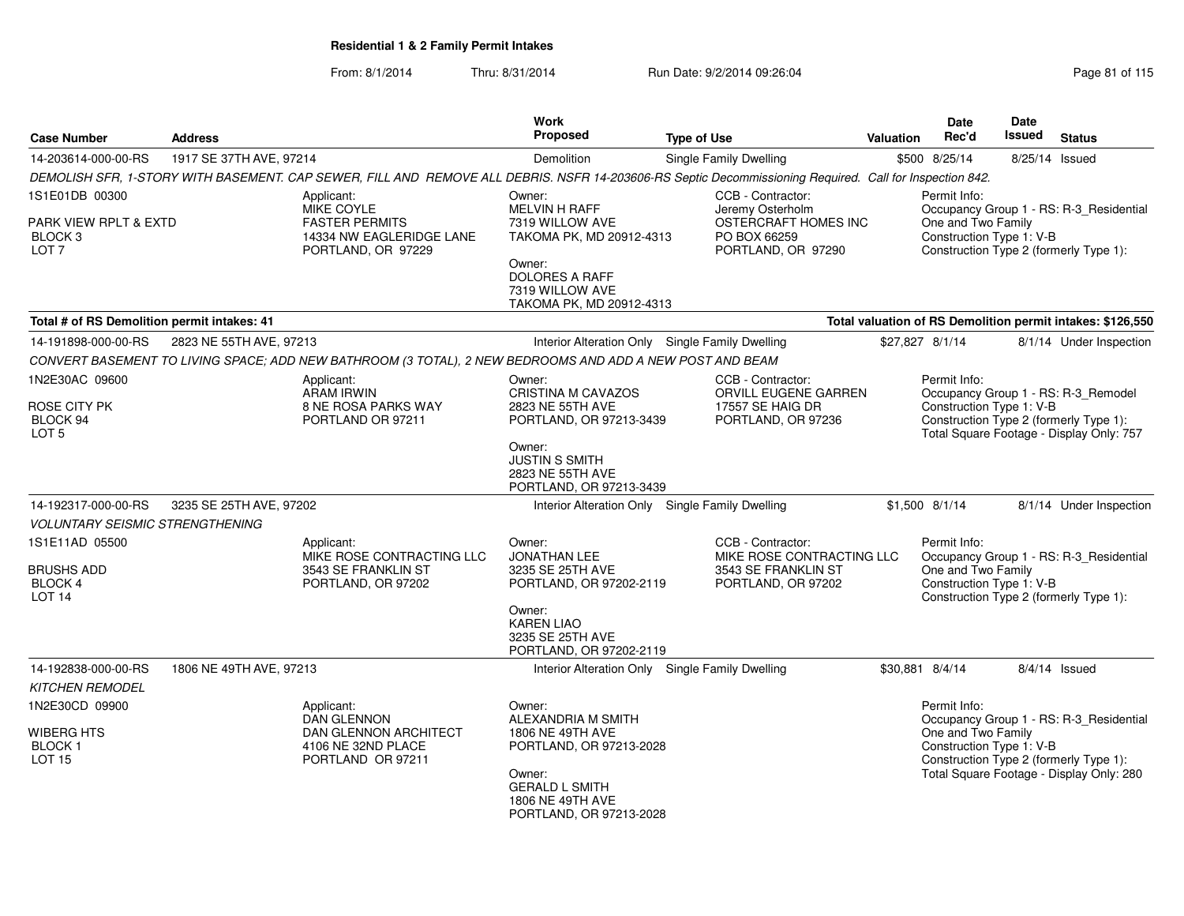| <b>Case Number</b>                                                  | <b>Address</b>          |                                                                                                                                                         | Work<br><b>Proposed</b>                                                                                                                                       | <b>Type of Use</b>                                                                          | Valuation | <b>Date</b><br>Rec'd                                           | <b>Date</b><br><b>Issued</b> | <b>Status</b>                                                                                                                 |
|---------------------------------------------------------------------|-------------------------|---------------------------------------------------------------------------------------------------------------------------------------------------------|---------------------------------------------------------------------------------------------------------------------------------------------------------------|---------------------------------------------------------------------------------------------|-----------|----------------------------------------------------------------|------------------------------|-------------------------------------------------------------------------------------------------------------------------------|
| 14-203614-000-00-RS                                                 | 1917 SE 37TH AVE, 97214 |                                                                                                                                                         | Demolition                                                                                                                                                    | Single Family Dwelling                                                                      |           | \$500 8/25/14                                                  | 8/25/14 Issued               |                                                                                                                               |
|                                                                     |                         | DEMOLISH SFR, 1-STORY WITH BASEMENT. CAP SEWER, FILL AND REMOVE ALL DEBRIS. NSFR 14-203606-RS Septic Decommissioning Required. Call for Inspection 842. |                                                                                                                                                               |                                                                                             |           |                                                                |                              |                                                                                                                               |
| 1S1E01DB 00300                                                      |                         | Applicant:<br>MIKE COYLE                                                                                                                                | Owner:<br>MELVIN H RAFF                                                                                                                                       | CCB - Contractor:<br>Jeremy Osterholm                                                       |           | Permit Info:                                                   |                              | Occupancy Group 1 - RS: R-3_Residential                                                                                       |
| PARK VIEW RPLT & EXTD<br>BLOCK <sub>3</sub><br>LOT <sub>7</sub>     |                         | <b>FASTER PERMITS</b><br>14334 NW EAGLERIDGE LANE<br>PORTLAND, OR 97229                                                                                 | 7319 WILLOW AVE<br>TAKOMA PK, MD 20912-4313                                                                                                                   | OSTERCRAFT HOMES INC<br>PO BOX 66259<br>PORTLAND, OR 97290                                  |           | One and Two Family<br>Construction Type 1: V-B                 |                              | Construction Type 2 (formerly Type 1):                                                                                        |
|                                                                     |                         |                                                                                                                                                         | Owner:<br><b>DOLORES A RAFF</b><br>7319 WILLOW AVE<br>TAKOMA PK, MD 20912-4313                                                                                |                                                                                             |           |                                                                |                              |                                                                                                                               |
| Total # of RS Demolition permit intakes: 41                         |                         |                                                                                                                                                         |                                                                                                                                                               |                                                                                             |           |                                                                |                              | Total valuation of RS Demolition permit intakes: \$126,550                                                                    |
| 14-191898-000-00-RS                                                 | 2823 NE 55TH AVE, 97213 |                                                                                                                                                         | Interior Alteration Only Single Family Dwelling                                                                                                               |                                                                                             |           | \$27,827 8/1/14                                                |                              | 8/1/14 Under Inspection                                                                                                       |
|                                                                     |                         | CONVERT BASEMENT TO LIVING SPACE; ADD NEW BATHROOM (3 TOTAL), 2 NEW BEDROOMS AND ADD A NEW POST AND BEAM                                                |                                                                                                                                                               |                                                                                             |           |                                                                |                              |                                                                                                                               |
| 1N2E30AC 09600                                                      |                         | Applicant:<br>ARAM IRWIN                                                                                                                                | Owner:<br><b>CRISTINA M CAVAZOS</b>                                                                                                                           | CCB - Contractor:<br>ORVILL EUGENE GARREN                                                   |           | Permit Info:                                                   |                              | Occupancy Group 1 - RS: R-3_Remodel                                                                                           |
| ROSE CITY PK<br>BLOCK 94<br>LOT <sub>5</sub>                        |                         | <b>8 NE ROSA PARKS WAY</b><br>PORTLAND OR 97211                                                                                                         | 2823 NE 55TH AVE<br>PORTLAND, OR 97213-3439                                                                                                                   | 17557 SE HAIG DR<br>PORTLAND, OR 97236                                                      |           | Construction Type 1: V-B                                       |                              | Construction Type 2 (formerly Type 1):<br>Total Square Footage - Display Only: 757                                            |
|                                                                     |                         |                                                                                                                                                         | Owner:<br><b>JUSTIN S SMITH</b><br>2823 NE 55TH AVE<br>PORTLAND, OR 97213-3439                                                                                |                                                                                             |           |                                                                |                              |                                                                                                                               |
| 14-192317-000-00-RS                                                 | 3235 SE 25TH AVE, 97202 |                                                                                                                                                         | Interior Alteration Only Single Family Dwelling                                                                                                               |                                                                                             |           | $$1,500$ 8/1/14                                                |                              | 8/1/14 Under Inspection                                                                                                       |
| <b>VOLUNTARY SEISMIC STRENGTHENING</b>                              |                         |                                                                                                                                                         |                                                                                                                                                               |                                                                                             |           |                                                                |                              |                                                                                                                               |
| 1S1E11AD 05500<br>BRUSHS ADD<br><b>BLOCK 4</b><br>LOT <sub>14</sub> |                         | Applicant:<br>MIKE ROSE CONTRACTING LLC<br>3543 SE FRANKLIN ST<br>PORTLAND, OR 97202                                                                    | Owner:<br><b>JONATHAN LEE</b><br>3235 SE 25TH AVE<br>PORTLAND, OR 97202-2119                                                                                  | CCB - Contractor:<br>MIKE ROSE CONTRACTING LLC<br>3543 SE FRANKLIN ST<br>PORTLAND, OR 97202 |           | Permit Info:<br>One and Two Family<br>Construction Type 1: V-B |                              | Occupancy Group 1 - RS: R-3_Residential<br>Construction Type 2 (formerly Type 1):                                             |
|                                                                     |                         |                                                                                                                                                         | Owner:<br><b>KAREN LIAO</b><br>3235 SE 25TH AVE<br>PORTLAND, OR 97202-2119                                                                                    |                                                                                             |           |                                                                |                              |                                                                                                                               |
| 14-192838-000-00-RS                                                 | 1806 NE 49TH AVE, 97213 |                                                                                                                                                         | Interior Alteration Only Single Family Dwelling                                                                                                               |                                                                                             |           | \$30,881 8/4/14                                                |                              | 8/4/14 Issued                                                                                                                 |
| KITCHEN REMODEL                                                     |                         |                                                                                                                                                         |                                                                                                                                                               |                                                                                             |           |                                                                |                              |                                                                                                                               |
| 1N2E30CD 09900<br>WIBERG HTS<br><b>BLOCK1</b><br><b>LOT 15</b>      |                         | Applicant:<br><b>DAN GLENNON</b><br>DAN GLENNON ARCHITECT<br>4106 NE 32ND PLACE<br>PORTLAND OR 97211                                                    | Owner:<br>ALEXANDRIA M SMITH<br>1806 NE 49TH AVE<br>PORTLAND, OR 97213-2028<br>Owner:<br><b>GERALD L SMITH</b><br>1806 NE 49TH AVE<br>PORTLAND, OR 97213-2028 |                                                                                             |           | Permit Info:<br>One and Two Family<br>Construction Type 1: V-B |                              | Occupancy Group 1 - RS: R-3_Residential<br>Construction Type 2 (formerly Type 1):<br>Total Square Footage - Display Only: 280 |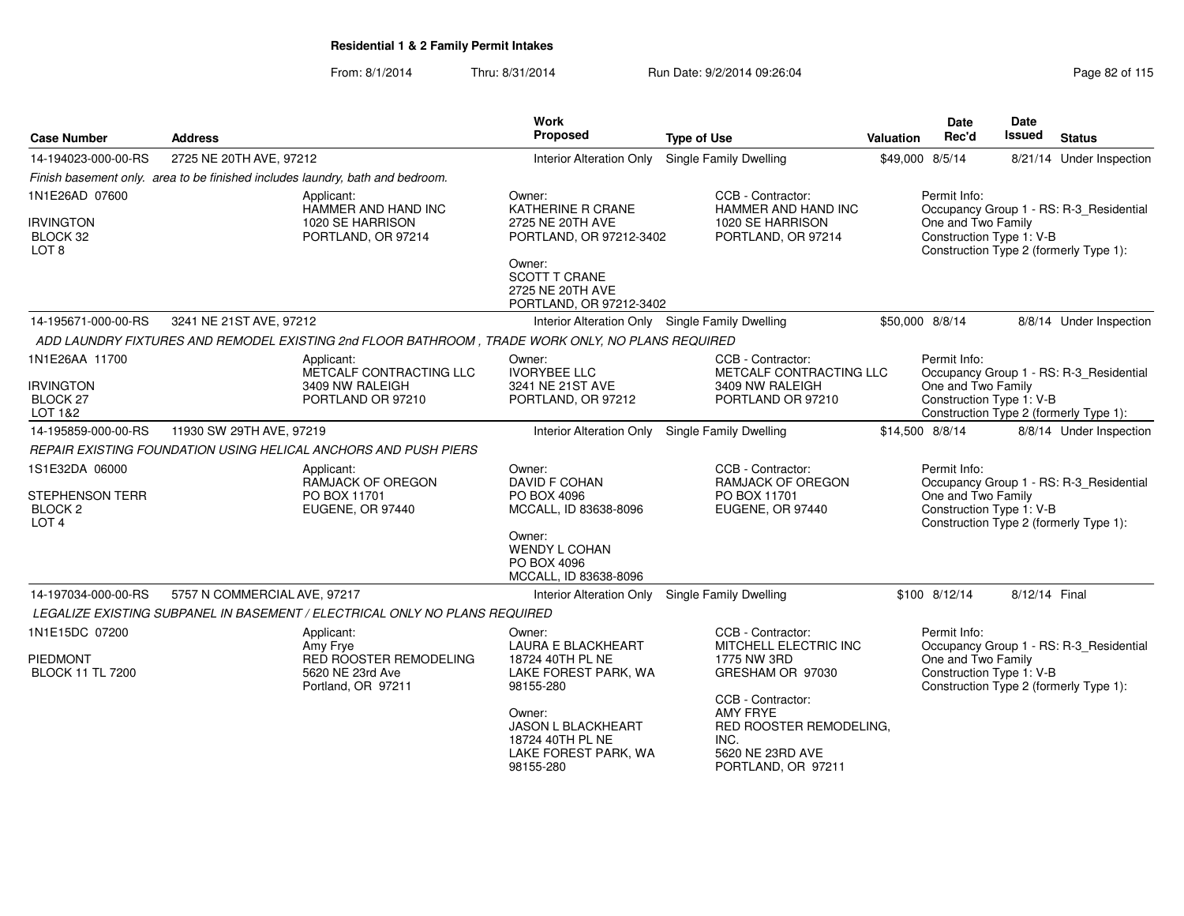| <b>Case Number</b>                                                          | <b>Address</b>                                                                                   | <b>Work</b><br>Proposed                                                                      | <b>Type of Use</b>                                                                                                | <b>Valuation</b> | <b>Date</b><br>Rec'd                                                                     | Date<br>Issued | <b>Status</b>                                                                     |  |
|-----------------------------------------------------------------------------|--------------------------------------------------------------------------------------------------|----------------------------------------------------------------------------------------------|-------------------------------------------------------------------------------------------------------------------|------------------|------------------------------------------------------------------------------------------|----------------|-----------------------------------------------------------------------------------|--|
| 14-194023-000-00-RS                                                         | 2725 NE 20TH AVE, 97212                                                                          | Interior Alteration Only                                                                     | <b>Single Family Dwelling</b>                                                                                     |                  | \$49,000 8/5/14                                                                          |                | 8/21/14 Under Inspection                                                          |  |
|                                                                             | Finish basement only. area to be finished includes laundry, bath and bedroom.                    |                                                                                              |                                                                                                                   |                  |                                                                                          |                |                                                                                   |  |
| 1N1E26AD 07600                                                              | Applicant:<br>HAMMER AND HAND INC                                                                | Owner:<br>KATHERINE R CRANE                                                                  | CCB - Contractor:<br>HAMMER AND HAND INC                                                                          |                  | Permit Info:                                                                             |                | Occupancy Group 1 - RS: R-3_Residential                                           |  |
| <b>IRVINGTON</b><br>BLOCK 32<br>LOT <sub>8</sub>                            | 1020 SE HARRISON<br>PORTLAND, OR 97214                                                           | 2725 NE 20TH AVE<br>PORTLAND, OR 97212-3402                                                  | 1020 SE HARRISON<br>PORTLAND, OR 97214                                                                            |                  | One and Two Family<br>Construction Type 1: V-B<br>Construction Type 2 (formerly Type 1): |                |                                                                                   |  |
|                                                                             |                                                                                                  | Owner:<br><b>SCOTT T CRANE</b><br>2725 NE 20TH AVE<br>PORTLAND, OR 97212-3402                |                                                                                                                   |                  |                                                                                          |                |                                                                                   |  |
| 14-195671-000-00-RS                                                         | 3241 NE 21ST AVE, 97212                                                                          | Interior Alteration Only Single Family Dwelling                                              |                                                                                                                   |                  | \$50,000 8/8/14                                                                          |                | 8/8/14 Under Inspection                                                           |  |
|                                                                             | ADD LAUNDRY FIXTURES AND REMODEL EXISTING 2nd FLOOR BATHROOM, TRADE WORK ONLY, NO PLANS REQUIRED |                                                                                              |                                                                                                                   |                  |                                                                                          |                |                                                                                   |  |
| 1N1E26AA 11700                                                              | Applicant:<br>METCALF CONTRACTING LLC                                                            | Owner:<br><b>IVORYBEE LLC</b>                                                                | CCB - Contractor:<br>METCALF CONTRACTING LLC                                                                      |                  | Permit Info:                                                                             |                | Occupancy Group 1 - RS: R-3_Residential                                           |  |
| <b>IRVINGTON</b><br><b>BLOCK 27</b><br>LOT 1&2                              | 3409 NW RALEIGH<br>PORTLAND OR 97210                                                             | 3241 NE 21ST AVE<br>PORTLAND, OR 97212                                                       | 3409 NW RALEIGH<br>PORTLAND OR 97210                                                                              |                  | One and Two Family<br>Construction Type 1: V-B                                           |                | Construction Type 2 (formerly Type 1):                                            |  |
| 14-195859-000-00-RS                                                         | 11930 SW 29TH AVE, 97219                                                                         | Interior Alteration Only Single Family Dwelling                                              |                                                                                                                   |                  | \$14,500 8/8/14                                                                          |                | 8/8/14 Under Inspection                                                           |  |
|                                                                             | REPAIR EXISTING FOUNDATION USING HELICAL ANCHORS AND PUSH PIERS                                  |                                                                                              |                                                                                                                   |                  |                                                                                          |                |                                                                                   |  |
| 1S1E32DA 06000<br>STEPHENSON TERR<br>BLOCK <sub>2</sub><br>LOT <sub>4</sub> | Applicant:<br>RAMJACK OF OREGON<br>PO BOX 11701<br>EUGENE, OR 97440                              | Owner:<br>DAVID F COHAN<br>PO BOX 4096<br>MCCALL, ID 83638-8096                              | CCB - Contractor:<br><b>RAMJACK OF OREGON</b><br>PO BOX 11701<br>EUGENE, OR 97440                                 |                  | Permit Info:<br>One and Two Family<br>Construction Type 1: V-B                           |                | Occupancy Group 1 - RS: R-3 Residential<br>Construction Type 2 (formerly Type 1): |  |
|                                                                             |                                                                                                  | Owner:<br><b>WENDY L COHAN</b><br>PO BOX 4096<br>MCCALL, ID 83638-8096                       |                                                                                                                   |                  |                                                                                          |                |                                                                                   |  |
| 14-197034-000-00-RS                                                         | 5757 N COMMERCIAL AVE, 97217                                                                     | Interior Alteration Only                                                                     | Single Family Dwelling                                                                                            |                  | \$100 8/12/14                                                                            | 8/12/14 Final  |                                                                                   |  |
|                                                                             | LEGALIZE EXISTING SUBPANEL IN BASEMENT / ELECTRICAL ONLY NO PLANS REQUIRED                       |                                                                                              |                                                                                                                   |                  |                                                                                          |                |                                                                                   |  |
| 1N1E15DC 07200                                                              | Applicant:<br>Amy Frye                                                                           | Owner:<br><b>LAURA E BLACKHEART</b>                                                          | CCB - Contractor:<br>MITCHELL ELECTRIC INC                                                                        |                  | Permit Info:                                                                             |                | Occupancy Group 1 - RS: R-3_Residential                                           |  |
| <b>PIEDMONT</b><br><b>BLOCK 11 TL 7200</b>                                  | <b>RED ROOSTER REMODELING</b><br>5620 NE 23rd Ave<br>Portland, OR 97211                          | 18724 40TH PL NE<br>LAKE FOREST PARK, WA<br>98155-280                                        | 1775 NW 3RD<br>GRESHAM OR 97030                                                                                   |                  | One and Two Family<br>Construction Type 1: V-B                                           |                | Construction Type 2 (formerly Type 1):                                            |  |
|                                                                             |                                                                                                  | Owner:<br><b>JASON L BLACKHEART</b><br>18724 40TH PL NE<br>LAKE FOREST PARK, WA<br>98155-280 | CCB - Contractor:<br><b>AMY FRYE</b><br>RED ROOSTER REMODELING,<br>INC.<br>5620 NE 23RD AVE<br>PORTLAND, OR 97211 |                  |                                                                                          |                |                                                                                   |  |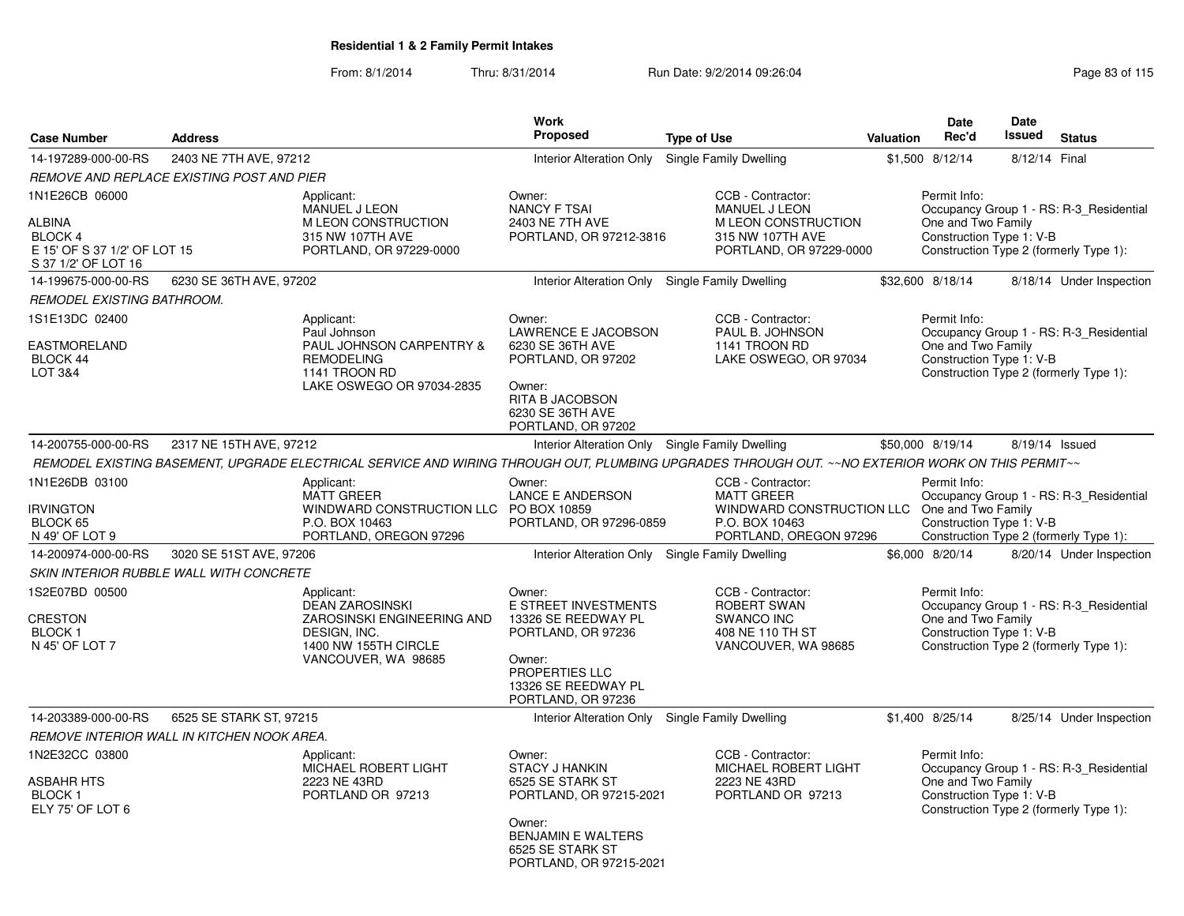|                                                                                                          |                                                   |                                                                                                                                                  | <b>Work</b><br><b>Proposed</b>                                                                                                                                                                 |                                                                                                                                    |                                                                                                                                                     | <b>Date</b>                                                    | Date<br><b>Issued</b>                                                                                                                               |                                                                                   |  |  |  |
|----------------------------------------------------------------------------------------------------------|---------------------------------------------------|--------------------------------------------------------------------------------------------------------------------------------------------------|------------------------------------------------------------------------------------------------------------------------------------------------------------------------------------------------|------------------------------------------------------------------------------------------------------------------------------------|-----------------------------------------------------------------------------------------------------------------------------------------------------|----------------------------------------------------------------|-----------------------------------------------------------------------------------------------------------------------------------------------------|-----------------------------------------------------------------------------------|--|--|--|
| <b>Case Number</b>                                                                                       | <b>Address</b>                                    |                                                                                                                                                  |                                                                                                                                                                                                | <b>Type of Use</b>                                                                                                                 | Valuation                                                                                                                                           | Rec'd                                                          |                                                                                                                                                     | <b>Status</b>                                                                     |  |  |  |
| 14-197289-000-00-RS                                                                                      | 2403 NE 7TH AVE, 97212                            |                                                                                                                                                  | Interior Alteration Only                                                                                                                                                                       | Single Family Dwelling                                                                                                             |                                                                                                                                                     | \$1,500 8/12/14                                                | 8/12/14 Final                                                                                                                                       |                                                                                   |  |  |  |
|                                                                                                          | REMOVE AND REPLACE EXISTING POST AND PIER         |                                                                                                                                                  |                                                                                                                                                                                                |                                                                                                                                    |                                                                                                                                                     |                                                                |                                                                                                                                                     |                                                                                   |  |  |  |
| 1N1E26CB 06000<br><b>ALBINA</b><br><b>BLOCK 4</b><br>E 15' OF S 37 1/2' OF LOT 15<br>S 37 1/2' OF LOT 16 |                                                   | Applicant:<br>MANUEL J LEON<br>M LEON CONSTRUCTION<br>315 NW 107TH AVE<br>PORTLAND, OR 97229-0000                                                | CCB - Contractor:<br>Owner:<br><b>NANCY F TSAI</b><br><b>MANUEL J LEON</b><br>2403 NE 7TH AVE<br>M LEON CONSTRUCTION<br>PORTLAND, OR 97212-3816<br>315 NW 107TH AVE<br>PORTLAND, OR 97229-0000 |                                                                                                                                    |                                                                                                                                                     |                                                                | Permit Info:<br>Occupancy Group 1 - RS: R-3_Residential<br>One and Two Family<br>Construction Type 1: V-B<br>Construction Type 2 (formerly Type 1): |                                                                                   |  |  |  |
| 14-199675-000-00-RS                                                                                      | 6230 SE 36TH AVE, 97202                           |                                                                                                                                                  | Interior Alteration Only Single Family Dwelling                                                                                                                                                |                                                                                                                                    |                                                                                                                                                     | \$32,600 8/18/14                                               |                                                                                                                                                     | 8/18/14 Under Inspection                                                          |  |  |  |
| REMODEL EXISTING BATHROOM.                                                                               |                                                   |                                                                                                                                                  |                                                                                                                                                                                                |                                                                                                                                    |                                                                                                                                                     |                                                                |                                                                                                                                                     |                                                                                   |  |  |  |
| 1S1E13DC 02400<br><b>EASTMORELAND</b><br>BLOCK 44<br>LOT 3&4                                             |                                                   | Applicant:<br>Paul Johnson<br>PAUL JOHNSON CARPENTRY &<br><b>REMODELING</b><br>1141 TROON RD<br>LAKE OSWEGO OR 97034-2835                        | Owner:<br>LAWRENCE E JACOBSON<br>6230 SE 36TH AVE<br>PORTLAND, OR 97202<br>Owner:<br>RITA B JACOBSON<br>6230 SE 36TH AVE<br>PORTLAND, OR 97202                                                 | CCB - Contractor:<br>PAUL B. JOHNSON<br>1141 TROON RD<br>LAKE OSWEGO, OR 97034                                                     |                                                                                                                                                     | Permit Info:<br>One and Two Family<br>Construction Type 1: V-B |                                                                                                                                                     | Occupancy Group 1 - RS: R-3 Residential<br>Construction Type 2 (formerly Type 1): |  |  |  |
| 14-200755-000-00-RS                                                                                      | 2317 NE 15TH AVE, 97212                           |                                                                                                                                                  | Interior Alteration Only Single Family Dwelling                                                                                                                                                |                                                                                                                                    |                                                                                                                                                     | \$50,000 8/19/14                                               |                                                                                                                                                     | 8/19/14 Issued                                                                    |  |  |  |
|                                                                                                          |                                                   | REMODEL EXISTING BASEMENT, UPGRADE ELECTRICAL SERVICE AND WIRING THROUGH OUT, PLUMBING UPGRADES THROUGH OUT. ~~NO EXTERIOR WORK ON THIS PERMIT~~ |                                                                                                                                                                                                |                                                                                                                                    |                                                                                                                                                     |                                                                |                                                                                                                                                     |                                                                                   |  |  |  |
| 1N1E26DB 03100<br><b>IRVINGTON</b><br>BLOCK 65<br>N 49' OF LOT 9                                         |                                                   | Applicant:<br><b>MATT GREER</b><br>WINDWARD CONSTRUCTION LLC PO BOX 10859<br>P.O. BOX 10463<br>PORTLAND, OREGON 97296                            | Owner:<br>LANCE E ANDERSON<br>PORTLAND, OR 97296-0859                                                                                                                                          | CCB - Contractor:<br><b>MATT GREER</b><br>WINDWARD CONSTRUCTION LLC One and Two Family<br>P.O. BOX 10463<br>PORTLAND, OREGON 97296 |                                                                                                                                                     | Permit Info:<br>Construction Type 1: V-B                       |                                                                                                                                                     | Occupancy Group 1 - RS: R-3_Residential<br>Construction Type 2 (formerly Type 1): |  |  |  |
| 14-200974-000-00-RS                                                                                      | 3020 SE 51ST AVE, 97206                           |                                                                                                                                                  | Interior Alteration Only Single Family Dwelling                                                                                                                                                |                                                                                                                                    |                                                                                                                                                     | \$6,000 8/20/14                                                |                                                                                                                                                     | 8/20/14 Under Inspection                                                          |  |  |  |
|                                                                                                          | <b>SKIN INTERIOR RUBBLE WALL WITH CONCRETE</b>    |                                                                                                                                                  |                                                                                                                                                                                                |                                                                                                                                    |                                                                                                                                                     |                                                                |                                                                                                                                                     |                                                                                   |  |  |  |
| 1S2E07BD 00500<br><b>CRESTON</b><br><b>BLOCK1</b><br>N 45' OF LOT 7                                      |                                                   | Applicant:<br><b>DEAN ZAROSINSKI</b><br>ZAROSINSKI ENGINEERING AND<br>DESIGN, INC.<br>1400 NW 155TH CIRCLE<br>VANCOUVER, WA 98685                | Owner:<br>E STREET INVESTMENTS<br>13326 SE REEDWAY PL<br>PORTLAND, OR 97236<br>Owner:<br>PROPERTIES LLC<br>13326 SE REEDWAY PL<br>PORTLAND, OR 97236                                           | CCB - Contractor:<br><b>ROBERT SWAN</b><br><b>SWANCO INC</b><br>408 NE 110 TH ST<br>VANCOUVER, WA 98685                            |                                                                                                                                                     | Permit Info:<br>One and Two Family<br>Construction Type 1: V-B |                                                                                                                                                     | Occupancy Group 1 - RS: R-3_Residential<br>Construction Type 2 (formerly Type 1): |  |  |  |
| 14-203389-000-00-RS                                                                                      | 6525 SE STARK ST, 97215                           |                                                                                                                                                  | Interior Alteration Only Single Family Dwelling                                                                                                                                                |                                                                                                                                    |                                                                                                                                                     | \$1,400 8/25/14                                                |                                                                                                                                                     | 8/25/14 Under Inspection                                                          |  |  |  |
|                                                                                                          | <b>REMOVE INTERIOR WALL IN KITCHEN NOOK AREA.</b> |                                                                                                                                                  |                                                                                                                                                                                                |                                                                                                                                    |                                                                                                                                                     |                                                                |                                                                                                                                                     |                                                                                   |  |  |  |
| 1N2E32CC 03800<br><b>ASBAHR HTS</b><br><b>BLOCK1</b><br>ELY 75' OF LOT 6                                 |                                                   | Applicant:<br>MICHAEL ROBERT LIGHT<br>2223 NE 43RD<br>PORTLAND OR 97213                                                                          | Owner:<br>STACY J HANKIN<br>6525 SE STARK ST<br>PORTLAND, OR 97215-2021<br>Owner:<br><b>BENJAMIN E WALTERS</b><br>6525 SE STARK ST<br>PORTLAND, OR 97215-2021                                  | CCB - Contractor:<br>MICHAEL ROBERT LIGHT<br>2223 NE 43RD<br>PORTLAND OR 97213                                                     | Permit Info:<br>Occupancy Group 1 - RS: R-3 Residential<br>One and Two Family<br>Construction Type 1: V-B<br>Construction Type 2 (formerly Type 1): |                                                                |                                                                                                                                                     |                                                                                   |  |  |  |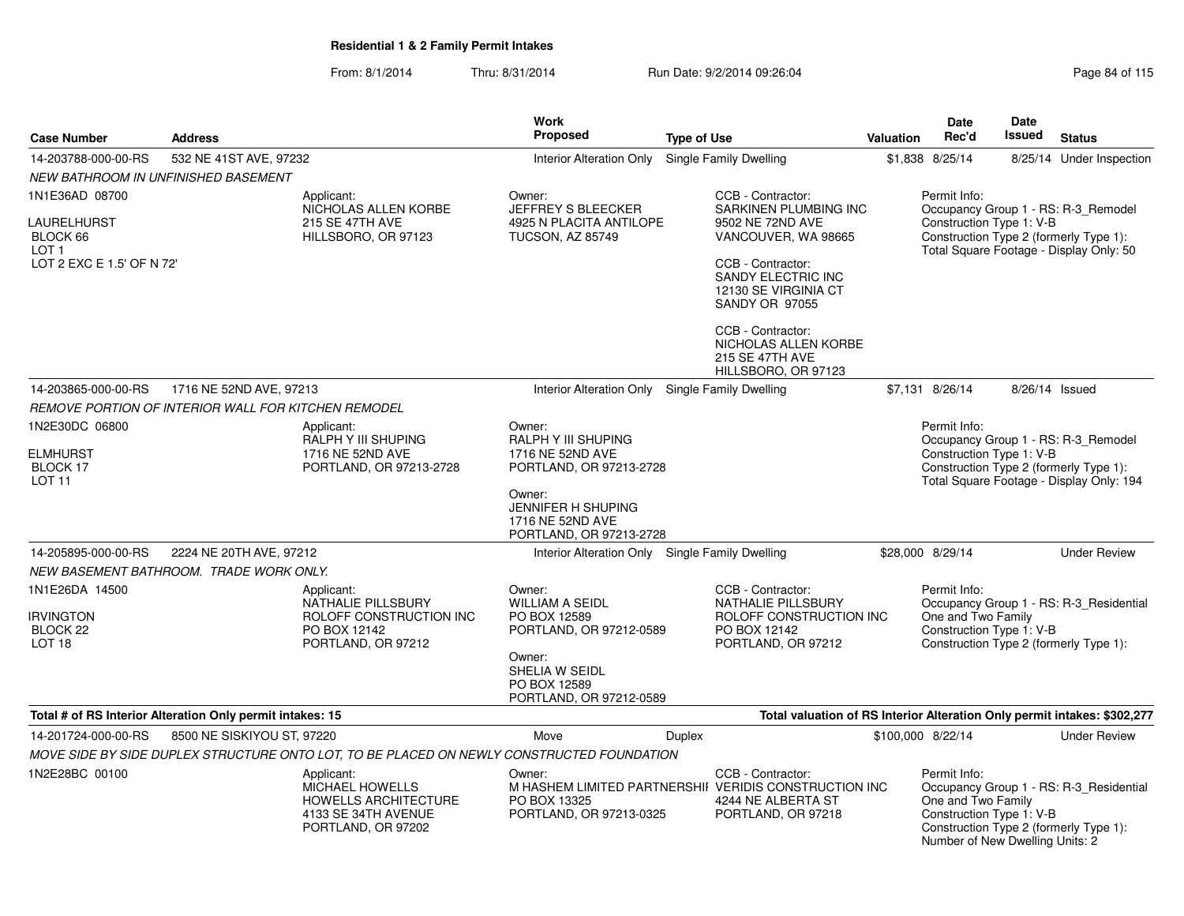| <b>Case Number</b>                                                              | <b>Address</b>                                            |                                                                                                                  | <b>Work</b><br><b>Proposed</b>                                                                                                                              | <b>Type of Use</b> |                                                                                                                                                                                                                                                   | Valuation | Date<br>Rec'd                                                                                     | Date<br>Issued | <b>Status</b>                                                                                                             |
|---------------------------------------------------------------------------------|-----------------------------------------------------------|------------------------------------------------------------------------------------------------------------------|-------------------------------------------------------------------------------------------------------------------------------------------------------------|--------------------|---------------------------------------------------------------------------------------------------------------------------------------------------------------------------------------------------------------------------------------------------|-----------|---------------------------------------------------------------------------------------------------|----------------|---------------------------------------------------------------------------------------------------------------------------|
| 14-203788-000-00-RS                                                             | 532 NE 41ST AVE, 97232                                    |                                                                                                                  | <b>Interior Alteration Only</b>                                                                                                                             |                    | Single Family Dwelling                                                                                                                                                                                                                            |           | \$1,838 8/25/14                                                                                   |                | 8/25/14 Under Inspection                                                                                                  |
| <b>NEW BATHROOM IN UNFINISHED BASEMENT</b>                                      |                                                           |                                                                                                                  |                                                                                                                                                             |                    |                                                                                                                                                                                                                                                   |           |                                                                                                   |                |                                                                                                                           |
| 1N1E36AD 08700<br>LAURELHURST<br>BLOCK 66<br>LOT 1<br>LOT 2 EXC E 1.5' OF N 72' |                                                           | Applicant:<br>NICHOLAS ALLEN KORBE<br><b>215 SE 47TH AVE</b><br>HILLSBORO, OR 97123                              | Owner:<br><b>JEFFREY S BLEECKER</b><br>4925 N PLACITA ANTILOPE<br><b>TUCSON, AZ 85749</b>                                                                   |                    | CCB - Contractor:<br>SARKINEN PLUMBING INC<br>9502 NE 72ND AVE<br>VANCOUVER, WA 98665<br>CCB - Contractor:<br>SANDY ELECTRIC INC<br>12130 SE VIRGINIA CT<br><b>SANDY OR 97055</b><br>CCB - Contractor:<br>NICHOLAS ALLEN KORBE<br>215 SE 47TH AVE |           | Permit Info:<br>Construction Type 1: V-B                                                          |                | Occupancy Group 1 - RS: R-3_Remodel<br>Construction Type 2 (formerly Type 1):<br>Total Square Footage - Display Only: 50  |
| 14-203865-000-00-RS                                                             | 1716 NE 52ND AVE, 97213                                   |                                                                                                                  |                                                                                                                                                             |                    | HILLSBORO, OR 97123<br>Single Family Dwelling                                                                                                                                                                                                     |           | \$7,131 8/26/14                                                                                   | 8/26/14 Issued |                                                                                                                           |
|                                                                                 |                                                           |                                                                                                                  | <b>Interior Alteration Only</b>                                                                                                                             |                    |                                                                                                                                                                                                                                                   |           |                                                                                                   |                |                                                                                                                           |
| 1N2E30DC 06800<br>ELMHURST<br>BLOCK 17<br>LOT 11                                | REMOVE PORTION OF INTERIOR WALL FOR KITCHEN REMODEL       | Applicant:<br>RALPH Y III SHUPING<br>1716 NE 52ND AVE<br>PORTLAND, OR 97213-2728                                 | Owner:<br>RALPH Y III SHUPING<br>1716 NE 52ND AVE<br>PORTLAND, OR 97213-2728<br>Owner:<br>JENNIFER H SHUPING<br>1716 NE 52ND AVE<br>PORTLAND, OR 97213-2728 |                    |                                                                                                                                                                                                                                                   |           | Permit Info:<br>Construction Type 1: V-B                                                          |                | Occupancy Group 1 - RS: R-3_Remodel<br>Construction Type 2 (formerly Type 1):<br>Total Square Footage - Display Only: 194 |
| 14-205895-000-00-RS                                                             | 2224 NE 20TH AVE, 97212                                   |                                                                                                                  | Interior Alteration Only Single Family Dwelling                                                                                                             |                    |                                                                                                                                                                                                                                                   |           | \$28,000 8/29/14                                                                                  |                | <b>Under Review</b>                                                                                                       |
|                                                                                 | NEW BASEMENT BATHROOM. TRADE WORK ONLY.                   |                                                                                                                  |                                                                                                                                                             |                    |                                                                                                                                                                                                                                                   |           |                                                                                                   |                |                                                                                                                           |
| 1N1E26DA 14500<br><b>IRVINGTON</b><br>BLOCK 22<br>LOT <sub>18</sub>             |                                                           | Applicant:<br>NATHALIE PILLSBURY<br>ROLOFF CONSTRUCTION INC<br>PO BOX 12142<br>PORTLAND, OR 97212                | Owner:<br><b>WILLIAM A SEIDL</b><br>PO BOX 12589<br>PORTLAND, OR 97212-0589<br>Owner:<br>SHELIA W SEIDL<br>PO BOX 12589<br>PORTLAND, OR 97212-0589          |                    | CCB - Contractor:<br>NATHALIE PILLSBURY<br>ROLOFF CONSTRUCTION INC<br>PO BOX 12142<br>PORTLAND, OR 97212                                                                                                                                          |           | Permit Info:<br>One and Two Family<br>Construction Type 1: V-B                                    |                | Occupancy Group 1 - RS: R-3 Residential<br>Construction Type 2 (formerly Type 1):                                         |
|                                                                                 | Total # of RS Interior Alteration Only permit intakes: 15 |                                                                                                                  |                                                                                                                                                             |                    | Total valuation of RS Interior Alteration Only permit intakes: \$302,277                                                                                                                                                                          |           |                                                                                                   |                |                                                                                                                           |
| 14-201724-000-00-RS                                                             | 8500 NE SISKIYOU ST, 97220                                |                                                                                                                  | Move                                                                                                                                                        | Duplex             |                                                                                                                                                                                                                                                   |           | \$100,000 8/22/14                                                                                 |                | <b>Under Review</b>                                                                                                       |
|                                                                                 |                                                           | MOVE SIDE BY SIDE DUPLEX STRUCTURE ONTO LOT, TO BE PLACED ON NEWLY CONSTRUCTED FOUNDATION                        |                                                                                                                                                             |                    |                                                                                                                                                                                                                                                   |           |                                                                                                   |                |                                                                                                                           |
| 1N2E28BC 00100                                                                  |                                                           | Applicant:<br><b>MICHAEL HOWELLS</b><br><b>HOWELLS ARCHITECTURE</b><br>4133 SE 34TH AVENUE<br>PORTLAND, OR 97202 | Owner:<br>PO BOX 13325<br>PORTLAND, OR 97213-0325                                                                                                           |                    | CCB - Contractor:<br>M HASHEM LIMITED PARTNERSHII VERIDIS CONSTRUCTION INC<br>4244 NE ALBERTA ST<br>PORTLAND, OR 97218                                                                                                                            |           | Permit Info:<br>One and Two Family<br>Construction Type 1: V-B<br>Number of New Dwelling Units: 2 |                | Occupancy Group 1 - RS: R-3_Residential<br>Construction Type 2 (formerly Type 1):                                         |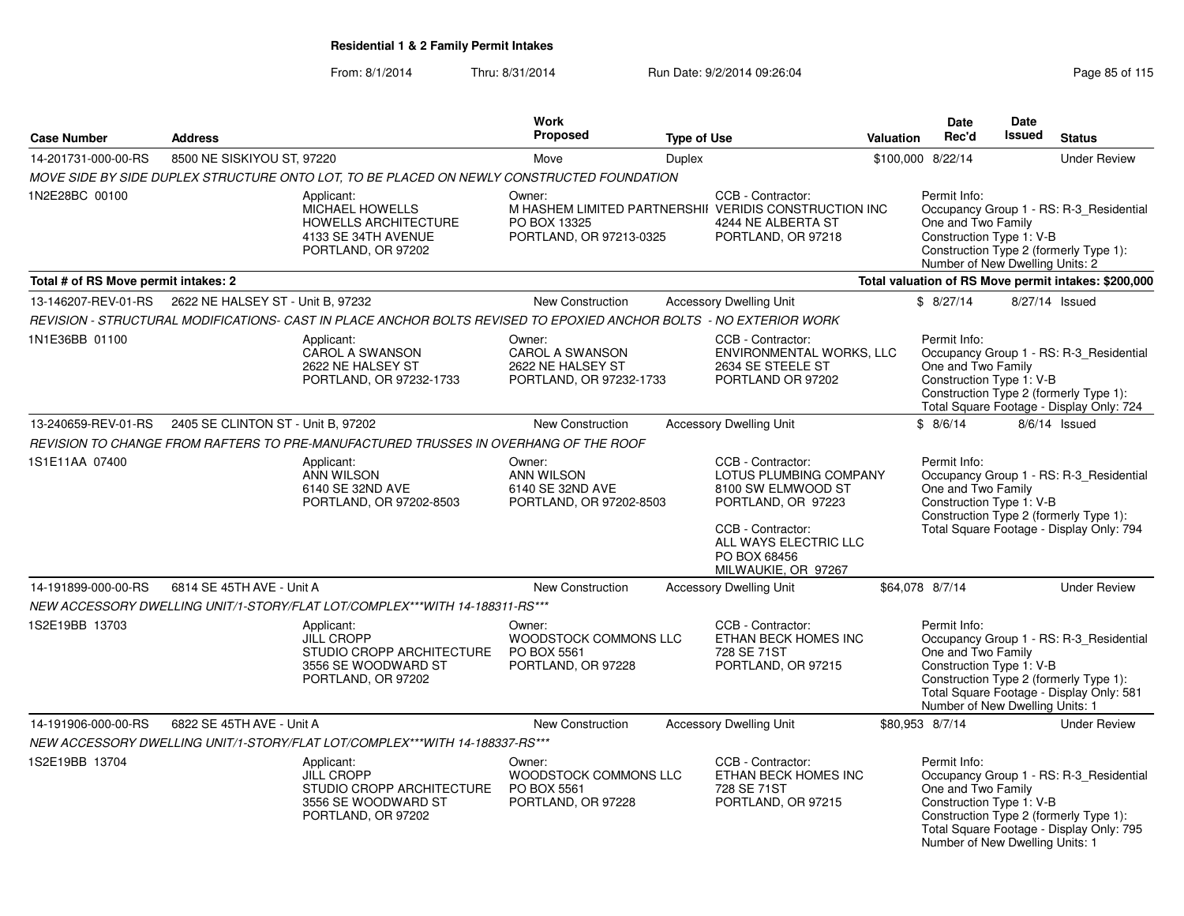|                                      |                                                         |                                                                                                                    | <b>Work</b>                                                                      |                    |                                                                                                                                                                              |                  | <b>Date</b>                                                                                       | Date          |                                                                                                                               |
|--------------------------------------|---------------------------------------------------------|--------------------------------------------------------------------------------------------------------------------|----------------------------------------------------------------------------------|--------------------|------------------------------------------------------------------------------------------------------------------------------------------------------------------------------|------------------|---------------------------------------------------------------------------------------------------|---------------|-------------------------------------------------------------------------------------------------------------------------------|
| <b>Case Number</b>                   | <b>Address</b>                                          |                                                                                                                    | Proposed                                                                         | <b>Type of Use</b> |                                                                                                                                                                              | <b>Valuation</b> | Rec'd                                                                                             | <b>Issued</b> | <b>Status</b>                                                                                                                 |
| 14-201731-000-00-RS                  | 8500 NE SISKIYOU ST, 97220                              |                                                                                                                    | Move                                                                             | <b>Duplex</b>      |                                                                                                                                                                              |                  | \$100,000 8/22/14                                                                                 |               | <b>Under Review</b>                                                                                                           |
|                                      |                                                         | MOVE SIDE BY SIDE DUPLEX STRUCTURE ONTO LOT, TO BE PLACED ON NEWLY CONSTRUCTED FOUNDATION                          |                                                                                  |                    |                                                                                                                                                                              |                  |                                                                                                   |               |                                                                                                                               |
| 1N2E28BC 00100                       |                                                         | Applicant:<br><b>MICHAEL HOWELLS</b><br><b>HOWELLS ARCHITECTURE</b><br>4133 SE 34TH AVENUE<br>PORTLAND, OR 97202   | Owner:<br>PO BOX 13325<br>PORTLAND, OR 97213-0325                                |                    | CCB - Contractor:<br>M HASHEM LIMITED PARTNERSHII VERIDIS CONSTRUCTION INC<br>4244 NE ALBERTA ST<br>PORTLAND, OR 97218                                                       |                  | Permit Info:<br>One and Two Family<br>Construction Type 1: V-B<br>Number of New Dwelling Units: 2 |               | Occupancy Group 1 - RS: R-3_Residential<br>Construction Type 2 (formerly Type 1):                                             |
| Total # of RS Move permit intakes: 2 |                                                         |                                                                                                                    |                                                                                  |                    |                                                                                                                                                                              |                  |                                                                                                   |               | Total valuation of RS Move permit intakes: \$200,000                                                                          |
|                                      | 13-146207-REV-01-RS   2622 NE HALSEY ST - Unit B, 97232 |                                                                                                                    | New Construction                                                                 |                    | <b>Accessory Dwelling Unit</b>                                                                                                                                               |                  | \$8/27/14                                                                                         |               | 8/27/14 Issued                                                                                                                |
|                                      |                                                         | REVISION - STRUCTURAL MODIFICATIONS- CAST IN PLACE ANCHOR BOLTS REVISED TO EPOXIED ANCHOR BOLTS - NO EXTERIOR WORK |                                                                                  |                    |                                                                                                                                                                              |                  |                                                                                                   |               |                                                                                                                               |
| 1N1E36BB 01100                       |                                                         | Applicant:<br><b>CAROL A SWANSON</b><br>2622 NE HALSEY ST<br>PORTLAND, OR 97232-1733                               | Owner:<br><b>CAROL A SWANSON</b><br>2622 NE HALSEY ST<br>PORTLAND, OR 97232-1733 |                    | CCB - Contractor:<br>ENVIRONMENTAL WORKS, LLC<br>2634 SE STEELE ST<br>PORTLAND OR 97202                                                                                      |                  | Permit Info:<br>One and Two Family<br>Construction Type 1: V-B                                    |               | Occupancy Group 1 - RS: R-3_Residential<br>Construction Type 2 (formerly Type 1):<br>Total Square Footage - Display Only: 724 |
| 13-240659-REV-01-RS                  | 2405 SE CLINTON ST - Unit B, 97202                      |                                                                                                                    | <b>New Construction</b>                                                          |                    | <b>Accessory Dwelling Unit</b>                                                                                                                                               |                  | \$8/6/14                                                                                          |               | 8/6/14 Issued                                                                                                                 |
|                                      |                                                         | REVISION TO CHANGE FROM RAFTERS TO PRE-MANUFACTURED TRUSSES IN OVERHANG OF THE ROOF                                |                                                                                  |                    |                                                                                                                                                                              |                  |                                                                                                   |               |                                                                                                                               |
| 1S1E11AA 07400                       |                                                         | Applicant:<br>ANN WILSON<br>6140 SE 32ND AVE<br>PORTLAND, OR 97202-8503                                            | Owner:<br><b>ANN WILSON</b><br>6140 SE 32ND AVE<br>PORTLAND, OR 97202-8503       |                    | CCB - Contractor:<br>LOTUS PLUMBING COMPANY<br>8100 SW ELMWOOD ST<br>PORTLAND, OR 97223<br>CCB - Contractor:<br>ALL WAYS ELECTRIC LLC<br>PO BOX 68456<br>MILWAUKIE, OR 97267 |                  | Permit Info:<br>One and Two Family<br>Construction Type 1: V-B                                    |               | Occupancy Group 1 - RS: R-3_Residential<br>Construction Type 2 (formerly Type 1):<br>Total Square Footage - Display Only: 794 |
| 14-191899-000-00-RS                  | 6814 SE 45TH AVE - Unit A                               |                                                                                                                    | <b>New Construction</b>                                                          |                    | <b>Accessory Dwelling Unit</b>                                                                                                                                               |                  | \$64,078 8/7/14                                                                                   |               | <b>Under Review</b>                                                                                                           |
|                                      |                                                         | NEW ACCESSORY DWELLING UNIT/1-STORY/FLAT LOT/COMPLEX***WITH 14-188311-RS***                                        |                                                                                  |                    |                                                                                                                                                                              |                  |                                                                                                   |               |                                                                                                                               |
| 1S2E19BB 13703                       |                                                         | Applicant:<br><b>JILL CROPP</b><br>STUDIO CROPP ARCHITECTURE<br>3556 SE WOODWARD ST<br>PORTLAND, OR 97202          | Owner:<br>WOODSTOCK COMMONS LLC<br>PO BOX 5561<br>PORTLAND, OR 97228             |                    | CCB - Contractor:<br>ETHAN BECK HOMES INC<br>728 SE 71ST<br>PORTLAND, OR 97215                                                                                               |                  | Permit Info:<br>One and Two Family<br>Construction Type 1: V-B<br>Number of New Dwelling Units: 1 |               | Occupancy Group 1 - RS: R-3_Residential<br>Construction Type 2 (formerly Type 1):<br>Total Square Footage - Display Only: 581 |
| 14-191906-000-00-RS                  | 6822 SE 45TH AVE - Unit A                               |                                                                                                                    | New Construction                                                                 |                    | <b>Accessory Dwelling Unit</b>                                                                                                                                               |                  | \$80,953 8/7/14                                                                                   |               | <b>Under Review</b>                                                                                                           |
|                                      |                                                         | NEW ACCESSORY DWELLING UNIT/1-STORY/FLAT LOT/COMPLEX***WITH 14-188337-RS***                                        |                                                                                  |                    |                                                                                                                                                                              |                  |                                                                                                   |               |                                                                                                                               |
| 1S2E19BB 13704                       |                                                         | Applicant:<br><b>JILL CROPP</b><br>STUDIO CROPP ARCHITECTURE<br>3556 SE WOODWARD ST<br>PORTLAND, OR 97202          | Owner:<br>WOODSTOCK COMMONS LLC<br>PO BOX 5561<br>PORTLAND, OR 97228             |                    | CCB - Contractor:<br>ETHAN BECK HOMES INC<br>728 SE 71ST<br>PORTLAND, OR 97215                                                                                               |                  | Permit Info:<br>One and Two Family<br>Construction Type 1: V-B<br>Number of New Dwelling Units: 1 |               | Occupancy Group 1 - RS: R-3_Residential<br>Construction Type 2 (formerly Type 1):<br>Total Square Footage - Display Only: 795 |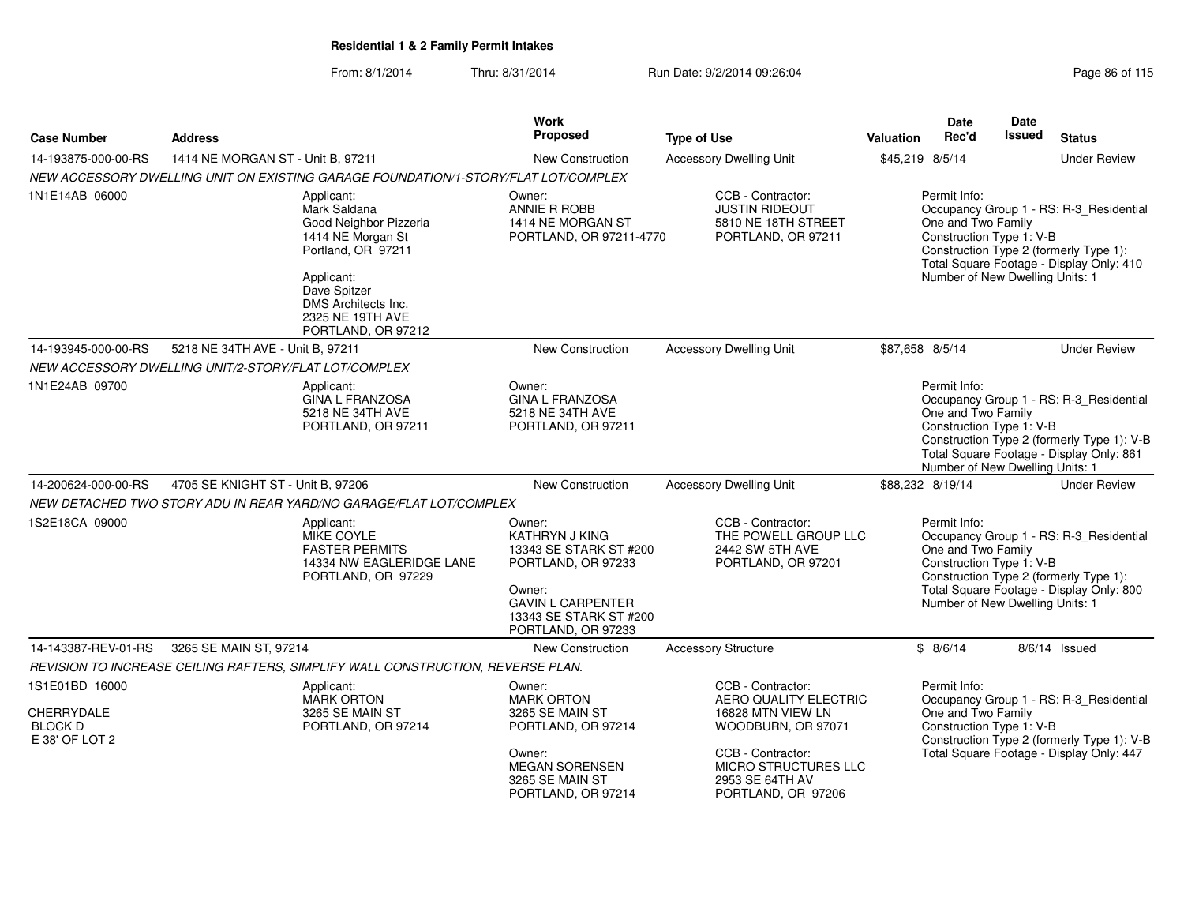From: 8/1/2014Thru: 8/31/2014 Run Date: 9/2/2014 09:26:04

| Page 86 of 115 |  |  |  |
|----------------|--|--|--|
|----------------|--|--|--|

|                                                                  |                                                                                                                                                                                                | Work                                                                                                                                                                  |                                                                                                                                                                                    |                  | <b>Date</b>                        | Date                                                        |                                                                                                                                   |
|------------------------------------------------------------------|------------------------------------------------------------------------------------------------------------------------------------------------------------------------------------------------|-----------------------------------------------------------------------------------------------------------------------------------------------------------------------|------------------------------------------------------------------------------------------------------------------------------------------------------------------------------------|------------------|------------------------------------|-------------------------------------------------------------|-----------------------------------------------------------------------------------------------------------------------------------|
| <b>Case Number</b>                                               | <b>Address</b>                                                                                                                                                                                 | <b>Proposed</b>                                                                                                                                                       | <b>Type of Use</b>                                                                                                                                                                 | <b>Valuation</b> | Rec'd                              | <b>Issued</b>                                               | <b>Status</b>                                                                                                                     |
| 14-193875-000-00-RS                                              | 1414 NE MORGAN ST - Unit B, 97211                                                                                                                                                              | New Construction                                                                                                                                                      | <b>Accessory Dwelling Unit</b>                                                                                                                                                     | \$45,219 8/5/14  |                                    |                                                             | <b>Under Review</b>                                                                                                               |
|                                                                  | NEW ACCESSORY DWELLING UNIT ON EXISTING GARAGE FOUNDATION/1-STORY/FLAT LOT/COMPLEX                                                                                                             |                                                                                                                                                                       |                                                                                                                                                                                    |                  |                                    |                                                             |                                                                                                                                   |
| 1N1E14AB 06000                                                   | Applicant:<br>Mark Saldana<br>Good Neighbor Pizzeria<br>1414 NE Morgan St<br>Portland, OR 97211<br>Applicant:<br>Dave Spitzer<br>DMS Architects Inc.<br>2325 NE 19TH AVE<br>PORTLAND, OR 97212 | Owner:<br>ANNIE R ROBB<br>1414 NE MORGAN ST<br>PORTLAND, OR 97211-4770                                                                                                | CCB - Contractor:<br><b>JUSTIN RIDEOUT</b><br>5810 NE 18TH STREET<br>PORTLAND, OR 97211                                                                                            |                  | Permit Info:<br>One and Two Family | Construction Type 1: V-B<br>Number of New Dwelling Units: 1 | Occupancy Group 1 - RS: R-3_Residential<br>Construction Type 2 (formerly Type 1):<br>Total Square Footage - Display Only: 410     |
| 14-193945-000-00-RS                                              | 5218 NE 34TH AVE - Unit B, 97211                                                                                                                                                               | New Construction                                                                                                                                                      | <b>Accessory Dwelling Unit</b>                                                                                                                                                     | \$87,658 8/5/14  |                                    |                                                             | <b>Under Review</b>                                                                                                               |
|                                                                  | NEW ACCESSORY DWELLING UNIT/2-STORY/FLAT LOT/COMPLEX                                                                                                                                           |                                                                                                                                                                       |                                                                                                                                                                                    |                  |                                    |                                                             |                                                                                                                                   |
| 1N1E24AB 09700                                                   | Applicant:<br><b>GINA L FRANZOSA</b><br>5218 NE 34TH AVE<br>PORTLAND, OR 97211                                                                                                                 | Owner:<br><b>GINA L FRANZOSA</b><br>5218 NE 34TH AVE<br>PORTLAND, OR 97211                                                                                            |                                                                                                                                                                                    |                  | Permit Info:<br>One and Two Family | Construction Type 1: V-B<br>Number of New Dwelling Units: 1 | Occupancy Group 1 - RS: R-3_Residential<br>Construction Type 2 (formerly Type 1): V-B<br>Total Square Footage - Display Only: 861 |
| 14-200624-000-00-RS                                              | 4705 SE KNIGHT ST - Unit B, 97206                                                                                                                                                              | <b>New Construction</b>                                                                                                                                               | <b>Accessory Dwelling Unit</b>                                                                                                                                                     | \$88,232 8/19/14 |                                    |                                                             | <b>Under Review</b>                                                                                                               |
|                                                                  | NEW DETACHED TWO STORY ADU IN REAR YARD/NO GARAGE/FLAT LOT/COMPLEX                                                                                                                             |                                                                                                                                                                       |                                                                                                                                                                                    |                  |                                    |                                                             |                                                                                                                                   |
| 1S2E18CA 09000                                                   | Applicant:<br><b>MIKE COYLE</b><br><b>FASTER PERMITS</b><br>14334 NW EAGLERIDGE LANE<br>PORTLAND, OR 97229                                                                                     | Owner:<br><b>KATHRYN J KING</b><br>13343 SE STARK ST #200<br>PORTLAND, OR 97233<br>Owner:<br><b>GAVIN L CARPENTER</b><br>13343 SE STARK ST #200<br>PORTLAND, OR 97233 | CCB - Contractor:<br>THE POWELL GROUP LLC<br>2442 SW 5TH AVE<br>PORTLAND, OR 97201                                                                                                 |                  | Permit Info:<br>One and Two Family | Construction Type 1: V-B<br>Number of New Dwelling Units: 1 | Occupancy Group 1 - RS: R-3 Residential<br>Construction Type 2 (formerly Type 1):<br>Total Square Footage - Display Only: 800     |
| 14-143387-REV-01-RS                                              | 3265 SE MAIN ST, 97214                                                                                                                                                                         | New Construction                                                                                                                                                      | <b>Accessory Structure</b>                                                                                                                                                         |                  | \$8/6/14                           |                                                             | $8/6/14$ Issued                                                                                                                   |
|                                                                  | REVISION TO INCREASE CEILING RAFTERS, SIMPLIFY WALL CONSTRUCTION, REVERSE PLAN.                                                                                                                |                                                                                                                                                                       |                                                                                                                                                                                    |                  |                                    |                                                             |                                                                                                                                   |
| 1S1E01BD 16000<br>CHERRYDALE<br><b>BLOCK D</b><br>E 38' OF LOT 2 | Applicant:<br><b>MARK ORTON</b><br>3265 SE MAIN ST<br>PORTLAND, OR 97214                                                                                                                       | Owner:<br><b>MARK ORTON</b><br>3265 SE MAIN ST<br>PORTLAND, OR 97214<br>Owner:<br><b>MEGAN SORENSEN</b><br>3265 SE MAIN ST<br>PORTLAND, OR 97214                      | CCB - Contractor:<br>AERO QUALITY ELECTRIC<br>16828 MTN VIEW LN<br>WOODBURN, OR 97071<br>CCB - Contractor:<br><b>MICRO STRUCTURES LLC</b><br>2953 SE 64TH AV<br>PORTLAND, OR 97206 |                  | Permit Info:<br>One and Two Family | Construction Type 1: V-B                                    | Occupancy Group 1 - RS: R-3 Residential<br>Construction Type 2 (formerly Type 1): V-B<br>Total Square Footage - Display Only: 447 |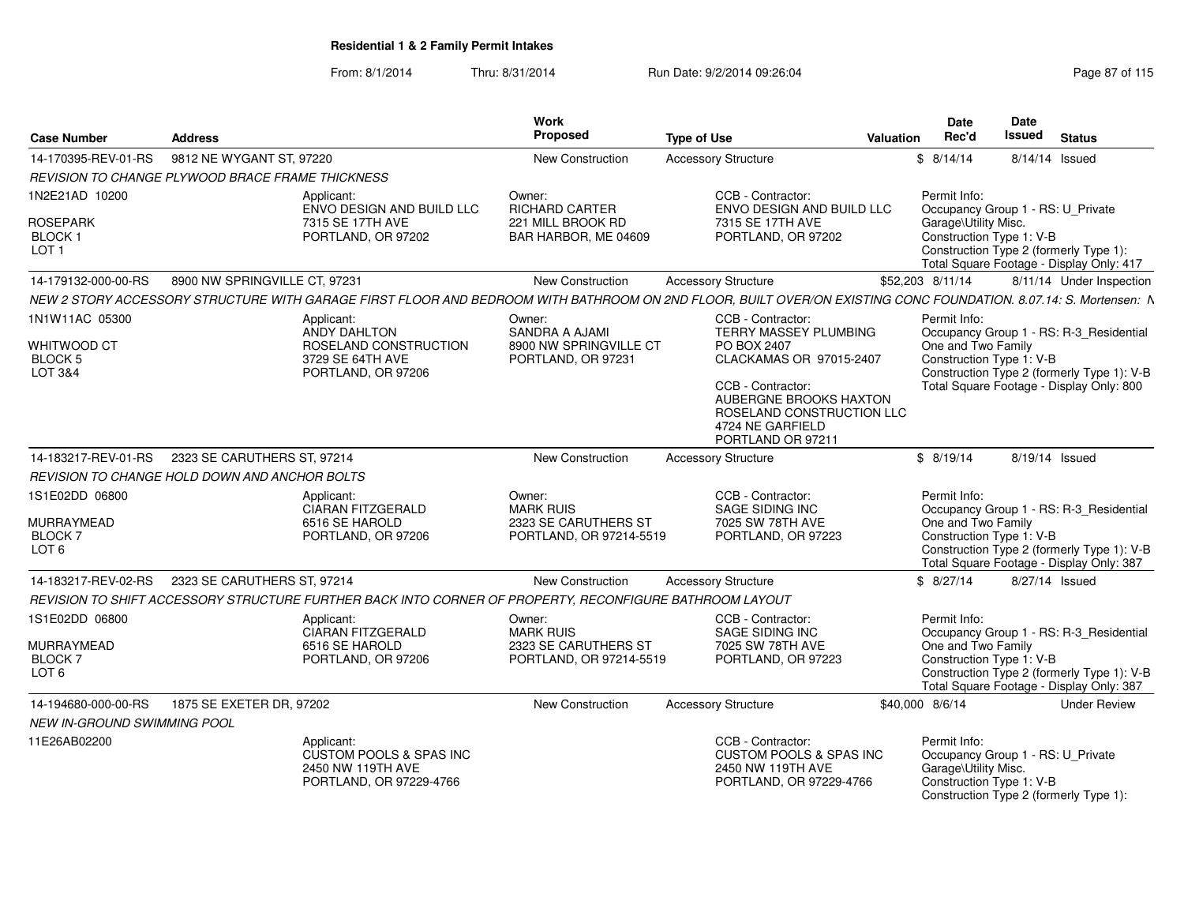| <b>Case Number</b>                                          | <b>Address</b>                |                                                                                                         | Work<br>Proposed                                                              | <b>Type of Use</b>                                                                                                                                                                                        | <b>Valuation</b> | <b>Date</b><br>Rec'd                                                                                                                            | Date<br><b>Issued</b> | <b>Status</b>                                                                                                                     |
|-------------------------------------------------------------|-------------------------------|---------------------------------------------------------------------------------------------------------|-------------------------------------------------------------------------------|-----------------------------------------------------------------------------------------------------------------------------------------------------------------------------------------------------------|------------------|-------------------------------------------------------------------------------------------------------------------------------------------------|-----------------------|-----------------------------------------------------------------------------------------------------------------------------------|
| 14-170395-REV-01-RS                                         | 9812 NE WYGANT ST, 97220      |                                                                                                         | New Construction                                                              | <b>Accessory Structure</b>                                                                                                                                                                                |                  | \$8/14/14                                                                                                                                       | 8/14/14 Issued        |                                                                                                                                   |
| <b>REVISION TO CHANGE PLYWOOD BRACE FRAME THICKNESS</b>     |                               |                                                                                                         |                                                                               |                                                                                                                                                                                                           |                  |                                                                                                                                                 |                       |                                                                                                                                   |
| 1N2E21AD 10200                                              |                               | Applicant:<br>ENVO DESIGN AND BUILD LLC                                                                 | Owner:<br><b>RICHARD CARTER</b>                                               | CCB - Contractor:<br>ENVO DESIGN AND BUILD LLC                                                                                                                                                            |                  | Permit Info:<br>Occupancy Group 1 - RS: U_Private                                                                                               |                       |                                                                                                                                   |
| <b>ROSEPARK</b><br>BLOCK 1<br>LOT <sub>1</sub>              |                               | 7315 SE 17TH AVE<br>PORTLAND, OR 97202                                                                  | 221 MILL BROOK RD<br>BAR HARBOR, ME 04609                                     | 7315 SE 17TH AVE<br>PORTLAND, OR 97202                                                                                                                                                                    |                  | Garage\Utility Misc.<br>Construction Type 1: V-B<br>Construction Type 2 (formerly Type 1):                                                      |                       | Total Square Footage - Display Only: 417                                                                                          |
| 14-179132-000-00-RS                                         | 8900 NW SPRINGVILLE CT, 97231 |                                                                                                         | New Construction                                                              | <b>Accessory Structure</b>                                                                                                                                                                                |                  | \$52,203 8/11/14                                                                                                                                |                       | 8/11/14 Under Inspection                                                                                                          |
|                                                             |                               |                                                                                                         |                                                                               | NEW 2 STORY ACCESSORY STRUCTURE WITH GARAGE FIRST FLOOR AND BEDROOM WITH BATHROOM ON 2ND FLOOR, BUILT OVER/ON EXISTING CONC FOUNDATION. 8.07.14: S. Mortensen: N                                          |                  |                                                                                                                                                 |                       |                                                                                                                                   |
| 1N1W11AC 05300<br>WHITWOOD CT<br><b>BLOCK 5</b><br>LOT 3&4  |                               | Applicant:<br>ANDY DAHLTON<br>ROSELAND CONSTRUCTION<br>3729 SE 64TH AVE<br>PORTLAND, OR 97206           | Owner:<br>SANDRA A AJAMI<br>8900 NW SPRINGVILLE CT<br>PORTLAND, OR 97231      | CCB - Contractor:<br>TERRY MASSEY PLUMBING<br>PO BOX 2407<br>CLACKAMAS OR 97015-2407<br>CCB - Contractor:<br>AUBERGNE BROOKS HAXTON<br>ROSELAND CONSTRUCTION LLC<br>4724 NE GARFIELD<br>PORTLAND OR 97211 |                  | Permit Info:<br>One and Two Family<br>Construction Type 1: V-B                                                                                  |                       | Occupancy Group 1 - RS: R-3_Residential<br>Construction Type 2 (formerly Type 1): V-B<br>Total Square Footage - Display Only: 800 |
| 14-183217-REV-01-RS                                         | 2323 SE CARUTHERS ST, 97214   |                                                                                                         | New Construction                                                              | <b>Accessory Structure</b>                                                                                                                                                                                |                  | \$8/19/14                                                                                                                                       | 8/19/14 Issued        |                                                                                                                                   |
| REVISION TO CHANGE HOLD DOWN AND ANCHOR BOLTS               |                               |                                                                                                         |                                                                               |                                                                                                                                                                                                           |                  |                                                                                                                                                 |                       |                                                                                                                                   |
| 1S1E02DD 06800<br>MURRAYMEAD<br>BLOCK 7<br>LOT <sub>6</sub> |                               | Applicant:<br>CIARAN FITZGERALD<br>6516 SE HAROLD<br>PORTLAND, OR 97206                                 | Owner:<br><b>MARK RUIS</b><br>2323 SE CARUTHERS ST<br>PORTLAND, OR 97214-5519 | CCB - Contractor:<br><b>SAGE SIDING INC</b><br>7025 SW 78TH AVE<br>PORTLAND, OR 97223                                                                                                                     |                  | Permit Info:<br>One and Two Family<br>Construction Type 1: V-B                                                                                  |                       | Occupancy Group 1 - RS: R-3 Residential<br>Construction Type 2 (formerly Type 1): V-B<br>Total Square Footage - Display Only: 387 |
| 14-183217-REV-02-RS                                         | 2323 SE CARUTHERS ST. 97214   |                                                                                                         | New Construction                                                              | <b>Accessory Structure</b>                                                                                                                                                                                |                  | \$8/27/14                                                                                                                                       | 8/27/14 Issued        |                                                                                                                                   |
|                                                             |                               | REVISION TO SHIFT ACCESSORY STRUCTURE FURTHER BACK INTO CORNER OF PROPERTY, RECONFIGURE BATHROOM LAYOUT |                                                                               |                                                                                                                                                                                                           |                  |                                                                                                                                                 |                       |                                                                                                                                   |
| 1S1E02DD 06800<br>MURRAYMEAD<br>BLOCK 7<br>LOT <sub>6</sub> |                               | Applicant:<br>CIARAN FITZGERALD<br>6516 SE HAROLD<br>PORTLAND, OR 97206                                 | Owner:<br><b>MARK RUIS</b><br>2323 SE CARUTHERS ST<br>PORTLAND, OR 97214-5519 | CCB - Contractor:<br>SAGE SIDING INC<br>7025 SW 78TH AVE<br>PORTLAND, OR 97223                                                                                                                            |                  | Permit Info:<br>One and Two Family<br>Construction Type 1: V-B                                                                                  |                       | Occupancy Group 1 - RS: R-3_Residential<br>Construction Type 2 (formerly Type 1): V-B<br>Total Square Footage - Display Only: 387 |
| 14-194680-000-00-RS                                         | 1875 SE EXETER DR, 97202      |                                                                                                         | <b>New Construction</b>                                                       | <b>Accessory Structure</b>                                                                                                                                                                                |                  | \$40,000 8/6/14                                                                                                                                 |                       | <b>Under Review</b>                                                                                                               |
| NEW IN-GROUND SWIMMING POOL                                 |                               |                                                                                                         |                                                                               |                                                                                                                                                                                                           |                  |                                                                                                                                                 |                       |                                                                                                                                   |
| 11E26AB02200                                                |                               | Applicant:<br>CUSTOM POOLS & SPAS INC<br>2450 NW 119TH AVE<br>PORTLAND, OR 97229-4766                   |                                                                               | CCB - Contractor:<br>CUSTOM POOLS & SPAS INC<br>2450 NW 119TH AVE<br>PORTLAND, OR 97229-4766                                                                                                              |                  | Permit Info:<br>Occupancy Group 1 - RS: U_Private<br>Garage\Utility Misc.<br>Construction Type 1: V-B<br>Construction Type 2 (formerly Type 1): |                       |                                                                                                                                   |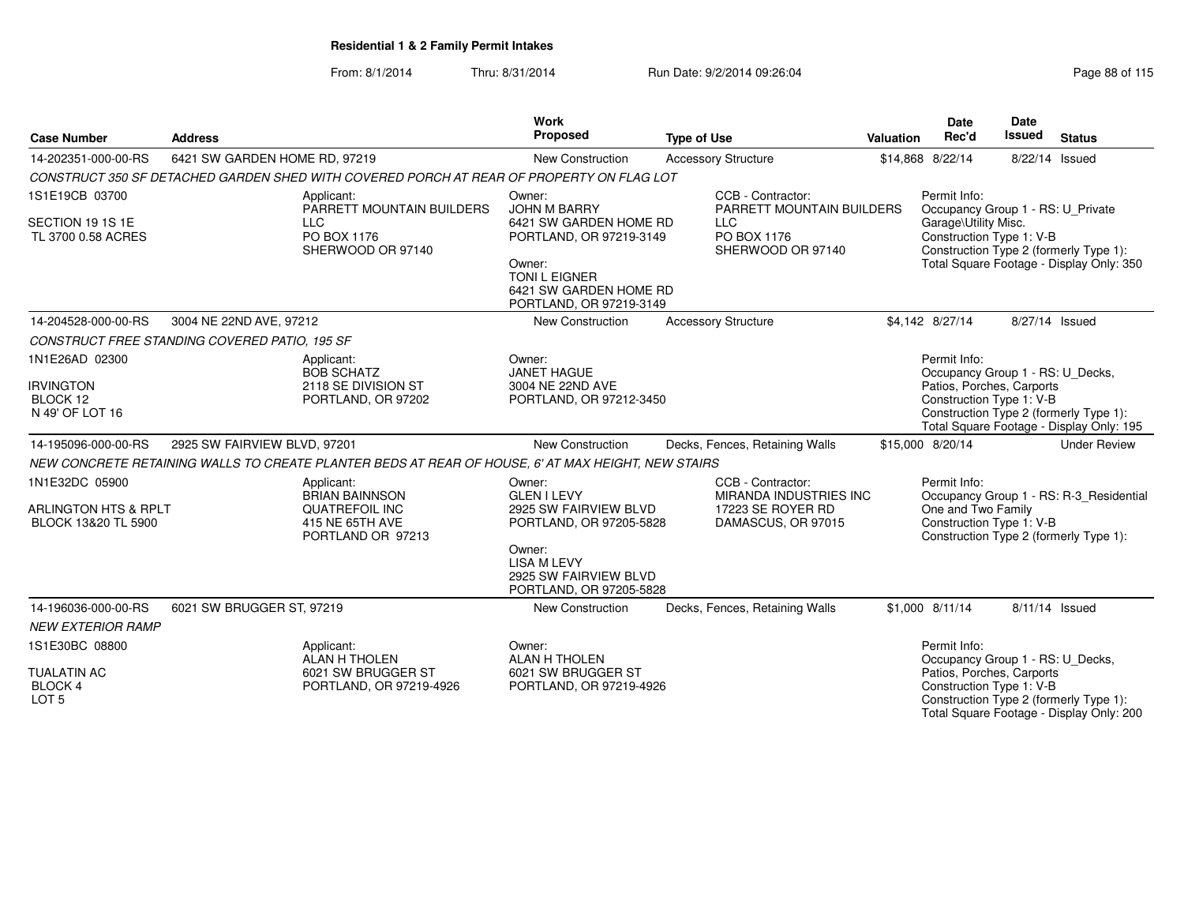| <b>Case Number</b>                                            | <b>Address</b>                                                                                       | Work<br><b>Proposed</b>                                                                                                                                              | <b>Type of Use</b>                                                                            | Valuation | <b>Date</b><br>Rec'd                                                                                  | Date<br>Issued | <b>Status</b>                                                                      |
|---------------------------------------------------------------|------------------------------------------------------------------------------------------------------|----------------------------------------------------------------------------------------------------------------------------------------------------------------------|-----------------------------------------------------------------------------------------------|-----------|-------------------------------------------------------------------------------------------------------|----------------|------------------------------------------------------------------------------------|
| 14-202351-000-00-RS                                           | 6421 SW GARDEN HOME RD, 97219                                                                        | New Construction                                                                                                                                                     | <b>Accessory Structure</b>                                                                    |           | \$14,868 8/22/14                                                                                      | 8/22/14 Issued |                                                                                    |
|                                                               | CONSTRUCT 350 SF DETACHED GARDEN SHED WITH COVERED PORCH AT REAR OF PROPERTY ON FLAG LOT             |                                                                                                                                                                      |                                                                                               |           |                                                                                                       |                |                                                                                    |
| 1S1E19CB 03700<br>SECTION 19 1S 1E                            | Applicant:<br>PARRETT MOUNTAIN BUILDERS<br><b>LLC</b><br>PO BOX 1176                                 | Owner:<br><b>JOHN M BARRY</b><br>6421 SW GARDEN HOME RD                                                                                                              | CCB - Contractor:<br>PARRETT MOUNTAIN BUILDERS<br><b>LLC</b><br>PO BOX 1176                   |           | Permit Info:<br>Occupancy Group 1 - RS: U_Private<br>Garage\Utility Misc.<br>Construction Type 1: V-B |                |                                                                                    |
| TL 3700 0.58 ACRES                                            | SHERWOOD OR 97140                                                                                    | PORTLAND, OR 97219-3149<br>Owner:<br><b>TONI L EIGNER</b><br>6421 SW GARDEN HOME RD<br>PORTLAND, OR 97219-3149                                                       | SHERWOOD OR 97140                                                                             |           |                                                                                                       |                | Construction Type 2 (formerly Type 1):<br>Total Square Footage - Display Only: 350 |
| 14-204528-000-00-RS                                           | 3004 NE 22ND AVE, 97212                                                                              | <b>New Construction</b>                                                                                                                                              | <b>Accessory Structure</b>                                                                    |           | \$4.142 8/27/14                                                                                       | 8/27/14 Issued |                                                                                    |
|                                                               | CONSTRUCT FREE STANDING COVERED PATIO, 195 SF                                                        |                                                                                                                                                                      |                                                                                               |           |                                                                                                       |                |                                                                                    |
| 1N1E26AD 02300                                                | Applicant:<br><b>BOB SCHATZ</b>                                                                      | Owner:<br><b>JANET HAGUE</b>                                                                                                                                         |                                                                                               |           | Permit Info:<br>Occupancy Group 1 - RS: U_Decks,                                                      |                |                                                                                    |
| <b>IRVINGTON</b><br>BLOCK 12<br>N 49' OF LOT 16               | 2118 SE DIVISION ST<br>PORTLAND, OR 97202                                                            | 3004 NE 22ND AVE<br>PORTLAND, OR 97212-3450                                                                                                                          |                                                                                               |           | Patios, Porches, Carports<br>Construction Type 1: V-B                                                 |                | Construction Type 2 (formerly Type 1):<br>Total Square Footage - Display Only: 195 |
| 14-195096-000-00-RS                                           | 2925 SW FAIRVIEW BLVD, 97201                                                                         | <b>New Construction</b>                                                                                                                                              | Decks, Fences, Retaining Walls                                                                |           | \$15,000 8/20/14                                                                                      |                | <b>Under Review</b>                                                                |
|                                                               | NEW CONCRETE RETAINING WALLS TO CREATE PLANTER BEDS AT REAR OF HOUSE, 6' AT MAX HEIGHT, NEW STAIRS   |                                                                                                                                                                      |                                                                                               |           |                                                                                                       |                |                                                                                    |
| 1N1E32DC 05900<br>ARLINGTON HTS & RPLT<br>BLOCK 13&20 TL 5900 | Applicant:<br><b>BRIAN BAINNSON</b><br><b>QUATREFOIL INC</b><br>415 NE 65TH AVE<br>PORTLAND OR 97213 | Owner:<br><b>GLEN I LEVY</b><br>2925 SW FAIRVIEW BLVD<br>PORTLAND, OR 97205-5828<br>Owner:<br><b>LISA M LEVY</b><br>2925 SW FAIRVIEW BLVD<br>PORTLAND, OR 97205-5828 | CCB - Contractor:<br><b>MIRANDA INDUSTRIES INC</b><br>17223 SE ROYER RD<br>DAMASCUS, OR 97015 |           | Permit Info:<br>One and Two Family<br>Construction Type 1: V-B                                        |                | Occupancy Group 1 - RS: R-3_Residential<br>Construction Type 2 (formerly Type 1):  |
| 14-196036-000-00-RS                                           | 6021 SW BRUGGER ST, 97219                                                                            | New Construction                                                                                                                                                     | Decks, Fences, Retaining Walls                                                                |           | \$1,000 8/11/14                                                                                       | 8/11/14 Issued |                                                                                    |
| <b>NEW EXTERIOR RAMP</b>                                      |                                                                                                      |                                                                                                                                                                      |                                                                                               |           |                                                                                                       |                |                                                                                    |
| 1S1E30BC 08800<br><b>TUALATIN AC</b>                          | Applicant:<br>ALAN H THOLEN<br>6021 SW BRUGGER ST                                                    | Owner:<br><b>ALAN H THOLEN</b><br>6021 SW BRUGGER ST                                                                                                                 |                                                                                               |           | Permit Info:<br>Occupancy Group 1 - RS: U_Decks,<br>Patios, Porches, Carports                         |                |                                                                                    |
| BLOCK 4<br>LOT <sub>5</sub>                                   | PORTLAND, OR 97219-4926                                                                              | PORTLAND, OR 97219-4926                                                                                                                                              |                                                                                               |           | Construction Type 1: V-B                                                                              |                | Construction Type 2 (formerly Type 1):<br>Total Square Footage - Display Only: 200 |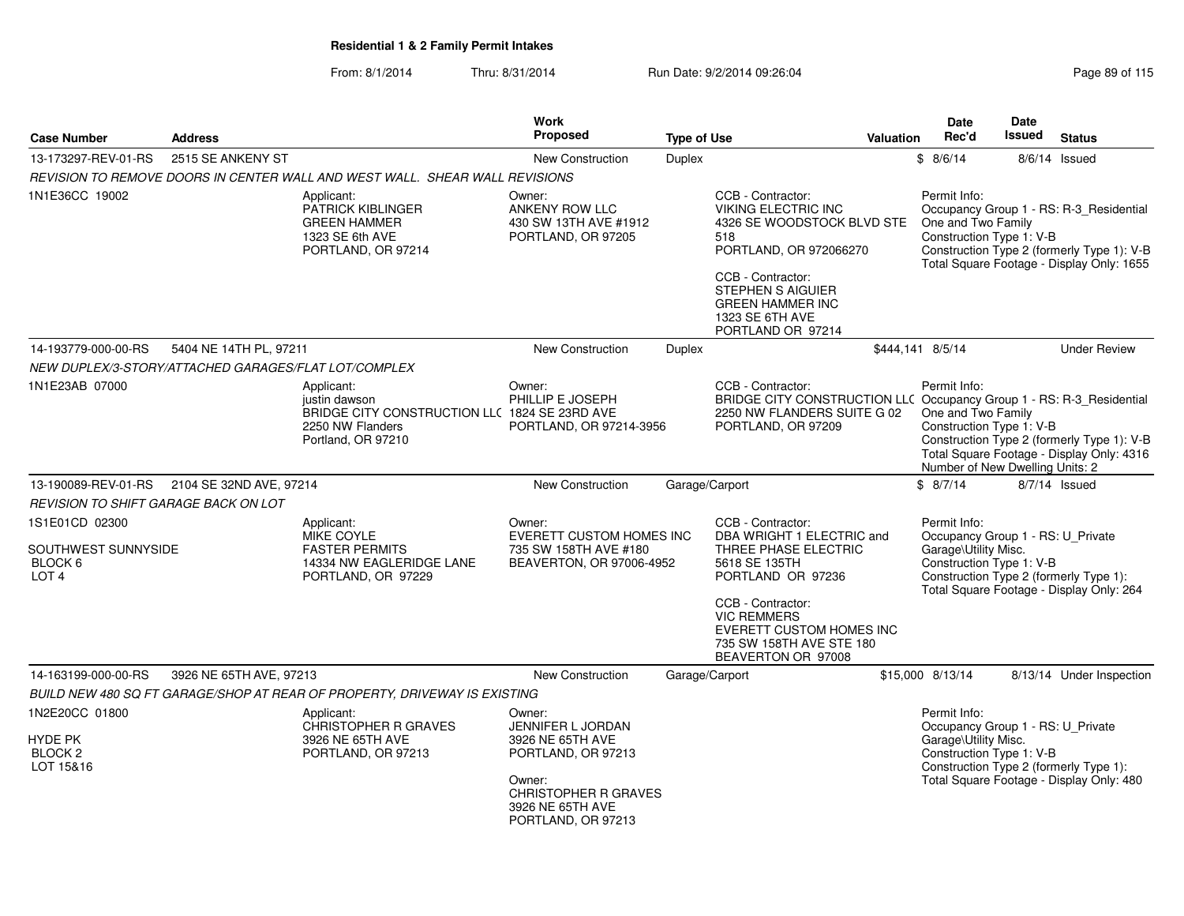#### From: 8/1/2014Thru: 8/31/2014 **Run Date: 9/2/2014 09:26:04** Page 89 of 2014 199:26:04

| Page 89 of 115 |  |  |  |  |
|----------------|--|--|--|--|
|----------------|--|--|--|--|

| <b>Case Number</b>                                                   | <b>Address</b>          |                                                                                                                        | Work<br><b>Proposed</b>                                                                        | <b>Type of Use</b> |                                                                                                                                                                 | Valuation | <b>Date</b><br>Rec'd                                                                                  | <b>Date</b><br>Issued | <b>Status</b>                                                                                                                      |
|----------------------------------------------------------------------|-------------------------|------------------------------------------------------------------------------------------------------------------------|------------------------------------------------------------------------------------------------|--------------------|-----------------------------------------------------------------------------------------------------------------------------------------------------------------|-----------|-------------------------------------------------------------------------------------------------------|-----------------------|------------------------------------------------------------------------------------------------------------------------------------|
| 13-173297-REV-01-RS                                                  | 2515 SE ANKENY ST       |                                                                                                                        | <b>New Construction</b>                                                                        | <b>Duplex</b>      |                                                                                                                                                                 |           | \$8/6/14                                                                                              |                       | $8/6/14$ Issued                                                                                                                    |
|                                                                      |                         | REVISION TO REMOVE DOORS IN CENTER WALL AND WEST WALL. SHEAR WALL REVISIONS                                            |                                                                                                |                    |                                                                                                                                                                 |           |                                                                                                       |                       |                                                                                                                                    |
| 1N1E36CC 19002                                                       |                         | Applicant:<br><b>PATRICK KIBLINGER</b><br><b>GREEN HAMMER</b><br>1323 SE 6th AVE<br>PORTLAND, OR 97214                 | Owner:<br>ANKENY ROW LLC<br>430 SW 13TH AVE #1912<br>PORTLAND, OR 97205                        |                    | CCB - Contractor:<br><b>VIKING ELECTRIC INC</b><br>4326 SE WOODSTOCK BLVD STE<br>518<br>PORTLAND, OR 972066270<br>CCB - Contractor:<br><b>STEPHEN S AIGUIER</b> |           | Permit Info:<br>One and Two Family<br>Construction Type 1: V-B                                        |                       | Occupancy Group 1 - RS: R-3_Residential<br>Construction Type 2 (formerly Type 1): V-B<br>Total Square Footage - Display Only: 1655 |
|                                                                      |                         |                                                                                                                        |                                                                                                |                    | <b>GREEN HAMMER INC</b><br>1323 SE 6TH AVE<br>PORTLAND OR 97214                                                                                                 |           |                                                                                                       |                       |                                                                                                                                    |
| 14-193779-000-00-RS                                                  | 5404 NE 14TH PL, 97211  |                                                                                                                        | New Construction                                                                               | <b>Duplex</b>      |                                                                                                                                                                 |           | \$444,141 8/5/14                                                                                      |                       | <b>Under Review</b>                                                                                                                |
| NEW DUPLEX/3-STORY/ATTACHED GARAGES/FLAT LOT/COMPLEX                 |                         |                                                                                                                        |                                                                                                |                    |                                                                                                                                                                 |           |                                                                                                       |                       |                                                                                                                                    |
| 1N1E23AB 07000                                                       |                         | Applicant:<br>justin dawson<br>BRIDGE CITY CONSTRUCTION LLC 1824 SE 23RD AVE<br>2250 NW Flanders<br>Portland, OR 97210 | Owner:<br>PHILLIP E JOSEPH<br>PORTLAND, OR 97214-3956                                          |                    | CCB - Contractor:<br>BRIDGE CITY CONSTRUCTION LLC Occupancy Group 1 - RS: R-3_Residential<br>2250 NW FLANDERS SUITE G 02<br>PORTLAND, OR 97209                  |           | Permit Info:<br>One and Two Family<br>Construction Type 1: V-B<br>Number of New Dwelling Units: 2     |                       | Construction Type 2 (formerly Type 1): V-B<br>Total Square Footage - Display Only: 4316                                            |
| 13-190089-REV-01-RS                                                  | 2104 SE 32ND AVE, 97214 |                                                                                                                        | <b>New Construction</b>                                                                        | Garage/Carport     |                                                                                                                                                                 |           | \$8/7/14                                                                                              |                       | 8/7/14 Issued                                                                                                                      |
| <b>REVISION TO SHIFT GARAGE BACK ON LOT</b>                          |                         |                                                                                                                        |                                                                                                |                    |                                                                                                                                                                 |           |                                                                                                       |                       |                                                                                                                                    |
| 1S1E01CD 02300<br>SOUTHWEST SUNNYSIDE<br>BLOCK 6<br>LOT <sub>4</sub> |                         | Applicant:<br><b>MIKE COYLE</b><br><b>FASTER PERMITS</b><br>14334 NW EAGLERIDGE LANE<br>PORTLAND, OR 97229             | Owner:<br><b>EVERETT CUSTOM HOMES INC</b><br>735 SW 158TH AVE #180<br>BEAVERTON, OR 97006-4952 |                    | CCB - Contractor:<br>DBA WRIGHT 1 ELECTRIC and<br>THREE PHASE ELECTRIC<br>5618 SE 135TH<br>PORTLAND OR 97236<br>CCB - Contractor:                               |           | Permit Info:<br>Occupancy Group 1 - RS: U_Private<br>Garage\Utility Misc.<br>Construction Type 1: V-B |                       | Construction Type 2 (formerly Type 1):<br>Total Square Footage - Display Only: 264                                                 |
|                                                                      |                         |                                                                                                                        |                                                                                                |                    | <b>VIC REMMERS</b><br><b>EVERETT CUSTOM HOMES INC</b><br>735 SW 158TH AVE STE 180<br>BEAVERTON OR 97008                                                         |           |                                                                                                       |                       |                                                                                                                                    |
| 14-163199-000-00-RS                                                  | 3926 NE 65TH AVE, 97213 |                                                                                                                        | <b>New Construction</b>                                                                        | Garage/Carport     |                                                                                                                                                                 |           | \$15,000 8/13/14                                                                                      |                       | 8/13/14 Under Inspection                                                                                                           |
|                                                                      |                         | BUILD NEW 480 SQ FT GARAGE/SHOP AT REAR OF PROPERTY, DRIVEWAY IS EXISTING                                              |                                                                                                |                    |                                                                                                                                                                 |           |                                                                                                       |                       |                                                                                                                                    |
| 1N2E20CC 01800<br>HYDE PK<br>BLOCK <sub>2</sub><br>LOT 15&16         |                         | Applicant:<br><b>CHRISTOPHER R GRAVES</b><br>3926 NE 65TH AVE<br>PORTLAND, OR 97213                                    | Owner:<br><b>JENNIFER L JORDAN</b><br>3926 NE 65TH AVE<br>PORTLAND, OR 97213<br>Owner:         |                    |                                                                                                                                                                 |           | Permit Info:<br>Occupancy Group 1 - RS: U_Private<br>Garage\Utility Misc.<br>Construction Type 1: V-B |                       | Construction Type 2 (formerly Type 1):<br>Total Square Footage - Display Only: 480                                                 |
|                                                                      |                         |                                                                                                                        | <b>CHRISTOPHER R GRAVES</b><br>3926 NE 65TH AVE<br>PORTLAND, OR 97213                          |                    |                                                                                                                                                                 |           |                                                                                                       |                       |                                                                                                                                    |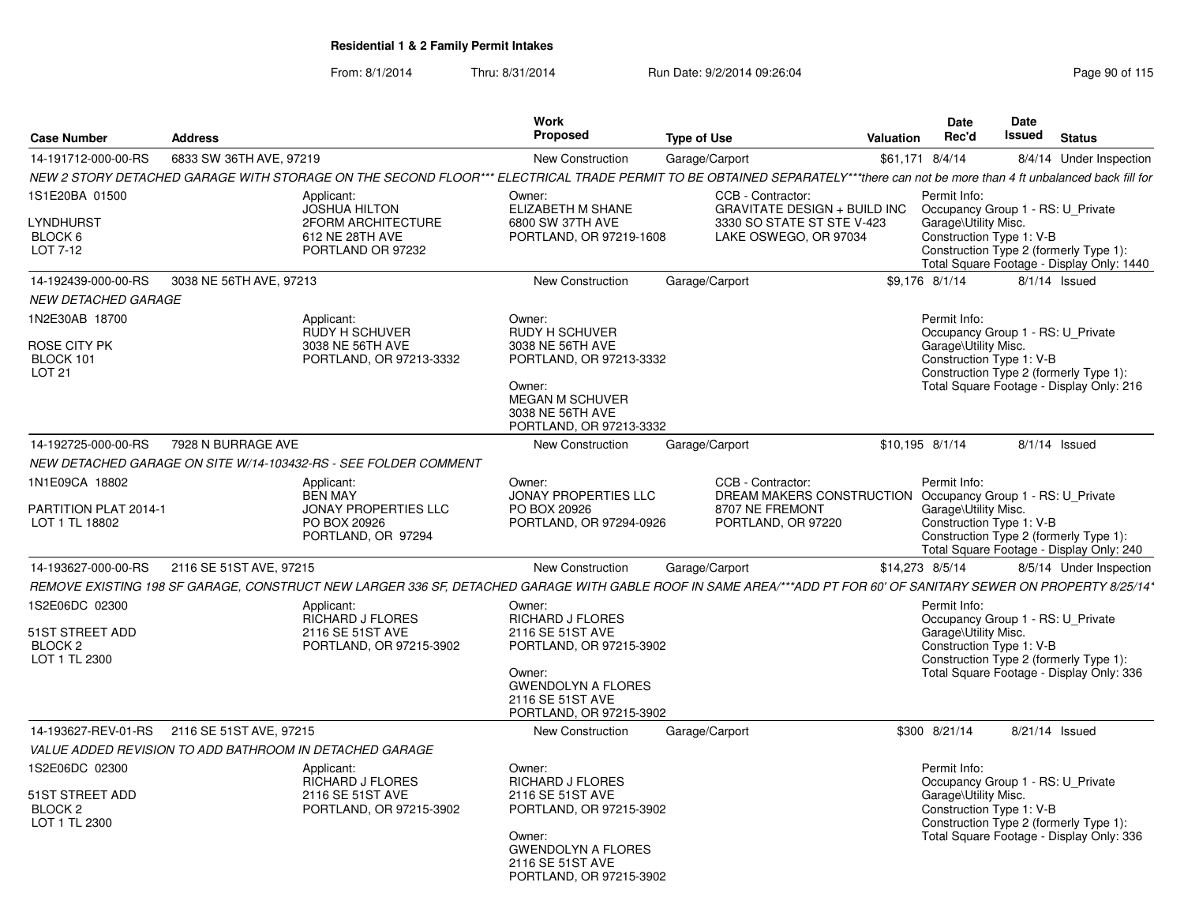| <b>Case Number</b>                                                       | <b>Address</b>          |                                                                                                                                                                              | Work<br>Proposed                                                                                                                                                       | <b>Type of Use</b>                                                                                                        | <b>Valuation</b> | Date<br>Rec'd                                                                                         | <b>Date</b><br>Issued | <b>Status</b>                                                                       |
|--------------------------------------------------------------------------|-------------------------|------------------------------------------------------------------------------------------------------------------------------------------------------------------------------|------------------------------------------------------------------------------------------------------------------------------------------------------------------------|---------------------------------------------------------------------------------------------------------------------------|------------------|-------------------------------------------------------------------------------------------------------|-----------------------|-------------------------------------------------------------------------------------|
| 14-191712-000-00-RS                                                      | 6833 SW 36TH AVE, 97219 |                                                                                                                                                                              | New Construction                                                                                                                                                       | Garage/Carport                                                                                                            |                  | \$61,171 8/4/14                                                                                       |                       | 8/4/14 Under Inspection                                                             |
|                                                                          |                         | NEW 2 STORY DETACHED GARAGE WITH STORAGE ON THE SECOND FLOOR*** ELECTRICAL TRADE PERMIT TO BE OBTAINED SEPARATELY***there can not be more than 4 ft unbalanced back fill for |                                                                                                                                                                        |                                                                                                                           |                  |                                                                                                       |                       |                                                                                     |
| 1S1E20BA 01500<br>LYNDHURST<br>BLOCK 6<br>LOT 7-12                       |                         | Applicant:<br><b>JOSHUA HILTON</b><br><b>2FORM ARCHITECTURE</b><br>612 NE 28TH AVE<br>PORTLAND OR 97232                                                                      | Owner:<br>ELIZABETH M SHANE<br>6800 SW 37TH AVE<br>PORTLAND, OR 97219-1608                                                                                             | CCB - Contractor:<br><b>GRAVITATE DESIGN + BUILD INC</b><br>3330 SO STATE ST STE V-423<br>LAKE OSWEGO, OR 97034           |                  | Permit Info:<br>Occupancy Group 1 - RS: U_Private<br>Garage\Utility Misc.<br>Construction Type 1: V-B |                       | Construction Type 2 (formerly Type 1):<br>Total Square Footage - Display Only: 1440 |
| 14-192439-000-00-RS                                                      | 3038 NE 56TH AVE, 97213 |                                                                                                                                                                              | New Construction                                                                                                                                                       | Garage/Carport                                                                                                            |                  | \$9.176 8/1/14                                                                                        |                       | 8/1/14 Issued                                                                       |
| <b>NEW DETACHED GARAGE</b>                                               |                         |                                                                                                                                                                              |                                                                                                                                                                        |                                                                                                                           |                  |                                                                                                       |                       |                                                                                     |
| 1N2E30AB 18700                                                           |                         | Applicant:<br><b>RUDY H SCHUVER</b>                                                                                                                                          | Owner:<br><b>RUDY H SCHUVER</b>                                                                                                                                        |                                                                                                                           |                  | Permit Info:<br>Occupancy Group 1 - RS: U_Private                                                     |                       |                                                                                     |
| ROSE CITY PK<br>BLOCK 101<br><b>LOT 21</b>                               |                         | 3038 NE 56TH AVE<br>PORTLAND, OR 97213-3332                                                                                                                                  | 3038 NE 56TH AVE<br>PORTLAND, OR 97213-3332<br>Owner:<br><b>MEGAN M SCHUVER</b><br>3038 NE 56TH AVE<br>PORTLAND, OR 97213-3332                                         |                                                                                                                           |                  | Garage\Utility Misc.<br>Construction Type 1: V-B                                                      |                       | Construction Type 2 (formerly Type 1):<br>Total Square Footage - Display Only: 216  |
| 14-192725-000-00-RS                                                      | 7928 N BURRAGE AVE      |                                                                                                                                                                              | <b>New Construction</b>                                                                                                                                                | Garage/Carport                                                                                                            |                  | \$10.195 8/1/14                                                                                       |                       | $8/1/14$ Issued                                                                     |
|                                                                          |                         | NEW DETACHED GARAGE ON SITE W/14-103432-RS - SEE FOLDER COMMENT                                                                                                              |                                                                                                                                                                        |                                                                                                                           |                  |                                                                                                       |                       |                                                                                     |
| 1N1E09CA 18802<br>PARTITION PLAT 2014-1<br>LOT 1 TL 18802                |                         | Applicant:<br><b>BEN MAY</b><br><b>JONAY PROPERTIES LLC</b><br>PO BOX 20926<br>PORTLAND, OR 97294                                                                            | Owner:<br><b>JONAY PROPERTIES LLC</b><br>PO BOX 20926<br>PORTLAND, OR 97294-0926                                                                                       | CCB - Contractor:<br>DREAM MAKERS CONSTRUCTION Occupancy Group 1 - RS: U Private<br>8707 NE FREMONT<br>PORTLAND, OR 97220 |                  | Permit Info:<br>Garage\Utility Misc.<br>Construction Type 1: V-B                                      |                       | Construction Type 2 (formerly Type 1):<br>Total Square Footage - Display Only: 240  |
| 14-193627-000-00-RS                                                      | 2116 SE 51ST AVE, 97215 |                                                                                                                                                                              | <b>New Construction</b>                                                                                                                                                | Garage/Carport                                                                                                            |                  | \$14,273 8/5/14                                                                                       |                       | 8/5/14 Under Inspection                                                             |
|                                                                          |                         | REMOVE EXISTING 198 SF GARAGE, CONSTRUCT NEW LARGER 336 SF, DETACHED GARAGE WITH GABLE ROOF IN SAME AREA/***ADD PT FOR 60' OF SANITARY SEWER ON PROPERTY 8/25/14*            |                                                                                                                                                                        |                                                                                                                           |                  |                                                                                                       |                       |                                                                                     |
| 1S2E06DC 02300<br>51ST STREET ADD<br>BLOCK <sub>2</sub><br>LOT 1 TL 2300 |                         | Applicant:<br><b>RICHARD J FLORES</b><br>2116 SE 51ST AVE<br>PORTLAND, OR 97215-3902                                                                                         | Owner:<br><b>RICHARD J FLORES</b><br>2116 SE 51ST AVE<br>PORTLAND, OR 97215-3902<br>Owner:<br><b>GWENDOLYN A FLORES</b><br>2116 SE 51ST AVE<br>PORTLAND, OR 97215-3902 |                                                                                                                           |                  | Permit Info:<br>Occupancy Group 1 - RS: U Private<br>Garage\Utility Misc.<br>Construction Type 1: V-B |                       | Construction Type 2 (formerly Type 1):<br>Total Square Footage - Display Only: 336  |
| 14-193627-REV-01-RS                                                      | 2116 SE 51ST AVE, 97215 |                                                                                                                                                                              | New Construction                                                                                                                                                       | Garage/Carport                                                                                                            |                  | \$300 8/21/14                                                                                         |                       | 8/21/14 Issued                                                                      |
|                                                                          |                         | VALUE ADDED REVISION TO ADD BATHROOM IN DETACHED GARAGE                                                                                                                      |                                                                                                                                                                        |                                                                                                                           |                  |                                                                                                       |                       |                                                                                     |
| 1S2E06DC 02300<br>51ST STREET ADD<br>BLOCK <sub>2</sub><br>LOT 1 TL 2300 |                         | Applicant:<br><b>RICHARD J FLORES</b><br>2116 SE 51ST AVE<br>PORTLAND, OR 97215-3902                                                                                         | Owner:<br><b>RICHARD J FLORES</b><br>2116 SE 51ST AVE<br>PORTLAND, OR 97215-3902<br>Owner:<br><b>GWENDOLYN A FLORES</b><br>2116 SE 51ST AVE<br>PORTLAND, OR 97215-3902 |                                                                                                                           |                  | Permit Info:<br>Occupancy Group 1 - RS: U Private<br>Garage\Utility Misc.<br>Construction Type 1: V-B |                       | Construction Type 2 (formerly Type 1):<br>Total Square Footage - Display Only: 336  |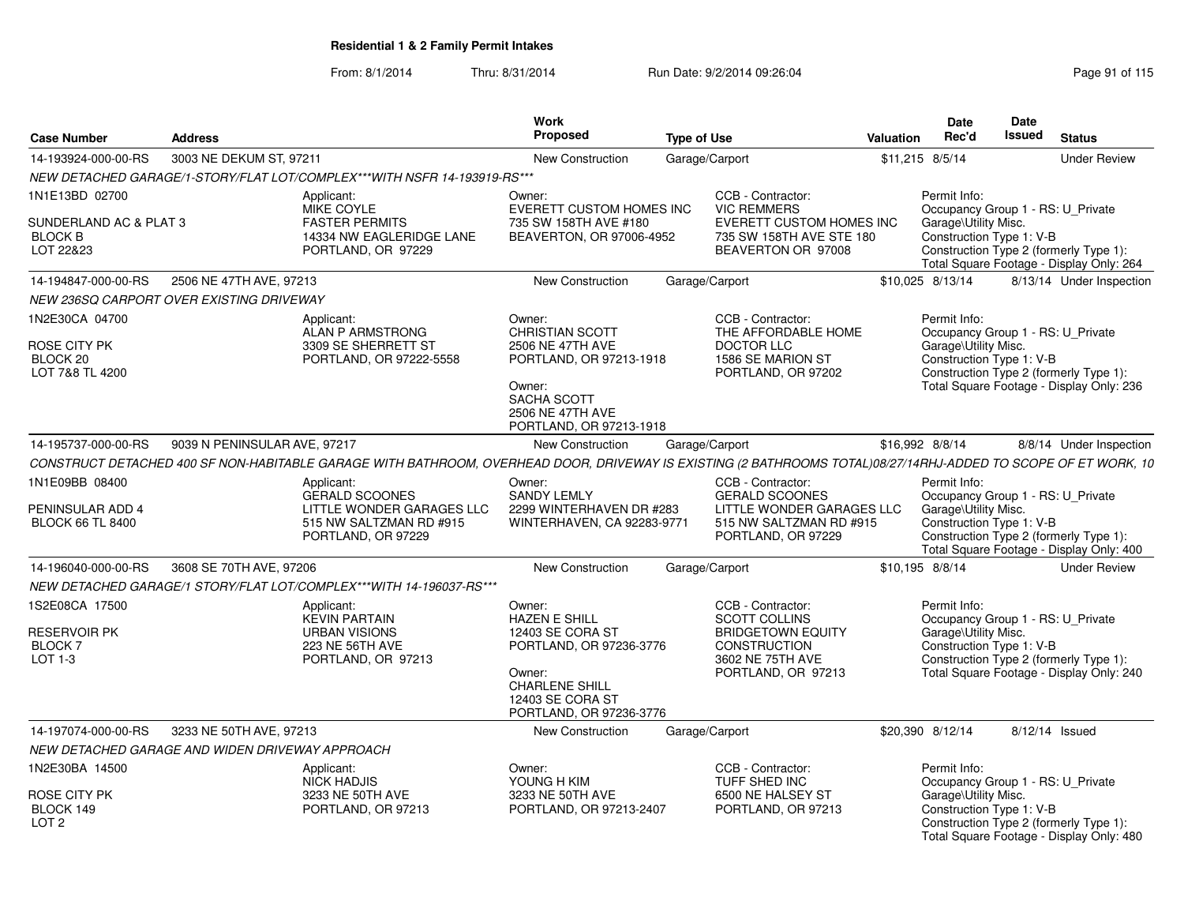|                                                                         |                              |                                                                                                                                                                | Work                                                                                                                                                            |                    |                                                                                                                                 |                  | Date                                                                                                  | Date          |                                                                                    |
|-------------------------------------------------------------------------|------------------------------|----------------------------------------------------------------------------------------------------------------------------------------------------------------|-----------------------------------------------------------------------------------------------------------------------------------------------------------------|--------------------|---------------------------------------------------------------------------------------------------------------------------------|------------------|-------------------------------------------------------------------------------------------------------|---------------|------------------------------------------------------------------------------------|
| <b>Case Number</b>                                                      | <b>Address</b>               |                                                                                                                                                                | Proposed                                                                                                                                                        | <b>Type of Use</b> |                                                                                                                                 | <b>Valuation</b> | Rec'd                                                                                                 | <b>Issued</b> | <b>Status</b>                                                                      |
| 14-193924-000-00-RS                                                     | 3003 NE DEKUM ST, 97211      |                                                                                                                                                                | <b>New Construction</b>                                                                                                                                         |                    | Garage/Carport                                                                                                                  |                  | \$11,215 8/5/14                                                                                       |               | <b>Under Review</b>                                                                |
|                                                                         |                              | NEW DETACHED GARAGE/1-STORY/FLAT LOT/COMPLEX***WITH NSFR 14-193919-RS***                                                                                       |                                                                                                                                                                 |                    |                                                                                                                                 |                  |                                                                                                       |               |                                                                                    |
| 1N1E13BD 02700<br>SUNDERLAND AC & PLAT 3<br><b>BLOCK B</b><br>LOT 22&23 |                              | Applicant:<br>MIKE COYLE<br><b>FASTER PERMITS</b><br>14334 NW EAGLERIDGE LANE<br>PORTLAND, OR 97229                                                            | Owner:<br>EVERETT CUSTOM HOMES INC<br>735 SW 158TH AVE #180<br>BEAVERTON, OR 97006-4952                                                                         |                    | CCB - Contractor:<br><b>VIC REMMERS</b><br><b>EVERETT CUSTOM HOMES INC</b><br>735 SW 158TH AVE STE 180<br>BEAVERTON OR 97008    |                  | Permit Info:<br>Occupancy Group 1 - RS: U Private<br>Garage\Utility Misc.<br>Construction Type 1: V-B |               | Construction Type 2 (formerly Type 1):<br>Total Square Footage - Display Only: 264 |
| 14-194847-000-00-RS                                                     | 2506 NE 47TH AVE, 97213      |                                                                                                                                                                | <b>New Construction</b>                                                                                                                                         |                    | Garage/Carport                                                                                                                  |                  | \$10.025 8/13/14                                                                                      |               | 8/13/14 Under Inspection                                                           |
| NEW 236SQ CARPORT OVER EXISTING DRIVEWAY                                |                              |                                                                                                                                                                |                                                                                                                                                                 |                    |                                                                                                                                 |                  |                                                                                                       |               |                                                                                    |
| 1N2E30CA 04700<br>ROSE CITY PK<br>BLOCK 20<br>LOT 7&8 TL 4200           |                              | Applicant:<br>ALAN P ARMSTRONG<br>3309 SE SHERRETT ST<br>PORTLAND, OR 97222-5558                                                                               | Owner:<br><b>CHRISTIAN SCOTT</b><br>2506 NE 47TH AVE<br>PORTLAND, OR 97213-1918<br>Owner:<br>SACHA SCOTT<br>2506 NE 47TH AVE<br>PORTLAND, OR 97213-1918         |                    | CCB - Contractor:<br>THE AFFORDABLE HOME<br>DOCTOR LLC<br>1586 SE MARION ST<br>PORTLAND, OR 97202                               |                  | Permit Info:<br>Occupancy Group 1 - RS: U_Private<br>Garage\Utility Misc.<br>Construction Type 1: V-B |               | Construction Type 2 (formerly Type 1):<br>Total Square Footage - Display Only: 236 |
| 14-195737-000-00-RS                                                     | 9039 N PENINSULAR AVE, 97217 |                                                                                                                                                                | <b>New Construction</b>                                                                                                                                         |                    | Garage/Carport                                                                                                                  |                  | \$16,992 8/8/14                                                                                       |               | 8/8/14 Under Inspection                                                            |
|                                                                         |                              | CONSTRUCT DETACHED 400 SF NON-HABITABLE GARAGE WITH BATHROOM, OVERHEAD DOOR, DRIVEWAY IS EXISTING (2 BATHROOMS TOTAL)08/27/14RHJ-ADDED TO SCOPE OF ET WORK, 10 |                                                                                                                                                                 |                    |                                                                                                                                 |                  |                                                                                                       |               |                                                                                    |
| 1N1E09BB 08400<br>PENINSULAR ADD 4<br><b>BLOCK 66 TL 8400</b>           |                              | Applicant:<br><b>GERALD SCOONES</b><br>LITTLE WONDER GARAGES LLC<br>515 NW SALTZMAN RD #915<br>PORTLAND, OR 97229                                              | Owner:<br><b>SANDY LEMLY</b><br>2299 WINTERHAVEN DR #283<br>WINTERHAVEN, CA 92283-9771                                                                          |                    | CCB - Contractor:<br><b>GERALD SCOONES</b><br>LITTLE WONDER GARAGES LLC<br>515 NW SALTZMAN RD #915<br>PORTLAND, OR 97229        |                  | Permit Info:<br>Occupancy Group 1 - RS: U_Private<br>Garage\Utility Misc.<br>Construction Type 1: V-B |               | Construction Type 2 (formerly Type 1):<br>Total Square Footage - Display Only: 400 |
| 14-196040-000-00-RS                                                     | 3608 SE 70TH AVE, 97206      |                                                                                                                                                                | <b>New Construction</b>                                                                                                                                         |                    | Garage/Carport                                                                                                                  |                  | \$10,195 8/8/14                                                                                       |               | <b>Under Review</b>                                                                |
|                                                                         |                              | NEW DETACHED GARAGE/1 STORY/FLAT LOT/COMPLEX***WITH 14-196037-RS***                                                                                            |                                                                                                                                                                 |                    |                                                                                                                                 |                  |                                                                                                       |               |                                                                                    |
| 1S2E08CA 17500<br><b>RESERVOIR PK</b><br><b>BLOCK7</b><br>$LOT 1-3$     |                              | Applicant:<br><b>KEVIN PARTAIN</b><br><b>URBAN VISIONS</b><br>223 NE 56TH AVE<br>PORTLAND, OR 97213                                                            | Owner:<br><b>HAZEN E SHILL</b><br>12403 SE CORA ST<br>PORTLAND, OR 97236-3776<br>Owner:<br><b>CHARLENE SHILL</b><br>12403 SE CORA ST<br>PORTLAND, OR 97236-3776 |                    | CCB - Contractor:<br><b>SCOTT COLLINS</b><br><b>BRIDGETOWN EQUITY</b><br>CONSTRUCTION<br>3602 NE 75TH AVE<br>PORTLAND, OR 97213 |                  | Permit Info:<br>Occupancy Group 1 - RS: U Private<br>Garage\Utility Misc.<br>Construction Type 1: V-B |               | Construction Type 2 (formerly Type 1):<br>Total Square Footage - Display Only: 240 |
| 14-197074-000-00-RS                                                     | 3233 NE 50TH AVE, 97213      |                                                                                                                                                                | New Construction                                                                                                                                                |                    | Garage/Carport                                                                                                                  |                  | \$20,390 8/12/14                                                                                      |               | 8/12/14 Issued                                                                     |
| NEW DETACHED GARAGE AND WIDEN DRIVEWAY APPROACH                         |                              |                                                                                                                                                                |                                                                                                                                                                 |                    |                                                                                                                                 |                  |                                                                                                       |               |                                                                                    |
| 1N2E30BA 14500<br>ROSE CITY PK<br>BLOCK 149<br>LOT <sub>2</sub>         |                              | Applicant:<br><b>NICK HADJIS</b><br>3233 NE 50TH AVE<br>PORTLAND, OR 97213                                                                                     | Owner:<br>YOUNG H KIM<br>3233 NE 50TH AVE<br>PORTLAND, OR 97213-2407                                                                                            |                    | CCB - Contractor:<br>TUFF SHED INC<br>6500 NE HALSEY ST<br>PORTLAND, OR 97213                                                   |                  | Permit Info:<br>Occupancy Group 1 - RS: U_Private<br>Garage\Utility Misc.<br>Construction Type 1: V-B |               | Construction Type 2 (formerly Type 1):<br>Total Square Footage - Display Only: 480 |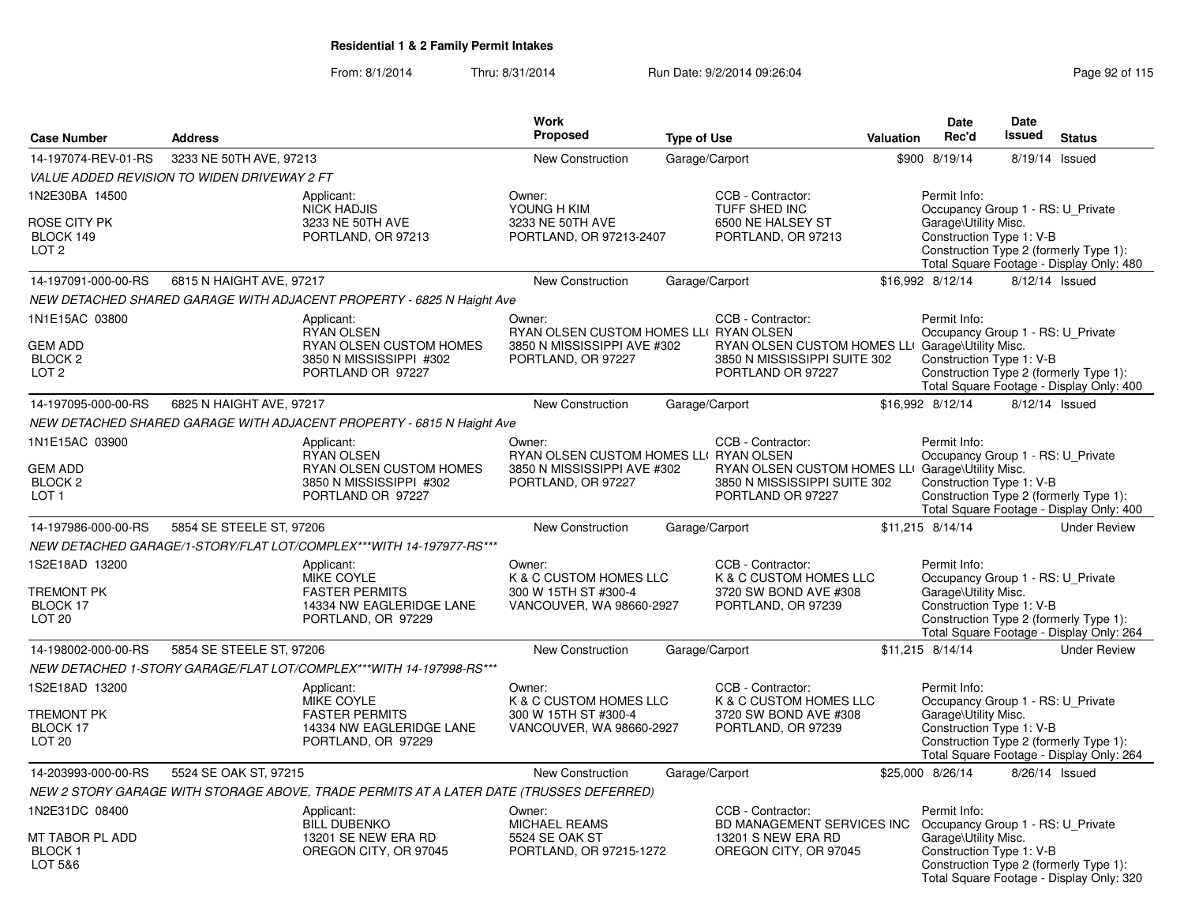|                                                                            |                                             |                                                                                                            | <b>Work</b>                                                                                           |                    |                                                                                                                            |                  | <b>Date</b>                                                                                           | <b>Date</b>   |                                                                                    |
|----------------------------------------------------------------------------|---------------------------------------------|------------------------------------------------------------------------------------------------------------|-------------------------------------------------------------------------------------------------------|--------------------|----------------------------------------------------------------------------------------------------------------------------|------------------|-------------------------------------------------------------------------------------------------------|---------------|------------------------------------------------------------------------------------|
| <b>Case Number</b>                                                         | <b>Address</b>                              |                                                                                                            | Proposed                                                                                              | <b>Type of Use</b> |                                                                                                                            | <b>Valuation</b> | Rec'd                                                                                                 | <b>Issued</b> | <b>Status</b>                                                                      |
| 14-197074-REV-01-RS                                                        | 3233 NE 50TH AVE, 97213                     |                                                                                                            | <b>New Construction</b>                                                                               |                    | Garage/Carport                                                                                                             |                  | \$900 8/19/14                                                                                         |               | 8/19/14 Issued                                                                     |
|                                                                            | VALUE ADDED REVISION TO WIDEN DRIVEWAY 2 FT |                                                                                                            |                                                                                                       |                    |                                                                                                                            |                  |                                                                                                       |               |                                                                                    |
| 1N2E30BA 14500<br>ROSE CITY PK<br>BLOCK 149<br>LOT <sub>2</sub>            |                                             | Applicant:<br><b>NICK HADJIS</b><br>3233 NE 50TH AVE<br>PORTLAND, OR 97213                                 | Owner:<br>YOUNG H KIM<br>3233 NE 50TH AVE<br>PORTLAND, OR 97213-2407                                  |                    | CCB - Contractor:<br>TUFF SHED INC<br>6500 NE HALSEY ST<br>PORTLAND, OR 97213                                              |                  | Permit Info:<br>Occupancy Group 1 - RS: U_Private<br>Garage\Utility Misc.<br>Construction Type 1: V-B |               | Construction Type 2 (formerly Type 1):<br>Total Square Footage - Display Only: 480 |
| 14-197091-000-00-RS                                                        | 6815 N HAIGHT AVE, 97217                    |                                                                                                            | <b>New Construction</b>                                                                               |                    | Garage/Carport                                                                                                             |                  | \$16,992 8/12/14                                                                                      |               | 8/12/14 Issued                                                                     |
|                                                                            |                                             | NEW DETACHED SHARED GARAGE WITH ADJACENT PROPERTY - 6825 N Haight Ave                                      |                                                                                                       |                    |                                                                                                                            |                  |                                                                                                       |               |                                                                                    |
| 1N1E15AC 03800                                                             |                                             | Applicant:                                                                                                 | Owner:                                                                                                |                    | CCB - Contractor:                                                                                                          |                  | Permit Info:                                                                                          |               |                                                                                    |
| <b>GEM ADD</b><br>BLOCK <sub>2</sub><br>LOT <sub>2</sub>                   |                                             | <b>RYAN OLSEN</b><br>RYAN OLSEN CUSTOM HOMES<br>3850 N MISSISSIPPI #302<br>PORTLAND OR 97227               | RYAN OLSEN CUSTOM HOMES LLI RYAN OLSEN<br>3850 N MISSISSIPPI AVE #302<br>PORTLAND, OR 97227           |                    | RYAN OLSEN CUSTOM HOMES LLI Garage\Utility Misc.<br>3850 N MISSISSIPPI SUITE 302<br>PORTLAND OR 97227                      |                  | Occupancy Group 1 - RS: U_Private<br>Construction Type 1: V-B                                         |               | Construction Type 2 (formerly Type 1):<br>Total Square Footage - Display Only: 400 |
| 14-197095-000-00-RS                                                        | 6825 N HAIGHT AVE, 97217                    |                                                                                                            | <b>New Construction</b>                                                                               |                    | Garage/Carport                                                                                                             |                  | \$16,992 8/12/14                                                                                      |               | 8/12/14 Issued                                                                     |
|                                                                            |                                             | NEW DETACHED SHARED GARAGE WITH ADJACENT PROPERTY - 6815 N Haight Ave                                      |                                                                                                       |                    |                                                                                                                            |                  |                                                                                                       |               |                                                                                    |
| 1N1E15AC 03900<br><b>GEM ADD</b><br>BLOCK <sub>2</sub><br>LOT <sub>1</sub> |                                             | Applicant:<br><b>RYAN OLSEN</b><br>RYAN OLSEN CUSTOM HOMES<br>3850 N MISSISSIPPI #302<br>PORTLAND OR 97227 | Owner:<br>RYAN OLSEN CUSTOM HOMES LLI RYAN OLSEN<br>3850 N MISSISSIPPI AVE #302<br>PORTLAND, OR 97227 |                    | CCB - Contractor:<br>RYAN OLSEN CUSTOM HOMES LLI Garage\Utility Misc.<br>3850 N MISSISSIPPI SUITE 302<br>PORTLAND OR 97227 |                  | Permit Info:<br>Occupancy Group 1 - RS: U_Private<br>Construction Type 1: V-B                         |               | Construction Type 2 (formerly Type 1):<br>Total Square Footage - Display Only: 400 |
| 14-197986-000-00-RS                                                        | 5854 SE STEELE ST, 97206                    |                                                                                                            | <b>New Construction</b>                                                                               |                    | Garage/Carport                                                                                                             |                  | \$11,215 8/14/14                                                                                      |               | <b>Under Review</b>                                                                |
|                                                                            |                                             | NEW DETACHED GARAGE/1-STORY/FLAT LOT/COMPLEX***WITH 14-197977-RS***                                        |                                                                                                       |                    |                                                                                                                            |                  |                                                                                                       |               |                                                                                    |
| 1S2E18AD 13200<br>TREMONT PK<br>BLOCK 17<br>LOT <sub>20</sub>              |                                             | Applicant:<br><b>MIKE COYLE</b><br><b>FASTER PERMITS</b><br>14334 NW EAGLERIDGE LANE<br>PORTLAND, OR 97229 | Owner:<br>K & C CUSTOM HOMES LLC<br>300 W 15TH ST #300-4<br>VANCOUVER, WA 98660-2927                  |                    | CCB - Contractor:<br>K & C CUSTOM HOMES LLC<br>3720 SW BOND AVE #308<br>PORTLAND, OR 97239                                 |                  | Permit Info:<br>Occupancy Group 1 - RS: U_Private<br>Garage\Utility Misc.<br>Construction Type 1: V-B |               | Construction Type 2 (formerly Type 1):<br>Total Square Footage - Display Only: 264 |
| 14-198002-000-00-RS                                                        | 5854 SE STEELE ST, 97206                    |                                                                                                            | <b>New Construction</b>                                                                               |                    | Garage/Carport                                                                                                             |                  | \$11,215 8/14/14                                                                                      |               | <b>Under Review</b>                                                                |
|                                                                            |                                             | NEW DETACHED 1-STORY GARAGE/FLAT LOT/COMPLEX***WITH 14-197998-RS***                                        |                                                                                                       |                    |                                                                                                                            |                  |                                                                                                       |               |                                                                                    |
| 1S2E18AD 13200<br>TREMONT PK<br>BLOCK 17<br><b>LOT 20</b>                  |                                             | Applicant:<br>MIKE COYLE<br><b>FASTER PERMITS</b><br>14334 NW EAGLERIDGE LANE<br>PORTLAND, OR 97229        | Owner:<br>K & C CUSTOM HOMES LLC<br>300 W 15TH ST #300-4<br>VANCOUVER, WA 98660-2927                  |                    | CCB - Contractor:<br>K & C CUSTOM HOMES LLC<br>3720 SW BOND AVE #308<br>PORTLAND, OR 97239                                 |                  | Permit Info:<br>Occupancy Group 1 - RS: U_Private<br>Garage\Utility Misc.<br>Construction Type 1: V-B |               | Construction Type 2 (formerly Type 1):<br>Total Square Footage - Display Only: 264 |
| 14-203993-000-00-RS                                                        | 5524 SE OAK ST, 97215                       |                                                                                                            | New Construction                                                                                      |                    | Garage/Carport                                                                                                             |                  | \$25,000 8/26/14                                                                                      |               | 8/26/14 Issued                                                                     |
|                                                                            |                                             | NEW 2 STORY GARAGE WITH STORAGE ABOVE, TRADE PERMITS AT A LATER DATE (TRUSSES DEFERRED)                    |                                                                                                       |                    |                                                                                                                            |                  |                                                                                                       |               |                                                                                    |
| 1N2E31DC 08400                                                             |                                             | Applicant:                                                                                                 | Owner:                                                                                                |                    | CCB - Contractor:                                                                                                          |                  | Permit Info:                                                                                          |               |                                                                                    |
| MT TABOR PL ADD<br><b>BLOCK1</b><br>LOT 5&6                                |                                             | <b>BILL DUBENKO</b><br>13201 SE NEW ERA RD<br>OREGON CITY, OR 97045                                        | <b>MICHAEL REAMS</b><br>5524 SE OAK ST<br>PORTLAND, OR 97215-1272                                     |                    | BD MANAGEMENT SERVICES INC<br>13201 S NEW ERA RD<br>OREGON CITY, OR 97045                                                  |                  | Occupancy Group 1 - RS: U_Private<br>Garage\Utility Misc.<br>Construction Type 1: V-B                 |               | Construction Type 2 (formerly Type 1):<br>Total Square Footage - Display Only: 320 |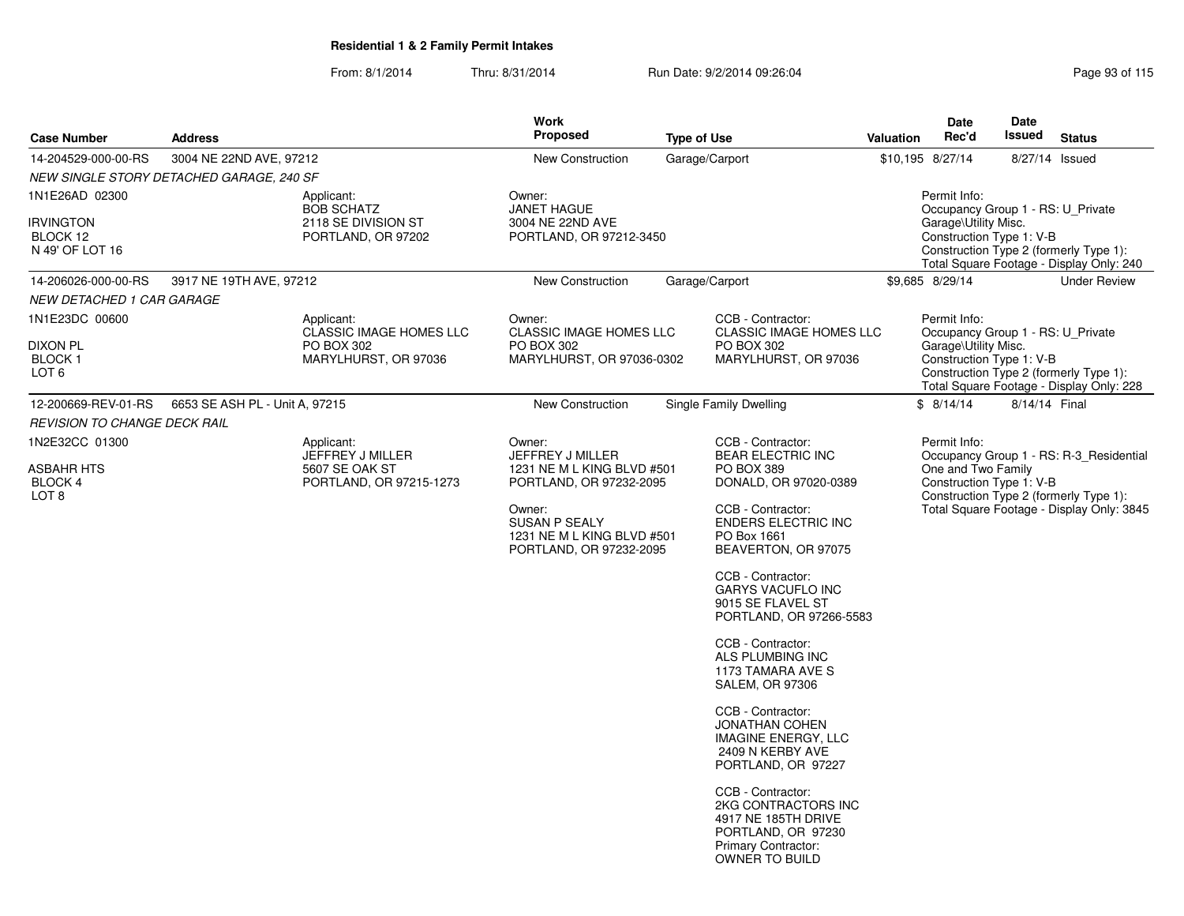| <b>Case Number</b>                                                | <b>Address</b>                           |                                                                              | <b>Work</b><br><b>Proposed</b>                                                          | <b>Type of Use</b>                                                                                                                           | Rec'd<br>Valuation | Date<br><b>Date</b><br>Issued                                                            | <b>Status</b>                                                                      |  |
|-------------------------------------------------------------------|------------------------------------------|------------------------------------------------------------------------------|-----------------------------------------------------------------------------------------|----------------------------------------------------------------------------------------------------------------------------------------------|--------------------|------------------------------------------------------------------------------------------|------------------------------------------------------------------------------------|--|
| 14-204529-000-00-RS                                               | 3004 NE 22ND AVE, 97212                  |                                                                              | <b>New Construction</b>                                                                 | Garage/Carport                                                                                                                               | \$10,195 8/27/14   |                                                                                          | 8/27/14 Issued                                                                     |  |
|                                                                   | NEW SINGLE STORY DETACHED GARAGE, 240 SF |                                                                              |                                                                                         |                                                                                                                                              |                    |                                                                                          |                                                                                    |  |
| 1N1E26AD 02300<br><b>IRVINGTON</b><br>BLOCK 12<br>N 49' OF LOT 16 |                                          | Applicant:<br><b>BOB SCHATZ</b><br>2118 SE DIVISION ST<br>PORTLAND, OR 97202 | Owner:<br><b>JANET HAGUE</b><br>3004 NE 22ND AVE<br>PORTLAND, OR 97212-3450             |                                                                                                                                              | Permit Info:       | Occupancy Group 1 - RS: U Private<br>Garage\Utility Misc.<br>Construction Type 1: V-B    | Construction Type 2 (formerly Type 1):<br>Total Square Footage - Display Only: 240 |  |
| 14-206026-000-00-RS                                               | 3917 NE 19TH AVE, 97212                  |                                                                              | <b>New Construction</b>                                                                 | Garage/Carport                                                                                                                               | \$9,685 8/29/14    |                                                                                          | <b>Under Review</b>                                                                |  |
| NEW DETACHED 1 CAR GARAGE                                         |                                          |                                                                              |                                                                                         |                                                                                                                                              |                    |                                                                                          |                                                                                    |  |
| 1N1E23DC 00600                                                    |                                          | Applicant:<br><b>CLASSIC IMAGE HOMES LLC</b>                                 | Owner:<br><b>CLASSIC IMAGE HOMES LLC</b>                                                | CCB - Contractor:<br><b>CLASSIC IMAGE HOMES LLC</b>                                                                                          | Permit Info:       | Occupancy Group 1 - RS: U_Private                                                        |                                                                                    |  |
| <b>DIXON PL</b><br>BLOCK 1<br>LOT <sub>6</sub>                    |                                          | PO BOX 302<br>MARYLHURST, OR 97036                                           | PO BOX 302<br>MARYLHURST, OR 97036-0302                                                 | PO BOX 302<br>MARYLHURST, OR 97036                                                                                                           |                    | Garage\Utility Misc.<br>Construction Type 1: V-B                                         | Construction Type 2 (formerly Type 1):<br>Total Square Footage - Display Only: 228 |  |
| 12-200669-REV-01-RS                                               | 6653 SE ASH PL - Unit A, 97215           |                                                                              | New Construction                                                                        | Single Family Dwelling                                                                                                                       | \$8/14/14          |                                                                                          | 8/14/14 Final                                                                      |  |
| <b>REVISION TO CHANGE DECK RAIL</b>                               |                                          |                                                                              |                                                                                         |                                                                                                                                              |                    |                                                                                          |                                                                                    |  |
| 1N2E32CC 01300                                                    |                                          | Applicant:<br>JEFFREY J MILLER                                               | Owner:<br>JEFFREY J MILLER                                                              | CCB - Contractor:<br><b>BEAR ELECTRIC INC</b>                                                                                                | Permit Info:       |                                                                                          | Occupancy Group 1 - RS: R-3 Residential                                            |  |
| <b>ASBAHR HTS</b><br>BLOCK 4<br>LOT <sub>8</sub>                  |                                          | 5607 SE OAK ST<br>PORTLAND, OR 97215-1273                                    | 1231 NE M L KING BLVD #501<br>PORTLAND, OR 97232-2095                                   | PO BOX 389<br>DONALD, OR 97020-0389                                                                                                          |                    | One and Two Family<br>Construction Type 1: V-B<br>Construction Type 2 (formerly Type 1): |                                                                                    |  |
|                                                                   |                                          |                                                                              | Owner:<br><b>SUSAN P SEALY</b><br>1231 NE M L KING BLVD #501<br>PORTLAND, OR 97232-2095 | CCB - Contractor:<br><b>ENDERS ELECTRIC INC</b><br>PO Box 1661<br>BEAVERTON, OR 97075                                                        |                    |                                                                                          | Total Square Footage - Display Only: 3845                                          |  |
|                                                                   |                                          |                                                                              |                                                                                         | CCB - Contractor:<br>GARYS VACUFLO INC<br>9015 SE FLAVEL ST<br>PORTLAND, OR 97266-5583                                                       |                    |                                                                                          |                                                                                    |  |
|                                                                   |                                          |                                                                              |                                                                                         | CCB - Contractor:<br>ALS PLUMBING INC<br>1173 TAMARA AVE S<br><b>SALEM, OR 97306</b>                                                         |                    |                                                                                          |                                                                                    |  |
|                                                                   |                                          |                                                                              |                                                                                         | CCB - Contractor:<br><b>JONATHAN COHEN</b><br><b>IMAGINE ENERGY, LLC</b><br>2409 N KERBY AVE<br>PORTLAND, OR 97227                           |                    |                                                                                          |                                                                                    |  |
|                                                                   |                                          |                                                                              |                                                                                         | CCB - Contractor:<br>2KG CONTRACTORS INC<br>4917 NE 185TH DRIVE<br>PORTLAND, OR 97230<br><b>Primary Contractor:</b><br><b>OWNER TO BUILD</b> |                    |                                                                                          |                                                                                    |  |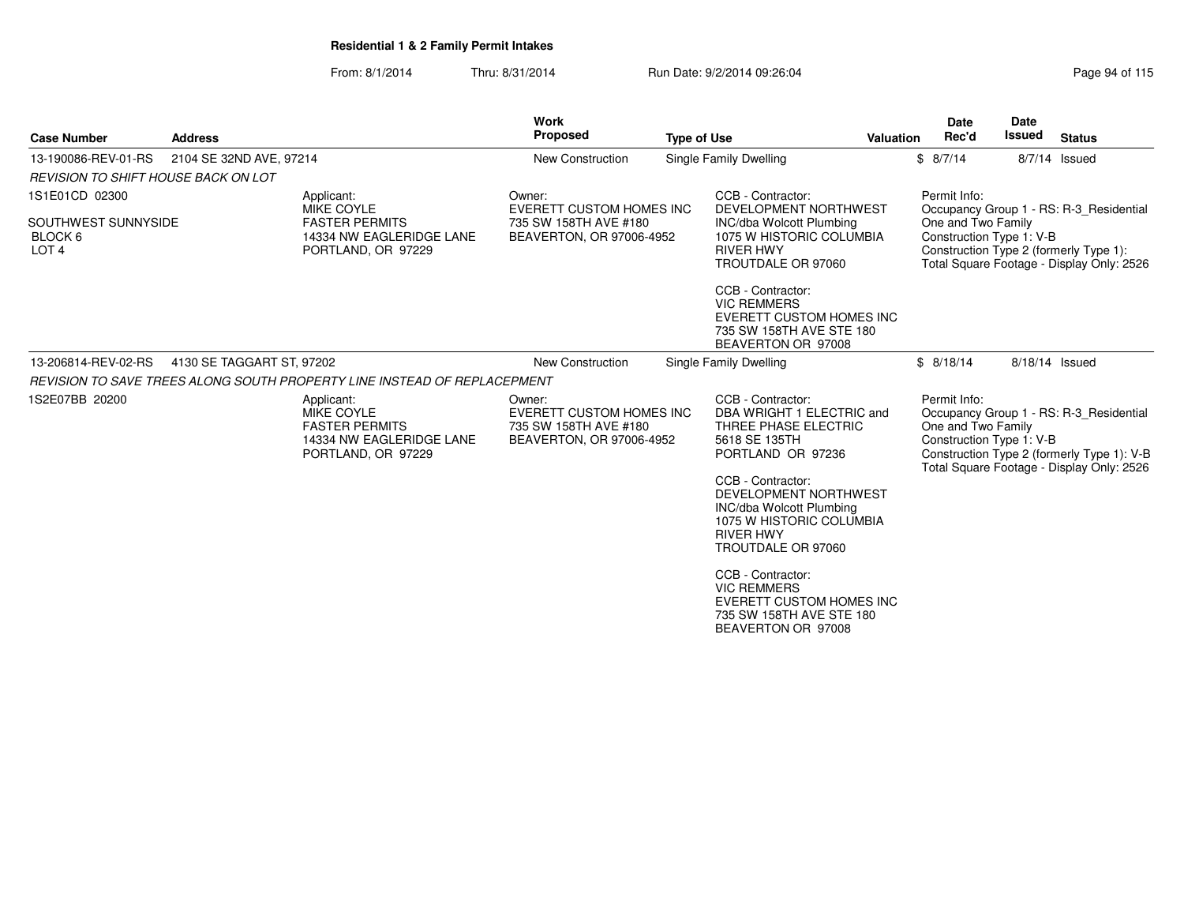| Page 94 of 11 |  |  |
|---------------|--|--|
|               |  |  |
|               |  |  |

| <b>Case Number</b>                                 | <b>Address</b>            |                                                                                                            | <b>Work</b><br><b>Proposed</b>                                                          | <b>Type of Use</b> |                                                                                                                                                     | <b>Valuation</b> | <b>Date</b><br>Rec'd                                           | <b>Date</b><br><b>Issued</b> | <b>Status</b>                                                                                                                      |
|----------------------------------------------------|---------------------------|------------------------------------------------------------------------------------------------------------|-----------------------------------------------------------------------------------------|--------------------|-----------------------------------------------------------------------------------------------------------------------------------------------------|------------------|----------------------------------------------------------------|------------------------------|------------------------------------------------------------------------------------------------------------------------------------|
| 13-190086-REV-01-RS                                | 2104 SE 32ND AVE, 97214   |                                                                                                            | <b>New Construction</b>                                                                 |                    | Single Family Dwelling                                                                                                                              |                  | \$8/7/14                                                       |                              | 8/7/14 Issued                                                                                                                      |
| <b>REVISION TO SHIFT HOUSE BACK ON LOT</b>         |                           |                                                                                                            |                                                                                         |                    |                                                                                                                                                     |                  |                                                                |                              |                                                                                                                                    |
| 1S1E01CD 02300                                     |                           | Applicant:<br><b>MIKE COYLE</b>                                                                            | Owner:<br>EVERETT CUSTOM HOMES INC                                                      |                    | CCB - Contractor:<br>DEVELOPMENT NORTHWEST                                                                                                          |                  | Permit Info:                                                   |                              | Occupancy Group 1 - RS: R-3_Residential                                                                                            |
| SOUTHWEST SUNNYSIDE<br>BLOCK 6<br>LOT <sub>4</sub> |                           | <b>FASTER PERMITS</b><br>14334 NW EAGLERIDGE LANE<br>PORTLAND, OR 97229                                    | 735 SW 158TH AVE #180<br>BEAVERTON, OR 97006-4952                                       |                    | <b>INC/dba Wolcott Plumbing</b><br>1075 W HISTORIC COLUMBIA<br><b>RIVER HWY</b><br>TROUTDALE OR 97060                                               |                  | One and Two Family<br>Construction Type 1: V-B                 |                              | Construction Type 2 (formerly Type 1):<br>Total Square Footage - Display Only: 2526                                                |
|                                                    |                           |                                                                                                            |                                                                                         |                    | CCB - Contractor:<br><b>VIC REMMERS</b><br><b>EVERETT CUSTOM HOMES INC</b><br>735 SW 158TH AVE STE 180<br>BEAVERTON OR 97008                        |                  |                                                                |                              |                                                                                                                                    |
| 13-206814-REV-02-RS                                | 4130 SE TAGGART ST, 97202 |                                                                                                            | <b>New Construction</b>                                                                 |                    | Single Family Dwelling                                                                                                                              |                  | \$8/18/14                                                      |                              | 8/18/14 Issued                                                                                                                     |
|                                                    |                           | REVISION TO SAVE TREES ALONG SOUTH PROPERTY LINE INSTEAD OF REPLACEPMENT                                   |                                                                                         |                    |                                                                                                                                                     |                  |                                                                |                              |                                                                                                                                    |
| 1S2E07BB 20200                                     |                           | Applicant:<br><b>MIKE COYLE</b><br><b>FASTER PERMITS</b><br>14334 NW EAGLERIDGE LANE<br>PORTLAND, OR 97229 | Owner:<br>EVERETT CUSTOM HOMES INC<br>735 SW 158TH AVE #180<br>BEAVERTON, OR 97006-4952 |                    | CCB - Contractor:<br>DBA WRIGHT 1 ELECTRIC and<br>THREE PHASE ELECTRIC<br>5618 SE 135TH<br>PORTLAND OR 97236                                        |                  | Permit Info:<br>One and Two Family<br>Construction Type 1: V-B |                              | Occupancy Group 1 - RS: R-3 Residential<br>Construction Type 2 (formerly Type 1): V-B<br>Total Square Footage - Display Only: 2526 |
|                                                    |                           |                                                                                                            |                                                                                         |                    | CCB - Contractor:<br>DEVELOPMENT NORTHWEST<br><b>INC/dba Wolcott Plumbing</b><br>1075 W HISTORIC COLUMBIA<br><b>RIVER HWY</b><br>TROUTDALE OR 97060 |                  |                                                                |                              |                                                                                                                                    |
|                                                    |                           |                                                                                                            |                                                                                         |                    | CCB - Contractor:<br><b>VIC REMMERS</b><br><b>EVERETT CUSTOM HOMES INC</b><br>735 SW 158TH AVE STE 180<br>BEAVERTON OR 97008                        |                  |                                                                |                              |                                                                                                                                    |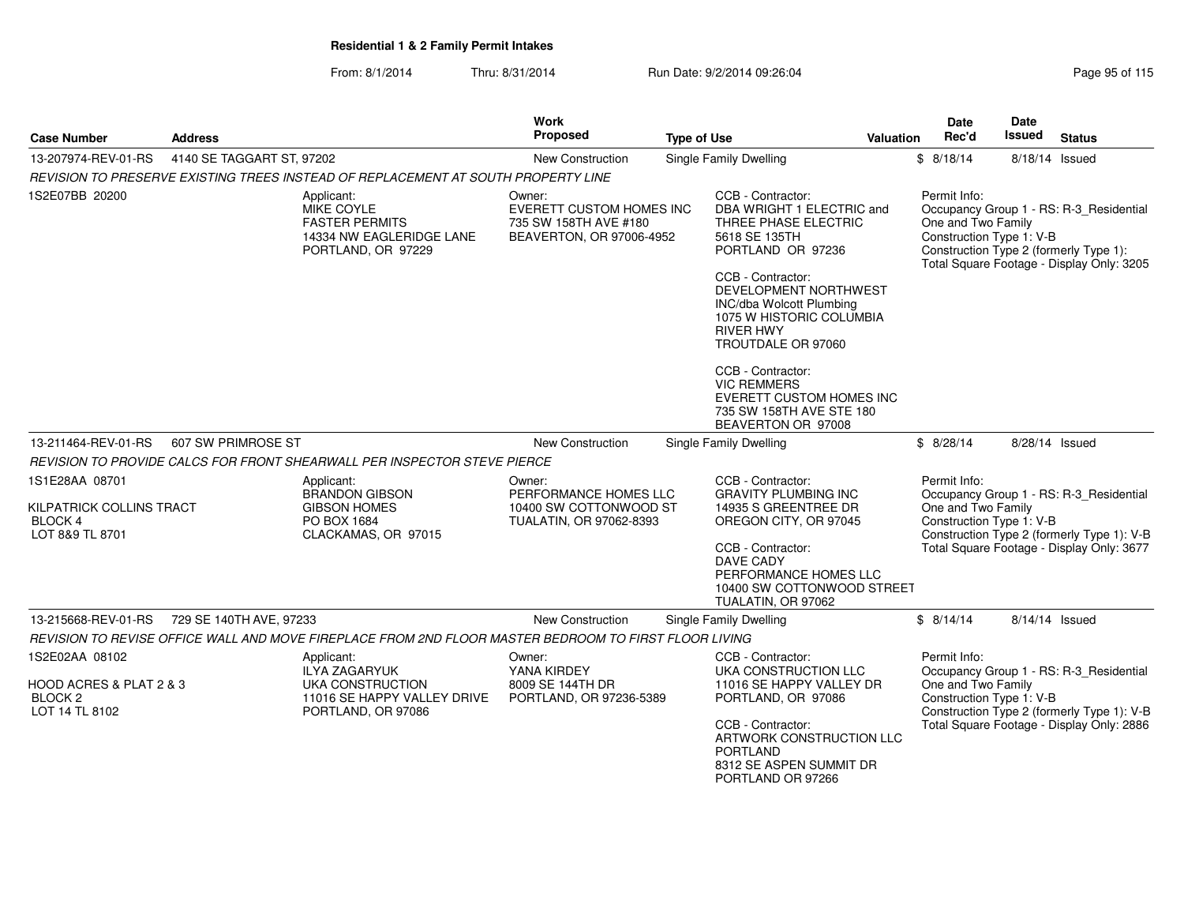| <b>Case Number</b>                                                              | <b>Address</b>            |                                                                                                       | Work<br><b>Proposed</b>                                                                        | <b>Type of Use</b> |                                                                                                                                                                                                                    | <b>Valuation</b> | <b>Date</b><br>Rec'd               | <b>Date</b><br><b>Issued</b> | <b>Status</b>                                                                                                                      |
|---------------------------------------------------------------------------------|---------------------------|-------------------------------------------------------------------------------------------------------|------------------------------------------------------------------------------------------------|--------------------|--------------------------------------------------------------------------------------------------------------------------------------------------------------------------------------------------------------------|------------------|------------------------------------|------------------------------|------------------------------------------------------------------------------------------------------------------------------------|
| 13-207974-REV-01-RS                                                             | 4140 SE TAGGART ST, 97202 |                                                                                                       | New Construction                                                                               |                    | <b>Single Family Dwelling</b>                                                                                                                                                                                      |                  | \$8/18/14                          |                              | 8/18/14 Issued                                                                                                                     |
|                                                                                 |                           | REVISION TO PRESERVE EXISTING TREES INSTEAD OF REPLACEMENT AT SOUTH PROPERTY LINE                     |                                                                                                |                    |                                                                                                                                                                                                                    |                  |                                    |                              |                                                                                                                                    |
| 1S2E07BB 20200                                                                  |                           | Applicant:<br>MIKE COYLE<br><b>FASTER PERMITS</b><br>14334 NW EAGLERIDGE LANE<br>PORTLAND, OR 97229   | Owner:<br><b>EVERETT CUSTOM HOMES INC</b><br>735 SW 158TH AVE #180<br>BEAVERTON, OR 97006-4952 |                    | CCB - Contractor:<br>DBA WRIGHT 1 ELECTRIC and<br>THREE PHASE ELECTRIC<br>5618 SE 135TH<br>PORTLAND OR 97236<br>CCB - Contractor:<br>DEVELOPMENT NORTHWEST<br>INC/dba Wolcott Plumbing<br>1075 W HISTORIC COLUMBIA |                  | Permit Info:<br>One and Two Family | Construction Type 1: V-B     | Occupancy Group 1 - RS: R-3_Residential<br>Construction Type 2 (formerly Type 1):<br>Total Square Footage - Display Only: 3205     |
|                                                                                 |                           |                                                                                                       |                                                                                                |                    | <b>RIVER HWY</b><br>TROUTDALE OR 97060                                                                                                                                                                             |                  |                                    |                              |                                                                                                                                    |
|                                                                                 |                           |                                                                                                       |                                                                                                |                    | CCB - Contractor:<br><b>VIC REMMERS</b><br><b>EVERETT CUSTOM HOMES INC</b><br>735 SW 158TH AVE STE 180<br>BEAVERTON OR 97008                                                                                       |                  |                                    |                              |                                                                                                                                    |
| 13-211464-REV-01-RS                                                             | 607 SW PRIMROSE ST        |                                                                                                       | <b>New Construction</b>                                                                        |                    | <b>Single Family Dwelling</b>                                                                                                                                                                                      |                  | \$8/28/14                          |                              | 8/28/14 Issued                                                                                                                     |
|                                                                                 |                           | REVISION TO PROVIDE CALCS FOR FRONT SHEARWALL PER INSPECTOR STEVE PIERCE                              |                                                                                                |                    |                                                                                                                                                                                                                    |                  |                                    |                              |                                                                                                                                    |
| 1S1E28AA 08701<br>KILPATRICK COLLINS TRACT<br><b>BLOCK 4</b><br>LOT 8&9 TL 8701 |                           | Applicant:<br><b>BRANDON GIBSON</b><br><b>GIBSON HOMES</b><br>PO BOX 1684<br>CLACKAMAS, OR 97015      | Owner:<br>PERFORMANCE HOMES LLC<br>10400 SW COTTONWOOD ST<br>TUALATIN, OR 97062-8393           |                    | CCB - Contractor:<br><b>GRAVITY PLUMBING INC</b><br>14935 S GREENTREE DR<br>OREGON CITY, OR 97045<br>CCB - Contractor:                                                                                             |                  | Permit Info:<br>One and Two Family | Construction Type 1: V-B     | Occupancy Group 1 - RS: R-3_Residential<br>Construction Type 2 (formerly Type 1): V-B<br>Total Square Footage - Display Only: 3677 |
|                                                                                 |                           |                                                                                                       |                                                                                                |                    | DAVE CADY<br>PERFORMANCE HOMES LLC<br>10400 SW COTTONWOOD STREET<br>TUALATIN, OR 97062                                                                                                                             |                  |                                    |                              |                                                                                                                                    |
| 13-215668-REV-01-RS                                                             | 729 SE 140TH AVE, 97233   |                                                                                                       | New Construction                                                                               |                    | <b>Single Family Dwelling</b>                                                                                                                                                                                      |                  | \$8/14/14                          |                              | 8/14/14 Issued                                                                                                                     |
|                                                                                 |                           | REVISION TO REVISE OFFICE WALL AND MOVE FIREPLACE FROM 2ND FLOOR MASTER BEDROOM TO FIRST FLOOR LIVING |                                                                                                |                    |                                                                                                                                                                                                                    |                  |                                    |                              |                                                                                                                                    |
| 1S2E02AA 08102                                                                  |                           | Applicant:<br><b>ILYA ZAGARYUK</b>                                                                    | Owner:<br>YANA KIRDEY                                                                          |                    | CCB - Contractor:<br>UKA CONSTRUCTION LLC                                                                                                                                                                          |                  | Permit Info:                       |                              | Occupancy Group 1 - RS: R-3_Residential                                                                                            |
| HOOD ACRES & PLAT 2 & 3<br>BLOCK <sub>2</sub><br>LOT 14 TL 8102                 |                           | UKA CONSTRUCTION<br>11016 SE HAPPY VALLEY DRIVE<br>PORTLAND, OR 97086                                 | 8009 SE 144TH DR<br>PORTLAND, OR 97236-5389                                                    |                    | 11016 SE HAPPY VALLEY DR<br>PORTLAND, OR 97086                                                                                                                                                                     |                  | One and Two Family                 | Construction Type 1: V-B     | Construction Type 2 (formerly Type 1): V-B                                                                                         |
|                                                                                 |                           |                                                                                                       |                                                                                                |                    | CCB - Contractor:<br>ARTWORK CONSTRUCTION LLC<br><b>PORTLAND</b><br>8312 SE ASPEN SUMMIT DR<br>PORTLAND OR 97266                                                                                                   |                  |                                    |                              | Total Square Footage - Display Only: 2886                                                                                          |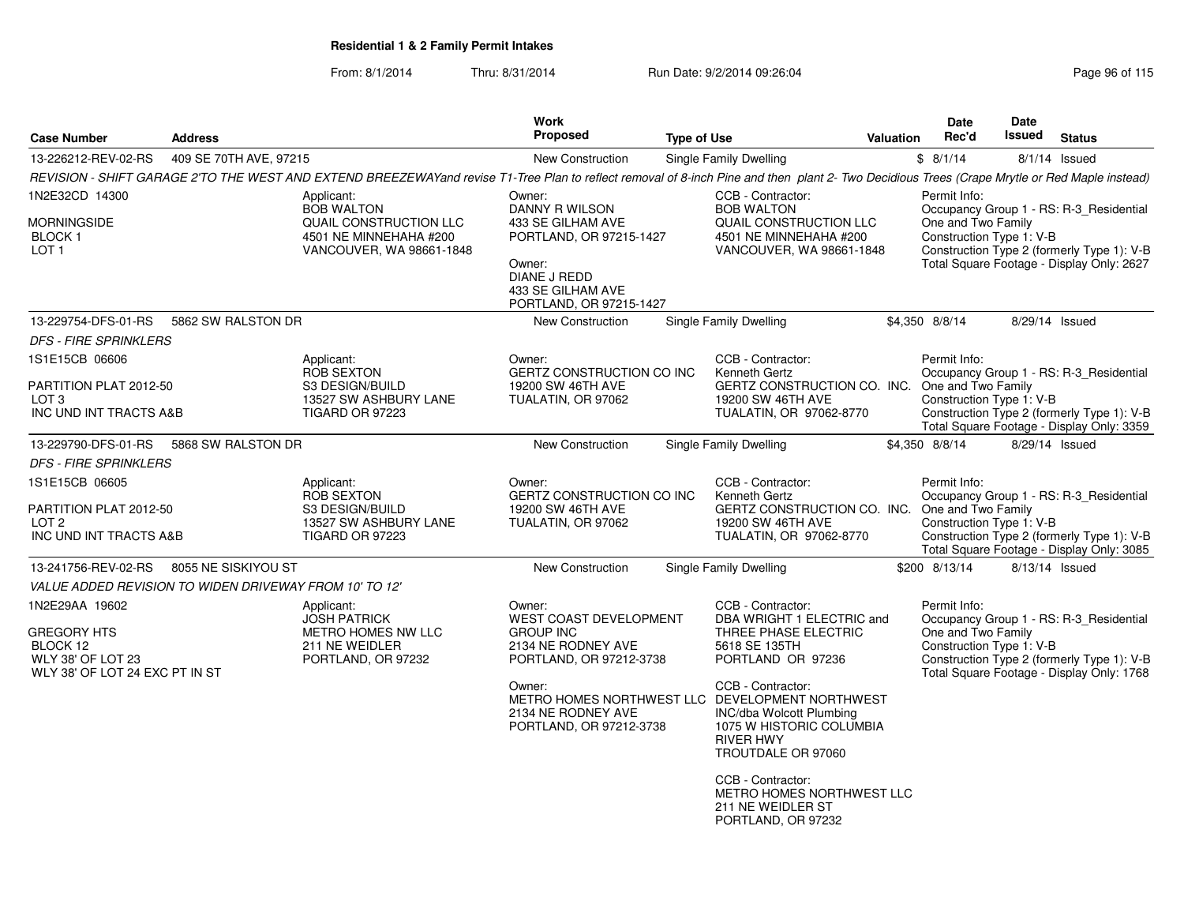| <b>Case Number</b>                                                                                             | <b>Address</b>         |                                                                                                                                                                                               | <b>Work</b><br>Proposed                                                                                                                                                                              | <b>Type of Use</b> |                                                                                                                                                                                                                                                                                                                                                           | <b>Valuation</b> | Date<br>Rec'd                                                  | Date<br>Issued | <b>Status</b>                                                                                                                      |
|----------------------------------------------------------------------------------------------------------------|------------------------|-----------------------------------------------------------------------------------------------------------------------------------------------------------------------------------------------|------------------------------------------------------------------------------------------------------------------------------------------------------------------------------------------------------|--------------------|-----------------------------------------------------------------------------------------------------------------------------------------------------------------------------------------------------------------------------------------------------------------------------------------------------------------------------------------------------------|------------------|----------------------------------------------------------------|----------------|------------------------------------------------------------------------------------------------------------------------------------|
| 13-226212-REV-02-RS                                                                                            | 409 SE 70TH AVE, 97215 |                                                                                                                                                                                               | New Construction                                                                                                                                                                                     |                    | Single Family Dwelling                                                                                                                                                                                                                                                                                                                                    |                  | \$8/1/14                                                       |                | $8/1/14$ Issued                                                                                                                    |
|                                                                                                                |                        | REVISION - SHIFT GARAGE 2'TO THE WEST AND EXTEND BREEZEWAYand revise T1-Tree Plan to reflect removal of 8-inch Pine and then plant 2- Two Decidious Trees (Crape Mrytle or Red Maple instead) |                                                                                                                                                                                                      |                    |                                                                                                                                                                                                                                                                                                                                                           |                  |                                                                |                |                                                                                                                                    |
| 1N2E32CD 14300<br>MORNINGSIDE<br>BLOCK 1<br>LOT <sub>1</sub>                                                   |                        | Applicant:<br><b>BOB WALTON</b><br>QUAIL CONSTRUCTION LLC<br>4501 NE MINNEHAHA #200<br>VANCOUVER, WA 98661-1848                                                                               | Owner:<br>DANNY R WILSON<br>433 SE GILHAM AVE<br>PORTLAND, OR 97215-1427<br>Owner:<br><b>DIANE J REDD</b>                                                                                            |                    | CCB - Contractor:<br><b>BOB WALTON</b><br>QUAIL CONSTRUCTION LLC<br>4501 NE MINNEHAHA #200<br>VANCOUVER, WA 98661-1848                                                                                                                                                                                                                                    |                  | Permit Info:<br>One and Two Family<br>Construction Type 1: V-B |                | Occupancy Group 1 - RS: R-3_Residential<br>Construction Type 2 (formerly Type 1): V-B<br>Total Square Footage - Display Only: 2627 |
|                                                                                                                |                        |                                                                                                                                                                                               | 433 SE GILHAM AVE<br>PORTLAND, OR 97215-1427                                                                                                                                                         |                    |                                                                                                                                                                                                                                                                                                                                                           |                  |                                                                |                |                                                                                                                                    |
| 13-229754-DFS-01-RS                                                                                            | 5862 SW RALSTON DR     |                                                                                                                                                                                               | New Construction                                                                                                                                                                                     |                    | Single Family Dwelling                                                                                                                                                                                                                                                                                                                                    |                  | \$4,350 8/8/14                                                 |                | 8/29/14 Issued                                                                                                                     |
| <b>DFS - FIRE SPRINKLERS</b>                                                                                   |                        |                                                                                                                                                                                               |                                                                                                                                                                                                      |                    |                                                                                                                                                                                                                                                                                                                                                           |                  |                                                                |                |                                                                                                                                    |
| 1S1E15CB 06606<br>PARTITION PLAT 2012-50<br>LOT <sub>3</sub><br>INC UND INT TRACTS A&B                         |                        | Applicant:<br><b>ROB SEXTON</b><br>S3 DESIGN/BUILD<br>13527 SW ASHBURY LANE<br>TIGARD OR 97223                                                                                                | Owner:<br>GERTZ CONSTRUCTION CO INC<br>19200 SW 46TH AVE<br>TUALATIN, OR 97062                                                                                                                       |                    | CCB - Contractor:<br>Kenneth Gertz<br>GERTZ CONSTRUCTION CO. INC.<br>19200 SW 46TH AVE<br>TUALATIN, OR 97062-8770                                                                                                                                                                                                                                         |                  | Permit Info:<br>One and Two Family<br>Construction Type 1: V-B |                | Occupancy Group 1 - RS: R-3_Residential<br>Construction Type 2 (formerly Type 1): V-B<br>Total Square Footage - Display Only: 3359 |
| 13-229790-DFS-01-RS                                                                                            | 5868 SW RALSTON DR     |                                                                                                                                                                                               | <b>New Construction</b>                                                                                                                                                                              |                    | Single Family Dwelling                                                                                                                                                                                                                                                                                                                                    |                  | \$4,350 8/8/14                                                 |                | 8/29/14 Issued                                                                                                                     |
| <b>DFS - FIRE SPRINKLERS</b>                                                                                   |                        |                                                                                                                                                                                               |                                                                                                                                                                                                      |                    |                                                                                                                                                                                                                                                                                                                                                           |                  |                                                                |                |                                                                                                                                    |
| 1S1E15CB 06605<br>PARTITION PLAT 2012-50<br>LOT <sub>2</sub><br>INC UND INT TRACTS A&B                         |                        | Applicant:<br><b>ROB SEXTON</b><br>S3 DESIGN/BUILD<br>13527 SW ASHBURY LANE<br><b>TIGARD OR 97223</b>                                                                                         | Owner:<br>GERTZ CONSTRUCTION CO INC<br>19200 SW 46TH AVE<br>TUALATIN, OR 97062                                                                                                                       |                    | CCB - Contractor:<br>Kenneth Gertz<br>GERTZ CONSTRUCTION CO. INC.<br>19200 SW 46TH AVE<br>TUALATIN, OR 97062-8770                                                                                                                                                                                                                                         |                  | Permit Info:<br>One and Two Family<br>Construction Type 1: V-B |                | Occupancy Group 1 - RS: R-3 Residential<br>Construction Type 2 (formerly Type 1): V-B<br>Total Square Footage - Display Only: 3085 |
| 13-241756-REV-02-RS                                                                                            | 8055 NE SISKIYOU ST    |                                                                                                                                                                                               | New Construction                                                                                                                                                                                     |                    | Single Family Dwelling                                                                                                                                                                                                                                                                                                                                    |                  | \$200 8/13/14                                                  |                | 8/13/14 Issued                                                                                                                     |
| VALUE ADDED REVISION TO WIDEN DRIVEWAY FROM 10' TO 12'                                                         |                        |                                                                                                                                                                                               |                                                                                                                                                                                                      |                    |                                                                                                                                                                                                                                                                                                                                                           |                  |                                                                |                |                                                                                                                                    |
| 1N2E29AA 19602<br><b>GREGORY HTS</b><br>BLOCK 12<br><b>WLY 38' OF LOT 23</b><br>WLY 38' OF LOT 24 EXC PT IN ST |                        | Applicant:<br><b>JOSH PATRICK</b><br>METRO HOMES NW LLC<br>211 NE WEIDLER<br>PORTLAND, OR 97232                                                                                               | Owner:<br><b>WEST COAST DEVELOPMENT</b><br><b>GROUP INC</b><br>2134 NE RODNEY AVE<br>PORTLAND, OR 97212-3738<br>Owner:<br>METRO HOMES NORTHWEST LLC<br>2134 NE RODNEY AVE<br>PORTLAND, OR 97212-3738 |                    | CCB - Contractor:<br>DBA WRIGHT 1 ELECTRIC and<br>THREE PHASE ELECTRIC<br>5618 SE 135TH<br>PORTLAND OR 97236<br>CCB - Contractor:<br>DEVELOPMENT NORTHWEST<br>INC/dba Wolcott Plumbing<br>1075 W HISTORIC COLUMBIA<br><b>RIVER HWY</b><br>TROUTDALE OR 97060<br>CCB - Contractor:<br>METRO HOMES NORTHWEST LLC<br>211 NE WEIDLER ST<br>PORTLAND, OR 97232 |                  | Permit Info:<br>One and Two Family<br>Construction Type 1: V-B |                | Occupancy Group 1 - RS: R-3_Residential<br>Construction Type 2 (formerly Type 1): V-B<br>Total Square Footage - Display Only: 1768 |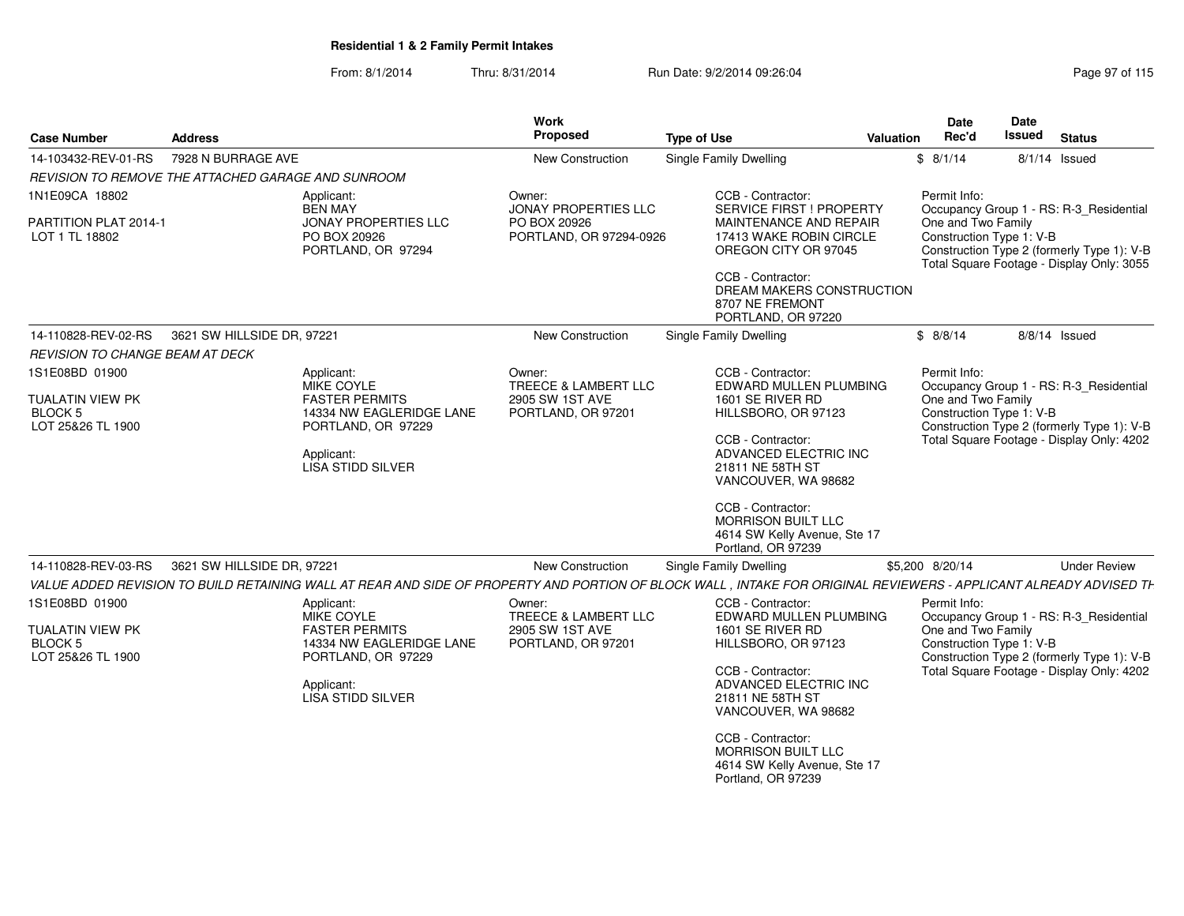| <b>Case Number</b>                                      | <b>Address</b>                                                                                                                                                    | Work<br>Proposed                        | <b>Type of Use</b>                                                                                                               | Date<br>Rec'd<br><b>Valuation</b>              | Date<br><b>Issued</b><br><b>Status</b>                                                  |
|---------------------------------------------------------|-------------------------------------------------------------------------------------------------------------------------------------------------------------------|-----------------------------------------|----------------------------------------------------------------------------------------------------------------------------------|------------------------------------------------|-----------------------------------------------------------------------------------------|
| 14-103432-REV-01-RS                                     | 7928 N BURRAGE AVE                                                                                                                                                | <b>New Construction</b>                 | <b>Single Family Dwelling</b>                                                                                                    | \$8/1/14                                       | $8/1/14$ Issued                                                                         |
|                                                         | REVISION TO REMOVE THE ATTACHED GARAGE AND SUNROOM                                                                                                                |                                         |                                                                                                                                  |                                                |                                                                                         |
| 1N1E09CA 18802                                          | Applicant:<br><b>BEN MAY</b>                                                                                                                                      | Owner:<br>JONAY PROPERTIES LLC          | CCB - Contractor:<br><b>SERVICE FIRST ! PROPERTY</b>                                                                             | Permit Info:                                   | Occupancy Group 1 - RS: R-3 Residential                                                 |
| PARTITION PLAT 2014-1<br>LOT 1 TL 18802                 | JONAY PROPERTIES LLC<br>PO BOX 20926<br>PORTLAND, OR 97294                                                                                                        | PO BOX 20926<br>PORTLAND, OR 97294-0926 | MAINTENANCE AND REPAIR<br>17413 WAKE ROBIN CIRCLE<br>OREGON CITY OR 97045                                                        | One and Two Family<br>Construction Type 1: V-B | Construction Type 2 (formerly Type 1): V-B<br>Total Square Footage - Display Only: 3055 |
|                                                         |                                                                                                                                                                   |                                         | CCB - Contractor:<br>DREAM MAKERS CONSTRUCTION<br>8707 NE FREMONT<br>PORTLAND, OR 97220                                          |                                                |                                                                                         |
| 14-110828-REV-02-RS                                     | 3621 SW HILLSIDE DR, 97221                                                                                                                                        | New Construction                        | <b>Single Family Dwelling</b>                                                                                                    | \$8/8/14                                       | 8/8/14 Issued                                                                           |
| REVISION TO CHANGE BEAM AT DECK                         |                                                                                                                                                                   |                                         |                                                                                                                                  |                                                |                                                                                         |
| 1S1E08BD 01900                                          | Applicant:<br>MIKE COYLE                                                                                                                                          | Owner:<br>TREECE & LAMBERT LLC          | CCB - Contractor:<br>EDWARD MULLEN PLUMBING                                                                                      | Permit Info:                                   | Occupancy Group 1 - RS: R-3 Residential                                                 |
| <b>TUALATIN VIEW PK</b><br>BLOCK 5<br>LOT 25&26 TL 1900 | <b>FASTER PERMITS</b><br>14334 NW EAGLERIDGE LANE<br>PORTLAND, OR 97229<br>Applicant:<br>LISA STIDD SILVER                                                        | 2905 SW 1ST AVE<br>PORTLAND, OR 97201   | 1601 SE RIVER RD<br>HILLSBORO, OR 97123<br>CCB - Contractor:<br>ADVANCED ELECTRIC INC<br>21811 NE 58TH ST<br>VANCOUVER, WA 98682 | One and Two Family<br>Construction Type 1: V-B | Construction Type 2 (formerly Type 1): V-B<br>Total Square Footage - Display Only: 4202 |
| 14-110828-REV-03-RS                                     | 3621 SW HILLSIDE DR, 97221                                                                                                                                        | <b>New Construction</b>                 | CCB - Contractor:<br><b>MORRISON BUILT LLC</b><br>4614 SW Kelly Avenue, Ste 17<br>Portland, OR 97239<br>Single Family Dwelling   | \$5,200 8/20/14                                | <b>Under Review</b>                                                                     |
|                                                         | VALUE ADDED REVISION TO BUILD RETAINING WALL AT REAR AND SIDE OF PROPERTY AND PORTION OF BLOCK WALL, INTAKE FOR ORIGINAL REVIEWERS - APPLICANT ALREADY ADVISED TH |                                         |                                                                                                                                  |                                                |                                                                                         |
| 1S1E08BD 01900                                          | Applicant:<br>MIKE COYLE                                                                                                                                          | Owner:<br>TREECE & LAMBERT LLC          | CCB - Contractor:<br>EDWARD MULLEN PLUMBING                                                                                      | Permit Info:                                   | Occupancy Group 1 - RS: R-3 Residential                                                 |
| <b>TUALATIN VIEW PK</b><br>BLOCK 5<br>LOT 25&26 TL 1900 | <b>FASTER PERMITS</b><br>14334 NW EAGLERIDGE LANE<br>PORTLAND, OR 97229                                                                                           | 2905 SW 1ST AVE<br>PORTLAND, OR 97201   | 1601 SE RIVER RD<br>HILLSBORO, OR 97123                                                                                          | One and Two Family<br>Construction Type 1: V-B | Construction Type 2 (formerly Type 1): V-B                                              |
|                                                         | Applicant:<br>LISA STIDD SILVER                                                                                                                                   |                                         | CCB - Contractor:<br>ADVANCED ELECTRIC INC<br>21811 NE 58TH ST<br>VANCOUVER, WA 98682                                            |                                                | Total Square Footage - Display Only: 4202                                               |
|                                                         |                                                                                                                                                                   |                                         | CCB - Contractor:<br><b>MORRISON BUILT LLC</b><br>4614 SW Kelly Avenue, Ste 17<br>Portland, OR 97239                             |                                                |                                                                                         |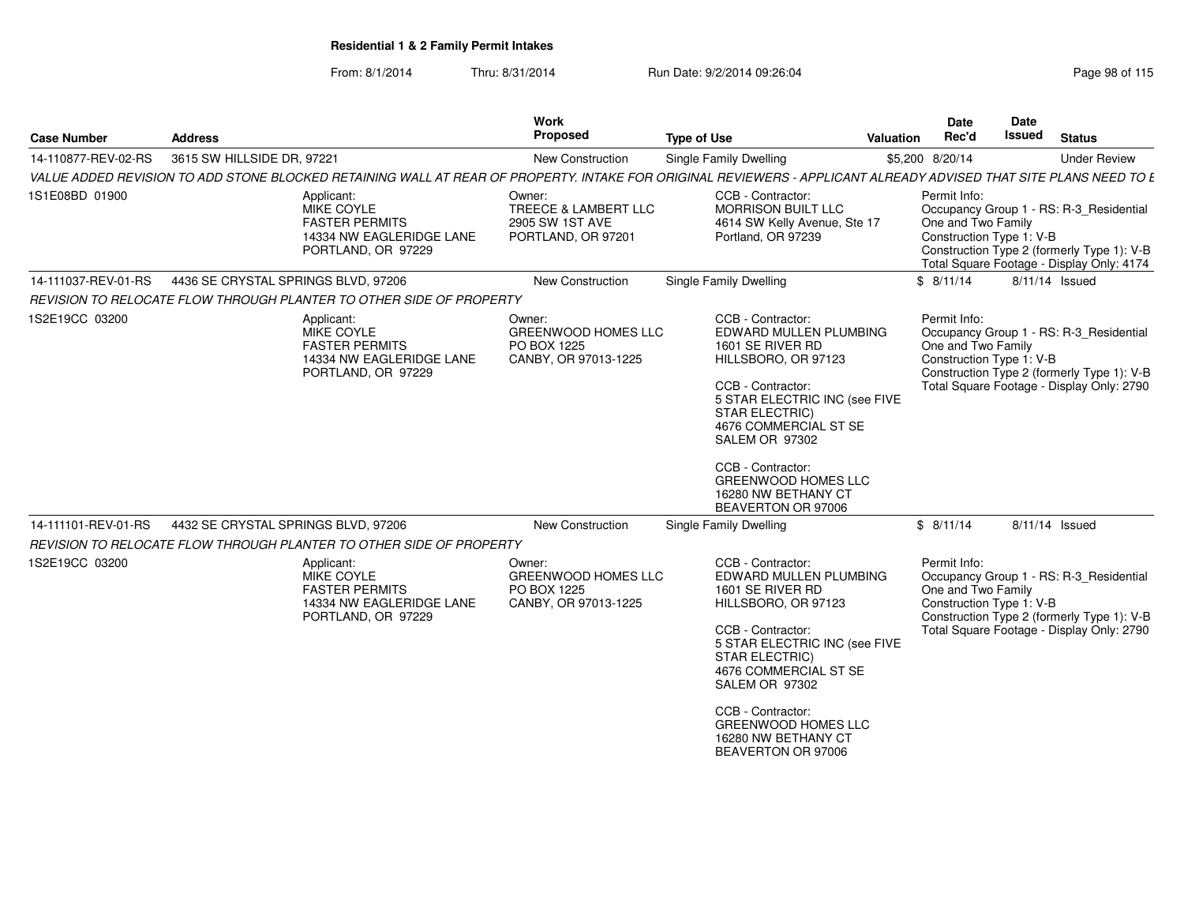| <b>Case Number</b>  | <b>Address</b>                      |                                                                                                                                                                   | Work<br>Proposed                                                            | <b>Type of Use</b>                                                                                                                                                                                                                                                                                               | Valuation | Date<br>Rec'd                                                  | Date<br>Issued | <b>Status</b>                                                                                                                      |
|---------------------|-------------------------------------|-------------------------------------------------------------------------------------------------------------------------------------------------------------------|-----------------------------------------------------------------------------|------------------------------------------------------------------------------------------------------------------------------------------------------------------------------------------------------------------------------------------------------------------------------------------------------------------|-----------|----------------------------------------------------------------|----------------|------------------------------------------------------------------------------------------------------------------------------------|
| 14-110877-REV-02-RS | 3615 SW HILLSIDE DR, 97221          |                                                                                                                                                                   | <b>New Construction</b>                                                     | <b>Single Family Dwelling</b>                                                                                                                                                                                                                                                                                    |           | \$5,200 8/20/14                                                |                | <b>Under Review</b>                                                                                                                |
|                     |                                     | VALUE ADDED REVISION TO ADD STONE BLOCKED RETAINING WALL AT REAR OF PROPERTY. INTAKE FOR ORIGINAL REVIEWERS - APPLICANT ALREADY ADVISED THAT SITE PLANS NEED TO E |                                                                             |                                                                                                                                                                                                                                                                                                                  |           |                                                                |                |                                                                                                                                    |
| 1S1E08BD 01900      |                                     | Applicant:<br>MIKE COYLE<br><b>FASTER PERMITS</b><br>14334 NW EAGLERIDGE LANE<br>PORTLAND, OR 97229                                                               | Owner:<br>TREECE & LAMBERT LLC<br>2905 SW 1ST AVE<br>PORTLAND, OR 97201     | CCB - Contractor:<br><b>MORRISON BUILT LLC</b><br>4614 SW Kelly Avenue, Ste 17<br>Portland, OR 97239                                                                                                                                                                                                             |           | Permit Info:<br>One and Two Family<br>Construction Type 1: V-B |                | Occupancy Group 1 - RS: R-3_Residential<br>Construction Type 2 (formerly Type 1): V-B<br>Total Square Footage - Display Only: 4174 |
| 14-111037-REV-01-RS | 4436 SE CRYSTAL SPRINGS BLVD, 97206 |                                                                                                                                                                   | <b>New Construction</b>                                                     | <b>Single Family Dwelling</b>                                                                                                                                                                                                                                                                                    |           | \$8/11/14                                                      |                | 8/11/14 Issued                                                                                                                     |
|                     |                                     | REVISION TO RELOCATE FLOW THROUGH PLANTER TO OTHER SIDE OF PROPERTY                                                                                               |                                                                             |                                                                                                                                                                                                                                                                                                                  |           |                                                                |                |                                                                                                                                    |
| 1S2E19CC 03200      |                                     | Applicant:<br>MIKE COYLE<br><b>FASTER PERMITS</b><br>14334 NW EAGLERIDGE LANE<br>PORTLAND, OR 97229                                                               | Owner:<br><b>GREENWOOD HOMES LLC</b><br>PO BOX 1225<br>CANBY, OR 97013-1225 | CCB - Contractor:<br>EDWARD MULLEN PLUMBING<br>1601 SE RIVER RD<br>HILLSBORO, OR 97123<br>CCB - Contractor:<br>5 STAR ELECTRIC INC (see FIVE<br><b>STAR ELECTRIC)</b><br>4676 COMMERCIAL ST SE<br>SALEM OR 97302<br>CCB - Contractor:<br><b>GREENWOOD HOMES LLC</b><br>16280 NW BETHANY CT<br>BEAVERTON OR 97006 |           | Permit Info:<br>One and Two Family<br>Construction Type 1: V-B |                | Occupancy Group 1 - RS: R-3_Residential<br>Construction Type 2 (formerly Type 1): V-B<br>Total Square Footage - Display Only: 2790 |
| 14-111101-REV-01-RS | 4432 SE CRYSTAL SPRINGS BLVD, 97206 |                                                                                                                                                                   | <b>New Construction</b>                                                     | <b>Single Family Dwelling</b>                                                                                                                                                                                                                                                                                    |           | \$8/11/14                                                      |                | 8/11/14 Issued                                                                                                                     |
|                     |                                     | REVISION TO RELOCATE FLOW THROUGH PLANTER TO OTHER SIDE OF PROPERTY                                                                                               |                                                                             |                                                                                                                                                                                                                                                                                                                  |           |                                                                |                |                                                                                                                                    |
| 1S2E19CC 03200      |                                     | Applicant:<br>MIKE COYLE<br><b>FASTER PERMITS</b><br>14334 NW EAGLERIDGE LANE<br>PORTLAND, OR 97229                                                               | Owner:<br><b>GREENWOOD HOMES LLC</b><br>PO BOX 1225<br>CANBY, OR 97013-1225 | CCB - Contractor:<br>EDWARD MULLEN PLUMBING<br>1601 SE RIVER RD<br>HILLSBORO, OR 97123<br>CCB - Contractor:<br>5 STAR ELECTRIC INC (see FIVE<br><b>STAR ELECTRIC)</b><br>4676 COMMERCIAL ST SE<br>SALEM OR 97302<br>CCB - Contractor:<br><b>GREENWOOD HOMES LLC</b><br>16280 NW BETHANY CT<br>BEAVERTON OR 97006 |           | Permit Info:<br>One and Two Family<br>Construction Type 1: V-B |                | Occupancy Group 1 - RS: R-3_Residential<br>Construction Type 2 (formerly Type 1): V-B<br>Total Square Footage - Display Only: 2790 |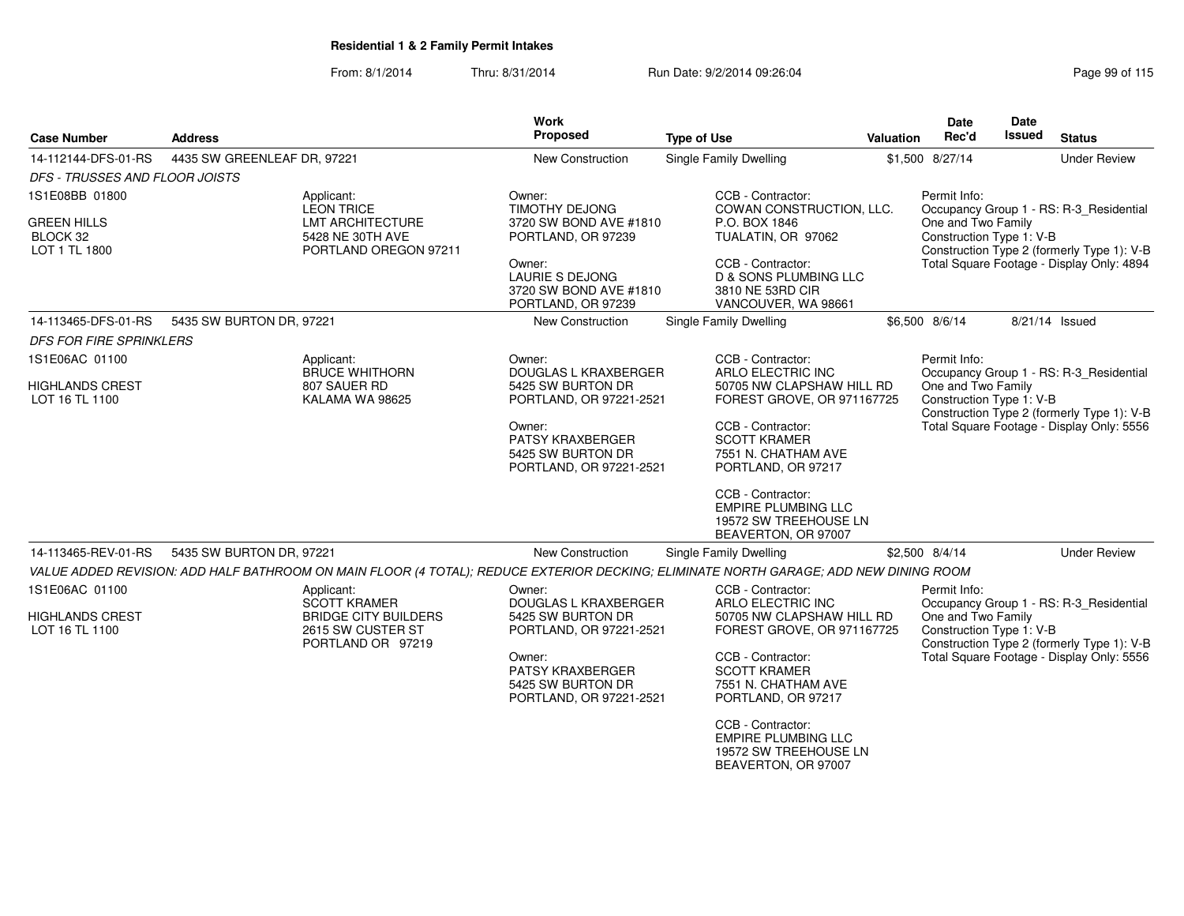| <b>Case Number</b>                       | <b>Address</b>              |                                                                       | <b>Work</b><br><b>Proposed</b>                                             | <b>Type of Use</b>                                                                                                                    | <b>Valuation</b> | Date<br>Rec'd                                  | Date<br><b>Issued</b> | <b>Status</b>                              |
|------------------------------------------|-----------------------------|-----------------------------------------------------------------------|----------------------------------------------------------------------------|---------------------------------------------------------------------------------------------------------------------------------------|------------------|------------------------------------------------|-----------------------|--------------------------------------------|
| 14-112144-DFS-01-RS                      | 4435 SW GREENLEAF DR, 97221 |                                                                       | <b>New Construction</b>                                                    | <b>Single Family Dwelling</b>                                                                                                         |                  | \$1,500 8/27/14                                |                       | <b>Under Review</b>                        |
| DFS - TRUSSES AND FLOOR JOISTS           |                             |                                                                       |                                                                            |                                                                                                                                       |                  |                                                |                       |                                            |
| 1S1E08BB 01800                           |                             | Applicant:<br><b>LEON TRICE</b>                                       | Owner:<br><b>TIMOTHY DEJONG</b>                                            | CCB - Contractor:<br>COWAN CONSTRUCTION, LLC.                                                                                         |                  | Permit Info:                                   |                       | Occupancy Group 1 - RS: R-3_Residential    |
| GREEN HILLS<br>BLOCK 32<br>LOT 1 TL 1800 |                             | LMT ARCHITECTURE<br>5428 NE 30TH AVE<br>PORTLAND OREGON 97211         | 3720 SW BOND AVE #1810<br>PORTLAND, OR 97239                               | P.O. BOX 1846<br>TUALATIN, OR 97062                                                                                                   |                  | One and Two Family<br>Construction Type 1: V-B |                       | Construction Type 2 (formerly Type 1): V-B |
|                                          |                             |                                                                       | Owner:<br>LAURIE S DEJONG<br>3720 SW BOND AVE #1810<br>PORTLAND, OR 97239  | CCB - Contractor:<br><b>D &amp; SONS PLUMBING LLC</b><br>3810 NE 53RD CIR<br>VANCOUVER, WA 98661                                      |                  |                                                |                       | Total Square Footage - Display Only: 4894  |
| 14-113465-DFS-01-RS                      | 5435 SW BURTON DR, 97221    |                                                                       | New Construction                                                           | Single Family Dwelling                                                                                                                |                  | \$6,500 8/6/14                                 |                       | 8/21/14 Issued                             |
| <b>DFS FOR FIRE SPRINKLERS</b>           |                             |                                                                       |                                                                            |                                                                                                                                       |                  |                                                |                       |                                            |
| 1S1E06AC 01100                           |                             | Applicant:<br><b>BRUCE WHITHORN</b>                                   | Owner:<br><b>DOUGLAS L KRAXBERGER</b>                                      | CCB - Contractor:<br>ARLO ELECTRIC INC                                                                                                |                  | Permit Info:                                   |                       | Occupancy Group 1 - RS: R-3_Residential    |
| <b>HIGHLANDS CREST</b><br>LOT 16 TL 1100 |                             | 807 SAUER RD<br>KALAMA WA 98625                                       | 5425 SW BURTON DR<br>PORTLAND, OR 97221-2521                               | 50705 NW CLAPSHAW HILL RD<br>FOREST GROVE, OR 971167725                                                                               |                  | One and Two Family<br>Construction Type 1: V-B |                       | Construction Type 2 (formerly Type 1): V-B |
|                                          |                             |                                                                       | Owner:<br>PATSY KRAXBERGER<br>5425 SW BURTON DR<br>PORTLAND, OR 97221-2521 | CCB - Contractor:<br><b>SCOTT KRAMER</b><br>7551 N. CHATHAM AVE<br>PORTLAND, OR 97217                                                 |                  |                                                |                       | Total Square Footage - Display Only: 5556  |
|                                          |                             |                                                                       |                                                                            | CCB - Contractor:<br><b>EMPIRE PLUMBING LLC</b><br>19572 SW TREEHOUSE LN<br>BEAVERTON, OR 97007                                       |                  |                                                |                       |                                            |
| 14-113465-REV-01-RS                      | 5435 SW BURTON DR, 97221    |                                                                       | New Construction                                                           | Single Family Dwelling                                                                                                                |                  | \$2,500 8/4/14                                 |                       | <b>Under Review</b>                        |
|                                          |                             |                                                                       |                                                                            | VALUE ADDED REVISION: ADD HALF BATHROOM ON MAIN FLOOR (4 TOTAL); REDUCE EXTERIOR DECKING; ELIMINATE NORTH GARAGE; ADD NEW DINING ROOM |                  |                                                |                       |                                            |
| 1S1E06AC 01100                           |                             | Applicant:<br><b>SCOTT KRAMER</b>                                     | Owner:<br><b>DOUGLAS L KRAXBERGER</b>                                      | CCB - Contractor:<br>ARLO ELECTRIC INC                                                                                                |                  | Permit Info:                                   |                       | Occupancy Group 1 - RS: R-3 Residential    |
| <b>HIGHLANDS CREST</b><br>LOT 16 TL 1100 |                             | <b>BRIDGE CITY BUILDERS</b><br>2615 SW CUSTER ST<br>PORTLAND OR 97219 | 5425 SW BURTON DR<br>PORTLAND, OR 97221-2521                               | 50705 NW CLAPSHAW HILL RD<br>FOREST GROVE, OR 971167725                                                                               |                  | One and Two Family<br>Construction Type 1: V-B |                       | Construction Type 2 (formerly Type 1): V-B |
|                                          |                             |                                                                       | Owner:<br>PATSY KRAXBERGER<br>5425 SW BURTON DR<br>PORTLAND, OR 97221-2521 | CCB - Contractor:<br><b>SCOTT KRAMER</b><br>7551 N. CHATHAM AVE<br>PORTLAND, OR 97217                                                 |                  |                                                |                       | Total Square Footage - Display Only: 5556  |
|                                          |                             |                                                                       |                                                                            | CCB - Contractor:<br><b>EMPIRE PLUMBING LLC</b><br>19572 SW TREEHOUSE LN<br>BEAVERTON, OR 97007                                       |                  |                                                |                       |                                            |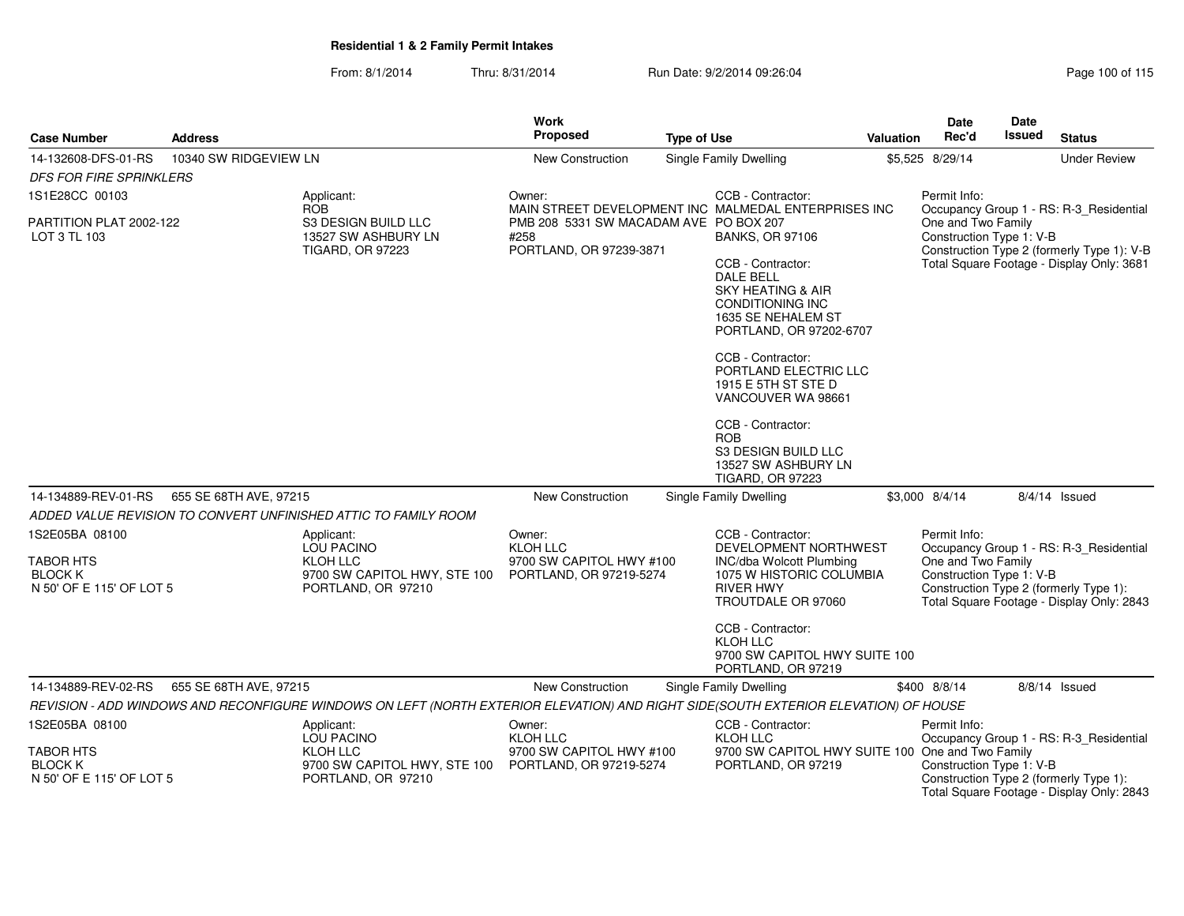| <b>Case Number</b>                                             | <b>Address</b>         |                                                                                                                                     | <b>Work</b><br><b>Proposed</b>                                                   | <b>Type of Use</b> |                                                                                                                                                                                                                                                                                                                                                                                           | <b>Valuation</b> | Date<br>Rec'd                                  | Date<br>Issued | <b>Status</b>                                                                                                                  |
|----------------------------------------------------------------|------------------------|-------------------------------------------------------------------------------------------------------------------------------------|----------------------------------------------------------------------------------|--------------------|-------------------------------------------------------------------------------------------------------------------------------------------------------------------------------------------------------------------------------------------------------------------------------------------------------------------------------------------------------------------------------------------|------------------|------------------------------------------------|----------------|--------------------------------------------------------------------------------------------------------------------------------|
| 14-132608-DFS-01-RS                                            | 10340 SW RIDGEVIEW LN  |                                                                                                                                     | New Construction                                                                 |                    | Single Family Dwelling                                                                                                                                                                                                                                                                                                                                                                    |                  | \$5,525 8/29/14                                |                | <b>Under Review</b>                                                                                                            |
| <b>DFS FOR FIRE SPRINKLERS</b>                                 |                        |                                                                                                                                     |                                                                                  |                    |                                                                                                                                                                                                                                                                                                                                                                                           |                  |                                                |                |                                                                                                                                |
| 1S1E28CC 00103                                                 |                        | Applicant:<br><b>ROB</b>                                                                                                            | Owner:                                                                           |                    | CCB - Contractor:<br>MAIN STREET DEVELOPMENT INC MALMEDAL ENTERPRISES INC                                                                                                                                                                                                                                                                                                                 |                  | Permit Info:                                   |                | Occupancy Group 1 - RS: R-3_Residential                                                                                        |
| PARTITION PLAT 2002-122<br>LOT 3 TL 103                        |                        | S3 DESIGN BUILD LLC<br>13527 SW ASHBURY LN<br><b>TIGARD, OR 97223</b>                                                               | PMB 208 5331 SW MACADAM AVE PO BOX 207<br>#258<br>PORTLAND, OR 97239-3871        |                    | <b>BANKS, OR 97106</b><br>CCB - Contractor:<br><b>DALE BELL</b><br><b>SKY HEATING &amp; AIR</b><br><b>CONDITIONING INC</b><br>1635 SE NEHALEM ST<br>PORTLAND, OR 97202-6707<br>CCB - Contractor:<br>PORTLAND ELECTRIC LLC<br>1915 E 5TH ST STE D<br>VANCOUVER WA 98661<br>CCB - Contractor:<br><b>ROB</b><br><b>S3 DESIGN BUILD LLC</b><br>13527 SW ASHBURY LN<br><b>TIGARD, OR 97223</b> |                  | One and Two Family<br>Construction Type 1: V-B |                | Construction Type 2 (formerly Type 1): V-B<br>Total Square Footage - Display Only: 3681                                        |
| 14-134889-REV-01-RS                                            | 655 SE 68TH AVE, 97215 |                                                                                                                                     | <b>New Construction</b>                                                          |                    | Single Family Dwelling                                                                                                                                                                                                                                                                                                                                                                    |                  | \$3,000 8/4/14                                 |                | $8/4/14$ Issued                                                                                                                |
|                                                                |                        | ADDED VALUE REVISION TO CONVERT UNFINISHED ATTIC TO FAMILY ROOM                                                                     |                                                                                  |                    |                                                                                                                                                                                                                                                                                                                                                                                           |                  |                                                |                |                                                                                                                                |
| 1S2E05BA 08100                                                 |                        | Applicant:                                                                                                                          | Owner:                                                                           |                    | CCB - Contractor:                                                                                                                                                                                                                                                                                                                                                                         |                  | Permit Info:                                   |                |                                                                                                                                |
| <b>TABOR HTS</b><br><b>BLOCK K</b><br>N 50' OF E 115' OF LOT 5 |                        | LOU PACINO<br>KLOH LLC<br>9700 SW CAPITOL HWY, STE 100<br>PORTLAND, OR 97210                                                        | <b>KLOH LLC</b><br>9700 SW CAPITOL HWY #100<br>PORTLAND, OR 97219-5274           |                    | DEVELOPMENT NORTHWEST<br>INC/dba Wolcott Plumbing<br>1075 W HISTORIC COLUMBIA<br><b>RIVER HWY</b><br>TROUTDALE OR 97060<br>CCB - Contractor:                                                                                                                                                                                                                                              |                  | One and Two Family<br>Construction Type 1: V-B |                | Occupancy Group 1 - RS: R-3_Residential<br>Construction Type 2 (formerly Type 1):<br>Total Square Footage - Display Only: 2843 |
|                                                                |                        |                                                                                                                                     |                                                                                  |                    | KLOH LLC<br>9700 SW CAPITOL HWY SUITE 100<br>PORTLAND, OR 97219                                                                                                                                                                                                                                                                                                                           |                  |                                                |                |                                                                                                                                |
| 14-134889-REV-02-RS                                            | 655 SE 68TH AVE, 97215 |                                                                                                                                     | New Construction                                                                 |                    | Single Family Dwelling                                                                                                                                                                                                                                                                                                                                                                    |                  | \$400 8/8/14                                   |                | 8/8/14 Issued                                                                                                                  |
|                                                                |                        | REVISION - ADD WINDOWS AND RECONFIGURE WINDOWS ON LEFT (NORTH EXTERIOR ELEVATION) AND RIGHT SIDE(SOUTH EXTERIOR ELEVATION) OF HOUSE |                                                                                  |                    |                                                                                                                                                                                                                                                                                                                                                                                           |                  |                                                |                |                                                                                                                                |
| 1S2E05BA 08100<br><b>TABOR HTS</b><br><b>BLOCK K</b>           |                        | Applicant:<br><b>LOU PACINO</b><br>KLOH LLC<br>9700 SW CAPITOL HWY, STE 100                                                         | Owner:<br><b>KLOH LLC</b><br>9700 SW CAPITOL HWY #100<br>PORTLAND, OR 97219-5274 |                    | CCB - Contractor:<br>KLOH LLC<br>9700 SW CAPITOL HWY SUITE 100 One and Two Family<br>PORTLAND, OR 97219                                                                                                                                                                                                                                                                                   |                  | Permit Info:<br>Construction Type 1: V-B       |                | Occupancy Group 1 - RS: R-3_Residential                                                                                        |
| N 50' OF E 115' OF LOT 5                                       |                        | PORTLAND, OR 97210                                                                                                                  |                                                                                  |                    |                                                                                                                                                                                                                                                                                                                                                                                           |                  |                                                |                | Construction Type 2 (formerly Type 1):<br>Total Square Footage - Display Only: 2843                                            |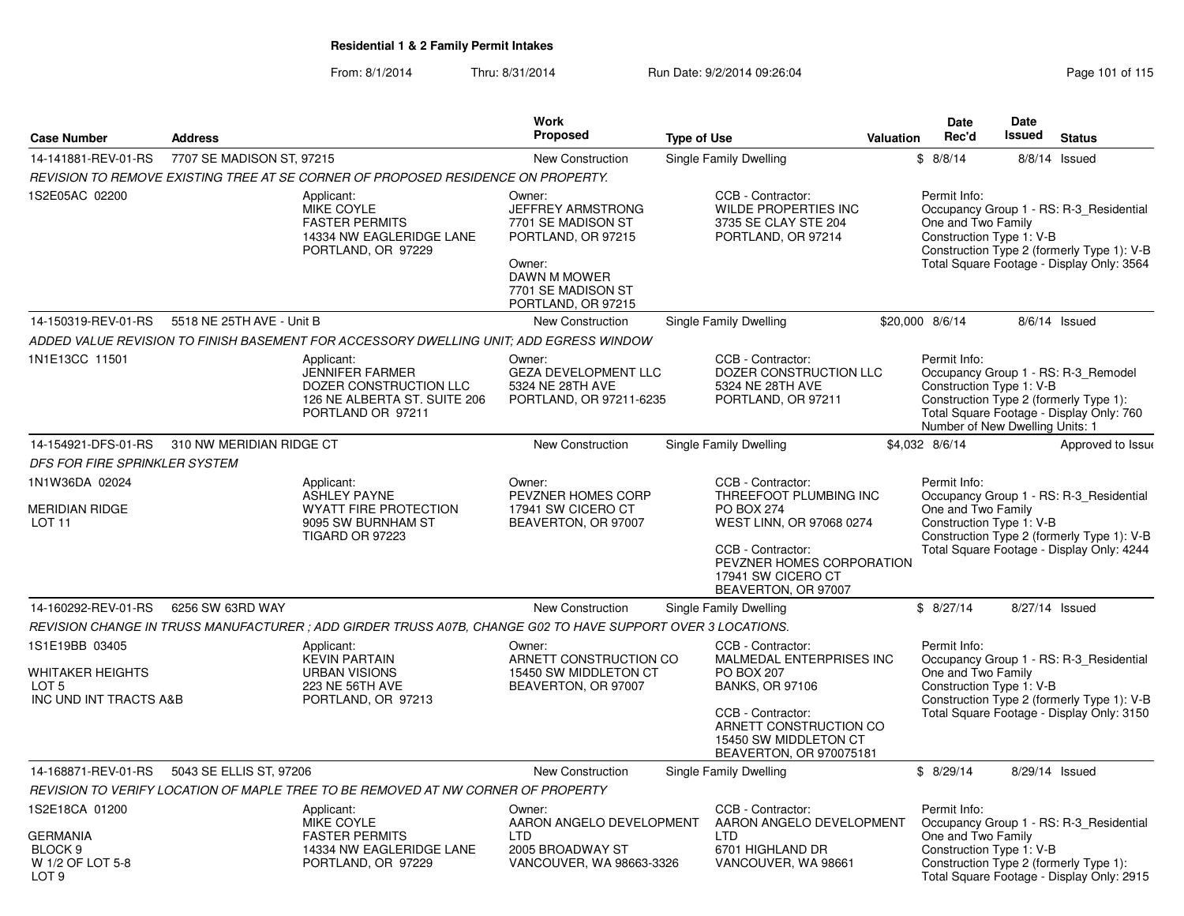|                                                                                                 |                           |                                                                                                                     | Work                                                                                                                                          |                                                                                                                                                                                                 |           | <b>Date</b>                                                                 | <b>Date</b>   |                                                                                                                                    |
|-------------------------------------------------------------------------------------------------|---------------------------|---------------------------------------------------------------------------------------------------------------------|-----------------------------------------------------------------------------------------------------------------------------------------------|-------------------------------------------------------------------------------------------------------------------------------------------------------------------------------------------------|-----------|-----------------------------------------------------------------------------|---------------|------------------------------------------------------------------------------------------------------------------------------------|
| <b>Case Number</b>                                                                              | <b>Address</b>            |                                                                                                                     | <b>Proposed</b>                                                                                                                               | <b>Type of Use</b>                                                                                                                                                                              | Valuation | Rec'd                                                                       | <b>Issued</b> | <b>Status</b>                                                                                                                      |
| 14-141881-REV-01-RS                                                                             | 7707 SE MADISON ST, 97215 |                                                                                                                     | New Construction                                                                                                                              | Single Family Dwelling                                                                                                                                                                          |           | \$8/8/14                                                                    |               | 8/8/14 Issued                                                                                                                      |
|                                                                                                 |                           | REVISION TO REMOVE EXISTING TREE AT SE CORNER OF PROPOSED RESIDENCE ON PROPERTY.                                    |                                                                                                                                               |                                                                                                                                                                                                 |           |                                                                             |               |                                                                                                                                    |
| 1S2E05AC 02200                                                                                  |                           | Applicant:<br><b>MIKE COYLE</b><br><b>FASTER PERMITS</b><br>14334 NW EAGLERIDGE LANE<br>PORTLAND, OR 97229          | Owner:<br>JEFFREY ARMSTRONG<br>7701 SE MADISON ST<br>PORTLAND, OR 97215<br>Owner:<br>DAWN M MOWER<br>7701 SE MADISON ST<br>PORTLAND, OR 97215 | CCB - Contractor:<br><b>WILDE PROPERTIES INC</b><br>3735 SE CLAY STE 204<br>PORTLAND, OR 97214                                                                                                  |           | Permit Info:<br>One and Two Family<br>Construction Type 1: V-B              |               | Occupancy Group 1 - RS: R-3_Residential<br>Construction Type 2 (formerly Type 1): V-B<br>Total Square Footage - Display Only: 3564 |
| 14-150319-REV-01-RS                                                                             | 5518 NE 25TH AVE - Unit B |                                                                                                                     | New Construction                                                                                                                              | Single Family Dwelling                                                                                                                                                                          |           | \$20,000 8/6/14                                                             |               | 8/6/14 Issued                                                                                                                      |
|                                                                                                 |                           | ADDED VALUE REVISION TO FINISH BASEMENT FOR ACCESSORY DWELLING UNIT: ADD EGRESS WINDOW                              |                                                                                                                                               |                                                                                                                                                                                                 |           |                                                                             |               |                                                                                                                                    |
| 1N1E13CC 11501                                                                                  |                           | Applicant:<br><b>JENNIFER FARMER</b><br>DOZER CONSTRUCTION LLC<br>126 NE ALBERTA ST. SUITE 206<br>PORTLAND OR 97211 | Owner:<br>GEZA DEVELOPMENT LLC<br>5324 NE 28TH AVE<br>PORTLAND, OR 97211-6235                                                                 | CCB - Contractor:<br>DOZER CONSTRUCTION LLC<br>5324 NE 28TH AVE<br>PORTLAND, OR 97211                                                                                                           |           | Permit Info:<br>Construction Type 1: V-B<br>Number of New Dwelling Units: 1 |               | Occupancy Group 1 - RS: R-3_Remodel<br>Construction Type 2 (formerly Type 1):<br>Total Square Footage - Display Only: 760          |
| 14-154921-DFS-01-RS                                                                             | 310 NW MERIDIAN RIDGE CT  |                                                                                                                     | New Construction                                                                                                                              | Single Family Dwelling                                                                                                                                                                          |           | \$4,032 8/6/14                                                              |               | Approved to Issue                                                                                                                  |
| DFS FOR FIRE SPRINKLER SYSTEM                                                                   |                           |                                                                                                                     |                                                                                                                                               |                                                                                                                                                                                                 |           |                                                                             |               |                                                                                                                                    |
| 1N1W36DA 02024                                                                                  |                           | Applicant:                                                                                                          | Owner:                                                                                                                                        | CCB - Contractor:                                                                                                                                                                               |           | Permit Info:                                                                |               |                                                                                                                                    |
| <b>MERIDIAN RIDGE</b><br>LOT <sub>11</sub>                                                      |                           | <b>ASHLEY PAYNE</b><br><b>WYATT FIRE PROTECTION</b><br>9095 SW BURNHAM ST<br><b>TIGARD OR 97223</b>                 | PEVZNER HOMES CORP<br>17941 SW CICERO CT<br>BEAVERTON, OR 97007                                                                               | THREEFOOT PLUMBING INC<br><b>PO BOX 274</b><br>WEST LINN, OR 97068 0274<br>CCB - Contractor:<br>PEVZNER HOMES CORPORATION<br>17941 SW CICERO CT<br>BEAVERTON, OR 97007                          |           | One and Two Family<br>Construction Type 1: V-B                              |               | Occupancy Group 1 - RS: R-3_Residential<br>Construction Type 2 (formerly Type 1): V-B<br>Total Square Footage - Display Only: 4244 |
| 14-160292-REV-01-RS                                                                             | 6256 SW 63RD WAY          |                                                                                                                     | <b>New Construction</b>                                                                                                                       | Single Family Dwelling                                                                                                                                                                          |           | \$8/27/14                                                                   |               | 8/27/14 Issued                                                                                                                     |
|                                                                                                 |                           | REVISION CHANGE IN TRUSS MANUFACTURER ; ADD GIRDER TRUSS A07B, CHANGE G02 TO HAVE SUPPORT OVER 3 LOCATIONS.         |                                                                                                                                               |                                                                                                                                                                                                 |           |                                                                             |               |                                                                                                                                    |
| 1S1E19BB 03405<br><b>WHITAKER HEIGHTS</b><br>LOT <sub>5</sub><br>INC UND INT TRACTS A&B         |                           | Applicant:<br><b>KEVIN PARTAIN</b><br><b>URBAN VISIONS</b><br>223 NE 56TH AVE<br>PORTLAND, OR 97213                 | Owner:<br>ARNETT CONSTRUCTION CO<br>15450 SW MIDDLETON CT<br>BEAVERTON, OR 97007                                                              | CCB - Contractor:<br>MALMEDAL ENTERPRISES INC<br><b>PO BOX 207</b><br><b>BANKS, OR 97106</b><br>CCB - Contractor:<br>ARNETT CONSTRUCTION CO<br>15450 SW MIDDLETON CT<br>BEAVERTON, OR 970075181 |           | Permit Info:<br>One and Two Family<br>Construction Type 1: V-B              |               | Occupancy Group 1 - RS: R-3_Residential<br>Construction Type 2 (formerly Type 1): V-B<br>Total Square Footage - Display Only: 3150 |
| 14-168871-REV-01-RS                                                                             | 5043 SE ELLIS ST, 97206   |                                                                                                                     | <b>New Construction</b>                                                                                                                       | Single Family Dwelling                                                                                                                                                                          |           | \$8/29/14                                                                   |               | 8/29/14 Issued                                                                                                                     |
|                                                                                                 |                           | REVISION TO VERIFY LOCATION OF MAPLE TREE TO BE REMOVED AT NW CORNER OF PROPERTY                                    |                                                                                                                                               |                                                                                                                                                                                                 |           |                                                                             |               |                                                                                                                                    |
| 1S2E18CA 01200<br><b>GERMANIA</b><br>BLOCK <sub>9</sub><br>W 1/2 OF LOT 5-8<br>LOT <sub>9</sub> |                           | Applicant:<br><b>MIKE COYLE</b><br><b>FASTER PERMITS</b><br>14334 NW EAGLERIDGE LANE<br>PORTLAND, OR 97229          | Owner:<br>AARON ANGELO DEVELOPMENT<br><b>LTD</b><br>2005 BROADWAY ST<br>VANCOUVER, WA 98663-3326                                              | CCB - Contractor:<br>AARON ANGELO DEVELOPMENT<br>I TD<br>6701 HIGHLAND DR<br>VANCOUVER, WA 98661                                                                                                |           | Permit Info:<br>One and Two Family<br>Construction Type 1: V-B              |               | Occupancy Group 1 - RS: R-3_Residential<br>Construction Type 2 (formerly Type 1):<br>Total Square Footage - Display Only: 2915     |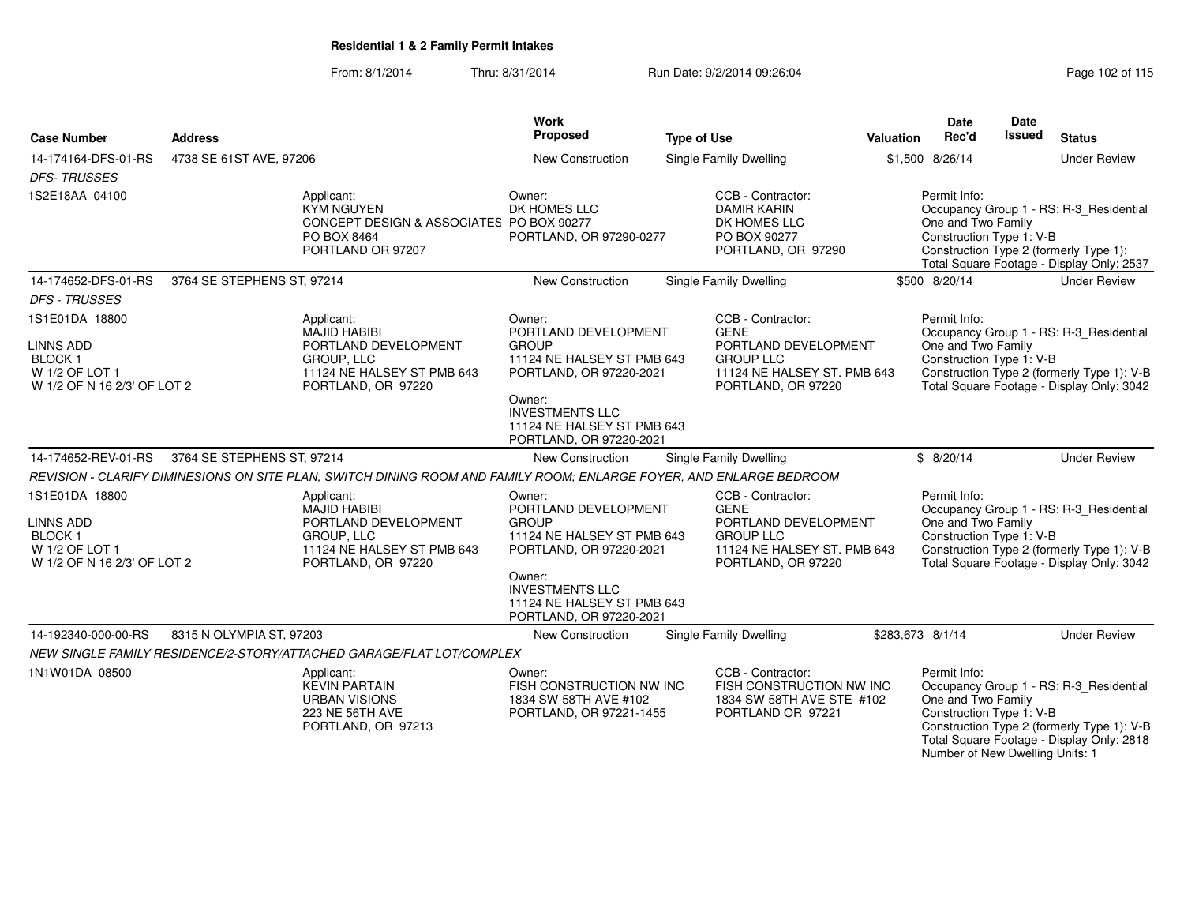| <b>Case Number</b>                                                                                   | <b>Address</b>             |                                                                                                                             | <b>Work</b><br>Proposed                                                                                 | <b>Type of Use</b> |                                                                                                                                   | <b>Valuation</b> | Date<br>Rec'd                                                                                     | Date<br><b>Issued</b> | <b>Status</b>                                                                                                                      |
|------------------------------------------------------------------------------------------------------|----------------------------|-----------------------------------------------------------------------------------------------------------------------------|---------------------------------------------------------------------------------------------------------|--------------------|-----------------------------------------------------------------------------------------------------------------------------------|------------------|---------------------------------------------------------------------------------------------------|-----------------------|------------------------------------------------------------------------------------------------------------------------------------|
| 14-174164-DFS-01-RS                                                                                  | 4738 SE 61ST AVE, 97206    |                                                                                                                             | <b>New Construction</b>                                                                                 |                    | <b>Single Family Dwelling</b>                                                                                                     |                  | \$1,500 8/26/14                                                                                   |                       | <b>Under Review</b>                                                                                                                |
| <b>DFS-TRUSSES</b>                                                                                   |                            |                                                                                                                             |                                                                                                         |                    |                                                                                                                                   |                  |                                                                                                   |                       |                                                                                                                                    |
| 1S2E18AA 04100                                                                                       |                            | Applicant:<br><b>KYM NGUYEN</b><br>CONCEPT DESIGN & ASSOCIATES PO BOX 90277<br>PO BOX 8464<br>PORTLAND OR 97207             | Owner:<br>DK HOMES LLC<br>PORTLAND, OR 97290-0277                                                       |                    | CCB - Contractor:<br><b>DAMIR KARIN</b><br>DK HOMES LLC<br>PO BOX 90277<br>PORTLAND, OR 97290                                     |                  | Permit Info:<br>One and Two Family<br>Construction Type 1: V-B                                    |                       | Occupancy Group 1 - RS: R-3_Residential<br>Construction Type 2 (formerly Type 1):<br>Total Square Footage - Display Only: 2537     |
| 14-174652-DFS-01-RS                                                                                  | 3764 SE STEPHENS ST, 97214 |                                                                                                                             | New Construction                                                                                        |                    | <b>Single Family Dwelling</b>                                                                                                     |                  | \$500 8/20/14                                                                                     |                       | <b>Under Review</b>                                                                                                                |
| <b>DFS - TRUSSES</b>                                                                                 |                            |                                                                                                                             |                                                                                                         |                    |                                                                                                                                   |                  |                                                                                                   |                       |                                                                                                                                    |
| 1S1E01DA 18800<br><b>LINNS ADD</b><br><b>BLOCK1</b><br>W 1/2 OF LOT 1<br>W 1/2 OF N 16 2/3' OF LOT 2 |                            | Applicant:<br><b>MAJID HABIBI</b><br>PORTLAND DEVELOPMENT<br>GROUP, LLC<br>11124 NE HALSEY ST PMB 643<br>PORTLAND, OR 97220 | Owner:<br>PORTLAND DEVELOPMENT<br><b>GROUP</b><br>11124 NE HALSEY ST PMB 643<br>PORTLAND, OR 97220-2021 |                    | CCB - Contractor:<br><b>GENE</b><br>PORTLAND DEVELOPMENT<br><b>GROUP LLC</b><br>11124 NE HALSEY ST. PMB 643<br>PORTLAND, OR 97220 |                  | Permit Info:<br>One and Two Family<br>Construction Type 1: V-B                                    |                       | Occupancy Group 1 - RS: R-3_Residential<br>Construction Type 2 (formerly Type 1): V-B<br>Total Square Footage - Display Only: 3042 |
|                                                                                                      |                            |                                                                                                                             | Owner:<br><b>INVESTMENTS LLC</b><br>11124 NE HALSEY ST PMB 643<br>PORTLAND, OR 97220-2021               |                    |                                                                                                                                   |                  |                                                                                                   |                       |                                                                                                                                    |
| 14-174652-REV-01-RS                                                                                  | 3764 SE STEPHENS ST, 97214 |                                                                                                                             | New Construction                                                                                        |                    | Single Family Dwelling                                                                                                            |                  | \$8/20/14                                                                                         |                       | <b>Under Review</b>                                                                                                                |
|                                                                                                      |                            | REVISION - CLARIFY DIMINESIONS ON SITE PLAN, SWITCH DINING ROOM AND FAMILY ROOM; ENLARGE FOYER, AND ENLARGE BEDROOM         |                                                                                                         |                    |                                                                                                                                   |                  |                                                                                                   |                       |                                                                                                                                    |
| 1S1E01DA 18800<br><b>LINNS ADD</b><br><b>BLOCK1</b><br>W 1/2 OF LOT 1<br>W 1/2 OF N 16 2/3' OF LOT 2 |                            | Applicant:<br><b>MAJID HABIBI</b><br>PORTLAND DEVELOPMENT<br>GROUP, LLC<br>11124 NE HALSEY ST PMB 643<br>PORTLAND, OR 97220 | Owner:<br>PORTLAND DEVELOPMENT<br><b>GROUP</b><br>11124 NE HALSEY ST PMB 643<br>PORTLAND, OR 97220-2021 |                    | CCB - Contractor:<br><b>GENE</b><br>PORTLAND DEVELOPMENT<br><b>GROUP LLC</b><br>11124 NE HALSEY ST. PMB 643<br>PORTLAND, OR 97220 |                  | Permit Info:<br>One and Two Family<br>Construction Type 1: V-B                                    |                       | Occupancy Group 1 - RS: R-3_Residential<br>Construction Type 2 (formerly Type 1): V-B<br>Total Square Footage - Display Only: 3042 |
|                                                                                                      |                            |                                                                                                                             | Owner:<br><b>INVESTMENTS LLC</b><br>11124 NE HALSEY ST PMB 643<br>PORTLAND, OR 97220-2021               |                    |                                                                                                                                   |                  |                                                                                                   |                       |                                                                                                                                    |
| 14-192340-000-00-RS                                                                                  | 8315 N OLYMPIA ST, 97203   |                                                                                                                             | New Construction                                                                                        |                    | Single Family Dwelling                                                                                                            |                  | \$283,673 8/1/14                                                                                  |                       | <b>Under Review</b>                                                                                                                |
|                                                                                                      |                            | NEW SINGLE FAMILY RESIDENCE/2-STORY/ATTACHED GARAGE/FLAT LOT/COMPLEX                                                        |                                                                                                         |                    |                                                                                                                                   |                  |                                                                                                   |                       |                                                                                                                                    |
| 1N1W01DA 08500                                                                                       |                            | Applicant:<br><b>KEVIN PARTAIN</b><br><b>URBAN VISIONS</b><br><b>223 NE 56TH AVE</b><br>PORTLAND, OR 97213                  | Owner:<br>FISH CONSTRUCTION NW INC<br>1834 SW 58TH AVE #102<br>PORTLAND, OR 97221-1455                  |                    | CCB - Contractor:<br>FISH CONSTRUCTION NW INC<br>1834 SW 58TH AVE STE #102<br>PORTLAND OR 97221                                   |                  | Permit Info:<br>One and Two Family<br>Construction Type 1: V-B<br>Number of New Dwelling Units: 1 |                       | Occupancy Group 1 - RS: R-3_Residential<br>Construction Type 2 (formerly Type 1): V-B<br>Total Square Footage - Display Only: 2818 |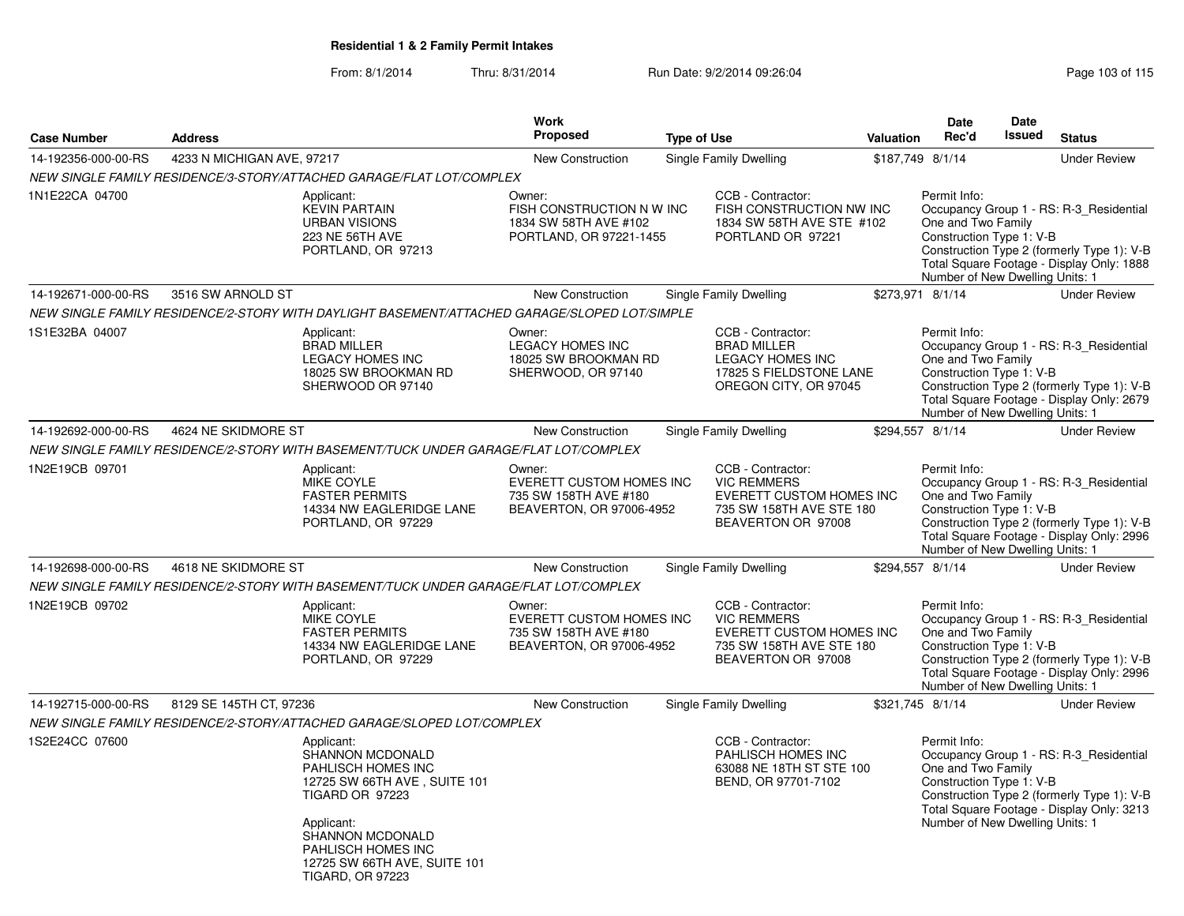|                     |                            |                                                                                                                                                                                                 | Work                                                                                    |                                                                                                                        |           | <b>Date</b>                                                                                       | <b>Date</b>   |                                                                                                                                    |
|---------------------|----------------------------|-------------------------------------------------------------------------------------------------------------------------------------------------------------------------------------------------|-----------------------------------------------------------------------------------------|------------------------------------------------------------------------------------------------------------------------|-----------|---------------------------------------------------------------------------------------------------|---------------|------------------------------------------------------------------------------------------------------------------------------------|
| <b>Case Number</b>  | <b>Address</b>             |                                                                                                                                                                                                 | <b>Proposed</b>                                                                         | <b>Type of Use</b>                                                                                                     | Valuation | Rec'd                                                                                             | <b>Issued</b> | <b>Status</b>                                                                                                                      |
| 14-192356-000-00-RS | 4233 N MICHIGAN AVE, 97217 |                                                                                                                                                                                                 | <b>New Construction</b>                                                                 | Single Family Dwelling                                                                                                 |           | \$187,749 8/1/14                                                                                  |               | <b>Under Review</b>                                                                                                                |
|                     |                            | NEW SINGLE FAMILY RESIDENCE/3-STORY/ATTACHED GARAGE/FLAT LOT/COMPLEX                                                                                                                            |                                                                                         |                                                                                                                        |           |                                                                                                   |               |                                                                                                                                    |
| 1N1E22CA 04700      |                            | Applicant:<br><b>KEVIN PARTAIN</b><br><b>URBAN VISIONS</b><br>223 NE 56TH AVE<br>PORTLAND, OR 97213                                                                                             | Owner:<br>FISH CONSTRUCTION N W INC<br>1834 SW 58TH AVE #102<br>PORTLAND, OR 97221-1455 | CCB - Contractor:<br>FISH CONSTRUCTION NW INC<br>1834 SW 58TH AVE STE #102<br>PORTLAND OR 97221                        |           | Permit Info:<br>One and Two Family<br>Construction Type 1: V-B<br>Number of New Dwelling Units: 1 |               | Occupancy Group 1 - RS: R-3_Residential<br>Construction Type 2 (formerly Type 1): V-B<br>Total Square Footage - Display Only: 1888 |
| 14-192671-000-00-RS | 3516 SW ARNOLD ST          |                                                                                                                                                                                                 | New Construction                                                                        | Single Family Dwelling                                                                                                 |           | \$273,971 8/1/14                                                                                  |               | <b>Under Review</b>                                                                                                                |
|                     |                            | NEW SINGLE FAMILY RESIDENCE/2-STORY WITH DAYLIGHT BASEMENT/ATTACHED GARAGE/SLOPED LOT/SIMPLE                                                                                                    |                                                                                         |                                                                                                                        |           |                                                                                                   |               |                                                                                                                                    |
| 1S1E32BA 04007      |                            | Applicant:<br><b>BRAD MILLER</b><br><b>LEGACY HOMES INC</b><br>18025 SW BROOKMAN RD<br>SHERWOOD OR 97140                                                                                        | Owner:<br><b>LEGACY HOMES INC</b><br>18025 SW BROOKMAN RD<br>SHERWOOD, OR 97140         | CCB - Contractor:<br><b>BRAD MILLER</b><br><b>LEGACY HOMES INC</b><br>17825 S FIELDSTONE LANE<br>OREGON CITY, OR 97045 |           | Permit Info:<br>One and Two Family<br>Construction Type 1: V-B<br>Number of New Dwelling Units: 1 |               | Occupancy Group 1 - RS: R-3_Residential<br>Construction Type 2 (formerly Type 1): V-B<br>Total Square Footage - Display Only: 2679 |
| 14-192692-000-00-RS | 4624 NE SKIDMORE ST        |                                                                                                                                                                                                 | <b>New Construction</b>                                                                 | Single Family Dwelling                                                                                                 |           | \$294,557 8/1/14                                                                                  |               | <b>Under Review</b>                                                                                                                |
|                     |                            | NEW SINGLE FAMILY RESIDENCE/2-STORY WITH BASEMENT/TUCK UNDER GARAGE/FLAT LOT/COMPLEX                                                                                                            |                                                                                         |                                                                                                                        |           |                                                                                                   |               |                                                                                                                                    |
| 1N2E19CB 09701      |                            | Applicant:<br><b>MIKE COYLE</b><br><b>FASTER PERMITS</b><br>14334 NW EAGLERIDGE LANE<br>PORTLAND, OR 97229                                                                                      | Owner:<br>EVERETT CUSTOM HOMES INC<br>735 SW 158TH AVE #180<br>BEAVERTON, OR 97006-4952 | CCB - Contractor:<br><b>VIC REMMERS</b><br>EVERETT CUSTOM HOMES INC<br>735 SW 158TH AVE STE 180<br>BEAVERTON OR 97008  |           | Permit Info:<br>One and Two Family<br>Construction Type 1: V-B<br>Number of New Dwelling Units: 1 |               | Occupancy Group 1 - RS: R-3_Residential<br>Construction Type 2 (formerly Type 1): V-B<br>Total Square Footage - Display Only: 2996 |
| 14-192698-000-00-RS | 4618 NE SKIDMORE ST        |                                                                                                                                                                                                 | <b>New Construction</b>                                                                 | Single Family Dwelling                                                                                                 |           | \$294,557 8/1/14                                                                                  |               | <b>Under Review</b>                                                                                                                |
|                     |                            | NEW SINGLE FAMILY RESIDENCE/2-STORY WITH BASEMENT/TUCK UNDER GARAGE/FLAT LOT/COMPLEX                                                                                                            |                                                                                         |                                                                                                                        |           |                                                                                                   |               |                                                                                                                                    |
| 1N2E19CB 09702      |                            | Applicant:<br><b>MIKE COYLE</b><br><b>FASTER PERMITS</b><br>14334 NW EAGLERIDGE LANE<br>PORTLAND, OR 97229                                                                                      | Owner:<br>EVERETT CUSTOM HOMES INC<br>735 SW 158TH AVE #180<br>BEAVERTON, OR 97006-4952 | CCB - Contractor:<br><b>VIC REMMERS</b><br>EVERETT CUSTOM HOMES INC<br>735 SW 158TH AVE STE 180<br>BEAVERTON OR 97008  |           | Permit Info:<br>One and Two Family<br>Construction Type 1: V-B<br>Number of New Dwelling Units: 1 |               | Occupancy Group 1 - RS: R-3_Residential<br>Construction Type 2 (formerly Type 1): V-B<br>Total Square Footage - Display Only: 2996 |
| 14-192715-000-00-RS | 8129 SE 145TH CT, 97236    |                                                                                                                                                                                                 | <b>New Construction</b>                                                                 | Single Family Dwelling                                                                                                 |           | \$321,745 8/1/14                                                                                  |               | <b>Under Review</b>                                                                                                                |
|                     |                            | NEW SINGLE FAMILY RESIDENCE/2-STORY/ATTACHED GARAGE/SLOPED LOT/COMPLEX                                                                                                                          |                                                                                         |                                                                                                                        |           |                                                                                                   |               |                                                                                                                                    |
| 1S2E24CC 07600      |                            | Applicant:<br>SHANNON MCDONALD<br>PAHLISCH HOMES INC<br>12725 SW 66TH AVE, SUITE 101<br>TIGARD OR 97223<br>Applicant:<br>SHANNON MCDONALD<br>PAHLISCH HOMES INC<br>12725 SW 66TH AVE, SUITE 101 |                                                                                         | CCB - Contractor:<br><b>PAHLISCH HOMES INC</b><br>63088 NE 18TH ST STE 100<br>BEND, OR 97701-7102                      |           | Permit Info:<br>One and Two Family<br>Construction Type 1: V-B<br>Number of New Dwelling Units: 1 |               | Occupancy Group 1 - RS: R-3_Residential<br>Construction Type 2 (formerly Type 1): V-B<br>Total Square Footage - Display Only: 3213 |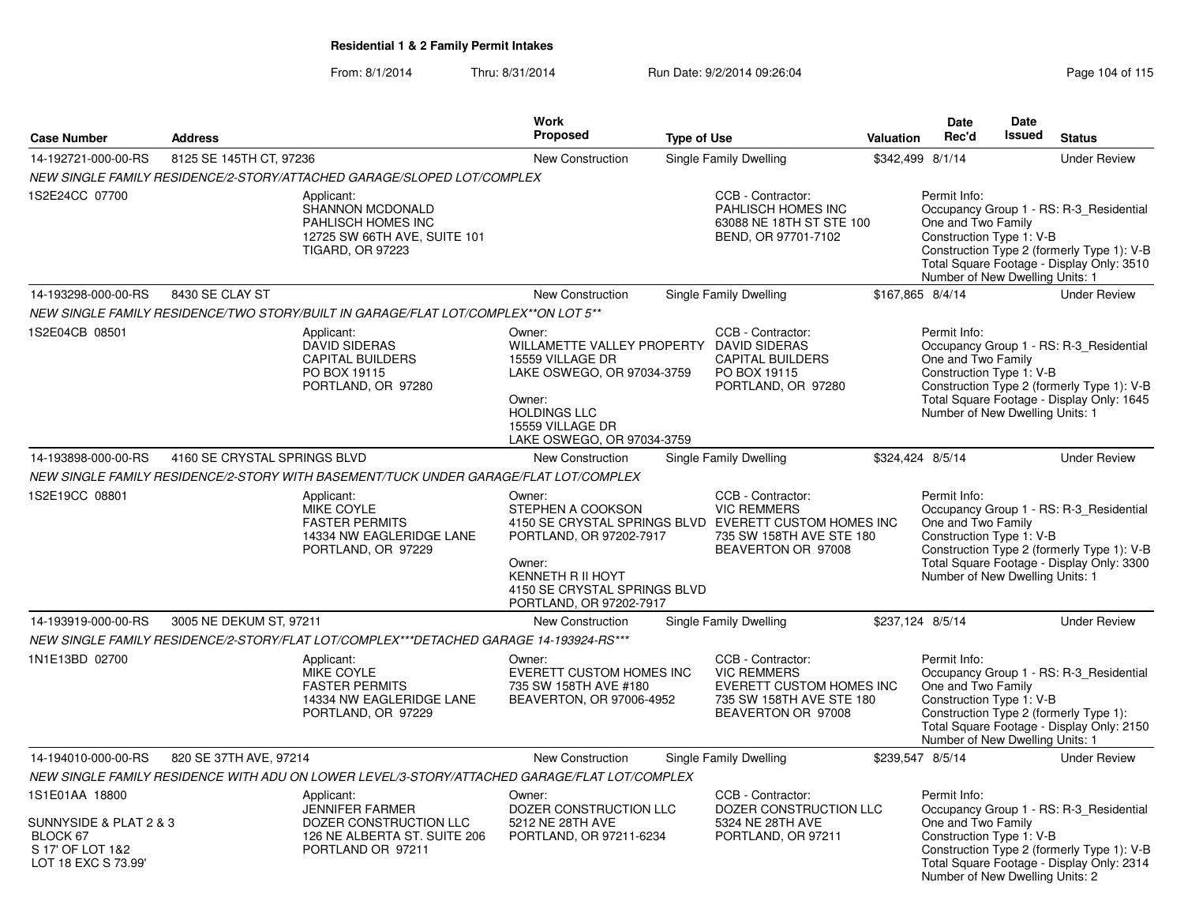|                                                                               |                              |                                                                                                                        | <b>Work</b>                                                                                                                                                                             |                    |                                                                                                                                                    |                  | <b>Date</b>                                                                                       | <b>Date</b>   |                                                                                                                                    |
|-------------------------------------------------------------------------------|------------------------------|------------------------------------------------------------------------------------------------------------------------|-----------------------------------------------------------------------------------------------------------------------------------------------------------------------------------------|--------------------|----------------------------------------------------------------------------------------------------------------------------------------------------|------------------|---------------------------------------------------------------------------------------------------|---------------|------------------------------------------------------------------------------------------------------------------------------------|
| <b>Case Number</b>                                                            | <b>Address</b>               |                                                                                                                        | Proposed                                                                                                                                                                                | <b>Type of Use</b> |                                                                                                                                                    | Valuation        | Rec'd                                                                                             | <b>Issued</b> | <b>Status</b>                                                                                                                      |
| 14-192721-000-00-RS                                                           | 8125 SE 145TH CT, 97236      |                                                                                                                        | New Construction                                                                                                                                                                        |                    | Single Family Dwelling                                                                                                                             | \$342,499 8/1/14 |                                                                                                   |               | <b>Under Review</b>                                                                                                                |
|                                                                               |                              | NEW SINGLE FAMILY RESIDENCE/2-STORY/ATTACHED GARAGE/SLOPED LOT/COMPLEX                                                 |                                                                                                                                                                                         |                    |                                                                                                                                                    |                  |                                                                                                   |               |                                                                                                                                    |
| 1S2E24CC 07700                                                                |                              | Applicant:<br>SHANNON MCDONALD<br><b>PAHLISCH HOMES INC</b><br>12725 SW 66TH AVE, SUITE 101<br><b>TIGARD, OR 97223</b> |                                                                                                                                                                                         |                    | CCB - Contractor:<br>PAHLISCH HOMES INC<br>63088 NE 18TH ST STE 100<br>BEND, OR 97701-7102                                                         |                  | Permit Info:<br>One and Two Family<br>Construction Type 1: V-B<br>Number of New Dwelling Units: 1 |               | Occupancy Group 1 - RS: R-3_Residential<br>Construction Type 2 (formerly Type 1): V-B<br>Total Square Footage - Display Only: 3510 |
| 14-193298-000-00-RS                                                           | 8430 SE CLAY ST              |                                                                                                                        | <b>New Construction</b>                                                                                                                                                                 |                    | Single Family Dwelling                                                                                                                             | \$167.865 8/4/14 |                                                                                                   |               | <b>Under Review</b>                                                                                                                |
|                                                                               |                              | NEW SINGLE FAMILY RESIDENCE/TWO STORY/BUILT IN GARAGE/FLAT LOT/COMPLEX**ON LOT 5**                                     |                                                                                                                                                                                         |                    |                                                                                                                                                    |                  |                                                                                                   |               |                                                                                                                                    |
| 1S2E04CB 08501                                                                |                              | Applicant:<br><b>DAVID SIDERAS</b><br>CAPITAL BUILDERS<br>PO BOX 19115<br>PORTLAND, OR 97280                           | Owner:<br>WILLAMETTE VALLEY PROPERTY DAVID SIDERAS<br>15559 VILLAGE DR<br>LAKE OSWEGO, OR 97034-3759<br>Owner:<br><b>HOLDINGS LLC</b><br>15559 VILLAGE DR<br>LAKE OSWEGO, OR 97034-3759 |                    | CCB - Contractor:<br><b>CAPITAL BUILDERS</b><br>PO BOX 19115<br>PORTLAND, OR 97280                                                                 |                  | Permit Info:<br>One and Two Family<br>Construction Type 1: V-B<br>Number of New Dwelling Units: 1 |               | Occupancy Group 1 - RS: R-3_Residential<br>Construction Type 2 (formerly Type 1): V-B<br>Total Square Footage - Display Only: 1645 |
| 14-193898-000-00-RS                                                           | 4160 SE CRYSTAL SPRINGS BLVD |                                                                                                                        | <b>New Construction</b>                                                                                                                                                                 |                    | Single Family Dwelling                                                                                                                             | \$324,424 8/5/14 |                                                                                                   |               | <b>Under Review</b>                                                                                                                |
|                                                                               |                              | NEW SINGLE FAMILY RESIDENCE/2-STORY WITH BASEMENT/TUCK UNDER GARAGE/FLAT LOT/COMPLEX                                   |                                                                                                                                                                                         |                    |                                                                                                                                                    |                  |                                                                                                   |               |                                                                                                                                    |
| 1S2E19CC 08801                                                                |                              | Applicant:<br>MIKE COYLE<br><b>FASTER PERMITS</b><br>14334 NW EAGLERIDGE LANE<br>PORTLAND, OR 97229                    | Owner:<br>STEPHEN A COOKSON<br>PORTLAND, OR 97202-7917<br>Owner:<br><b>KENNETH R II HOYT</b><br>4150 SE CRYSTAL SPRINGS BLVD<br>PORTLAND, OR 97202-7917                                 |                    | CCB - Contractor:<br><b>VIC REMMERS</b><br>4150 SE CRYSTAL SPRINGS BLVD EVERETT CUSTOM HOMES INC<br>735 SW 158TH AVE STE 180<br>BEAVERTON OR 97008 |                  | Permit Info:<br>One and Two Family<br>Construction Type 1: V-B<br>Number of New Dwelling Units: 1 |               | Occupancy Group 1 - RS: R-3_Residential<br>Construction Type 2 (formerly Type 1): V-B<br>Total Square Footage - Display Only: 3300 |
| 14-193919-000-00-RS                                                           | 3005 NE DEKUM ST, 97211      |                                                                                                                        | <b>New Construction</b>                                                                                                                                                                 |                    | Single Family Dwelling                                                                                                                             | \$237,124 8/5/14 |                                                                                                   |               | <b>Under Review</b>                                                                                                                |
|                                                                               |                              | NEW SINGLE FAMILY RESIDENCE/2-STORY/FLAT LOT/COMPLEX***DETACHED GARAGE 14-193924-RS***                                 |                                                                                                                                                                                         |                    |                                                                                                                                                    |                  |                                                                                                   |               |                                                                                                                                    |
| 1N1E13BD 02700                                                                |                              | Applicant:<br><b>MIKE COYLE</b><br><b>FASTER PERMITS</b><br>14334 NW EAGLERIDGE LANE<br>PORTLAND, OR 97229             | Owner:<br><b>EVERETT CUSTOM HOMES INC</b><br>735 SW 158TH AVE #180<br>BEAVERTON, OR 97006-4952                                                                                          |                    | CCB - Contractor:<br><b>VIC REMMERS</b><br>EVERETT CUSTOM HOMES INC<br>735 SW 158TH AVE STE 180<br>BEAVERTON OR 97008                              |                  | Permit Info:<br>One and Two Family<br>Construction Type 1: V-B<br>Number of New Dwelling Units: 1 |               | Occupancy Group 1 - RS: R-3_Residential<br>Construction Type 2 (formerly Type 1):<br>Total Square Footage - Display Only: 2150     |
| 14-194010-000-00-RS                                                           | 820 SE 37TH AVE, 97214       |                                                                                                                        | New Construction                                                                                                                                                                        |                    | Single Family Dwelling                                                                                                                             | \$239,547 8/5/14 |                                                                                                   |               | <b>Under Review</b>                                                                                                                |
|                                                                               |                              | NEW SINGLE FAMILY RESIDENCE WITH ADU ON LOWER LEVEL/3-STORY/ATTACHED GARAGE/FLAT LOT/COMPLEX                           |                                                                                                                                                                                         |                    |                                                                                                                                                    |                  |                                                                                                   |               |                                                                                                                                    |
| 1S1E01AA 18800                                                                |                              | Applicant:                                                                                                             | Owner:                                                                                                                                                                                  |                    | CCB - Contractor:                                                                                                                                  |                  | Permit Info:                                                                                      |               |                                                                                                                                    |
| SUNNYSIDE & PLAT 2 & 3<br>BLOCK 67<br>S 17' OF LOT 1&2<br>LOT 18 EXC S 73.99' |                              | <b>JENNIFER FARMER</b><br>DOZER CONSTRUCTION LLC<br>126 NE ALBERTA ST. SUITE 206<br>PORTLAND OR 97211                  | DOZER CONSTRUCTION LLC<br>5212 NE 28TH AVE<br>PORTLAND, OR 97211-6234                                                                                                                   |                    | DOZER CONSTRUCTION LLC<br>5324 NE 28TH AVE<br>PORTLAND, OR 97211                                                                                   |                  | One and Two Family<br>Construction Type 1: V-B<br>Number of New Dwelling Units: 2                 |               | Occupancy Group 1 - RS: R-3_Residential<br>Construction Type 2 (formerly Type 1): V-B<br>Total Square Footage - Display Only: 2314 |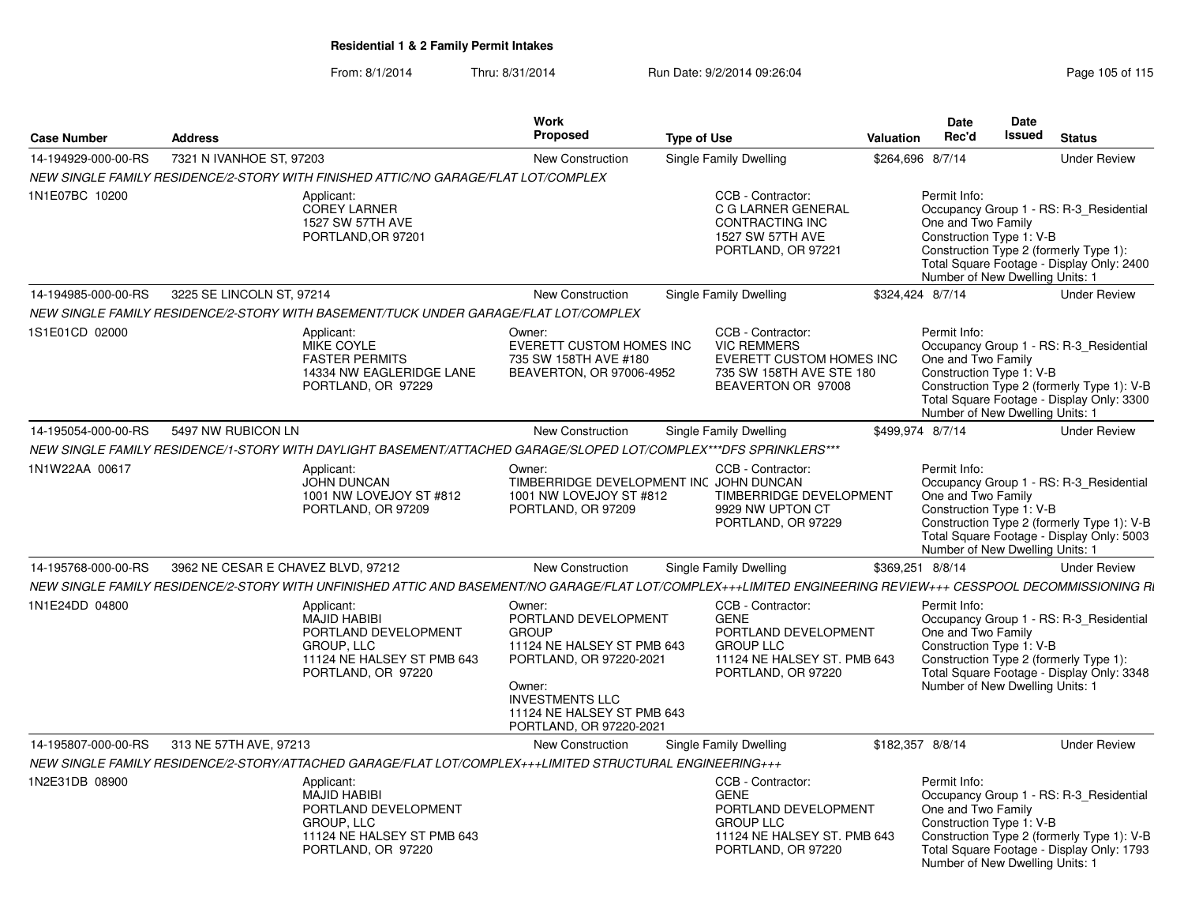| <b>Case Number</b>  | <b>Address</b>                     |                                                                                                                                                               | Work<br>Proposed                                                                                                                                                                                     | <b>Type of Use</b> |                                                                                                                                   | Valuation        | Date<br>Rec'd                                                                                     | Date<br><b>Issued</b> | <b>Status</b>                                                                                                                      |
|---------------------|------------------------------------|---------------------------------------------------------------------------------------------------------------------------------------------------------------|------------------------------------------------------------------------------------------------------------------------------------------------------------------------------------------------------|--------------------|-----------------------------------------------------------------------------------------------------------------------------------|------------------|---------------------------------------------------------------------------------------------------|-----------------------|------------------------------------------------------------------------------------------------------------------------------------|
| 14-194929-000-00-RS | 7321 N IVANHOE ST, 97203           |                                                                                                                                                               | <b>New Construction</b>                                                                                                                                                                              |                    | Single Family Dwelling                                                                                                            | \$264,696 8/7/14 |                                                                                                   |                       | <b>Under Review</b>                                                                                                                |
|                     |                                    | NEW SINGLE FAMILY RESIDENCE/2-STORY WITH FINISHED ATTIC/NO GARAGE/FLAT LOT/COMPLEX                                                                            |                                                                                                                                                                                                      |                    |                                                                                                                                   |                  |                                                                                                   |                       |                                                                                                                                    |
| 1N1E07BC 10200      |                                    | Applicant:<br><b>COREY LARNER</b><br>1527 SW 57TH AVE<br>PORTLAND, OR 97201                                                                                   |                                                                                                                                                                                                      |                    | CCB - Contractor:<br>C G LARNER GENERAL<br>CONTRACTING INC<br>1527 SW 57TH AVE<br>PORTLAND, OR 97221                              |                  | Permit Info:<br>One and Two Family<br>Construction Type 1: V-B<br>Number of New Dwelling Units: 1 |                       | Occupancy Group 1 - RS: R-3_Residential<br>Construction Type 2 (formerly Type 1):<br>Total Square Footage - Display Only: 2400     |
| 14-194985-000-00-RS | 3225 SE LINCOLN ST, 97214          |                                                                                                                                                               | New Construction                                                                                                                                                                                     |                    | Single Family Dwelling                                                                                                            | \$324,424 8/7/14 |                                                                                                   |                       | <b>Under Review</b>                                                                                                                |
|                     |                                    | NEW SINGLE FAMILY RESIDENCE/2-STORY WITH BASEMENT/TUCK UNDER GARAGE/FLAT LOT/COMPLEX                                                                          |                                                                                                                                                                                                      |                    |                                                                                                                                   |                  |                                                                                                   |                       |                                                                                                                                    |
| 1S1E01CD 02000      |                                    | Applicant:<br><b>MIKE COYLE</b><br><b>FASTER PERMITS</b><br>14334 NW EAGLERIDGE LANE<br>PORTLAND, OR 97229                                                    | Owner:<br>EVERETT CUSTOM HOMES INC<br>735 SW 158TH AVE #180<br>BEAVERTON, OR 97006-4952                                                                                                              |                    | CCB - Contractor:<br><b>VIC REMMERS</b><br>EVERETT CUSTOM HOMES INC<br>735 SW 158TH AVE STE 180<br>BEAVERTON OR 97008             |                  | Permit Info:<br>One and Two Family<br>Construction Type 1: V-B<br>Number of New Dwelling Units: 1 |                       | Occupancy Group 1 - RS: R-3_Residential<br>Construction Type 2 (formerly Type 1): V-B<br>Total Square Footage - Display Only: 3300 |
| 14-195054-000-00-RS | 5497 NW RUBICON LN                 |                                                                                                                                                               | <b>New Construction</b>                                                                                                                                                                              |                    | Single Family Dwelling                                                                                                            | \$499.974 8/7/14 |                                                                                                   |                       | <b>Under Review</b>                                                                                                                |
|                     |                                    | NEW SINGLE FAMILY RESIDENCE/1-STORY WITH DAYLIGHT BASEMENT/ATTACHED GARAGE/SLOPED LOT/COMPLEX***DFS SPRINKLERS***                                             |                                                                                                                                                                                                      |                    |                                                                                                                                   |                  |                                                                                                   |                       |                                                                                                                                    |
| 1N1W22AA 00617      |                                    | Applicant:<br><b>JOHN DUNCAN</b><br>1001 NW LOVEJOY ST #812<br>PORTLAND, OR 97209                                                                             | Owner:<br>TIMBERRIDGE DEVELOPMENT INC JOHN DUNCAN<br>1001 NW LOVEJOY ST #812<br>PORTLAND, OR 97209                                                                                                   |                    | CCB - Contractor:<br>TIMBERRIDGE DEVELOPMENT<br>9929 NW UPTON CT<br>PORTLAND, OR 97229                                            |                  | Permit Info:<br>One and Two Family<br>Construction Type 1: V-B<br>Number of New Dwelling Units: 1 |                       | Occupancy Group 1 - RS: R-3_Residential<br>Construction Type 2 (formerly Type 1): V-B<br>Total Square Footage - Display Only: 5003 |
| 14-195768-000-00-RS | 3962 NE CESAR E CHAVEZ BLVD, 97212 |                                                                                                                                                               | <b>New Construction</b>                                                                                                                                                                              |                    | Single Family Dwelling                                                                                                            | \$369.251 8/8/14 |                                                                                                   |                       | <b>Under Review</b>                                                                                                                |
|                     |                                    | NEW SINGLE FAMILY RESIDENCE/2-STORY WITH UNFINISHED ATTIC AND BASEMENT/NO GARAGE/FLAT LOT/COMPLEX+++LIMITED ENGINEERING REVIEW+++ CESSPOOL DECOMMISSIONING Ri |                                                                                                                                                                                                      |                    |                                                                                                                                   |                  |                                                                                                   |                       |                                                                                                                                    |
| 1N1E24DD 04800      |                                    | Applicant:<br><b>MAJID HABIBI</b><br>PORTLAND DEVELOPMENT<br>GROUP. LLC<br>11124 NE HALSEY ST PMB 643<br>PORTLAND, OR 97220                                   | Owner:<br>PORTLAND DEVELOPMENT<br><b>GROUP</b><br>11124 NE HALSEY ST PMB 643<br>PORTLAND, OR 97220-2021<br>Owner:<br><b>INVESTMENTS LLC</b><br>11124 NE HALSEY ST PMB 643<br>PORTLAND, OR 97220-2021 |                    | CCB - Contractor:<br><b>GENE</b><br>PORTLAND DEVELOPMENT<br><b>GROUP LLC</b><br>11124 NE HALSEY ST. PMB 643<br>PORTLAND, OR 97220 |                  | Permit Info:<br>One and Two Family<br>Construction Type 1: V-B<br>Number of New Dwelling Units: 1 |                       | Occupancy Group 1 - RS: R-3 Residential<br>Construction Type 2 (formerly Type 1):<br>Total Square Footage - Display Only: 3348     |
| 14-195807-000-00-RS | 313 NE 57TH AVE, 97213             |                                                                                                                                                               | <b>New Construction</b>                                                                                                                                                                              |                    | Single Family Dwelling                                                                                                            | \$182,357 8/8/14 |                                                                                                   |                       | <b>Under Review</b>                                                                                                                |
|                     |                                    | NEW SINGLE FAMILY RESIDENCE/2-STORY/ATTACHED GARAGE/FLAT LOT/COMPLEX+++LIMITED STRUCTURAL ENGINEERING+++                                                      |                                                                                                                                                                                                      |                    |                                                                                                                                   |                  |                                                                                                   |                       |                                                                                                                                    |
| 1N2E31DB 08900      |                                    | Applicant:<br><b>MAJID HABIBI</b><br>PORTLAND DEVELOPMENT<br><b>GROUP, LLC</b><br>11124 NE HALSEY ST PMB 643<br>PORTLAND, OR 97220                            |                                                                                                                                                                                                      |                    | CCB - Contractor:<br><b>GENE</b><br>PORTLAND DEVELOPMENT<br><b>GROUP LLC</b><br>11124 NE HALSEY ST. PMB 643<br>PORTLAND, OR 97220 |                  | Permit Info:<br>One and Two Family<br>Construction Type 1: V-B<br>Number of New Dwelling Units: 1 |                       | Occupancy Group 1 - RS: R-3 Residential<br>Construction Type 2 (formerly Type 1): V-B<br>Total Square Footage - Display Only: 1793 |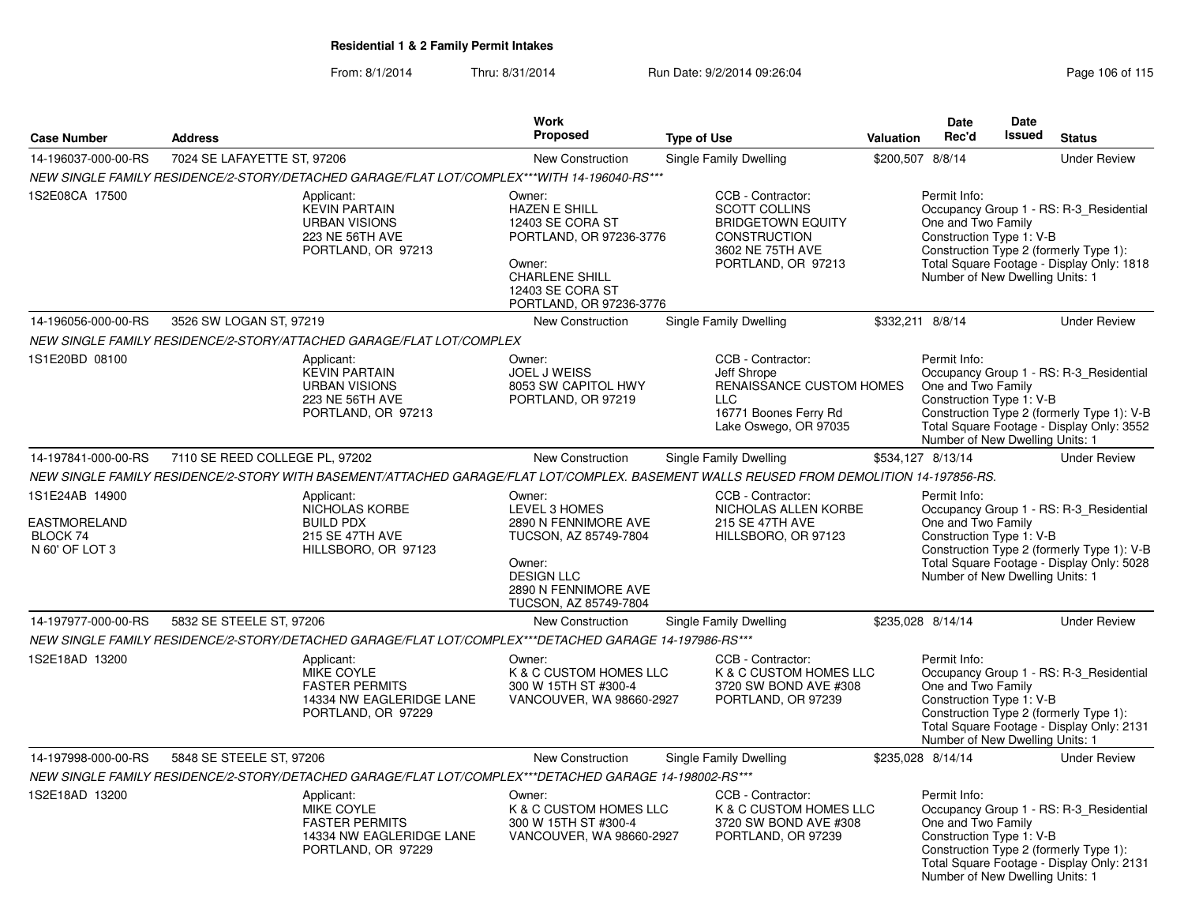|                                                                     |                                |                                                                                                                                         | <b>Work</b>                                                                                                                                                     |                                                                                                                                 |           | <b>Date</b>                                                                                       | <b>Date</b>   |                                                                                                                                    |
|---------------------------------------------------------------------|--------------------------------|-----------------------------------------------------------------------------------------------------------------------------------------|-----------------------------------------------------------------------------------------------------------------------------------------------------------------|---------------------------------------------------------------------------------------------------------------------------------|-----------|---------------------------------------------------------------------------------------------------|---------------|------------------------------------------------------------------------------------------------------------------------------------|
| <b>Case Number</b>                                                  | <b>Address</b>                 |                                                                                                                                         | <b>Proposed</b>                                                                                                                                                 | <b>Type of Use</b>                                                                                                              | Valuation | Rec'd                                                                                             | <b>Issued</b> | <b>Status</b>                                                                                                                      |
| 14-196037-000-00-RS                                                 | 7024 SE LAFAYETTE ST, 97206    |                                                                                                                                         | <b>New Construction</b>                                                                                                                                         | Single Family Dwelling                                                                                                          |           | \$200,507 8/8/14                                                                                  |               | <b>Under Review</b>                                                                                                                |
|                                                                     |                                | NEW SINGLE FAMILY RESIDENCE/2-STORY/DETACHED GARAGE/FLAT LOT/COMPLEX***WITH 14-196040-RS***                                             |                                                                                                                                                                 |                                                                                                                                 |           |                                                                                                   |               |                                                                                                                                    |
| 1S2E08CA 17500                                                      |                                | Applicant:<br><b>KEVIN PARTAIN</b><br><b>URBAN VISIONS</b><br>223 NE 56TH AVE<br>PORTLAND, OR 97213                                     | Owner:<br><b>HAZEN E SHILL</b><br>12403 SE CORA ST<br>PORTLAND, OR 97236-3776<br>Owner:<br><b>CHARLENE SHILL</b><br>12403 SE CORA ST<br>PORTLAND, OR 97236-3776 | CCB - Contractor:<br><b>SCOTT COLLINS</b><br><b>BRIDGETOWN EQUITY</b><br>CONSTRUCTION<br>3602 NE 75TH AVE<br>PORTLAND, OR 97213 |           | Permit Info:<br>One and Two Family<br>Construction Type 1: V-B<br>Number of New Dwelling Units: 1 |               | Occupancy Group 1 - RS: R-3_Residential<br>Construction Type 2 (formerly Type 1):<br>Total Square Footage - Display Only: 1818     |
| 14-196056-000-00-RS                                                 | 3526 SW LOGAN ST, 97219        |                                                                                                                                         | <b>New Construction</b>                                                                                                                                         | Single Family Dwelling                                                                                                          |           | \$332,211 8/8/14                                                                                  |               | <b>Under Review</b>                                                                                                                |
|                                                                     |                                | NEW SINGLE FAMILY RESIDENCE/2-STORY/ATTACHED GARAGE/FLAT LOT/COMPLEX                                                                    |                                                                                                                                                                 |                                                                                                                                 |           |                                                                                                   |               |                                                                                                                                    |
| 1S1E20BD 08100                                                      |                                | Applicant:<br><b>KEVIN PARTAIN</b><br><b>URBAN VISIONS</b><br>223 NE 56TH AVE<br>PORTLAND, OR 97213                                     | Owner:<br><b>JOEL J WEISS</b><br>8053 SW CAPITOL HWY<br>PORTLAND, OR 97219                                                                                      | CCB - Contractor:<br>Jeff Shrope<br>RENAISSANCE CUSTOM HOMES<br><b>LLC</b><br>16771 Boones Ferry Rd<br>Lake Oswego, OR 97035    |           | Permit Info:<br>One and Two Family<br>Construction Type 1: V-B<br>Number of New Dwelling Units: 1 |               | Occupancy Group 1 - RS: R-3 Residential<br>Construction Type 2 (formerly Type 1): V-B<br>Total Square Footage - Display Only: 3552 |
| 14-197841-000-00-RS                                                 | 7110 SE REED COLLEGE PL, 97202 |                                                                                                                                         | <b>New Construction</b>                                                                                                                                         | Single Family Dwelling                                                                                                          |           | \$534,127 8/13/14                                                                                 |               | <b>Under Review</b>                                                                                                                |
|                                                                     |                                | NEW SINGLE FAMILY RESIDENCE/2-STORY WITH BASEMENT/ATTACHED GARAGE/FLAT LOT/COMPLEX. BASEMENT WALLS REUSED FROM DEMOLITION 14-197856-RS. |                                                                                                                                                                 |                                                                                                                                 |           |                                                                                                   |               |                                                                                                                                    |
| 1S1E24AB 14900<br><b>EASTMORELAND</b><br>BLOCK 74<br>N 60' OF LOT 3 |                                | Applicant:<br>NICHOLAS KORBE<br><b>BUILD PDX</b><br>215 SE 47TH AVE<br>HILLSBORO, OR 97123                                              | Owner:<br>LEVEL 3 HOMES<br>2890 N FENNIMORE AVE<br>TUCSON, AZ 85749-7804<br>Owner:<br><b>DESIGN LLC</b><br>2890 N FENNIMORE AVE<br>TUCSON, AZ 85749-7804        | CCB - Contractor:<br>NICHOLAS ALLEN KORBE<br>215 SE 47TH AVE<br>HILLSBORO, OR 97123                                             |           | Permit Info:<br>One and Two Family<br>Construction Type 1: V-B<br>Number of New Dwelling Units: 1 |               | Occupancy Group 1 - RS: R-3_Residential<br>Construction Type 2 (formerly Type 1): V-B<br>Total Square Footage - Display Only: 5028 |
| 14-197977-000-00-RS                                                 | 5832 SE STEELE ST, 97206       |                                                                                                                                         | New Construction                                                                                                                                                | Single Family Dwelling                                                                                                          |           | \$235,028 8/14/14                                                                                 |               | <b>Under Review</b>                                                                                                                |
|                                                                     |                                | NEW SINGLE FAMILY RESIDENCE/2-STORY/DETACHED GARAGE/FLAT LOT/COMPLEX***DETACHED GARAGE 14-197986-RS***                                  |                                                                                                                                                                 |                                                                                                                                 |           |                                                                                                   |               |                                                                                                                                    |
| 1S2E18AD 13200                                                      |                                | Applicant:<br><b>MIKE COYLE</b><br><b>FASTER PERMITS</b><br>14334 NW EAGLERIDGE LANE<br>PORTLAND, OR 97229                              | Owner:<br>K & C CUSTOM HOMES LLC<br>300 W 15TH ST #300-4<br>VANCOUVER, WA 98660-2927                                                                            | CCB - Contractor:<br>K & C CUSTOM HOMES LLC<br>3720 SW BOND AVE #308<br>PORTLAND, OR 97239                                      |           | Permit Info:<br>One and Two Family<br>Construction Type 1: V-B<br>Number of New Dwelling Units: 1 |               | Occupancy Group 1 - RS: R-3_Residential<br>Construction Type 2 (formerly Type 1):<br>Total Square Footage - Display Only: 2131     |
| 14-197998-000-00-RS                                                 | 5848 SE STEELE ST, 97206       |                                                                                                                                         | <b>New Construction</b>                                                                                                                                         | Single Family Dwelling                                                                                                          |           | \$235,028 8/14/14                                                                                 |               | <b>Under Review</b>                                                                                                                |
|                                                                     |                                | NEW SINGLE FAMILY RESIDENCE/2-STORY/DETACHED GARAGE/FLAT LOT/COMPLEX***DETACHED GARAGE 14-198002-RS***                                  |                                                                                                                                                                 |                                                                                                                                 |           |                                                                                                   |               |                                                                                                                                    |
| 1S2E18AD 13200                                                      |                                | Applicant:<br>MIKE COYLE<br><b>FASTER PERMITS</b><br>14334 NW EAGLERIDGE LANE<br>PORTLAND, OR 97229                                     | Owner:<br>K & C CUSTOM HOMES LLC<br>300 W 15TH ST #300-4<br>VANCOUVER, WA 98660-2927                                                                            | CCB - Contractor:<br>K & C CUSTOM HOMES LLC<br>3720 SW BOND AVE #308<br>PORTLAND, OR 97239                                      |           | Permit Info:<br>One and Two Family<br>Construction Type 1: V-B<br>Number of New Dwelling Units: 1 |               | Occupancy Group 1 - RS: R-3 Residential<br>Construction Type 2 (formerly Type 1):<br>Total Square Footage - Display Only: 2131     |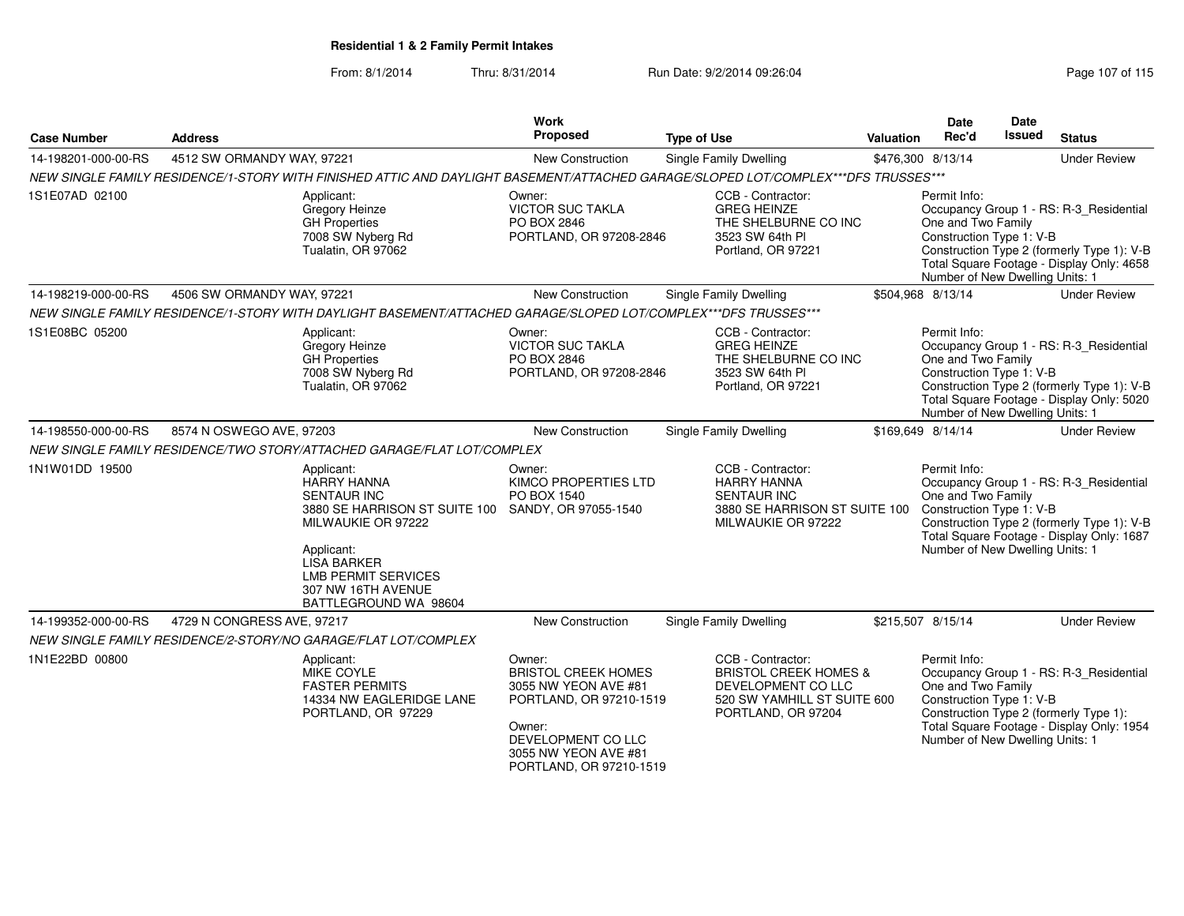| <b>Case Number</b>  | <b>Address</b>             |                                                                                                                                                                                                                                                     | <b>Work</b><br>Proposed                                                                                                                                                    | <b>Type of Use</b>                                                                                                               | Valuation | Date<br>Rec'd                                                                                     | <b>Date</b><br>Issued | <b>Status</b>                                                                                                                      |
|---------------------|----------------------------|-----------------------------------------------------------------------------------------------------------------------------------------------------------------------------------------------------------------------------------------------------|----------------------------------------------------------------------------------------------------------------------------------------------------------------------------|----------------------------------------------------------------------------------------------------------------------------------|-----------|---------------------------------------------------------------------------------------------------|-----------------------|------------------------------------------------------------------------------------------------------------------------------------|
| 14-198201-000-00-RS | 4512 SW ORMANDY WAY, 97221 |                                                                                                                                                                                                                                                     | New Construction                                                                                                                                                           | Single Family Dwelling                                                                                                           |           | \$476,300 8/13/14                                                                                 |                       | <b>Under Review</b>                                                                                                                |
|                     |                            | NEW SINGLE FAMILY RESIDENCE/1-STORY WITH FINISHED ATTIC AND DAYLIGHT BASEMENT/ATTACHED GARAGE/SLOPED LOT/COMPLEX***DFS TRUSSES***                                                                                                                   |                                                                                                                                                                            |                                                                                                                                  |           |                                                                                                   |                       |                                                                                                                                    |
| 1S1E07AD 02100      |                            | Applicant:<br>Gregory Heinze<br><b>GH</b> Properties<br>7008 SW Nyberg Rd<br>Tualatin, OR 97062                                                                                                                                                     | Owner:<br><b>VICTOR SUC TAKLA</b><br>PO BOX 2846<br>PORTLAND, OR 97208-2846                                                                                                | CCB - Contractor:<br><b>GREG HEINZE</b><br>THE SHELBURNE CO INC<br>3523 SW 64th PI<br>Portland, OR 97221                         |           | Permit Info:<br>One and Two Family<br>Construction Type 1: V-B<br>Number of New Dwelling Units: 1 |                       | Occupancy Group 1 - RS: R-3_Residential<br>Construction Type 2 (formerly Type 1): V-B<br>Total Square Footage - Display Only: 4658 |
| 14-198219-000-00-RS | 4506 SW ORMANDY WAY, 97221 |                                                                                                                                                                                                                                                     | <b>New Construction</b>                                                                                                                                                    | Single Family Dwelling                                                                                                           |           | \$504,968 8/13/14                                                                                 |                       | <b>Under Review</b>                                                                                                                |
|                     |                            | NEW SINGLE FAMILY RESIDENCE/1-STORY WITH DAYLIGHT BASEMENT/ATTACHED GARAGE/SLOPED LOT/COMPLEX***DFS TRUSSES***                                                                                                                                      |                                                                                                                                                                            |                                                                                                                                  |           |                                                                                                   |                       |                                                                                                                                    |
| 1S1E08BC 05200      |                            | Applicant:<br>Gregory Heinze<br><b>GH Properties</b><br>7008 SW Nyberg Rd<br>Tualatin, OR 97062                                                                                                                                                     | Owner:<br><b>VICTOR SUC TAKLA</b><br>PO BOX 2846<br>PORTLAND, OR 97208-2846                                                                                                | CCB - Contractor:<br><b>GREG HEINZE</b><br>THE SHELBURNE CO INC<br>3523 SW 64th PI<br>Portland, OR 97221                         |           | Permit Info:<br>One and Two Family<br>Construction Type 1: V-B<br>Number of New Dwelling Units: 1 |                       | Occupancy Group 1 - RS: R-3_Residential<br>Construction Type 2 (formerly Type 1): V-B<br>Total Square Footage - Display Only: 5020 |
| 14-198550-000-00-RS | 8574 N OSWEGO AVE, 97203   |                                                                                                                                                                                                                                                     | New Construction                                                                                                                                                           | <b>Single Family Dwelling</b>                                                                                                    |           | \$169,649 8/14/14                                                                                 |                       | <b>Under Review</b>                                                                                                                |
|                     |                            | NEW SINGLE FAMILY RESIDENCE/TWO STORY/ATTACHED GARAGE/FLAT LOT/COMPLEX                                                                                                                                                                              |                                                                                                                                                                            |                                                                                                                                  |           |                                                                                                   |                       |                                                                                                                                    |
| 1N1W01DD 19500      |                            | Applicant:<br><b>HARRY HANNA</b><br><b>SENTAUR INC</b><br>3880 SE HARRISON ST SUITE 100 SANDY, OR 97055-1540<br>MILWAUKIE OR 97222<br>Applicant:<br><b>LISA BARKER</b><br><b>LMB PERMIT SERVICES</b><br>307 NW 16TH AVENUE<br>BATTLEGROUND WA 98604 | Owner:<br>KIMCO PROPERTIES LTD<br>PO BOX 1540                                                                                                                              | CCB - Contractor:<br><b>HARRY HANNA</b><br><b>SENTAUR INC</b><br>3880 SE HARRISON ST SUITE 100<br>MILWAUKIE OR 97222             |           | Permit Info:<br>One and Two Family<br>Construction Type 1: V-B<br>Number of New Dwelling Units: 1 |                       | Occupancy Group 1 - RS: R-3_Residential<br>Construction Type 2 (formerly Type 1): V-B<br>Total Square Footage - Display Only: 1687 |
| 14-199352-000-00-RS | 4729 N CONGRESS AVE, 97217 |                                                                                                                                                                                                                                                     | <b>New Construction</b>                                                                                                                                                    | <b>Single Family Dwelling</b>                                                                                                    |           | \$215,507 8/15/14                                                                                 |                       | <b>Under Review</b>                                                                                                                |
|                     |                            | NEW SINGLE FAMILY RESIDENCE/2-STORY/NO GARAGE/FLAT LOT/COMPLEX                                                                                                                                                                                      |                                                                                                                                                                            |                                                                                                                                  |           |                                                                                                   |                       |                                                                                                                                    |
| 1N1E22BD 00800      |                            | Applicant:<br>MIKE COYLE<br><b>FASTER PERMITS</b><br>14334 NW EAGLERIDGE LANE<br>PORTLAND, OR 97229                                                                                                                                                 | Owner:<br><b>BRISTOL CREEK HOMES</b><br>3055 NW YEON AVE #81<br>PORTLAND, OR 97210-1519<br>Owner:<br>DEVELOPMENT CO LLC<br>3055 NW YEON AVE #81<br>PORTLAND, OR 97210-1519 | CCB - Contractor:<br><b>BRISTOL CREEK HOMES &amp;</b><br>DEVELOPMENT CO LLC<br>520 SW YAMHILL ST SUITE 600<br>PORTLAND, OR 97204 |           | Permit Info:<br>One and Two Family<br>Construction Type 1: V-B<br>Number of New Dwelling Units: 1 |                       | Occupancy Group 1 - RS: R-3_Residential<br>Construction Type 2 (formerly Type 1):<br>Total Square Footage - Display Only: 1954     |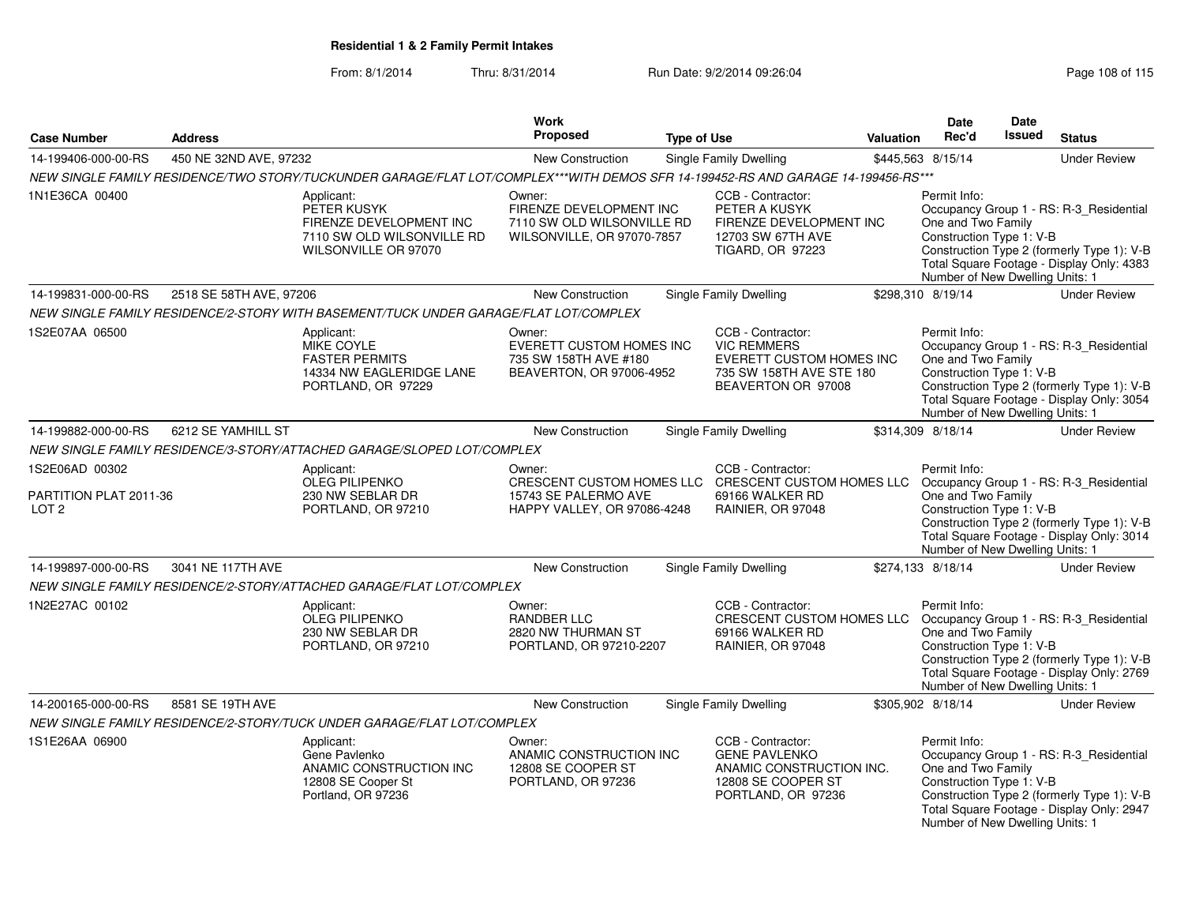|                                                                                                                                               |                         |                                                                                                                                                                                                                           | Work                                                                                          |                    |                                                                                                                                                                                              |                  | <b>Date</b>                                                                                       | Date          |                                                                                                                                    |
|-----------------------------------------------------------------------------------------------------------------------------------------------|-------------------------|---------------------------------------------------------------------------------------------------------------------------------------------------------------------------------------------------------------------------|-----------------------------------------------------------------------------------------------|--------------------|----------------------------------------------------------------------------------------------------------------------------------------------------------------------------------------------|------------------|---------------------------------------------------------------------------------------------------|---------------|------------------------------------------------------------------------------------------------------------------------------------|
| <b>Case Number</b>                                                                                                                            | <b>Address</b>          |                                                                                                                                                                                                                           | Proposed                                                                                      | <b>Type of Use</b> |                                                                                                                                                                                              | <b>Valuation</b> | Rec'd                                                                                             | <b>Issued</b> | <b>Status</b>                                                                                                                      |
| 14-199406-000-00-RS                                                                                                                           | 450 NE 32ND AVE, 97232  |                                                                                                                                                                                                                           | New Construction                                                                              |                    | <b>Single Family Dwelling</b>                                                                                                                                                                |                  | \$445,563 8/15/14                                                                                 |               | <b>Under Review</b>                                                                                                                |
|                                                                                                                                               |                         | NEW SINGLE FAMILY RESIDENCE/TWO STORY/TUCKUNDER GARAGE/FLAT LOT/COMPLEX***WITH DEMOS SFR 14-199452-RS AND GARAGE 14-199456-RS***                                                                                          |                                                                                               |                    |                                                                                                                                                                                              |                  |                                                                                                   |               |                                                                                                                                    |
| 1N1E36CA 00400                                                                                                                                |                         | Applicant:<br>PETER KUSYK<br>FIRENZE DEVELOPMENT INC<br>7110 SW OLD WILSONVILLE RD<br>WILSONVILLE OR 97070                                                                                                                | Owner:<br>FIRENZE DEVELOPMENT INC<br>7110 SW OLD WILSONVILLE RD<br>WILSONVILLE, OR 97070-7857 |                    | CCB - Contractor:<br>PETER A KUSYK<br>FIRENZE DEVELOPMENT INC<br>12703 SW 67TH AVE<br>TIGARD, OR 97223                                                                                       |                  | Permit Info:<br>One and Two Family<br>Construction Type 1: V-B<br>Number of New Dwelling Units: 1 |               | Occupancy Group 1 - RS: R-3 Residential<br>Construction Type 2 (formerly Type 1): V-B<br>Total Square Footage - Display Only: 4383 |
| 14-199831-000-00-RS                                                                                                                           | 2518 SE 58TH AVE, 97206 |                                                                                                                                                                                                                           | New Construction                                                                              |                    | Single Family Dwelling                                                                                                                                                                       |                  | \$298,310 8/19/14                                                                                 |               | <b>Under Review</b>                                                                                                                |
|                                                                                                                                               |                         | NEW SINGLE FAMILY RESIDENCE/2-STORY WITH BASEMENT/TUCK UNDER GARAGE/FLAT LOT/COMPLEX                                                                                                                                      |                                                                                               |                    |                                                                                                                                                                                              |                  |                                                                                                   |               |                                                                                                                                    |
| 1S2E07AA 06500                                                                                                                                |                         | Applicant:<br><b>MIKE COYLE</b><br><b>FASTER PERMITS</b><br>14334 NW EAGLERIDGE LANE<br>PORTLAND, OR 97229                                                                                                                | Owner:<br>EVERETT CUSTOM HOMES INC<br>735 SW 158TH AVE #180<br>BEAVERTON, OR 97006-4952       |                    | CCB - Contractor:<br><b>VIC REMMERS</b><br>EVERETT CUSTOM HOMES INC<br>735 SW 158TH AVE STE 180<br>BEAVERTON OR 97008                                                                        |                  | Permit Info:<br>One and Two Family<br>Construction Type 1: V-B<br>Number of New Dwelling Units: 1 |               | Occupancy Group 1 - RS: R-3_Residential<br>Construction Type 2 (formerly Type 1): V-B<br>Total Square Footage - Display Only: 3054 |
| 14-199882-000-00-RS                                                                                                                           | 6212 SE YAMHILL ST      |                                                                                                                                                                                                                           | New Construction                                                                              |                    | <b>Single Family Dwelling</b>                                                                                                                                                                |                  | \$314,309 8/18/14                                                                                 |               | <b>Under Review</b>                                                                                                                |
|                                                                                                                                               |                         | NEW SINGLE FAMILY RESIDENCE/3-STORY/ATTACHED GARAGE/SLOPED LOT/COMPLEX                                                                                                                                                    |                                                                                               |                    |                                                                                                                                                                                              |                  |                                                                                                   |               |                                                                                                                                    |
| 1S2E06AD 00302<br>Applicant:<br><b>OLEG PILIPENKO</b><br>PARTITION PLAT 2011-36<br>230 NW SEBLAR DR<br>PORTLAND, OR 97210<br>LOT <sub>2</sub> |                         | CCB - Contractor:<br>Owner:<br>CRESCENT CUSTOM HOMES LLC CRESCENT CUSTOM HOMES LLC Occupancy Group 1 - RS: R-3_Residential<br>15743 SE PALERMO AVE<br>69166 WALKER RD<br>HAPPY VALLEY, OR 97086-4248<br>RAINIER, OR 97048 |                                                                                               |                    | Permit Info:<br>One and Two Family<br>Construction Type 1: V-B<br>Construction Type 2 (formerly Type 1): V-B<br>Total Square Footage - Display Only: 3014<br>Number of New Dwelling Units: 1 |                  |                                                                                                   |               |                                                                                                                                    |
| 14-199897-000-00-RS                                                                                                                           | 3041 NE 117TH AVE       |                                                                                                                                                                                                                           | New Construction                                                                              |                    | Single Family Dwelling                                                                                                                                                                       |                  | \$274,133 8/18/14                                                                                 |               | <b>Under Review</b>                                                                                                                |
|                                                                                                                                               |                         | NEW SINGLE FAMILY RESIDENCE/2-STORY/ATTACHED GARAGE/FLAT LOT/COMPLEX                                                                                                                                                      |                                                                                               |                    |                                                                                                                                                                                              |                  |                                                                                                   |               |                                                                                                                                    |
| 1N2E27AC 00102                                                                                                                                |                         | Applicant:<br><b>OLEG PILIPENKO</b><br>230 NW SEBLAR DR<br>PORTLAND, OR 97210                                                                                                                                             | Owner:<br><b>RANDBER LLC</b><br>2820 NW THURMAN ST<br>PORTLAND, OR 97210-2207                 |                    | CCB - Contractor:<br>CRESCENT CUSTOM HOMES LLC<br>69166 WALKER RD<br>RAINIER, OR 97048                                                                                                       |                  | Permit Info:<br>One and Two Family<br>Construction Type 1: V-B<br>Number of New Dwelling Units: 1 |               | Occupancy Group 1 - RS: R-3_Residential<br>Construction Type 2 (formerly Type 1): V-B<br>Total Square Footage - Display Only: 2769 |
| 14-200165-000-00-RS                                                                                                                           | 8581 SE 19TH AVE        |                                                                                                                                                                                                                           | New Construction                                                                              |                    | Single Family Dwelling                                                                                                                                                                       |                  | \$305,902 8/18/14                                                                                 |               | <b>Under Review</b>                                                                                                                |
|                                                                                                                                               |                         | NEW SINGLE FAMILY RESIDENCE/2-STORY/TUCK UNDER GARAGE/FLAT LOT/COMPLEX                                                                                                                                                    |                                                                                               |                    |                                                                                                                                                                                              |                  |                                                                                                   |               |                                                                                                                                    |
| 1S1E26AA 06900                                                                                                                                |                         | Applicant:<br>Gene Pavlenko<br>ANAMIC CONSTRUCTION INC<br>12808 SE Cooper St<br>Portland, OR 97236                                                                                                                        | Owner:<br>ANAMIC CONSTRUCTION INC<br>12808 SE COOPER ST<br>PORTLAND, OR 97236                 |                    | CCB - Contractor:<br><b>GENE PAVLENKO</b><br>ANAMIC CONSTRUCTION INC.<br>12808 SE COOPER ST<br>PORTLAND, OR 97236                                                                            |                  | Permit Info:<br>One and Two Family<br>Construction Type 1: V-B<br>Number of New Dwelling Units: 1 |               | Occupancy Group 1 - RS: R-3_Residential<br>Construction Type 2 (formerly Type 1): V-B<br>Total Square Footage - Display Only: 2947 |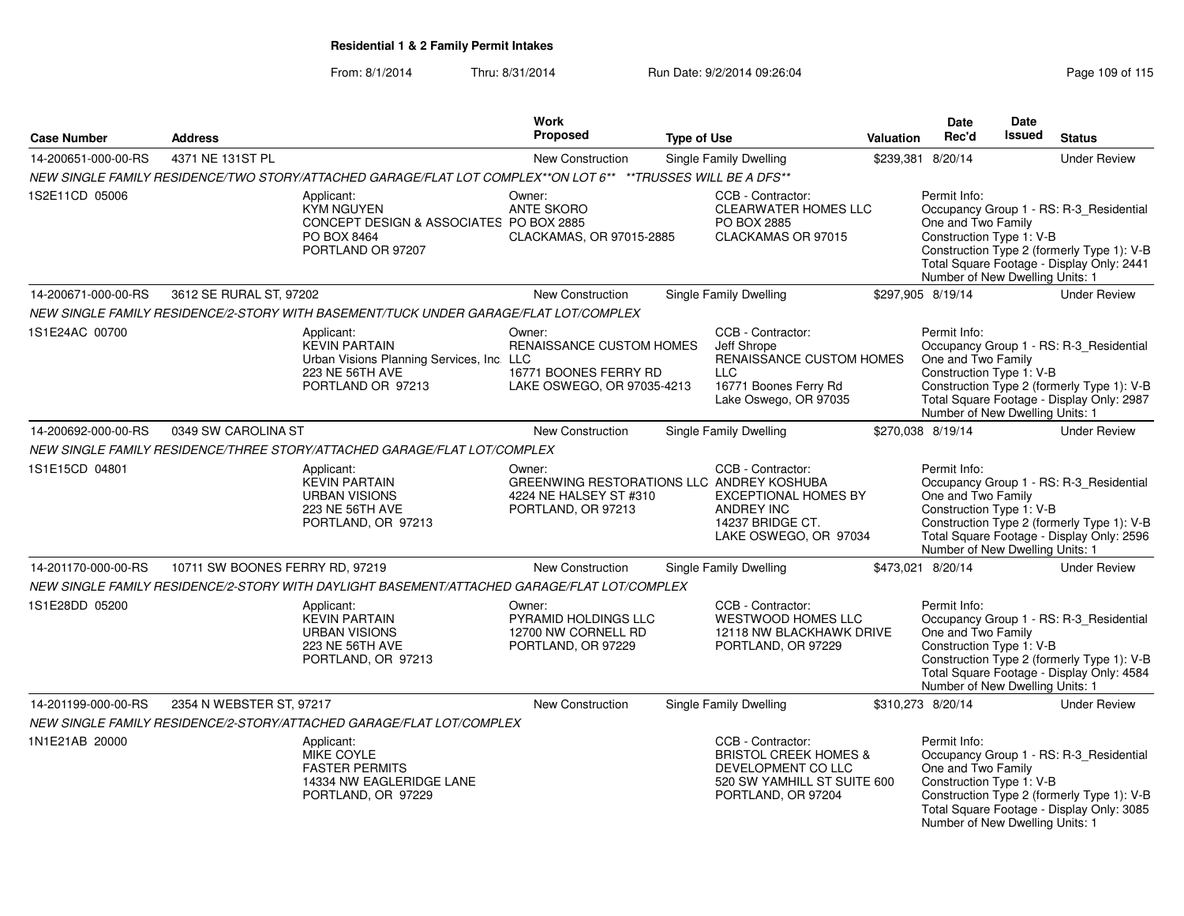| <b>Case Number</b>  | <b>Address</b>                  |                                                                                                                         | Work<br>Proposed                                                                                    | <b>Type of Use</b> |                                                                                                                                  | <b>Valuation</b> | <b>Date</b><br>Rec'd                                                                              | Date<br>Issued | <b>Status</b>                                                                                                                      |
|---------------------|---------------------------------|-------------------------------------------------------------------------------------------------------------------------|-----------------------------------------------------------------------------------------------------|--------------------|----------------------------------------------------------------------------------------------------------------------------------|------------------|---------------------------------------------------------------------------------------------------|----------------|------------------------------------------------------------------------------------------------------------------------------------|
| 14-200651-000-00-RS | 4371 NE 131ST PL                |                                                                                                                         | New Construction                                                                                    |                    | <b>Single Family Dwelling</b>                                                                                                    |                  | \$239,381 8/20/14                                                                                 |                | <b>Under Review</b>                                                                                                                |
|                     |                                 | NEW SINGLE FAMILY RESIDENCE/TWO STORY/ATTACHED GARAGE/FLAT LOT COMPLEX**ON LOT 6** **TRUSSES WILL BE A DFS**            |                                                                                                     |                    |                                                                                                                                  |                  |                                                                                                   |                |                                                                                                                                    |
| 1S2E11CD 05006      |                                 | Applicant:<br><b>KYM NGUYEN</b><br>CONCEPT DESIGN & ASSOCIATES PO BOX 2885<br>PO BOX 8464<br>PORTLAND OR 97207          | Owner:<br><b>ANTE SKORO</b><br>CLACKAMAS, OR 97015-2885                                             |                    | CCB - Contractor:<br><b>CLEARWATER HOMES LLC</b><br>PO BOX 2885<br>CLACKAMAS OR 97015                                            |                  | Permit Info:<br>One and Two Family<br>Construction Type 1: V-B<br>Number of New Dwelling Units: 1 |                | Occupancy Group 1 - RS: R-3_Residential<br>Construction Type 2 (formerly Type 1): V-B<br>Total Square Footage - Display Only: 2441 |
| 14-200671-000-00-RS | 3612 SE RURAL ST, 97202         |                                                                                                                         | <b>New Construction</b>                                                                             |                    | <b>Single Family Dwelling</b>                                                                                                    |                  | \$297,905 8/19/14                                                                                 |                | <b>Under Review</b>                                                                                                                |
|                     |                                 | NEW SINGLE FAMILY RESIDENCE/2-STORY WITH BASEMENT/TUCK UNDER GARAGE/FLAT LOT/COMPLEX                                    |                                                                                                     |                    |                                                                                                                                  |                  |                                                                                                   |                |                                                                                                                                    |
| 1S1E24AC 00700      |                                 | Applicant:<br><b>KEVIN PARTAIN</b><br>Urban Visions Planning Services, Inc. LLC<br>223 NE 56TH AVE<br>PORTLAND OR 97213 | Owner:<br>RENAISSANCE CUSTOM HOMES<br>16771 BOONES FERRY RD<br>LAKE OSWEGO, OR 97035-4213           |                    | CCB - Contractor:<br>Jeff Shrope<br>RENAISSANCE CUSTOM HOMES<br><b>LLC</b><br>16771 Boones Ferry Rd<br>Lake Oswego, OR 97035     |                  | Permit Info:<br>One and Two Family<br>Construction Type 1: V-B<br>Number of New Dwelling Units: 1 |                | Occupancy Group 1 - RS: R-3_Residential<br>Construction Type 2 (formerly Type 1): V-B<br>Total Square Footage - Display Only: 2987 |
| 14-200692-000-00-RS | 0349 SW CAROLINA ST             |                                                                                                                         | New Construction                                                                                    |                    | Single Family Dwelling                                                                                                           |                  | \$270,038 8/19/14                                                                                 |                | <b>Under Review</b>                                                                                                                |
|                     |                                 | NEW SINGLE FAMILY RESIDENCE/THREE STORY/ATTACHED GARAGE/FLAT LOT/COMPLEX                                                |                                                                                                     |                    |                                                                                                                                  |                  |                                                                                                   |                |                                                                                                                                    |
| 1S1E15CD 04801      |                                 | Applicant:<br><b>KEVIN PARTAIN</b><br><b>URBAN VISIONS</b><br>223 NE 56TH AVE<br>PORTLAND, OR 97213                     | Owner:<br>GREENWING RESTORATIONS LLC ANDREY KOSHUBA<br>4224 NE HALSEY ST #310<br>PORTLAND, OR 97213 |                    | CCB - Contractor:<br><b>EXCEPTIONAL HOMES BY</b><br>ANDREY INC<br>14237 BRIDGE CT.<br>LAKE OSWEGO, OR 97034                      |                  | Permit Info:<br>One and Two Family<br>Construction Type 1: V-B<br>Number of New Dwelling Units: 1 |                | Occupancy Group 1 - RS: R-3 Residential<br>Construction Type 2 (formerly Type 1): V-B<br>Total Square Footage - Display Only: 2596 |
| 14-201170-000-00-RS | 10711 SW BOONES FERRY RD, 97219 |                                                                                                                         | <b>New Construction</b>                                                                             |                    | Single Family Dwelling                                                                                                           |                  | \$473,021 8/20/14                                                                                 |                | <b>Under Review</b>                                                                                                                |
|                     |                                 | NEW SINGLE FAMILY RESIDENCE/2-STORY WITH DAYLIGHT BASEMENT/ATTACHED GARAGE/FLAT LOT/COMPLEX                             |                                                                                                     |                    |                                                                                                                                  |                  |                                                                                                   |                |                                                                                                                                    |
| 1S1E28DD 05200      |                                 | Applicant:<br><b>KEVIN PARTAIN</b><br><b>URBAN VISIONS</b><br>223 NE 56TH AVE<br>PORTLAND, OR 97213                     | Owner:<br>PYRAMID HOLDINGS LLC<br>12700 NW CORNELL RD<br>PORTLAND, OR 97229                         |                    | CCB - Contractor:<br><b>WESTWOOD HOMES LLC</b><br>12118 NW BLACKHAWK DRIVE<br>PORTLAND, OR 97229                                 |                  | Permit Info:<br>One and Two Family<br>Construction Type 1: V-B<br>Number of New Dwelling Units: 1 |                | Occupancy Group 1 - RS: R-3 Residential<br>Construction Type 2 (formerly Type 1): V-B<br>Total Square Footage - Display Only: 4584 |
| 14-201199-000-00-RS | 2354 N WEBSTER ST, 97217        |                                                                                                                         | New Construction                                                                                    |                    | Single Family Dwelling                                                                                                           |                  | \$310,273 8/20/14                                                                                 |                | <b>Under Review</b>                                                                                                                |
|                     |                                 | NEW SINGLE FAMILY RESIDENCE/2-STORY/ATTACHED GARAGE/FLAT LOT/COMPLEX                                                    |                                                                                                     |                    |                                                                                                                                  |                  |                                                                                                   |                |                                                                                                                                    |
| 1N1E21AB 20000      |                                 | Applicant:<br>MIKE COYLE<br><b>FASTER PERMITS</b><br>14334 NW EAGLERIDGE LANE<br>PORTLAND, OR 97229                     |                                                                                                     |                    | CCB - Contractor:<br><b>BRISTOL CREEK HOMES &amp;</b><br>DEVELOPMENT CO LLC<br>520 SW YAMHILL ST SUITE 600<br>PORTLAND, OR 97204 |                  | Permit Info:<br>One and Two Family<br>Construction Type 1: V-B<br>Number of New Dwelling Units: 1 |                | Occupancy Group 1 - RS: R-3_Residential<br>Construction Type 2 (formerly Type 1): V-B<br>Total Square Footage - Display Only: 3085 |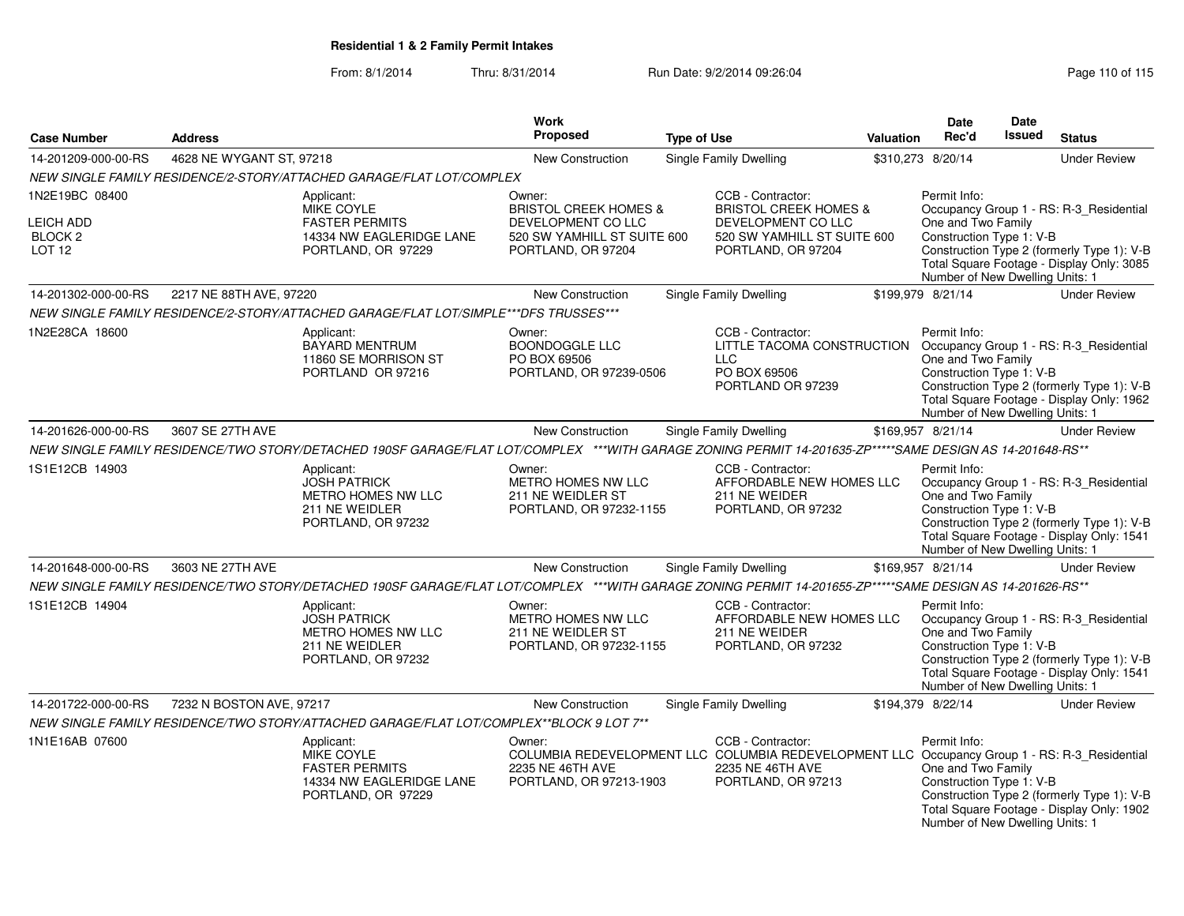| <b>Case Number</b>                                       | <b>Address</b>           |                                                                                                                                                          | <b>Work</b><br><b>Proposed</b>                                                                                                                         | <b>Type of Use</b>                              | Valuation                                                                               | <b>Date</b><br>Rec'd                                                                              | Date<br>Issued | <b>Status</b>                                                                                                                      |
|----------------------------------------------------------|--------------------------|----------------------------------------------------------------------------------------------------------------------------------------------------------|--------------------------------------------------------------------------------------------------------------------------------------------------------|-------------------------------------------------|-----------------------------------------------------------------------------------------|---------------------------------------------------------------------------------------------------|----------------|------------------------------------------------------------------------------------------------------------------------------------|
| 14-201209-000-00-RS                                      | 4628 NE WYGANT ST, 97218 |                                                                                                                                                          | <b>New Construction</b>                                                                                                                                | <b>Single Family Dwelling</b>                   |                                                                                         | \$310,273 8/20/14                                                                                 |                | <b>Under Review</b>                                                                                                                |
|                                                          |                          | NEW SINGLE FAMILY RESIDENCE/2-STORY/ATTACHED GARAGE/FLAT LOT/COMPLEX                                                                                     |                                                                                                                                                        |                                                 |                                                                                         |                                                                                                   |                |                                                                                                                                    |
| 1N2E19BC 08400<br><b>LEICH ADD</b><br>BLOCK <sub>2</sub> |                          | Applicant:<br><b>MIKE COYLE</b><br><b>FASTER PERMITS</b><br>14334 NW EAGLERIDGE LANE                                                                     | Owner:<br><b>BRISTOL CREEK HOMES &amp;</b><br>DEVELOPMENT CO LLC<br>520 SW YAMHILL ST SUITE 600                                                        | CCB - Contractor:                               | <b>BRISTOL CREEK HOMES &amp;</b><br>DEVELOPMENT CO LLC<br>520 SW YAMHILL ST SUITE 600   | Permit Info:<br>One and Two Family<br>Construction Type 1: V-B                                    |                | Occupancy Group 1 - RS: R-3_Residential                                                                                            |
| LOT <sub>12</sub>                                        |                          | PORTLAND, OR 97229                                                                                                                                       | PORTLAND, OR 97204                                                                                                                                     |                                                 | PORTLAND, OR 97204                                                                      | Number of New Dwelling Units: 1                                                                   |                | Construction Type 2 (formerly Type 1): V-B<br>Total Square Footage - Display Only: 3085                                            |
| 14-201302-000-00-RS                                      | 2217 NE 88TH AVE, 97220  |                                                                                                                                                          | <b>New Construction</b>                                                                                                                                | <b>Single Family Dwelling</b>                   |                                                                                         | \$199.979 8/21/14                                                                                 |                | <b>Under Review</b>                                                                                                                |
|                                                          |                          | NEW SINGLE FAMILY RESIDENCE/2-STORY/ATTACHED GARAGE/FLAT LOT/SIMPLE***DFS TRUSSES***                                                                     |                                                                                                                                                        |                                                 |                                                                                         |                                                                                                   |                |                                                                                                                                    |
| 1N2E28CA 18600                                           |                          | Applicant:<br><b>BAYARD MENTRUM</b><br>11860 SE MORRISON ST<br>PORTLAND OR 97216                                                                         | Owner:<br><b>BOONDOGGLE LLC</b><br>PO BOX 69506<br>PORTLAND, OR 97239-0506                                                                             | CCB - Contractor:<br><b>LLC</b><br>PO BOX 69506 | LITTLE TACOMA CONSTRUCTION Occupancy Group 1 - RS: R-3 Residential<br>PORTLAND OR 97239 | Permit Info:<br>One and Two Family<br>Construction Type 1: V-B<br>Number of New Dwelling Units: 1 |                | Construction Type 2 (formerly Type 1): V-B<br>Total Square Footage - Display Only: 1962                                            |
| 14-201626-000-00-RS                                      | 3607 SE 27TH AVE         |                                                                                                                                                          | <b>New Construction</b>                                                                                                                                | Single Family Dwelling                          |                                                                                         | \$169,957 8/21/14                                                                                 |                | <b>Under Review</b>                                                                                                                |
|                                                          |                          | NEW SINGLE FAMILY RESIDENCE/TWO STORY/DETACHED 190SF GARAGE/FLAT LOT/COMPLEX ***WITH GARAGE ZONING PERMIT 14-201635-ZP*****SAME DESIGN AS 14-201648-RS** |                                                                                                                                                        |                                                 |                                                                                         |                                                                                                   |                |                                                                                                                                    |
| 1S1E12CB 14903                                           |                          | Applicant:<br><b>JOSH PATRICK</b><br><b>METRO HOMES NW LLC</b><br>211 NE WEIDLER<br>PORTLAND, OR 97232                                                   | Owner:<br>METRO HOMES NW LLC<br>211 NE WEIDLER ST<br>PORTLAND, OR 97232-1155                                                                           | CCB - Contractor:<br>211 NE WEIDER              | AFFORDABLE NEW HOMES LLC<br>PORTLAND, OR 97232                                          | Permit Info:<br>One and Two Family<br>Construction Type 1: V-B<br>Number of New Dwelling Units: 1 |                | Occupancy Group 1 - RS: R-3_Residential<br>Construction Type 2 (formerly Type 1): V-B<br>Total Square Footage - Display Only: 1541 |
| 14-201648-000-00-RS                                      | 3603 NE 27TH AVE         |                                                                                                                                                          | New Construction                                                                                                                                       | Single Family Dwelling                          |                                                                                         | \$169,957 8/21/14                                                                                 |                | <b>Under Review</b>                                                                                                                |
|                                                          |                          | NEW SINGLE FAMILY RESIDENCE/TWO STORY/DETACHED 190SF GARAGE/FLAT LOT/COMPLEX ***WITH GARAGE ZONING PERMIT 14-201655-ZP*****SAME DESIGN AS 14-201626-RS** |                                                                                                                                                        |                                                 |                                                                                         |                                                                                                   |                |                                                                                                                                    |
| 1S1E12CB 14904                                           |                          | Applicant:<br><b>JOSH PATRICK</b><br>METRO HOMES NW LLC<br>211 NE WEIDLER<br>PORTLAND, OR 97232                                                          | Owner:<br>METRO HOMES NW LLC<br>211 NE WEIDLER ST<br>PORTLAND, OR 97232-1155                                                                           | CCB - Contractor:<br>211 NE WEIDER              | AFFORDABLE NEW HOMES LLC<br>PORTLAND, OR 97232                                          | Permit Info:<br>One and Two Family<br>Construction Type 1: V-B<br>Number of New Dwelling Units: 1 |                | Occupancy Group 1 - RS: R-3_Residential<br>Construction Type 2 (formerly Type 1): V-B<br>Total Square Footage - Display Only: 1541 |
| 14-201722-000-00-RS                                      | 7232 N BOSTON AVE, 97217 |                                                                                                                                                          | New Construction                                                                                                                                       | Single Family Dwelling                          |                                                                                         | \$194,379 8/22/14                                                                                 |                | <b>Under Review</b>                                                                                                                |
|                                                          |                          | NEW SINGLE FAMILY RESIDENCE/TWO STORY/ATTACHED GARAGE/FLAT LOT/COMPLEX**BLOCK 9 LOT 7**                                                                  |                                                                                                                                                        |                                                 |                                                                                         |                                                                                                   |                |                                                                                                                                    |
| 1N1E16AB 07600                                           |                          | Applicant:<br><b>MIKE COYLE</b><br><b>FASTER PERMITS</b><br>14334 NW EAGLERIDGE LANE<br>PORTLAND, OR 97229                                               | Owner:<br>COLUMBIA REDEVELOPMENT LLC COLUMBIA REDEVELOPMENT LLC Occupancy Group 1 - RS: R-3_Residential<br>2235 NE 46TH AVE<br>PORTLAND, OR 97213-1903 | CCB - Contractor:                               | 2235 NE 46TH AVE<br>PORTLAND, OR 97213                                                  | Permit Info:<br>One and Two Family<br>Construction Type 1: V-B<br>Number of New Dwelling Units: 1 |                | Construction Type 2 (formerly Type 1): V-B<br>Total Square Footage - Display Only: 1902                                            |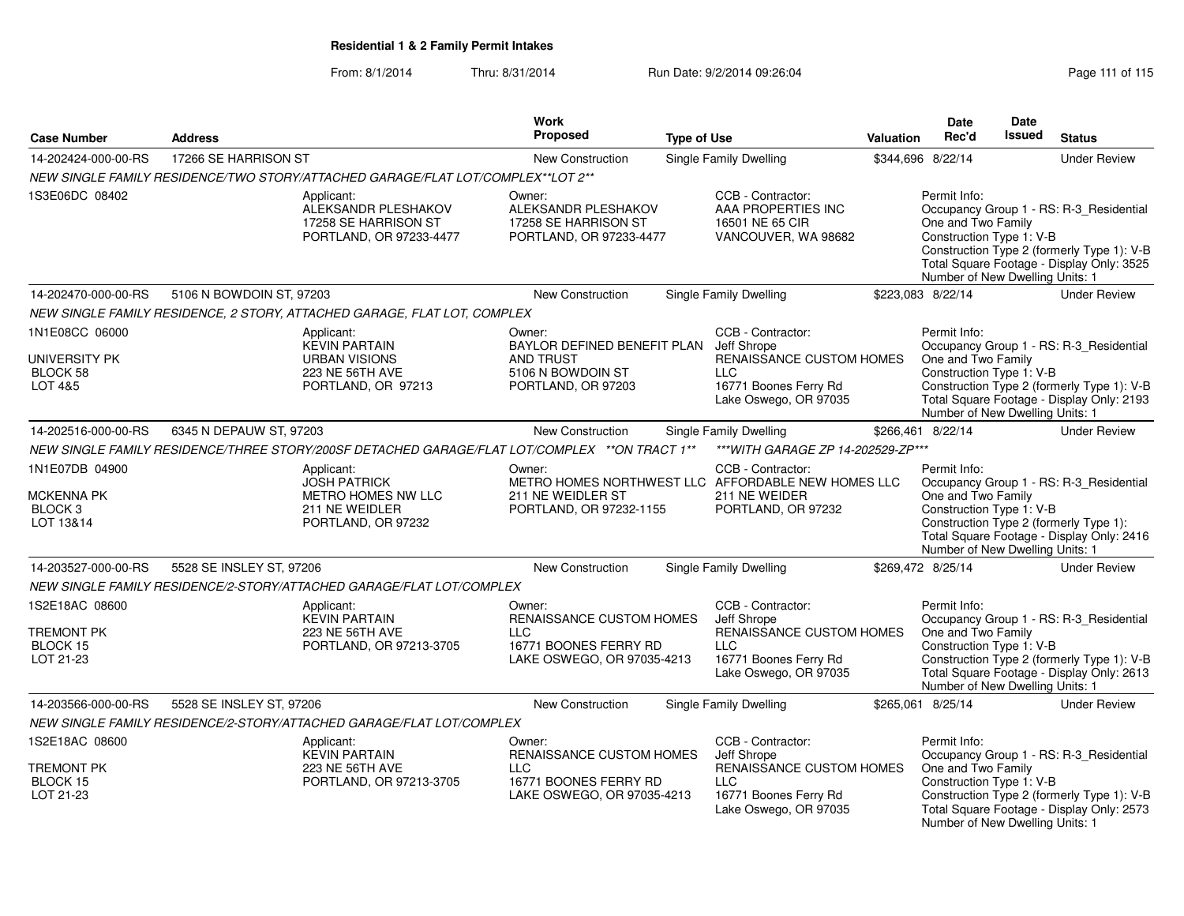From: 8/1/2014Thru: 8/31/2014 Run Date: 9/2/2014 09:26:04 Research 2010 115

| <b>Case Number</b>                                                     | <b>Address</b>           |                                                                                                     | Work<br><b>Proposed</b>                                                                                        | <b>Type of Use</b> |                                                                                                                                     | <b>Valuation</b> | Date<br>Rec'd                                                                                     | Date<br>Issued | <b>Status</b>                                                                                                                      |
|------------------------------------------------------------------------|--------------------------|-----------------------------------------------------------------------------------------------------|----------------------------------------------------------------------------------------------------------------|--------------------|-------------------------------------------------------------------------------------------------------------------------------------|------------------|---------------------------------------------------------------------------------------------------|----------------|------------------------------------------------------------------------------------------------------------------------------------|
| 14-202424-000-00-RS                                                    | 17266 SE HARRISON ST     |                                                                                                     | New Construction                                                                                               |                    | Single Family Dwelling                                                                                                              |                  | \$344,696 8/22/14                                                                                 |                | <b>Under Review</b>                                                                                                                |
|                                                                        |                          | NEW SINGLE FAMILY RESIDENCE/TWO STORY/ATTACHED GARAGE/FLAT LOT/COMPLEX**LOT 2**                     |                                                                                                                |                    |                                                                                                                                     |                  |                                                                                                   |                |                                                                                                                                    |
| 1S3E06DC 08402                                                         |                          | Applicant:<br>ALEKSANDR PLESHAKOV<br>17258 SE HARRISON ST<br>PORTLAND, OR 97233-4477                | Owner:<br>ALEKSANDR PLESHAKOV<br>17258 SE HARRISON ST<br>PORTLAND, OR 97233-4477                               |                    | CCB - Contractor:<br>AAA PROPERTIES INC<br>16501 NE 65 CIR<br>VANCOUVER, WA 98682                                                   |                  | Permit Info:<br>One and Two Family<br>Construction Type 1: V-B<br>Number of New Dwelling Units: 1 |                | Occupancy Group 1 - RS: R-3_Residential<br>Construction Type 2 (formerly Type 1): V-B<br>Total Square Footage - Display Only: 3525 |
| 14-202470-000-00-RS                                                    | 5106 N BOWDOIN ST, 97203 |                                                                                                     | <b>New Construction</b>                                                                                        |                    | <b>Single Family Dwelling</b>                                                                                                       |                  | \$223.083 8/22/14                                                                                 |                | <b>Under Review</b>                                                                                                                |
|                                                                        |                          | NEW SINGLE FAMILY RESIDENCE, 2 STORY, ATTACHED GARAGE, FLAT LOT, COMPLEX                            |                                                                                                                |                    |                                                                                                                                     |                  |                                                                                                   |                |                                                                                                                                    |
| 1N1E08CC 06000<br>UNIVERSITY PK<br>BLOCK 58<br>LOT 4&5                 |                          | Applicant:<br><b>KEVIN PARTAIN</b><br><b>URBAN VISIONS</b><br>223 NE 56TH AVE<br>PORTLAND, OR 97213 | Owner:<br>BAYLOR DEFINED BENEFIT PLAN<br><b>AND TRUST</b><br>5106 N BOWDOIN ST<br>PORTLAND, OR 97203           |                    | CCB - Contractor:<br>Jeff Shrope<br><b>RENAISSANCE CUSTOM HOMES</b><br><b>LLC</b><br>16771 Boones Ferry Rd<br>Lake Oswego, OR 97035 |                  | Permit Info:<br>One and Two Family<br>Construction Type 1: V-B<br>Number of New Dwelling Units: 1 |                | Occupancy Group 1 - RS: R-3_Residential<br>Construction Type 2 (formerly Type 1): V-B<br>Total Square Footage - Display Only: 2193 |
| 14-202516-000-00-RS                                                    | 6345 N DEPAUW ST, 97203  |                                                                                                     | <b>New Construction</b>                                                                                        |                    | Single Family Dwelling                                                                                                              |                  | \$266,461 8/22/14                                                                                 |                | <b>Under Review</b>                                                                                                                |
|                                                                        |                          | NEW SINGLE FAMILY RESIDENCE/THREE STORY/200SF DETACHED GARAGE/FLAT LOT/COMPLEX **ON TRACT 1**       |                                                                                                                |                    | *** WITH GARAGE ZP 14-202529-ZP***                                                                                                  |                  |                                                                                                   |                |                                                                                                                                    |
| 1N1E07DB 04900<br><b>MCKENNA PK</b><br>BLOCK <sub>3</sub><br>LOT 13&14 |                          | Applicant:<br><b>JOSH PATRICK</b><br>METRO HOMES NW LLC<br>211 NE WEIDLER<br>PORTLAND, OR 97232     | Owner:<br>211 NE WEIDLER ST<br>PORTLAND, OR 97232-1155                                                         |                    | CCB - Contractor:<br>METRO HOMES NORTHWEST LLC AFFORDABLE NEW HOMES LLC<br>211 NE WEIDER<br>PORTLAND, OR 97232                      |                  | Permit Info:<br>One and Two Family<br>Construction Type 1: V-B<br>Number of New Dwelling Units: 1 |                | Occupancy Group 1 - RS: R-3_Residential<br>Construction Type 2 (formerly Type 1):<br>Total Square Footage - Display Only: 2416     |
| 14-203527-000-00-RS                                                    | 5528 SE INSLEY ST, 97206 |                                                                                                     | New Construction                                                                                               |                    | <b>Single Family Dwelling</b>                                                                                                       |                  | \$269,472 8/25/14                                                                                 |                | <b>Under Review</b>                                                                                                                |
|                                                                        |                          | NEW SINGLE FAMILY RESIDENCE/2-STORY/ATTACHED GARAGE/FLAT LOT/COMPLEX                                |                                                                                                                |                    |                                                                                                                                     |                  |                                                                                                   |                |                                                                                                                                    |
| 1S2E18AC 08600<br><b>TREMONT PK</b><br>BLOCK 15<br>LOT 21-23           |                          | Applicant:<br><b>KEVIN PARTAIN</b><br>223 NE 56TH AVE<br>PORTLAND, OR 97213-3705                    | Owner:<br><b>RENAISSANCE CUSTOM HOMES</b><br><b>LLC</b><br>16771 BOONES FERRY RD<br>LAKE OSWEGO, OR 97035-4213 |                    | CCB - Contractor:<br>Jeff Shrope<br>RENAISSANCE CUSTOM HOMES<br><b>LLC</b><br>16771 Boones Ferry Rd<br>Lake Oswego, OR 97035        |                  | Permit Info:<br>One and Two Family<br>Construction Type 1: V-B<br>Number of New Dwelling Units: 1 |                | Occupancy Group 1 - RS: R-3 Residential<br>Construction Type 2 (formerly Type 1): V-B<br>Total Square Footage - Display Only: 2613 |
| 14-203566-000-00-RS                                                    | 5528 SE INSLEY ST, 97206 |                                                                                                     | New Construction                                                                                               |                    | <b>Single Family Dwelling</b>                                                                                                       |                  | \$265,061 8/25/14                                                                                 |                | <b>Under Review</b>                                                                                                                |
|                                                                        |                          | NEW SINGLE FAMILY RESIDENCE/2-STORY/ATTACHED GARAGE/FLAT LOT/COMPLEX                                |                                                                                                                |                    |                                                                                                                                     |                  |                                                                                                   |                |                                                                                                                                    |
| 1S2E18AC 08600<br>TREMONT PK<br>BLOCK 15<br>LOT 21-23                  |                          | Applicant:<br><b>KEVIN PARTAIN</b><br>223 NE 56TH AVE<br>PORTLAND, OR 97213-3705                    | Owner:<br>RENAISSANCE CUSTOM HOMES<br><b>LLC</b><br>16771 BOONES FERRY RD<br>LAKE OSWEGO, OR 97035-4213        |                    | CCB - Contractor:<br>Jeff Shrope<br>RENAISSANCE CUSTOM HOMES<br><b>LLC</b><br>16771 Boones Ferry Rd<br>Lake Oswego, OR 97035        |                  | Permit Info:<br>One and Two Family<br>Construction Type 1: V-B<br>Number of New Dwelling Units: 1 |                | Occupancy Group 1 - RS: R-3 Residential<br>Construction Type 2 (formerly Type 1): V-B<br>Total Square Footage - Display Only: 2573 |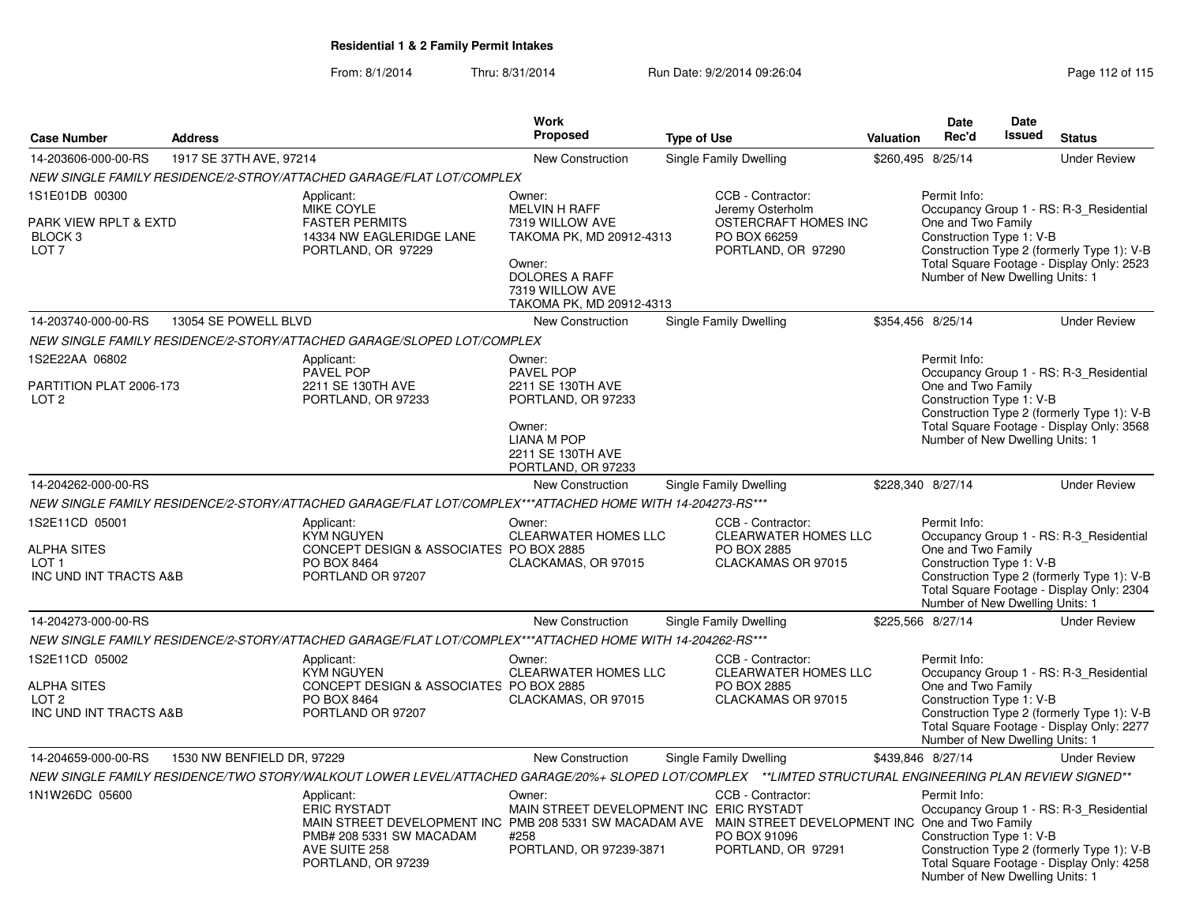|                                                                             |                            |                                                                                                                                                                                                                | <b>Work</b>                                                                                                                                              |                                                                                                     |           | <b>Date</b>                                                                                       | <b>Date</b>   |                                                                                                                                    |
|-----------------------------------------------------------------------------|----------------------------|----------------------------------------------------------------------------------------------------------------------------------------------------------------------------------------------------------------|----------------------------------------------------------------------------------------------------------------------------------------------------------|-----------------------------------------------------------------------------------------------------|-----------|---------------------------------------------------------------------------------------------------|---------------|------------------------------------------------------------------------------------------------------------------------------------|
| <b>Case Number</b>                                                          | <b>Address</b>             |                                                                                                                                                                                                                | Proposed                                                                                                                                                 | <b>Type of Use</b>                                                                                  | Valuation | Rec'd                                                                                             | <b>Issued</b> | <b>Status</b>                                                                                                                      |
| 14-203606-000-00-RS                                                         | 1917 SE 37TH AVE, 97214    |                                                                                                                                                                                                                | New Construction                                                                                                                                         | Single Family Dwelling                                                                              |           | \$260,495 8/25/14                                                                                 |               | <b>Under Review</b>                                                                                                                |
|                                                                             |                            | NEW SINGLE FAMILY RESIDENCE/2-STROY/ATTACHED GARAGE/FLAT LOT/COMPLEX                                                                                                                                           |                                                                                                                                                          |                                                                                                     |           |                                                                                                   |               |                                                                                                                                    |
| 1S1E01DB 00300<br>PARK VIEW RPLT & EXTD<br>BLOCK 3<br>LOT <sub>7</sub>      |                            | Applicant:<br>MIKE COYLE<br><b>FASTER PERMITS</b><br>14334 NW EAGLERIDGE LANE<br>PORTLAND, OR 97229                                                                                                            | Owner:<br><b>MELVIN H RAFF</b><br>7319 WILLOW AVE<br>TAKOMA PK, MD 20912-4313<br>Owner:<br>DOLORES A RAFF<br>7319 WILLOW AVE<br>TAKOMA PK, MD 20912-4313 | CCB - Contractor:<br>Jeremy Osterholm<br>OSTERCRAFT HOMES INC<br>PO BOX 66259<br>PORTLAND, OR 97290 |           | Permit Info:<br>One and Two Family<br>Construction Type 1: V-B<br>Number of New Dwelling Units: 1 |               | Occupancy Group 1 - RS: R-3_Residential<br>Construction Type 2 (formerly Type 1): V-B<br>Total Square Footage - Display Only: 2523 |
| 14-203740-000-00-RS                                                         | 13054 SE POWELL BLVD       |                                                                                                                                                                                                                | <b>New Construction</b>                                                                                                                                  | Single Family Dwelling                                                                              |           | \$354,456 8/25/14                                                                                 |               | <b>Under Review</b>                                                                                                                |
|                                                                             |                            | NEW SINGLE FAMILY RESIDENCE/2-STORY/ATTACHED GARAGE/SLOPED LOT/COMPLEX                                                                                                                                         |                                                                                                                                                          |                                                                                                     |           |                                                                                                   |               |                                                                                                                                    |
| 1S2E22AA 06802<br>PARTITION PLAT 2006-173<br>LOT <sub>2</sub>               |                            | Applicant:<br>PAVEL POP<br>2211 SE 130TH AVE<br>PORTLAND, OR 97233                                                                                                                                             | Owner:<br><b>PAVEL POP</b><br>2211 SE 130TH AVE<br>PORTLAND, OR 97233<br>Owner:<br><b>LIANA M POP</b><br>2211 SE 130TH AVE<br>PORTLAND, OR 97233         |                                                                                                     |           | Permit Info:<br>One and Two Family<br>Construction Type 1: V-B<br>Number of New Dwelling Units: 1 |               | Occupancy Group 1 - RS: R-3 Residential<br>Construction Type 2 (formerly Type 1): V-B<br>Total Square Footage - Display Only: 3568 |
| 14-204262-000-00-RS                                                         |                            |                                                                                                                                                                                                                | <b>New Construction</b>                                                                                                                                  | Single Family Dwelling                                                                              |           | \$228,340 8/27/14                                                                                 |               | <b>Under Review</b>                                                                                                                |
|                                                                             |                            | NEW SINGLE FAMILY RESIDENCE/2-STORY/ATTACHED GARAGE/FLAT LOT/COMPLEX***ATTACHED HOME WITH 14-204273-RS***                                                                                                      |                                                                                                                                                          |                                                                                                     |           |                                                                                                   |               |                                                                                                                                    |
| 1S2E11CD 05001<br>ALPHA SITES<br>LOT <sub>1</sub><br>INC UND INT TRACTS A&B |                            | Applicant:<br><b>KYM NGUYEN</b><br>CONCEPT DESIGN & ASSOCIATES PO BOX 2885<br>PO BOX 8464<br>PORTLAND OR 97207                                                                                                 | Owner:<br><b>CLEARWATER HOMES LLC</b><br>CLACKAMAS, OR 97015                                                                                             | CCB - Contractor:<br><b>CLEARWATER HOMES LLC</b><br>PO BOX 2885<br>CLACKAMAS OR 97015               |           | Permit Info:<br>One and Two Family<br>Construction Type 1: V-B<br>Number of New Dwelling Units: 1 |               | Occupancy Group 1 - RS: R-3 Residential<br>Construction Type 2 (formerly Type 1): V-B<br>Total Square Footage - Display Only: 2304 |
| 14-204273-000-00-RS                                                         |                            |                                                                                                                                                                                                                | <b>New Construction</b>                                                                                                                                  | Single Family Dwelling                                                                              |           | \$225,566 8/27/14                                                                                 |               | <b>Under Review</b>                                                                                                                |
|                                                                             |                            | NEW SINGLE FAMILY RESIDENCE/2-STORY/ATTACHED GARAGE/FLAT LOT/COMPLEX***ATTACHED HOME WITH 14-204262-RS***                                                                                                      |                                                                                                                                                          |                                                                                                     |           |                                                                                                   |               |                                                                                                                                    |
| 1S2E11CD 05002<br>ALPHA SITES<br>LOT <sub>2</sub><br>INC UND INT TRACTS A&B |                            | Applicant:<br><b>KYM NGUYEN</b><br>CONCEPT DESIGN & ASSOCIATES PO BOX 2885<br>PO BOX 8464<br>PORTLAND OR 97207                                                                                                 | Owner:<br><b>CLEARWATER HOMES LLC</b><br>CLACKAMAS, OR 97015                                                                                             | CCB - Contractor:<br><b>CLEARWATER HOMES LLC</b><br>PO BOX 2885<br>CLACKAMAS OR 97015               |           | Permit Info:<br>One and Two Family<br>Construction Type 1: V-B<br>Number of New Dwelling Units: 1 |               | Occupancy Group 1 - RS: R-3 Residential<br>Construction Type 2 (formerly Type 1): V-B<br>Total Square Footage - Display Only: 2277 |
| 14-204659-000-00-RS                                                         | 1530 NW BENFIELD DR, 97229 |                                                                                                                                                                                                                | New Construction                                                                                                                                         | Single Family Dwelling                                                                              |           | \$439,846 8/27/14                                                                                 |               | <b>Under Review</b>                                                                                                                |
|                                                                             |                            | NEW SINGLE FAMILY RESIDENCE/TWO STORY/WALKOUT LOWER LEVEL/ATTACHED GARAGE/20%+ SLOPED LOT/COMPLEX **LIMTED STRUCTURAL ENGINEERING PLAN REVIEW SIGNED**                                                         |                                                                                                                                                          |                                                                                                     |           |                                                                                                   |               |                                                                                                                                    |
| 1N1W26DC 05600                                                              |                            | Applicant:<br><b>ERIC RYSTADT</b><br>MAIN STREET DEVELOPMENT INC PMB 208 5331 SW MACADAM AVE MAIN STREET DEVELOPMENT INC One and Two Family<br>PMB# 208 5331 SW MACADAM<br>AVE SUITE 258<br>PORTLAND, OR 97239 | Owner:<br>MAIN STREET DEVELOPMENT INC ERIC RYSTADT<br>#258<br>PORTLAND, OR 97239-3871                                                                    | CCB - Contractor:<br>PO BOX 91096<br>PORTLAND, OR 97291                                             |           | Permit Info:<br>Construction Type 1: V-B<br>Number of New Dwelling Units: 1                       |               | Occupancy Group 1 - RS: R-3_Residential<br>Construction Type 2 (formerly Type 1): V-B<br>Total Square Footage - Display Only: 4258 |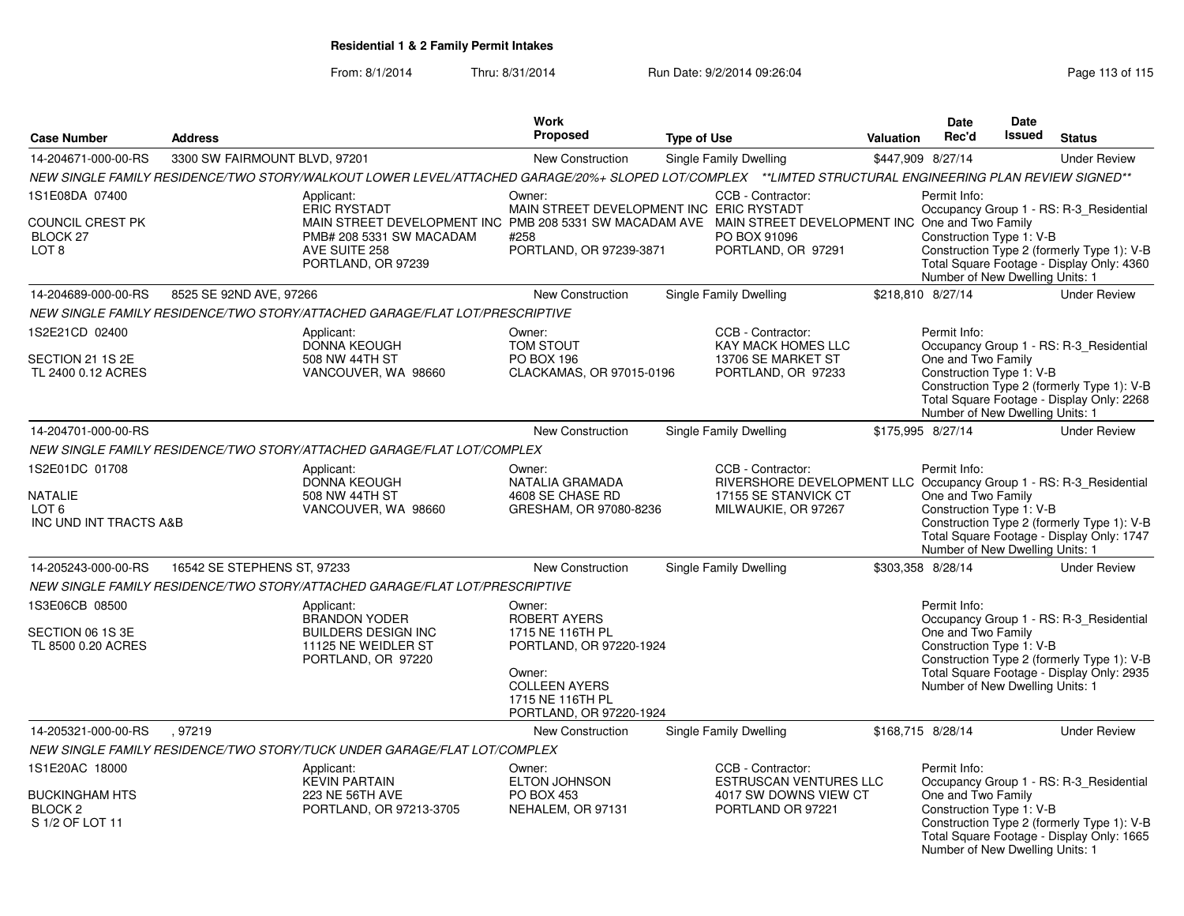|                                                                                  |                                                                                                                                                        |                                                                                                 | <b>Work</b>                                                                                                                                                                                     |                                   |                                                                                                                   | <b>Date</b>                                                                                       | <b>Date</b>   |                                                                                                                                    |
|----------------------------------------------------------------------------------|--------------------------------------------------------------------------------------------------------------------------------------------------------|-------------------------------------------------------------------------------------------------|-------------------------------------------------------------------------------------------------------------------------------------------------------------------------------------------------|-----------------------------------|-------------------------------------------------------------------------------------------------------------------|---------------------------------------------------------------------------------------------------|---------------|------------------------------------------------------------------------------------------------------------------------------------|
| <b>Case Number</b>                                                               | <b>Address</b>                                                                                                                                         |                                                                                                 | <b>Proposed</b>                                                                                                                                                                                 | <b>Type of Use</b>                | <b>Valuation</b>                                                                                                  | Rec'd                                                                                             | <b>Issued</b> | <b>Status</b>                                                                                                                      |
| 14-204671-000-00-RS                                                              | 3300 SW FAIRMOUNT BLVD, 97201                                                                                                                          |                                                                                                 | New Construction                                                                                                                                                                                | Single Family Dwelling            | \$447,909 8/27/14                                                                                                 |                                                                                                   |               | <b>Under Review</b>                                                                                                                |
|                                                                                  | NEW SINGLE FAMILY RESIDENCE/TWO STORY/WALKOUT LOWER LEVEL/ATTACHED GARAGE/20%+ SLOPED LOT/COMPLEX **LIMTED STRUCTURAL ENGINEERING PLAN REVIEW SIGNED** |                                                                                                 |                                                                                                                                                                                                 |                                   |                                                                                                                   |                                                                                                   |               |                                                                                                                                    |
| 1S1E08DA 07400<br><b>COUNCIL CREST PK</b><br>BLOCK 27<br>LOT <sub>8</sub>        | Applicant:<br><b>ERIC RYSTADT</b><br>AVE SUITE 258                                                                                                     | PMB# 208 5331 SW MACADAM<br>PORTLAND, OR 97239                                                  | Owner:<br>MAIN STREET DEVELOPMENT INC ERIC RYSTADT<br>MAIN STREET DEVELOPMENT INC PMB 208 5331 SW MACADAM AVE MAIN STREET DEVELOPMENT INC One and Two Family<br>#258<br>PORTLAND, OR 97239-3871 | CCB - Contractor:<br>PO BOX 91096 | PORTLAND, OR 97291                                                                                                | Permit Info:<br>Construction Type 1: V-B<br>Number of New Dwelling Units: 1                       |               | Occupancy Group 1 - RS: R-3_Residential<br>Construction Type 2 (formerly Type 1): V-B<br>Total Square Footage - Display Only: 4360 |
| 14-204689-000-00-RS                                                              | 8525 SE 92ND AVE, 97266                                                                                                                                |                                                                                                 | New Construction                                                                                                                                                                                | Single Family Dwelling            |                                                                                                                   | \$218,810 8/27/14                                                                                 |               | <b>Under Review</b>                                                                                                                |
|                                                                                  | NEW SINGLE FAMILY RESIDENCE/TWO STORY/ATTACHED GARAGE/FLAT LOT/PRESCRIPTIVE                                                                            |                                                                                                 |                                                                                                                                                                                                 |                                   |                                                                                                                   |                                                                                                   |               |                                                                                                                                    |
| 1S2E21CD 02400<br>SECTION 21 1S 2E<br>TL 2400 0.12 ACRES                         | Applicant:                                                                                                                                             | DONNA KEOUGH<br>508 NW 44TH ST<br>VANCOUVER, WA 98660                                           | Owner:<br><b>TOM STOUT</b><br><b>PO BOX 196</b><br>CLACKAMAS, OR 97015-0196                                                                                                                     | CCB - Contractor:                 | KAY MACK HOMES LLC<br>13706 SE MARKET ST<br>PORTLAND, OR 97233                                                    | Permit Info:<br>One and Two Family<br>Construction Type 1: V-B<br>Number of New Dwelling Units: 1 |               | Occupancy Group 1 - RS: R-3_Residential<br>Construction Type 2 (formerly Type 1): V-B<br>Total Square Footage - Display Only: 2268 |
| 14-204701-000-00-RS                                                              |                                                                                                                                                        |                                                                                                 | New Construction                                                                                                                                                                                | Single Family Dwelling            | \$175,995 8/27/14                                                                                                 |                                                                                                   |               | <b>Under Review</b>                                                                                                                |
|                                                                                  | NEW SINGLE FAMILY RESIDENCE/TWO STORY/ATTACHED GARAGE/FLAT LOT/COMPLEX                                                                                 |                                                                                                 |                                                                                                                                                                                                 |                                   |                                                                                                                   |                                                                                                   |               |                                                                                                                                    |
| 1S2E01DC 01708<br><b>NATALIE</b><br>LOT 6<br>INC UND INT TRACTS A&B              | Applicant:                                                                                                                                             | <b>DONNA KEOUGH</b><br>508 NW 44TH ST<br>VANCOUVER, WA 98660                                    | Owner:<br>NATALIA GRAMADA<br>4608 SE CHASE RD<br>GRESHAM, OR 97080-8236                                                                                                                         | CCB - Contractor:                 | RIVERSHORE DEVELOPMENT LLC Occupancy Group 1 - RS: R-3_Residential<br>17155 SE STANVICK CT<br>MILWAUKIE, OR 97267 | Permit Info:<br>One and Two Family<br>Construction Type 1: V-B<br>Number of New Dwelling Units: 1 |               | Construction Type 2 (formerly Type 1): V-B<br>Total Square Footage - Display Only: 1747                                            |
| 14-205243-000-00-RS                                                              | 16542 SE STEPHENS ST, 97233                                                                                                                            |                                                                                                 | <b>New Construction</b>                                                                                                                                                                         | Single Family Dwelling            |                                                                                                                   | \$303,358 8/28/14                                                                                 |               | <b>Under Review</b>                                                                                                                |
|                                                                                  | NEW SINGLE FAMILY RESIDENCE/TWO STORY/ATTACHED GARAGE/FLAT LOT/PRESCRIPTIVE                                                                            |                                                                                                 |                                                                                                                                                                                                 |                                   |                                                                                                                   |                                                                                                   |               |                                                                                                                                    |
| 1S3E06CB 08500<br>SECTION 06 1S 3E<br>TL 8500 0.20 ACRES                         | Applicant:                                                                                                                                             | <b>BRANDON YODER</b><br><b>BUILDERS DESIGN INC</b><br>11125 NE WEIDLER ST<br>PORTLAND, OR 97220 | Owner:<br><b>ROBERT AYERS</b><br>1715 NE 116TH PL<br>PORTLAND, OR 97220-1924<br>Owner:<br><b>COLLEEN AYERS</b><br>1715 NE 116TH PL<br>PORTLAND, OR 97220-1924                                   |                                   |                                                                                                                   | Permit Info:<br>One and Two Family<br>Construction Type 1: V-B<br>Number of New Dwelling Units: 1 |               | Occupancy Group 1 - RS: R-3_Residential<br>Construction Type 2 (formerly Type 1): V-B<br>Total Square Footage - Display Only: 2935 |
| 14-205321-000-00-RS                                                              | .97219                                                                                                                                                 |                                                                                                 | <b>New Construction</b>                                                                                                                                                                         | Single Family Dwelling            | \$168,715 8/28/14                                                                                                 |                                                                                                   |               | <b>Under Review</b>                                                                                                                |
|                                                                                  | NEW SINGLE FAMILY RESIDENCE/TWO STORY/TUCK UNDER GARAGE/FLAT LOT/COMPLEX                                                                               |                                                                                                 |                                                                                                                                                                                                 |                                   |                                                                                                                   |                                                                                                   |               |                                                                                                                                    |
| 1S1E20AC 18000<br><b>BUCKINGHAM HTS</b><br>BLOCK <sub>2</sub><br>S 1/2 OF LOT 11 | Applicant:                                                                                                                                             | <b>KEVIN PARTAIN</b><br>223 NE 56TH AVE<br>PORTLAND, OR 97213-3705                              | Owner:<br><b>ELTON JOHNSON</b><br><b>PO BOX 453</b><br>NEHALEM, OR 97131                                                                                                                        | CCB - Contractor:                 | ESTRUSCAN VENTURES LLC<br>4017 SW DOWNS VIEW CT<br>PORTLAND OR 97221                                              | Permit Info:<br>One and Two Family<br>Construction Type 1: V-B<br>Number of New Dwelling Units: 1 |               | Occupancy Group 1 - RS: R-3_Residential<br>Construction Type 2 (formerly Type 1): V-B<br>Total Square Footage - Display Only: 1665 |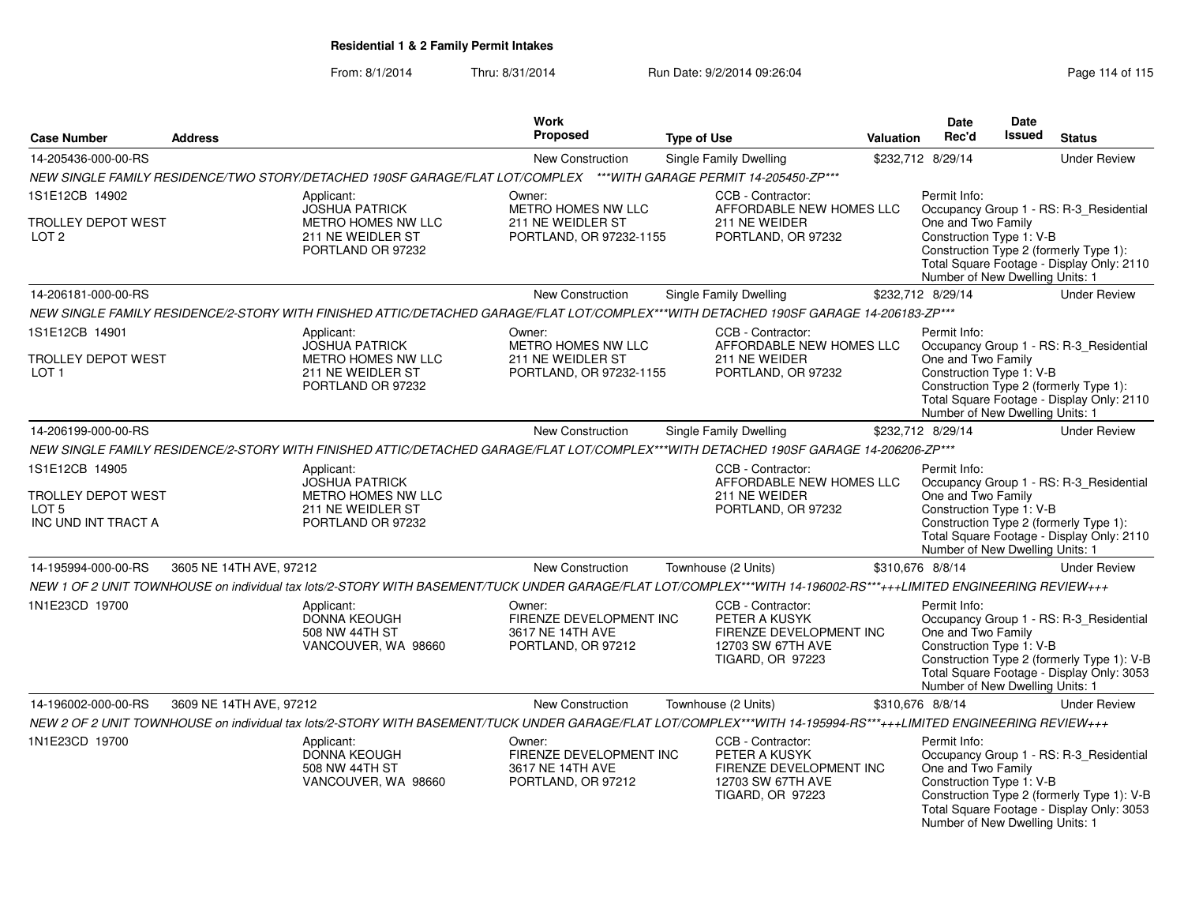|                                                                                        |                                                                                                                               |                                                                                                                    | Work                                                                        |                                                                                                                                                                  |                                                                                                                                                                                                                     | Date                                                                                                                                                                                                                                | Date   |                                                                                                                                    |
|----------------------------------------------------------------------------------------|-------------------------------------------------------------------------------------------------------------------------------|--------------------------------------------------------------------------------------------------------------------|-----------------------------------------------------------------------------|------------------------------------------------------------------------------------------------------------------------------------------------------------------|---------------------------------------------------------------------------------------------------------------------------------------------------------------------------------------------------------------------|-------------------------------------------------------------------------------------------------------------------------------------------------------------------------------------------------------------------------------------|--------|------------------------------------------------------------------------------------------------------------------------------------|
| <b>Case Number</b>                                                                     | <b>Address</b>                                                                                                                |                                                                                                                    | <b>Proposed</b>                                                             | <b>Type of Use</b>                                                                                                                                               | Valuation                                                                                                                                                                                                           | Rec'd                                                                                                                                                                                                                               | Issued | <b>Status</b>                                                                                                                      |
| 14-205436-000-00-RS                                                                    |                                                                                                                               |                                                                                                                    | New Construction                                                            | <b>Single Family Dwelling</b>                                                                                                                                    |                                                                                                                                                                                                                     | \$232,712 8/29/14                                                                                                                                                                                                                   |        | <b>Under Review</b>                                                                                                                |
|                                                                                        |                                                                                                                               | NEW SINGLE FAMILY RESIDENCE/TWO STORY/DETACHED 190SF GARAGE/FLAT LOT/COMPLEX ***WITH GARAGE PERMIT 14-205450-ZP*** |                                                                             |                                                                                                                                                                  |                                                                                                                                                                                                                     |                                                                                                                                                                                                                                     |        |                                                                                                                                    |
| 1S1E12CB 14902                                                                         |                                                                                                                               | Applicant:<br><b>JOSHUA PATRICK</b>                                                                                | Owner:<br>METRO HOMES NW LLC                                                | CCB - Contractor:<br>AFFORDABLE NEW HOMES LLC                                                                                                                    |                                                                                                                                                                                                                     | Permit Info:                                                                                                                                                                                                                        |        |                                                                                                                                    |
| TROLLEY DEPOT WEST<br>LOT <sub>2</sub>                                                 | METRO HOMES NW LLC<br>211 NE WEIDLER ST<br>211 NE WEIDER<br>211 NE WEIDLER ST<br>PORTLAND, OR 97232-1155<br>PORTLAND OR 97232 |                                                                                                                    | PORTLAND, OR 97232                                                          |                                                                                                                                                                  | Occupancy Group 1 - RS: R-3_Residential<br>One and Two Family<br>Construction Type 1: V-B<br>Construction Type 2 (formerly Type 1):<br>Total Square Footage - Display Only: 2110<br>Number of New Dwelling Units: 1 |                                                                                                                                                                                                                                     |        |                                                                                                                                    |
| 14-206181-000-00-RS                                                                    |                                                                                                                               |                                                                                                                    | New Construction                                                            | <b>Single Family Dwelling</b>                                                                                                                                    |                                                                                                                                                                                                                     | \$232,712 8/29/14                                                                                                                                                                                                                   |        | <b>Under Review</b>                                                                                                                |
|                                                                                        |                                                                                                                               |                                                                                                                    |                                                                             | NEW SINGLE FAMILY RESIDENCE/2-STORY WITH FINISHED ATTIC/DETACHED GARAGE/FLAT LOT/COMPLEX***WITH DETACHED 190SF GARAGE 14-206183-ZP***                            |                                                                                                                                                                                                                     |                                                                                                                                                                                                                                     |        |                                                                                                                                    |
| 1S1E12CB 14901                                                                         |                                                                                                                               | Applicant:<br><b>JOSHUA PATRICK</b>                                                                                | Owner:<br>METRO HOMES NW LLC                                                | CCB - Contractor:<br>AFFORDABLE NEW HOMES LLC                                                                                                                    |                                                                                                                                                                                                                     | Permit Info:                                                                                                                                                                                                                        |        | Occupancy Group 1 - RS: R-3_Residential                                                                                            |
| TROLLEY DEPOT WEST<br>LOT <sub>1</sub>                                                 |                                                                                                                               | <b>METRO HOMES NW LLC</b><br>211 NE WEIDLER ST<br>PORTLAND OR 97232                                                | 211 NE WEIDLER ST<br>PORTLAND, OR 97232-1155                                | 211 NE WEIDER<br>PORTLAND, OR 97232                                                                                                                              |                                                                                                                                                                                                                     | One and Two Family<br>Construction Type 1: V-B<br>Number of New Dwelling Units: 1                                                                                                                                                   |        | Construction Type 2 (formerly Type 1):<br>Total Square Footage - Display Only: 2110                                                |
| 14-206199-000-00-RS                                                                    |                                                                                                                               |                                                                                                                    | <b>New Construction</b>                                                     | <b>Single Family Dwelling</b>                                                                                                                                    |                                                                                                                                                                                                                     | \$232,712 8/29/14                                                                                                                                                                                                                   |        | <b>Under Review</b>                                                                                                                |
|                                                                                        |                                                                                                                               |                                                                                                                    |                                                                             | NEW SINGLE FAMILY RESIDENCE/2-STORY WITH FINISHED ATTIC/DETACHED GARAGE/FLAT LOT/COMPLEX***WITH DETACHED 190SF GARAGE 14-206206-ZP***                            |                                                                                                                                                                                                                     |                                                                                                                                                                                                                                     |        |                                                                                                                                    |
| 1S1E12CB 14905<br><b>TROLLEY DEPOT WEST</b><br>LOT <sub>5</sub><br>INC UND INT TRACT A |                                                                                                                               | Applicant:<br><b>JOSHUA PATRICK</b><br><b>METRO HOMES NW LLC</b><br>211 NE WEIDLER ST<br>PORTLAND OR 97232         |                                                                             | CCB - Contractor:<br>AFFORDABLE NEW HOMES LLC<br>211 NE WEIDER<br>PORTLAND, OR 97232                                                                             |                                                                                                                                                                                                                     | Permit Info:<br>Occupancy Group 1 - RS: R-3_Residential<br>One and Two Family<br>Construction Type 1: V-B<br>Construction Type 2 (formerly Type 1):<br>Total Square Footage - Display Only: 2110<br>Number of New Dwelling Units: 1 |        |                                                                                                                                    |
| 14-195994-000-00-RS                                                                    | 3605 NE 14TH AVE, 97212                                                                                                       |                                                                                                                    | <b>New Construction</b>                                                     | Townhouse (2 Units)                                                                                                                                              |                                                                                                                                                                                                                     | \$310,676 8/8/14                                                                                                                                                                                                                    |        | <b>Under Review</b>                                                                                                                |
|                                                                                        |                                                                                                                               |                                                                                                                    |                                                                             | NEW 1 OF 2 UNIT TOWNHOUSE on individual tax lots/2-STORY WITH BASEMENT/TUCK UNDER GARAGE/FLAT LOT/COMPLEX***WITH 14-196002-RS***+++LIMITED ENGINEERING REVIEW+++ |                                                                                                                                                                                                                     |                                                                                                                                                                                                                                     |        |                                                                                                                                    |
| 1N1E23CD 19700                                                                         |                                                                                                                               | Applicant:<br><b>DONNA KEOUGH</b><br>508 NW 44TH ST<br>VANCOUVER, WA 98660                                         | Owner:<br>FIRENZE DEVELOPMENT INC<br>3617 NE 14TH AVE<br>PORTLAND, OR 97212 | CCB - Contractor:<br>PETER A KUSYK<br>FIRENZE DEVELOPMENT INC<br>12703 SW 67TH AVE<br><b>TIGARD, OR 97223</b>                                                    |                                                                                                                                                                                                                     | Permit Info:<br>One and Two Family<br>Construction Type 1: V-B<br>Number of New Dwelling Units: 1                                                                                                                                   |        | Occupancy Group 1 - RS: R-3_Residential<br>Construction Type 2 (formerly Type 1): V-B<br>Total Square Footage - Display Only: 3053 |
| 14-196002-000-00-RS                                                                    | 3609 NE 14TH AVE, 97212                                                                                                       |                                                                                                                    | <b>New Construction</b>                                                     | Townhouse (2 Units)                                                                                                                                              |                                                                                                                                                                                                                     | \$310,676 8/8/14                                                                                                                                                                                                                    |        | <b>Under Review</b>                                                                                                                |
|                                                                                        |                                                                                                                               |                                                                                                                    |                                                                             | NEW 2 OF 2 UNIT TOWNHOUSE on individual tax lots/2-STORY WITH BASEMENT/TUCK UNDER GARAGE/FLAT LOT/COMPLEX***WITH 14-195994-RS***+++LIMITED ENGINEERING REVIEW+++ |                                                                                                                                                                                                                     |                                                                                                                                                                                                                                     |        |                                                                                                                                    |
| 1N1E23CD 19700                                                                         |                                                                                                                               | Applicant:<br>DONNA KEOUGH<br>508 NW 44TH ST<br>VANCOUVER, WA 98660                                                | Owner:<br>FIRENZE DEVELOPMENT INC<br>3617 NE 14TH AVE<br>PORTLAND, OR 97212 | CCB - Contractor:<br>PETER A KUSYK<br>FIRENZE DEVELOPMENT INC<br>12703 SW 67TH AVE<br>TIGARD, OR 97223                                                           |                                                                                                                                                                                                                     | Permit Info:<br>One and Two Family<br>Construction Type 1: V-B<br>Number of New Dwelling Units: 1                                                                                                                                   |        | Occupancy Group 1 - RS: R-3_Residential<br>Construction Type 2 (formerly Type 1): V-B<br>Total Square Footage - Display Only: 3053 |